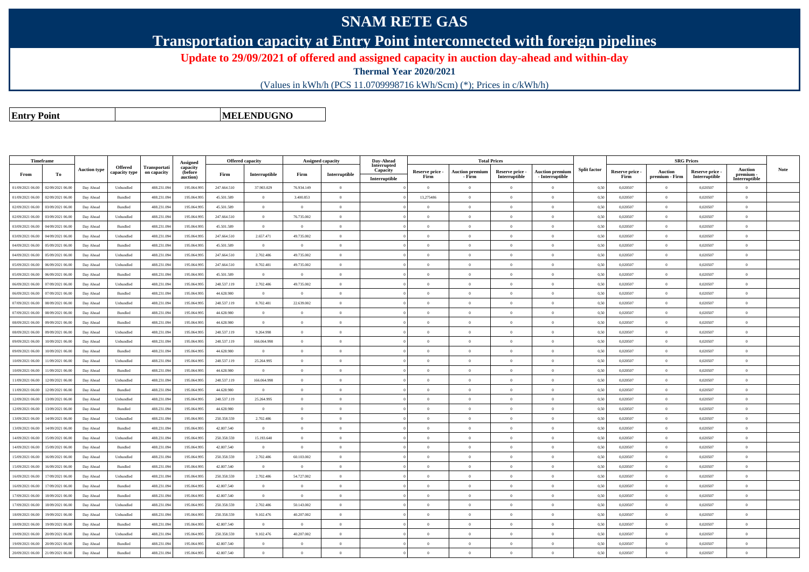## **SNAM RETE GAS**

**Transportation capacity at Entry Point interconnected with foreign pipelines**

**Update to 29/09/2021 of offered and assigned capacity in auction day-ahead and within-day**

**Thermal Year 2020/2021**

(Values in kWh/h (PCS 11.0709998716 kWh/Scm) (\*); Prices in c/kWh/h)

**Entry Point**

**MELENDUGNO**

| <b>Timeframe</b> |                  |                     |                |                     |                      | <b>Offered capacity</b> |                | <b>Assigned capacity</b> |                | Day-Ahead               |                 |                        | <b>Total Prices</b> |                        |                     |                 | <b>SRG Prices</b> |                 |                            |             |
|------------------|------------------|---------------------|----------------|---------------------|----------------------|-------------------------|----------------|--------------------------|----------------|-------------------------|-----------------|------------------------|---------------------|------------------------|---------------------|-----------------|-------------------|-----------------|----------------------------|-------------|
|                  |                  | <b>Auction type</b> | <b>Offered</b> | <b>Transportati</b> | Assigned<br>capacity |                         |                |                          |                | Interrupted<br>Capacity | Reserve price - | <b>Auction premium</b> | Reserve price -     | <b>Auction premium</b> | <b>Split factor</b> | Reserve price - | Auction           | Reserve price - | <b>Auction</b>             | <b>Note</b> |
| From             | To               |                     | capacity type  | on capacity         | (before<br>auction)  | Firm                    | Interruptible  | Firm                     | Interruptible  | Interruptible           | Firm            | - Firm                 | Interruptible       | - Interruptible        |                     | Firm            | premium - Firm    | Interruptible   | premium -<br>Interruptible |             |
| 01/09/2021 06:00 | 02/09/2021 06.00 | Day Ahead           | Unbundled      | 488.231.09          | 195.064.99           | 247.664.510             | 37.903.029     | 76.934.149               | $\overline{0}$ |                         | $\overline{0}$  | $\overline{0}$         | $\overline{0}$      | $\overline{0}$         | 0.50                | 0,020507        |                   | 0.020507        | $\overline{0}$             |             |
| 01/09/2021 06:00 | 02/09/2021 06.00 | Day Ahead           | Bundled        | 488.231.094         | 195.064.995          | 45.501.589              | $\overline{0}$ | 3.400.853                | $\overline{0}$ |                         | 13,275486       | $\theta$               | $\overline{0}$      | $\bf{0}$               | 0,50                | 0,020507        | $\overline{0}$    | 0,020507        | $\overline{0}$             |             |
| 02/09/2021 06:00 | 03/09/2021 06.00 | Day Ahead           | Bundled        | 488.231.094         | 195.064.995          | 45.501.589              | $\overline{0}$ | $\overline{0}$           | $\overline{0}$ |                         | $\overline{0}$  | $\theta$               | $\overline{0}$      | $\bf{0}$               | 0.50                | 0,020507        | $\overline{0}$    | 0,020507        | $\overline{0}$             |             |
| 02/09/2021 06:00 | 03/09/2021 06.00 | Day Ahead           | Unbundled      | 488.231.094         | 195.064.995          | 247.664.510             | $\overline{0}$ | 76.735.002               | $\overline{0}$ |                         | $\theta$        | $\Omega$               | $\Omega$            | $\overline{0}$         | 0,50                | 0,020507        | $\overline{0}$    | 0,020507        | $\theta$                   |             |
| 03/09/2021 06:00 | 04/09/2021 06.00 | Day Ahead           | Bundled        | 488.231.094         | 195.064.995          | 45.501.589              | $\overline{0}$ | $\overline{0}$           | $\overline{0}$ |                         | $\theta$        | $\Omega$               | $\theta$            | $\overline{0}$         | 0.50                | 0,020507        | $\theta$          | 0,020507        | $\theta$                   |             |
| 03/09/2021 06:00 | 04/09/2021 06:00 | Day Ahead           | Unbundled      | 488.231.094         | 195,064,995          | 247.664.510             | 2.657.471      | 49.735.002               | $\overline{0}$ |                         | $\theta$        | $\Omega$               | $\Omega$            | $\bf{0}$               | 0.50                | 0.020507        | $\overline{0}$    | 0,020507        | $\overline{0}$             |             |
| 04/09/2021 06:00 | 05/09/2021 06.00 | Day Ahead           | Bundled        | 488.231.09          | 195.064.995          | 45.501.589              | $\overline{0}$ | $\overline{0}$           | $\overline{0}$ |                         | $\overline{0}$  | $\Omega$               | $\overline{0}$      | $\bf{0}$               | 0,50                | 0,020507        | $\overline{0}$    | 0,020507        | $\overline{0}$             |             |
| 04/09/2021 06:00 | 05/09/2021 06:00 | Day Ahead           | Unbundled      | 488.231.094         | 195,064,995          | 247.664.510             | 2.702.486      | 49.735.002               | $\overline{0}$ |                         | $\theta$        | $\Omega$               | $\Omega$            | $\overline{0}$         | 0.50                | 0.020507        | $\overline{0}$    | 0.020507        | $\overline{0}$             |             |
| 05/09/2021 06:00 | 06/09/2021 06:00 | Day Ahead           | Unbundled      | 488.231.094         | 195,064,995          | 247 664 510             | 8.702.481      | 49 735 002               | $\Omega$       |                         | $\theta$        | $\theta$               | $\theta$            | $\overline{0}$         | 0.50                | 0.020507        | $\Omega$          | 0.020507        | $\overline{0}$             |             |
| 05/09/2021 06:00 | 06/09/2021 06:00 | Day Ahead           | Bundled        | 488.231.094         | 195,064,995          | 45,501.589              | $\overline{0}$ | $\overline{0}$           | $\overline{0}$ |                         | $\overline{0}$  | $\theta$               | $\Omega$            | $\overline{0}$         | 0.50                | 0.020507        | $\overline{0}$    | 0.020507        | $\overline{0}$             |             |
| 06/09/2021 06:00 | 07/09/2021 06.00 | Day Ahead           | Unbundled      | 488.231.094         | 195,064,995          | 248.537.119             | 2.702.486      | 49.735.002               | $\overline{0}$ |                         | $\theta$        | $\theta$               | $\theta$            | $\overline{0}$         | 0.50                | 0.020507        | $\overline{0}$    | 0.020507        | $\theta$                   |             |
| 06/09/2021 06:00 | 07/09/2021 06.00 | Day Ahead           | Bundled        | 488.231.094         | 195.064.995          | 44.628.980              | $\overline{0}$ | $\overline{0}$           | $\overline{0}$ |                         | $\theta$        | $\theta$               | $\overline{0}$      | $\overline{0}$         | 0.50                | 0.020507        | $\overline{0}$    | 0,020507        | $\theta$                   |             |
| 07/09/2021 06:00 | 08/09/2021 06:00 | Day Ahead           | Unbundled      | 488.231.094         | 195.064.995          | 248.537.119             | 8.702.481      | 22.639.002               | $\theta$       |                         | $\Omega$        | $\theta$               | $\Omega$            | $\overline{0}$         | 0.50                | 0,020507        | $\Omega$          | 0,020507        | $\overline{0}$             |             |
| 07/09/2021 06:00 | 08/09/2021 06:00 | Day Ahead           | Bundled        | 488.231.094         | 195.064.995          | 44.628.980              | $\overline{0}$ | $\overline{0}$           | $\overline{0}$ |                         | $\overline{0}$  | $\theta$               | $\overline{0}$      | $\overline{0}$         | 0.50                | 0,020507        | $\theta$          | 0,020507        | $\overline{0}$             |             |
| 08/09/2021 06.00 | 09/09/2021 06.00 | Day Ahead           | <b>Bundled</b> | 488.231.094         | 195.064.995          | 44 628 980              | $\overline{0}$ | $\overline{0}$           | $\overline{0}$ |                         | $\overline{0}$  | $\bf{0}$               | $\overline{0}$      | $\overline{0}$         | 0.50                | 0.020507        | $\overline{0}$    | 0.020507        | $\overline{0}$             |             |
| 08/09/2021 06:00 | 09/09/2021 06.00 | Day Ahead           | Unbundled      | 488.231.09          | 195.064.99           | 248.537.119             | 9.264.998      | $\bf{0}$                 | $\overline{0}$ |                         | $\overline{0}$  | $\theta$               | $\overline{0}$      | $\overline{0}$         | 0,50                | 0,020507        | $\overline{0}$    | 0,020507        | $\overline{0}$             |             |
| 09/09/2021 06:00 | 10/09/2021 06:00 | Day Ahead           | Unbundled      | 488.231.094         | 195.064.995          | 248.537.119             | 166 064 998    | $\Omega$                 | $\theta$       |                         | $\Omega$        | $\theta$               | $\Omega$            | $\overline{0}$         | 0.50                | 0.020507        | $\overline{0}$    | 0.020507        | $\theta$                   |             |
| 09/09/2021 06:00 | 10/09/2021 06.0  | Day Ahead           | Bundled        | 488.231.09          | 195.064.99           | 44.628.980              | $\overline{0}$ | $\overline{0}$           | $\overline{0}$ |                         | $\overline{0}$  | $\Omega$               | $\overline{0}$      | $\overline{0}$         | 0.50                | 0,020507        | $\Omega$          | 0,020507        | $\overline{0}$             |             |
| 10/09/2021 06:00 | 11/09/2021 06.00 | Day Ahead           | Unbundled      | 488.231.09          | 195.064.995          | 248.537.119             | 25.264.995     | $\overline{0}$           | $\overline{0}$ |                         | $\overline{0}$  | $\theta$               | $\overline{0}$      | $\overline{0}$         | 0,50                | 0,020507        | $\overline{0}$    | 0,020507        | $\overline{0}$             |             |
| 10/09/2021 06:00 | 1/09/2021 06.0   | Day Ahead           | Bundled        | 488.231.09          | 195,064.99           | 44.628.980              | $\overline{0}$ | $\overline{0}$           | $\overline{0}$ |                         | $\overline{0}$  | $\theta$               | $\overline{0}$      | $\overline{0}$         | 0.50                | 0,020507        | $\overline{0}$    | 0.020507        | $\theta$                   |             |
| 11/09/2021 06:00 | 12/09/2021 06:00 | Day Ahead           | Unbundled      | 488.231.09          | 195.064.995          | 248.537.119             | 166.064.998    | $\theta$                 | $\theta$       |                         | $\Omega$        | $\Omega$               | $\overline{0}$      | $\overline{0}$         | 0.50                | 0,020507        | $\overline{0}$    | 0,020507        | $\overline{0}$             |             |
| 11/09/2021 06:00 | 12/09/2021 06.0  | Day Ahead           | Bundled        | 488.231.09          | 195.064.99           | 44.628.980              | $\overline{0}$ | $\overline{0}$           | $\overline{0}$ |                         | $\overline{0}$  |                        | $\overline{0}$      | $\overline{0}$         | 0,50                | 0,020507        | $\theta$          | 0,020507        | $\overline{0}$             |             |
| 12/09/2021 06:00 | 13/09/2021 06.00 | Day Ahead           | Unbundled      | 488.231.09          | 195.064.995          | 248.537.119             | 25.264.995     | $\overline{0}$           | $\overline{0}$ |                         | $\overline{0}$  | $\theta$               | $\overline{0}$      | $\overline{0}$         | 0,50                | 0,020507        | $\overline{0}$    | 0,020507        | $\overline{0}$             |             |
| 12/09/2021 06.0  | 3/09/2021 06.0   | Day Ahead           | Bundled        | 488.231.09          | 195.064.99           | 44.628.980              | $\overline{0}$ | $\overline{0}$           | $\overline{0}$ |                         | $\overline{0}$  | $\Omega$               | $\overline{0}$      | $\overline{0}$         | 0,50                | 0,020507        | $\overline{0}$    | 0,020507        | $\overline{0}$             |             |
| 13/09/2021 06:00 | 14/09/2021 06:00 | Day Ahead           | Unbundled      | 488.231.09          | 195.064.995          | 250.358.559             | 2.702.486      | $\overline{0}$           | $\overline{0}$ |                         | $\overline{0}$  | $\theta$               | $\overline{0}$      | $\bf{0}$               | 0.50                | 0,020507        | $\overline{0}$    | 0,020507        | $\bf{0}$                   |             |
| 13/09/2021 06:00 | 14/09/2021 06.0  | Day Ahead           | Bundled        | 488.231.09          | 195.064.99           | 42.807.540              | $\overline{0}$ | $\overline{0}$           | $\overline{0}$ |                         | $\overline{0}$  | $\theta$               | $\overline{0}$      | $\overline{0}$         | 0,50                | 0,020507        | $\Omega$          | 0,020507        | $\theta$                   |             |
| 14/09/2021 06:00 | 15/09/2021 06.00 | Day Ahead           | Unbundled      | 488.231.094         | 195.064.995          | 250.358.559             | 15.193.640     | $\overline{0}$           | $\overline{0}$ |                         | $\overline{0}$  | $\theta$               | $\overline{0}$      | $\bf{0}$               | 0,50                | 0,020507        | $\overline{0}$    | 0,020507        | $\overline{0}$             |             |
| 14/09/2021 06:00 | 15/09/2021 06.00 | Day Ahead           | Bundled        | 488.231.09          | 195.064.99           | 42.807.540              | $\Omega$       | $\Omega$                 | $\overline{0}$ |                         | $\Omega$        | $\Omega$               | $\overline{0}$      | $\overline{0}$         | 0,50                | 0,020507        | $\Omega$          | 0,020507        | $\Omega$                   |             |
| 15/09/2021 06:00 | 16/09/2021 06:00 | Day Ahead           | Unbundled      | 488.231.094         | 195.064.995          | 250.358.559             | 2.702.486      | 60.103.002               | $\overline{0}$ |                         | $\overline{0}$  | $\theta$               | $\overline{0}$      | $\bf{0}$               | 0,50                | 0,020507        | $\overline{0}$    | 0,020507        | $\overline{0}$             |             |
| 15/09/2021 06:00 | 16/09/2021 06:00 | Day Ahead           | Bundled        | 488.231.09          | 195.064.995          | 42.807.540              | $\overline{0}$ | $\theta$                 | $\theta$       |                         | $\Omega$        |                        | $\Omega$            | $\theta$               | 0,50                | 0,020507        | $\Omega$          | 0,020507        | $\Omega$                   |             |
| 16/09/2021 06:00 | 17/09/2021 06.00 | Day Ahead           | Unbundled      | 488.231.094         | 195.064.995          | 250.358.559             | 2.702.486      | 54.727.002               | $\overline{0}$ |                         | $\overline{0}$  | $\theta$               | $\overline{0}$      | $\overline{0}$         | 0,50                | 0,020507        | $\Omega$          | 0,020507        | $\theta$                   |             |
| 16/09/2021 06:00 | 17/09/2021 06.0  | Day Ahead           | Bundled        | 488.231.09          | 195.064.99           | 42.807.540              | $\theta$       | $\theta$                 | $\Omega$       |                         | $\Omega$        | $\theta$               | $\theta$            | $\bf{0}$               | 0,50                | 0,020507        | $\Omega$          | 0,020507        | $\Omega$                   |             |
| 17/09/2021 06:00 | 18/09/2021 06:00 | Day Ahead           | Bundled        | 488.231.09          | 195.064.995          | 42.807.540              | $\overline{0}$ | $\Omega$                 | $\Omega$       |                         | $\Omega$        | $\theta$               | $\overline{0}$      | $\overline{0}$         | 0,50                | 0,020507        | $\theta$          | 0,020507        | $\theta$                   |             |
| 17/09/2021 06:00 | 18/09/2021 06:00 | Day Ahead           | Unbundled      | 488.231.094         | 195,064,995          | 250,358,559             | 2.702.486      | 50.143,002               | $\overline{0}$ |                         | $\overline{0}$  | $\Omega$               | $\overline{0}$      | $\overline{0}$         | 0.50                | 0.020507        | $\theta$          | 0.020507        | $\theta$                   |             |
| 18/09/2021 06:00 | 19/09/2021 06.00 | Day Ahead           | Unbundled      | 488.231.094         | 195.064.995          | 250.358.559             | 9.102.476      | 40.207.002               | $\overline{0}$ |                         | $\overline{0}$  | $\theta$               | $\overline{0}$      | $\bf{0}$               | 0,50                | 0,020507        | $\overline{0}$    | 0,020507        | $\theta$                   |             |
| 18/09/2021 06:00 | 19/09/2021 06.00 | Day Ahead           | Bundled        | 488.231.094         | 195.064.995          | 42.807.540              | $\overline{0}$ | $\overline{0}$           | $\overline{0}$ |                         | $\overline{0}$  | $\theta$               | $\overline{0}$      | $\bf{0}$               | 0.50                | 0,020507        | $\overline{0}$    | 0,020507        | $\overline{0}$             |             |
| 19/09/2021 06:00 | 20/09/2021 06:00 | Day Ahead           | Unbundled      | 488.231.094         | 195 064 99           | 250,358,559             | 9.102.476      | 40.207.002               | $\Omega$       |                         | $\theta$        | $\theta$               | $\theta$            | $\overline{0}$         | 0.50                | 0.020507        | $\overline{0}$    | 0.020507        | $\theta$                   |             |
| 19/09/2021 06:00 | 20/09/2021 06:00 | Day Ahead           | Bundled        | 488.231.09          | 195.064.995          | 42.807.540              | $\overline{0}$ | $\Omega$                 | $\overline{0}$ |                         | $\overline{0}$  | $\Omega$               | $\overline{0}$      | $\overline{0}$         | 0,50                | 0,020507        | $\overline{0}$    | 0,020507        | $\overline{0}$             |             |
| 20/09/2021 06:00 | 21/09/2021 06:00 | Day Ahead           | Bundled        | 488.231.094         | 195,064,995          | 42.807.540              | $\overline{0}$ | $\theta$                 | $\Omega$       |                         | $\theta$        | $\Omega$               | $\theta$            | $\theta$               | 0,50                | 0.020507        | $\overline{0}$    | 0.020507        | $\theta$                   |             |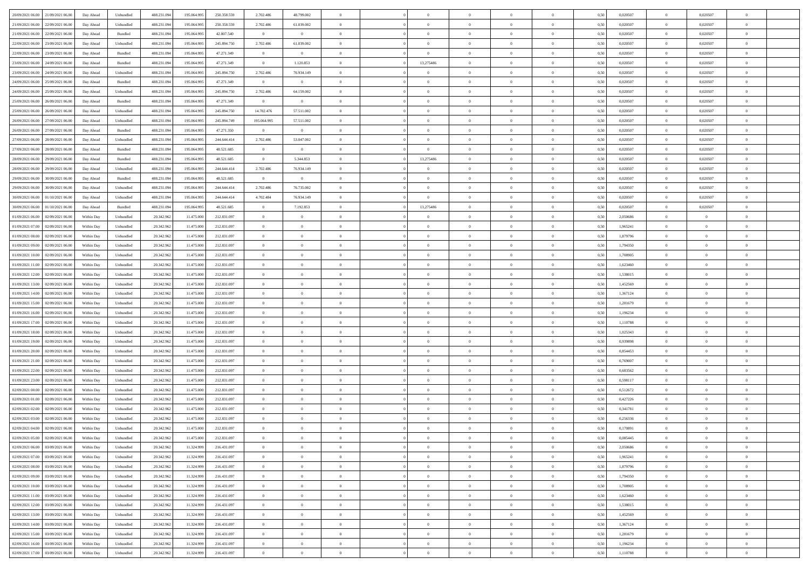| 20/09/2021 06:00 21/09/2021 06:00            | Day Ahead  | Unbundled                   | 488.231.094 | 195.064.995 | 250.358.559 | 2.702.486      | 48.799.002     |                | $\overline{0}$ | $\bf{0}$       | $\overline{0}$ | $\theta$       | 0,50     | 0,020507 | $\overline{0}$ | 0,020507       | $\bf{0}$       |  |
|----------------------------------------------|------------|-----------------------------|-------------|-------------|-------------|----------------|----------------|----------------|----------------|----------------|----------------|----------------|----------|----------|----------------|----------------|----------------|--|
|                                              |            |                             |             |             |             |                |                |                |                |                |                |                |          |          |                |                |                |  |
| 21/09/2021 06:00<br>22/09/2021 06:00         | Day Ahead  | Unbundled                   | 488.231.09  | 195.064.99  | 250.358.559 | 2.702.486      | 61.039.002     | $\overline{0}$ | $\overline{0}$ | $\,$ 0         | $\overline{0}$ | $\bf{0}$       | 0,50     | 0,020507 | $\bf{0}$       | 0,020507       | $\,$ 0         |  |
| 21/09/2021 06:00<br>22/09/2021 06:00         | Day Ahead  | Bundled                     | 488.231.09  | 195,064.99  | 42,807.540  | $\overline{0}$ | $\overline{0}$ | $\overline{0}$ | $\overline{0}$ | $\bf{0}$       | $\overline{0}$ | $\overline{0}$ | 0.50     | 0.020507 | $\overline{0}$ | 0.020507       | $\bf{0}$       |  |
| 22/09/2021 06:00<br>23/09/2021 06:00         | Day Ahead  | Unbundled                   | 488.231.09  | 195.064.995 | 245.894.750 | 2.702.486      | 61.039.002     | $\overline{0}$ | $\overline{0}$ | $\bf{0}$       | $\overline{0}$ | $\theta$       | 0,50     | 0,020507 | $\,0\,$        | 0,020507       | $\overline{0}$ |  |
| 22/09/2021 06:00<br>23/09/2021 06.00         | Day Ahead  | Bundled                     | 488.231.09  | 195.064.99  | 47.271.349  | $\overline{0}$ | $\overline{0}$ | $\overline{0}$ | $\overline{0}$ | $\bf{0}$       | $\overline{0}$ | $\bf{0}$       | 0,50     | 0,020507 | $\bf{0}$       | 0,020507       | $\bf{0}$       |  |
| 23/09/2021 06:00<br>24/09/2021 06:00         | Day Ahead  | Bundled                     | 488.231.09  | 195,064.99  | 47.271.349  | $\overline{0}$ | 1.120.853      | $\overline{0}$ | 13,275486      | $\bf{0}$       | $\overline{0}$ | $\overline{0}$ | 0.50     | 0.020507 | $\bf{0}$       | 0.020507       | $\bf{0}$       |  |
| 23/09/2021 06:00<br>24/09/2021 06:00         | Day Ahead  | Unbundled                   | 488.231.09  | 195.064.995 | 245.894.750 | 2.702.486      | 76.934.149     | $\overline{0}$ | $\overline{0}$ | $\bf{0}$       | $\overline{0}$ | $\overline{0}$ | 0,50     | 0,020507 | $\,0\,$        | 0,020507       | $\overline{0}$ |  |
| 24/09/2021 06:00<br>25/09/2021 06.00         | Day Ahead  | Bundled                     | 488.231.09  | 195.064.99  | 47.271.349  | $\overline{0}$ | $\bf{0}$       | $\overline{0}$ |                | $\,$ 0         | $\overline{0}$ | $\bf{0}$       | 0,50     | 0,020507 | $\bf{0}$       | 0,020507       | $\bf{0}$       |  |
| 24/09/2021 06:00<br>25/09/2021 06:00         | Day Ahead  | Unbundled                   | 488.231.09  | 195,064.99  | 245.894.750 | 2.702.486      | 64.159.002     | $\overline{0}$ | $\overline{0}$ | $\bf{0}$       | $\overline{0}$ | $\overline{0}$ | 0.50     | 0.020507 | $\bf{0}$       | 0.020507       | $\bf{0}$       |  |
| 25/09/2021 06:00<br>26/09/2021 06:00         | Day Ahead  | Bundled                     | 488.231.094 | 195.064.995 | 47.271.349  | $\overline{0}$ | $\overline{0}$ | $\overline{0}$ | $\overline{0}$ | $\bf{0}$       | $\overline{0}$ | $\overline{0}$ | 0,50     | 0,020507 | $\overline{0}$ | 0,020507       | $\overline{0}$ |  |
|                                              |            |                             |             |             |             |                |                |                |                |                |                |                |          |          |                |                |                |  |
| 25/09/2021 06:00<br>26/09/2021 06.00         | Day Ahead  | Unbundled                   | 488.231.09  | 195.064.99  | 245.894.750 | 14.702.476     | 57.511.002     | $\overline{0}$ | $\overline{0}$ | $\,$ 0         | $\overline{0}$ | $\bf{0}$       | 0,50     | 0,020507 | $\bf{0}$       | 0,020507       | $\,$ 0         |  |
| 26/09/2021 06:00<br>27/09/2021 06:00         | Day Ahead  | Unbundled                   | 488.231.09  | 195,064,995 | 245.894.749 | 195,064,995    | 57.511.002     | $\overline{0}$ | $\overline{0}$ | $\,$ 0 $\,$    | $\overline{0}$ | $\overline{0}$ | 0.50     | 0.020507 | $\,$ 0 $\,$    | 0.020507       | $\bf{0}$       |  |
| 26/09/2021 06:00<br>27/09/2021 06:00         | Day Ahead  | Bundled                     | 488.231.09  | 195.064.995 | 47.271.350  | $\overline{0}$ | $\overline{0}$ | $\overline{0}$ | $\overline{0}$ | $\bf{0}$       | $\overline{0}$ | $\theta$       | 0,50     | 0,020507 | $\,0\,$        | 0,020507       | $\overline{0}$ |  |
| 27/09/2021 06:00<br>28/09/2021 06:00         | Day Ahead  | Unbundled                   | 488.231.09  | 195.064.99  | 244.644.414 | 2.702.486      | 53.047.002     | $\overline{0}$ | $\overline{0}$ | $\bf{0}$       | $\overline{0}$ | $\bf{0}$       | 0,50     | 0,020507 | $\bf{0}$       | 0,020507       | $\bf{0}$       |  |
| 27/09/2021 06:00<br>28/09/2021 06:00         | Day Ahead  | Bundled                     | 488.231.09  | 195,064.99  | 48.521.685  | $\overline{0}$ | $\overline{0}$ | $\overline{0}$ | $\overline{0}$ | $\,$ 0         | $\overline{0}$ | $\overline{0}$ | 0.50     | 0.020507 | $\bf{0}$       | 0.020507       | $\bf{0}$       |  |
| 28/09/2021 06:00<br>29/09/2021 06:00         | Day Ahead  | Bundled                     | 488.231.094 | 195.064.995 | 48.521.685  | $\overline{0}$ | 5.344.853      | $\overline{0}$ | 13,275486      | $\bf{0}$       | $\overline{0}$ | $\overline{0}$ | 0,50     | 0,020507 | $\,0\,$        | 0,020507       | $\overline{0}$ |  |
| 28/09/2021 06:00<br>29/09/2021 06.00         | Day Ahead  | Unbundled                   | 488.231.09  | 195.064.99  | 244.644.414 | 2.702.486      | 76.934.149     | $\overline{0}$ |                | $\,$ 0         | $\overline{0}$ | $\bf{0}$       | 0,50     | 0,020507 | $\bf{0}$       | 0,020507       | $\overline{0}$ |  |
| 29/09/2021 06:00<br>30/09/2021 06:00         | Day Ahead  | Bundled                     | 488.231.09  | 195,064.99  | 48.521.685  | $\mathbf{0}$   | $\mathbf{0}$   | $\overline{0}$ | $\overline{0}$ | $\bf{0}$       | $\overline{0}$ | $\overline{0}$ | 0.50     | 0.020507 | $\overline{0}$ | 0.020507       | $\bf{0}$       |  |
| 29/09/2021 06:00<br>30/09/2021 06:00         | Day Ahead  | Unbundled                   | 488.231.094 | 195.064.995 | 244.644.414 | 2.702.486      | 76.735.002     | $\overline{0}$ | $\overline{0}$ | $\bf{0}$       | $\overline{0}$ | $\overline{0}$ | 0,50     | 0,020507 | $\,0\,$        | 0,020507       | $\overline{0}$ |  |
| 30/09/2021 06:00<br>01/10/2021 06:00         | Day Ahead  | Unbundled                   | 488.231.09  | 195.064.99  | 244.644.414 | 4.702.484      | 76.934.149     | $\overline{0}$ | $\overline{0}$ | $\,$ 0         | $\overline{0}$ | $\bf{0}$       | 0,50     | 0,020507 | $\bf{0}$       | 0,020507       | $\bf{0}$       |  |
| 30/09/2021 06:00<br>01/10/2021 06:00         | Day Ahead  | Bundled                     | 488.231.09  | 195,064,995 | 48.521.685  | $\overline{0}$ | 7.192.853      | $\overline{0}$ | 13,275486      | $\bf{0}$       | $\overline{0}$ | $\overline{0}$ | 0.50     | 0.020507 | $\overline{0}$ | 0.020507       | $\bf{0}$       |  |
|                                              |            |                             |             |             |             | $\overline{0}$ | $\overline{0}$ | $\overline{0}$ | $\overline{0}$ |                | $\overline{0}$ | $\overline{0}$ |          |          | $\,0\,$        | $\overline{0}$ | $\overline{0}$ |  |
| 01/09/2021 06:00<br>02/09/2021 06:00         | Within Day | Unbundled                   | 20.342.96   | 11.475.000  | 212.831.097 |                |                |                |                | $\,$ 0         |                |                | 0,50     | 2,050686 |                |                |                |  |
| 01/09/2021 07:00<br>02/09/2021 06.00         | Within Day | Unbundled                   | 20.342.96   | 11.475.000  | 212.831.097 | $\overline{0}$ | $\theta$       | $\overline{0}$ |                | $\,$ 0         | $\overline{0}$ | $\bf{0}$       | 0,50     | 1,965241 | $\bf{0}$       | $\overline{0}$ | $\bf{0}$       |  |
| 01/09/2021 08:00<br>02/09/2021 06:00         | Within Day | Unbundled                   | 20.342.962  | 11.475.000  | 212.831.097 | $\overline{0}$ | $\overline{0}$ | $\overline{0}$ | $\overline{0}$ | $\bf{0}$       | $\overline{0}$ | $\overline{0}$ | 0.50     | 1.879796 | $\bf{0}$       | $\overline{0}$ | $\bf{0}$       |  |
| 01/09/2021 09:00<br>02/09/2021 06:00         | Within Day | Unbundled                   | 20.342.962  | 11.475.000  | 212.831.097 | $\overline{0}$ | $\overline{0}$ | $\overline{0}$ | $\overline{0}$ | $\bf{0}$       | $\overline{0}$ | $\overline{0}$ | 0,50     | 1,794350 | $\,0\,$        | $\overline{0}$ | $\overline{0}$ |  |
| 01/09/2021 10:00<br>02/09/2021 06.00         | Within Day | Unbundled                   | 20.342.96   | 11.475.000  | 212.831.097 | $\overline{0}$ | $\theta$       | $\overline{0}$ |                | $\,$ 0         | $\overline{0}$ | $\bf{0}$       | 0,50     | 1,708905 | $\bf{0}$       | $\overline{0}$ | $\,$ 0         |  |
| 01/09/2021 11:00<br>02/09/2021 06:00         | Within Day | Unbundled                   | 20.342.96   | 11.475.000  | 212.831.097 | $\overline{0}$ | $\overline{0}$ | $\overline{0}$ | $\overline{0}$ | $\bf{0}$       | $\overline{0}$ | $\overline{0}$ | 0.50     | 1.623460 | $\bf{0}$       | $\overline{0}$ | $\bf{0}$       |  |
| 01/09/2021 12:00<br>02/09/2021 06:00         | Within Day | Unbundled                   | 20.342.962  | 11.475.000  | 212.831.097 | $\overline{0}$ | $\overline{0}$ | $\overline{0}$ | $\overline{0}$ | $\bf{0}$       | $\overline{0}$ | $\overline{0}$ | 0,50     | 1,538015 | $\,0\,$        | $\overline{0}$ | $\overline{0}$ |  |
| 01/09/2021 13:00<br>02/09/2021 06.00         | Within Day | Unbundled                   | 20.342.96   | 11.475.000  | 212.831.097 | $\bf{0}$       | $\overline{0}$ | $\overline{0}$ | $\overline{0}$ | $\bf{0}$       | $\overline{0}$ | $\bf{0}$       | 0,50     | 1,452569 | $\bf{0}$       | $\overline{0}$ | $\bf{0}$       |  |
| 01/09/2021 14:00<br>02/09/2021 06:00         | Within Day | Unbundled                   | 20.342.962  | 11.475.000  | 212.831.097 | $\overline{0}$ | $\overline{0}$ | $\overline{0}$ | $\overline{0}$ | $\,$ 0 $\,$    | $\overline{0}$ | $\overline{0}$ | 0.50     | 1.367124 | $\,$ 0 $\,$    | $\bf{0}$       | $\bf{0}$       |  |
| 01/09/2021 15:00<br>02/09/2021 06:00         | Within Day | Unbundled                   | 20.342.96   | 11.475.000  | 212.831.097 | $\overline{0}$ | $\overline{0}$ | $\theta$       | $\Omega$       | $\overline{0}$ | $\overline{0}$ | $\overline{0}$ | 0.50     | 1,281679 | $\mathbf{0}$   | $\overline{0}$ | $\overline{0}$ |  |
| 01/09/2021 16:00<br>02/09/2021 06.00         | Within Day | Unbundled                   | 20.342.96   | 11.475.000  | 212.831.097 | $\bf{0}$       | $\theta$       | $\overline{0}$ |                | $\,$ 0         | $\overline{0}$ | $\bf{0}$       | 0,50     | 1,196234 | $\bf{0}$       | $\overline{0}$ | $\bf{0}$       |  |
| 02/09/2021 06:00                             |            |                             |             | 11.475.000  |             |                | $\overline{0}$ | $\overline{0}$ | $\overline{0}$ | $\,$ 0         | $\overline{0}$ | $\overline{0}$ | 0.50     | 1.110788 | $\bf{0}$       | $\overline{0}$ |                |  |
| 01/09/2021 17:00                             | Within Day | Unbundled                   | 20.342.962  |             | 212.831.097 | $\overline{0}$ |                |                |                |                |                |                |          |          |                |                | $\bf{0}$       |  |
| 01/09/2021 18:00<br>02/09/2021 06:00         | Within Day | Unbundled                   | 20.342.962  | 11.475.000  | 212.831.097 | $\overline{0}$ | $\overline{0}$ | $\Omega$       | $\Omega$       | $\mathbf{0}$   | $\overline{0}$ | $\overline{0}$ | 0.50     | 1,025343 | $\mathbf{0}$   | $\overline{0}$ | $\overline{0}$ |  |
| 01/09/2021 19:00<br>02/09/2021 06.00         | Within Day | Unbundled                   | 20.342.96   | 11.475.000  | 212.831.097 | $\overline{0}$ | $\theta$       | $\overline{0}$ |                | $\,$ 0         | $\overline{0}$ | $\bf{0}$       | 0,50     | 0,939898 | $\bf{0}$       | $\overline{0}$ | $\bf{0}$       |  |
| 01/09/2021 20:00<br>02/09/2021 06:00         | Within Day | Unbundled                   | 20.342.96   | 11.475.000  | 212.831.097 | $\overline{0}$ | $\overline{0}$ | $\overline{0}$ | $\overline{0}$ | $\bf{0}$       | $\overline{0}$ | $\overline{0}$ | 0.50     | 0.854453 | $\bf{0}$       | $\overline{0}$ | $\bf{0}$       |  |
| 01/09/2021 21:00<br>02/09/2021 06:00         | Within Day | Unbundled                   | 20.342.96   | 11.475.000  | 212.831.097 | $\overline{0}$ | $\overline{0}$ | $\overline{0}$ | $\Omega$       | $\overline{0}$ | $\overline{0}$ | $\overline{0}$ | 0.50     | 0,769007 | $\mathbf{0}$   | $\overline{0}$ | $\overline{0}$ |  |
| 01/09/2021 22:00<br>02/09/2021 06.00         | Within Day | Unbundled                   | 20.342.96   | 11.475.000  | 212.831.097 | $\bf{0}$       | $\overline{0}$ | $\overline{0}$ | $\overline{0}$ | $\bf{0}$       | $\overline{0}$ | $\bf{0}$       | 0,50     | 0,683562 | $\bf{0}$       | $\overline{0}$ | $\bf{0}$       |  |
| 01/09/2021 23:00<br>02/09/2021 06:00         | Within Day | Unbundled                   | 20.342.962  | 11.475.000  | 212.831.097 | $\overline{0}$ | $\overline{0}$ | $\overline{0}$ | $\overline{0}$ | $\bf{0}$       | $\overline{0}$ | $\overline{0}$ | 0.50     | 0.598117 | $\overline{0}$ | $\overline{0}$ | $\bf{0}$       |  |
| 02/09/2021 00:00<br>02/09/2021 06:00         | Within Day | Unbundled                   | 20.342.96   | 11.475.000  | 212.831.097 | $\overline{0}$ | $\overline{0}$ | $\Omega$       | $\Omega$       | $\mathbf{0}$   | $\overline{0}$ | $\overline{0}$ | 0.50     | 0,512672 | $\mathbf{0}$   | $\overline{0}$ | $\overline{0}$ |  |
| 02/09/2021 01:00<br>02/09/2021 06.00         | Within Day | Unbundled                   | 20.342.96   | 11.475.000  | 212.831.097 | $\overline{0}$ | $\overline{0}$ | $\overline{0}$ | $\overline{0}$ | $\,$ 0         | $\overline{0}$ | $\bf{0}$       | 0,50     | 0,427226 | $\bf{0}$       | $\overline{0}$ | $\bf{0}$       |  |
| 02/09/2021 02:00<br>02/09/2021 06:00         | Within Day | Unbundled                   | 20.342.962  | 11.475.000  | 212.831.097 | $\overline{0}$ | $\overline{0}$ | $\overline{0}$ | $\overline{0}$ | $\bf{0}$       | $\overline{0}$ | $\overline{0}$ | 0.50     | 0,341781 | $\bf{0}$       | $\overline{0}$ | $\bf{0}$       |  |
| 02/09/2021 03:00<br>02/09/2021 06:00         | Within Day | Unbundled                   | 20.342.96   | 11.475.000  | 212.831.097 | $\overline{0}$ | $\Omega$       | $\Omega$       | $\Omega$       | $\bf{0}$       | $\overline{0}$ | $\theta$       | 0.50     | 0,256336 | $\mathbf{0}$   | $\overline{0}$ | $\overline{0}$ |  |
| 02/09/2021 04:00<br>02/09/2021 06:00         | Within Day | Unbundled                   | 20.342.96   | 11.475.000  | 212.831.097 | $\bf{0}$       | $\,$ 0 $\,$    | $\overline{0}$ | $\overline{0}$ | $\,$ 0         | $\overline{0}$ | $\bf{0}$       | 0,50     | 0,170891 | $\bf{0}$       | $\overline{0}$ | $\,$ 0         |  |
| $02/09/2021\ 05.00 \qquad 02/09/2021\ 06.00$ | Within Day | $\ensuremath{\mathsf{Unb}}$ | 20.342.962  | 11.475.000  | 212.831.097 |                | $\theta$       |                |                |                |                |                | $0,50$ 1 | 0.085445 | $\theta$       |                |                |  |
|                                              |            |                             |             |             |             | $\bf{0}$       |                |                |                |                |                |                |          |          |                |                |                |  |
| 02/09/2021 06:00 03/09/2021 06:00            | Within Day | Unbundled                   | 20.342.962  | 11.324.999  | 216.431.097 | $\theta$       | $\overline{0}$ | $\theta$       | $\Omega$       | $\mathbf{0}$   | $\overline{0}$ | $\mathbf{0}$   | 0,50     | 2,050686 | $\mathbf{0}$   | $\overline{0}$ | $\bf{0}$       |  |
| 02/09/2021 07:00<br>03/09/2021 06:00         | Within Day | Unbundled                   | 20.342.96   | 11.324.999  | 216.431.097 | $\bf{0}$       | $\overline{0}$ | $\overline{0}$ | $\bf{0}$       | $\overline{0}$ | $\overline{0}$ | $\mathbf{0}$   | 0,50     | 1,965241 | $\overline{0}$ | $\bf{0}$       | $\bf{0}$       |  |
| 02/09/2021 08:00 03/09/2021 06:00            | Within Day | Unbundled                   | 20.342.962  | 11.324.999  | 216.431.097 | $\overline{0}$ | $\overline{0}$ | $\overline{0}$ | $\overline{0}$ | $\,$ 0 $\,$    | $\overline{0}$ | $\mathbf{0}$   | 0.50     | 1,879796 | $\overline{0}$ | $\,$ 0 $\,$    | $\bf{0}$       |  |
| 02/09/2021 09:00 03/09/2021 06:00            | Within Day | Unbundled                   | 20.342.962  | 11.324.999  | 216.431.097 | $\overline{0}$ | $\overline{0}$ | $\overline{0}$ | $\overline{0}$ | $\mathbf{0}$   | $\overline{0}$ | $\overline{0}$ | 0,50     | 1,794350 | $\theta$       | $\overline{0}$ | $\bf{0}$       |  |
| 02/09/2021 10:00<br>03/09/2021 06:00         | Within Day | Unbundled                   | 20.342.962  | 11.324.999  | 216.431.097 | $\bf{0}$       | $\overline{0}$ | $\overline{0}$ | $\overline{0}$ | $\bf{0}$       | $\overline{0}$ | $\bf{0}$       | 0,50     | 1,708905 | $\,0\,$        | $\bf{0}$       | $\bf{0}$       |  |
| 02/09/2021 11:00 03/09/2021 06:00            | Within Day | Unbundled                   | 20.342.962  | 11.324.999  | 216.431.097 | $\overline{0}$ | $\overline{0}$ | $\overline{0}$ | $\overline{0}$ | $\bf{0}$       | $\overline{0}$ | $\overline{0}$ | 0.50     | 1.623460 | $\overline{0}$ | $\overline{0}$ | $\bf{0}$       |  |
| 02/09/2021 12:00<br>03/09/2021 06:00         | Within Dav | Unbundled                   | 20.342.962  | 11.324.999  | 216.431.097 | $\overline{0}$ | $\overline{0}$ | $\overline{0}$ | $\overline{0}$ | $\overline{0}$ | $\overline{0}$ | $\overline{0}$ | 0,50     | 1,538015 | $\theta$       | $\overline{0}$ | $\bf{0}$       |  |
| 02/09/2021 13:00<br>03/09/2021 06:00         | Within Day | Unbundled                   | 20.342.96   | 11.324.999  | 216.431.097 | $\bf{0}$       | $\,$ 0         | $\overline{0}$ | $\overline{0}$ | $\,$ 0 $\,$    | $\overline{0}$ | $\bf{0}$       | 0,50     | 1,452569 | $\overline{0}$ | $\,$ 0 $\,$    | $\bf{0}$       |  |
| 02/09/2021 14:00 03/09/2021 06:00            | Within Day | Unbundled                   | 20.342.962  | 11.324.999  | 216.431.097 | $\overline{0}$ | $\bf{0}$       | $\overline{0}$ | $\overline{0}$ | $\,$ 0 $\,$    | $\overline{0}$ | $\overline{0}$ | 0.50     | 1.367124 | $\overline{0}$ | $\bf{0}$       | $\bf{0}$       |  |
| 02/09/2021 15:00 03/09/2021 06:00            | Within Dav | Unbundled                   | 20.342.962  | 11.324.999  | 216.431.097 | $\overline{0}$ | $\overline{0}$ | $\overline{0}$ | $\overline{0}$ | $\overline{0}$ | $\overline{0}$ | $\overline{0}$ | 0,50     | 1,281679 | $\overline{0}$ | $\overline{0}$ | $\bf{0}$       |  |
|                                              |            |                             |             |             |             |                | $\overline{0}$ |                | $\overline{0}$ | $\bf{0}$       |                |                |          |          |                | $\bf{0}$       |                |  |
| 02/09/2021 16:00<br>03/09/2021 06:00         | Within Day | Unbundled                   | 20.342.96   | 11.324.999  | 216.431.097 | $\bf{0}$       |                | $\overline{0}$ |                |                | $\overline{0}$ | $\bf{0}$       | 0,50     | 1,196234 | $\overline{0}$ |                | $\bf{0}$       |  |
| 02/09/2021 17:00 03/09/2021 06:00            | Within Day | Unbundled                   | 20.342.962  | 11.324.999  | 216.431.097 | $\overline{0}$ | $\bf{0}$       | $\overline{0}$ | $\overline{0}$ | $\,$ 0 $\,$    | $\overline{0}$ | $\overline{0}$ | 0,50     | 1,110788 | $\,$ 0 $\,$    | $\,$ 0 $\,$    | $\bf{0}$       |  |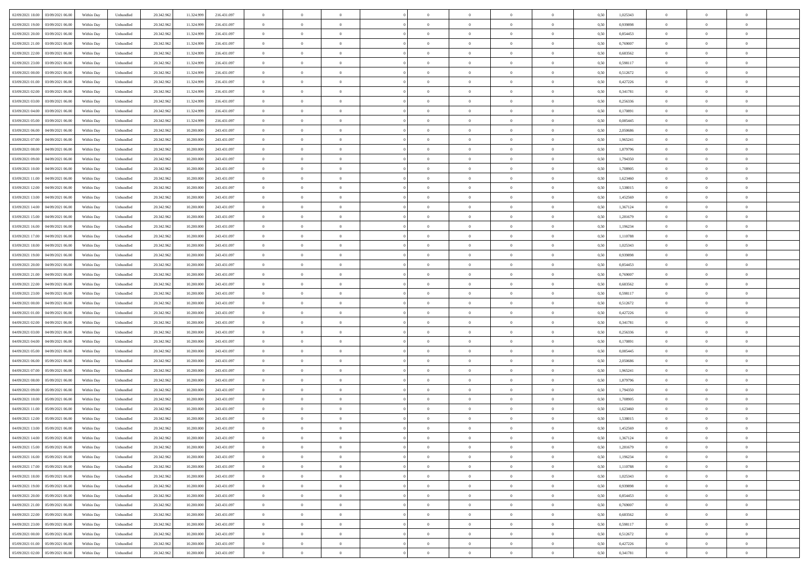| 02/09/2021 18:00<br>03/09/2021 06:00 | Within Day | Unbundled | 20.342.962 | 11.324.999 | 216.431.097 | $\overline{0}$ | $\overline{0}$   | $\overline{0}$ | $\theta$       | $\theta$       |                | $\overline{0}$ | 0,50 | 1,025343 | $\theta$       | $\theta$       | $\overline{0}$ |  |
|--------------------------------------|------------|-----------|------------|------------|-------------|----------------|------------------|----------------|----------------|----------------|----------------|----------------|------|----------|----------------|----------------|----------------|--|
|                                      |            |           |            |            |             |                |                  |                |                |                |                |                |      |          |                |                |                |  |
| 02/09/2021 19:00<br>03/09/2021 06.0  | Within Day | Unbundled | 20.342.96  | 11.324.999 | 216.431.097 | $\overline{0}$ | $\overline{0}$   | $\overline{0}$ | $\,$ 0 $\,$    | $\bf{0}$       | $\overline{0}$ | $\bf{0}$       | 0,50 | 0,939898 | $\,$ 0 $\,$    | $\theta$       | $\overline{0}$ |  |
| 02/09/2021 20:00<br>03/09/2021 06:00 | Within Day | Unbundled | 20.342.962 | 11.324.999 | 216.431.097 | $\overline{0}$ | $\overline{0}$   | $\overline{0}$ | $\bf{0}$       | $\bf{0}$       | $\overline{0}$ | $\mathbf{0}$   | 0.50 | 0.854453 | $\bf{0}$       | $\overline{0}$ | $\overline{0}$ |  |
| 02/09/2021 21:00<br>03/09/2021 06.00 | Within Day | Unbundled | 20.342.962 | 11.324.999 | 216.431.097 | $\overline{0}$ | $\overline{0}$   | $\overline{0}$ | $\overline{0}$ | $\overline{0}$ | $\overline{0}$ | $\bf{0}$       | 0,50 | 0,769007 | $\theta$       | $\theta$       | $\overline{0}$ |  |
| 02/09/2021 22.00<br>03/09/2021 06.0  | Within Day | Unbundled | 20.342.96  | 11.324.999 | 216.431.097 | $\overline{0}$ | $\overline{0}$   | $\bf{0}$       | $\bf{0}$       | $\overline{0}$ | $\overline{0}$ | $\bf{0}$       | 0,50 | 0,683562 | $\,$ 0 $\,$    | $\theta$       | $\overline{0}$ |  |
|                                      |            |           |            |            |             |                |                  |                |                |                |                |                |      |          |                |                |                |  |
| 02/09/2021 23:00<br>03/09/2021 06:00 | Within Day | Unbundled | 20.342.962 | 11.324.999 | 216.431.097 | $\overline{0}$ | $\overline{0}$   | $\overline{0}$ | $\bf{0}$       | $\overline{0}$ | $\overline{0}$ | $\mathbf{0}$   | 0.50 | 0.598117 | $\bf{0}$       | $\theta$       | $\overline{0}$ |  |
| 03/09/2021 00:00<br>03/09/2021 06.00 | Within Day | Unbundled | 20.342.962 | 11.324.999 | 216.431.097 | $\overline{0}$ | $\overline{0}$   | $\overline{0}$ | $\overline{0}$ | $\overline{0}$ | $\overline{0}$ | $\bf{0}$       | 0,50 | 0,512672 | $\theta$       | $\theta$       | $\overline{0}$ |  |
| 03/09/2021 01.00<br>03/09/2021 06.0  | Within Day | Unbundled | 20.342.96  | 11.324.999 | 216.431.097 | $\overline{0}$ | $\overline{0}$   | $\overline{0}$ | $\bf{0}$       | $\bf{0}$       | $\overline{0}$ | $\bf{0}$       | 0,50 | 0,427226 | $\,$ 0 $\,$    | $\bf{0}$       | $\overline{0}$ |  |
| 03/09/2021 02:00<br>03/09/2021 06:00 | Within Day | Unbundled | 20.342.962 | 11.324.999 | 216.431.097 | $\overline{0}$ | $\overline{0}$   | $\overline{0}$ | $\bf{0}$       | $\bf{0}$       | $\overline{0}$ | $\mathbf{0}$   | 0.50 | 0.341781 | $\,$ 0 $\,$    | $\theta$       | $\overline{0}$ |  |
| 03/09/2021 03:00<br>03/09/2021 06:00 | Within Day | Unbundled | 20.342.962 | 11.324.999 | 216.431.097 | $\overline{0}$ | $\overline{0}$   | $\overline{0}$ | $\bf{0}$       | $\overline{0}$ | $\overline{0}$ | $\bf{0}$       | 0,50 | 0,256336 | $\,$ 0 $\,$    | $\theta$       | $\overline{0}$ |  |
|                                      |            |           |            |            |             |                | $\overline{0}$   |                |                | $\overline{0}$ | $\overline{0}$ | $\bf{0}$       |      |          | $\,$ 0 $\,$    | $\bf{0}$       | $\overline{0}$ |  |
| 03/09/2021 04.00<br>03/09/2021 06.0  | Within Day | Unbundled | 20.342.96  | 11.324.999 | 216.431.097 | $\overline{0}$ |                  | $\overline{0}$ | $\bf{0}$       |                |                |                | 0,50 | 0,170891 |                |                |                |  |
| 03/09/2021 05:00<br>03/09/2021 06:00 | Within Day | Unbundled | 20.342.962 | 11.324.999 | 216.431.097 | $\overline{0}$ | $\overline{0}$   | $\overline{0}$ | $\bf{0}$       | $\bf{0}$       | $\overline{0}$ | $\,$ 0 $\,$    | 0.50 | 0.085445 | $\bf{0}$       | $\overline{0}$ | $\bf{0}$       |  |
| 03/09/2021 06.00<br>04/09/2021 06.00 | Within Day | Unbundled | 20.342.962 | 10.200.000 | 243.431.097 | $\overline{0}$ | $\overline{0}$   | $\overline{0}$ | $\overline{0}$ | $\overline{0}$ | $\overline{0}$ | $\,$ 0 $\,$    | 0,50 | 2,050686 | $\theta$       | $\theta$       | $\overline{0}$ |  |
| 03/09/2021 07.00<br>04/09/2021 06.0  | Within Day | Unbundled | 20.342.96  | 10.200.000 | 243.431.097 | $\overline{0}$ | $\overline{0}$   | $\overline{0}$ | $\bf{0}$       | $\bf{0}$       | $\overline{0}$ | $\bf{0}$       | 0,50 | 1,965241 | $\,$ 0 $\,$    | $\bf{0}$       | $\overline{0}$ |  |
| 03/09/2021 08:00<br>04/09/2021 06:00 | Within Day | Unbundled | 20.342.962 | 10,200,000 | 243.431.097 | $\overline{0}$ | $\overline{0}$   | $\overline{0}$ | $\overline{0}$ | $\overline{0}$ | $\overline{0}$ | $\mathbf{0}$   | 0.50 | 1.879796 | $\theta$       | $\theta$       | $\overline{0}$ |  |
| 03/09/2021 09:00<br>04/09/2021 06.00 | Within Day | Unbundled | 20.342.962 | 10.200.000 | 243.431.097 | $\overline{0}$ | $\overline{0}$   | $\overline{0}$ | $\overline{0}$ | $\overline{0}$ | $\overline{0}$ | $\bf{0}$       | 0,50 | 1,794350 | $\theta$       | $\theta$       | $\overline{0}$ |  |
|                                      |            |           |            |            |             |                |                  |                |                |                |                |                |      |          |                |                |                |  |
| 03/09/2021 10.00<br>04/09/2021 06.0  | Within Day | Unbundled | 20.342.96  | 10.200.000 | 243.431.097 | $\overline{0}$ | $\overline{0}$   | $\overline{0}$ | $\bf{0}$       | $\overline{0}$ | $\overline{0}$ | $\bf{0}$       | 0,50 | 1,708905 | $\,$ 0 $\,$    | $\theta$       | $\overline{0}$ |  |
| 03/09/2021 11:00<br>04/09/2021 06:00 | Within Day | Unbundled | 20.342.962 | 10,200,000 | 243.431.097 | $\overline{0}$ | $\overline{0}$   | $\overline{0}$ | $\bf{0}$       | $\bf{0}$       | $\overline{0}$ | $\mathbf{0}$   | 0.50 | 1.623460 | $\,$ 0 $\,$    | $\overline{0}$ | $\overline{0}$ |  |
| 03/09/2021 12:00<br>04/09/2021 06.00 | Within Day | Unbundled | 20.342.962 | 10.200.000 | 243.431.097 | $\overline{0}$ | $\overline{0}$   | $\overline{0}$ | $\overline{0}$ | $\overline{0}$ | $\overline{0}$ | $\bf{0}$       | 0,50 | 1,538015 | $\,$ 0 $\,$    | $\theta$       | $\overline{0}$ |  |
| 03/09/2021 13.00<br>04/09/2021 06.0  | Within Day | Unbundled | 20.342.96  | 10.200.000 | 243.431.097 | $\overline{0}$ | $\overline{0}$   | $\overline{0}$ | $\bf{0}$       | $\bf{0}$       | $\overline{0}$ | $\bf{0}$       | 0,50 | 1,452569 | $\,$ 0 $\,$    | $\bf{0}$       | $\overline{0}$ |  |
| 03/09/2021 14:00<br>04/09/2021 06:00 | Within Day | Unbundled | 20.342.962 | 10,200,000 | 243.431.097 | $\overline{0}$ | $\overline{0}$   | $\overline{0}$ | $\bf{0}$       | $\bf{0}$       | $\overline{0}$ | $\,$ 0 $\,$    | 0.50 | 1.367124 | $\bf{0}$       | $\overline{0}$ | $\overline{0}$ |  |
| 03/09/2021 15:00<br>04/09/2021 06:00 | Within Day | Unbundled | 20.342.962 | 10.200.000 | 243.431.097 | $\overline{0}$ | $\overline{0}$   | $\overline{0}$ | $\overline{0}$ | $\overline{0}$ | $\overline{0}$ | $\,$ 0 $\,$    | 0,50 | 1,281679 | $\theta$       | $\theta$       | $\overline{0}$ |  |
|                                      |            |           |            |            |             |                |                  |                |                |                |                |                |      |          |                |                |                |  |
| 03/09/2021 16.00<br>04/09/2021 06.0  | Within Day | Unbundled | 20.342.96  | 10.200.000 | 243.431.097 | $\overline{0}$ | $\overline{0}$   | $\overline{0}$ | $\bf{0}$       | $\overline{0}$ | $\overline{0}$ | $\bf{0}$       | 0,50 | 1,196234 | $\,$ 0 $\,$    | $\bf{0}$       | $\overline{0}$ |  |
| 03/09/2021 17:00<br>04/09/2021 06:00 | Within Day | Unbundled | 20.342.962 | 10,200,000 | 243.431.097 | $\overline{0}$ | $\overline{0}$   | $\overline{0}$ | $\overline{0}$ | $\overline{0}$ | $\overline{0}$ | $\mathbf{0}$   | 0.50 | 1.110788 | $\bf{0}$       | $\theta$       | $\overline{0}$ |  |
| 03/09/2021 18:00<br>04/09/2021 06.00 | Within Day | Unbundled | 20.342.962 | 10.200.000 | 243.431.097 | $\overline{0}$ | $\overline{0}$   | $\overline{0}$ | $\overline{0}$ | $\overline{0}$ | $\overline{0}$ | $\bf{0}$       | 0,50 | 1,025343 | $\theta$       | $\theta$       | $\overline{0}$ |  |
| 03/09/2021 19.00<br>04/09/2021 06.0  | Within Day | Unbundled | 20.342.96  | 10.200.000 | 243.431.097 | $\overline{0}$ | $\overline{0}$   | $\overline{0}$ | $\bf{0}$       | $\overline{0}$ | $\overline{0}$ | $\bf{0}$       | 0,50 | 0,939898 | $\,$ 0 $\,$    | $\bf{0}$       | $\overline{0}$ |  |
| 03/09/2021 20:00<br>04/09/2021 06:00 | Within Day | Unbundled | 20.342.962 | 10,200,000 | 243.431.097 | $\overline{0}$ | $\overline{0}$   | $\overline{0}$ | $\overline{0}$ | $\bf{0}$       | $\overline{0}$ | $\mathbf{0}$   | 0.50 | 0.854453 | $\,$ 0 $\,$    | $\theta$       | $\overline{0}$ |  |
| 03/09/2021 21.00<br>04/09/2021 06:00 | Within Day | Unbundled | 20.342.962 | 10.200.000 | 243.431.097 | $\overline{0}$ | $\overline{0}$   | $\overline{0}$ | $\overline{0}$ | $\overline{0}$ | $\overline{0}$ | $\bf{0}$       | 0,50 | 0,769007 | $\theta$       | $\theta$       | $\overline{0}$ |  |
|                                      |            |           |            |            |             |                |                  |                |                |                |                |                |      |          |                |                |                |  |
| 03/09/2021 22.00<br>04/09/2021 06.0  | Within Day | Unbundled | 20.342.96  | 10.200.000 | 243.431.097 | $\overline{0}$ | $\overline{0}$   | $\overline{0}$ | $\overline{0}$ | $\bf{0}$       | $\overline{0}$ | $\bf{0}$       | 0,50 | 0,683562 | $\,$ 0 $\,$    | $\bf{0}$       | $\overline{0}$ |  |
| 03/09/2021 23.00<br>04/09/2021 06:00 | Within Day | Unbundled | 20.342.962 | 10,200,000 | 243.431.097 | $\overline{0}$ | $\overline{0}$   | $\overline{0}$ | $\bf{0}$       | $\bf{0}$       | $\overline{0}$ | $\,$ 0 $\,$    | 0.50 | 0.598117 | $\bf{0}$       | $\overline{0}$ | $\overline{0}$ |  |
| 04/09/2021 00:00<br>04/09/2021 06:00 | Within Day | Unbundled | 20.342.962 | 10.200.000 | 243.431.097 | $\overline{0}$ | $\overline{0}$   | $\overline{0}$ | $\overline{0}$ | $\overline{0}$ | $\overline{0}$ | $\overline{0}$ | 0.50 | 0,512672 | $\theta$       | $\theta$       | $\overline{0}$ |  |
| 04/09/2021 01.00<br>04/09/2021 06.0  | Within Day | Unbundled | 20.342.962 | 10.200.000 | 243.431.097 | $\overline{0}$ | $\overline{0}$   | $\overline{0}$ | $\bf{0}$       | $\overline{0}$ | $\overline{0}$ | $\bf{0}$       | 0,50 | 0,427226 | $\,$ 0 $\,$    | $\bf{0}$       | $\overline{0}$ |  |
| 04/09/2021 02.00<br>04/09/2021 06:00 | Within Day | Unbundled | 20.342.962 | 10,200,000 | 243.431.097 | $\overline{0}$ | $\overline{0}$   | $\overline{0}$ | $\overline{0}$ | $\overline{0}$ | $\overline{0}$ | $\mathbf{0}$   | 0.50 | 0.341781 | $\,$ 0 $\,$    | $\theta$       | $\overline{0}$ |  |
| 04/09/2021 03:00<br>04/09/2021 06:00 | Within Day | Unbundled | 20.342.962 | 10.200.000 | 243.431.097 | $\overline{0}$ | $\overline{0}$   | $\overline{0}$ | $\overline{0}$ | $\overline{0}$ | $\overline{0}$ | $\overline{0}$ | 0.50 | 0,256336 | $\theta$       | $\theta$       | $\overline{0}$ |  |
|                                      |            |           |            |            |             |                |                  |                |                |                |                |                |      |          |                |                |                |  |
| 04/09/2021 04:00<br>04/09/2021 06.0  | Within Day | Unbundled | 20.342.96  | 10.200.000 | 243.431.097 | $\overline{0}$ | $\overline{0}$   | $\overline{0}$ | $\bf{0}$       | $\overline{0}$ | $\overline{0}$ | $\bf{0}$       | 0,50 | 0,170891 | $\,$ 0 $\,$    | $\bf{0}$       | $\overline{0}$ |  |
| 04/09/2021 05:00<br>04/09/2021 06:00 | Within Day | Unbundled | 20.342.962 | 10,200,000 | 243.431.097 | $\overline{0}$ | $\overline{0}$   | $\overline{0}$ | $\overline{0}$ | $\bf{0}$       | $\overline{0}$ | $\mathbf{0}$   | 0.50 | 0.085445 | $\,$ 0 $\,$    | $\theta$       | $\overline{0}$ |  |
| 04/09/2021 06:00<br>05/09/2021 06:00 | Within Day | Unbundled | 20.342.962 | 10.200.000 | 243.431.097 | $\overline{0}$ | $\overline{0}$   | $\overline{0}$ | $\overline{0}$ | $\overline{0}$ | $\overline{0}$ | $\overline{0}$ | 0.50 | 2.050686 | $\theta$       | $\theta$       | $\overline{0}$ |  |
| 04/09/2021 07.00<br>05/09/2021 06.0  | Within Day | Unbundled | 20.342.96  | 10.200.000 | 243.431.097 | $\overline{0}$ | $\overline{0}$   | $\overline{0}$ | $\,$ 0 $\,$    | $\bf{0}$       | $\overline{0}$ | $\bf{0}$       | 0,50 | 1,965241 | $\,$ 0 $\,$    | $\bf{0}$       | $\overline{0}$ |  |
| 04/09/2021 08:00<br>05/09/2021 06:00 | Within Day | Unbundled | 20.342.962 | 10,200,000 | 243.431.097 | $\overline{0}$ | $\overline{0}$   | $\overline{0}$ | $\bf{0}$       | $\bf{0}$       | $\overline{0}$ | $\,$ 0 $\,$    | 0.50 | 1.879796 | $\bf{0}$       | $\overline{0}$ | $\overline{0}$ |  |
| 04/09/2021 09:00<br>05/09/2021 06:00 | Within Day | Unbundled | 20.342.962 | 10.200.000 | 243.431.097 | $\overline{0}$ | $\overline{0}$   | $\overline{0}$ | $\overline{0}$ | $\overline{0}$ | $\overline{0}$ | $\overline{0}$ | 0.50 | 1,794350 | $\theta$       | $\theta$       | $\overline{0}$ |  |
|                                      |            |           |            |            |             |                |                  |                |                |                |                |                |      |          |                |                |                |  |
| 04/09/2021 10.00<br>05/09/2021 06.0  | Within Day | Unbundled | 20.342.962 | 10.200.000 | 243.431.097 | $\overline{0}$ | $\overline{0}$   | $\overline{0}$ | $\bf{0}$       | $\bf{0}$       | $\overline{0}$ | $\bf{0}$       | 0,50 | 1,708905 | $\,$ 0 $\,$    | $\bf{0}$       | $\overline{0}$ |  |
| 04/09/2021 11:00<br>05/09/2021 06:00 | Within Day | Unbundled | 20.342.962 | 10.200,000 | 243.431.097 | $\overline{0}$ | $\overline{0}$   | $\overline{0}$ | $\overline{0}$ | $\overline{0}$ | $\overline{0}$ | $\mathbf{0}$   | 0.50 | 1.623460 | $\,$ 0 $\,$    | $\theta$       | $\overline{0}$ |  |
| 04/09/2021 12:00<br>05/09/2021 06:00 | Within Day | Unbundled | 20.342.962 | 10.200.000 | 243.431.097 | $\overline{0}$ | $\overline{0}$   | $\overline{0}$ | $\overline{0}$ | $\overline{0}$ | $\Omega$       | $\overline{0}$ | 0.50 | 1,538015 | $\theta$       | $\theta$       | $\overline{0}$ |  |
| 04/09/2021 13:00<br>05/09/2021 06.00 | Within Day | Unbundled | 20.342.962 | 10.200.000 | 243.431.097 | $\overline{0}$ | $\overline{0}$   | $\bf{0}$       | $\overline{0}$ | $\bf{0}$       | $\overline{0}$ | $\bf{0}$       | 0,50 | 1,452569 | $\,$ 0 $\,$    | $\bf{0}$       | $\overline{0}$ |  |
| 04/09/2021 14:00  05/09/2021 06:00   | Within Day | Unbundled | 20.342.962 | 10.200.000 | 243.431.097 | $\bf{0}$       | $\boldsymbol{0}$ |                | $\bf{0}$       |                |                | $\Omega$       | 0,50 | 1,367124 | $\theta$       | $\bf{0}$       |                |  |
| 04/09/2021 15:00  05/09/2021 06:00   | Within Dav | Unbundled | 20.342.962 | 10.200.000 | 243.431.097 | $\overline{0}$ | $\overline{0}$   | $\overline{0}$ | $\overline{0}$ | $\overline{0}$ | $\overline{0}$ | $\overline{0}$ | 0,50 | 1,281679 | $\theta$       | $\theta$       | $\overline{0}$ |  |
|                                      |            |           |            |            |             |                |                  |                |                |                |                |                |      |          | $\bf{0}$       | $\overline{0}$ | $\bf{0}$       |  |
| 04/09/2021 16:00<br>05/09/2021 06.0  | Within Day | Unbundled | 20.342.962 | 10.200.000 | 243.431.097 | $\overline{0}$ | $\overline{0}$   | $\overline{0}$ | $\bf{0}$       | $\overline{0}$ | $\overline{0}$ | $\mathbf{0}$   | 0,50 | 1,196234 |                |                |                |  |
| 04/09/2021 17:00<br>05/09/2021 06:00 | Within Day | Unbundled | 20.342.962 | 10.200,000 | 243.431.097 | $\overline{0}$ | $\overline{0}$   | $\overline{0}$ | $\bf{0}$       | $\bf{0}$       | $\overline{0}$ | $\mathbf{0}$   | 0.50 | 1.110788 | $\,$ 0 $\,$    | $\bf{0}$       | $\,$ 0 $\,$    |  |
| 04/09/2021 18:00<br>05/09/2021 06:00 | Within Dav | Unbundled | 20.342.962 | 10.200.000 | 243.431.097 | $\overline{0}$ | $\overline{0}$   | $\overline{0}$ | $\overline{0}$ | $\overline{0}$ | $\overline{0}$ | $\mathbf{0}$   | 0,50 | 1,025343 | $\overline{0}$ | $\theta$       | $\overline{0}$ |  |
| 04/09/2021 19:00<br>05/09/2021 06.00 | Within Day | Unbundled | 20.342.962 | 10.200.000 | 243.431.097 | $\overline{0}$ | $\overline{0}$   | $\overline{0}$ | $\overline{0}$ | $\bf{0}$       | $\overline{0}$ | $\mathbf{0}$   | 0,50 | 0,939898 | $\overline{0}$ | $\bf{0}$       | $\overline{0}$ |  |
| 04/09/2021 20:00<br>05/09/2021 06:00 | Within Day | Unbundled | 20.342.962 | 10.200,000 | 243.431.097 | $\overline{0}$ | $\overline{0}$   | $\overline{0}$ | $\bf{0}$       | $\overline{0}$ | $\overline{0}$ | $\mathbf{0}$   | 0.50 | 0.854453 | $\,$ 0 $\,$    | $\theta$       | $\,$ 0         |  |
| 04/09/2021 21:00<br>05/09/2021 06:00 | Within Dav | Unbundled | 20.342.962 | 10.200.000 | 243.431.097 | $\overline{0}$ | $\overline{0}$   | $\overline{0}$ | $\overline{0}$ | $\overline{0}$ | $\overline{0}$ | $\mathbf{0}$   | 0,50 | 0,769007 | $\overline{0}$ | $\theta$       | $\overline{0}$ |  |
| 04/09/2021 22.00<br>05/09/2021 06.00 | Within Day | Unbundled | 20.342.962 | 10.200.000 | 243.431.097 | $\overline{0}$ | $\overline{0}$   | $\overline{0}$ | $\bf{0}$       | $\overline{0}$ | $\overline{0}$ | $\,$ 0 $\,$    | 0,50 | 0,683562 | $\bf{0}$       | $\bf{0}$       | $\overline{0}$ |  |
|                                      |            |           |            |            |             |                |                  |                |                |                |                |                |      |          |                |                |                |  |
| 04/09/2021 23.00<br>05/09/2021 06:00 | Within Day | Unbundled | 20.342.962 | 10.200,000 | 243.431.097 | $\overline{0}$ | $\overline{0}$   | $\overline{0}$ | $\bf{0}$       | $\bf{0}$       | $\overline{0}$ | $\,$ 0 $\,$    | 0.50 | 0.598117 | $\overline{0}$ | $\bf{0}$       | $\,$ 0         |  |
| 05/09/2021 00:00<br>05/09/2021 06:00 | Within Dav | Unbundled | 20.342.962 | 10.200.000 | 243.431.097 | $\overline{0}$ | $\overline{0}$   | $\overline{0}$ | $\overline{0}$ | $\overline{0}$ | $\overline{0}$ | $\mathbf{0}$   | 0,50 | 0,512672 | $\overline{0}$ | $\theta$       | $\overline{0}$ |  |
| 05/09/2021 01:00<br>05/09/2021 06.0  | Within Day | Unbundled | 20.342.962 | 10.200.000 | 243.431.097 | $\overline{0}$ | $\overline{0}$   | $\overline{0}$ | $\overline{0}$ | $\bf{0}$       | $\overline{0}$ | $\mathbf{0}$   | 0,50 | 0,427226 | $\bf{0}$       | $\bf{0}$       | $\overline{0}$ |  |
| 05/09/2021 02.00 05/09/2021 06:00    | Within Day | Unbundled | 20.342.962 | 10.200.000 | 243.431.097 | $\overline{0}$ | $\overline{0}$   | $\overline{0}$ | $\bf{0}$       | $\,$ 0         | $\overline{0}$ | $\,0\,$        | 0,50 | 0,341781 | $\overline{0}$ | $\,$ 0 $\,$    | $\,$ 0 $\,$    |  |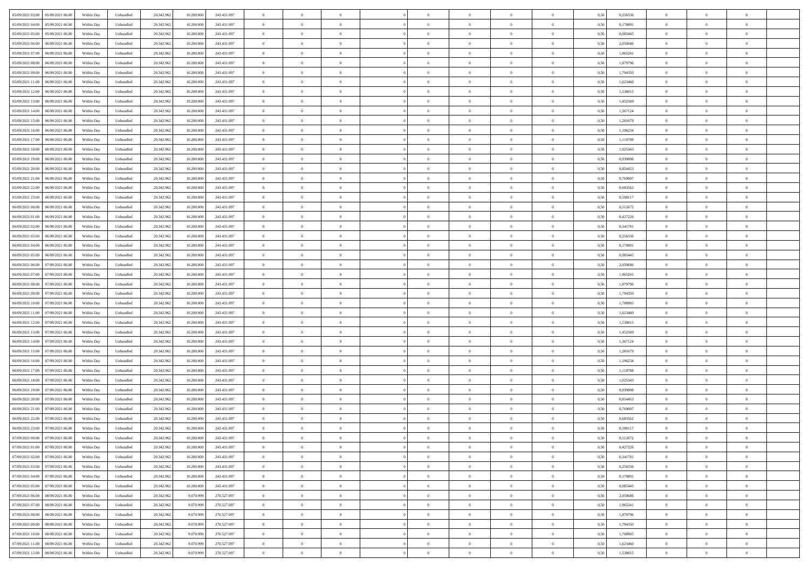| 05/09/2021 03:00 05/09/2021 06:00            | Within Day | Unbundled                   | 20.342.962 | 10.200.000 | 243.431.097 | $\overline{0}$ | $\overline{0}$ |                | $\overline{0}$ | $\theta$       |                | $\theta$       | 0,50 | 0,256336 | $\theta$       | $\theta$       | $\overline{0}$ |  |
|----------------------------------------------|------------|-----------------------------|------------|------------|-------------|----------------|----------------|----------------|----------------|----------------|----------------|----------------|------|----------|----------------|----------------|----------------|--|
| 05/09/2021 04:00<br>05/09/2021 06.00         | Within Day | Unbundled                   | 20.342.96  | 10.200.00  | 243.431.097 | $\bf{0}$       | $\overline{0}$ | $\overline{0}$ | $\overline{0}$ | $\theta$       | $\overline{0}$ | $\bf{0}$       | 0,50 | 0,170891 | $\,$ 0 $\,$    | $\bf{0}$       | $\overline{0}$ |  |
| 05/09/2021 05:00<br>05/09/2021 06:00         | Within Day | Unbundled                   | 20.342.962 | 10,200,000 | 243.431.097 | $\overline{0}$ | $\bf{0}$       | $\overline{0}$ | $\bf{0}$       | $\bf{0}$       | $\overline{0}$ | $\bf{0}$       | 0.50 | 0.085445 | $\bf{0}$       | $\overline{0}$ | $\overline{0}$ |  |
| 05/09/2021 06:00<br>06/09/2021 06:00         | Within Day | Unbundled                   | 20.342.96  | 10.200.000 | 243.431.097 | $\overline{0}$ | $\overline{0}$ | $\overline{0}$ | $\theta$       | $\theta$       | $\overline{0}$ | $\overline{0}$ | 0,50 | 2,050686 | $\theta$       | $\theta$       | $\overline{0}$ |  |
| 05/09/2021 07:00<br>06/09/2021 06.00         | Within Day | Unbundled                   | 20.342.96  | 10.200.00  | 243.431.097 | $\overline{0}$ | $\overline{0}$ | $\overline{0}$ | $\overline{0}$ | $\theta$       | $\overline{0}$ | $\bf{0}$       | 0,50 | 1,965241 | $\,$ 0 $\,$    | $\bf{0}$       | $\overline{0}$ |  |
| 05/09/2021 08:00<br>06/09/2021 06:00         | Within Day | Unbundled                   | 20.342.962 | 10.200,000 | 243.431.097 | $\overline{0}$ | $\overline{0}$ | $\overline{0}$ | $\bf{0}$       | $\overline{0}$ | $\Omega$       | $\bf{0}$       | 0.50 | 1.879796 | $\,$ 0 $\,$    | $\theta$       | $\overline{0}$ |  |
| 05/09/2021 09:00<br>06/09/2021 06:00         | Within Day | Unbundled                   | 20.342.96  | 10.200.000 | 243.431.097 | $\overline{0}$ | $\overline{0}$ | $\overline{0}$ | $\overline{0}$ | $\overline{0}$ | $\overline{0}$ | $\bf{0}$       | 0,50 | 1,794350 | $\theta$       | $\theta$       | $\overline{0}$ |  |
| 05/09/2021 11:00<br>06/09/2021 06.00         | Within Day | Unbundled                   | 20.342.96  | 10.200.00  | 243.431.097 | $\bf{0}$       | $\overline{0}$ | $\overline{0}$ | $\overline{0}$ | $\theta$       | $\overline{0}$ | $\bf{0}$       | 0,50 | 1,623460 | $\,$ 0 $\,$    | $\bf{0}$       | $\overline{0}$ |  |
|                                              |            |                             |            |            |             |                |                |                |                |                |                |                |      |          |                |                |                |  |
| 05/09/2021 12:00<br>06/09/2021 06:00         | Within Day | Unbundled                   | 20.342.96  | 10.200,000 | 243.431.097 | $\overline{0}$ | $\bf{0}$       | $\overline{0}$ | $\bf{0}$       | $\overline{0}$ | $\overline{0}$ | $\bf{0}$       | 0.50 | 1.538015 | $\bf{0}$       | $\theta$       | $\overline{0}$ |  |
| 05/09/2021 13:00<br>06/09/2021 06:00         | Within Day | Unbundled                   | 20.342.962 | 10.200.000 | 243.431.097 | $\overline{0}$ | $\bf{0}$       | $\overline{0}$ | $\overline{0}$ | $\theta$       | $\overline{0}$ | $\bf{0}$       | 0,50 | 1,452569 | $\,$ 0 $\,$    | $\theta$       | $\overline{0}$ |  |
| 05/09/2021 14:00<br>06/09/2021 06.00         | Within Day | Unbundled                   | 20.342.96  | 10.200.00  | 243.431.097 | $\bf{0}$       | $\overline{0}$ | $\bf{0}$       | $\bf{0}$       | $\bf{0}$       | $\overline{0}$ | $\bf{0}$       | 0,50 | 1,367124 | $\,$ 0 $\,$    | $\bf{0}$       | $\overline{0}$ |  |
| 05/09/2021 15:00<br>06/09/2021 06:00         | Within Day | Unbundled                   | 20.342.962 | 10.200,000 | 243.431.097 | $\overline{0}$ | $\bf{0}$       | $\overline{0}$ | $\bf{0}$       | $\bf{0}$       | $\overline{0}$ | $\bf{0}$       | 0.50 | 1.281679 | $\bf{0}$       | $\overline{0}$ | $\overline{0}$ |  |
| 05/09/2021 16:00<br>06/09/2021 06:00         | Within Day | Unbundled                   | 20.342.96  | 10.200.000 | 243.431.097 | $\overline{0}$ | $\overline{0}$ | $\overline{0}$ | $\overline{0}$ | $\theta$       | $\overline{0}$ | $\overline{0}$ | 0,50 | 1,196234 | $\,$ 0 $\,$    | $\theta$       | $\overline{0}$ |  |
| 05/09/2021 17:00<br>06/09/2021 06.00         | Within Day | Unbundled                   | 20.342.96  | 10.200.00  | 243.431.097 | $\bf{0}$       | $\theta$       | $\bf{0}$       | $\overline{0}$ | $\theta$       | $\overline{0}$ | $\bf{0}$       | 0,50 | 1,110788 | $\,$ 0 $\,$    | $\bf{0}$       | $\overline{0}$ |  |
| 05/09/2021 18:00<br>06/09/2021 06:00         | Within Day | Unbundled                   | 20.342.962 | 10.200,000 | 243.431.097 | $\overline{0}$ | $\overline{0}$ | $\overline{0}$ | $\bf{0}$       | $\theta$       | $\theta$       | $\bf{0}$       | 0.50 | 1.025343 | $\theta$       | $\theta$       | $\overline{0}$ |  |
| 05/09/2021 19:00<br>06/09/2021 06:00         | Within Day | Unbundled                   | 20.342.962 | 10.200.000 | 243.431.097 | $\overline{0}$ | $\overline{0}$ | $\overline{0}$ | $\overline{0}$ | $\overline{0}$ | $\overline{0}$ | $\bf{0}$       | 0,50 | 0,939898 | $\theta$       | $\theta$       | $\overline{0}$ |  |
| 05/09/2021 20:00<br>06/09/2021 06.00         | Within Day | Unbundled                   | 20.342.96  | 10.200.00  | 243.431.097 | $\bf{0}$       | $\overline{0}$ | $\overline{0}$ | $\overline{0}$ | $\theta$       | $\overline{0}$ | $\bf{0}$       | 0,50 | 0,854453 | $\,$ 0 $\,$    | $\bf{0}$       | $\overline{0}$ |  |
| 05/09/2021 21:00<br>06/09/2021 06:00         | Within Day | Unbundled                   | 20,342.96  | 10.200,000 | 243.431.097 | $\overline{0}$ | $\bf{0}$       | $\overline{0}$ | $\bf{0}$       | $\overline{0}$ | $\overline{0}$ | $\bf{0}$       | 0.50 | 0.769007 | $\bf{0}$       | $\overline{0}$ | $\overline{0}$ |  |
| 05/09/2021 22.00<br>06/09/2021 06:00         | Within Day | Unbundled                   | 20.342.962 | 10.200.000 | 243.431.097 | $\overline{0}$ | $\overline{0}$ | $\overline{0}$ | $\overline{0}$ | $\overline{0}$ | $\overline{0}$ | $\bf{0}$       | 0,50 | 0,683562 | $\,$ 0 $\,$    | $\theta$       | $\overline{0}$ |  |
| 05/09/2021 23:00<br>06/09/2021 06.00         | Within Day | Unbundled                   | 20.342.96  | 10.200.00  | 243.431.097 | $\bf{0}$       | $\overline{0}$ | $\bf{0}$       | $\bf{0}$       | $\overline{0}$ | $\overline{0}$ | $\bf{0}$       | 0,50 | 0,598117 | $\,$ 0 $\,$    | $\bf{0}$       | $\overline{0}$ |  |
| 06/09/2021 06:00                             |            |                             |            | 10,200,000 | 243.431.097 |                |                |                |                |                | $\overline{0}$ |                |      |          |                |                |                |  |
| 06/09/2021 00:00                             | Within Day | Unbundled                   | 20.342.962 |            |             | $\overline{0}$ | $\bf{0}$       | $\overline{0}$ | $\bf{0}$       | $\overline{0}$ |                | $\bf{0}$       | 0.50 | 0,512672 | $\bf{0}$       | $\overline{0}$ | $\overline{0}$ |  |
| 06/09/2021 01:00<br>06/09/2021 06:00         | Within Day | Unbundled                   | 20.342.96  | 10.200.000 | 243.431.097 | $\overline{0}$ | $\overline{0}$ | $\overline{0}$ | $\overline{0}$ | $\theta$       | $\overline{0}$ | $\bf{0}$       | 0,50 | 0,427226 | $\theta$       | $\theta$       | $\overline{0}$ |  |
| 06/09/2021 02:00<br>06/09/2021 06.00         | Within Day | Unbundled                   | 20.342.96  | 10.200.00  | 243.431.097 | $\bf{0}$       | $\overline{0}$ | $\bf{0}$       | $\overline{0}$ | $\theta$       | $\overline{0}$ | $\bf{0}$       | 0,50 | 0,341781 | $\,$ 0 $\,$    | $\bf{0}$       | $\overline{0}$ |  |
| 06/09/2021 03:00<br>06/09/2021 06:00         | Within Day | Unbundled                   | 20.342.962 | 10.200,000 | 243.431.097 | $\overline{0}$ | $\overline{0}$ | $\overline{0}$ | $\overline{0}$ | $\overline{0}$ | $\Omega$       | $\bf{0}$       | 0.50 | 0.256336 | $\,$ 0 $\,$    | $\theta$       | $\overline{0}$ |  |
| 06/09/2021 04:00<br>06/09/2021 06:00         | Within Day | Unbundled                   | 20.342.962 | 10.200.000 | 243.431.097 | $\overline{0}$ | $\overline{0}$ | $\overline{0}$ | $\overline{0}$ | $\overline{0}$ | $\overline{0}$ | $\bf{0}$       | 0,50 | 0,170891 | $\theta$       | $\theta$       | $\overline{0}$ |  |
| 06/09/2021 05:00<br>06/09/2021 06.00         | Within Day | Unbundled                   | 20.342.96  | 10.200.00  | 243.431.097 | $\bf{0}$       | $\theta$       | $\overline{0}$ | $\overline{0}$ | $\theta$       | $\overline{0}$ | $\bf{0}$       | 0,50 | 0,085445 | $\,$ 0 $\,$    | $\bf{0}$       | $\overline{0}$ |  |
| 06/09/2021 06:00<br>07/09/2021 06:00         | Within Day | Unbundled                   | 20.342.96  | 10.200,000 | 243.431.097 | $\overline{0}$ | $\bf{0}$       | $\overline{0}$ | $\bf{0}$       | $\overline{0}$ | $\overline{0}$ | $\bf{0}$       | 0.50 | 2.050686 | $\bf{0}$       | $\theta$       | $\overline{0}$ |  |
| 06/09/2021 07:00<br>07/09/2021 06:00         | Within Day | Unbundled                   | 20.342.962 | 10.200.000 | 243.431.097 | $\overline{0}$ | $\overline{0}$ | $\overline{0}$ | $\overline{0}$ | $\theta$       | $\overline{0}$ | $\bf{0}$       | 0,50 | 1,965241 | $\theta$       | $\theta$       | $\overline{0}$ |  |
| 06/09/2021 08:00<br>07/09/2021 06.00         | Within Day | Unbundled                   | 20.342.96  | 10.200.00  | 243.431.097 | $\bf{0}$       | $\bf{0}$       | $\bf{0}$       | $\bf{0}$       | $\overline{0}$ | $\overline{0}$ | $\bf{0}$       | 0,50 | 1,879796 | $\,$ 0 $\,$    | $\bf{0}$       | $\overline{0}$ |  |
| 06/09/2021 09:00<br>07/09/2021 06:00         | Within Day | Unbundled                   | 20.342.962 | 10.200,000 | 243.431.097 | $\overline{0}$ | $\bf{0}$       | $\overline{0}$ | $\bf{0}$       | $\bf{0}$       | $\overline{0}$ | $\bf{0}$       | 0.50 | 1,794350 | $\bf{0}$       | $\overline{0}$ | $\overline{0}$ |  |
| 06/09/2021 10:00<br>07/09/2021 06:00         | Within Day | Unbundled                   | 20.342.96  | 10,200,000 | 243,431,097 | $\overline{0}$ | $\overline{0}$ | $\overline{0}$ | $\overline{0}$ | $\overline{0}$ | $\overline{0}$ | $\bf{0}$       | 0.5( | 1,708905 | $\theta$       | $\theta$       | $\overline{0}$ |  |
| 06/09/2021 11:00<br>07/09/2021 06.00         | Within Day | Unbundled                   | 20.342.96  | 10.200.00  | 243.431.097 | $\bf{0}$       | $\overline{0}$ | $\bf{0}$       | $\overline{0}$ | $\overline{0}$ | $\overline{0}$ | $\bf{0}$       | 0,50 | 1,623460 | $\,$ 0 $\,$    | $\bf{0}$       | $\overline{0}$ |  |
| 06/09/2021 12:00<br>07/09/2021 06:00         | Within Day | Unbundled                   | 20.342.962 | 10.200,000 | 243.431.097 | $\overline{0}$ | $\overline{0}$ | $\overline{0}$ | $\bf{0}$       | $\theta$       | $\theta$       | $\bf{0}$       | 0.50 | 1.538015 | $\,$ 0 $\,$    | $\theta$       | $\overline{0}$ |  |
|                                              |            |                             |            |            |             |                | $\overline{0}$ |                |                |                |                |                |      |          | $\theta$       | $\theta$       |                |  |
| 06/09/2021 13:00<br>07/09/2021 06:00         | Within Dav | Unbundled                   | 20.342.96  | 10.200.000 | 243.431.097 | $\overline{0}$ |                | $\overline{0}$ | $\overline{0}$ | $\overline{0}$ | $\overline{0}$ | $\overline{0}$ | 0.5( | 1,452569 |                |                | $\overline{0}$ |  |
| 06/09/2021 14:00<br>07/09/2021 06.00         | Within Day | Unbundled                   | 20.342.96  | 10.200.00  | 243.431.097 | $\bf{0}$       | $\overline{0}$ | $\bf{0}$       | $\overline{0}$ | $\bf{0}$       | $\overline{0}$ | $\bf{0}$       | 0,50 | 1,367124 | $\,$ 0 $\,$    | $\bf{0}$       | $\overline{0}$ |  |
| 06/09/2021 15:00<br>07/09/2021 06:00         | Within Day | Unbundled                   | 20,342.96  | 10.200,000 | 243.431.097 | $\overline{0}$ | $\bf{0}$       | $\overline{0}$ | $\bf{0}$       | $\overline{0}$ | $\overline{0}$ | $\bf{0}$       | 0.50 | 1.281679 | $\bf{0}$       | $\overline{0}$ | $\overline{0}$ |  |
| 06/09/2021 16:00<br>07/09/2021 06:00         | Within Dav | Unbundled                   | 20.342.96  | 10,200,000 | 243.431.097 | $\overline{0}$ | $\overline{0}$ | $\overline{0}$ | $\overline{0}$ | $\overline{0}$ | $\overline{0}$ | $\overline{0}$ | 0.50 | 1,196234 | $\theta$       | $\theta$       | $\overline{0}$ |  |
| 06/09/2021 17:00<br>07/09/2021 06.00         | Within Day | Unbundled                   | 20.342.96  | 10.200.00  | 243.431.097 | $\bf{0}$       | $\bf{0}$       | $\bf{0}$       | $\bf{0}$       | $\overline{0}$ | $\overline{0}$ | $\bf{0}$       | 0,50 | 1,110788 | $\,$ 0 $\,$    | $\bf{0}$       | $\overline{0}$ |  |
| 06/09/2021 18:00<br>07/09/2021 06:00         | Within Day | Unbundled                   | 20.342.962 | 10,200,000 | 243.431.097 | $\overline{0}$ | $\bf{0}$       | $\overline{0}$ | $\bf{0}$       | $\overline{0}$ | $\overline{0}$ | $\bf{0}$       | 0.50 | 1.025343 | $\bf{0}$       | $\overline{0}$ | $\overline{0}$ |  |
| 06/09/2021 19:00<br>07/09/2021 06:00         | Within Dav | Unbundled                   | 20.342.962 | 10.200.000 | 243.431.097 | $\overline{0}$ | $\overline{0}$ | $\overline{0}$ | $\overline{0}$ | $\overline{0}$ | $\overline{0}$ | $\bf{0}$       | 0.50 | 0,939898 | $\theta$       | $\theta$       | $\overline{0}$ |  |
| 06/09/2021 20:00<br>07/09/2021 06.00         | Within Day | Unbundled                   | 20.342.96  | 10.200.00  | 243.431.097 | $\bf{0}$       | $\overline{0}$ | $\bf{0}$       | $\overline{0}$ | $\,$ 0 $\,$    | $\overline{0}$ | $\bf{0}$       | 0,50 | 0,854453 | $\,$ 0 $\,$    | $\bf{0}$       | $\overline{0}$ |  |
| 06/09/2021 21:00<br>07/09/2021 06:00         | Within Day | Unbundled                   | 20.342.962 | 10.200,000 | 243.431.097 | $\overline{0}$ | $\overline{0}$ | $\Omega$       | $\overline{0}$ | $\theta$       | $\theta$       | $\bf{0}$       | 0.50 | 0.769007 | $\,$ 0 $\,$    | $\theta$       | $\overline{0}$ |  |
| 06/09/2021 22:00<br>07/09/2021 06:00         | Within Dav | Unbundled                   | 20.342.96  | 10.200,000 | 243.431.097 | $\overline{0}$ | $\overline{0}$ | $\Omega$       | $\overline{0}$ | $\theta$       | $\Omega$       | $\overline{0}$ | 0.5( | 0,683562 | $\theta$       | $\theta$       | $\overline{0}$ |  |
| 06/09/2021 23:00<br>07/09/2021 06:00         | Within Day | Unbundled                   | 20.342.96  | 10.200.000 | 243.431.097 | $\bf{0}$       | $\bf{0}$       | $\bf{0}$       | $\bf{0}$       | $\bf{0}$       | $\overline{0}$ | $\bf{0}$       | 0,50 | 0,598117 | $\,$ 0 $\,$    | $\bf{0}$       | $\overline{0}$ |  |
| $07/09/2021\ 00.00 \qquad 07/09/2021\ 06.00$ | Within Day | $\ensuremath{\mathsf{Unb}}$ | 20.342.962 | 10.200.000 | 243 431 097 | $\overline{0}$ | $\Omega$       |                | $\Omega$       |                |                |                | 0,50 | 0,512672 | $\theta$       | $\overline{0}$ |                |  |
| 07/09/2021 01:00 07/09/2021 06:00            | Within Day | Unbundled                   | 20.342.962 | 10.200.000 | 243.431.097 | $\overline{0}$ | $\theta$       | $\overline{0}$ | $\theta$       | $\overline{0}$ | $\overline{0}$ | $\bf{0}$       | 0,50 | 0,427226 | $\theta$       | $\theta$       | $\overline{0}$ |  |
| 07/09/2021 02:00<br>07/09/2021 06:00         | Within Day | Unbundled                   | 20.342.96  | 10.200.00  | 243.431.097 | $\overline{0}$ | $\bf{0}$       | $\overline{0}$ | $\overline{0}$ | $\bf{0}$       | $\overline{0}$ | $\bf{0}$       | 0,50 | 0,341781 | $\bf{0}$       | $\overline{0}$ | $\bf{0}$       |  |
|                                              |            |                             |            |            |             |                |                |                |                |                |                |                |      |          |                |                |                |  |
| 07/09/2021 03:00 07/09/2021 06:00            | Within Day | Unbundled                   | 20.342.962 | 10,200,000 | 243.431.097 | $\overline{0}$ | $\bf{0}$       | $\overline{0}$ | $\overline{0}$ | $\overline{0}$ | $\overline{0}$ | $\,$ 0 $\,$    | 0.50 | 0,256336 | $\overline{0}$ | $\bf{0}$       | $\,$ 0 $\,$    |  |
| 07/09/2021 04:00 07/09/2021 06:00            | Within Day | Unbundled                   | 20.342.962 | 10.200.000 | 243.431.097 | $\overline{0}$ | $\overline{0}$ | $\overline{0}$ | $\overline{0}$ | $\overline{0}$ | $\overline{0}$ | $\bf{0}$       | 0,50 | 0,170891 | $\theta$       | $\theta$       | $\overline{0}$ |  |
| 07/09/2021 05:00<br>07/09/2021 06:00         | Within Day | Unbundled                   | 20.342.962 | 10.200.000 | 243.431.097 | $\overline{0}$ | $\bf{0}$       | $\overline{0}$ | $\bf{0}$       | $\overline{0}$ | $\overline{0}$ | $\bf{0}$       | 0,50 | 0,085445 | $\overline{0}$ | $\bf{0}$       | $\overline{0}$ |  |
| 07/09/2021 06:00<br>08/09/2021 06:00         | Within Day | Unbundled                   | 20.342.962 | 9.070.999  | 270.527.097 | $\overline{0}$ | $\bf{0}$       | $\overline{0}$ | $\overline{0}$ | $\overline{0}$ | $\overline{0}$ | $\bf{0}$       | 0.50 | 2.050686 | $\,$ 0 $\,$    | $\theta$       | $\overline{0}$ |  |
| 07/09/2021 07:00<br>08/09/2021 06:00         | Within Dav | Unbundled                   | 20.342.962 | 9.070.999  | 270.527.097 | $\overline{0}$ | $\overline{0}$ | $\overline{0}$ | $\overline{0}$ | $\overline{0}$ | $\overline{0}$ | $\bf{0}$       | 0,50 | 1,965241 | $\overline{0}$ | $\theta$       | $\overline{0}$ |  |
| 07/09/2021 08:00<br>08/09/2021 06:00         | Within Day | Unbundled                   | 20.342.96  | 9.070.999  | 270.527.097 | $\overline{0}$ | $\overline{0}$ | $\overline{0}$ | $\overline{0}$ | $\overline{0}$ | $\overline{0}$ | $\bf{0}$       | 0,50 | 1,879796 | $\bf{0}$       | $\bf{0}$       | $\overline{0}$ |  |
| 08/09/2021 06:00<br>07/09/2021 09:00         | Within Day | Unbundled                   | 20.342.962 | 9.070.999  | 270.527.097 | $\overline{0}$ | $\overline{0}$ | $\overline{0}$ | $\overline{0}$ | $\bf{0}$       | $\overline{0}$ | $\bf{0}$       | 0.50 | 1,794350 | $\overline{0}$ | $\,$ 0 $\,$    | $\,$ 0         |  |
| 07/09/2021 10:00  08/09/2021 06:00           | Within Dav | Unbundled                   | 20.342.962 | 9.070.999  | 270.527.097 | $\overline{0}$ | $\overline{0}$ | $\overline{0}$ | $\overline{0}$ | $\overline{0}$ | $\overline{0}$ | $\bf{0}$       | 0,50 | 1,708905 | $\overline{0}$ | $\theta$       | $\overline{0}$ |  |
| 07/09/2021 11:00<br>08/09/2021 06:00         | Within Day | Unbundled                   | 20.342.96  | 9.070.999  | 270.527.097 | $\overline{0}$ | $\bf{0}$       | $\overline{0}$ | $\bf{0}$       | $\overline{0}$ | $\overline{0}$ | $\bf{0}$       | 0,50 | 1,623460 | $\bf{0}$       | $\bf{0}$       | $\overline{0}$ |  |
| 07/09/2021 12:00   08/09/2021 06:00          | Within Day | Unbundled                   | 20.342.962 | 9.070.999  | 270.527.097 | $\overline{0}$ | $\bf{0}$       | $\overline{0}$ | $\overline{0}$ | $\,$ 0 $\,$    | $\overline{0}$ | $\bf{0}$       | 0,50 | 1,538015 | $\overline{0}$ | $\,$ 0 $\,$    | $\,$ 0 $\,$    |  |
|                                              |            |                             |            |            |             |                |                |                |                |                |                |                |      |          |                |                |                |  |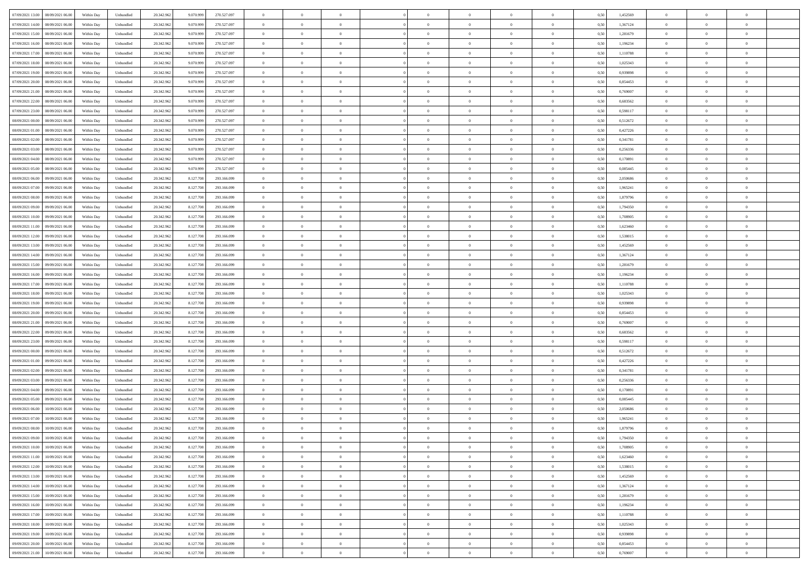| 07/09/2021 13:00<br>08/09/2021 06:00 | Within Day | Unbundled | 20.342.962 | 9.070.999 | 270.527.097 | $\overline{0}$ | $\overline{0}$ | $\overline{0}$ | $\theta$       | $\theta$       |                | $\overline{0}$ | 0,50 | 1,452569 | $\theta$       | $\theta$       | $\theta$       |  |
|--------------------------------------|------------|-----------|------------|-----------|-------------|----------------|----------------|----------------|----------------|----------------|----------------|----------------|------|----------|----------------|----------------|----------------|--|
|                                      |            |           |            |           |             |                |                |                |                |                |                |                |      |          |                |                |                |  |
| 07/09/2021 14:00<br>08/09/2021 06.00 | Within Day | Unbundled | 20.342.96  | 9.070.999 | 270.527.097 | $\overline{0}$ | $\overline{0}$ | $\overline{0}$ | $\,0\,$        | $\bf{0}$       | $\overline{0}$ | $\bf{0}$       | 0,50 | 1,367124 | $\,$ 0 $\,$    | $\theta$       | $\overline{0}$ |  |
| 07/09/2021 15:00<br>08/09/2021 06:00 | Within Day | Unbundled | 20.342.962 | 9.070.999 | 270.527.097 | $\overline{0}$ | $\overline{0}$ | $\overline{0}$ | $\bf{0}$       | $\bf{0}$       | $\overline{0}$ | $\mathbf{0}$   | 0.50 | 1,281679 | $\bf{0}$       | $\overline{0}$ | $\overline{0}$ |  |
| 07/09/2021 16:00<br>08/09/2021 06.00 | Within Day | Unbundled | 20.342.962 | 9.070.999 | 270.527.097 | $\overline{0}$ | $\overline{0}$ | $\overline{0}$ | $\overline{0}$ | $\overline{0}$ | $\overline{0}$ | $\bf{0}$       | 0,50 | 1,196234 | $\theta$       | $\theta$       | $\overline{0}$ |  |
| 07/09/2021 17:00<br>08/09/2021 06.00 | Within Day | Unbundled | 20.342.962 | 9.070.999 | 270.527.097 | $\overline{0}$ | $\overline{0}$ | $\bf{0}$       | $\overline{0}$ | $\overline{0}$ | $\overline{0}$ | $\bf{0}$       | 0,50 | 1,110788 | $\,$ 0 $\,$    | $\theta$       | $\overline{0}$ |  |
| 07/09/2021 18:00<br>08/09/2021 06:00 | Within Day | Unbundled | 20.342.962 | 9.070.999 | 270.527.097 | $\overline{0}$ | $\overline{0}$ | $\overline{0}$ | $\overline{0}$ | $\overline{0}$ | $\Omega$       | $\mathbf{0}$   | 0.50 | 1.025343 | $\theta$       | $\theta$       | $\overline{0}$ |  |
|                                      |            |           |            |           |             |                |                |                |                |                |                |                |      |          |                |                |                |  |
| 07/09/2021 19:00<br>08/09/2021 06.00 | Within Day | Unbundled | 20.342.962 | 9.070.999 | 270.527.097 | $\overline{0}$ | $\overline{0}$ | $\overline{0}$ | $\overline{0}$ | $\overline{0}$ | $\overline{0}$ | $\bf{0}$       | 0,50 | 0,939898 | $\theta$       | $\theta$       | $\overline{0}$ |  |
| 07/09/2021 20.00<br>08/09/2021 06.00 | Within Day | Unbundled | 20.342.962 | 9.070.999 | 270.527.097 | $\overline{0}$ | $\overline{0}$ | $\overline{0}$ | $\overline{0}$ | $\overline{0}$ | $\overline{0}$ | $\bf{0}$       | 0,50 | 0,854453 | $\,$ 0 $\,$    | $\bf{0}$       | $\overline{0}$ |  |
| 07/09/2021 21:00<br>08/09/2021 06:00 | Within Day | Unbundled | 20.342.962 | 9.070.999 | 270.527.097 | $\overline{0}$ | $\overline{0}$ | $\overline{0}$ | $\overline{0}$ | $\overline{0}$ | $\overline{0}$ | $\mathbf{0}$   | 0.50 | 0.769007 | $\theta$       | $\theta$       | $\overline{0}$ |  |
| 07/09/2021 22.00<br>08/09/2021 06:00 | Within Day | Unbundled | 20.342.962 | 9.070.999 | 270.527.097 | $\overline{0}$ | $\overline{0}$ | $\overline{0}$ | $\bf{0}$       | $\overline{0}$ | $\overline{0}$ | $\bf{0}$       | 0,50 | 0,683562 | $\theta$       | $\theta$       | $\overline{0}$ |  |
| 07/09/2021 23.00<br>08/09/2021 06.00 | Within Day | Unbundled | 20.342.962 | 9.070.999 | 270.527.097 | $\overline{0}$ | $\overline{0}$ | $\overline{0}$ | $\bf{0}$       | $\bf{0}$       | $\overline{0}$ | $\bf{0}$       | 0,50 | 0,598117 | $\,$ 0 $\,$    | $\theta$       | $\overline{0}$ |  |
| 08/09/2021 00:00<br>08/09/2021 06:00 | Within Day | Unbundled | 20.342.962 | 9.070.999 | 270.527.097 | $\overline{0}$ | $\overline{0}$ | $\overline{0}$ | $\bf{0}$       | $\bf{0}$       | $\overline{0}$ | $\mathbf{0}$   | 0.50 | 0,512672 | $\bf{0}$       | $\overline{0}$ | $\bf{0}$       |  |
|                                      |            |           |            |           |             |                | $\overline{0}$ | $\overline{0}$ | $\overline{0}$ | $\overline{0}$ | $\overline{0}$ |                |      |          | $\theta$       | $\theta$       | $\overline{0}$ |  |
| 08/09/2021 01:00<br>08/09/2021 06:00 | Within Day | Unbundled | 20.342.962 | 9.070.999 | 270.527.097 | $\overline{0}$ |                |                |                |                |                | $\bf{0}$       | 0,50 | 0,427226 |                |                |                |  |
| 08/09/2021 02:00<br>08/09/2021 06.00 | Within Day | Unbundled | 20.342.962 | 9.070.999 | 270.527.097 | $\overline{0}$ | $\overline{0}$ | $\overline{0}$ | $\bf{0}$       | $\overline{0}$ | $\overline{0}$ | $\bf{0}$       | 0,50 | 0,341781 | $\,$ 0 $\,$    | $\bf{0}$       | $\overline{0}$ |  |
| 08/09/2021 03:00<br>08/09/2021 06:00 | Within Day | Unbundled | 20.342.962 | 9.070.999 | 270.527.097 | $\overline{0}$ | $\overline{0}$ | $\overline{0}$ | $\overline{0}$ | $\overline{0}$ | $\Omega$       | $\mathbf{0}$   | 0.50 | 0.256336 | $\theta$       | $\theta$       | $\overline{0}$ |  |
| 08/09/2021 04:00<br>08/09/2021 06.00 | Within Day | Unbundled | 20.342.962 | 9.070.999 | 270.527.097 | $\overline{0}$ | $\overline{0}$ | $\overline{0}$ | $\overline{0}$ | $\overline{0}$ | $\overline{0}$ | $\bf{0}$       | 0,50 | 0,170891 | $\theta$       | $\theta$       | $\overline{0}$ |  |
| 08/09/2021 05:00<br>08/09/2021 06.00 | Within Day | Unbundled | 20.342.962 | 9.070.999 | 270.527.097 | $\overline{0}$ | $\overline{0}$ | $\overline{0}$ | $\overline{0}$ | $\overline{0}$ | $\overline{0}$ | $\bf{0}$       | 0,50 | 0,085445 | $\,$ 0 $\,$    | $\theta$       | $\overline{0}$ |  |
| 08/09/2021 06:00<br>09/09/2021 06:00 | Within Day | Unbundled | 20.342.962 | 8.127.708 | 293.166.099 | $\overline{0}$ | $\overline{0}$ | $\overline{0}$ | $\overline{0}$ | $\overline{0}$ | $\overline{0}$ | $\mathbf{0}$   | 0.50 | 2.050686 | $\,$ 0 $\,$    | $\theta$       | $\overline{0}$ |  |
| 08/09/2021 07:00<br>09/09/2021 06.00 | Within Day | Unbundled | 20.342.962 | 8.127.708 | 293.166.099 | $\overline{0}$ | $\overline{0}$ | $\overline{0}$ | $\overline{0}$ | $\overline{0}$ | $\overline{0}$ | $\bf{0}$       | 0,50 | 1,965241 | $\,$ 0 $\,$    | $\theta$       | $\overline{0}$ |  |
|                                      |            |           |            |           |             |                |                |                |                |                |                |                |      |          |                |                |                |  |
| 08/09/2021 08:00<br>09/09/2021 06.0  | Within Day | Unbundled | 20.342.962 | 8.127.708 | 293.166.099 | $\overline{0}$ | $\overline{0}$ | $\overline{0}$ | $\bf{0}$       | $\bf{0}$       | $\overline{0}$ | $\bf{0}$       | 0,50 | 1,879796 | $\,$ 0 $\,$    | $\bf{0}$       | $\overline{0}$ |  |
| 08/09/2021 09:00<br>09/09/2021 06:00 | Within Day | Unbundled | 20.342.962 | 8.127.708 | 293.166.099 | $\overline{0}$ | $\overline{0}$ | $\overline{0}$ | $\bf{0}$       | $\bf{0}$       | $\overline{0}$ | $\mathbf{0}$   | 0.50 | 1,794350 | $\bf{0}$       | $\overline{0}$ | $\overline{0}$ |  |
| 08/09/2021 10:00<br>09/09/2021 06:00 | Within Day | Unbundled | 20.342.962 | 8.127.708 | 293.166.099 | $\overline{0}$ | $\overline{0}$ | $\overline{0}$ | $\overline{0}$ | $\overline{0}$ | $\overline{0}$ | $\,$ 0 $\,$    | 0,50 | 1,708905 | $\theta$       | $\theta$       | $\overline{0}$ |  |
| 08/09/2021 11:00<br>09/09/2021 06.0  | Within Day | Unbundled | 20.342.962 | 8.127.708 | 293.166.099 | $\overline{0}$ | $\overline{0}$ | $\bf{0}$       | $\bf{0}$       | $\overline{0}$ | $\overline{0}$ | $\bf{0}$       | 0,50 | 1,623460 | $\,$ 0 $\,$    | $\theta$       | $\overline{0}$ |  |
| 08/09/2021 12:00<br>09/09/2021 06:00 | Within Day | Unbundled | 20.342.962 | 8.127.708 | 293.166.099 | $\overline{0}$ | $\overline{0}$ | $\overline{0}$ | $\overline{0}$ | $\overline{0}$ | $\Omega$       | $\mathbf{0}$   | 0.50 | 1.538015 | $\theta$       | $\theta$       | $\overline{0}$ |  |
| 08/09/2021 13:00<br>09/09/2021 06.00 | Within Day | Unbundled | 20.342.962 | 8.127.708 | 293.166.099 | $\overline{0}$ | $\overline{0}$ | $\overline{0}$ | $\overline{0}$ | $\overline{0}$ | $\overline{0}$ | $\bf{0}$       | 0,50 | 1,452569 | $\theta$       | $\theta$       | $\overline{0}$ |  |
|                                      |            |           |            |           |             |                | $\overline{0}$ |                | $\overline{0}$ | $\overline{0}$ | $\overline{0}$ | $\bf{0}$       |      |          | $\,$ 0 $\,$    | $\theta$       | $\overline{0}$ |  |
| 08/09/2021 14:00<br>09/09/2021 06.0  | Within Day | Unbundled | 20.342.962 | 8.127.708 | 293.166.099 | $\overline{0}$ |                | $\overline{0}$ |                |                |                |                | 0,50 | 1,367124 |                |                |                |  |
| 08/09/2021 15:00<br>09/09/2021 06:00 | Within Day | Unbundled | 20.342.962 | 8.127.708 | 293.166.099 | $\overline{0}$ | $\overline{0}$ | $\overline{0}$ | $\overline{0}$ | $\overline{0}$ | $\overline{0}$ | $\mathbf{0}$   | 0.50 | 1.281679 | $\,$ 0 $\,$    | $\theta$       | $\overline{0}$ |  |
| 08/09/2021 16:00<br>09/09/2021 06:00 | Within Day | Unbundled | 20.342.962 | 8.127.708 | 293.166.099 | $\overline{0}$ | $\overline{0}$ | $\overline{0}$ | $\overline{0}$ | $\overline{0}$ | $\overline{0}$ | $\bf{0}$       | 0,50 | 1,196234 | $\theta$       | $\theta$       | $\overline{0}$ |  |
| 08/09/2021 17:00<br>09/09/2021 06.0  | Within Day | Unbundled | 20.342.962 | 8.127.708 | 293.166.099 | $\overline{0}$ | $\overline{0}$ | $\overline{0}$ | $\overline{0}$ | $\bf{0}$       | $\overline{0}$ | $\bf{0}$       | 0,50 | 1,110788 | $\,$ 0 $\,$    | $\bf{0}$       | $\overline{0}$ |  |
| 08/09/2021 18:00<br>09/09/2021 06:00 | Within Day | Unbundled | 20.342.962 | 8.127.708 | 293.166.099 | $\overline{0}$ | $\overline{0}$ | $\overline{0}$ | $\bf{0}$       | $\bf{0}$       | $\overline{0}$ | $\mathbf{0}$   | 0.50 | 1.025343 | $\bf{0}$       | $\overline{0}$ | $\bf{0}$       |  |
| 08/09/2021 19:00<br>09/09/2021 06:00 | Within Day | Unbundled | 20.342.962 | 8.127.708 | 293.166.099 | $\overline{0}$ | $\overline{0}$ | $\overline{0}$ | $\overline{0}$ | $\overline{0}$ | $\overline{0}$ | $\overline{0}$ | 0.50 | 0.939898 | $\theta$       | $\theta$       | $\overline{0}$ |  |
| 08/09/2021 20:00<br>09/09/2021 06.0  | Within Day | Unbundled | 20.342.962 | 8.127.708 | 293.166.099 | $\overline{0}$ | $\overline{0}$ | $\overline{0}$ | $\bf{0}$       | $\overline{0}$ | $\overline{0}$ | $\bf{0}$       | 0,50 | 0,854453 | $\,$ 0 $\,$    | $\bf{0}$       | $\overline{0}$ |  |
|                                      |            |           |            |           |             |                |                |                |                |                |                |                |      | 0.769007 |                |                |                |  |
| 08/09/2021 21:00<br>09/09/2021 06:00 | Within Day | Unbundled | 20.342.962 | 8.127.708 | 293.166.099 | $\overline{0}$ | $\overline{0}$ | $\overline{0}$ | $\overline{0}$ | $\overline{0}$ | $\overline{0}$ | $\overline{0}$ | 0.50 |          | $\theta$       | $\theta$       | $\overline{0}$ |  |
| 08/09/2021 22:00<br>09/09/2021 06:00 | Within Day | Unbundled | 20.342.962 | 8.127.708 | 293.166.099 | $\overline{0}$ | $\overline{0}$ | $\overline{0}$ | $\overline{0}$ | $\overline{0}$ | $\overline{0}$ | $\overline{0}$ | 0.50 | 0,683562 | $\theta$       | $\theta$       | $\overline{0}$ |  |
| 08/09/2021 23:00<br>09/09/2021 06.0  | Within Day | Unbundled | 20.342.962 | 8.127.708 | 293.166.099 | $\overline{0}$ | $\overline{0}$ | $\overline{0}$ | $\bf{0}$       | $\overline{0}$ | $\overline{0}$ | $\bf{0}$       | 0,50 | 0,598117 | $\,$ 0 $\,$    | $\theta$       | $\overline{0}$ |  |
| 09/09/2021 00:00<br>09/09/2021 06:00 | Within Day | Unbundled | 20.342.962 | 8.127.708 | 293.166.099 | $\overline{0}$ | $\overline{0}$ | $\overline{0}$ | $\overline{0}$ | $\overline{0}$ | $\overline{0}$ | $\mathbf{0}$   | 0.50 | 0.512672 | $\,$ 0 $\,$    | $\theta$       | $\overline{0}$ |  |
| 09/09/2021 01:00<br>09/09/2021 06:00 | Within Day | Unbundled | 20.342.962 | 8.127.708 | 293.166.099 | $\overline{0}$ | $\overline{0}$ | $\overline{0}$ | $\overline{0}$ | $\overline{0}$ | $\overline{0}$ | $\overline{0}$ | 0.50 | 0,427226 | $\theta$       | $\theta$       | $\overline{0}$ |  |
| 09/09/2021 02.00<br>09/09/2021 06.0  | Within Day | Unbundled | 20.342.962 | 8.127.708 | 293.166.099 | $\overline{0}$ | $\overline{0}$ | $\overline{0}$ | $\,0\,$        | $\bf{0}$       | $\overline{0}$ | $\bf{0}$       | 0,50 | 0,341781 | $\,$ 0 $\,$    | $\bf{0}$       | $\overline{0}$ |  |
| 09/09/2021 03:00<br>09/09/2021 06:00 | Within Day | Unbundled | 20.342.962 | 8.127.708 | 293.166.099 | $\overline{0}$ | $\overline{0}$ | $\overline{0}$ | $\bf{0}$       | $\bf{0}$       | $\overline{0}$ | $\mathbf{0}$   | 0.50 | 0.256336 | $\bf{0}$       | $\overline{0}$ | $\overline{0}$ |  |
| 09/09/2021 04:00<br>09/09/2021 06:00 | Within Day | Unbundled | 20.342.962 | 8.127.708 | 293.166.099 | $\overline{0}$ | $\overline{0}$ | $\overline{0}$ | $\overline{0}$ | $\overline{0}$ | $\overline{0}$ | $\overline{0}$ | 0.50 | 0,170891 | $\theta$       | $\theta$       | $\overline{0}$ |  |
|                                      |            |           |            |           |             |                |                |                |                |                |                |                |      |          |                |                |                |  |
| 09/09/2021 05:00<br>09/09/2021 06.0  | Within Day | Unbundled | 20.342.962 | 8.127.708 | 293.166.099 | $\overline{0}$ | $\overline{0}$ | $\overline{0}$ | $\bf{0}$       | $\overline{0}$ | $\overline{0}$ | $\bf{0}$       | 0,50 | 0,085445 | $\,$ 0 $\,$    | $\bf{0}$       | $\overline{0}$ |  |
| 09/09/2021 06:00<br>10/09/2021 06:00 | Within Day | Unbundled | 20.342.962 | 8.127.708 | 293.166.099 | $\overline{0}$ | $\overline{0}$ | $\overline{0}$ | $\overline{0}$ | $\overline{0}$ | $\Omega$       | $\overline{0}$ | 0.50 | 2.050686 | $\,$ 0 $\,$    | $\overline{0}$ | $\overline{0}$ |  |
| 09/09/2021 07:00<br>10/09/2021 06:00 | Within Day | Unbundled | 20.342.962 | 8.127.708 | 293.166.099 | $\overline{0}$ | $\Omega$       | $\overline{0}$ | $\overline{0}$ | $\overline{0}$ | $\theta$       | $\overline{0}$ | 0.5( | 1,965241 | $\theta$       | $\theta$       | $\overline{0}$ |  |
| 09/09/2021 08:00<br>10/09/2021 06:00 | Within Day | Unbundled | 20.342.962 | 8.127.708 | 293.166.099 | $\overline{0}$ | $\overline{0}$ | $\bf{0}$       | $\overline{0}$ | $\bf{0}$       | $\overline{0}$ | $\bf{0}$       | 0,50 | 1,879796 | $\,$ 0 $\,$    | $\bf{0}$       | $\overline{0}$ |  |
| 09/09/2021 09:00 10/09/2021 06:00    | Within Day | Unbundled | 20.342.962 | 8.127.708 | 293.166.099 | $\bf{0}$       | $\,$ 0 $\,$    |                | $\bf{0}$       |                |                |                | 0,50 | 1,794350 | $\theta$       | $\overline{0}$ |                |  |
| 09/09/2021 10:00<br>10/09/2021 06:00 | Within Dav | Unbundled | 20.342.962 | 8.127.708 | 293.166.099 | $\overline{0}$ | $\overline{0}$ | $\overline{0}$ | $\overline{0}$ | $\overline{0}$ | $\overline{0}$ | $\overline{0}$ | 0,50 | 1,708905 | $\theta$       | $\theta$       | $\overline{0}$ |  |
| 09/09/2021 11:00<br>10/09/2021 06:00 | Within Day | Unbundled | 20.342.962 | 8.127.708 | 293.166.099 | $\overline{0}$ | $\overline{0}$ | $\overline{0}$ | $\bf{0}$       | $\overline{0}$ | $\overline{0}$ | $\mathbf{0}$   | 0,50 | 1,623460 | $\overline{0}$ | $\overline{0}$ | $\bf{0}$       |  |
|                                      |            |           |            |           |             |                |                |                |                |                |                |                |      |          |                |                |                |  |
| 09/09/2021 12:00<br>10/09/2021 06:00 | Within Day | Unbundled | 20.342.962 | 8.127.708 | 293.166.099 | $\overline{0}$ | $\overline{0}$ | $\overline{0}$ | $\overline{0}$ | $\bf{0}$       | $\overline{0}$ | $\mathbf{0}$   | 0.50 | 1.538015 | $\overline{0}$ | $\bf{0}$       | $\bf{0}$       |  |
| 09/09/2021 13:00<br>10/09/2021 06:00 | Within Dav | Unbundled | 20.342.962 | 8.127.708 | 293.166.099 | $\overline{0}$ | $\overline{0}$ | $\overline{0}$ | $\overline{0}$ | $\overline{0}$ | $\overline{0}$ | $\mathbf{0}$   | 0,50 | 1,452569 | $\overline{0}$ | $\theta$       | $\overline{0}$ |  |
| 09/09/2021 14:00<br>10/09/2021 06:00 | Within Day | Unbundled | 20.342.962 | 8.127.708 | 293.166.099 | $\overline{0}$ | $\overline{0}$ | $\overline{0}$ | $\bf{0}$       | $\bf{0}$       | $\overline{0}$ | $\mathbf{0}$   | 0,50 | 1,367124 | $\overline{0}$ | $\bf{0}$       | $\overline{0}$ |  |
| 09/09/2021 15:00<br>10/09/2021 06:00 | Within Day | Unbundled | 20.342.962 | 8.127.708 | 293.166.099 | $\overline{0}$ | $\overline{0}$ | $\overline{0}$ | $\bf{0}$       | $\overline{0}$ | $\overline{0}$ | $\mathbf{0}$   | 0.50 | 1.281679 | $\,$ 0 $\,$    | $\theta$       | $\,$ 0         |  |
| 09/09/2021 16:00<br>10/09/2021 06:00 | Within Day | Unbundled | 20.342.962 | 8.127.708 | 293.166.099 | $\overline{0}$ | $\overline{0}$ | $\overline{0}$ | $\overline{0}$ | $\overline{0}$ | $\overline{0}$ | $\mathbf{0}$   | 0,50 | 1,196234 | $\overline{0}$ | $\theta$       | $\overline{0}$ |  |
| 09/09/2021 17:00<br>10/09/2021 06:00 | Within Day | Unbundled | 20.342.962 | 8.127.708 | 293.166.099 | $\overline{0}$ | $\overline{0}$ | $\overline{0}$ | $\bf{0}$       | $\bf{0}$       | $\overline{0}$ | $\,$ 0 $\,$    | 0,50 | 1,110788 | $\bf{0}$       | $\bf{0}$       | $\,$ 0         |  |
|                                      |            |           |            |           |             |                |                |                |                |                |                |                |      |          |                |                |                |  |
| 09/09/2021 18:00<br>10/09/2021 06:00 | Within Day | Unbundled | 20.342.962 | 8.127.708 | 293.166.099 | $\overline{0}$ | $\overline{0}$ | $\overline{0}$ | $\bf{0}$       | $\overline{0}$ | $\overline{0}$ | $\,$ 0 $\,$    | 0.50 | 1.025343 | $\overline{0}$ | $\bf{0}$       | $\,$ 0         |  |
| 09/09/2021 19:00<br>10/09/2021 06:00 | Within Dav | Unbundled | 20.342.962 | 8.127.708 | 293.166.099 | $\overline{0}$ | $\overline{0}$ | $\overline{0}$ | $\overline{0}$ | $\overline{0}$ | $\overline{0}$ | $\mathbf{0}$   | 0,50 | 0,939898 | $\overline{0}$ | $\theta$       | $\overline{0}$ |  |
| 09/09/2021 20.00<br>10/09/2021 06:00 | Within Day | Unbundled | 20.342.962 | 8.127.708 | 293.166.099 | $\overline{0}$ | $\overline{0}$ | $\overline{0}$ | $\overline{0}$ | $\bf{0}$       | $\overline{0}$ | $\mathbf{0}$   | 0,50 | 0,854453 | $\bf{0}$       | $\bf{0}$       | $\overline{0}$ |  |
| 09/09/2021 21:00 10/09/2021 06:00    | Within Day | Unbundled | 20.342.962 | 8.127.708 | 293.166.099 | $\overline{0}$ | $\overline{0}$ | $\overline{0}$ | $\bf{0}$       | $\,$ 0         | $\overline{0}$ | $\,0\,$        | 0,50 | 0,769007 | $\overline{0}$ | $\,$ 0 $\,$    | $\,$ 0 $\,$    |  |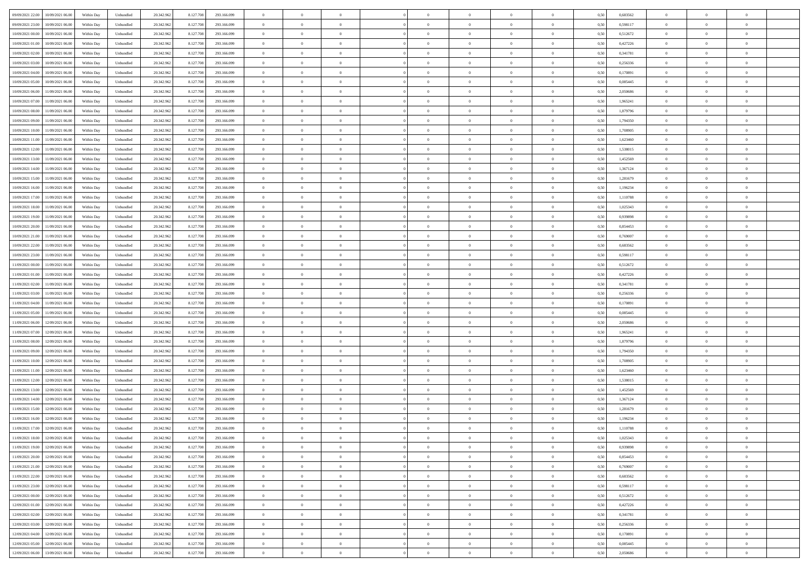|                                              |            |           |            |           |             | $\overline{0}$ | $\theta$       |                | $\overline{0}$ | $\theta$       |                | $\theta$       |      |          | $\theta$       | $\theta$       | $\overline{0}$ |  |
|----------------------------------------------|------------|-----------|------------|-----------|-------------|----------------|----------------|----------------|----------------|----------------|----------------|----------------|------|----------|----------------|----------------|----------------|--|
| 09/09/2021 22:00<br>10/09/2021 06:00         | Within Day | Unbundled | 20.342.962 | 8.127.708 | 293.166.099 |                |                |                |                |                |                |                | 0,50 | 0,683562 |                |                |                |  |
| 09/09/2021 23:00<br>10/09/2021 06:00         | Within Day | Unbundled | 20.342.96  | 8.127.708 | 293.166.099 | $\bf{0}$       | $\overline{0}$ | $\bf{0}$       | $\overline{0}$ | $\bf{0}$       | $\overline{0}$ | $\bf{0}$       | 0,50 | 0,598117 | $\,$ 0 $\,$    | $\bf{0}$       | $\overline{0}$ |  |
| 10/09/2021 00:00<br>10/09/2021 06:00         | Within Day | Unbundled | 20.342.962 | 8.127.708 | 293.166.099 | $\overline{0}$ | $\overline{0}$ | $\overline{0}$ | $\bf{0}$       | $\bf{0}$       | $\overline{0}$ | $\bf{0}$       | 0.50 | 0,512672 | $\bf{0}$       | $\overline{0}$ | $\bf{0}$       |  |
| 10/09/2021 01:00<br>10/09/2021 06:00         | Within Day | Unbundled | 20.342.962 | 8.127.708 | 293.166.099 | $\overline{0}$ | $\overline{0}$ | $\overline{0}$ | $\theta$       | $\theta$       | $\overline{0}$ | $\bf{0}$       | 0,50 | 0,427226 | $\theta$       | $\theta$       | $\overline{0}$ |  |
| 10/09/2021 02:00<br>10/09/2021 06:00         | Within Day | Unbundled | 20.342.96  | 8.127.708 | 293.166.099 | $\overline{0}$ | $\overline{0}$ | $\overline{0}$ | $\overline{0}$ | $\theta$       | $\overline{0}$ | $\bf{0}$       | 0,50 | 0,341781 | $\,$ 0 $\,$    | $\bf{0}$       | $\overline{0}$ |  |
|                                              |            |           |            |           |             |                |                |                |                |                |                |                |      |          |                |                |                |  |
| 10/09/2021 03:00<br>10/09/2021 06:00         | Within Day | Unbundled | 20.342.962 | 8.127.708 | 293.166.099 | $\overline{0}$ | $\overline{0}$ | $\Omega$       | $\overline{0}$ | $\overline{0}$ | $\theta$       | $\bf{0}$       | 0.50 | 0.256336 | $\,$ 0 $\,$    | $\theta$       | $\overline{0}$ |  |
| 10/09/2021 04:00<br>10/09/2021 06:00         | Within Day | Unbundled | 20.342.962 | 8.127.708 | 293.166.099 | $\overline{0}$ | $\overline{0}$ | $\overline{0}$ | $\overline{0}$ | $\overline{0}$ | $\overline{0}$ | $\bf{0}$       | 0,50 | 0,170891 | $\theta$       | $\theta$       | $\overline{0}$ |  |
| 10/09/2021 05:00<br>10/09/2021 06:00         | Within Day | Unbundled | 20.342.96  | 8.127.708 | 293.166.099 | $\bf{0}$       | $\overline{0}$ | $\overline{0}$ | $\overline{0}$ | $\overline{0}$ | $\overline{0}$ | $\bf{0}$       | 0,50 | 0,085445 | $\,$ 0 $\,$    | $\bf{0}$       | $\overline{0}$ |  |
| 10/09/2021 06:00<br>11/09/2021 06:00         | Within Day | Unbundled | 20.342.96  | 8.127.708 | 293.166.099 | $\overline{0}$ | $\overline{0}$ | $\overline{0}$ | $\bf{0}$       | $\overline{0}$ | $\overline{0}$ | $\bf{0}$       | 0.50 | 2.050686 | $\bf{0}$       | $\overline{0}$ | $\overline{0}$ |  |
| 10/09/2021 07:00<br>11/09/2021 06:00         | Within Day | Unbundled | 20.342.962 | 8.127.708 | 293.166.099 | $\bf{0}$       | $\bf{0}$       | $\overline{0}$ | $\overline{0}$ | $\overline{0}$ | $\overline{0}$ | $\bf{0}$       | 0,50 | 1,965241 | $\,$ 0 $\,$    | $\theta$       | $\overline{0}$ |  |
| 10/09/2021 08:00<br>11/09/2021 06:00         | Within Day | Unbundled | 20.342.96  | 8.127.708 | 293.166.099 | $\bf{0}$       | $\overline{0}$ | $\bf{0}$       | $\bf{0}$       | $\bf{0}$       | $\overline{0}$ | $\bf{0}$       | 0,50 | 1,879796 | $\,$ 0 $\,$    | $\bf{0}$       | $\overline{0}$ |  |
| 10/09/2021 09:00<br>11/09/2021 06:00         | Within Day | Unbundled | 20.342.962 | 8.127.708 | 293.166.099 | $\overline{0}$ | $\overline{0}$ | $\overline{0}$ | $\bf{0}$       | $\bf{0}$       | $\overline{0}$ | $\bf{0}$       | 0.50 | 1,794350 | $\bf{0}$       | $\overline{0}$ | $\bf{0}$       |  |
|                                              |            |           |            |           |             | $\overline{0}$ | $\overline{0}$ | $\overline{0}$ | $\overline{0}$ | $\theta$       | $\overline{0}$ | $\overline{0}$ |      |          | $\theta$       | $\theta$       | $\overline{0}$ |  |
| 10/09/2021 10:00<br>11/09/2021 06:00         | Within Day | Unbundled | 20.342.962 | 8.127.708 | 293.166.099 |                |                |                |                |                |                |                | 0,50 | 1,708905 |                |                |                |  |
| 10/09/2021 11:00<br>11/09/2021 06:00         | Within Day | Unbundled | 20.342.96  | 8.127.708 | 293.166.099 | $\bf{0}$       | $\theta$       | $\bf{0}$       | $\overline{0}$ | $\theta$       | $\overline{0}$ | $\bf{0}$       | 0,50 | 1,623460 | $\,$ 0 $\,$    | $\bf{0}$       | $\overline{0}$ |  |
| 10/09/2021 12:00<br>11/09/2021 06:00         | Within Day | Unbundled | 20.342.962 | 8.127.708 | 293.166.099 | $\overline{0}$ | $\overline{0}$ | $\overline{0}$ | $\bf{0}$       | $\theta$       | $\Omega$       | $\bf{0}$       | 0.50 | 1.538015 | $\theta$       | $\theta$       | $\overline{0}$ |  |
| 10/09/2021 13:00<br>11/09/2021 06:00         | Within Day | Unbundled | 20.342.962 | 8.127.708 | 293.166.099 | $\overline{0}$ | $\overline{0}$ | $\overline{0}$ | $\overline{0}$ | $\overline{0}$ | $\overline{0}$ | $\bf{0}$       | 0,50 | 1,452569 | $\theta$       | $\theta$       | $\overline{0}$ |  |
| 10/09/2021 14:00<br>11/09/2021 06:00         | Within Day | Unbundled | 20.342.96  | 8.127.708 | 293.166.099 | $\bf{0}$       | $\overline{0}$ | $\overline{0}$ | $\overline{0}$ | $\theta$       | $\overline{0}$ | $\bf{0}$       | 0,50 | 1,367124 | $\,$ 0 $\,$    | $\theta$       | $\overline{0}$ |  |
| 10/09/2021 15:00<br>11/09/2021 06:00         | Within Day | Unbundled | 20.342.96  | 8.127.708 | 293.166.099 | $\overline{0}$ | $\overline{0}$ | $\overline{0}$ | $\bf{0}$       | $\overline{0}$ | $\overline{0}$ | $\bf{0}$       | 0.50 | 1.281679 | $\bf{0}$       | $\overline{0}$ | $\overline{0}$ |  |
| 10/09/2021 16:00<br>11/09/2021 06:00         | Within Day | Unbundled | 20.342.962 | 8.127.708 | 293.166.099 | $\overline{0}$ | $\overline{0}$ | $\overline{0}$ | $\overline{0}$ | $\overline{0}$ | $\overline{0}$ | $\bf{0}$       | 0,50 | 1,196234 | $\,$ 0 $\,$    | $\theta$       | $\overline{0}$ |  |
| 10/09/2021 17:00<br>11/09/2021 06:00         | Within Day | Unbundled | 20.342.96  | 8.127.708 | 293.166.099 | $\bf{0}$       | $\bf{0}$       | $\bf{0}$       | $\bf{0}$       | $\overline{0}$ | $\overline{0}$ | $\bf{0}$       | 0,50 | 1,110788 | $\,$ 0 $\,$    | $\bf{0}$       | $\overline{0}$ |  |
|                                              |            |           |            |           |             |                |                |                |                |                |                |                |      |          |                |                |                |  |
| 10/09/2021 18:00<br>11/09/2021 06:00         | Within Day | Unbundled | 20.342.962 | 8.127.708 | 293.166.099 | $\overline{0}$ | $\bf{0}$       | $\overline{0}$ | $\bf{0}$       | $\bf{0}$       | $\overline{0}$ | $\bf{0}$       | 0.50 | 1.025343 | $\bf{0}$       | $\overline{0}$ | $\bf{0}$       |  |
| 10/09/2021 19:00<br>11/09/2021 06:00         | Within Day | Unbundled | 20.342.962 | 8.127.708 | 293.166.099 | $\overline{0}$ | $\overline{0}$ | $\overline{0}$ | $\theta$       | $\theta$       | $\overline{0}$ | $\bf{0}$       | 0,50 | 0,939898 | $\theta$       | $\theta$       | $\overline{0}$ |  |
| 10/09/2021 20:00<br>11/09/2021 06:00         | Within Day | Unbundled | 20.342.96  | 8.127.708 | 293.166.099 | $\bf{0}$       | $\overline{0}$ | $\bf{0}$       | $\bf{0}$       | $\bf{0}$       | $\overline{0}$ | $\bf{0}$       | 0,50 | 0,854453 | $\,$ 0 $\,$    | $\bf{0}$       | $\overline{0}$ |  |
| 10/09/2021 21:00<br>11/09/2021 06:00         | Within Day | Unbundled | 20.342.962 | 8.127.708 | 293.166.099 | $\overline{0}$ | $\overline{0}$ | $\Omega$       | $\overline{0}$ | $\overline{0}$ | $\Omega$       | $\bf{0}$       | 0.50 | 0.769007 | $\bf{0}$       | $\theta$       | $\overline{0}$ |  |
| 10/09/2021 22:00<br>11/09/2021 06:00         | Within Day | Unbundled | 20.342.962 | 8.127.708 | 293.166.099 | $\overline{0}$ | $\overline{0}$ | $\overline{0}$ | $\overline{0}$ | $\overline{0}$ | $\overline{0}$ | $\bf{0}$       | 0,50 | 0,683562 | $\theta$       | $\theta$       | $\overline{0}$ |  |
| 10/09/2021 23:00<br>11/09/2021 06:00         | Within Day | Unbundled | 20.342.96  | 8.127.708 | 293.166.099 | $\bf{0}$       | $\theta$       | $\bf{0}$       | $\overline{0}$ | $\bf{0}$       | $\overline{0}$ | $\bf{0}$       | 0,50 | 0,598117 | $\,$ 0 $\,$    | $\bf{0}$       | $\overline{0}$ |  |
| 11/09/2021 00:00<br>11/09/2021 06:00         | Within Day | Unbundled | 20.342.96  | 8.127.708 | 293.166.099 | $\overline{0}$ | $\bf{0}$       | $\overline{0}$ | $\bf{0}$       | $\overline{0}$ | $\overline{0}$ | $\bf{0}$       | 0.50 | 0,512672 | $\bf{0}$       | $\overline{0}$ | $\overline{0}$ |  |
| 11/09/2021 01:00<br>11/09/2021 06:00         | Within Day | Unbundled | 20.342.962 | 8.127.708 | 293.166.099 | $\overline{0}$ | $\overline{0}$ | $\overline{0}$ | $\theta$       | $\overline{0}$ | $\overline{0}$ | $\bf{0}$       | 0,50 | 0,427226 | $\theta$       | $\theta$       | $\overline{0}$ |  |
| 11/09/2021 06:00                             | Within Day | Unbundled | 20.342.96  | 8.127.708 | 293.166.099 | $\bf{0}$       | $\bf{0}$       | $\bf{0}$       | $\bf{0}$       | $\overline{0}$ | $\overline{0}$ | $\bf{0}$       | 0,50 | 0,341781 | $\,$ 0 $\,$    | $\bf{0}$       | $\overline{0}$ |  |
| 11/09/2021 02:00                             |            |           |            |           |             |                |                |                |                |                |                |                |      |          |                |                |                |  |
| 11/09/2021 03:00<br>11/09/2021 06:00         | Within Day | Unbundled | 20.342.962 | 8.127.708 | 293.166.099 | $\overline{0}$ | $\bf{0}$       | $\overline{0}$ | $\bf{0}$       | $\bf{0}$       | $\overline{0}$ | $\bf{0}$       | 0.50 | 0,256336 | $\bf{0}$       | $\overline{0}$ | $\bf{0}$       |  |
| 11/09/2021 04:00<br>11/09/2021 06:00         | Within Day | Unbundled | 20.342.962 | 8.127.708 | 293.166.099 | $\overline{0}$ | $\overline{0}$ | $\overline{0}$ | $\overline{0}$ | $\overline{0}$ | $\overline{0}$ | $\bf{0}$       | 0.5( | 0,170891 | $\theta$       | $\theta$       | $\overline{0}$ |  |
| 11/09/2021 05:00<br>11/09/2021 06:00         | Within Day | Unbundled | 20.342.96  | 8.127.708 | 293.166.099 | $\bf{0}$       | $\overline{0}$ | $\bf{0}$       | $\bf{0}$       | $\overline{0}$ | $\overline{0}$ | $\bf{0}$       | 0,50 | 0,085445 | $\,$ 0 $\,$    | $\bf{0}$       | $\overline{0}$ |  |
| 11/09/2021 06:00<br>12/09/2021 06:00         | Within Day | Unbundled | 20.342.962 | 8.127.708 | 293.166.099 | $\overline{0}$ | $\overline{0}$ | $\overline{0}$ | $\bf{0}$       | $\bf{0}$       | $\Omega$       | $\bf{0}$       | 0.50 | 2.050686 | $\,$ 0 $\,$    | $\theta$       | $\overline{0}$ |  |
| 11/09/2021 07:00<br>12/09/2021 06:00         | Within Dav | Unbundled | 20.342.962 | 8.127.708 | 293.166.099 | $\overline{0}$ | $\overline{0}$ | $\Omega$       | $\overline{0}$ | $\overline{0}$ | $\overline{0}$ | $\overline{0}$ | 0.5( | 1,965241 | $\theta$       | $\theta$       | $\overline{0}$ |  |
| 11/09/2021 08:00<br>12/09/2021 06:00         | Within Day | Unbundled | 20.342.96  | 8.127.708 | 293.166.099 | $\bf{0}$       | $\overline{0}$ | $\bf{0}$       | $\bf{0}$       | $\bf{0}$       | $\overline{0}$ | $\bf{0}$       | 0,50 | 1,879796 | $\,$ 0 $\,$    | $\bf{0}$       | $\overline{0}$ |  |
| 11/09/2021 09:00<br>12/09/2021 06:00         | Within Day | Unbundled | 20.342.96  | 8.127.708 | 293.166.099 | $\overline{0}$ | $\overline{0}$ | $\overline{0}$ | $\bf{0}$       | $\overline{0}$ | $\overline{0}$ | $\bf{0}$       | 0.50 | 1,794350 | $\bf{0}$       | $\overline{0}$ | $\overline{0}$ |  |
| 11/09/2021 10:00<br>12/09/2021 06:00         | Within Dav | Unbundled | 20.342.962 | 8.127.708 | 293.166.099 | $\overline{0}$ | $\overline{0}$ | $\overline{0}$ | $\overline{0}$ | $\overline{0}$ | $\overline{0}$ | $\overline{0}$ | 0.50 | 1,708905 | $\theta$       | $\theta$       | $\overline{0}$ |  |
|                                              |            |           |            |           |             |                |                |                |                |                |                |                |      |          |                |                |                |  |
| 11/09/2021 11:00<br>12/09/2021 06:00         | Within Day | Unbundled | 20.342.96  | 8.127.708 | 293.166.099 | $\bf{0}$       | $\bf{0}$       | $\bf{0}$       | $\bf{0}$       | $\overline{0}$ | $\overline{0}$ | $\bf{0}$       | 0,50 | 1,623460 | $\,$ 0 $\,$    | $\bf{0}$       | $\overline{0}$ |  |
| 11/09/2021 12:00<br>12/09/2021 06:00         | Within Day | Unbundled | 20.342.962 | 8.127.708 | 293.166.099 | $\overline{0}$ | $\bf{0}$       | $\overline{0}$ | $\bf{0}$       | $\bf{0}$       | $\overline{0}$ | $\bf{0}$       | 0.50 | 1.538015 | $\bf{0}$       | $\overline{0}$ | $\overline{0}$ |  |
| 11/09/2021 13:00<br>12/09/2021 06:00         | Within Dav | Unbundled | 20.342.962 | 8.127.708 | 293.166.099 | $\overline{0}$ | $\overline{0}$ | $\Omega$       | $\overline{0}$ | $\overline{0}$ | $\overline{0}$ | $\overline{0}$ | 0.50 | 1,452569 | $\theta$       | $\theta$       | $\overline{0}$ |  |
| 11/09/2021 14:00<br>12/09/2021 06:00         | Within Day | Unbundled | 20.342.96  | 8.127.708 | 293.166.099 | $\bf{0}$       | $\overline{0}$ | $\bf{0}$       | $\bf{0}$       | $\,$ 0 $\,$    | $\overline{0}$ | $\bf{0}$       | 0,50 | 1,367124 | $\,$ 0 $\,$    | $\bf{0}$       | $\overline{0}$ |  |
| 11/09/2021 15:00<br>12/09/2021 06:00         | Within Day | Unbundled | 20.342.962 | 8.127.708 | 293.166.099 | $\overline{0}$ | $\overline{0}$ | $\Omega$       | $\overline{0}$ | $\overline{0}$ | $\Omega$       | $\bf{0}$       | 0.50 | 1.281679 | $\bf{0}$       | $\theta$       | $\overline{0}$ |  |
| 11/09/2021 16:00<br>12/09/2021 06:00         | Within Dav | Unbundled | 20.342.962 | 8.127.708 | 293.166.099 | $\overline{0}$ | $\overline{0}$ | $\Omega$       | $\overline{0}$ | $\theta$       | $\Omega$       | $\overline{0}$ | 0.5( | 1,196234 | $\theta$       | $\theta$       | $\overline{0}$ |  |
| 11/09/2021 17:00<br>12/09/2021 06:00         | Within Day | Unbundled | 20.342.96  | 8.127.708 | 293.166.099 | $\bf{0}$       | $\bf{0}$       | $\bf{0}$       | $\bf{0}$       | $\bf{0}$       | $\overline{0}$ | $\bf{0}$       | 0,50 | 1,110788 | $\,$ 0 $\,$    | $\bf{0}$       | $\overline{0}$ |  |
| $11/09/2021\ 18.00 \qquad 12/09/2021\ 06.00$ | Within Day | Unbundled | 20.342.962 | 8.127.708 | 293.166.099 | $\overline{0}$ | $\Omega$       |                | $\Omega$       |                |                |                | 0,50 | 1,025343 | $\bf{0}$       | $\bf{0}$       |                |  |
| 11/09/2021 19:00 12/09/2021 06:00            | Within Day | Unbundled | 20.342.962 | 8.127.708 | 293.166.099 | $\overline{0}$ | $\theta$       | $\overline{0}$ | $\theta$       | $\overline{0}$ | $\overline{0}$ | $\bf{0}$       | 0,50 | 0,939898 | $\theta$       | $\theta$       | $\overline{0}$ |  |
|                                              |            |           |            |           |             |                |                |                |                |                |                |                |      |          |                |                |                |  |
| 11/09/2021 20:00<br>12/09/2021 06:00         | Within Day | Unbundled | 20.342.96  | 8.127.708 | 293.166.099 | $\overline{0}$ | $\bf{0}$       | $\overline{0}$ | $\overline{0}$ | $\bf{0}$       | $\overline{0}$ | $\bf{0}$       | 0,50 | 0,854453 | $\bf{0}$       | $\overline{0}$ | $\bf{0}$       |  |
| 11/09/2021 21:00 12/09/2021 06:00            | Within Day | Unbundled | 20.342.962 | 8.127.708 | 293.166.099 | $\overline{0}$ | $\bf{0}$       | $\overline{0}$ | $\overline{0}$ | $\mathbf{0}$   | $\overline{0}$ | $\,$ 0 $\,$    | 0.50 | 0.769007 | $\overline{0}$ | $\bf{0}$       | $\,$ 0 $\,$    |  |
| 11/09/2021 22:00 12/09/2021 06:00            | Within Day | Unbundled | 20.342.962 | 8.127.708 | 293.166.099 | $\overline{0}$ | $\overline{0}$ | $\overline{0}$ | $\overline{0}$ | $\overline{0}$ | $\overline{0}$ | $\bf{0}$       | 0,50 | 0,683562 | $\theta$       | $\theta$       | $\overline{0}$ |  |
| 11/09/2021 23:00<br>12/09/2021 06:00         | Within Day | Unbundled | 20.342.962 | 8.127.708 | 293.166.099 | $\overline{0}$ | $\bf{0}$       | $\overline{0}$ | $\bf{0}$       | $\overline{0}$ | $\overline{0}$ | $\bf{0}$       | 0,50 | 0,598117 | $\bf{0}$       | $\bf{0}$       | $\overline{0}$ |  |
| 12/09/2021 06:00<br>12/09/2021 00:00         | Within Day | Unbundled | 20.342.962 | 8.127.708 | 293.166.099 | $\overline{0}$ | $\bf{0}$       | $\overline{0}$ | $\overline{0}$ | $\overline{0}$ | $\overline{0}$ | $\bf{0}$       | 0.50 | 0,512672 | $\,$ 0 $\,$    | $\theta$       | $\overline{0}$ |  |
| 12/09/2021 01:00<br>12/09/2021 06:00         | Within Dav | Unbundled | 20.342.962 | 8.127.708 | 293.166.099 | $\overline{0}$ | $\overline{0}$ | $\overline{0}$ | $\overline{0}$ | $\overline{0}$ | $\overline{0}$ | $\bf{0}$       | 0,50 | 0,427226 | $\overline{0}$ | $\theta$       | $\overline{0}$ |  |
| 12/09/2021 02:00<br>12/09/2021 06:00         | Within Day | Unbundled | 20.342.96  | 8.127.708 | 293.166.099 | $\overline{0}$ | $\overline{0}$ | $\overline{0}$ | $\overline{0}$ | $\overline{0}$ | $\overline{0}$ | $\bf{0}$       | 0,50 | 0,341781 | $\bf{0}$       | $\,$ 0 $\,$    | $\overline{0}$ |  |
|                                              |            |           |            |           |             |                |                |                |                |                |                |                |      |          |                |                |                |  |
| 12/09/2021 03:00<br>12/09/2021 06:00         | Within Day | Unbundled | 20.342.962 | 8.127.708 | 293.166.099 | $\overline{0}$ | $\overline{0}$ | $\overline{0}$ | $\overline{0}$ | $\bf{0}$       | $\overline{0}$ | $\bf{0}$       | 0.50 | 0.256336 | $\overline{0}$ | $\,$ 0 $\,$    | $\,$ 0         |  |
| 12/09/2021 04:00 12/09/2021 06:00            | Within Dav | Unbundled | 20.342.962 | 8.127.708 | 293.166.099 | $\overline{0}$ | $\overline{0}$ | $\overline{0}$ | $\overline{0}$ | $\overline{0}$ | $\overline{0}$ | $\bf{0}$       | 0,50 | 0,170891 | $\overline{0}$ | $\theta$       | $\overline{0}$ |  |
| 12/09/2021 05:00<br>12/09/2021 06:00         | Within Day | Unbundled | 20.342.96  | 8.127.708 | 293.166.099 | $\overline{0}$ | $\bf{0}$       | $\overline{0}$ | $\bf{0}$       | $\overline{0}$ | $\bf{0}$       | $\bf{0}$       | 0,50 | 0,085445 | $\bf{0}$       | $\bf{0}$       | $\overline{0}$ |  |
| 12/09/2021 06:00 13/09/2021 06:00            | Within Day | Unbundled | 20.342.962 | 8.127.708 | 293.166.099 | $\overline{0}$ | $\bf{0}$       | $\overline{0}$ | $\overline{0}$ | $\,$ 0 $\,$    | $\overline{0}$ | $\bf{0}$       | 0,50 | 2,050686 | $\overline{0}$ | $\,$ 0 $\,$    | $\,$ 0 $\,$    |  |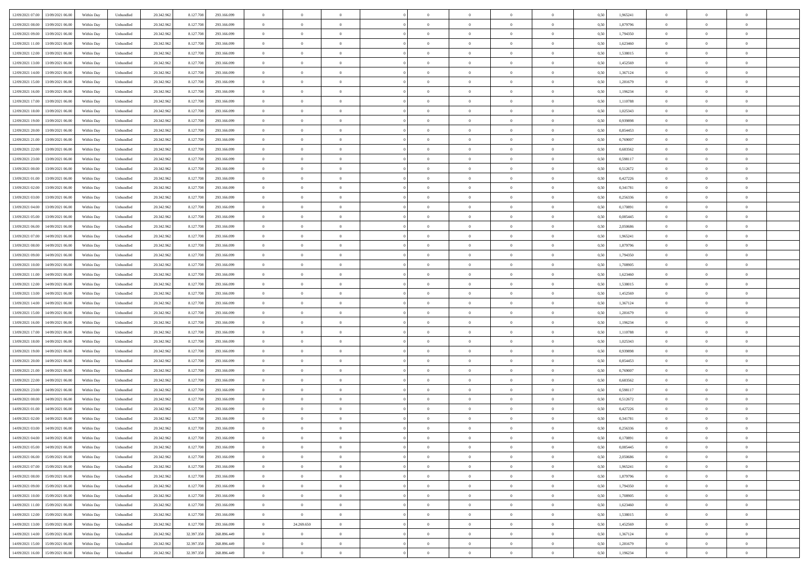| 12/09/2021 07:00 13/09/2021 06:00            | Within Day | Unbundled | 20.342.962 | 8.127.708  | 293.166.099 | $\overline{0}$ | $\theta$       |                | $\overline{0}$ | $\theta$       |                | $\theta$       | 0,50 | 1,965241 | $\theta$       | $\theta$       | $\overline{0}$ |  |
|----------------------------------------------|------------|-----------|------------|------------|-------------|----------------|----------------|----------------|----------------|----------------|----------------|----------------|------|----------|----------------|----------------|----------------|--|
|                                              |            |           |            |            |             |                |                |                |                |                |                |                |      |          |                |                |                |  |
| 12/09/2021 08:00<br>13/09/2021 06:00         | Within Day | Unbundled | 20.342.96  | 8.127.708  | 293.166.099 | $\bf{0}$       | $\overline{0}$ | $\bf{0}$       | $\overline{0}$ | $\bf{0}$       | $\overline{0}$ | $\bf{0}$       | 0,50 | 1,879796 | $\,$ 0 $\,$    | $\bf{0}$       | $\overline{0}$ |  |
| 12/09/2021 09:00<br>13/09/2021 06:00         | Within Day | Unbundled | 20.342.962 | 8.127.708  | 293.166.099 | $\overline{0}$ | $\bf{0}$       | $\overline{0}$ | $\bf{0}$       | $\bf{0}$       | $\overline{0}$ | $\bf{0}$       | 0.50 | 1,794350 | $\bf{0}$       | $\overline{0}$ | $\overline{0}$ |  |
| 12/09/2021 11:00<br>13/09/2021 06:00         | Within Day | Unbundled | 20.342.962 | 8.127.708  | 293.166.099 | $\overline{0}$ | $\overline{0}$ | $\overline{0}$ | $\theta$       | $\theta$       | $\overline{0}$ | $\bf{0}$       | 0,50 | 1,623460 | $\theta$       | $\theta$       | $\overline{0}$ |  |
|                                              |            |           |            |            |             |                |                |                |                |                |                |                |      |          |                |                |                |  |
| 12/09/2021 12:00<br>13/09/2021 06:00         | Within Day | Unbundled | 20.342.96  | 8.127.708  | 293.166.099 | $\bf{0}$       | $\overline{0}$ | $\overline{0}$ | $\overline{0}$ | $\theta$       | $\overline{0}$ | $\bf{0}$       | 0,50 | 1,538015 | $\,$ 0 $\,$    | $\bf{0}$       | $\overline{0}$ |  |
| 12/09/2021 13:00<br>13/09/2021 06:00         | Within Day | Unbundled | 20.342.962 | 8.127.708  | 293.166.099 | $\overline{0}$ | $\overline{0}$ | $\overline{0}$ | $\overline{0}$ | $\overline{0}$ | $\theta$       | $\bf{0}$       | 0.50 | 1.452569 | $\,$ 0 $\,$    | $\theta$       | $\overline{0}$ |  |
| 12/09/2021 14:00<br>13/09/2021 06:00         | Within Day | Unbundled | 20.342.962 | 8.127.708  | 293.166.099 | $\overline{0}$ | $\overline{0}$ | $\overline{0}$ | $\overline{0}$ | $\overline{0}$ | $\overline{0}$ | $\bf{0}$       | 0,50 | 1,367124 | $\theta$       | $\theta$       | $\overline{0}$ |  |
| 12/09/2021 15:00<br>13/09/2021 06:00         | Within Day | Unbundled | 20.342.96  | 8.127.708  | 293.166.099 | $\bf{0}$       | $\overline{0}$ | $\overline{0}$ | $\overline{0}$ | $\theta$       | $\overline{0}$ | $\bf{0}$       | 0,50 | 1,281679 | $\,$ 0 $\,$    | $\bf{0}$       | $\overline{0}$ |  |
| 12/09/2021 16:00<br>13/09/2021 06:00         | Within Day | Unbundled | 20.342.96  | 8.127.708  | 293.166.099 | $\overline{0}$ | $\bf{0}$       | $\overline{0}$ | $\bf{0}$       | $\overline{0}$ | $\overline{0}$ | $\bf{0}$       | 0.50 | 1.196234 | $\bf{0}$       | $\theta$       | $\overline{0}$ |  |
|                                              |            |           |            |            |             |                |                |                |                |                |                |                |      |          |                |                |                |  |
| 12/09/2021 17:00<br>13/09/2021 06:00         | Within Day | Unbundled | 20.342.962 | 8.127.708  | 293.166.099 | $\bf{0}$       | $\bf{0}$       | $\overline{0}$ | $\overline{0}$ | $\overline{0}$ | $\overline{0}$ | $\bf{0}$       | 0,50 | 1,110788 | $\,$ 0 $\,$    | $\bf{0}$       | $\overline{0}$ |  |
| 12/09/2021 18:00<br>13/09/2021 06:00         | Within Day | Unbundled | 20.342.96  | 8.127.708  | 293.166.099 | $\bf{0}$       | $\overline{0}$ | $\bf{0}$       | $\overline{0}$ | $\bf{0}$       | $\overline{0}$ | $\bf{0}$       | 0,50 | 1,025343 | $\,$ 0 $\,$    | $\bf{0}$       | $\overline{0}$ |  |
| 12/09/2021 19:00<br>13/09/2021 06:00         | Within Day | Unbundled | 20.342.962 | 8.127.708  | 293.166.099 | $\overline{0}$ | $\overline{0}$ | $\overline{0}$ | $\bf{0}$       | $\bf{0}$       | $\overline{0}$ | $\bf{0}$       | 0.50 | 0.939898 | $\bf{0}$       | $\overline{0}$ | $\bf{0}$       |  |
| 12/09/2021 20:00<br>13/09/2021 06:00         | Within Day | Unbundled | 20.342.96  | 8.127.708  | 293.166.099 | $\overline{0}$ | $\overline{0}$ | $\overline{0}$ | $\overline{0}$ | $\theta$       | $\overline{0}$ | $\bf{0}$       | 0,50 | 0,854453 | $\,$ 0 $\,$    | $\theta$       | $\overline{0}$ |  |
|                                              |            |           |            |            |             |                | $\theta$       |                | $\overline{0}$ | $\theta$       | $\overline{0}$ |                |      |          | $\,$ 0 $\,$    | $\bf{0}$       | $\overline{0}$ |  |
| 12/09/2021 21:00<br>13/09/2021 06:00         | Within Day | Unbundled | 20.342.96  | 8.127.708  | 293.166.099 | $\bf{0}$       |                | $\bf{0}$       |                |                |                | $\bf{0}$       | 0,50 | 0,769007 |                |                |                |  |
| 12/09/2021 22:00<br>13/09/2021 06:00         | Within Day | Unbundled | 20.342.962 | 8.127.708  | 293.166.099 | $\overline{0}$ | $\overline{0}$ | $\overline{0}$ | $\bf{0}$       | $\theta$       | $\Omega$       | $\bf{0}$       | 0.50 | 0.683562 | $\theta$       | $\theta$       | $\overline{0}$ |  |
| 12/09/2021 23:00<br>13/09/2021 06:00         | Within Day | Unbundled | 20.342.962 | 8.127.708  | 293.166.099 | $\overline{0}$ | $\overline{0}$ | $\overline{0}$ | $\overline{0}$ | $\overline{0}$ | $\overline{0}$ | $\bf{0}$       | 0,50 | 0,598117 | $\theta$       | $\theta$       | $\overline{0}$ |  |
| 13/09/2021 00:00<br>13/09/2021 06:00         | Within Day | Unbundled | 20.342.96  | 8.127.708  | 293.166.099 | $\bf{0}$       | $\overline{0}$ | $\overline{0}$ | $\overline{0}$ | $\bf{0}$       | $\overline{0}$ | $\bf{0}$       | 0,50 | 0,512672 | $\,$ 0 $\,$    | $\bf{0}$       | $\overline{0}$ |  |
| 13/09/2021 01:00<br>13/09/2021 06:00         | Within Day | Unbundled | 20.342.96  | 8.127.708  | 293.166.099 | $\overline{0}$ | $\overline{0}$ | $\overline{0}$ | $\bf{0}$       | $\overline{0}$ | $\overline{0}$ | $\bf{0}$       | 0.50 | 0.427226 | $\bf{0}$       | $\overline{0}$ | $\overline{0}$ |  |
| 13/09/2021 02:00<br>13/09/2021 06:00         | Within Day | Unbundled | 20.342.962 | 8.127.708  | 293.166.099 | $\overline{0}$ | $\overline{0}$ | $\overline{0}$ | $\overline{0}$ | $\overline{0}$ | $\overline{0}$ | $\bf{0}$       | 0,50 | 0,341781 | $\,$ 0 $\,$    | $\theta$       | $\overline{0}$ |  |
|                                              |            |           |            |            |             |                |                |                |                |                |                |                |      |          |                |                |                |  |
| 13/09/2021 03:00<br>13/09/2021 06:00         | Within Day | Unbundled | 20.342.96  | 8.127.708  | 293.166.099 | $\bf{0}$       | $\bf{0}$       | $\bf{0}$       | $\bf{0}$       | $\overline{0}$ | $\overline{0}$ | $\bf{0}$       | 0,50 | 0,256336 | $\,$ 0 $\,$    | $\bf{0}$       | $\overline{0}$ |  |
| 13/09/2021 04:00<br>13/09/2021 06:00         | Within Day | Unbundled | 20.342.962 | 8.127.708  | 293.166.099 | $\overline{0}$ | $\bf{0}$       | $\overline{0}$ | $\bf{0}$       | $\bf{0}$       | $\overline{0}$ | $\bf{0}$       | 0.50 | 0,170891 | $\bf{0}$       | $\overline{0}$ | $\bf{0}$       |  |
| 13/09/2021 05:00<br>13/09/2021 06:00         | Within Day | Unbundled | 20.342.962 | 8.127.708  | 293.166.099 | $\overline{0}$ | $\overline{0}$ | $\overline{0}$ | $\theta$       | $\theta$       | $\overline{0}$ | $\bf{0}$       | 0,50 | 0,085445 | $\theta$       | $\theta$       | $\overline{0}$ |  |
| 13/09/2021 06:00<br>14/09/2021 06:00         | Within Day | Unbundled | 20.342.96  | 8.127.708  | 293.166.099 | $\bf{0}$       | $\overline{0}$ | $\bf{0}$       | $\bf{0}$       | $\bf{0}$       | $\overline{0}$ | $\bf{0}$       | 0,50 | 2,050686 | $\,$ 0 $\,$    | $\bf{0}$       | $\overline{0}$ |  |
| 13/09/2021 07:00<br>14/09/2021 06:00         | Within Day | Unbundled | 20.342.962 | 8.127.708  | 293.166.099 | $\overline{0}$ | $\overline{0}$ | $\overline{0}$ | $\overline{0}$ | $\overline{0}$ | $\Omega$       | $\bf{0}$       | 0.50 | 1.965241 | $\,$ 0 $\,$    | $\theta$       | $\overline{0}$ |  |
| 13/09/2021 08:00<br>14/09/2021 06.00         | Within Day | Unbundled | 20.342.962 | 8.127.708  | 293.166.099 | $\overline{0}$ | $\overline{0}$ | $\overline{0}$ | $\overline{0}$ | $\overline{0}$ | $\overline{0}$ | $\bf{0}$       | 0,50 | 1,879796 | $\,$ 0 $\,$    | $\theta$       | $\overline{0}$ |  |
|                                              |            |           |            |            |             |                |                |                |                |                |                |                |      |          |                |                |                |  |
| 13/09/2021 09:00<br>14/09/2021 06.00         | Within Day | Unbundled | 20.342.96  | 8.127.708  | 293.166.099 | $\bf{0}$       | $\theta$       | $\bf{0}$       | $\overline{0}$ | $\theta$       | $\overline{0}$ | $\bf{0}$       | 0,50 | 1,794350 | $\,$ 0 $\,$    | $\bf{0}$       | $\overline{0}$ |  |
| 13/09/2021 10:00<br>14/09/2021 06:00         | Within Day | Unbundled | 20.342.96  | 8.127.708  | 293.166.099 | $\overline{0}$ | $\bf{0}$       | $\overline{0}$ | $\bf{0}$       | $\overline{0}$ | $\overline{0}$ | $\bf{0}$       | 0.50 | 1,708905 | $\bf{0}$       | $\overline{0}$ | $\overline{0}$ |  |
| 13/09/2021 11:00<br>14/09/2021 06:00         | Within Day | Unbundled | 20.342.962 | 8.127.708  | 293.166.099 | $\overline{0}$ | $\overline{0}$ | $\overline{0}$ | $\overline{0}$ | $\overline{0}$ | $\overline{0}$ | $\bf{0}$       | 0,50 | 1,623460 | $\theta$       | $\theta$       | $\overline{0}$ |  |
| 13/09/2021 12:00<br>14/09/2021 06:00         | Within Day | Unbundled | 20.342.96  | 8.127.708  | 293.166.099 | $\bf{0}$       | $\bf{0}$       | $\bf{0}$       | $\bf{0}$       | $\overline{0}$ | $\overline{0}$ | $\bf{0}$       | 0,50 | 1,538015 | $\,$ 0 $\,$    | $\bf{0}$       | $\overline{0}$ |  |
| 13/09/2021 13:00<br>14/09/2021 06:00         | Within Day | Unbundled | 20.342.962 | 8.127.708  | 293.166.099 | $\overline{0}$ | $\bf{0}$       | $\overline{0}$ | $\bf{0}$       | $\bf{0}$       | $\overline{0}$ | $\bf{0}$       | 0.50 | 1.452569 | $\bf{0}$       | $\overline{0}$ | $\bf{0}$       |  |
| 13/09/2021 14:00<br>14/09/2021 06:00         | Within Day | Unbundled | 20.342.962 | 8.127.708  | 293.166.099 | $\overline{0}$ | $\overline{0}$ | $\overline{0}$ | $\overline{0}$ | $\overline{0}$ | $\overline{0}$ | $\bf{0}$       | 0.5( | 1,367124 | $\theta$       | $\theta$       | $\overline{0}$ |  |
|                                              |            |           |            |            |             |                |                |                |                |                |                |                |      |          |                |                |                |  |
| 13/09/2021 15:00<br>14/09/2021 06.00         | Within Day | Unbundled | 20.342.96  | 8.127.708  | 293.166.099 | $\bf{0}$       | $\overline{0}$ | $\bf{0}$       | $\bf{0}$       | $\overline{0}$ | $\overline{0}$ | $\bf{0}$       | 0,50 | 1,281679 | $\,$ 0 $\,$    | $\bf{0}$       | $\overline{0}$ |  |
| 13/09/2021 16:00<br>14/09/2021 06:00         | Within Day | Unbundled | 20.342.962 | 8.127.708  | 293.166.099 | $\overline{0}$ | $\overline{0}$ | $\overline{0}$ | $\bf{0}$       | $\bf{0}$       | $\Omega$       | $\bf{0}$       | 0.50 | 1,196234 | $\,$ 0 $\,$    | $\theta$       | $\overline{0}$ |  |
| 13/09/2021 17:00<br>14/09/2021 06:00         | Within Dav | Unbundled | 20.342.962 | 8.127.708  | 293.166.099 | $\overline{0}$ | $\overline{0}$ | $\overline{0}$ | $\overline{0}$ | $\overline{0}$ | $\overline{0}$ | $\overline{0}$ | 0.5( | 1,110788 | $\theta$       | $\theta$       | $\overline{0}$ |  |
| 13/09/2021 18:00<br>14/09/2021 06.00         | Within Day | Unbundled | 20.342.96  | 8.127.708  | 293.166.099 | $\bf{0}$       | $\overline{0}$ | $\bf{0}$       | $\bf{0}$       | $\bf{0}$       | $\overline{0}$ | $\bf{0}$       | 0,50 | 1,025343 | $\,$ 0 $\,$    | $\bf{0}$       | $\overline{0}$ |  |
| 13/09/2021 19:00<br>14/09/2021 06:00         | Within Day | Unbundled | 20.342.96  | 8.127.708  | 293.166.099 | $\overline{0}$ | $\bf{0}$       | $\overline{0}$ | $\bf{0}$       | $\overline{0}$ | $\overline{0}$ | $\bf{0}$       | 0.50 | 0.939898 | $\bf{0}$       | $\overline{0}$ | $\overline{0}$ |  |
| 13/09/2021 20:00<br>14/09/2021 06:00         | Within Dav | Unbundled | 20.342.962 | 8.127.708  | 293.166.099 | $\overline{0}$ | $\overline{0}$ | $\overline{0}$ | $\overline{0}$ | $\overline{0}$ | $\overline{0}$ | $\overline{0}$ | 0.50 | 0,854453 | $\theta$       | $\theta$       | $\overline{0}$ |  |
|                                              |            |           |            |            |             |                |                |                |                |                |                |                |      |          |                |                |                |  |
| 13/09/2021 21:00<br>14/09/2021 06.00         | Within Day | Unbundled | 20.342.96  | 8.127.708  | 293.166.099 | $\bf{0}$       | $\bf{0}$       | $\bf{0}$       | $\bf{0}$       | $\overline{0}$ | $\overline{0}$ | $\bf{0}$       | 0,50 | 0,769007 | $\,$ 0 $\,$    | $\bf{0}$       | $\overline{0}$ |  |
| 13/09/2021 22:00<br>14/09/2021 06:00         | Within Day | Unbundled | 20.342.962 | 8.127.708  | 293.166.099 | $\overline{0}$ | $\bf{0}$       | $\overline{0}$ | $\bf{0}$       | $\bf{0}$       | $\overline{0}$ | $\bf{0}$       | 0.50 | 0.683562 | $\bf{0}$       | $\overline{0}$ | $\overline{0}$ |  |
| 13/09/2021 23:00<br>14/09/2021 06:00         | Within Dav | Unbundled | 20.342.962 | 8.127.708  | 293.166.099 | $\overline{0}$ | $\overline{0}$ | $\overline{0}$ | $\overline{0}$ | $\overline{0}$ | $\overline{0}$ | $\overline{0}$ | 0.50 | 0,598117 | $\theta$       | $\theta$       | $\overline{0}$ |  |
| 14/09/2021 00:00<br>14/09/2021 06:00         | Within Day | Unbundled | 20.342.96  | 8.127.708  | 293.166.099 | $\bf{0}$       | $\overline{0}$ | $\bf{0}$       | $\bf{0}$       | $\overline{0}$ | $\overline{0}$ | $\bf{0}$       | 0,50 | 0,512672 | $\,$ 0 $\,$    | $\bf{0}$       | $\overline{0}$ |  |
| 14/09/2021 01:00<br>14/09/2021 06:00         | Within Day | Unbundled | 20.342.962 | 8.127.708  | 293.166.099 | $\overline{0}$ | $\overline{0}$ | $\Omega$       | $\overline{0}$ | $\overline{0}$ | $\Omega$       | $\bf{0}$       | 0.50 | 0,427226 | $\bf{0}$       | $\theta$       | $\overline{0}$ |  |
| 14/09/2021 02:00<br>14/09/2021 06:00         | Within Dav | Unbundled | 20.342.962 | 8.127.708  | 293.166.099 | $\overline{0}$ | $\overline{0}$ | $\Omega$       | $\overline{0}$ | $\theta$       | $\Omega$       | $\overline{0}$ | 0.5( | 0,341781 | $\theta$       | $\theta$       | $\overline{0}$ |  |
|                                              |            |           |            |            |             |                |                |                |                |                |                |                |      |          |                |                |                |  |
| 14/09/2021 03:00<br>14/09/2021 06.00         | Within Day | Unbundled | 20.342.96  | 8.127.708  | 293.166.099 | $\bf{0}$       | $\bf{0}$       | $\bf{0}$       | $\bf{0}$       | $\bf{0}$       | $\overline{0}$ | $\bf{0}$       | 0,50 | 0,256336 | $\,$ 0 $\,$    | $\bf{0}$       | $\overline{0}$ |  |
| $14/09/2021\ 04.00 \qquad 14/09/2021\ 06.00$ | Within Day | Unbundled | 20.342.962 | 8.127.708  | 293.166.099 | $\overline{0}$ | $\theta$       |                | $\Omega$       |                |                |                | 0,50 | 0.170891 | $\theta$       | $\overline{0}$ |                |  |
| 14/09/2021 05:00 14/09/2021 06:00            | Within Day | Unbundled | 20.342.962 | 8.127.708  | 293.166.099 | $\overline{0}$ | $\theta$       | $\overline{0}$ | $\theta$       | $\overline{0}$ | $\overline{0}$ | $\bf{0}$       | 0,50 | 0,085445 | $\theta$       | $\theta$       | $\overline{0}$ |  |
| 14/09/2021 06:00<br>15/09/2021 06:00         | Within Day | Unbundled | 20.342.96  | 8.127.708  | 293.166.099 | $\overline{0}$ | $\bf{0}$       | $\overline{0}$ | $\overline{0}$ | $\bf{0}$       | $\overline{0}$ | $\bf{0}$       | 0,50 | 2,050686 | $\bf{0}$       | $\overline{0}$ | $\bf{0}$       |  |
| 14/09/2021 07:00 15/09/2021 06:00            | Within Day | Unbundled | 20.342.962 | 8.127.708  | 293.166.099 | $\overline{0}$ | $\bf{0}$       | $\overline{0}$ | $\overline{0}$ | $\overline{0}$ | $\overline{0}$ | $\bf{0}$       | 0.50 | 1.965241 | $\overline{0}$ | $\bf{0}$       | $\,$ 0 $\,$    |  |
| 14/09/2021 08:00 15/09/2021 06:00            | Within Day | Unbundled | 20.342.962 | 8.127.708  | 293.166.099 | $\overline{0}$ | $\overline{0}$ | $\overline{0}$ | $\overline{0}$ | $\overline{0}$ | $\overline{0}$ | $\bf{0}$       | 0,50 | 1,879796 | $\theta$       | $\theta$       | $\overline{0}$ |  |
|                                              |            |           |            |            |             |                |                |                |                |                |                |                |      |          |                |                |                |  |
| 14/09/2021 09:00<br>15/09/2021 06:00         | Within Day | Unbundled | 20.342.962 | 8.127.708  | 293.166.099 | $\overline{0}$ | $\bf{0}$       | $\overline{0}$ | $\bf{0}$       | $\overline{0}$ | $\bf{0}$       | $\bf{0}$       | 0,50 | 1,794350 | $\bf{0}$       | $\bf{0}$       | $\overline{0}$ |  |
| 15/09/2021 06:00<br>14/09/2021 10:00         | Within Day | Unbundled | 20.342.962 | 8.127.708  | 293.166.099 | $\overline{0}$ | $\bf{0}$       | $\overline{0}$ | $\overline{0}$ | $\overline{0}$ | $\overline{0}$ | $\bf{0}$       | 0.50 | 1,708905 | $\,$ 0 $\,$    | $\theta$       | $\overline{0}$ |  |
| 14/09/2021 11:00<br>15/09/2021 06:00         | Within Dav | Unbundled | 20.342.962 | 8.127.708  | 293.166.099 | $\overline{0}$ | $\overline{0}$ | $\overline{0}$ | $\overline{0}$ | $\overline{0}$ | $\overline{0}$ | $\bf{0}$       | 0,50 | 1,623460 | $\overline{0}$ | $\theta$       | $\overline{0}$ |  |
| 14/09/2021 12:00<br>15/09/2021 06:00         | Within Day | Unbundled | 20.342.96  | 8.127.708  | 293.166.099 | $\overline{0}$ | $\overline{0}$ | $\overline{0}$ | $\overline{0}$ | $\overline{0}$ | $\overline{0}$ | $\bf{0}$       | 0,50 | 1,538015 | $\bf{0}$       | $\bf{0}$       | $\overline{0}$ |  |
| 14/09/2021 13:00 15/09/2021 06:00            | Within Day | Unbundled | 20.342.962 | 8.127.708  | 293.166.099 | $\overline{0}$ | 24.269.650     | $\overline{0}$ | $\overline{0}$ | $\bf{0}$       | $\overline{0}$ | $\bf{0}$       | 0.50 | 1.452569 | $\overline{0}$ | $\,$ 0 $\,$    | $\,$ 0         |  |
| 14/09/2021 14:00 15/09/2021 06:00            | Within Dav | Unbundled | 20.342.962 | 32.397.358 | 268.896.449 | $\overline{0}$ | $\overline{0}$ | $\overline{0}$ | $\overline{0}$ | $\overline{0}$ | $\overline{0}$ | $\bf{0}$       | 0,50 | 1,367124 | $\overline{0}$ | $\theta$       | $\overline{0}$ |  |
|                                              |            |           |            |            |             |                |                |                |                |                |                |                |      |          |                |                |                |  |
| 14/09/2021 15:00<br>15/09/2021 06:00         | Within Day | Unbundled | 20.342.96  | 32.397.358 | 268.896.449 | $\overline{0}$ | $\bf{0}$       | $\overline{0}$ | $\bf{0}$       | $\overline{0}$ | $\overline{0}$ | $\bf{0}$       | 0,50 | 1,281679 | $\bf{0}$       | $\bf{0}$       | $\overline{0}$ |  |
| 14/09/2021 16:00 15/09/2021 06:00            | Within Day | Unbundled | 20.342.962 | 32.397.358 | 268.896.449 | $\overline{0}$ | $\bf{0}$       | $\overline{0}$ | $\overline{0}$ | $\,$ 0 $\,$    | $\overline{0}$ | $\bf{0}$       | 0,50 | 1,196234 | $\overline{0}$ | $\,$ 0 $\,$    | $\,$ 0 $\,$    |  |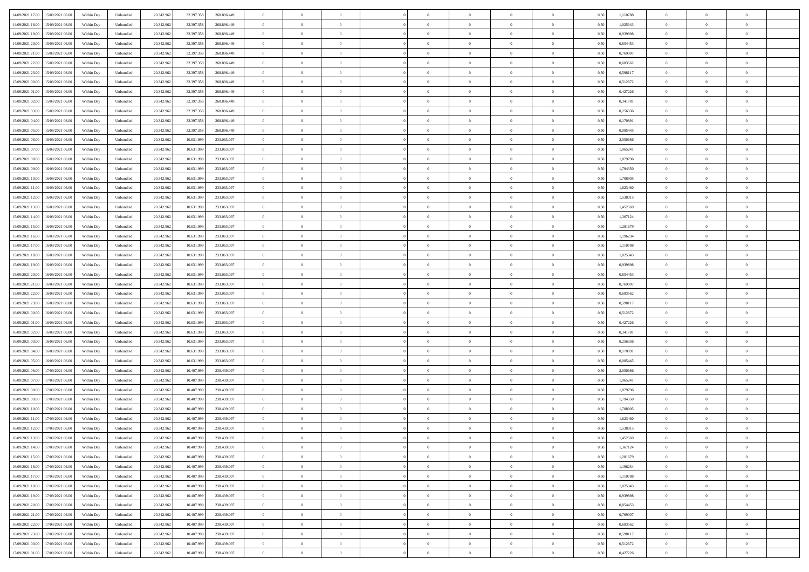| 14/09/2021 17:00 15/09/2021 06:00            | Within Day | Unbundled                   | 20.342.962 | 32.397.358 | 268.896.449 | $\overline{0}$                   | $\theta$       |                | $\overline{0}$ | $\theta$       |                | $\theta$       | 0,50 | 1,110788 | $\theta$       | $\theta$       | $\overline{0}$ |  |
|----------------------------------------------|------------|-----------------------------|------------|------------|-------------|----------------------------------|----------------|----------------|----------------|----------------|----------------|----------------|------|----------|----------------|----------------|----------------|--|
|                                              |            |                             |            |            |             |                                  |                |                |                |                |                |                |      |          |                |                |                |  |
| 14/09/2021 18:00<br>15/09/2021 06:00         | Within Day | Unbundled                   | 20.342.96  | 32.397.358 | 268.896.449 | $\bf{0}$                         | $\overline{0}$ | $\bf{0}$       | $\overline{0}$ | $\bf{0}$       | $\overline{0}$ | $\bf{0}$       | 0,50 | 1,025343 | $\,$ 0 $\,$    | $\bf{0}$       | $\overline{0}$ |  |
| 14/09/2021 19:00<br>15/09/2021 06:00         | Within Day | Unbundled                   | 20.342.962 | 32.397.358 | 268.896.449 | $\overline{0}$                   | $\overline{0}$ | $\overline{0}$ | $\bf{0}$       | $\bf{0}$       | $\overline{0}$ | $\bf{0}$       | 0.50 | 0.939898 | $\bf{0}$       | $\overline{0}$ | $\overline{0}$ |  |
| 14/09/2021 20:00<br>15/09/2021 06:00         | Within Day | Unbundled                   | 20.342.96  | 32.397.358 | 268.896.449 | $\overline{0}$                   | $\overline{0}$ | $\overline{0}$ | $\theta$       | $\theta$       | $\overline{0}$ | $\bf{0}$       | 0,50 | 0,854453 | $\theta$       | $\theta$       | $\overline{0}$ |  |
| 14/09/2021 21:00<br>15/09/2021 06:00         | Within Day | Unbundled                   | 20.342.96  | 32.397.358 | 268.896.449 | $\overline{0}$                   | $\theta$       | $\overline{0}$ | $\overline{0}$ | $\theta$       | $\overline{0}$ | $\bf{0}$       | 0,50 | 0,769007 | $\bf{0}$       | $\bf{0}$       | $\overline{0}$ |  |
| 14/09/2021 22:00<br>15/09/2021 06:00         | Within Day | Unbundled                   | 20.342.962 | 32.397.358 | 268.896.449 | $\overline{0}$                   | $\overline{0}$ | $\overline{0}$ | $\bf{0}$       | $\overline{0}$ | $\Omega$       | $\bf{0}$       | 0.50 | 0.683562 | $\bf{0}$       | $\theta$       | $\overline{0}$ |  |
| 14/09/2021 23:00                             |            |                             |            |            |             | $\overline{0}$                   | $\overline{0}$ | $\overline{0}$ | $\overline{0}$ | $\overline{0}$ | $\overline{0}$ |                |      |          | $\theta$       | $\theta$       | $\overline{0}$ |  |
| 15/09/2021 06:00                             | Within Day | Unbundled                   | 20.342.96  | 32.397.358 | 268.896.449 |                                  |                |                |                |                |                | $\bf{0}$       | 0,50 | 0,598117 |                |                |                |  |
| 15/09/2021 00:00<br>15/09/2021 06:00         | Within Day | Unbundled                   | 20.342.96  | 32.397.35  | 268.896.449 | $\bf{0}$                         | $\overline{0}$ | $\overline{0}$ | $\overline{0}$ | $\theta$       | $\overline{0}$ | $\bf{0}$       | 0,50 | 0,512672 | $\,$ 0 $\,$    | $\bf{0}$       | $\overline{0}$ |  |
| 15/09/2021 01:00<br>15/09/2021 06:00         | Within Day | Unbundled                   | 20.342.96  | 32.397.358 | 268.896.449 | $\overline{0}$                   | $\overline{0}$ | $\overline{0}$ | $\bf{0}$       | $\overline{0}$ | $\overline{0}$ | $\bf{0}$       | 0.50 | 0.427226 | $\bf{0}$       | $\theta$       | $\overline{0}$ |  |
| 15/09/2021 02:00<br>15/09/2021 06:00         | Within Day | Unbundled                   | 20.342.962 | 32.397.358 | 268.896.449 | $\bf{0}$                         | $\bf{0}$       | $\overline{0}$ | $\overline{0}$ | $\theta$       | $\overline{0}$ | $\bf{0}$       | 0,50 | 0,341781 | $\,$ 0 $\,$    | $\theta$       | $\overline{0}$ |  |
| 15/09/2021 03:00<br>15/09/2021 06:00         | Within Day | Unbundled                   | 20.342.96  | 32.397.358 | 268.896.449 | $\bf{0}$                         | $\overline{0}$ | $\bf{0}$       | $\bf{0}$       | $\bf{0}$       | $\overline{0}$ | $\bf{0}$       | 0,50 | 0,256336 | $\,$ 0 $\,$    | $\bf{0}$       | $\overline{0}$ |  |
| 15/09/2021 04:00<br>15/09/2021 06:00         | Within Day | Unbundled                   | 20.342.962 | 32.397.358 | 268,896,449 | $\overline{0}$                   | $\overline{0}$ | $\overline{0}$ | $\bf{0}$       | $\bf{0}$       | $\overline{0}$ | $\bf{0}$       | 0.50 | 0,170891 | $\bf{0}$       | $\overline{0}$ | $\overline{0}$ |  |
| 15/09/2021 05:00<br>15/09/2021 06:00         | Within Day | Unbundled                   | 20.342.96  | 32.397.358 | 268.896.449 | $\overline{0}$                   | $\overline{0}$ | $\overline{0}$ | $\overline{0}$ | $\theta$       | $\overline{0}$ | $\overline{0}$ | 0,50 | 0,085445 | $\,$ 0 $\,$    | $\theta$       | $\overline{0}$ |  |
|                                              |            |                             |            |            |             |                                  | $\theta$       |                | $\overline{0}$ | $\theta$       | $\overline{0}$ | $\bf{0}$       |      |          |                | $\bf{0}$       | $\overline{0}$ |  |
| 15/09/2021 06:00<br>16/09/2021 06:00         | Within Day | Unbundled                   | 20.342.96  | 10.631.99  | 233.063.097 | $\bf{0}$                         |                | $\bf{0}$       |                |                |                |                | 0,50 | 2,050686 | $\bf{0}$       |                |                |  |
| 15/09/2021 07:00<br>16/09/2021 06:00         | Within Day | Unbundled                   | 20.342.962 | 10.631.999 | 233,063,097 | $\overline{0}$                   | $\overline{0}$ | $\overline{0}$ | $\bf{0}$       | $\theta$       | $\theta$       | $\bf{0}$       | 0.50 | 1.965241 | $\bf{0}$       | $\overline{0}$ | $\overline{0}$ |  |
| 15/09/2021 08:00<br>16/09/2021 06:00         | Within Day | Unbundled                   | 20.342.962 | 10.631.999 | 233.063.097 | $\overline{0}$                   | $\overline{0}$ | $\overline{0}$ | $\overline{0}$ | $\overline{0}$ | $\overline{0}$ | $\bf{0}$       | 0,50 | 1,879796 | $\theta$       | $\theta$       | $\overline{0}$ |  |
| 15/09/2021 09:00<br>16/09/2021 06:00         | Within Day | Unbundled                   | 20.342.96  | 10.631.99  | 233.063.097 | $\bf{0}$                         | $\overline{0}$ | $\overline{0}$ | $\overline{0}$ | $\theta$       | $\overline{0}$ | $\bf{0}$       | 0,50 | 1,794350 | $\,$ 0 $\,$    | $\bf{0}$       | $\overline{0}$ |  |
| 15/09/2021 10:00<br>16/09/2021 06:00         | Within Day | Unbundled                   | 20.342.96  | 10.631.999 | 233,063,097 | $\overline{0}$                   | $\overline{0}$ | $\overline{0}$ | $\bf{0}$       | $\overline{0}$ | $\overline{0}$ | $\bf{0}$       | 0.50 | 1,708905 | $\bf{0}$       | $\overline{0}$ | $\overline{0}$ |  |
| 15/09/2021 11:00<br>16/09/2021 06:00         | Within Day | Unbundled                   | 20.342.962 | 10.631.999 | 233.063.097 | $\bf{0}$                         | $\overline{0}$ | $\overline{0}$ | $\overline{0}$ | $\overline{0}$ | $\overline{0}$ | $\bf{0}$       | 0,50 | 1,623460 | $\,$ 0 $\,$    | $\theta$       | $\overline{0}$ |  |
| 15/09/2021 12:00<br>16/09/2021 06:00         | Within Day | Unbundled                   | 20.342.96  | 10.631.99  | 233.063.097 | $\bf{0}$                         | $\overline{0}$ | $\bf{0}$       | $\bf{0}$       | $\overline{0}$ | $\overline{0}$ | $\bf{0}$       | 0,50 | 1,538015 | $\,$ 0 $\,$    | $\bf{0}$       | $\overline{0}$ |  |
| 15/09/2021 13:00<br>16/09/2021 06:00         |            | Unbundled                   |            |            | 233,063,097 |                                  | $\bf{0}$       | $\overline{0}$ |                | $\overline{0}$ | $\overline{0}$ |                | 0.50 | 1.452569 | $\bf{0}$       | $\overline{0}$ | $\overline{0}$ |  |
|                                              | Within Day |                             | 20.342.962 | 10.631.999 |             | $\overline{0}$<br>$\overline{0}$ |                |                | $\bf{0}$       |                |                | $\bf{0}$       |      |          | $\theta$       | $\theta$       |                |  |
| 15/09/2021 14:00<br>16/09/2021 06:00         | Within Day | Unbundled                   | 20.342.96  | 10.631.999 | 233.063.097 |                                  | $\overline{0}$ | $\overline{0}$ | $\overline{0}$ | $\theta$       | $\overline{0}$ | $\bf{0}$       | 0,50 | 1,367124 |                |                | $\overline{0}$ |  |
| 15/09/2021 15:00<br>16/09/2021 06:00         | Within Day | Unbundled                   | 20.342.96  | 10.631.99  | 233.063.097 | $\bf{0}$                         | $\overline{0}$ | $\bf{0}$       | $\bf{0}$       | $\theta$       | $\overline{0}$ | $\bf{0}$       | 0,50 | 1,281679 | $\,$ 0 $\,$    | $\bf{0}$       | $\overline{0}$ |  |
| 15/09/2021 16:00<br>16/09/2021 06:00         | Within Day | Unbundled                   | 20.342.962 | 10.631.999 | 233,063,097 | $\overline{0}$                   | $\overline{0}$ | $\overline{0}$ | $\overline{0}$ | $\overline{0}$ | $\Omega$       | $\bf{0}$       | 0.50 | 1,196234 | $\bf{0}$       | $\theta$       | $\overline{0}$ |  |
| 15/09/2021 17:00<br>16/09/2021 06:00         | Within Day | Unbundled                   | 20.342.962 | 10.631.999 | 233.063.097 | $\overline{0}$                   | $\overline{0}$ | $\overline{0}$ | $\overline{0}$ | $\overline{0}$ | $\overline{0}$ | $\bf{0}$       | 0,50 | 1,110788 | $\theta$       | $\theta$       | $\overline{0}$ |  |
| 15/09/2021 18:00<br>16/09/2021 06:00         | Within Day | Unbundled                   | 20.342.96  | 10.631.99  | 233.063.097 | $\bf{0}$                         | $\theta$       | $\overline{0}$ | $\overline{0}$ | $\bf{0}$       | $\overline{0}$ | $\bf{0}$       | 0,50 | 1,025343 | $\,$ 0 $\,$    | $\bf{0}$       | $\overline{0}$ |  |
| 15/09/2021 19:00<br>16/09/2021 06:00         | Within Day | Unbundled                   | 20.342.96  | 10.631.999 | 233,063,097 | $\overline{0}$                   | $\overline{0}$ | $\overline{0}$ | $\bf{0}$       | $\overline{0}$ | $\overline{0}$ | $\bf{0}$       | 0.50 | 0.939898 | $\bf{0}$       | $\theta$       | $\overline{0}$ |  |
| 15/09/2021 20:00<br>16/09/2021 06:00         | Within Day | Unbundled                   | 20.342.962 | 10.631.999 | 233.063.097 | $\overline{0}$                   | $\overline{0}$ | $\overline{0}$ | $\overline{0}$ | $\overline{0}$ | $\overline{0}$ | $\bf{0}$       | 0,50 | 0,854453 | $\theta$       | $\theta$       | $\overline{0}$ |  |
| 15/09/2021 21:00<br>16/09/2021 06:00         | Within Day | Unbundled                   | 20.342.96  | 10.631.99  | 233.063.097 | $\bf{0}$                         | $\bf{0}$       | $\bf{0}$       | $\bf{0}$       | $\overline{0}$ | $\overline{0}$ | $\bf{0}$       | 0,50 | 0,769007 | $\,$ 0 $\,$    | $\bf{0}$       | $\overline{0}$ |  |
|                                              |            |                             |            |            |             |                                  |                |                |                |                |                |                |      |          |                |                |                |  |
| 15/09/2021 22:00<br>16/09/2021 06:00         | Within Day | Unbundled                   | 20.342.962 | 10.631.999 | 233,063,097 | $\overline{0}$                   | $\bf{0}$       | $\overline{0}$ | $\bf{0}$       | $\bf{0}$       | $\overline{0}$ | $\bf{0}$       | 0.50 | 0.683562 | $\bf{0}$       | $\overline{0}$ | $\overline{0}$ |  |
| 15/09/2021 23:00<br>16/09/2021 06:00         | Within Day | Unbundled                   | 20.342.96  | 10.631.999 | 233,063,097 | $\overline{0}$                   | $\overline{0}$ | $\overline{0}$ | $\overline{0}$ | $\overline{0}$ | $\overline{0}$ | $\bf{0}$       | 0.5( | 0,598117 | $\theta$       | $\theta$       | $\overline{0}$ |  |
| 16/09/2021 00:00<br>16/09/2021 06:00         | Within Day | Unbundled                   | 20.342.96  | 10.631.99  | 233.063.097 | $\bf{0}$                         | $\overline{0}$ | $\bf{0}$       | $\overline{0}$ | $\overline{0}$ | $\overline{0}$ | $\bf{0}$       | 0,50 | 0,512672 | $\,$ 0 $\,$    | $\bf{0}$       | $\overline{0}$ |  |
| 16/09/2021 01:00<br>16/09/2021 06:00         | Within Day | Unbundled                   | 20.342.962 | 10.631.999 | 233,063,097 | $\overline{0}$                   | $\overline{0}$ | $\overline{0}$ | $\bf{0}$       | $\bf{0}$       | $\Omega$       | $\bf{0}$       | 0.50 | 0,427226 | $\,$ 0 $\,$    | $\overline{0}$ | $\overline{0}$ |  |
| 16/09/2021 02:00<br>16/09/2021 06:00         | Within Dav | Unbundled                   | 20.342.96  | 10.631.999 | 233.063.097 | $\overline{0}$                   | $\theta$       | $\overline{0}$ | $\overline{0}$ | $\overline{0}$ | $\overline{0}$ | $\overline{0}$ | 0.5( | 0,341781 | $\theta$       | $\theta$       | $\overline{0}$ |  |
| 16/09/2021 03:00<br>16/09/2021 06:00         | Within Day | Unbundled                   | 20.342.96  | 10.631.99  | 233.063.097 | $\bf{0}$                         | $\overline{0}$ | $\overline{0}$ | $\bf{0}$       | $\bf{0}$       | $\overline{0}$ | $\bf{0}$       | 0,50 | 0,256336 | $\,$ 0 $\,$    | $\bf{0}$       | $\overline{0}$ |  |
| 16/09/2021 04:00<br>16/09/2021 06:00         | Within Day | Unbundled                   | 20.342.96  | 10.631.999 | 233,063,097 | $\overline{0}$                   | $\overline{0}$ | $\overline{0}$ | $\bf{0}$       | $\overline{0}$ | $\overline{0}$ | $\bf{0}$       | 0.50 | 0.170891 | $\bf{0}$       | $\overline{0}$ | $\overline{0}$ |  |
| 16/09/2021 05:00<br>16/09/2021 06:00         | Within Dav | Unbundled                   | 20.342.96  | 10.631.999 | 233,063,097 | $\overline{0}$                   | $\overline{0}$ | $\overline{0}$ | $\overline{0}$ | $\overline{0}$ | $\overline{0}$ | $\overline{0}$ | 0.50 | 0.085445 | $\theta$       | $\theta$       | $\overline{0}$ |  |
| 17/09/2021 06:00                             | Within Day | Unbundled                   | 20.342.96  | 10.407.99  | 238.439.097 | $\bf{0}$                         | $\bf{0}$       | $\bf{0}$       | $\bf{0}$       | $\overline{0}$ | $\overline{0}$ | $\bf{0}$       | 0,50 | 2,050686 | $\,$ 0 $\,$    | $\bf{0}$       | $\overline{0}$ |  |
| 16/09/2021 06:00                             |            |                             |            |            |             |                                  |                |                |                |                |                |                |      |          |                |                |                |  |
| 16/09/2021 07:00<br>17/09/2021 06:00         | Within Day | Unbundled                   | 20.342.962 | 10.407.999 | 238,439,097 | $\overline{0}$                   | $\bf{0}$       | $\overline{0}$ | $\bf{0}$       | $\bf{0}$       | $\overline{0}$ | $\bf{0}$       | 0.50 | 1,965241 | $\bf{0}$       | $\overline{0}$ | $\overline{0}$ |  |
| 16/09/2021 08:00<br>17/09/2021 06:00         | Within Dav | Unbundled                   | 20.342.96  | 10.407.999 | 238.439.097 | $\overline{0}$                   | $\overline{0}$ | $\Omega$       | $\overline{0}$ | $\overline{0}$ | $\overline{0}$ | $\overline{0}$ | 0.5( | 1,879796 | $\theta$       | $\theta$       | $\overline{0}$ |  |
| 16/09/2021 09:00<br>17/09/2021 06:00         | Within Day | Unbundled                   | 20.342.96  | 10.407.99  | 238.439.097 | $\bf{0}$                         | $\overline{0}$ | $\bf{0}$       | $\overline{0}$ | $\,$ 0 $\,$    | $\overline{0}$ | $\bf{0}$       | 0,50 | 1,794350 | $\,$ 0 $\,$    | $\bf{0}$       | $\overline{0}$ |  |
| 16/09/2021 10:00<br>17/09/2021 06:00         | Within Day | Unbundled                   | 20.342.96  | 10.407.999 | 238.439.097 | $\overline{0}$                   | $\overline{0}$ | $\Omega$       | $\overline{0}$ | $\theta$       | $\theta$       | $\bf{0}$       | 0.50 | 1,708905 | $\,$ 0 $\,$    | $\overline{0}$ | $\overline{0}$ |  |
| 16/09/2021 11:00<br>17/09/2021 06:00         | Within Dav | Unbundled                   | 20.342.96  | 10.407.999 | 238.439.097 | $\overline{0}$                   | $\overline{0}$ | $\Omega$       | $\overline{0}$ | $\theta$       | $\Omega$       | $\overline{0}$ | 0.5( | 1,623460 | $\theta$       | $\theta$       | $\overline{0}$ |  |
| 16/09/2021 12:00<br>17/09/2021 06:00         | Within Day | Unbundled                   | 20.342.96  | 10.407.999 | 238.439.097 | $\bf{0}$                         | $\bf{0}$       | $\bf{0}$       | $\bf{0}$       | $\bf{0}$       | $\overline{0}$ | $\bf{0}$       | 0,50 | 1,538015 | $\,$ 0 $\,$    | $\bf{0}$       | $\overline{0}$ |  |
| $16/09/2021\ 13.00 \qquad 17/09/2021\ 06.00$ | Within Day | $\ensuremath{\mathsf{Unb}}$ | 20.342.962 | 10.407.999 | 238 439 097 | $\overline{0}$                   | $\Omega$       |                | $\overline{0}$ |                |                |                | 0,50 | 1,452569 | $\theta$       | $\overline{0}$ |                |  |
| 16/09/2021 14:00 17/09/2021 06:00            | Within Day | Unbundled                   | 20.342.962 | 10.407.999 | 238.439.097 | $\overline{0}$                   | $\theta$       | $\Omega$       | $\theta$       | $\overline{0}$ | $\overline{0}$ | $\bf{0}$       | 0,50 | 1,367124 | $\theta$       | $\theta$       | $\overline{0}$ |  |
|                                              |            |                             |            |            |             |                                  |                |                |                |                |                |                |      |          |                |                |                |  |
| 16/09/2021 15:00<br>17/09/2021 06:00         | Within Day | Unbundled                   | 20.342.96  | 10.407.99  | 238.439.097 | $\overline{0}$                   | $\bf{0}$       | $\overline{0}$ | $\overline{0}$ | $\bf{0}$       | $\overline{0}$ | $\bf{0}$       | 0,50 | 1,281679 | $\bf{0}$       | $\overline{0}$ | $\bf{0}$       |  |
| 16/09/2021 16:00 17/09/2021 06:00            | Within Day | Unbundled                   | 20.342.962 | 10,407.999 | 238.439.097 | $\overline{0}$                   | $\overline{0}$ | $\overline{0}$ | $\overline{0}$ | $\overline{0}$ | $\overline{0}$ | $\bf{0}$       | 0.50 | 1.196234 | $\overline{0}$ | $\bf{0}$       | $\,$ 0 $\,$    |  |
| 16/09/2021 17:00 17/09/2021 06:00            | Within Day | Unbundled                   | 20.342.962 | 10.407.999 | 238.439.097 | $\overline{0}$                   | $\overline{0}$ | $\overline{0}$ | $\overline{0}$ | $\overline{0}$ | $\overline{0}$ | $\bf{0}$       | 0,50 | 1,110788 | $\theta$       | $\theta$       | $\overline{0}$ |  |
| 16/09/2021 18:00<br>17/09/2021 06:00         | Within Day | Unbundled                   | 20.342.962 | 10.407.999 | 238.439.097 | $\overline{0}$                   | $\bf{0}$       | $\overline{0}$ | $\bf{0}$       | $\overline{0}$ | $\overline{0}$ | $\bf{0}$       | 0,50 | 1,025343 | $\overline{0}$ | $\bf{0}$       | $\overline{0}$ |  |
| 17/09/2021 06:00<br>16/09/2021 19:00         | Within Day | Unbundled                   | 20.342.962 | 10.407.999 | 238,439,097 | $\overline{0}$                   | $\bf{0}$       | $\overline{0}$ | $\overline{0}$ | $\overline{0}$ | $\overline{0}$ | $\bf{0}$       | 0.50 | 0.939898 | $\,$ 0 $\,$    | $\theta$       | $\overline{0}$ |  |
| 16/09/2021 20:00<br>17/09/2021 06:00         | Within Dav | Unbundled                   | 20.342.962 | 10.407.999 | 238.439.097 | $\overline{0}$                   | $\overline{0}$ | $\overline{0}$ | $\overline{0}$ | $\overline{0}$ | $\overline{0}$ | $\bf{0}$       | 0.50 | 0,854453 | $\overline{0}$ | $\theta$       | $\overline{0}$ |  |
| 16/09/2021 21:00<br>17/09/2021 06:00         | Within Day | Unbundled                   | 20.342.96  | 10.407.999 | 238.439.097 | $\overline{0}$                   | $\overline{0}$ | $\overline{0}$ | $\overline{0}$ | $\bf{0}$       | $\overline{0}$ | $\bf{0}$       | 0,50 | 0,769007 | $\bf{0}$       | $\bf{0}$       | $\overline{0}$ |  |
|                                              |            | Unbundled                   | 20.342.96  | 10.407.999 | 238,439,097 |                                  | $\overline{0}$ | $\overline{0}$ |                |                | $\overline{0}$ |                | 0.50 | 0.683562 |                | $\,$ 0 $\,$    | $\,$ 0         |  |
| 16/09/2021 22:00<br>17/09/2021 06:00         | Within Day |                             |            |            |             | $\overline{0}$                   |                |                | $\overline{0}$ | $\bf{0}$       |                | $\bf{0}$       |      |          | $\overline{0}$ |                |                |  |
| 16/09/2021 23:00<br>17/09/2021 06:00         | Within Dav | Unbundled                   | 20.342.962 | 10.407.999 | 238.439.097 | $\overline{0}$                   | $\overline{0}$ | $\overline{0}$ | $\overline{0}$ | $\overline{0}$ | $\overline{0}$ | $\bf{0}$       | 0,50 | 0,598117 | $\theta$       | $\theta$       | $\overline{0}$ |  |
| 17/09/2021 00:00<br>17/09/2021 06:00         | Within Day | Unbundled                   | 20.342.96  | 10.407.999 | 238.439.097 | $\overline{0}$                   | $\bf{0}$       | $\overline{0}$ | $\bf{0}$       | $\overline{0}$ | $\overline{0}$ | $\bf{0}$       | 0,50 | 0,512672 | $\bf{0}$       | $\bf{0}$       | $\overline{0}$ |  |
| 17/09/2021 01:00 17/09/2021 06:00            | Within Day | Unbundled                   | 20.342.962 | 10.407.999 | 238.439.097 | $\overline{0}$                   | $\bf{0}$       | $\overline{0}$ | $\overline{0}$ | $\,$ 0 $\,$    | $\overline{0}$ | $\bf{0}$       | 0,50 | 0,427226 | $\overline{0}$ | $\,$ 0 $\,$    | $\,$ 0 $\,$    |  |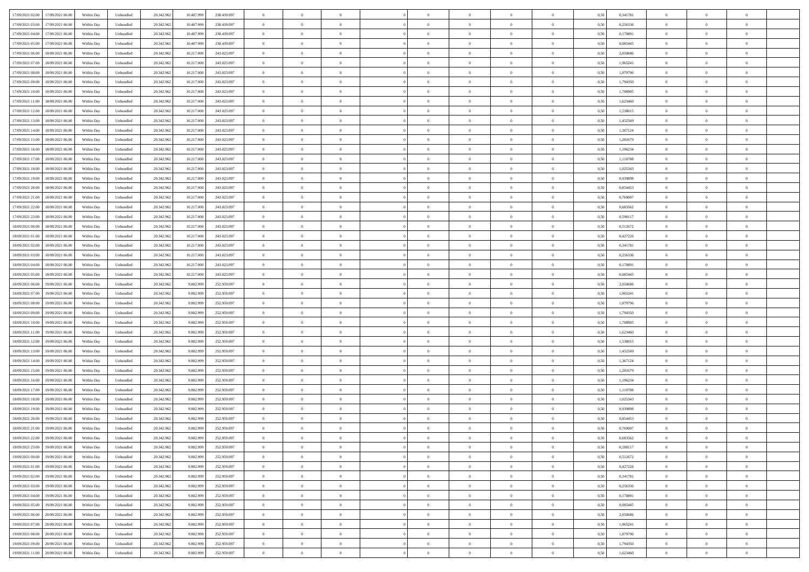| 17/09/2021 02:00 17/09/2021 06:00            | Within Day | Unbundled | 20.342.962 | 10.407.999 | 238.439.097 | $\overline{0}$ | $\overline{0}$ |                | $\overline{0}$ | $\theta$       |                | $\theta$       | 0,50 | 0,341781 | $\theta$       | $\theta$       | $\overline{0}$ |  |
|----------------------------------------------|------------|-----------|------------|------------|-------------|----------------|----------------|----------------|----------------|----------------|----------------|----------------|------|----------|----------------|----------------|----------------|--|
| 17/09/2021 03:00<br>17/09/2021 06:00         | Within Day | Unbundled | 20.342.96  | 10.407.99  | 238.439.097 | $\bf{0}$       | $\overline{0}$ | $\bf{0}$       | $\overline{0}$ | $\bf{0}$       | $\overline{0}$ | $\bf{0}$       | 0,50 | 0,256336 | $\,$ 0 $\,$    | $\bf{0}$       | $\overline{0}$ |  |
| 17/09/2021 04:00<br>17/09/2021 06:00         | Within Day | Unbundled | 20.342.962 | 10.407.999 | 238,439,097 | $\overline{0}$ | $\overline{0}$ | $\overline{0}$ | $\bf{0}$       | $\bf{0}$       | $\overline{0}$ | $\bf{0}$       | 0.50 | 0,170891 | $\bf{0}$       | $\overline{0}$ | $\overline{0}$ |  |
| 17/09/2021 05:00<br>17/09/2021 06:00         |            |           |            |            |             | $\overline{0}$ | $\overline{0}$ | $\overline{0}$ | $\theta$       | $\theta$       | $\overline{0}$ | $\overline{0}$ |      |          | $\theta$       | $\theta$       | $\overline{0}$ |  |
|                                              | Within Day | Unbundled | 20.342.96  | 10.407.999 | 238.439.097 |                |                |                |                |                |                |                | 0,50 | 0,085445 |                |                |                |  |
| 17/09/2021 06:00<br>18/09/2021 06:00         | Within Day | Unbundled | 20.342.96  | 10.217.00  | 243.023.097 | $\overline{0}$ | $\overline{0}$ | $\overline{0}$ | $\overline{0}$ | $\theta$       | $\overline{0}$ | $\bf{0}$       | 0,50 | 2,050686 | $\,$ 0 $\,$    | $\bf{0}$       | $\overline{0}$ |  |
| 17/09/2021 07:00<br>18/09/2021 06:00         | Within Day | Unbundled | 20.342.962 | 10.217.000 | 243.023.097 | $\overline{0}$ | $\overline{0}$ | $\overline{0}$ | $\overline{0}$ | $\overline{0}$ | $\Omega$       | $\bf{0}$       | 0.50 | 1.965241 | $\,$ 0 $\,$    | $\theta$       | $\overline{0}$ |  |
| 17/09/2021 08:00<br>18/09/2021 06:00         | Within Day | Unbundled | 20.342.96  | 10.217.000 | 243.023.097 | $\overline{0}$ | $\overline{0}$ | $\overline{0}$ | $\overline{0}$ | $\theta$       | $\overline{0}$ | $\bf{0}$       | 0,50 | 1,879796 | $\theta$       | $\theta$       | $\overline{0}$ |  |
|                                              |            |           |            |            |             |                |                |                |                |                |                |                |      |          |                |                |                |  |
| 17/09/2021 09:00<br>18/09/2021 06:00         | Within Day | Unbundled | 20.342.96  | 10.217.00  | 243.023.097 | $\bf{0}$       | $\overline{0}$ | $\overline{0}$ | $\overline{0}$ | $\theta$       | $\overline{0}$ | $\bf{0}$       | 0,50 | 1,794350 | $\,$ 0 $\,$    | $\bf{0}$       | $\overline{0}$ |  |
| 17/09/2021 10:00<br>18/09/2021 06:00         | Within Day | Unbundled | 20.342.96  | 10.217.000 | 243.023.097 | $\overline{0}$ | $\bf{0}$       | $\overline{0}$ | $\bf{0}$       | $\overline{0}$ | $\overline{0}$ | $\bf{0}$       | 0.50 | 1,708905 | $\bf{0}$       | $\theta$       | $\overline{0}$ |  |
| 17/09/2021 11:00<br>18/09/2021 06:00         | Within Day | Unbundled | 20.342.962 | 10.217.000 | 243.023.097 | $\overline{0}$ | $\bf{0}$       | $\overline{0}$ | $\overline{0}$ | $\theta$       | $\overline{0}$ | $\bf{0}$       | 0,50 | 1,623460 | $\,$ 0 $\,$    | $\theta$       | $\overline{0}$ |  |
| 17/09/2021 12:00<br>18/09/2021 06:00         | Within Day | Unbundled | 20.342.96  | 10.217.000 | 243.023.097 | $\bf{0}$       | $\overline{0}$ | $\bf{0}$       | $\overline{0}$ | $\bf{0}$       | $\overline{0}$ | $\bf{0}$       | 0,50 | 1,538015 | $\,$ 0 $\,$    | $\bf{0}$       | $\overline{0}$ |  |
|                                              |            |           |            |            |             |                |                |                |                |                |                |                |      |          |                |                |                |  |
| 17/09/2021 13:00<br>18/09/2021 06:00         | Within Day | Unbundled | 20.342.962 | 10.217.000 | 243.023.097 | $\overline{0}$ | $\overline{0}$ | $\overline{0}$ | $\bf{0}$       | $\bf{0}$       | $\overline{0}$ | $\bf{0}$       | 0.50 | 1.452569 | $\bf{0}$       | $\overline{0}$ | $\overline{0}$ |  |
| 17/09/2021 14:00<br>18/09/2021 06:00         | Within Day | Unbundled | 20.342.96  | 10.217.000 | 243.023.097 | $\overline{0}$ | $\overline{0}$ | $\overline{0}$ | $\overline{0}$ | $\theta$       | $\overline{0}$ | $\overline{0}$ | 0,50 | 1,367124 | $\,$ 0 $\,$    | $\theta$       | $\overline{0}$ |  |
| 17/09/2021 15:00<br>18/09/2021 06:00         | Within Day | Unbundled | 20.342.96  | 10.217.00  | 243.023.097 | $\bf{0}$       | $\theta$       | $\bf{0}$       | $\overline{0}$ | $\theta$       | $\overline{0}$ | $\bf{0}$       | 0,50 | 1,281679 | $\bf{0}$       | $\bf{0}$       | $\overline{0}$ |  |
|                                              |            |           |            |            |             |                |                |                |                |                |                |                |      |          |                |                |                |  |
| 17/09/2021 16:00<br>18/09/2021 06:00         | Within Day | Unbundled | 20.342.962 | 10.217.000 | 243.023.097 | $\overline{0}$ | $\overline{0}$ | $\overline{0}$ | $\bf{0}$       | $\theta$       | $\theta$       | $\bf{0}$       | 0.50 | 1,196234 | $\theta$       | $\theta$       | $\overline{0}$ |  |
| 17/09/2021 17:00<br>18/09/2021 06:00         | Within Day | Unbundled | 20.342.962 | 10.217.000 | 243.023.097 | $\overline{0}$ | $\overline{0}$ | $\overline{0}$ | $\overline{0}$ | $\overline{0}$ | $\overline{0}$ | $\bf{0}$       | 0,50 | 1,110788 | $\theta$       | $\theta$       | $\overline{0}$ |  |
| 17/09/2021 18:00<br>18/09/2021 06:00         | Within Day | Unbundled | 20.342.96  | 10.217.00  | 243.023.097 | $\bf{0}$       | $\overline{0}$ | $\overline{0}$ | $\overline{0}$ | $\theta$       | $\overline{0}$ | $\bf{0}$       | 0,50 | 1,025343 | $\,$ 0 $\,$    | $\bf{0}$       | $\overline{0}$ |  |
| 17/09/2021 19:00<br>18/09/2021 06:00         | Within Day | Unbundled | 20,342.96  | 10.217.000 | 243.023.097 | $\overline{0}$ | $\bf{0}$       | $\overline{0}$ | $\bf{0}$       | $\overline{0}$ | $\overline{0}$ | $\bf{0}$       | 0.50 | 0.939898 | $\bf{0}$       | $\overline{0}$ | $\overline{0}$ |  |
|                                              |            |           |            |            |             |                | $\overline{0}$ | $\overline{0}$ | $\overline{0}$ | $\overline{0}$ | $\overline{0}$ |                |      |          |                | $\theta$       | $\overline{0}$ |  |
| 17/09/2021 20:00<br>18/09/2021 06:00         | Within Day | Unbundled | 20.342.962 | 10.217.000 | 243.023.097 | $\bf{0}$       |                |                |                |                |                | $\bf{0}$       | 0,50 | 0,854453 | $\,$ 0 $\,$    |                |                |  |
| 17/09/2021 21:00<br>18/09/2021 06:00         | Within Day | Unbundled | 20.342.96  | 10.217.000 | 243.023.097 | $\bf{0}$       | $\overline{0}$ | $\bf{0}$       | $\bf{0}$       | $\overline{0}$ | $\overline{0}$ | $\bf{0}$       | 0,50 | 0,769007 | $\,$ 0 $\,$    | $\bf{0}$       | $\overline{0}$ |  |
| 17/09/2021 22:00<br>18/09/2021 06:00         | Within Day | Unbundled | 20.342.962 | 10.217.000 | 243.023.097 | $\overline{0}$ | $\bf{0}$       | $\overline{0}$ | $\bf{0}$       | $\bf{0}$       | $\overline{0}$ | $\bf{0}$       | 0.50 | 0.683562 | $\bf{0}$       | $\overline{0}$ | $\overline{0}$ |  |
| 17/09/2021 23:00<br>18/09/2021 06:00         | Within Day | Unbundled | 20.342.96  | 10.217.000 | 243.023.097 | $\overline{0}$ | $\overline{0}$ | $\overline{0}$ | $\overline{0}$ | $\theta$       | $\overline{0}$ | $\bf{0}$       | 0,50 | 0,598117 | $\theta$       | $\theta$       | $\overline{0}$ |  |
|                                              |            |           |            |            |             |                | $\overline{0}$ |                |                | $\theta$       | $\overline{0}$ |                |      |          | $\,$ 0 $\,$    | $\bf{0}$       | $\overline{0}$ |  |
| 18/09/2021 00:00<br>18/09/2021 06:00         | Within Day | Unbundled | 20.342.96  | 10.217.00  | 243.023.097 | $\bf{0}$       |                | $\bf{0}$       | $\bf{0}$       |                |                | $\bf{0}$       | 0,50 | 0,512672 |                |                |                |  |
| 18/09/2021 01:00<br>18/09/2021 06:00         | Within Day | Unbundled | 20.342.962 | 10.217.000 | 243.023.097 | $\overline{0}$ | $\overline{0}$ | $\overline{0}$ | $\overline{0}$ | $\overline{0}$ | $\Omega$       | $\bf{0}$       | 0.50 | 0,427226 | $\,$ 0 $\,$    | $\theta$       | $\overline{0}$ |  |
| 18/09/2021 02:00<br>18/09/2021 06:00         | Within Day | Unbundled | 20.342.962 | 10.217.000 | 243.023.097 | $\overline{0}$ | $\overline{0}$ | $\overline{0}$ | $\overline{0}$ | $\overline{0}$ | $\overline{0}$ | $\bf{0}$       | 0,50 | 0,341781 | $\,$ 0 $\,$    | $\theta$       | $\overline{0}$ |  |
| 18/09/2021 03:00<br>18/09/2021 06:00         | Within Day | Unbundled | 20.342.96  | 10.217.00  | 243.023.097 | $\bf{0}$       | $\theta$       | $\bf{0}$       | $\overline{0}$ | $\theta$       | $\overline{0}$ | $\bf{0}$       | 0,50 | 0,256336 | $\,$ 0 $\,$    | $\bf{0}$       | $\overline{0}$ |  |
| 18/09/2021 06:00                             |            | Unbundled | 20.342.96  | 10.217.000 | 243.023.097 | $\overline{0}$ | $\bf{0}$       | $\overline{0}$ |                | $\overline{0}$ | $\overline{0}$ |                | 0.50 | 0.170891 | $\bf{0}$       | $\theta$       | $\overline{0}$ |  |
| 18/09/2021 04:00                             | Within Day |           |            |            |             |                |                |                | $\bf{0}$       |                |                | $\bf{0}$       |      |          |                |                |                |  |
| 18/09/2021 05:00<br>18/09/2021 06:00         | Within Day | Unbundled | 20.342.962 | 10.217.000 | 243.023.097 | $\overline{0}$ | $\overline{0}$ | $\overline{0}$ | $\overline{0}$ | $\overline{0}$ | $\overline{0}$ | $\bf{0}$       | 0,50 | 0,085445 | $\theta$       | $\theta$       | $\overline{0}$ |  |
| 18/09/2021 06:00<br>19/09/2021 06:00         | Within Day | Unbundled | 20.342.96  | 9.802.99   | 252.959.097 | $\bf{0}$       | $\bf{0}$       | $\bf{0}$       | $\bf{0}$       | $\overline{0}$ | $\overline{0}$ | $\bf{0}$       | 0,50 | 2,050686 | $\,$ 0 $\,$    | $\bf{0}$       | $\overline{0}$ |  |
| 18/09/2021 07:00<br>19/09/2021 06:00         | Within Day | Unbundled | 20.342.962 | 9.802.999  | 252.959.097 | $\overline{0}$ | $\bf{0}$       | $\overline{0}$ | $\bf{0}$       | $\bf{0}$       | $\overline{0}$ | $\bf{0}$       | 0.50 | 1,965241 | $\bf{0}$       | $\overline{0}$ | $\overline{0}$ |  |
| 18/09/2021 08:00<br>19/09/2021 06:00         | Within Day | Unbundled | 20.342.962 | 9.802.999  | 252,959,097 | $\overline{0}$ | $\overline{0}$ | $\overline{0}$ | $\overline{0}$ | $\overline{0}$ | $\overline{0}$ | $\bf{0}$       | 0.5( | 1,879796 | $\theta$       | $\theta$       | $\overline{0}$ |  |
|                                              |            |           |            |            |             |                |                |                |                |                |                |                |      |          |                |                |                |  |
| 18/09/2021 09:00<br>19/09/2021 06:00         | Within Day | Unbundled | 20.342.96  | 9.802.99   | 252.959.097 | $\bf{0}$       | $\overline{0}$ | $\bf{0}$       | $\overline{0}$ | $\overline{0}$ | $\overline{0}$ | $\bf{0}$       | 0,50 | 1,794350 | $\,$ 0 $\,$    | $\bf{0}$       | $\overline{0}$ |  |
| 18/09/2021 10:00<br>19/09/2021 06:00         | Within Day | Unbundled | 20.342.962 | 9.802.999  | 252.959.097 | $\overline{0}$ | $\overline{0}$ | $\overline{0}$ | $\bf{0}$       | $\bf{0}$       | $\Omega$       | $\bf{0}$       | 0.50 | 1.708905 | $\bf{0}$       | $\theta$       | $\overline{0}$ |  |
| 18/09/2021 11:00<br>19/09/2021 06:00         | Within Dav | Unbundled | 20.342.962 | 9.802.999  | 252.959.097 | $\overline{0}$ | $\overline{0}$ | $\overline{0}$ | $\overline{0}$ | $\overline{0}$ | $\overline{0}$ | $\overline{0}$ | 0.5( | 1,623460 | $\theta$       | $\theta$       | $\overline{0}$ |  |
| 18/09/2021 12:00<br>19/09/2021 06:00         | Within Day | Unbundled | 20.342.96  | 9.802.999  | 252.959.097 | $\bf{0}$       | $\overline{0}$ | $\bf{0}$       | $\overline{0}$ | $\bf{0}$       | $\overline{0}$ | $\bf{0}$       | 0,50 | 1,538015 | $\,$ 0 $\,$    | $\bf{0}$       | $\overline{0}$ |  |
|                                              |            |           |            |            |             |                |                |                |                |                |                |                |      |          |                |                |                |  |
| 18/09/2021 13:00<br>19/09/2021 06:00         | Within Day | Unbundled | 20.342.96  | 9.802.999  | 252.959.097 | $\overline{0}$ | $\bf{0}$       | $\overline{0}$ | $\bf{0}$       | $\overline{0}$ | $\overline{0}$ | $\bf{0}$       | 0.50 | 1.452569 | $\bf{0}$       | $\overline{0}$ | $\overline{0}$ |  |
| 18/09/2021 14:00<br>19/09/2021 06:00         | Within Dav | Unbundled | 20.342.962 | 9.802.999  | 252,959,097 | $\overline{0}$ | $\overline{0}$ | $\overline{0}$ | $\overline{0}$ | $\overline{0}$ | $\overline{0}$ | $\overline{0}$ | 0.50 | 1,367124 | $\theta$       | $\theta$       | $\overline{0}$ |  |
| 18/09/2021 15:00<br>19/09/2021 06:00         | Within Day | Unbundled | 20.342.96  | 9.802.99   | 252.959.097 | $\bf{0}$       | $\bf{0}$       | $\bf{0}$       | $\bf{0}$       | $\overline{0}$ | $\overline{0}$ | $\bf{0}$       | 0,50 | 1,281679 | $\,$ 0 $\,$    | $\bf{0}$       | $\overline{0}$ |  |
| 18/09/2021 16:00<br>19/09/2021 06:00         | Within Day | Unbundled | 20.342.962 | 9.802.999  | 252.959.097 | $\overline{0}$ | $\bf{0}$       | $\overline{0}$ | $\bf{0}$       | $\bf{0}$       | $\overline{0}$ | $\bf{0}$       | 0.50 | 1,196234 | $\bf{0}$       | $\overline{0}$ | $\overline{0}$ |  |
|                                              |            |           |            |            |             |                |                |                |                |                |                |                |      |          |                |                |                |  |
| 18/09/2021 17:00<br>19/09/2021 06:00         | Within Dav | Unbundled | 20.342.962 | 9.802.999  | 252,959,097 | $\overline{0}$ | $\overline{0}$ | $\overline{0}$ | $\overline{0}$ | $\overline{0}$ | $\overline{0}$ | $\overline{0}$ | 0.5( | 1,110788 | $\theta$       | $\theta$       | $\overline{0}$ |  |
| 18/09/2021 18:00<br>19/09/2021 06:00         | Within Day | Unbundled | 20.342.96  | 9.802.999  | 252.959.097 | $\bf{0}$       | $\overline{0}$ | $\bf{0}$       | $\overline{0}$ | $\,$ 0 $\,$    | $\overline{0}$ | $\bf{0}$       | 0,50 | 1,025343 | $\,$ 0 $\,$    | $\bf{0}$       | $\overline{0}$ |  |
| 18/09/2021 19:00<br>19/09/2021 06:00         | Within Day | Unbundled | 20.342.962 | 9.802.999  | 252.959.097 | $\overline{0}$ | $\overline{0}$ | $\Omega$       | $\overline{0}$ | $\overline{0}$ | $\theta$       | $\bf{0}$       | 0.50 | 0.939898 | $\,$ 0 $\,$    | $\theta$       | $\overline{0}$ |  |
| 18/09/2021 20:00<br>19/09/2021 06:00         | Within Dav | Unbundled | 20.342.962 | 9.802.999  | 252.959.097 | $\overline{0}$ | $\overline{0}$ | $\Omega$       | $\overline{0}$ | $\theta$       | $\Omega$       | $\overline{0}$ | 0.5( | 0,854453 | $\theta$       | $\theta$       | $\overline{0}$ |  |
| 18/09/2021 21:00<br>19/09/2021 06:00         | Within Day | Unbundled | 20.342.96  | 9.802.999  | 252.959.097 | $\bf{0}$       | $\bf{0}$       | $\bf{0}$       | $\bf{0}$       | $\bf{0}$       | $\overline{0}$ | $\bf{0}$       | 0,50 | 0,769007 | $\,$ 0 $\,$    | $\bf{0}$       | $\overline{0}$ |  |
|                                              |            |           |            |            |             |                |                |                |                |                |                |                |      |          |                |                |                |  |
| $18/09/2021\ 22.00 \qquad 19/09/2021\ 06.00$ | Within Day | Unbundled | 20.342.962 | 9.802.999  | 252.959.097 | $\overline{0}$ | $\Omega$       |                | $\overline{0}$ |                |                |                | 0,50 | 0,683562 | $\theta$       | $\overline{0}$ |                |  |
| 18/09/2021 23:00 19/09/2021 06:00            | Within Day | Unbundled | 20.342.962 | 9.802.999  | 252.959.097 | $\overline{0}$ | $\theta$       | $\overline{0}$ | $\theta$       | $\overline{0}$ | $\overline{0}$ | $\bf{0}$       | 0,50 | 0,598117 | $\theta$       | $\theta$       | $\overline{0}$ |  |
| 19/09/2021 00:00<br>19/09/2021 06:00         | Within Day | Unbundled | 20.342.96  | 9.802.999  | 252.959.097 | $\overline{0}$ | $\bf{0}$       | $\overline{0}$ | $\overline{0}$ | $\bf{0}$       | $\overline{0}$ | $\bf{0}$       | 0,50 | 0,512672 | $\bf{0}$       | $\overline{0}$ | $\bf{0}$       |  |
| 19/09/2021 01:00 19/09/2021 06:00            | Within Day | Unbundled | 20.342.962 | 9.802.999  | 252.959.097 | $\overline{0}$ | $\bf{0}$       | $\overline{0}$ | $\overline{0}$ | $\overline{0}$ | $\overline{0}$ | $\bf{0}$       | 0.50 | 0,427226 | $\overline{0}$ | $\bf{0}$       | $\,$ 0 $\,$    |  |
|                                              |            |           |            |            |             |                |                |                |                |                |                |                |      |          |                |                |                |  |
| 19/09/2021 02:00 19/09/2021 06:00            | Within Day | Unbundled | 20.342.962 | 9.802.999  | 252.959.097 | $\overline{0}$ | $\overline{0}$ | $\overline{0}$ | $\overline{0}$ | $\overline{0}$ | $\overline{0}$ | $\bf{0}$       | 0,50 | 0,341781 | $\theta$       | $\theta$       | $\overline{0}$ |  |
| 19/09/2021 03:00<br>19/09/2021 06:00         | Within Day | Unbundled | 20.342.962 | 9.802.999  | 252.959.097 | $\overline{0}$ | $\bf{0}$       | $\overline{0}$ | $\bf{0}$       | $\overline{0}$ | $\bf{0}$       | $\bf{0}$       | 0,50 | 0,256336 | $\bf{0}$       | $\bf{0}$       | $\overline{0}$ |  |
| 19/09/2021 04:00<br>19/09/2021 06:00         | Within Day | Unbundled | 20.342.962 | 9.802.999  | 252.959.097 | $\overline{0}$ | $\bf{0}$       | $\overline{0}$ | $\overline{0}$ | $\overline{0}$ | $\overline{0}$ | $\bf{0}$       | 0.50 | 0,170891 | $\,$ 0 $\,$    | $\theta$       | $\overline{0}$ |  |
| 19/09/2021 05:00<br>19/09/2021 06:00         | Within Dav | Unbundled | 20.342.962 | 9.802.999  | 252.959.097 | $\overline{0}$ | $\overline{0}$ | $\overline{0}$ | $\overline{0}$ | $\overline{0}$ | $\overline{0}$ | $\bf{0}$       | 0,50 | 0,085445 | $\overline{0}$ | $\theta$       | $\overline{0}$ |  |
|                                              |            |           |            |            |             |                |                |                |                |                |                |                |      |          |                |                |                |  |
| 19/09/2021 06:00<br>20/09/2021 06:00         | Within Day | Unbundled | 20.342.96  | 9.802.999  | 252.959.097 | $\overline{0}$ | $\overline{0}$ | $\overline{0}$ | $\overline{0}$ | $\overline{0}$ | $\overline{0}$ | $\bf{0}$       | 0,50 | 2,050686 | $\bf{0}$       | $\bf{0}$       | $\overline{0}$ |  |
| 19/09/2021 07:00<br>20/09/2021 06:00         | Within Day | Unbundled | 20.342.962 | 9.802.999  | 252.959.097 | $\overline{0}$ | $\overline{0}$ | $\overline{0}$ | $\overline{0}$ | $\bf{0}$       | $\overline{0}$ | $\bf{0}$       | 0.50 | 1.965241 | $\overline{0}$ | $\,$ 0 $\,$    | $\,$ 0         |  |
| 19/09/2021 08:00 20/09/2021 06:00            | Within Dav | Unbundled | 20.342.962 | 9.802.999  | 252.959.097 | $\overline{0}$ | $\overline{0}$ | $\overline{0}$ | $\overline{0}$ | $\overline{0}$ | $\overline{0}$ | $\bf{0}$       | 0,50 | 1,879796 | $\overline{0}$ | $\theta$       | $\overline{0}$ |  |
| 19/09/2021 09:00<br>20/09/2021 06:00         | Within Day | Unbundled | 20.342.96  | 9.802.999  | 252.959.097 | $\overline{0}$ | $\bf{0}$       | $\overline{0}$ | $\bf{0}$       | $\overline{0}$ | $\bf{0}$       | $\bf{0}$       | 0,50 | 1,794350 | $\bf{0}$       | $\bf{0}$       | $\overline{0}$ |  |
|                                              |            |           |            |            |             |                |                |                |                |                |                |                |      |          |                |                |                |  |
| 19/09/2021 11:00 20/09/2021 06:00            | Within Day | Unbundled | 20.342.962 | 9.802.999  | 252.959.097 | $\overline{0}$ | $\bf{0}$       | $\overline{0}$ | $\overline{0}$ | $\,$ 0 $\,$    | $\overline{0}$ | $\bf{0}$       | 0,50 | 1,623460 | $\overline{0}$ | $\,$ 0 $\,$    | $\,$ 0 $\,$    |  |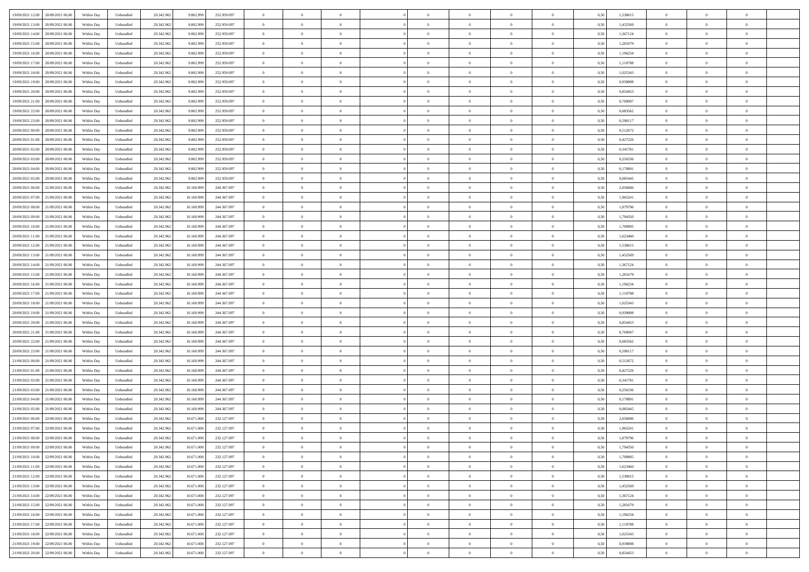| 19/09/2021 12:00<br>20/09/2021 06:00 | Within Day | Unbundled | 20.342.962 | 9.802.999  | 252.959.097 | $\overline{0}$ | $\overline{0}$   | $\overline{0}$ | $\theta$       | $\theta$       |                | $\overline{0}$ | 0,50 | 1,538015 | $\theta$       | $\theta$       | $\theta$       |  |
|--------------------------------------|------------|-----------|------------|------------|-------------|----------------|------------------|----------------|----------------|----------------|----------------|----------------|------|----------|----------------|----------------|----------------|--|
|                                      |            |           |            |            |             |                |                  |                |                |                |                |                |      |          |                |                |                |  |
| 19/09/2021 13:00<br>20/09/2021 06.0  | Within Day | Unbundled | 20.342.96  | 9.802.999  | 252.959.097 | $\overline{0}$ | $\overline{0}$   | $\overline{0}$ | $\,$ 0 $\,$    | $\bf{0}$       | $\overline{0}$ | $\bf{0}$       | 0,50 | 1,452569 | $\,$ 0 $\,$    | $\theta$       | $\overline{0}$ |  |
| 19/09/2021 14:00<br>20/09/2021 06:00 | Within Day | Unbundled | 20.342.962 | 9.802.999  | 252.959.097 | $\overline{0}$ | $\overline{0}$   | $\overline{0}$ | $\bf{0}$       | $\bf{0}$       | $\overline{0}$ | $\mathbf{0}$   | 0.50 | 1.367124 | $\bf{0}$       | $\overline{0}$ | $\overline{0}$ |  |
| 19/09/2021 15:00<br>20/09/2021 06:00 | Within Day | Unbundled | 20.342.962 | 9.802.999  | 252.959.097 | $\overline{0}$ | $\overline{0}$   | $\overline{0}$ | $\overline{0}$ | $\overline{0}$ | $\overline{0}$ | $\bf{0}$       | 0,50 | 1,281679 | $\theta$       | $\theta$       | $\overline{0}$ |  |
| 19/09/2021 16.00<br>20/09/2021 06.0  | Within Day | Unbundled | 20.342.962 | 9.802.999  | 252.959.097 | $\overline{0}$ | $\overline{0}$   | $\bf{0}$       | $\overline{0}$ | $\overline{0}$ | $\overline{0}$ | $\bf{0}$       | 0,50 | 1,196234 | $\,$ 0 $\,$    | $\theta$       | $\overline{0}$ |  |
| 20/09/2021 06:00                     |            |           |            | 9.802.999  | 252.959.097 |                |                  |                |                | $\overline{0}$ |                |                |      | 1.110788 |                | $\theta$       | $\overline{0}$ |  |
| 19/09/2021 17:00                     | Within Day | Unbundled | 20.342.962 |            |             | $\overline{0}$ | $\overline{0}$   | $\overline{0}$ | $\overline{0}$ |                | $\overline{0}$ | $\mathbf{0}$   | 0.50 |          | $\theta$       |                |                |  |
| 19/09/2021 18:00<br>20/09/2021 06:00 | Within Day | Unbundled | 20.342.962 | 9.802.999  | 252.959.097 | $\overline{0}$ | $\overline{0}$   | $\overline{0}$ | $\overline{0}$ | $\overline{0}$ | $\overline{0}$ | $\bf{0}$       | 0,50 | 1,025343 | $\theta$       | $\theta$       | $\overline{0}$ |  |
| 19/09/2021 19:00<br>20/09/2021 06.0  | Within Day | Unbundled | 20.342.962 | 9.802.999  | 252.959.097 | $\overline{0}$ | $\overline{0}$   | $\overline{0}$ | $\overline{0}$ | $\overline{0}$ | $\overline{0}$ | $\bf{0}$       | 0,50 | 0,939898 | $\,$ 0 $\,$    | $\bf{0}$       | $\overline{0}$ |  |
| 19/09/2021 20:00<br>20/09/2021 06:00 | Within Day | Unbundled | 20.342.962 | 9.802.999  | 252.959.097 | $\overline{0}$ | $\overline{0}$   | $\overline{0}$ | $\overline{0}$ | $\overline{0}$ | $\overline{0}$ | $\mathbf{0}$   | 0.50 | 0.854453 | $\,$ 0 $\,$    | $\theta$       | $\overline{0}$ |  |
| 19/09/2021 21.00<br>20/09/2021 06:00 | Within Day | Unbundled | 20.342.962 | 9.802.999  | 252.959.097 | $\overline{0}$ | $\overline{0}$   | $\overline{0}$ | $\bf{0}$       | $\overline{0}$ | $\overline{0}$ | $\bf{0}$       | 0,50 | 0,769007 | $\theta$       | $\theta$       | $\overline{0}$ |  |
| 19/09/2021 22.00<br>20/09/2021 06.0  | Within Day | Unbundled | 20.342.962 | 9.802.999  | 252.959.097 | $\overline{0}$ | $\overline{0}$   | $\overline{0}$ | $\bf{0}$       | $\bf{0}$       | $\overline{0}$ | $\bf{0}$       | 0,50 | 0,683562 | $\,$ 0 $\,$    | $\theta$       | $\overline{0}$ |  |
|                                      |            |           |            |            |             |                |                  |                |                |                |                |                |      |          |                |                |                |  |
| 19/09/2021 23.00<br>20/09/2021 06:00 | Within Day | Unbundled | 20.342.962 | 9.802.999  | 252.959.097 | $\overline{0}$ | $\overline{0}$   | $\overline{0}$ | $\bf{0}$       | $\bf{0}$       | $\overline{0}$ | $\mathbf{0}$   | 0.50 | 0.598117 | $\bf{0}$       | $\overline{0}$ | $\bf{0}$       |  |
| 20/09/2021 00:00<br>20/09/2021 06.00 | Within Day | Unbundled | 20.342.962 | 9.802.999  | 252.959.097 | $\overline{0}$ | $\overline{0}$   | $\overline{0}$ | $\overline{0}$ | $\overline{0}$ | $\overline{0}$ | $\bf{0}$       | 0,50 | 0,512672 | $\theta$       | $\theta$       | $\overline{0}$ |  |
| 20/09/2021 01:00<br>20/09/2021 06.0  | Within Day | Unbundled | 20.342.962 | 9.802.999  | 252.959.097 | $\overline{0}$ | $\overline{0}$   | $\overline{0}$ | $\bf{0}$       | $\overline{0}$ | $\overline{0}$ | $\bf{0}$       | 0,50 | 0,427226 | $\,$ 0 $\,$    | $\bf{0}$       | $\overline{0}$ |  |
| 20/09/2021 02:00<br>20/09/2021 06:00 | Within Day | Unbundled | 20.342.962 | 9.802.999  | 252.959.097 | $\overline{0}$ | $\overline{0}$   | $\overline{0}$ | $\overline{0}$ | $\overline{0}$ | $\overline{0}$ | $\mathbf{0}$   | 0.50 | 0.341781 | $\theta$       | $\theta$       | $\overline{0}$ |  |
| 20/09/2021 03:00<br>20/09/2021 06:00 | Within Day | Unbundled | 20.342.962 | 9.802.999  | 252.959.097 | $\overline{0}$ | $\overline{0}$   | $\overline{0}$ | $\overline{0}$ | $\overline{0}$ | $\overline{0}$ | $\bf{0}$       | 0,50 | 0,256336 | $\theta$       | $\theta$       | $\overline{0}$ |  |
| 20/09/2021 04:00<br>20/09/2021 06.0  | Within Day | Unbundled | 20.342.962 | 9.802.999  | 252.959.097 | $\overline{0}$ | $\overline{0}$   | $\overline{0}$ | $\overline{0}$ | $\overline{0}$ | $\overline{0}$ | $\bf{0}$       | 0,50 | 0,170891 | $\,$ 0 $\,$    | $\theta$       | $\overline{0}$ |  |
|                                      |            |           |            |            |             |                |                  |                |                |                |                |                |      |          |                |                |                |  |
| 20/09/2021 05:00<br>20/09/2021 06:00 | Within Day | Unbundled | 20.342.962 | 9.802.999  | 252.959.097 | $\overline{0}$ | $\overline{0}$   | $\overline{0}$ | $\overline{0}$ | $\bf{0}$       | $\overline{0}$ | $\mathbf{0}$   | 0.50 | 0.085445 | $\,$ 0 $\,$    | $\theta$       | $\overline{0}$ |  |
| 20/09/2021 06:00<br>21/09/2021 06:00 | Within Day | Unbundled | 20.342.962 | 10.160.999 | 244.367.097 | $\overline{0}$ | $\overline{0}$   | $\overline{0}$ | $\overline{0}$ | $\overline{0}$ | $\overline{0}$ | $\bf{0}$       | 0,50 | 2,050686 | $\theta$       | $\theta$       | $\overline{0}$ |  |
| 20/09/2021 07:00<br>21/09/2021 06.00 | Within Day | Unbundled | 20.342.96  | 10.160.999 | 244.367.097 | $\overline{0}$ | $\overline{0}$   | $\overline{0}$ | $\bf{0}$       | $\bf{0}$       | $\overline{0}$ | $\bf{0}$       | 0,50 | 1,965241 | $\,$ 0 $\,$    | $\bf{0}$       | $\overline{0}$ |  |
| 20/09/2021 08:00<br>21/09/2021 06:00 | Within Day | Unbundled | 20.342.962 | 10.160.999 | 244,367,097 | $\overline{0}$ | $\overline{0}$   | $\overline{0}$ | $\bf{0}$       | $\bf{0}$       | $\overline{0}$ | $\mathbf{0}$   | 0.50 | 1.879796 | $\bf{0}$       | $\overline{0}$ | $\bf{0}$       |  |
| 20/09/2021 09:00<br>21/09/2021 06:00 | Within Day | Unbundled | 20.342.962 | 10.160.999 | 244.367.097 | $\overline{0}$ | $\overline{0}$   | $\overline{0}$ | $\overline{0}$ | $\overline{0}$ | $\overline{0}$ | $\,$ 0 $\,$    | 0,50 | 1,794350 | $\theta$       | $\theta$       | $\overline{0}$ |  |
| 20/09/2021 10:00<br>21/09/2021 06.00 | Within Day | Unbundled | 20.342.96  | 10.160.999 | 244.367.097 | $\overline{0}$ | $\overline{0}$   | $\overline{0}$ | $\bf{0}$       | $\overline{0}$ | $\overline{0}$ | $\bf{0}$       | 0,50 | 1,708905 | $\,$ 0 $\,$    | $\bf{0}$       | $\overline{0}$ |  |
|                                      |            |           |            |            |             |                |                  |                |                |                |                |                |      |          |                |                |                |  |
| 20/09/2021 11:00<br>21/09/2021 06:00 | Within Day | Unbundled | 20.342.962 | 10.160.999 | 244,367,097 | $\overline{0}$ | $\overline{0}$   | $\overline{0}$ | $\overline{0}$ | $\overline{0}$ | $\overline{0}$ | $\mathbf{0}$   | 0.50 | 1.623460 | $\bf{0}$       | $\theta$       | $\overline{0}$ |  |
| 20/09/2021 12:00<br>21/09/2021 06.00 | Within Day | Unbundled | 20.342.962 | 10.160.999 | 244.367.097 | $\overline{0}$ | $\overline{0}$   | $\overline{0}$ | $\overline{0}$ | $\overline{0}$ | $\overline{0}$ | $\bf{0}$       | 0,50 | 1,538015 | $\theta$       | $\theta$       | $\overline{0}$ |  |
| 20/09/2021 13:00<br>21/09/2021 06.00 | Within Day | Unbundled | 20.342.96  | 10.160.999 | 244.367.097 | $\overline{0}$ | $\overline{0}$   | $\overline{0}$ | $\overline{0}$ | $\overline{0}$ | $\overline{0}$ | $\bf{0}$       | 0,50 | 1,452569 | $\,$ 0 $\,$    | $\theta$       | $\overline{0}$ |  |
| 20/09/2021 14:00<br>21/09/2021 06:00 | Within Day | Unbundled | 20.342.962 | 10.160.999 | 244,367,097 | $\overline{0}$ | $\overline{0}$   | $\overline{0}$ | $\overline{0}$ | $\overline{0}$ | $\overline{0}$ | $\mathbf{0}$   | 0.50 | 1.367124 | $\,$ 0 $\,$    | $\theta$       | $\overline{0}$ |  |
| 20/09/2021 15:00<br>21/09/2021 06:00 | Within Day | Unbundled | 20.342.962 | 10.160.999 | 244.367.097 | $\overline{0}$ | $\overline{0}$   | $\overline{0}$ | $\overline{0}$ | $\overline{0}$ | $\overline{0}$ | $\bf{0}$       | 0,50 | 1,281679 | $\theta$       | $\theta$       | $\overline{0}$ |  |
| 20/09/2021 16:00<br>21/09/2021 06.00 | Within Day | Unbundled | 20.342.96  | 10.160.999 | 244.367.097 | $\overline{0}$ | $\overline{0}$   | $\overline{0}$ | $\overline{0}$ | $\bf{0}$       | $\overline{0}$ | $\bf{0}$       | 0,50 | 1,196234 | $\,$ 0 $\,$    | $\bf{0}$       | $\overline{0}$ |  |
| 21/09/2021 06:00                     |            | Unbundled |            | 10.160.999 | 244,367,097 |                |                  | $\overline{0}$ |                | $\bf{0}$       | $\overline{0}$ |                | 0.50 | 1.110788 | $\bf{0}$       | $\overline{0}$ | $\bf{0}$       |  |
| 20/09/2021 17:00                     | Within Day |           | 20.342.962 |            |             | $\overline{0}$ | $\overline{0}$   |                | $\bf{0}$       |                |                | $\mathbf{0}$   |      |          |                |                |                |  |
| 20/09/2021 18:00<br>21/09/2021 06:00 | Within Day | Unbundled | 20.342.962 | 10.160.999 | 244.367.097 | $\overline{0}$ | $\overline{0}$   | $\overline{0}$ | $\overline{0}$ | $\overline{0}$ | $\overline{0}$ | $\overline{0}$ | 0.50 | 1,025343 | $\theta$       | $\theta$       | $\overline{0}$ |  |
| 20/09/2021 19:00<br>21/09/2021 06.00 | Within Day | Unbundled | 20.342.962 | 10.160.999 | 244.367.097 | $\overline{0}$ | $\overline{0}$   | $\overline{0}$ | $\bf{0}$       | $\overline{0}$ | $\overline{0}$ | $\bf{0}$       | 0,50 | 0,939898 | $\,$ 0 $\,$    | $\bf{0}$       | $\overline{0}$ |  |
| 20/09/2021 20:00<br>21/09/2021 06:00 | Within Day | Unbundled | 20.342.962 | 10.160.999 | 244,367,097 | $\overline{0}$ | $\overline{0}$   | $\overline{0}$ | $\overline{0}$ | $\overline{0}$ | $\overline{0}$ | $\mathbf{0}$   | 0.50 | 0.854453 | $\,$ 0 $\,$    | $\theta$       | $\overline{0}$ |  |
| 20/09/2021 21:00<br>21/09/2021 06:00 | Within Day | Unbundled | 20.342.962 | 10.160.999 | 244.367.097 | $\overline{0}$ | $\overline{0}$   | $\overline{0}$ | $\overline{0}$ | $\overline{0}$ | $\Omega$       | $\overline{0}$ | 0.50 | 0,769007 | $\theta$       | $\theta$       | $\overline{0}$ |  |
| 20/09/2021 22:00<br>21/09/2021 06.00 | Within Day | Unbundled | 20.342.96  | 10.160.999 | 244.367.097 | $\overline{0}$ | $\overline{0}$   | $\overline{0}$ | $\bf{0}$       | $\overline{0}$ | $\overline{0}$ | $\bf{0}$       | 0,50 | 0,683562 | $\,$ 0 $\,$    | $\theta$       | $\overline{0}$ |  |
| 20/09/2021 23:00<br>21/09/2021 06:00 | Within Day | Unbundled | 20.342.962 | 10.160.999 | 244,367,097 | $\overline{0}$ | $\overline{0}$   | $\overline{0}$ | $\overline{0}$ | $\bf{0}$       | $\overline{0}$ | $\mathbf{0}$   | 0.50 | 0.598117 | $\,$ 0 $\,$    | $\theta$       | $\overline{0}$ |  |
|                                      |            |           |            |            |             |                | $\overline{0}$   |                |                |                |                | $\overline{0}$ |      |          | $\theta$       | $\theta$       | $\overline{0}$ |  |
| 21/09/2021 00:00<br>21/09/2021 06:00 | Within Day | Unbundled | 20.342.962 | 10.160.999 | 244.367.097 | $\overline{0}$ |                  | $\overline{0}$ | $\overline{0}$ | $\overline{0}$ | $\overline{0}$ |                | 0.50 | 0,512672 |                |                |                |  |
| 21/09/2021 01:00<br>21/09/2021 06.00 | Within Day | Unbundled | 20.342.96  | 10.160.999 | 244.367.097 | $\overline{0}$ | $\overline{0}$   | $\overline{0}$ | $\,$ 0 $\,$    | $\bf{0}$       | $\overline{0}$ | $\bf{0}$       | 0,50 | 0,427226 | $\,$ 0 $\,$    | $\bf{0}$       | $\overline{0}$ |  |
| 21/09/2021 02.00<br>21/09/2021 06:00 | Within Day | Unbundled | 20.342.962 | 10.160.999 | 244.367.097 | $\overline{0}$ | $\overline{0}$   | $\overline{0}$ | $\bf{0}$       | $\bf{0}$       | $\overline{0}$ | $\mathbf{0}$   | 0.50 | 0.341781 | $\bf{0}$       | $\overline{0}$ | $\bf{0}$       |  |
| 21/09/2021 03:00<br>21/09/2021 06:00 | Within Day | Unbundled | 20.342.962 | 10.160.999 | 244.367.097 | $\overline{0}$ | $\overline{0}$   | $\overline{0}$ | $\overline{0}$ | $\overline{0}$ | $\overline{0}$ | $\overline{0}$ | 0.50 | 0,256336 | $\theta$       | $\theta$       | $\overline{0}$ |  |
| 21/09/2021 04:00<br>21/09/2021 06.00 | Within Day | Unbundled | 20.342.962 | 10.160.999 | 244.367.097 | $\overline{0}$ | $\overline{0}$   | $\overline{0}$ | $\bf{0}$       | $\bf{0}$       | $\overline{0}$ | $\bf{0}$       | 0,50 | 0,170891 | $\,$ 0 $\,$    | $\bf{0}$       | $\overline{0}$ |  |
| 21/09/2021 05:00<br>21/09/2021 06:00 | Within Day | Unbundled | 20.342.962 | 10.160.999 | 244,367,097 | $\overline{0}$ | $\overline{0}$   | $\overline{0}$ | $\overline{0}$ | $\overline{0}$ | $\Omega$       | $\overline{0}$ | 0.50 | 0.085445 | $\bf{0}$       | $\overline{0}$ | $\overline{0}$ |  |
| 21/09/2021 06:00<br>22/09/2021 06:00 | Within Day | Unbundled | 20.342.962 | 10.671.000 | 232.127.097 | $\overline{0}$ | $\overline{0}$   | $\overline{0}$ | $\overline{0}$ | $\overline{0}$ | $\theta$       | $\overline{0}$ | 0.5( | 2.050686 | $\theta$       | $\theta$       | $\overline{0}$ |  |
|                                      |            |           |            |            |             |                |                  |                |                |                |                |                |      |          |                |                |                |  |
| 21/09/2021 07:00<br>22/09/2021 06.00 | Within Day | Unbundled | 20.342.962 | 10.671.000 | 232.127.097 | $\overline{0}$ | $\overline{0}$   | $\bf{0}$       | $\overline{0}$ | $\bf{0}$       | $\overline{0}$ | $\bf{0}$       | 0,50 | 1,965241 | $\,$ 0 $\,$    | $\bf{0}$       | $\overline{0}$ |  |
| 21/09/2021 08:00 22/09/2021 06:00    | Within Day | Unbundled | 20.342.962 | 10.671.000 | 232.127.097 | $\bf{0}$       | $\boldsymbol{0}$ |                | $\bf{0}$       |                |                |                | 0,50 | 1.879796 | $\theta$       | $\overline{0}$ |                |  |
| 21/09/2021 09:00 22/09/2021 06:00    | Within Dav | Unbundled | 20.342.962 | 10.671.000 | 232.127.097 | $\overline{0}$ | $\overline{0}$   | $\overline{0}$ | $\overline{0}$ | $\overline{0}$ | $\overline{0}$ | $\overline{0}$ | 0,50 | 1,794350 | $\theta$       | $\theta$       | $\overline{0}$ |  |
| 21/09/2021 10:00<br>22/09/2021 06.00 | Within Day | Unbundled | 20.342.962 | 10.671.000 | 232.127.097 | $\overline{0}$ | $\overline{0}$   | $\overline{0}$ | $\bf{0}$       | $\bf{0}$       | $\overline{0}$ | $\mathbf{0}$   | 0,50 | 1,708905 | $\overline{0}$ | $\overline{0}$ | $\bf{0}$       |  |
| 21/09/2021 11:00 22/09/2021 06:00    | Within Day | Unbundled | 20.342.962 | 10.671.000 | 232.127.097 | $\overline{0}$ | $\overline{0}$   | $\overline{0}$ | $\,$ 0 $\,$    | $\bf{0}$       | $\overline{0}$ | $\mathbf{0}$   | 0.50 | 1.623460 | $\overline{0}$ | $\bf{0}$       | $\,$ 0 $\,$    |  |
| 21/09/2021 12:00<br>22/09/2021 06:00 | Within Dav | Unbundled | 20.342.962 | 10.671.000 | 232.127.097 | $\overline{0}$ | $\overline{0}$   | $\overline{0}$ | $\overline{0}$ | $\overline{0}$ | $\overline{0}$ | $\mathbf{0}$   | 0,50 | 1,538015 | $\overline{0}$ | $\theta$       | $\overline{0}$ |  |
| 21/09/2021 13:00<br>22/09/2021 06:00 | Within Day | Unbundled | 20.342.962 | 10.671.000 | 232.127.097 | $\overline{0}$ | $\overline{0}$   | $\overline{0}$ | $\bf{0}$       | $\bf{0}$       | $\overline{0}$ | $\mathbf{0}$   | 0,50 | 1,452569 | $\overline{0}$ | $\bf{0}$       | $\overline{0}$ |  |
|                                      |            |           |            |            |             |                |                  |                |                |                |                |                |      |          |                |                |                |  |
| 22/09/2021 06:00<br>21/09/2021 14.00 | Within Day | Unbundled | 20.342.962 | 10.671.000 | 232.127.097 | $\overline{0}$ | $\overline{0}$   | $\overline{0}$ | $\bf{0}$       | $\overline{0}$ | $\overline{0}$ | $\mathbf{0}$   | 0.50 | 1.367124 | $\,$ 0 $\,$    | $\theta$       | $\,$ 0         |  |
| 21/09/2021 15:00<br>22/09/2021 06:00 | Within Day | Unbundled | 20.342.962 | 10.671.000 | 232.127.097 | $\overline{0}$ | $\overline{0}$   | $\overline{0}$ | $\overline{0}$ | $\overline{0}$ | $\overline{0}$ | $\mathbf{0}$   | 0,50 | 1,281679 | $\overline{0}$ | $\theta$       | $\overline{0}$ |  |
| 21/09/2021 16:00<br>22/09/2021 06:00 | Within Day | Unbundled | 20.342.962 | 10.671.000 | 232.127.097 | $\overline{0}$ | $\overline{0}$   | $\overline{0}$ | $\bf{0}$       | $\bf{0}$       | $\overline{0}$ | $\,$ 0 $\,$    | 0,50 | 1,196234 | $\bf{0}$       | $\bf{0}$       | $\overline{0}$ |  |
| 21/09/2021 17:00<br>22/09/2021 06:00 | Within Day | Unbundled | 20.342.962 | 10.671.000 | 232.127.097 | $\overline{0}$ | $\overline{0}$   | $\overline{0}$ | $\bf{0}$       | $\overline{0}$ | $\overline{0}$ | $\,$ 0 $\,$    | 0.50 | 1.110788 | $\overline{0}$ | $\bf{0}$       | $\,$ 0         |  |
| 21/09/2021 18:00<br>22/09/2021 06:00 | Within Dav | Unbundled | 20.342.962 | 10.671.000 | 232.127.097 | $\overline{0}$ | $\overline{0}$   | $\overline{0}$ | $\overline{0}$ | $\overline{0}$ | $\overline{0}$ | $\mathbf{0}$   | 0,50 | 1,025343 | $\overline{0}$ | $\theta$       | $\overline{0}$ |  |
| 21/09/2021 19:00<br>22/09/2021 06.00 | Within Day | Unbundled | 20.342.962 | 10.671.000 | 232.127.097 | $\overline{0}$ | $\overline{0}$   | $\overline{0}$ | $\overline{0}$ | $\bf{0}$       | $\overline{0}$ | $\mathbf{0}$   | 0,50 | 0,939898 | $\bf{0}$       | $\bf{0}$       | $\overline{0}$ |  |
|                                      |            |           |            |            |             |                |                  |                |                |                |                |                |      |          |                |                |                |  |
| 21/09/2021 20:00 22/09/2021 06:00    | Within Day | Unbundled | 20.342.962 | 10.671.000 | 232.127.097 | $\overline{0}$ | $\overline{0}$   | $\overline{0}$ | $\bf{0}$       | $\,$ 0         | $\overline{0}$ | $\,0\,$        | 0,50 | 0,854453 | $\overline{0}$ | $\,$ 0 $\,$    | $\,$ 0 $\,$    |  |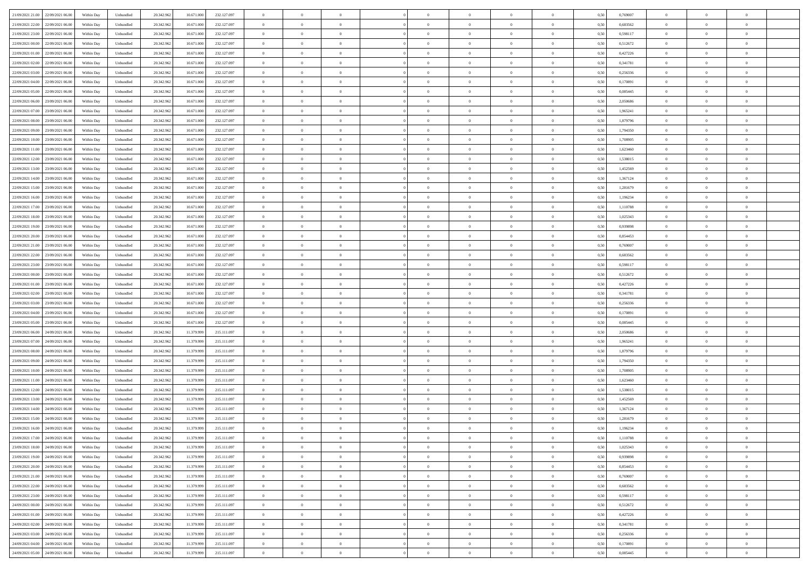| 21/09/2021 21:00<br>22/09/2021 06:00 | Within Day | Unbundled | 20.342.962 | 10.671.000 | 232.127.097 | $\overline{0}$ | $\overline{0}$   | $\overline{0}$ | $\theta$       | $\theta$       |                | $\overline{0}$ | 0,50 | 0,769007 | $\theta$       | $\theta$       | $\overline{0}$ |  |
|--------------------------------------|------------|-----------|------------|------------|-------------|----------------|------------------|----------------|----------------|----------------|----------------|----------------|------|----------|----------------|----------------|----------------|--|
|                                      |            |           |            |            |             |                |                  |                |                |                |                |                |      |          |                |                |                |  |
| 21/09/2021 22.00<br>22/09/2021 06.00 | Within Day | Unbundled | 20.342.96  | 10.671.000 | 232.127.097 | $\overline{0}$ | $\overline{0}$   | $\overline{0}$ | $\,$ 0 $\,$    | $\bf{0}$       | $\overline{0}$ | $\bf{0}$       | 0,50 | 0,683562 | $\,$ 0 $\,$    | $\theta$       | $\overline{0}$ |  |
| 21/09/2021 23.00<br>22/09/2021 06:00 | Within Day | Unbundled | 20.342.962 | 10.671.000 | 232.127.097 | $\overline{0}$ | $\overline{0}$   | $\overline{0}$ | $\bf{0}$       | $\bf{0}$       | $\overline{0}$ | $\mathbf{0}$   | 0.50 | 0.598117 | $\bf{0}$       | $\overline{0}$ | $\overline{0}$ |  |
| 22/09/2021 00:00<br>22/09/2021 06.00 | Within Day | Unbundled | 20.342.962 | 10.671.000 | 232.127.097 | $\overline{0}$ | $\overline{0}$   | $\overline{0}$ | $\overline{0}$ | $\overline{0}$ | $\overline{0}$ | $\bf{0}$       | 0,50 | 0,512672 | $\theta$       | $\theta$       | $\overline{0}$ |  |
|                                      |            |           |            |            |             |                | $\overline{0}$   |                |                |                |                |                |      |          |                | $\theta$       |                |  |
| 22/09/2021 01:00<br>22/09/2021 06.00 | Within Day | Unbundled | 20.342.96  | 10.671.000 | 232.127.097 | $\bf{0}$       |                  | $\bf{0}$       | $\bf{0}$       | $\overline{0}$ | $\overline{0}$ | $\bf{0}$       | 0,50 | 0,427226 | $\,$ 0 $\,$    |                | $\overline{0}$ |  |
| 22/09/2021 02.00<br>22/09/2021 06:00 | Within Day | Unbundled | 20.342.962 | 10.671.000 | 232.127.097 | $\overline{0}$ | $\overline{0}$   | $\overline{0}$ | $\bf{0}$       | $\overline{0}$ | $\overline{0}$ | $\mathbf{0}$   | 0.50 | 0.341781 | $\bf{0}$       | $\theta$       | $\overline{0}$ |  |
| 22/09/2021 03:00<br>22/09/2021 06.00 | Within Day | Unbundled | 20.342.962 | 10.671.000 | 232.127.097 | $\overline{0}$ | $\overline{0}$   | $\overline{0}$ | $\overline{0}$ | $\overline{0}$ | $\overline{0}$ | $\bf{0}$       | 0,50 | 0,256336 | $\theta$       | $\theta$       | $\overline{0}$ |  |
| 22/09/2021 04:00<br>22/09/2021 06.00 | Within Day | Unbundled | 20.342.96  | 10.671.000 | 232.127.097 | $\overline{0}$ | $\overline{0}$   | $\overline{0}$ | $\bf{0}$       | $\bf{0}$       | $\overline{0}$ | $\bf{0}$       | 0,50 | 0,170891 | $\,$ 0 $\,$    | $\bf{0}$       | $\overline{0}$ |  |
| 22/09/2021 05:00<br>22/09/2021 06:00 | Within Day | Unbundled | 20.342.962 | 10.671.000 | 232.127.097 | $\overline{0}$ | $\overline{0}$   | $\overline{0}$ | $\bf{0}$       | $\overline{0}$ | $\overline{0}$ | $\mathbf{0}$   | 0.50 | 0.085445 | $\,$ 0 $\,$    | $\theta$       | $\overline{0}$ |  |
|                                      |            |           |            |            |             |                |                  |                |                |                |                |                |      |          |                |                |                |  |
| 22/09/2021 06:00<br>23/09/2021 06:00 | Within Day | Unbundled | 20.342.962 | 10.671.000 | 232.127.097 | $\overline{0}$ | $\overline{0}$   | $\overline{0}$ | $\bf{0}$       | $\overline{0}$ | $\overline{0}$ | $\bf{0}$       | 0,50 | 2,050686 | $\,$ 0 $\,$    | $\theta$       | $\overline{0}$ |  |
| 22/09/2021 07:00<br>23/09/2021 06.0  | Within Day | Unbundled | 20.342.96  | 10.671.000 | 232.127.097 | $\overline{0}$ | $\overline{0}$   | $\overline{0}$ | $\bf{0}$       | $\overline{0}$ | $\overline{0}$ | $\bf{0}$       | 0,50 | 1,965241 | $\,$ 0 $\,$    | $\bf{0}$       | $\overline{0}$ |  |
| 22/09/2021 08:00<br>23/09/2021 06:00 | Within Day | Unbundled | 20.342.962 | 10.671.000 | 232.127.097 | $\overline{0}$ | $\overline{0}$   | $\overline{0}$ | $\bf{0}$       | $\bf{0}$       | $\overline{0}$ | $\,$ 0 $\,$    | 0.50 | 1.879796 | $\bf{0}$       | $\overline{0}$ | $\overline{0}$ |  |
| 22/09/2021 09:00<br>23/09/2021 06:00 | Within Day | Unbundled | 20.342.962 | 10.671.000 | 232.127.097 | $\overline{0}$ | $\overline{0}$   | $\overline{0}$ | $\overline{0}$ | $\overline{0}$ | $\overline{0}$ | $\bf{0}$       | 0,50 | 1,794350 | $\theta$       | $\theta$       | $\overline{0}$ |  |
| 22/09/2021 10:00<br>23/09/2021 06.00 | Within Day | Unbundled | 20.342.96  | 10.671.000 | 232.127.097 | $\overline{0}$ | $\overline{0}$   | $\overline{0}$ | $\bf{0}$       | $\bf{0}$       | $\overline{0}$ | $\bf{0}$       | 0,50 | 1,708905 | $\,$ 0 $\,$    | $\bf{0}$       | $\overline{0}$ |  |
|                                      |            |           |            |            |             |                |                  |                |                |                |                |                |      |          |                |                |                |  |
| 22/09/2021 11:00<br>23/09/2021 06:00 | Within Day | Unbundled | 20.342.962 | 10.671.000 | 232.127.097 | $\overline{0}$ | $\overline{0}$   | $\overline{0}$ | $\overline{0}$ | $\overline{0}$ | $\overline{0}$ | $\mathbf{0}$   | 0.50 | 1.623460 | $\theta$       | $\theta$       | $\overline{0}$ |  |
| 22/09/2021 12:00<br>23/09/2021 06:00 | Within Day | Unbundled | 20.342.962 | 10.671.000 | 232.127.097 | $\overline{0}$ | $\overline{0}$   | $\overline{0}$ | $\overline{0}$ | $\overline{0}$ | $\overline{0}$ | $\bf{0}$       | 0,50 | 1,538015 | $\theta$       | $\theta$       | $\overline{0}$ |  |
| 22/09/2021 13:00<br>23/09/2021 06.00 | Within Day | Unbundled | 20.342.96  | 10.671.000 | 232.127.097 | $\overline{0}$ | $\overline{0}$   | $\overline{0}$ | $\bf{0}$       | $\overline{0}$ | $\overline{0}$ | $\bf{0}$       | 0,50 | 1,452569 | $\,$ 0 $\,$    | $\theta$       | $\overline{0}$ |  |
| 22/09/2021 14:00<br>23/09/2021 06:00 | Within Day | Unbundled | 20.342.962 | 10.671.000 | 232.127.097 | $\overline{0}$ | $\overline{0}$   | $\overline{0}$ | $\overline{0}$ | $\bf{0}$       | $\overline{0}$ | $\mathbf{0}$   | 0.50 | 1.367124 | $\,$ 0 $\,$    | $\overline{0}$ | $\overline{0}$ |  |
| 22/09/2021 15:00<br>23/09/2021 06:00 | Within Day | Unbundled | 20.342.962 | 10.671.000 | 232.127.097 | $\overline{0}$ | $\overline{0}$   | $\overline{0}$ | $\overline{0}$ | $\overline{0}$ | $\overline{0}$ | $\bf{0}$       | 0,50 | 1,281679 | $\,$ 0 $\,$    | $\theta$       | $\overline{0}$ |  |
|                                      |            |           |            |            |             |                |                  |                |                |                |                |                |      |          |                |                |                |  |
| 22/09/2021 16.00<br>23/09/2021 06.00 | Within Day | Unbundled | 20.342.96  | 10.671.000 | 232.127.097 | $\overline{0}$ | $\overline{0}$   | $\overline{0}$ | $\bf{0}$       | $\bf{0}$       | $\overline{0}$ | $\bf{0}$       | 0,50 | 1,196234 | $\,$ 0 $\,$    | $\bf{0}$       | $\overline{0}$ |  |
| 22/09/2021 17.00<br>23/09/2021 06:00 | Within Day | Unbundled | 20.342.962 | 10.671.000 | 232.127.097 | $\overline{0}$ | $\overline{0}$   | $\overline{0}$ | $\bf{0}$       | $\bf{0}$       | $\overline{0}$ | $\mathbf{0}$   | 0.50 | 1.110788 | $\bf{0}$       | $\overline{0}$ | $\overline{0}$ |  |
| 22/09/2021 18:00<br>23/09/2021 06:00 | Within Day | Unbundled | 20.342.962 | 10.671.000 | 232.127.097 | $\overline{0}$ | $\overline{0}$   | $\overline{0}$ | $\overline{0}$ | $\overline{0}$ | $\overline{0}$ | $\,$ 0 $\,$    | 0,50 | 1,025343 | $\theta$       | $\theta$       | $\overline{0}$ |  |
| 22/09/2021 19:00<br>23/09/2021 06.00 | Within Day | Unbundled | 20.342.96  | 10.671.000 | 232.127.097 | $\overline{0}$ | $\overline{0}$   | $\overline{0}$ | $\bf{0}$       | $\overline{0}$ | $\overline{0}$ | $\bf{0}$       | 0,50 | 0,939898 | $\,$ 0 $\,$    | $\bf{0}$       | $\overline{0}$ |  |
| 23/09/2021 06:00                     |            |           |            | 10.671.000 | 232.127.097 |                |                  |                |                | $\overline{0}$ |                |                |      |          |                | $\theta$       | $\overline{0}$ |  |
| 22/09/2021 20.00                     | Within Day | Unbundled | 20.342.962 |            |             | $\overline{0}$ | $\overline{0}$   | $\overline{0}$ | $\overline{0}$ |                | $\overline{0}$ | $\mathbf{0}$   | 0.50 | 0.854453 | $\bf{0}$       |                |                |  |
| 22/09/2021 21:00<br>23/09/2021 06.00 | Within Day | Unbundled | 20.342.962 | 10.671.000 | 232.127.097 | $\overline{0}$ | $\overline{0}$   | $\overline{0}$ | $\overline{0}$ | $\overline{0}$ | $\overline{0}$ | $\bf{0}$       | 0,50 | 0,769007 | $\theta$       | $\theta$       | $\overline{0}$ |  |
| 22/09/2021 22:00<br>23/09/2021 06.00 | Within Day | Unbundled | 20.342.96  | 10.671.000 | 232.127.097 | $\overline{0}$ | $\overline{0}$   | $\overline{0}$ | $\bf{0}$       | $\overline{0}$ | $\overline{0}$ | $\bf{0}$       | 0,50 | 0,683562 | $\,$ 0 $\,$    | $\theta$       | $\overline{0}$ |  |
| 22/09/2021 23:00<br>23/09/2021 06:00 | Within Day | Unbundled | 20.342.962 | 10.671.000 | 232.127.097 | $\overline{0}$ | $\overline{0}$   | $\overline{0}$ | $\bf{0}$       | $\bf{0}$       | $\overline{0}$ | $\mathbf{0}$   | 0.50 | 0.598117 | $\,$ 0 $\,$    | $\theta$       | $\overline{0}$ |  |
| 23/09/2021 00:00<br>23/09/2021 06:00 | Within Day | Unbundled | 20.342.962 | 10.671.000 | 232.127.097 | $\overline{0}$ | $\overline{0}$   | $\overline{0}$ | $\overline{0}$ | $\overline{0}$ | $\overline{0}$ | $\bf{0}$       | 0,50 | 0,512672 | $\theta$       | $\theta$       | $\overline{0}$ |  |
|                                      |            |           |            |            |             |                |                  |                |                |                |                |                |      |          |                |                |                |  |
| 23/09/2021 01:00<br>23/09/2021 06.00 | Within Day | Unbundled | 20.342.96  | 10.671.000 | 232.127.097 | $\overline{0}$ | $\overline{0}$   | $\overline{0}$ | $\overline{0}$ | $\bf{0}$       | $\overline{0}$ | $\bf{0}$       | 0,50 | 0,427226 | $\,$ 0 $\,$    | $\bf{0}$       | $\overline{0}$ |  |
| 23/09/2021 02.00<br>23/09/2021 06:00 | Within Day | Unbundled | 20.342.962 | 10.671.000 | 232.127.097 | $\overline{0}$ | $\overline{0}$   | $\overline{0}$ | $\bf{0}$       | $\bf{0}$       | $\overline{0}$ | $\,$ 0 $\,$    | 0.50 | 0.341781 | $\bf{0}$       | $\overline{0}$ | $\overline{0}$ |  |
| 23/09/2021 03:00<br>23/09/2021 06:00 | Within Day | Unbundled | 20.342.962 | 10.671.000 | 232.127.097 | $\overline{0}$ | $\overline{0}$   | $\overline{0}$ | $\overline{0}$ | $\overline{0}$ | $\overline{0}$ | $\overline{0}$ | 0.50 | 0,256336 | $\theta$       | $\theta$       | $\overline{0}$ |  |
| 23/09/2021 04:00<br>23/09/2021 06.00 | Within Day | Unbundled | 20.342.962 | 10.671.000 | 232.127.097 | $\overline{0}$ | $\overline{0}$   | $\overline{0}$ | $\bf{0}$       | $\overline{0}$ | $\overline{0}$ | $\bf{0}$       | 0,50 | 0,170891 | $\,$ 0 $\,$    | $\bf{0}$       | $\overline{0}$ |  |
| 23/09/2021 05:00<br>23/09/2021 06:00 | Within Day | Unbundled | 20.342.962 | 10.671.000 | 232.127.097 | $\overline{0}$ | $\overline{0}$   | $\overline{0}$ | $\overline{0}$ | $\overline{0}$ | $\overline{0}$ | $\mathbf{0}$   | 0.50 | 0.085445 | $\bf{0}$       | $\theta$       | $\overline{0}$ |  |
| 23/09/2021 06:00<br>24/09/2021 06:00 | Within Day | Unbundled | 20.342.962 | 11.379.999 | 215.111.097 | $\overline{0}$ | $\overline{0}$   | $\overline{0}$ | $\overline{0}$ | $\overline{0}$ | $\overline{0}$ | $\overline{0}$ | 0.50 | 2.050686 | $\theta$       | $\theta$       | $\overline{0}$ |  |
|                                      |            |           |            |            |             |                |                  |                |                |                |                |                |      |          |                |                |                |  |
| 23/09/2021 07:00<br>24/09/2021 06.0  | Within Day | Unbundled | 20.342.96  | 11.379.999 | 215.111.097 | $\overline{0}$ | $\overline{0}$   | $\overline{0}$ | $\bf{0}$       | $\overline{0}$ | $\overline{0}$ | $\bf{0}$       | 0,50 | 1,965241 | $\,$ 0 $\,$    | $\bf{0}$       | $\overline{0}$ |  |
| 23/09/2021 08:00<br>24/09/2021 06:00 | Within Day | Unbundled | 20.342.962 | 11.379.999 | 215.111.097 | $\overline{0}$ | $\overline{0}$   | $\overline{0}$ | $\overline{0}$ | $\bf{0}$       | $\overline{0}$ | $\mathbf{0}$   | 0.50 | 1.879796 | $\,$ 0 $\,$    | $\theta$       | $\overline{0}$ |  |
| 23/09/2021 09:00<br>24/09/2021 06.00 | Within Day | Unbundled | 20.342.962 | 11.379.999 | 215.111.097 | $\overline{0}$ | $\overline{0}$   | $\overline{0}$ | $\overline{0}$ | $\overline{0}$ | $\overline{0}$ | $\overline{0}$ | 0.50 | 1,794350 | $\theta$       | $\theta$       | $\overline{0}$ |  |
| 23/09/2021 10:00<br>24/09/2021 06.0  | Within Day | Unbundled | 20.342.96  | 11.379.999 | 215.111.097 | $\overline{0}$ | $\overline{0}$   | $\overline{0}$ | $\,$ 0 $\,$    | $\bf{0}$       | $\overline{0}$ | $\bf{0}$       | 0,50 | 1,708905 | $\,$ 0 $\,$    | $\bf{0}$       | $\overline{0}$ |  |
| 23/09/2021 11:00<br>24/09/2021 06:00 | Within Day | Unbundled | 20.342.962 | 11.379.999 | 215.111.097 | $\overline{0}$ | $\overline{0}$   | $\overline{0}$ | $\bf{0}$       | $\bf{0}$       | $\overline{0}$ | $\mathbf{0}$   | 0.50 | 1.623460 | $\bf{0}$       | $\overline{0}$ | $\overline{0}$ |  |
|                                      |            |           |            |            |             |                |                  |                |                |                |                |                |      |          |                |                |                |  |
| 23/09/2021 12:00<br>24/09/2021 06:00 | Within Day | Unbundled | 20.342.962 | 11.379.999 | 215.111.097 | $\overline{0}$ | $\overline{0}$   | $\overline{0}$ | $\overline{0}$ | $\overline{0}$ | $\overline{0}$ | $\overline{0}$ | 0.50 | 1,538015 | $\theta$       | $\theta$       | $\overline{0}$ |  |
| 23/09/2021 13:00<br>24/09/2021 06.0  | Within Day | Unbundled | 20.342.962 | 11.379.999 | 215.111.097 | $\overline{0}$ | $\overline{0}$   | $\overline{0}$ | $\bf{0}$       | $\bf{0}$       | $\overline{0}$ | $\bf{0}$       | 0,50 | 1,452569 | $\,$ 0 $\,$    | $\bf{0}$       | $\overline{0}$ |  |
| 23/09/2021 14:00<br>24/09/2021 06:00 | Within Day | Unbundled | 20.342.962 | 11.379.999 | 215.111.097 | $\overline{0}$ | $\overline{0}$   | $\overline{0}$ | $\overline{0}$ | $\overline{0}$ | $\overline{0}$ | $\mathbf{0}$   | 0.50 | 1.367124 | $\,$ 0 $\,$    | $\theta$       | $\overline{0}$ |  |
| 23/09/2021 15:00<br>24/09/2021 06.00 | Within Day | Unbundled | 20.342.962 | 11.379.999 | 215.111.097 | $\overline{0}$ | $\overline{0}$   | $\overline{0}$ | $\overline{0}$ | $\overline{0}$ | $\Omega$       | $\overline{0}$ | 0.50 | 1,281679 | $\theta$       | $\theta$       | $\overline{0}$ |  |
| 23/09/2021 16:00<br>24/09/2021 06.00 | Within Day | Unbundled | 20.342.962 | 11.379.999 | 215.111.097 | $\overline{0}$ | $\overline{0}$   | $\bf{0}$       | $\,$ 0 $\,$    | $\bf{0}$       | $\overline{0}$ | $\bf{0}$       | 0,50 | 1,196234 | $\,$ 0 $\,$    | $\bf{0}$       | $\overline{0}$ |  |
|                                      |            |           |            |            |             |                |                  |                |                |                |                |                |      |          |                |                |                |  |
| 23/09/2021 17:00 24/09/2021 06:00    | Within Day | Unbundled | 20.342.962 | 11.379.999 | 215.111.097 | $\bf{0}$       | $\boldsymbol{0}$ |                | $\bf{0}$       |                |                | $\Omega$       | 0,50 | 1.110788 | $\theta$       | $\overline{0}$ |                |  |
| 23/09/2021 18:00 24/09/2021 06:00    | Within Dav | Unbundled | 20.342.962 | 11.379.999 | 215.111.097 | $\overline{0}$ | $\overline{0}$   | $\overline{0}$ | $\overline{0}$ | $\overline{0}$ | $\overline{0}$ | $\overline{0}$ | 0,50 | 1,025343 | $\theta$       | $\theta$       | $\overline{0}$ |  |
| 23/09/2021 19:00<br>24/09/2021 06.00 | Within Day | Unbundled | 20.342.962 | 11.379.999 | 215.111.097 | $\overline{0}$ | $\overline{0}$   | $\overline{0}$ | $\bf{0}$       | $\bf{0}$       | $\overline{0}$ | $\mathbf{0}$   | 0,50 | 0,939898 | $\overline{0}$ | $\overline{0}$ | $\bf{0}$       |  |
| 23/09/2021 20:00<br>24/09/2021 06:00 | Within Day | Unbundled | 20.342.962 | 11.379.999 | 215.111.097 | $\overline{0}$ | $\overline{0}$   | $\overline{0}$ | $\overline{0}$ | $\bf{0}$       | $\overline{0}$ | $\mathbf{0}$   | 0.50 | 0.854453 | $\,$ 0 $\,$    | $\bf{0}$       | $\,$ 0 $\,$    |  |
| 23/09/2021 21:00<br>24/09/2021 06:00 | Within Dav | Unbundled | 20.342.962 | 11.379.999 | 215.111.097 | $\overline{0}$ | $\overline{0}$   | $\overline{0}$ | $\overline{0}$ | $\overline{0}$ | $\overline{0}$ | $\mathbf{0}$   | 0,50 | 0,769007 | $\overline{0}$ | $\theta$       | $\overline{0}$ |  |
|                                      |            |           |            |            |             |                |                  |                |                |                |                |                |      |          |                |                |                |  |
| 23/09/2021 22.00<br>24/09/2021 06:00 | Within Day | Unbundled | 20.342.962 | 11.379.999 | 215.111.097 | $\overline{0}$ | $\overline{0}$   | $\overline{0}$ | $\bf{0}$       | $\bf{0}$       | $\overline{0}$ | $\mathbf{0}$   | 0,50 | 0,683562 | $\overline{0}$ | $\bf{0}$       | $\overline{0}$ |  |
| 23/09/2021 23.00<br>24/09/2021 06.00 | Within Day | Unbundled | 20.342.962 | 11.379.999 | 215.111.097 | $\overline{0}$ | $\overline{0}$   | $\overline{0}$ | $\bf{0}$       | $\overline{0}$ | $\overline{0}$ | $\mathbf{0}$   | 0.50 | 0.598117 | $\,$ 0 $\,$    | $\theta$       | $\,$ 0         |  |
| 24/09/2021 00:00<br>24/09/2021 06:00 | Within Day | Unbundled | 20.342.962 | 11.379.999 | 215.111.097 | $\overline{0}$ | $\overline{0}$   | $\overline{0}$ | $\overline{0}$ | $\overline{0}$ | $\overline{0}$ | $\mathbf{0}$   | 0,50 | 0,512672 | $\overline{0}$ | $\theta$       | $\overline{0}$ |  |
| 24/09/2021 01:00<br>24/09/2021 06:00 | Within Day | Unbundled | 20.342.962 | 11.379.999 | 215.111.097 | $\overline{0}$ | $\overline{0}$   | $\overline{0}$ | $\bf{0}$       | $\overline{0}$ | $\overline{0}$ | $\,$ 0 $\,$    | 0,50 | 0,427226 | $\bf{0}$       | $\bf{0}$       | $\overline{0}$ |  |
| 24/09/2021 06:00<br>24/09/2021 02.00 | Within Day | Unbundled | 20.342.962 | 11.379.999 | 215.111.097 | $\overline{0}$ | $\overline{0}$   | $\overline{0}$ | $\bf{0}$       | $\overline{0}$ | $\overline{0}$ | $\,$ 0 $\,$    | 0.50 | 0.341781 | $\overline{0}$ | $\bf{0}$       | $\,$ 0         |  |
|                                      |            |           |            |            |             |                |                  |                |                |                |                |                |      |          |                |                |                |  |
| 24/09/2021 03:00<br>24/09/2021 06:00 | Within Dav | Unbundled | 20.342.962 | 11.379.999 | 215.111.097 | $\overline{0}$ | $\overline{0}$   | $\overline{0}$ | $\overline{0}$ | $\overline{0}$ | $\overline{0}$ | $\mathbf{0}$   | 0,50 | 0,256336 | $\overline{0}$ | $\theta$       | $\overline{0}$ |  |
| 24/09/2021 04:00<br>24/09/2021 06.0  | Within Day | Unbundled | 20.342.962 | 11.379.999 | 215.111.097 | $\overline{0}$ | $\overline{0}$   | $\overline{0}$ | $\overline{0}$ | $\bf{0}$       | $\overline{0}$ | $\mathbf{0}$   | 0,50 | 0,170891 | $\bf{0}$       | $\bf{0}$       | $\overline{0}$ |  |
| 24/09/2021 05:00 24/09/2021 06:00    | Within Day | Unbundled | 20.342.962 | 11.379.999 | 215.111.097 | $\overline{0}$ | $\overline{0}$   | $\overline{0}$ | $\bf{0}$       | $\,$ 0         | $\overline{0}$ | $\,0\,$        | 0,50 | 0,085445 | $\overline{0}$ | $\,$ 0 $\,$    | $\,$ 0 $\,$    |  |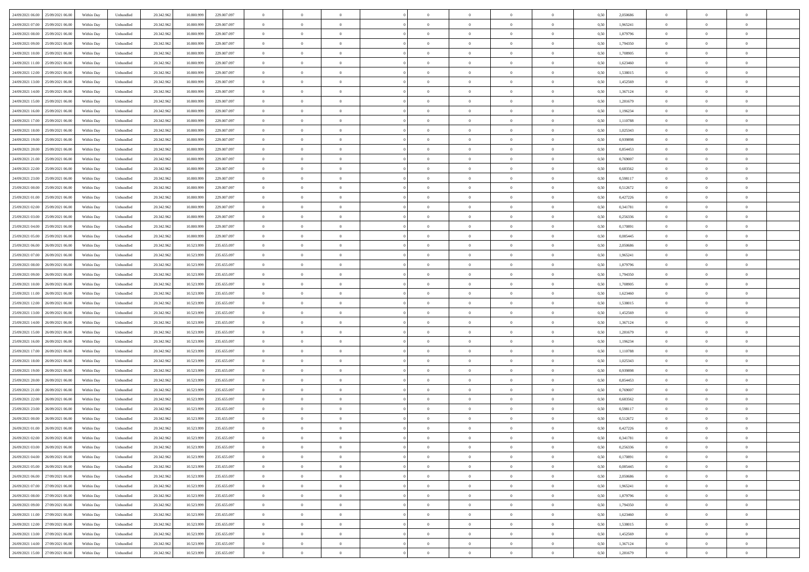| 24/09/2021 06:00 25/09/2021 06:00            | Within Day | Unbundled                   | 20.342.962 | 10.800.999 | 229.007.097 | $\overline{0}$ | $\theta$       |                | $\overline{0}$ | $\theta$       |                | $\theta$       | 0,50 | 2,050686 | $\theta$       | $\theta$       | $\overline{0}$ |  |
|----------------------------------------------|------------|-----------------------------|------------|------------|-------------|----------------|----------------|----------------|----------------|----------------|----------------|----------------|------|----------|----------------|----------------|----------------|--|
| 24/09/2021 07:00<br>25/09/2021 06.00         | Within Day | Unbundled                   | 20.342.96  | 10.800.99  | 229.007.097 | $\bf{0}$       | $\overline{0}$ | $\bf{0}$       | $\overline{0}$ | $\bf{0}$       | $\overline{0}$ | $\bf{0}$       | 0,50 | 1,965241 | $\,$ 0 $\,$    | $\bf{0}$       | $\overline{0}$ |  |
| 24/09/2021 08:00<br>25/09/2021 06:00         | Within Day | Unbundled                   | 20.342.962 | 10,800,999 | 229.007.097 | $\overline{0}$ | $\bf{0}$       | $\overline{0}$ | $\bf{0}$       | $\bf{0}$       | $\overline{0}$ | $\bf{0}$       | 0.50 | 1.879796 | $\bf{0}$       | $\overline{0}$ | $\overline{0}$ |  |
| 24/09/2021 09:00<br>25/09/2021 06:00         |            |                             | 20.342.96  |            |             | $\overline{0}$ | $\overline{0}$ | $\overline{0}$ | $\theta$       | $\theta$       | $\overline{0}$ | $\bf{0}$       |      | 1,794350 | $\theta$       | $\theta$       | $\overline{0}$ |  |
|                                              | Within Day | Unbundled                   |            | 10.800.999 | 229.007.097 |                |                |                |                |                |                |                | 0,50 |          |                |                |                |  |
| 24/09/2021 10:00<br>25/09/2021 06.00         | Within Day | Unbundled                   | 20.342.96  | 10.800.99  | 229.007.097 | $\overline{0}$ | $\overline{0}$ | $\overline{0}$ | $\overline{0}$ | $\theta$       | $\overline{0}$ | $\bf{0}$       | 0,50 | 1,708905 | $\,$ 0 $\,$    | $\bf{0}$       | $\overline{0}$ |  |
| 24/09/2021 11:00<br>25/09/2021 06:00         | Within Day | Unbundled                   | 20.342.962 | 10.800.999 | 229.007.097 | $\overline{0}$ | $\overline{0}$ | $\overline{0}$ | $\bf{0}$       | $\overline{0}$ | $\Omega$       | $\bf{0}$       | 0.50 | 1.623460 | $\,$ 0 $\,$    | $\theta$       | $\overline{0}$ |  |
| 24/09/2021 12:00<br>25/09/2021 06:00         | Within Day | Unbundled                   | 20.342.96  | 10.800.999 | 229.007.097 | $\overline{0}$ | $\overline{0}$ | $\overline{0}$ | $\overline{0}$ | $\overline{0}$ | $\overline{0}$ | $\bf{0}$       | 0,50 | 1,538015 | $\theta$       | $\theta$       | $\overline{0}$ |  |
|                                              |            |                             |            |            |             |                |                |                |                |                |                |                |      |          |                |                |                |  |
| 24/09/2021 13:00<br>25/09/2021 06.00         | Within Day | Unbundled                   | 20.342.96  | 10.800.99  | 229.007.097 | $\bf{0}$       | $\overline{0}$ | $\overline{0}$ | $\overline{0}$ | $\theta$       | $\overline{0}$ | $\bf{0}$       | 0,50 | 1,452569 | $\,$ 0 $\,$    | $\bf{0}$       | $\overline{0}$ |  |
| 24/09/2021 14:00<br>25/09/2021 06:00         | Within Day | Unbundled                   | 20.342.96  | 10.800.999 | 229,007,097 | $\overline{0}$ | $\bf{0}$       | $\overline{0}$ | $\bf{0}$       | $\overline{0}$ | $\overline{0}$ | $\bf{0}$       | 0.50 | 1.367124 | $\bf{0}$       | $\theta$       | $\overline{0}$ |  |
| 24/09/2021 15:00<br>25/09/2021 06:00         | Within Day | Unbundled                   | 20.342.962 | 10.800.999 | 229.007.097 | $\overline{0}$ | $\bf{0}$       | $\overline{0}$ | $\overline{0}$ | $\theta$       | $\overline{0}$ | $\bf{0}$       | 0,50 | 1,281679 | $\,$ 0 $\,$    | $\theta$       | $\overline{0}$ |  |
| 24/09/2021 16:00<br>25/09/2021 06.00         | Within Day | Unbundled                   | 20.342.96  | 10.800.999 | 229.007.097 | $\bf{0}$       | $\overline{0}$ | $\bf{0}$       | $\bf{0}$       | $\bf{0}$       | $\overline{0}$ | $\bf{0}$       | 0,50 | 1,196234 | $\,$ 0 $\,$    | $\bf{0}$       | $\overline{0}$ |  |
|                                              |            |                             |            |            |             |                |                |                |                |                |                |                |      |          |                |                |                |  |
| 24/09/2021 17:00<br>25/09/2021 06:00         | Within Day | Unbundled                   | 20.342.962 | 10,800,999 | 229.007.097 | $\overline{0}$ | $\bf{0}$       | $\overline{0}$ | $\bf{0}$       | $\bf{0}$       | $\overline{0}$ | $\bf{0}$       | 0.50 | 1,110788 | $\bf{0}$       | $\overline{0}$ | $\overline{0}$ |  |
| 24/09/2021 18:00<br>25/09/2021 06:00         | Within Day | Unbundled                   | 20.342.96  | 10.800.999 | 229.007.097 | $\overline{0}$ | $\overline{0}$ | $\overline{0}$ | $\overline{0}$ | $\theta$       | $\overline{0}$ | $\overline{0}$ | 0,50 | 1,025343 | $\,$ 0 $\,$    | $\theta$       | $\overline{0}$ |  |
| 24/09/2021 19:00<br>25/09/2021 06.00         | Within Day | Unbundled                   | 20.342.96  | 10.800.99  | 229.007.097 | $\bf{0}$       | $\theta$       | $\bf{0}$       | $\overline{0}$ | $\theta$       | $\overline{0}$ | $\bf{0}$       | 0,50 | 0,939898 | $\bf{0}$       | $\bf{0}$       | $\overline{0}$ |  |
|                                              |            |                             |            |            |             |                |                |                |                |                |                |                |      |          |                |                |                |  |
| 24/09/2021 20:00<br>25/09/2021 06:00         | Within Day | Unbundled                   | 20.342.962 | 10,800,999 | 229.007.097 | $\overline{0}$ | $\overline{0}$ | $\overline{0}$ | $\bf{0}$       | $\theta$       | $\theta$       | $\bf{0}$       | 0.50 | 0.854453 | $\theta$       | $\theta$       | $\overline{0}$ |  |
| 24/09/2021 21:00<br>25/09/2021 06:00         | Within Day | Unbundled                   | 20.342.962 | 10.800.999 | 229.007.097 | $\overline{0}$ | $\overline{0}$ | $\overline{0}$ | $\overline{0}$ | $\overline{0}$ | $\overline{0}$ | $\bf{0}$       | 0,50 | 0,769007 | $\theta$       | $\theta$       | $\overline{0}$ |  |
| 24/09/2021 22:00<br>25/09/2021 06.00         | Within Day | Unbundled                   | 20.342.96  | 10.800.999 | 229.007.097 | $\bf{0}$       | $\overline{0}$ | $\overline{0}$ | $\overline{0}$ | $\theta$       | $\overline{0}$ | $\bf{0}$       | 0,50 | 0,683562 | $\,$ 0 $\,$    | $\bf{0}$       | $\overline{0}$ |  |
| 24/09/2021 23:00<br>25/09/2021 06:00         | Within Day | Unbundled                   | 20.342.96  | 10.800.999 | 229.007.097 | $\overline{0}$ | $\bf{0}$       | $\overline{0}$ | $\bf{0}$       | $\overline{0}$ | $\overline{0}$ | $\bf{0}$       | 0.50 | 0.598117 | $\bf{0}$       | $\overline{0}$ | $\overline{0}$ |  |
| 25/09/2021 00:00<br>25/09/2021 06:00         |            |                             |            |            |             | $\overline{0}$ | $\overline{0}$ | $\overline{0}$ | $\overline{0}$ | $\overline{0}$ | $\overline{0}$ |                |      |          | $\,$ 0 $\,$    | $\theta$       | $\overline{0}$ |  |
|                                              | Within Day | Unbundled                   | 20.342.962 | 10.800.999 | 229.007.097 |                |                |                |                |                |                | $\bf{0}$       | 0,50 | 0,512672 |                |                |                |  |
| 25/09/2021 01:00<br>25/09/2021 06.00         | Within Day | Unbundled                   | 20.342.96  | 10.800.99  | 229.007.097 | $\bf{0}$       | $\overline{0}$ | $\bf{0}$       | $\bf{0}$       | $\overline{0}$ | $\overline{0}$ | $\bf{0}$       | 0,50 | 0,427226 | $\,$ 0 $\,$    | $\bf{0}$       | $\overline{0}$ |  |
| 25/09/2021 02:00<br>25/09/2021 06:00         | Within Day | Unbundled                   | 20.342.962 | 10.800.999 | 229.007.097 | $\overline{0}$ | $\bf{0}$       | $\overline{0}$ | $\bf{0}$       | $\bf{0}$       | $\overline{0}$ | $\bf{0}$       | 0.50 | 0.341781 | $\bf{0}$       | $\overline{0}$ | $\overline{0}$ |  |
| 25/09/2021 03:00<br>25/09/2021 06:00         | Within Day | Unbundled                   | 20.342.96  | 10.800.999 | 229.007.097 | $\overline{0}$ | $\overline{0}$ | $\overline{0}$ | $\theta$       | $\theta$       | $\overline{0}$ | $\bf{0}$       | 0,50 | 0,256336 | $\theta$       | $\theta$       | $\overline{0}$ |  |
|                                              |            |                             |            |            |             |                | $\overline{0}$ |                |                | $\theta$       | $\overline{0}$ |                |      |          | $\,$ 0 $\,$    | $\bf{0}$       | $\overline{0}$ |  |
| 25/09/2021 04:00<br>25/09/2021 06.00         | Within Day | Unbundled                   | 20.342.96  | 10.800.999 | 229.007.097 | $\bf{0}$       |                | $\bf{0}$       | $\bf{0}$       |                |                | $\bf{0}$       | 0,50 | 0,170891 |                |                |                |  |
| 25/09/2021 05:00<br>25/09/2021 06:00         | Within Day | Unbundled                   | 20.342.962 | 10.800.999 | 229.007.097 | $\overline{0}$ | $\overline{0}$ | $\overline{0}$ | $\overline{0}$ | $\overline{0}$ | $\Omega$       | $\bf{0}$       | 0.50 | 0.085445 | $\,$ 0 $\,$    | $\theta$       | $\overline{0}$ |  |
| 25/09/2021 06:00<br>26/09/2021 06.00         | Within Day | Unbundled                   | 20.342.962 | 10.523.999 | 235.655.097 | $\overline{0}$ | $\overline{0}$ | $\overline{0}$ | $\overline{0}$ | $\overline{0}$ | $\overline{0}$ | $\bf{0}$       | 0,50 | 2,050686 | $\theta$       | $\theta$       | $\overline{0}$ |  |
| 25/09/2021 07:00<br>26/09/2021 06.00         | Within Day | Unbundled                   | 20.342.96  | 10.523.99  | 235.655.097 | $\bf{0}$       | $\overline{0}$ | $\overline{0}$ | $\overline{0}$ | $\theta$       | $\overline{0}$ | $\bf{0}$       | 0,50 | 1,965241 | $\,$ 0 $\,$    | $\bf{0}$       | $\overline{0}$ |  |
| 25/09/2021 08:00<br>26/09/2021 06:00         | Within Day | Unbundled                   | 20.342.96  | 10.523.999 | 235.655.097 | $\overline{0}$ | $\bf{0}$       | $\overline{0}$ | $\bf{0}$       | $\overline{0}$ | $\overline{0}$ | $\bf{0}$       | 0.50 | 1.879796 | $\bf{0}$       | $\overline{0}$ | $\overline{0}$ |  |
|                                              |            |                             |            |            |             |                |                |                |                |                |                |                |      |          |                |                |                |  |
| 25/09/2021 09:00<br>26/09/2021 06:00         | Within Day | Unbundled                   | 20.342.962 | 10.523.999 | 235.655.097 | $\overline{0}$ | $\overline{0}$ | $\overline{0}$ | $\overline{0}$ | $\overline{0}$ | $\overline{0}$ | $\bf{0}$       | 0,50 | 1,794350 | $\theta$       | $\theta$       | $\overline{0}$ |  |
| 25/09/2021 10:00<br>26/09/2021 06.00         | Within Day | Unbundled                   | 20.342.96  | 10.523.999 | 235.655.097 | $\bf{0}$       | $\bf{0}$       | $\bf{0}$       | $\bf{0}$       | $\overline{0}$ | $\overline{0}$ | $\bf{0}$       | 0,50 | 1,708905 | $\,$ 0 $\,$    | $\bf{0}$       | $\overline{0}$ |  |
| 25/09/2021 11:00<br>26/09/2021 06:00         | Within Day | Unbundled                   | 20.342.962 | 10.523.999 | 235.655.097 | $\overline{0}$ | $\bf{0}$       | $\overline{0}$ | $\bf{0}$       | $\bf{0}$       | $\overline{0}$ | $\bf{0}$       | 0.50 | 1.623460 | $\bf{0}$       | $\overline{0}$ | $\overline{0}$ |  |
| 25/09/2021 12:00<br>26/09/2021 06:00         | Within Day | Unbundled                   | 20.342.96  | 10.523.999 | 235.655.097 | $\overline{0}$ | $\overline{0}$ | $\overline{0}$ | $\overline{0}$ | $\overline{0}$ | $\overline{0}$ | $\bf{0}$       | 0.5( | 1,538015 | $\theta$       | $\theta$       | $\overline{0}$ |  |
|                                              |            |                             |            |            |             |                |                |                |                |                |                |                |      |          |                |                |                |  |
| 25/09/2021 13:00<br>26/09/2021 06.00         | Within Day | Unbundled                   | 20.342.96  | 10.523.99  | 235.655.097 | $\bf{0}$       | $\overline{0}$ | $\bf{0}$       | $\overline{0}$ | $\overline{0}$ | $\overline{0}$ | $\bf{0}$       | 0,50 | 1,452569 | $\,$ 0 $\,$    | $\bf{0}$       | $\overline{0}$ |  |
| 25/09/2021 14:00<br>26/09/2021 06:00         | Within Day | Unbundled                   | 20.342.962 | 10.523.999 | 235.655.097 | $\overline{0}$ | $\overline{0}$ | $\overline{0}$ | $\bf{0}$       | $\bf{0}$       | $\Omega$       | $\bf{0}$       | 0.50 | 1.367124 | $\,$ 0 $\,$    | $\theta$       | $\overline{0}$ |  |
| 25/09/2021 15:00<br>26/09/2021 06:00         | Within Dav | Unbundled                   | 20.342.96  | 10.523.999 | 235.655.097 | $\overline{0}$ | $\overline{0}$ | $\Omega$       | $\overline{0}$ | $\overline{0}$ | $\overline{0}$ | $\overline{0}$ | 0.5( | 1,281679 | $\theta$       | $\theta$       | $\overline{0}$ |  |
| 25/09/2021 16:00<br>26/09/2021 06.00         | Within Day | Unbundled                   | 20.342.96  | 10.523.999 | 235.655.097 | $\bf{0}$       | $\overline{0}$ | $\bf{0}$       | $\bf{0}$       | $\bf{0}$       | $\overline{0}$ | $\bf{0}$       | 0,50 | 1,196234 | $\,$ 0 $\,$    | $\bf{0}$       | $\overline{0}$ |  |
| 25/09/2021 17:00<br>26/09/2021 06:00         | Within Day | Unbundled                   | 20.342.96  | 10.523.999 | 235.655.097 | $\overline{0}$ | $\bf{0}$       | $\overline{0}$ | $\bf{0}$       | $\overline{0}$ | $\overline{0}$ | $\bf{0}$       | 0.50 | 1.110788 | $\bf{0}$       | $\overline{0}$ | $\overline{0}$ |  |
|                                              |            |                             |            |            |             |                |                |                |                |                |                |                |      |          |                |                |                |  |
| 25/09/2021 18:00<br>26/09/2021 06:00         | Within Dav | Unbundled                   | 20.342.96  | 10.523.999 | 235.655.097 | $\overline{0}$ | $\overline{0}$ | $\overline{0}$ | $\overline{0}$ | $\overline{0}$ | $\overline{0}$ | $\overline{0}$ | 0.50 | 1,025343 | $\theta$       | $\theta$       | $\overline{0}$ |  |
| 25/09/2021 19:00<br>26/09/2021 06.00         | Within Day | Unbundled                   | 20.342.96  | 10.523.999 | 235.655.097 | $\bf{0}$       | $\bf{0}$       | $\bf{0}$       | $\bf{0}$       | $\overline{0}$ | $\overline{0}$ | $\bf{0}$       | 0,50 | 0,939898 | $\,$ 0 $\,$    | $\bf{0}$       | $\overline{0}$ |  |
| 25/09/2021 20:00<br>26/09/2021 06:00         | Within Day | Unbundled                   | 20.342.962 | 10.523.999 | 235.655.097 | $\overline{0}$ | $\bf{0}$       | $\overline{0}$ | $\bf{0}$       | $\bf{0}$       | $\overline{0}$ | $\bf{0}$       | 0.50 | 0.854453 | $\bf{0}$       | $\overline{0}$ | $\overline{0}$ |  |
| 25/09/2021 21:00<br>26/09/2021 06:00         | Within Dav | Unbundled                   | 20.342.96  | 10.523.999 | 235.655.097 | $\overline{0}$ | $\overline{0}$ | $\Omega$       | $\overline{0}$ | $\overline{0}$ | $\overline{0}$ | $\bf{0}$       | 0.50 | 0,769007 | $\theta$       | $\theta$       | $\overline{0}$ |  |
|                                              |            |                             |            |            |             |                |                |                |                |                |                |                |      |          |                |                |                |  |
| 25/09/2021 22:00<br>26/09/2021 06.00         | Within Day | Unbundled                   | 20.342.96  | 10.523.999 | 235.655.097 | $\bf{0}$       | $\overline{0}$ | $\bf{0}$       | $\overline{0}$ | $\,$ 0 $\,$    | $\overline{0}$ | $\bf{0}$       | 0,50 | 0,683562 | $\,$ 0 $\,$    | $\bf{0}$       | $\overline{0}$ |  |
| 25/09/2021 23:00<br>26/09/2021 06:00         | Within Day | Unbundled                   | 20.342.962 | 10.523.999 | 235.655.097 | $\overline{0}$ | $\overline{0}$ | $\Omega$       | $\overline{0}$ | $\overline{0}$ | $\theta$       | $\bf{0}$       | 0.50 | 0.598117 | $\bf{0}$       | $\theta$       | $\overline{0}$ |  |
| 26/09/2021 00:00<br>26/09/2021 06:00         | Within Dav | Unbundled                   | 20.342.96  | 10.523.999 | 235.655.097 | $\overline{0}$ | $\overline{0}$ | $\Omega$       | $\overline{0}$ | $\theta$       | $\Omega$       | $\overline{0}$ | 0.5( | 0,512672 | $\theta$       | $\theta$       | $\overline{0}$ |  |
| 26/09/2021 01:00<br>26/09/2021 06.00         | Within Day | Unbundled                   | 20.342.96  | 10.523.999 | 235.655.097 | $\bf{0}$       | $\bf{0}$       | $\bf{0}$       | $\bf{0}$       | $\bf{0}$       | $\overline{0}$ | $\bf{0}$       | 0,50 | 0,427226 | $\,$ 0 $\,$    | $\bf{0}$       | $\overline{0}$ |  |
| $26/09/2021\ 02.00 \qquad 26/09/2021\ 06.00$ |            |                             |            |            | 235 655 097 |                |                |                |                |                |                |                |      |          |                |                |                |  |
|                                              | Within Day | $\ensuremath{\mathsf{Unb}}$ | 20.342.962 | 10.523.999 |             | $\overline{0}$ | $\Omega$       |                | $\overline{0}$ |                |                |                | 0,50 | 0,341781 | $\theta$       | $\overline{0}$ |                |  |
| 26/09/2021 03:00 26/09/2021 06:00            | Within Day | Unbundled                   | 20.342.962 | 10.523.999 | 235.655.097 | $\overline{0}$ | $\theta$       | $\Omega$       | $\overline{0}$ | $\theta$       | $\overline{0}$ | $\bf{0}$       | 0,50 | 0,256336 | $\theta$       | $\theta$       | $\overline{0}$ |  |
| 26/09/2021 04:00<br>26/09/2021 06.00         | Within Day | Unbundled                   | 20.342.96  | 10.523.999 | 235.655.097 | $\overline{0}$ | $\bf{0}$       | $\overline{0}$ | $\overline{0}$ | $\bf{0}$       | $\overline{0}$ | $\bf{0}$       | 0,50 | 0,170891 | $\bf{0}$       | $\overline{0}$ | $\bf{0}$       |  |
| 26/09/2021 05:00 26/09/2021 06:00            | Within Day | Unbundled                   | 20.342.962 | 10.523.999 | 235.655.097 | $\overline{0}$ | $\bf{0}$       | $\overline{0}$ | $\overline{0}$ | $\overline{0}$ | $\overline{0}$ | $\bf{0}$       | 0.50 | 0.085445 | $\overline{0}$ | $\bf{0}$       | $\,$ 0 $\,$    |  |
| 26/09/2021 06:00 27/09/2021 06:00            | Within Dav | Unbundled                   | 20.342.962 | 10.523.999 | 235.655.097 | $\overline{0}$ | $\overline{0}$ | $\overline{0}$ | $\overline{0}$ | $\overline{0}$ | $\overline{0}$ | $\bf{0}$       | 0,50 | 2,050686 | $\theta$       | $\theta$       | $\overline{0}$ |  |
|                                              |            |                             |            |            |             |                |                |                |                |                |                |                |      |          |                |                |                |  |
| 26/09/2021 07:00<br>27/09/2021 06:00         | Within Day | Unbundled                   | 20.342.962 | 10.523.999 | 235.655.097 | $\overline{0}$ | $\bf{0}$       | $\overline{0}$ | $\bf{0}$       | $\overline{0}$ | $\overline{0}$ | $\bf{0}$       | 0,50 | 1,965241 | $\bf{0}$       | $\bf{0}$       | $\overline{0}$ |  |
| 27/09/2021 06:00<br>26/09/2021 08:00         | Within Day | Unbundled                   | 20.342.962 | 10.523.999 | 235.655.097 | $\overline{0}$ | $\bf{0}$       | $\overline{0}$ | $\overline{0}$ | $\overline{0}$ | $\overline{0}$ | $\bf{0}$       | 0.50 | 1.879796 | $\,$ 0 $\,$    | $\theta$       | $\overline{0}$ |  |
| 26/09/2021 09:00<br>27/09/2021 06:00         | Within Dav | Unbundled                   | 20.342.962 | 10.523.999 | 235.655.097 | $\overline{0}$ | $\overline{0}$ | $\overline{0}$ | $\overline{0}$ | $\overline{0}$ | $\overline{0}$ | $\overline{0}$ | 0.50 | 1,794350 | $\overline{0}$ | $\theta$       | $\overline{0}$ |  |
|                                              |            |                             |            |            |             |                | $\bf{0}$       |                |                | $\bf{0}$       |                |                |      |          | $\bf{0}$       | $\bf{0}$       | $\overline{0}$ |  |
| 26/09/2021 11:00<br>27/09/2021 06:00         | Within Day | Unbundled                   | 20.342.96  | 10.523.999 | 235.655.097 | $\overline{0}$ |                | $\overline{0}$ | $\overline{0}$ |                | $\overline{0}$ | $\bf{0}$       | 0,50 | 1,623460 |                |                |                |  |
| 26/09/2021 12:00 27/09/2021 06:00            | Within Day | Unbundled                   | 20.342.96  | 10.523.999 | 235.655.097 | $\overline{0}$ | $\overline{0}$ | $\overline{0}$ | $\overline{0}$ | $\bf{0}$       | $\overline{0}$ | $\bf{0}$       | 0.50 | 1.538015 | $\overline{0}$ | $\,$ 0 $\,$    | $\,$ 0         |  |
| 26/09/2021 13:00 27/09/2021 06:00            | Within Dav | Unbundled                   | 20.342.962 | 10.523.999 | 235.655.097 | $\overline{0}$ | $\overline{0}$ | $\overline{0}$ | $\overline{0}$ | $\overline{0}$ | $\overline{0}$ | $\bf{0}$       | 0,50 | 1,452569 | $\overline{0}$ | $\theta$       | $\overline{0}$ |  |
| 26/09/2021 14:00<br>27/09/2021 06:00         | Within Day | Unbundled                   | 20.342.96  | 10.523.999 | 235.655.097 | $\overline{0}$ | $\bf{0}$       | $\overline{0}$ | $\bf{0}$       | $\overline{0}$ | $\overline{0}$ | $\bf{0}$       | 0,50 | 1,367124 | $\bf{0}$       | $\bf{0}$       | $\overline{0}$ |  |
|                                              |            |                             |            |            |             |                |                |                |                |                |                |                |      |          |                |                |                |  |
| 26/09/2021 15:00 27/09/2021 06:00            | Within Day | Unbundled                   | 20.342.962 | 10.523.999 | 235.655.097 | $\overline{0}$ | $\bf{0}$       | $\overline{0}$ | $\overline{0}$ | $\,$ 0 $\,$    | $\overline{0}$ | $\bf{0}$       | 0,50 | 1,281679 | $\overline{0}$ | $\,$ 0 $\,$    | $\,$ 0 $\,$    |  |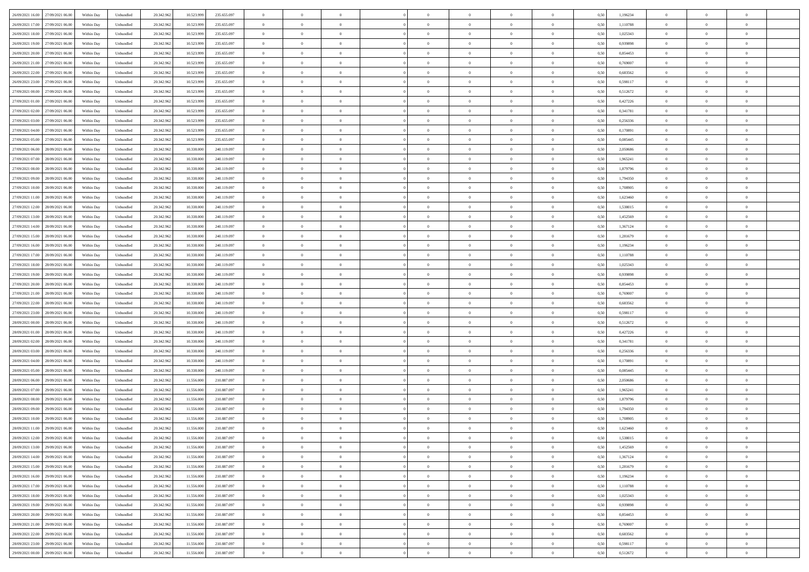| 26/09/2021 16:00<br>27/09/2021 06:00 | Within Day | Unbundled | 20.342.962 | 10.523.999 | 235.655.097 | $\overline{0}$ | $\overline{0}$   | $\overline{0}$ | $\theta$       | $\theta$       |                | $\overline{0}$ | 0,50 | 1,196234 | $\theta$       | $\theta$       | $\overline{0}$ |  |
|--------------------------------------|------------|-----------|------------|------------|-------------|----------------|------------------|----------------|----------------|----------------|----------------|----------------|------|----------|----------------|----------------|----------------|--|
| 26/09/2021 17:00<br>27/09/2021 06.00 | Within Day | Unbundled | 20.342.96  | 10.523.999 | 235.655.097 | $\overline{0}$ | $\overline{0}$   | $\overline{0}$ | $\,$ 0 $\,$    | $\bf{0}$       | $\overline{0}$ | $\bf{0}$       | 0,50 | 1,110788 | $\,$ 0 $\,$    | $\theta$       | $\overline{0}$ |  |
|                                      |            |           |            |            |             |                |                  |                |                |                |                |                |      |          |                |                |                |  |
| 26/09/2021 18:00<br>27/09/2021 06:00 | Within Day | Unbundled | 20.342.962 | 10.523.999 | 235.655.097 | $\overline{0}$ | $\overline{0}$   | $\overline{0}$ | $\bf{0}$       | $\bf{0}$       | $\overline{0}$ | $\mathbf{0}$   | 0.50 | 1.025343 | $\bf{0}$       | $\overline{0}$ | $\overline{0}$ |  |
| 26/09/2021 19:00<br>27/09/2021 06:00 | Within Day | Unbundled | 20.342.962 | 10.523.999 | 235.655.097 | $\overline{0}$ | $\overline{0}$   | $\overline{0}$ | $\overline{0}$ | $\overline{0}$ | $\overline{0}$ | $\bf{0}$       | 0,50 | 0,939898 | $\theta$       | $\theta$       | $\overline{0}$ |  |
| 26/09/2021 20:00<br>27/09/2021 06.00 | Within Day | Unbundled | 20.342.962 | 10.523.999 | 235.655.097 | $\overline{0}$ | $\overline{0}$   | $\bf{0}$       | $\overline{0}$ | $\overline{0}$ | $\overline{0}$ | $\bf{0}$       | 0,50 | 0,854453 | $\,$ 0 $\,$    | $\theta$       | $\overline{0}$ |  |
| 26/09/2021 21:00<br>27/09/2021 06:00 | Within Day | Unbundled | 20.342.962 | 10.523.999 | 235.655.097 | $\overline{0}$ | $\overline{0}$   | $\overline{0}$ | $\overline{0}$ | $\overline{0}$ | $\overline{0}$ | $\mathbf{0}$   | 0.50 | 0.769007 | $\theta$       | $\theta$       | $\overline{0}$ |  |
| 26/09/2021 22.00<br>27/09/2021 06.00 | Within Day | Unbundled | 20.342.962 | 10.523.999 | 235.655.097 | $\overline{0}$ | $\overline{0}$   | $\overline{0}$ | $\overline{0}$ | $\overline{0}$ | $\overline{0}$ | $\bf{0}$       | 0,50 | 0,683562 | $\theta$       | $\theta$       | $\overline{0}$ |  |
| 26/09/2021 23.00<br>27/09/2021 06.00 | Within Day | Unbundled | 20.342.962 | 10.523.999 | 235.655.097 | $\overline{0}$ | $\overline{0}$   | $\overline{0}$ | $\bf{0}$       | $\overline{0}$ | $\overline{0}$ | $\bf{0}$       | 0,50 | 0,598117 | $\,$ 0 $\,$    | $\bf{0}$       | $\overline{0}$ |  |
| 27/09/2021 00.00<br>27/09/2021 06:00 | Within Day | Unbundled | 20.342.962 | 10.523.999 | 235.655.097 | $\overline{0}$ | $\overline{0}$   | $\overline{0}$ | $\overline{0}$ | $\overline{0}$ | $\overline{0}$ | $\mathbf{0}$   | 0.50 | 0,512672 | $\,$ 0 $\,$    | $\theta$       | $\overline{0}$ |  |
| 27/09/2021 01:00<br>27/09/2021 06:00 | Within Day | Unbundled | 20.342.962 | 10.523.999 | 235.655.097 | $\overline{0}$ | $\overline{0}$   | $\overline{0}$ | $\overline{0}$ | $\overline{0}$ | $\overline{0}$ | $\bf{0}$       | 0,50 | 0,427226 | $\,$ 0 $\,$    | $\theta$       | $\overline{0}$ |  |
| 27/09/2021 02:00<br>27/09/2021 06.00 | Within Day | Unbundled | 20.342.962 | 10.523.999 | 235.655.097 | $\overline{0}$ | $\overline{0}$   | $\bf{0}$       | $\bf{0}$       | $\bf{0}$       | $\overline{0}$ | $\bf{0}$       | 0,50 | 0,341781 | $\,$ 0 $\,$    | $\theta$       | $\overline{0}$ |  |
| 27/09/2021 03:00<br>27/09/2021 06:00 | Within Day | Unbundled | 20.342.962 | 10.523.999 | 235.655.097 | $\overline{0}$ | $\overline{0}$   | $\overline{0}$ | $\bf{0}$       | $\bf{0}$       | $\overline{0}$ | $\mathbf{0}$   | 0.50 | 0.256336 | $\bf{0}$       | $\overline{0}$ | $\bf{0}$       |  |
| 27/09/2021 04.00<br>27/09/2021 06:00 | Within Day | Unbundled | 20.342.962 | 10.523.999 | 235.655.097 | $\overline{0}$ | $\overline{0}$   | $\overline{0}$ | $\overline{0}$ | $\overline{0}$ | $\overline{0}$ | $\bf{0}$       | 0,50 | 0,170891 | $\theta$       | $\theta$       | $\overline{0}$ |  |
| 27/09/2021 05:00<br>27/09/2021 06.00 | Within Day | Unbundled | 20.342.962 | 10.523.999 | 235.655.097 | $\overline{0}$ | $\overline{0}$   | $\bf{0}$       | $\bf{0}$       | $\overline{0}$ | $\overline{0}$ | $\bf{0}$       | 0,50 | 0,085445 | $\,$ 0 $\,$    | $\bf{0}$       | $\overline{0}$ |  |
| 27/09/2021 06.00<br>28/09/2021 06:00 | Within Day | Unbundled | 20.342.962 | 10.338,000 | 240.119.097 | $\overline{0}$ | $\overline{0}$   | $\overline{0}$ | $\overline{0}$ | $\overline{0}$ | $\Omega$       | $\mathbf{0}$   | 0.50 | 2.050686 | $\theta$       | $\theta$       | $\overline{0}$ |  |
| 27/09/2021 07.00                     |            |           | 20.342.962 | 10.338.000 |             | $\overline{0}$ | $\overline{0}$   | $\overline{0}$ | $\overline{0}$ | $\overline{0}$ | $\overline{0}$ | $\bf{0}$       |      |          | $\theta$       | $\theta$       | $\overline{0}$ |  |
| 28/09/2021 06.00                     | Within Day | Unbundled |            |            | 240.119.097 |                |                  |                |                |                |                |                | 0,50 | 1,965241 |                |                |                |  |
| 27/09/2021 08:00<br>28/09/2021 06.00 | Within Day | Unbundled | 20.342.962 | 10.338.000 | 240.119.097 | $\overline{0}$ | $\overline{0}$   | $\overline{0}$ | $\bf{0}$       | $\overline{0}$ | $\overline{0}$ | $\bf{0}$       | 0,50 | 1,879796 | $\,$ 0 $\,$    | $\theta$       | $\overline{0}$ |  |
| 27/09/2021 09:00<br>28/09/2021 06:00 | Within Day | Unbundled | 20.342.962 | 10.338,000 | 240.119.097 | $\overline{0}$ | $\overline{0}$   | $\overline{0}$ | $\overline{0}$ | $\overline{0}$ | $\overline{0}$ | $\mathbf{0}$   | 0.50 | 1,794350 | $\,$ 0 $\,$    | $\overline{0}$ | $\overline{0}$ |  |
| 27/09/2021 10:00<br>28/09/2021 06.00 | Within Day | Unbundled | 20.342.962 | 10.338.000 | 240.119.097 | $\overline{0}$ | $\overline{0}$   | $\overline{0}$ | $\overline{0}$ | $\overline{0}$ | $\overline{0}$ | $\bf{0}$       | 0,50 | 1,708905 | $\theta$       | $\theta$       | $\overline{0}$ |  |
| 27/09/2021 11:00<br>28/09/2021 06.00 | Within Day | Unbundled | 20.342.962 | 10.338.000 | 240.119.097 | $\overline{0}$ | $\overline{0}$   | $\overline{0}$ | $\bf{0}$       | $\bf{0}$       | $\overline{0}$ | $\bf{0}$       | 0,50 | 1,623460 | $\,$ 0 $\,$    | $\bf{0}$       | $\overline{0}$ |  |
| 27/09/2021 12:00<br>28/09/2021 06:00 | Within Day | Unbundled | 20.342.962 | 10.338,000 | 240.119.097 | $\overline{0}$ | $\overline{0}$   | $\overline{0}$ | $\bf{0}$       | $\bf{0}$       | $\overline{0}$ | $\,$ 0 $\,$    | 0.50 | 1.538015 | $\bf{0}$       | $\overline{0}$ | $\bf{0}$       |  |
| 27/09/2021 13.00<br>28/09/2021 06:00 | Within Day | Unbundled | 20.342.962 | 10.338.000 | 240.119.097 | $\overline{0}$ | $\overline{0}$   | $\overline{0}$ | $\overline{0}$ | $\overline{0}$ | $\overline{0}$ | $\,$ 0 $\,$    | 0,50 | 1,452569 | $\theta$       | $\theta$       | $\overline{0}$ |  |
| 27/09/2021 14:00<br>28/09/2021 06.00 | Within Day | Unbundled | 20.342.962 | 10.338.000 | 240.119.097 | $\overline{0}$ | $\overline{0}$   | $\overline{0}$ | $\bf{0}$       | $\overline{0}$ | $\overline{0}$ | $\bf{0}$       | 0,50 | 1,367124 | $\,$ 0 $\,$    | $\bf{0}$       | $\overline{0}$ |  |
| 27/09/2021 15:00<br>28/09/2021 06:00 | Within Day | Unbundled | 20.342.962 | 10.338,000 | 240.119.097 | $\overline{0}$ | $\overline{0}$   | $\overline{0}$ | $\overline{0}$ | $\overline{0}$ | $\overline{0}$ | $\mathbf{0}$   | 0.50 | 1.281679 | $\bf{0}$       | $\theta$       | $\overline{0}$ |  |
| 27/09/2021 16:00<br>28/09/2021 06.00 | Within Day | Unbundled | 20.342.962 | 10.338.000 | 240.119.097 | $\overline{0}$ | $\overline{0}$   | $\overline{0}$ | $\overline{0}$ | $\overline{0}$ | $\overline{0}$ | $\bf{0}$       | 0,50 | 1,196234 | $\theta$       | $\theta$       | $\overline{0}$ |  |
| 27/09/2021 17.00<br>28/09/2021 06.00 | Within Day | Unbundled | 20.342.962 | 10.338.000 | 240.119.097 | $\overline{0}$ | $\overline{0}$   | $\overline{0}$ | $\overline{0}$ | $\overline{0}$ | $\overline{0}$ | $\bf{0}$       | 0,50 | 1,110788 | $\,$ 0 $\,$    | $\theta$       | $\overline{0}$ |  |
| 27/09/2021 18:00<br>28/09/2021 06:00 | Within Day | Unbundled | 20.342.962 | 10.338,000 | 240.119.097 | $\overline{0}$ | $\overline{0}$   | $\overline{0}$ | $\overline{0}$ | $\overline{0}$ | $\overline{0}$ | $\mathbf{0}$   | 0.50 | 1.025343 | $\,$ 0 $\,$    | $\theta$       | $\overline{0}$ |  |
| 27/09/2021 19:00<br>28/09/2021 06:00 | Within Day | Unbundled | 20.342.962 | 10.338.000 | 240.119.097 | $\overline{0}$ | $\overline{0}$   | $\overline{0}$ | $\overline{0}$ | $\overline{0}$ | $\overline{0}$ | $\bf{0}$       | 0,50 | 0,939898 | $\theta$       | $\theta$       | $\overline{0}$ |  |
| 27/09/2021 20:00<br>28/09/2021 06.00 | Within Day | Unbundled | 20.342.96  | 10.338.000 | 240.119.097 | $\overline{0}$ | $\overline{0}$   | $\overline{0}$ | $\overline{0}$ | $\bf{0}$       | $\overline{0}$ | $\bf{0}$       | 0,50 | 0,854453 | $\,$ 0 $\,$    | $\bf{0}$       | $\overline{0}$ |  |
| 28/09/2021 06:00                     |            | Unbundled |            | 10.338,000 | 240.119.097 |                |                  |                |                |                | $\overline{0}$ |                |      |          |                | $\overline{0}$ |                |  |
| 27/09/2021 21.00                     | Within Day |           | 20.342.962 |            |             | $\overline{0}$ | $\overline{0}$   | $\overline{0}$ | $\bf{0}$       | $\bf{0}$       |                | $\mathbf{0}$   | 0.50 | 0.769007 | $\bf{0}$       |                | $\bf{0}$       |  |
| 27/09/2021 22:00<br>28/09/2021 06:00 | Within Day | Unbundled | 20.342.962 | 10.338.000 | 240.119.097 | $\overline{0}$ | $\overline{0}$   | $\overline{0}$ | $\overline{0}$ | $\overline{0}$ | $\overline{0}$ | $\overline{0}$ | 0.50 | 0,683562 | $\theta$       | $\theta$       | $\overline{0}$ |  |
| 27/09/2021 23.00<br>28/09/2021 06.00 | Within Day | Unbundled | 20.342.962 | 10.338.000 | 240.119.097 | $\overline{0}$ | $\overline{0}$   | $\overline{0}$ | $\bf{0}$       | $\overline{0}$ | $\overline{0}$ | $\bf{0}$       | 0,50 | 0,598117 | $\,$ 0 $\,$    | $\bf{0}$       | $\overline{0}$ |  |
| 28/09/2021 00:00<br>28/09/2021 06:00 | Within Day | Unbundled | 20.342.962 | 10.338,000 | 240.119.097 | $\overline{0}$ | $\overline{0}$   | $\overline{0}$ | $\overline{0}$ | $\overline{0}$ | $\overline{0}$ | $\mathbf{0}$   | 0.50 | 0,512672 | $\,$ 0 $\,$    | $\theta$       | $\overline{0}$ |  |
| 28/09/2021 01:00<br>28/09/2021 06:00 | Within Day | Unbundled | 20.342.962 | 10.338.000 | 240.119.097 | $\overline{0}$ | $\overline{0}$   | $\overline{0}$ | $\overline{0}$ | $\overline{0}$ | $\Omega$       | $\overline{0}$ | 0.50 | 0,427226 | $\theta$       | $\theta$       | $\overline{0}$ |  |
| 28/09/2021 02:00<br>28/09/2021 06.00 | Within Day | Unbundled | 20.342.96  | 10.338.000 | 240.119.097 | $\overline{0}$ | $\overline{0}$   | $\overline{0}$ | $\bf{0}$       | $\overline{0}$ | $\overline{0}$ | $\bf{0}$       | 0,50 | 0,341781 | $\,$ 0 $\,$    | $\theta$       | $\overline{0}$ |  |
| 28/09/2021 03:00<br>28/09/2021 06:00 | Within Day | Unbundled | 20.342.962 | 10.338,000 | 240.119.097 | $\overline{0}$ | $\overline{0}$   | $\overline{0}$ | $\overline{0}$ | $\bf{0}$       | $\overline{0}$ | $\mathbf{0}$   | 0.50 | 0.256336 | $\,$ 0 $\,$    | $\theta$       | $\overline{0}$ |  |
| 28/09/2021 04:00<br>28/09/2021 06:00 | Within Day | Unbundled | 20.342.962 | 10.338.000 | 240.119.097 | $\overline{0}$ | $\overline{0}$   | $\overline{0}$ | $\overline{0}$ | $\overline{0}$ | $\overline{0}$ | $\overline{0}$ | 0.50 | 0,170891 | $\theta$       | $\theta$       | $\overline{0}$ |  |
| 28/09/2021 05:00<br>28/09/2021 06.0  | Within Day | Unbundled | 20.342.96  | 10.338.000 | 240.119.097 | $\overline{0}$ | $\overline{0}$   | $\overline{0}$ | $\,$ 0 $\,$    | $\bf{0}$       | $\overline{0}$ | $\bf{0}$       | 0,50 | 0,085445 | $\,$ 0 $\,$    | $\bf{0}$       | $\overline{0}$ |  |
| 28/09/2021 06.00<br>29/09/2021 06:00 | Within Day | Unbundled | 20.342.962 | 11.556,000 | 210.887.097 | $\overline{0}$ | $\overline{0}$   | $\overline{0}$ | $\bf{0}$       | $\bf{0}$       | $\overline{0}$ | $\mathbf{0}$   | 0.50 | 2.050686 | $\bf{0}$       | $\overline{0}$ | $\overline{0}$ |  |
| 28/09/2021 07:00<br>29/09/2021 06.00 | Within Day | Unbundled | 20.342.962 | 11.556.000 | 210.887.097 | $\overline{0}$ | $\overline{0}$   | $\overline{0}$ | $\overline{0}$ | $\overline{0}$ | $\Omega$       | $\overline{0}$ | 0.50 | 1,965241 | $\theta$       | $\theta$       | $\overline{0}$ |  |
| 28/09/2021 08:00<br>29/09/2021 06.0  | Within Day | Unbundled | 20.342.962 | 11.556.000 | 210.887.097 | $\overline{0}$ | $\overline{0}$   | $\overline{0}$ | $\bf{0}$       | $\bf{0}$       | $\overline{0}$ | $\bf{0}$       | 0,50 | 1,879796 | $\,$ 0 $\,$    | $\bf{0}$       | $\overline{0}$ |  |
| 28/09/2021 09:00<br>29/09/2021 06:00 | Within Day | Unbundled | 20.342.962 | 11.556,000 | 210.887.097 | $\overline{0}$ | $\overline{0}$   | $\overline{0}$ | $\overline{0}$ | $\overline{0}$ | $\Omega$       | $\overline{0}$ | 0.50 | 1,794350 | $\,$ 0 $\,$    | $\theta$       | $\overline{0}$ |  |
| 28/09/2021 10:00<br>29/09/2021 06.00 | Within Day | Unbundled | 20.342.962 | 11.556.000 | 210.887.097 | $\overline{0}$ | $\overline{0}$   | $\overline{0}$ | $\overline{0}$ | $\overline{0}$ | $\theta$       | $\overline{0}$ | 0.5( | 1,708905 | $\theta$       | $\theta$       | $\overline{0}$ |  |
| 28/09/2021 11:00<br>29/09/2021 06.00 | Within Day | Unbundled | 20.342.962 | 11.556.000 | 210.887.097 | $\overline{0}$ | $\overline{0}$   | $\bf{0}$       | $\overline{0}$ | $\bf{0}$       | $\overline{0}$ | $\bf{0}$       | 0,50 | 1,623460 | $\,$ 0 $\,$    | $\bf{0}$       | $\overline{0}$ |  |
| 28/09/2021 12:00 29/09/2021 06:00    | Within Day | Unbundled | 20.342.962 | 11.556.000 | 210 887 097 | $\bf{0}$       | $\boldsymbol{0}$ |                | $\bf{0}$       |                |                | $\Omega$       | 0,50 | 1,538015 | $\theta$       | $\overline{0}$ |                |  |
| 28/09/2021 13:00 29/09/2021 06:00    | Within Dav | Unbundled | 20.342.962 | 11.556.000 | 210.887.097 | $\overline{0}$ | $\overline{0}$   | $\overline{0}$ | $\overline{0}$ | $\overline{0}$ | $\overline{0}$ | $\overline{0}$ | 0,50 | 1,452569 | $\theta$       | $\theta$       | $\overline{0}$ |  |
|                                      |            |           |            |            |             |                |                  |                |                |                |                |                |      |          |                |                |                |  |
| 28/09/2021 14:00<br>29/09/2021 06.00 | Within Day | Unbundled | 20.342.962 | 11.556.000 | 210.887.097 | $\overline{0}$ | $\overline{0}$   | $\overline{0}$ | $\bf{0}$       | $\overline{0}$ | $\overline{0}$ | $\mathbf{0}$   | 0,50 | 1,367124 | $\overline{0}$ | $\overline{0}$ | $\bf{0}$       |  |
| 28/09/2021 15:00<br>29/09/2021 06:00 | Within Day | Unbundled | 20.342.962 | 11.556.000 | 210.887.097 | $\overline{0}$ | $\overline{0}$   | $\overline{0}$ | $\overline{0}$ | $\bf{0}$       | $\overline{0}$ | $\mathbf{0}$   | 0.50 | 1,281679 | $\overline{0}$ | $\bf{0}$       | $\bf{0}$       |  |
| 28/09/2021 16:00<br>29/09/2021 06:00 | Within Dav | Unbundled | 20.342.962 | 11.556.000 | 210.887.097 | $\overline{0}$ | $\overline{0}$   | $\overline{0}$ | $\overline{0}$ | $\overline{0}$ | $\overline{0}$ | $\mathbf{0}$   | 0,50 | 1,196234 | $\overline{0}$ | $\theta$       | $\overline{0}$ |  |
| 28/09/2021 17:00<br>29/09/2021 06.00 | Within Day | Unbundled | 20.342.962 | 11.556.000 | 210.887.097 | $\overline{0}$ | $\overline{0}$   | $\overline{0}$ | $\bf{0}$       | $\bf{0}$       | $\overline{0}$ | $\mathbf{0}$   | 0,50 | 1,110788 | $\overline{0}$ | $\bf{0}$       | $\overline{0}$ |  |
| 28/09/2021 18:00<br>29/09/2021 06:00 | Within Day | Unbundled | 20.342.962 | 11.556,000 | 210.887.097 | $\overline{0}$ | $\overline{0}$   | $\overline{0}$ | $\bf{0}$       | $\overline{0}$ | $\overline{0}$ | $\mathbf{0}$   | 0.50 | 1.025343 | $\,$ 0 $\,$    | $\theta$       | $\,$ 0         |  |
| 28/09/2021 19:00<br>29/09/2021 06:00 | Within Day | Unbundled | 20.342.962 | 11.556.000 | 210.887.097 | $\overline{0}$ | $\overline{0}$   | $\overline{0}$ | $\overline{0}$ | $\overline{0}$ | $\overline{0}$ | $\mathbf{0}$   | 0,50 | 0,939898 | $\overline{0}$ | $\theta$       | $\overline{0}$ |  |
| 28/09/2021 20:00<br>29/09/2021 06.00 | Within Day | Unbundled | 20.342.962 | 11.556.000 | 210.887.097 | $\overline{0}$ | $\overline{0}$   | $\overline{0}$ | $\bf{0}$       | $\bf{0}$       | $\overline{0}$ | $\,$ 0 $\,$    | 0,50 | 0,854453 | $\bf{0}$       | $\bf{0}$       | $\overline{0}$ |  |
| 29/09/2021 06:00<br>28/09/2021 21.00 | Within Day | Unbundled | 20.342.962 | 11.556,000 | 210.887.097 | $\overline{0}$ | $\overline{0}$   | $\overline{0}$ | $\bf{0}$       | $\overline{0}$ | $\overline{0}$ | $\,$ 0 $\,$    | 0.50 | 0.769007 | $\overline{0}$ | $\bf{0}$       | $\,$ 0         |  |
| 28/09/2021 22:00<br>29/09/2021 06:00 | Within Dav | Unbundled | 20.342.962 | 11.556.000 | 210.887.097 | $\overline{0}$ | $\overline{0}$   | $\overline{0}$ | $\overline{0}$ | $\overline{0}$ | $\overline{0}$ | $\mathbf{0}$   | 0,50 | 0,683562 | $\overline{0}$ | $\theta$       | $\overline{0}$ |  |
| 28/09/2021 23:00<br>29/09/2021 06.0  | Within Day | Unbundled | 20.342.962 | 11.556.000 | 210.887.097 | $\overline{0}$ | $\overline{0}$   | $\overline{0}$ | $\bf{0}$       | $\bf{0}$       | $\overline{0}$ | $\mathbf{0}$   | 0,50 | 0,598117 | $\bf{0}$       | $\bf{0}$       | $\bf{0}$       |  |
| 29/09/2021 00:00 29/09/2021 06:00    | Within Day | Unbundled | 20.342.962 | 11.556.000 | 210.887.097 | $\overline{0}$ | $\overline{0}$   | $\overline{0}$ | $\bf{0}$       | $\,$ 0         | $\overline{0}$ | $\,0\,$        | 0,50 | 0,512672 | $\,$ 0 $\,$    | $\,$ 0 $\,$    | $\,$ 0 $\,$    |  |
|                                      |            |           |            |            |             |                |                  |                |                |                |                |                |      |          |                |                |                |  |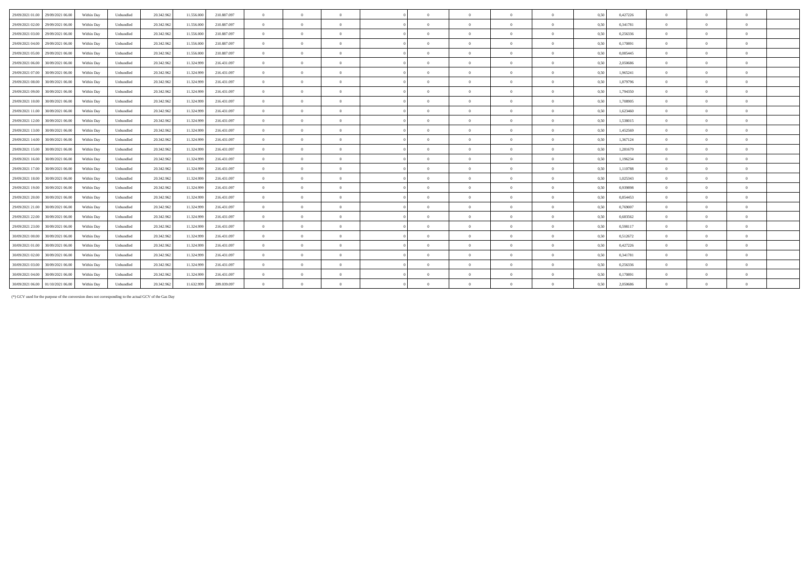| 29/09/2021 01:00                  | 29/09/2021 06:00 | Within Day | Unbundled | 20.342.962 | 11.556.000 | 210.887.097 | $\overline{0}$ | $\theta$       | $\Omega$       |            | $\theta$       | $\Omega$       |          | 0.50 | 0,427226 | $\overline{0}$ | $\Omega$       | $\Omega$       |
|-----------------------------------|------------------|------------|-----------|------------|------------|-------------|----------------|----------------|----------------|------------|----------------|----------------|----------|------|----------|----------------|----------------|----------------|
| 29/09/2021 02:00                  | 29/09/2021 06:00 | Within Day | Unbundled | 20.342.962 | 11.556.000 | 210.887.097 | $\overline{0}$ | $\overline{0}$ | $\theta$       | $\Omega$   | $\overline{0}$ | $\overline{0}$ | $\bf{0}$ | 0,50 | 0,341781 | $\overline{0}$ | $\overline{0}$ | $\bf{0}$       |
| 29/09/2021 03:00                  | 29/09/2021 06.00 | Within Day | Unbundled | 20.342.962 | 11.556.000 | 210.887.097 | $\overline{0}$ | $\theta$       | $\Omega$       |            | $\theta$       | $\Omega$       | $\Omega$ | 0.50 | 0,256336 | $\Omega$       | $\Omega$       | $\theta$       |
| 29/09/2021 04:00                  | 29/09/2021 06:00 | Within Day | Unbundled | 20.342.962 | 11.556.000 | 210.887.097 | $\overline{0}$ | $\theta$       | $\Omega$       | $\sqrt{2}$ | $\theta$       | $\Omega$       | $\Omega$ | 0.50 | 0.170891 | $\overline{0}$ | $\Omega$       | $\theta$       |
| 29/09/2021 05:00                  | 29/09/2021 06:00 | Within Day | Unbundled | 20.342.962 | 11.556.000 | 210.887.097 | $\overline{0}$ | $\theta$       | $\Omega$       | $\sqrt{2}$ | $\theta$       | $\Omega$       | $\Omega$ | 0.50 | 0.085445 | $\Omega$       | $\Omega$       | $\theta$       |
| 29/09/2021 06:00                  | 30/09/2021 06:00 | Within Day | Unbundled | 20.342.962 | 11.324.999 | 216.431.097 | $\theta$       | $\Omega$       | $\Omega$       | $\sqrt{2}$ | $\theta$       | $\Omega$       | $\theta$ | 0,50 | 2.050686 | $\Omega$       | $\Omega$       | $\theta$       |
| 29/09/2021 07:00                  | 30/09/2021 06:00 | Within Day | Unbundled | 20.342.962 | 11.324.999 | 216.431.097 | $\overline{0}$ | $\Omega$       | $\Omega$       | $\sqrt{2}$ | $\theta$       | $\overline{0}$ | $\Omega$ | 0.50 | 1,965241 | $\overline{0}$ | $\Omega$       | $\overline{0}$ |
| 29/09/2021 08:00                  | 30/09/2021 06:00 | Within Day | Unbundled | 20.342.962 | 11.324.999 | 216.431.097 | $\overline{0}$ | $\Omega$       | $\Omega$       |            | $\theta$       | $\Omega$       |          | 0,50 | 1.879796 | $\Omega$       | $\Omega$       | $\theta$       |
| 29/09/2021 09:00                  | 30/09/2021 06:00 | Within Day | Unbundled | 20.342.962 | 11.324.999 | 216.431.097 | $\overline{0}$ | $\Omega$       | $\Omega$       | $\sqrt{2}$ | $\theta$       | $\theta$       | $\theta$ | 0.50 | 1.794350 | $\overline{0}$ | $\Omega$       | $\bf{0}$       |
| 29/09/2021 10:00                  | 30/09/2021 06:00 | Within Day | Unbundled | 20.342.962 | 11.324.999 | 216.431.097 | $\overline{0}$ | $\Omega$       | $\Omega$       | $\sqrt{2}$ | $\Omega$       | $\Omega$       |          | 0.50 | 1.708905 | $\Omega$       | $\Omega$       | $\theta$       |
| 29/09/2021 11:00                  | 30/09/2021 06:00 | Within Day | Unbundled | 20.342.962 | 11.324.999 | 216.431.097 | $\overline{0}$ | $\Omega$       | $\Omega$       | $\sqrt{2}$ | $\theta$       | $\Omega$       | $\Omega$ | 0.50 | 1.623460 | $\Omega$       | $\Omega$       | $\overline{0}$ |
| 29/09/2021 12:00                  | 30/09/2021 06:00 | Within Day | Unbundled | 20.342.962 | 11.324.999 | 216.431.097 | $\overline{0}$ | $\overline{0}$ | $\Omega$       |            | $\theta$       | $\overline{0}$ |          | 0,50 | 1,538015 | $\overline{0}$ | $\Omega$       | $\bf{0}$       |
| 29/09/2021 13:00                  | 30/09/2021 06:00 | Within Day | Unbundled | 20.342.962 | 11.324.999 | 216.431.097 | $\overline{0}$ | $\overline{0}$ | $\Omega$       | $\sqrt{2}$ | $\overline{0}$ | $\overline{0}$ | $\theta$ | 0,50 | 1,452569 | $\overline{0}$ | $\overline{0}$ | $\overline{0}$ |
| 29/09/2021 14:00                  | 30/09/2021 06:00 | Within Day | Unbundled | 20.342.962 | 11.324.999 | 216.431.097 | $\overline{0}$ | $\overline{0}$ | $\overline{0}$ | $\sqrt{2}$ | $\overline{0}$ | $\overline{0}$ | $\bf{0}$ | 0.50 | 1,367124 | $\overline{0}$ | $\overline{0}$ | $\bf{0}$       |
| 29/09/2021 15:00                  | 30/09/2021 06:00 | Within Day | Unbundled | 20.342.962 | 11.324.999 | 216.431.097 | $\overline{0}$ | $\Omega$       | $\Omega$       |            | $\theta$       | $\overline{0}$ |          | 0.50 | 1,281679 | $\overline{0}$ | $\Omega$       | $\bf{0}$       |
| 29/09/2021 16:00                  | 30/09/2021 06:00 | Within Day | Unbundled | 20.342.962 | 11.324.999 | 216.431.097 | $\overline{0}$ | $\overline{0}$ | $\overline{0}$ | $\sqrt{2}$ | $\theta$       | $\overline{0}$ | $\theta$ | 0.50 | 1.196234 | $\overline{0}$ | $\Omega$       | $\mathbf{0}$   |
| 29/09/2021 17:00                  | 30/09/2021 06:00 | Within Day | Unbundled | 20.342.962 | 11.324.999 | 216.431.097 | $\overline{0}$ | $\Omega$       | $\Omega$       | $\sqrt{2}$ | $\theta$       | $\Omega$       |          | 0.50 | 1.110788 | $\Omega$       | $\Omega$       | $\theta$       |
| 29/09/2021 18:00                  | 30/09/2021 06:00 | Within Day | Unbundled | 20.342.962 | 11.324.999 | 216.431.097 | $\overline{0}$ | $\Omega$       | $\Omega$       | $\sqrt{2}$ | $\theta$       | $\overline{0}$ | $\theta$ | 0.50 | 1,025343 | $\overline{0}$ | $\Omega$       | $\bf{0}$       |
| 29/09/2021 19:00                  | 30/09/2021 06:00 | Within Day | Unbundled | 20.342.962 | 11.324.999 | 216.431.097 | $\overline{0}$ | $\Omega$       | $\Omega$       |            | $\theta$       | $\Omega$       | $\Omega$ | 0.50 | 0.939898 | $\Omega$       | $\Omega$       | $\theta$       |
| 29/09/2021 20:00                  | 30/09/2021 06:00 | Within Day | Unbundled | 20.342.962 | 11.324.999 | 216.431.097 | $\overline{0}$ | $\theta$       | $\theta$       | $\sqrt{2}$ | $\theta$       | $\overline{0}$ | $\Omega$ | 0.50 | 0.854453 | $\overline{0}$ | $\Omega$       | $\bf{0}$       |
| 29/09/2021 21:00                  | 30/09/2021 06:00 | Within Day | Unbundled | 20.342.962 | 11.324.999 | 216.431.097 | $\overline{0}$ | $\Omega$       | $\Omega$       |            | $\theta$       | $\Omega$       |          | 0.50 | 0.769007 | $\Omega$       | $\Omega$       | $\Omega$       |
| 29/09/2021 22:00                  | 30/09/2021 06:00 | Within Dav | Unbundled | 20.342.962 | 11.324.999 | 216.431.097 | $\overline{0}$ | $\Omega$       | $\Omega$       | $\Omega$   | $\theta$       | $\Omega$       | $\theta$ | 0.50 | 0.683562 | $\Omega$       | $\Omega$       | $\theta$       |
| 29/09/2021 23:00                  | 30/09/2021 06:00 | Within Day | Unbundled | 20.342.962 | 11.324.999 | 216.431.097 | $\overline{0}$ | $\Omega$       | $\Omega$       | $\sqrt{2}$ | $\theta$       | $\Omega$       |          | 0.50 | 0.598117 | $\Omega$       | $\Omega$       | $\theta$       |
| 30/09/2021 00:00                  | 30/09/2021 06:00 | Within Day | Unbundled | 20.342.962 | 11.324.999 | 216.431.097 | $\overline{0}$ | $\overline{0}$ | $\theta$       | $\sqrt{2}$ | $\overline{0}$ | $\overline{0}$ | $\bf{0}$ | 0,50 | 0,512672 | $\overline{0}$ | $\overline{0}$ | $\bf{0}$       |
| 30/09/2021 01:00                  | 30/09/2021 06:00 | Within Day | Unbundled | 20.342.962 | 11.324.999 | 216.431.097 | $\overline{0}$ | $\overline{0}$ | $\theta$       | $\sqrt{2}$ | $\overline{0}$ | $\overline{0}$ | $\Omega$ | 0.50 | 0,427226 | $\overline{0}$ | $\overline{0}$ | $\overline{0}$ |
| 30/09/2021 02:00                  | 30/09/2021 06:00 | Within Day | Unbundled | 20.342.962 | 11.324.999 | 216.431.097 | $\overline{0}$ | $\overline{0}$ | $\theta$       | $\sqrt{2}$ | $\overline{0}$ | $\overline{0}$ | $\theta$ | 0.50 | 0.341781 | $\overline{0}$ | $\overline{0}$ | $\bf{0}$       |
| 30/09/2021 03:00                  | 30/09/2021 06:00 | Within Day | Unbundled | 20.342.962 | 11.324.999 | 216.431.097 | $\overline{0}$ | $\overline{0}$ | $\theta$       | $\sqrt{2}$ | $\theta$       | $\overline{0}$ | $\theta$ | 0.50 | 0.256336 | $\overline{0}$ | $\Omega$       | $\mathbf{0}$   |
| 30/09/2021 04:00                  | 30/09/2021 06:00 | Within Day | Unbundled | 20.342.962 | 11.324.999 | 216.431.097 | $\overline{0}$ | $\theta$       | $\overline{0}$ | $\sqrt{2}$ | $\theta$       | $\overline{0}$ | $\theta$ | 0.50 | 0.170891 | $\overline{0}$ | $\Omega$       | $\mathbf{0}$   |
| 30/09/2021 06:00 01/10/2021 06:00 |                  | Within Day | Unbundled | 20.342.962 | 11.632.999 | 209.039.097 | $\Omega$       | $\Omega$       |                |            | $\Omega$       | $\Omega$       |          | 0.50 | 2.050686 | $\Omega$       | $\Omega$       | $\Omega$       |
|                                   |                  |            |           |            |            |             |                |                |                |            |                |                |          |      |          |                |                |                |

(\*) GCV used for the purpose of the conversion does not corresponding to the actual GCV of the Gas Day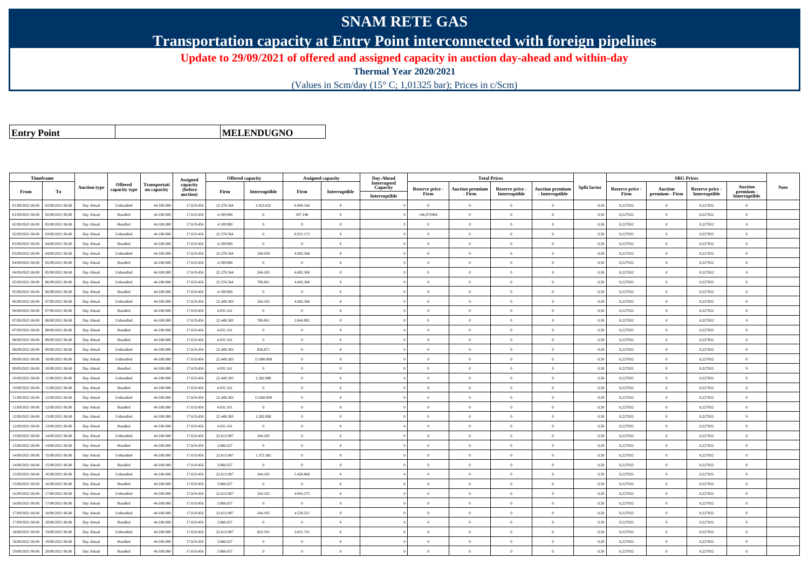## **SNAM RETE GAS**

**Transportation capacity at Entry Point interconnected with foreign pipelines**

**Update to 29/09/2021 of offered and assigned capacity in auction day-ahead and within-day**

**Thermal Year 2020/2021**

(Values in Scm/day (15° C; 1,01325 bar); Prices in c/Scm)

**Entry Point**

**MELENDUGNO**

| Timeframe        |                  |                     |                          |                                    | Assigned                        | <b>Offered capacity</b> |                |                | <b>Assigned capacity</b> | Day-Ahead                                |                         | <b>Total Prices</b>              |                                  |                                           |                     |                         | <b>SRG Prices</b>                |                                  |                                     |             |
|------------------|------------------|---------------------|--------------------------|------------------------------------|---------------------------------|-------------------------|----------------|----------------|--------------------------|------------------------------------------|-------------------------|----------------------------------|----------------------------------|-------------------------------------------|---------------------|-------------------------|----------------------------------|----------------------------------|-------------------------------------|-------------|
| From             | To               | <b>Auction type</b> | Offered<br>capacity type | <b>Transportati</b><br>on capacity | capacity<br>(before<br>auction) | Firm                    | Interruptible  | Firm           | Interruptible            | Interrupted<br>Capacity<br>Interruptible | Reserve price -<br>Firm | <b>Auction premium</b><br>- Firm | Reserve price -<br>Interruptible | <b>Auction premium</b><br>- Interruptible | <b>Split factor</b> | Reserve price -<br>Firm | <b>Auction</b><br>premium - Firm | Reserve price -<br>Interruptible | Auction<br>premium<br>Interruptible | <b>Note</b> |
| 01/09/2021 06:00 | 02/09/2021 06:00 | Day Ahead           | Unbundled                | 44,100.00                          | 17.619.456                      | 22,370,564              | 3.423.632      | 6.949.160      | $\overline{0}$           |                                          | $\overline{0}$          | $\theta$                         | $\Omega$                         | $\Omega$                                  | 0,50                | 0,227032                | $\Omega$                         | 0,227032                         | $\Omega$                            |             |
| 01/09/2021 06:00 | 02/09/2021 06.00 | Day Ahead           | Bundled                  | 44.100.00                          | 17.619.456                      | 4.109.980               | $\overline{0}$ | 307.186        | $\Omega$                 |                                          | 146,972904              | $\theta$                         | $\Omega$                         | $\Omega$                                  | 0,50                | 0,227032                | $\overline{0}$                   | 0,227032                         | $\bf{0}$                            |             |
| 02/09/2021 06:00 | 03/09/2021 06:00 | Day Ahead           | <b>Bundled</b>           | 44,100,000                         | 17.619.456                      | 4.109.980               | $\overline{0}$ | $\overline{0}$ | $\theta$                 |                                          | $\Omega$                | $\theta$                         | $\overline{0}$                   | $\mathbf{0}$                              | 0.50                | 0.227032                | $\overline{0}$                   | 0.227032                         | $\bf{0}$                            |             |
| 02/09/2021 06:00 | 03/09/2021 06:00 | Day Ahead           | Unbundled                | 44.100.000                         | 17.619.456                      | 22.370.564              | $\overline{0}$ | 6.931.172      | $\overline{0}$           |                                          | $\overline{0}$          | $\theta$                         | $\overline{0}$                   | $\overline{0}$                            | 0,50                | 0,227032                | $\overline{0}$                   | 0,227032                         | $\Omega$                            |             |
| 03/09/2021 06.0  | 04/09/2021 06.0  | Day Ahead           | Bundled                  | 44.100.00                          | 17.619.456                      | 4.109.980               | $\overline{0}$ | $\overline{0}$ | $\theta$                 |                                          | $\theta$                | $\theta$                         | $\overline{0}$                   | $\mathbf{0}$                              | 0,50                | 0,227032                | $\overline{0}$                   | 0,227032                         | $\bf{0}$                            |             |
| 03/09/2021 06:00 | 04/09/2021 06.00 | Day Ahead           | Unbundled                | 44,100,000                         | 17.619.456                      | 22.370.564              | 240.039        | 4.492.368      | $\theta$                 |                                          | $\theta$                | $\theta$                         | $\Omega$                         | $\theta$                                  | 0,50                | 0,227032                | $\overline{0}$                   | 0,227032                         | $\theta$                            |             |
| 04/09/2021 06:00 | 05/09/2021 06:00 | Day Ahead           | Bundled                  | 44,100,000                         | 17.619.456                      | 4.109.980               | $\overline{0}$ | $\Omega$       | $\Omega$                 |                                          | $\theta$                | $\mathbf{a}$                     | $\theta$                         | $\theta$                                  | 0,50                | 0,227032                | $\overline{0}$                   | 0,227032                         | $\theta$                            |             |
| 04/09/2021 06:00 | 05/09/2021 06.0  | Day Ahead           | Unbundled                | 44.100.00                          | 17.619.456                      | 22.370.564              | 244.105        | 4.492.368      | $\Omega$                 |                                          | $\Omega$                |                                  | $\Omega$                         | $\theta$                                  | 0.50                | 0,227032                | $\Omega$                         | 0,227032                         | $\Omega$                            |             |
| 05/09/2021 06:00 | 06/09/2021 06:00 | Day Ahead           | Unbundled                | 44,100,000                         | 17.619.456                      | 22,370,564              | 786,061        | 4.492.368      | $\overline{0}$           |                                          | $\theta$                | $\theta$                         | $\overline{0}$                   | $\overline{0}$                            | 0,50                | 0,227032                | $\overline{0}$                   | 0,227032                         | $\bf{0}$                            |             |
| 05/09/2021 06:00 | 06/09/2021 06.0  | Day Ahead           | Bundled                  | 44.100.000                         | 17.619.456                      | 4.109.980               | $\overline{0}$ | $\overline{0}$ | $\theta$                 |                                          | $\theta$                | $\overline{0}$                   | $\overline{0}$                   | $\mathbf{0}$                              | 0,50                | 0,227032                | $\overline{0}$                   | 0,227032                         | $\bf{0}$                            |             |
| 06/09/2021 06:00 | 07/09/2021 06.0  | Day Ahead           | Unbundled                | 44.100.00                          | 17.619.456                      | 22.449.383              | 244.105        | 4.492.368      | $\Omega$                 |                                          | $\Omega$                |                                  | $\Omega$                         | $\Omega$                                  | 0,50                | 0,227032                | $\mathbf{0}$                     | 0,227032                         | $\theta$                            |             |
| 06/09/2021 06:00 | 07/09/2021 06.00 | Day Ahead           | Bundled                  | 44.100.000                         | 17.619.456                      | 4.031.161               | $\overline{0}$ | $\Omega$       | $\Omega$                 |                                          | $\Omega$                | $\theta$                         | $\Omega$                         | $\overline{0}$                            | 0.50                | 0,227032                | $\overline{0}$                   | 0,227032                         | $\Omega$                            |             |
| 07/09/2021 06:00 | 08/09/2021 06:00 | Day Ahead           | Unbundled                | 44.100.000                         | 17.619.456                      | 22.449.383              | 786.061        | 2.044.892      | $\Omega$                 |                                          | $\Omega$                | $\theta$                         | $\theta$                         | $\Omega$                                  | 0,50                | 0,227032                | $\overline{0}$                   | 0,227032                         | $\Omega$                            |             |
| 07/09/2021 06:00 | 08/09/2021 06:00 | Day Ahead           | <b>Bundled</b>           | 44,100,000                         | 17.619.456                      | 4.031.161               | $\overline{0}$ | $\Omega$       | $\theta$                 |                                          | $\theta$                | $\theta$                         | $\Omega$                         | $\theta$                                  | 0.50                | 0.227032                | $\Omega$                         | 0.227032                         | $\theta$                            |             |
| 08/09/2021 06:00 | 09/09/2021 06.00 | Day Ahead           | Bundled                  | 44.100.00                          | 17.619.456                      | 4.031.161               | $\overline{0}$ | $\overline{0}$ | $\overline{0}$           |                                          | $\theta$                | $\theta$                         | $\overline{0}$                   | $\mathbf{0}$                              | 0,50                | 0,227032                | $\,$ 0 $\,$                      | 0,227032                         | $\bf{0}$                            |             |
| 08/09/2021 06:00 | 09/09/2021 06.00 | Day Ahead           | Unbundled                | 44.100.000                         | 17.619.456                      | 22.449.383              | 836.871        | $\overline{0}$ | $\theta$                 |                                          | $\theta$                | $\theta$                         | $\overline{0}$                   | $\mathbf{0}$                              | 0,50                | 0,227032                | $\overline{0}$                   | 0,227032                         | $\Omega$                            |             |
| 09/09/2021 06:00 | 10/09/2021 06:00 | Day Ahead           | Unbundled                | 44,100,000                         | 17.619.456                      | 22.449.383              | 15,000,000     | $\Omega$       | $\Omega$                 |                                          | $\theta$                | $\theta$                         | $\Omega$                         | $\theta$                                  | 0,50                | 0,227032                | $\theta$                         | 0,227032                         | $\theta$                            |             |
| 09/09/2021 06.0  | 10/09/2021 06.0  | Day Ahead           | Bundled                  | 44.100.00                          | 17.619.456                      | 4.031.161               | $\overline{0}$ | $\theta$       | $\theta$                 |                                          | $\theta$                | $\theta$                         | $\theta$                         | $\mathbf{0}$                              | 0,50                | 0,227032                | $\overline{0}$                   | 0,227032                         | $\bf{0}$                            |             |
| 10/09/2021 06:00 | 11/09/2021 06:00 | Day Ahead           | Unbundled                | 44,100,000                         | 17.619.456                      | 22.449.383              | 2.282.088      | $\Omega$       | $\theta$                 |                                          | $\Omega$                | $\theta$                         | $\Omega$                         | $\theta$                                  | 0.50                | 0,227032                | $\Omega$                         | 0,227032                         | $\theta$                            |             |
| 10/09/2021 06:00 | 11/09/2021 06:00 | Day Ahead           | <b>Bundled</b>           | 44,100,000                         | 17.619.456                      | 4.031.161               | $\overline{0}$ | $\Omega$       | $\theta$                 |                                          | $\theta$                | $\theta$                         | $\overline{0}$                   | $\mathbf{0}$                              | 0.50                | 0,227032                | $\overline{0}$                   | 0.227032                         | $\Omega$                            |             |
| 11/09/2021 06:00 | 12/09/2021 06.0  | Day Ahead           | Unbundled                | 44.100.00                          | 17.619.456                      | 22.449.383              | 15.000.000     | $\overline{0}$ | $\theta$                 |                                          | $\theta$                | $\theta$                         | $\theta$                         | $\mathbf{0}$                              | 0,50                | 0,227032                | $\overline{0}$                   | 0,227032                         | $\overline{0}$                      |             |
| 11/09/2021 06:00 | 12/09/2021 06:00 | Day Ahead           | Bundled                  | 44.100.000                         | 17.619.456                      | 4.031.161               | $\overline{0}$ | $\Omega$       | $\Omega$                 |                                          | $\Omega$                | $\theta$                         | $\theta$                         | $\theta$                                  | 0,50                | 0,227032                | $\overline{0}$                   | 0,227032                         | $\Omega$                            |             |
| 12/09/2021 06:00 | 13/09/2021 06:00 | Day Ahead           | Unbundled                | 44.100.000                         | 17.619.456                      | 22.449.383              | 2.282.088      | $\Omega$       | $\Omega$                 |                                          | $\Omega$                | $\theta$                         | $\overline{0}$                   | $\overline{0}$                            | 0,50                | 0,227032                | $\overline{0}$                   | 0,227032                         | $\Omega$                            |             |
| 12/09/2021 06:00 | 13/09/2021 06.0  | Day Ahead           | Bundled                  | 44.100.00                          | 17.619.456                      | 4.031.161               | $\overline{0}$ | $\Omega$       | $\Omega$                 |                                          | $\Omega$                |                                  | $\Omega$                         | $\Omega$                                  | 0,50                | 0,227032                | $\overline{0}$                   | 0,227032                         | $\Omega$                            |             |
| 13/09/2021 06:00 | 14/09/2021 06.00 | Day Ahead           | Unbundled                | 44.100.000                         | 17.619.456                      | 22.613.907              | 244.105        | $\overline{0}$ | $\Omega$                 |                                          | $\Omega$                | $\theta$                         | $\overline{0}$                   | $\theta$                                  | 0,50                | 0,227032                | $\,$ 0 $\,$                      | 0,227032                         | $\bf{0}$                            |             |
| 13/09/2021 06:00 | 14/09/2021 06:00 | Day Ahead           | Bundled                  | 44.100.000                         | 17.619.456                      | 3.866.637               | $\overline{0}$ | $\overline{0}$ | $\theta$                 |                                          | $\theta$                | $\theta$                         | $\overline{0}$                   | $\mathbf{0}$                              | 0,50                | 0,227032                | $\overline{0}$                   | 0,227032                         | $\bf{0}$                            |             |
| 14/09/2021 06:00 | 15/09/2021 06:00 | Day Ahead           | Unbundled                | 44.100.00                          | 17.619.456                      | 22.613.907              | 1.372.382      | $\Omega$       | $\Omega$                 |                                          | $\Omega$                |                                  | $\theta$                         | $\Omega$                                  | 0,50                | 0,227032                | $\mathbf{0}$                     | 0,227032                         | $\Omega$                            |             |
| 14/09/2021 06:00 | 15/09/2021 06.00 | Day Ahead           | Bundled                  | 44.100.000                         | 17.619.456                      | 3.866.637               | $\overline{0}$ | $\overline{0}$ | $\overline{0}$           |                                          | $\Omega$                | $\theta$                         | $\overline{0}$                   | $\overline{0}$                            | 0,50                | 0,227032                | $\theta$                         | 0,227032                         | $\Omega$                            |             |
| 15/09/2021 06:00 | 16/09/2021 06:00 | Day Ahead           | Unbundled                | 44.100.000                         | 17.619.456                      | 22.613.907              | 244.105        | 5.428.868      | $\theta$                 |                                          | $\theta$                | $\theta$                         | $\overline{0}$                   | $\mathbf{0}$                              | 0,50                | 0,227032                | $\overline{0}$                   | 0,227032                         | $\bf{0}$                            |             |
| 15/09/2021 06:00 | 16/09/2021 06:00 | Day Ahead           | <b>Bundled</b>           | 44,100,000                         | 17.619.456                      | 3.866.637               | $\overline{0}$ | $\Omega$       | $\theta$                 |                                          | $\theta$                | $\theta$                         | $\theta$                         | $\theta$                                  | 0.50                | 0.227032                | $\overline{0}$                   | 0.227032                         | $\theta$                            |             |
| 16/09/2021 06.0  | 17/09/2021 06.0  | Day Ahead           | Unbundled                | 44.100.00                          | 17.619.456                      | 22.613.907              | 244.105        | 4.943.275      | $\theta$                 |                                          | $\theta$                | $\theta$                         | $\Omega$                         | $\mathbf{0}$                              | 0,50                | 0,227032                | $\overline{0}$                   | 0,227032                         | $\Omega$                            |             |
| 16/09/2021 06:00 | 17/09/2021 06.00 | Day Ahead           | Bundled                  | 44.100.000                         | 17.619.456                      | 3.866.637               | $\overline{0}$ | $\overline{0}$ | $\theta$                 |                                          | $\theta$                | $\overline{0}$                   | $\overline{0}$                   | $\mathbf{0}$                              | 0,50                | 0,227032                | $\overline{0}$                   | 0,227032                         | $\bf{0}$                            |             |
| 17/09/2021 06:00 | 18/09/2021 06:00 | Day Ahead           | Unbundled                | 44,100,000                         | 17.619.456                      | 22.613.907              | 244.105        | 4.529.221      | $\theta$                 |                                          | $\theta$                | $\theta$                         | $\theta$                         | $\Omega$                                  | 0,50                | 0,227032                | $\Omega$                         | 0,227032                         | $\Omega$                            |             |
| 17/09/2021 06.00 | 18/09/2021 06.0  | Day Ahead           | Bundled                  | 44.100.00                          | 17.619.456                      | 3.866.637               | $\overline{0}$ | $\overline{0}$ | $\theta$                 |                                          | $\theta$                | $\theta$                         | $\theta$                         | $\mathbf{0}$                              | 0,50                | 0,227032                | $\overline{0}$                   | 0,227032                         | $\bf{0}$                            |             |
| 18/09/2021 06:00 | 19/09/2021 06.00 | Day Ahead           | Unbundled                | 44.100.000                         | 17.619.456                      | 22.613.907              | 822.191        | 3.631.741      | $\theta$                 |                                          | $\theta$                | $\theta$                         | $\overline{0}$                   | $\mathbf{0}$                              | 0,50                | 0,227032                | $\overline{0}$                   | 0,227032                         | $\Omega$                            |             |
| 18/09/2021 06:00 | 19/09/2021 06.0  | Day Ahead           | $\mathbf B$ undled       | 44.100.00                          | 17.619.456                      | 3.866.637               | $\overline{0}$ | $^{\circ}$     | $\theta$                 |                                          | $\theta$                | $\theta$                         | $\overline{0}$                   | $\theta$                                  | 0.50                | 0,227032                | $\,$ 0 $\,$                      | 0,227032                         | $\Omega$                            |             |
| 19/09/2021 06:00 | 20/09/2021 06:00 | Day Ahead           | <b>Bundled</b>           | 44,100,000                         | 17.619.456                      | 3.866.637               | $\Omega$       | $\Omega$       | $\Omega$                 |                                          | $\Omega$                |                                  | $\Omega$                         | $\theta$                                  | 0,50                | 0,227032                | $\Omega$                         | 0.227032                         | $\Omega$                            |             |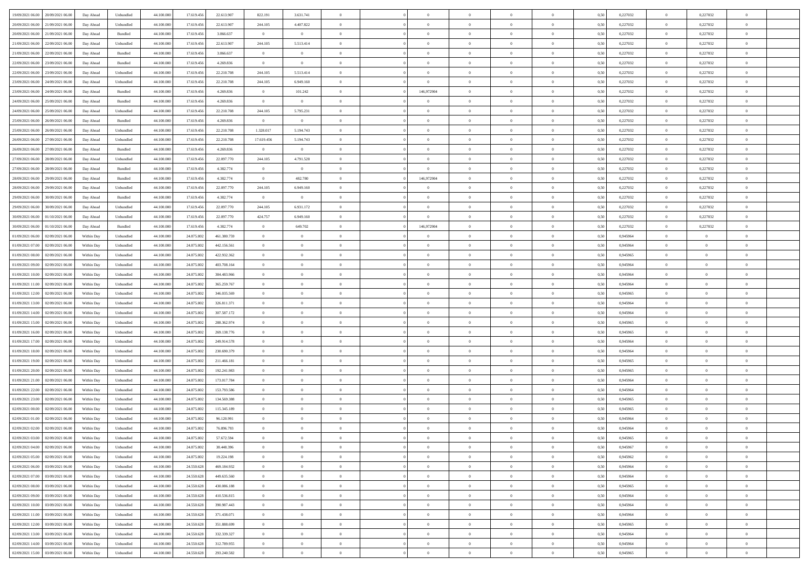| 19/09/2021 06:00 20/09/2021 06:00            | Day Ahead  | Unbundled                   | 44.100.000 | 17.619.456 | 22.613.907  | 822.191        | 3.631.741      |                | $\overline{0}$ | $\theta$       |                | $\theta$       | 0,50 | 0,227032 | $\theta$       | 0,227032       | $\theta$       |  |
|----------------------------------------------|------------|-----------------------------|------------|------------|-------------|----------------|----------------|----------------|----------------|----------------|----------------|----------------|------|----------|----------------|----------------|----------------|--|
| 20/09/2021 06:00<br>21/09/2021 06:00         | Day Ahead  | Unbundled                   | 44.100.00  | 17.619.45  | 22.613.907  | 244.105        | 4.407.822      | $\overline{0}$ | $\overline{0}$ | $\overline{0}$ | $\overline{0}$ | $\bf{0}$       | 0,50 | 0,227032 | $\,$ 0 $\,$    | 0,227032       | $\overline{0}$ |  |
| 20/09/2021 06:00<br>21/09/2021 06:00         | Day Ahead  | Bundled                     | 44,100,000 | 17.619.456 | 3.866.637   | $\overline{0}$ | $\overline{0}$ | $\overline{0}$ | $\bf{0}$       | $\bf{0}$       | $\overline{0}$ | $\bf{0}$       | 0.50 | 0,227032 | $\overline{0}$ | 0,227032       | $\overline{0}$ |  |
| 21/09/2021 06:00<br>22/09/2021 06:00         | Day Ahead  | Unbundled                   | 44.100.000 | 17.619.456 | 22.613.907  | 244.105        | 5.513.414      | $\overline{0}$ | $\theta$       | $\theta$       | $\overline{0}$ | $\overline{0}$ | 0,50 | 0,227032 | $\,$ 0 $\,$    | 0,227032       | $\overline{0}$ |  |
| 21/09/2021 06:00<br>22/09/2021 06.00         | Day Ahead  | Bundled                     | 44.100.00  | 17.619.456 | 3.866.637   | $\overline{0}$ | $\overline{0}$ | $\overline{0}$ | $\overline{0}$ | $\theta$       | $\overline{0}$ | $\bf{0}$       | 0,50 | 0,227032 | $\,$ 0 $\,$    | 0,227032       | $\overline{0}$ |  |
| 22/09/2021 06:00<br>23/09/2021 06:00         | Day Ahead  | Bundled                     | 44,100,000 | 17.619.456 | 4.269.836   | $\overline{0}$ | $\overline{0}$ | $\overline{0}$ | $\overline{0}$ | $\overline{0}$ | $\theta$       | $\bf{0}$       | 0.50 | 0,227032 | $\bf{0}$       | 0.227032       | $\overline{0}$ |  |
| 23/09/2021 06:00<br>22/09/2021 06:00         | Day Ahead  | Unbundled                   | 44.100.000 | 17.619.456 | 22.210.708  | 244.105        | 5.513.414      | $\overline{0}$ | $\overline{0}$ | $\theta$       | $\overline{0}$ | $\overline{0}$ | 0,50 | 0,227032 | $\bf{0}$       | 0,227032       | $\overline{0}$ |  |
| 23/09/2021 06:00<br>24/09/2021 06.00         | Day Ahead  | Unbundled                   | 44.100.00  | 17.619.45  | 22.210.708  | 244.105        | 6.949.160      | $\overline{0}$ | $\overline{0}$ | $\overline{0}$ | $\overline{0}$ | $\bf{0}$       | 0,50 | 0,227032 | $\,$ 0 $\,$    | 0,227032       | $\overline{0}$ |  |
|                                              |            |                             |            |            |             |                |                |                |                |                |                |                |      |          |                |                |                |  |
| 23/09/2021 06:00<br>24/09/2021 06:00         | Day Ahead  | Bundled                     | 44,100,00  | 17.619.456 | 4.269.836   | $\overline{0}$ | 101.242        | $\overline{0}$ | 146,972904     | $\overline{0}$ | $\overline{0}$ | $\bf{0}$       | 0.50 | 0.227032 | $\bf{0}$       | 0.227032       | $\overline{0}$ |  |
| 24/09/2021 06:00<br>25/09/2021 06:00         | Day Ahead  | Bundled                     | 44.100.000 | 17.619.456 | 4.269.836   | $\overline{0}$ | $\overline{0}$ | $\overline{0}$ | $\overline{0}$ | $\overline{0}$ | $\overline{0}$ | $\bf{0}$       | 0,50 | 0,227032 | $\bf{0}$       | 0,227032       | $\overline{0}$ |  |
| 24/09/2021 06:00<br>25/09/2021 06.00         | Day Ahead  | Unbundled                   | 44.100.00  | 17.619.456 | 22.210.708  | 244.105        | 5.795.231      | $\bf{0}$       | $\overline{0}$ | $\theta$       | $\overline{0}$ | $\bf{0}$       | 0,50 | 0,227032 | $\,$ 0 $\,$    | 0,227032       | $\overline{0}$ |  |
| 25/09/2021 06:00<br>26/09/2021 06:00         | Day Ahead  | Bundled                     | 44,100,000 | 17.619.456 | 4.269.836   | $\overline{0}$ | $\overline{0}$ | $\overline{0}$ | $\bf{0}$       | $\bf{0}$       | $\overline{0}$ | $\bf{0}$       | 0.50 | 0,227032 | $\overline{0}$ | 0,227032       | $\overline{0}$ |  |
| 25/09/2021 06:00<br>26/09/2021 06:00         | Day Ahead  | Unbundled                   | 44.100.000 | 17.619.456 | 22.210.708  | 1.328.017      | 5.194.743      | $\overline{0}$ | $\overline{0}$ | $\theta$       | $\overline{0}$ | $\overline{0}$ | 0,50 | 0,227032 | $\,$ 0 $\,$    | 0,227032       | $\overline{0}$ |  |
| 26/09/2021 06:00<br>27/09/2021 06.00         | Day Ahead  | Unbundled                   | 44.100.00  | 17.619.456 | 22.210.708  | 17.619.456     | 5.194.743      | $\bf{0}$       | $\overline{0}$ | $\theta$       | $\overline{0}$ | $\bf{0}$       | 0,50 | 0,227032 | $\,$ 0 $\,$    | 0,227032       | $\overline{0}$ |  |
| 26/09/2021 06:00<br>27/09/2021 06:00         | Day Ahead  | Bundled                     | 44,100,000 | 17.619.456 | 4.269.836   | $\overline{0}$ | $\overline{0}$ | $\overline{0}$ | $\bf{0}$       | $\theta$       | $\Omega$       | $\bf{0}$       | 0.50 | 0,227032 | $\bf{0}$       | 0,227032       | $\overline{0}$ |  |
| 27/09/2021 06:00<br>28/09/2021 06:00         | Day Ahead  | Unbundled                   | 44.100.000 | 17.619.456 | 22.097.770  | 244.105        | 4.791.528      | $\overline{0}$ | $\overline{0}$ | $\theta$       | $\overline{0}$ | $\bf{0}$       | 0,50 | 0,227032 | $\bf{0}$       | 0,227032       | $\overline{0}$ |  |
| 27/09/2021 06:00<br>28/09/2021 06.00         | Day Ahead  | Bundled                     | 44.100.00  | 17.619.456 | 4.382.774   | $\bf{0}$       | $\overline{0}$ | $\bf{0}$       | $\overline{0}$ | $\theta$       | $\overline{0}$ | $\bf{0}$       | 0,50 | 0,227032 | $\,$ 0 $\,$    | 0,227032       | $\overline{0}$ |  |
| 28/09/2021 06:00<br>29/09/2021 06:00         | Day Ahead  | Bundled                     | 44,100,000 | 17.619.456 | 4.382.774   | $\overline{0}$ | 482.780        | $\Omega$       | 146,972904     | $\overline{0}$ | $\overline{0}$ | $\bf{0}$       | 0.50 | 0.227032 | $\bf{0}$       | 0.227032       | $\overline{0}$ |  |
| 28/09/2021 06:00<br>29/09/2021 06:00         | Day Ahead  | Unbundled                   | 44.100.000 | 17.619.456 | 22.097.770  | 244.105        | 6.949.160      | $\overline{0}$ | $\overline{0}$ | $\overline{0}$ | $\overline{0}$ | $\bf{0}$       | 0,50 | 0,227032 | $\,$ 0 $\,$    | 0,227032       | $\overline{0}$ |  |
| 29/09/2021 06:00<br>30/09/2021 06.00         | Day Ahead  | Bundled                     | 44.100.00  | 17.619.456 | 4.382.774   | $\bf{0}$       | $\bf{0}$       | $\bf{0}$       | $\overline{0}$ | $\overline{0}$ | $\overline{0}$ | $\bf{0}$       | 0,50 | 0,227032 | $\,$ 0 $\,$    | 0,227032       | $\overline{0}$ |  |
| 30/09/2021 06:00                             |            |                             | 44,100,000 | 17.619.456 | 22,097,770  |                |                |                |                |                | $\overline{0}$ |                |      |          |                |                |                |  |
| 29/09/2021 06:00                             | Day Ahead  | Unbundled                   |            |            |             | 244.105        | 6.931.172      | $\overline{0}$ | $\bf{0}$       | $\overline{0}$ |                | $\bf{0}$       | 0.50 | 0,227032 | $\overline{0}$ | 0,227032       | $\overline{0}$ |  |
| 30/09/2021 06:00<br>01/10/2021 06:00         | Day Ahead  | Unbundled                   | 44.100.000 | 17.619.456 | 22.097.770  | 424.757        | 6.949.160      | $\overline{0}$ | $\theta$       | $\theta$       | $\overline{0}$ | $\bf{0}$       | 0.5( | 0,227032 | $\,$ 0 $\,$    | 0,227032       | $\overline{0}$ |  |
| 30/09/2021 06:00<br>01/10/2021 06.00         | Day Ahead  | Bundled                     | 44.100.00  | 17.619.456 | 4.382.774   | $\bf{0}$       | 649.702        | $\bf{0}$       | 146,972904     | $\theta$       | $\overline{0}$ | $\bf{0}$       | 0,50 | 0,227032 | $\,$ 0 $\,$    | 0,227032       | $\overline{0}$ |  |
| 01/09/2021 06:00<br>02/09/2021 06:00         | Within Day | Unbundled                   | 44,100,000 | 24,875,802 | 461.380.759 | $\overline{0}$ | $\overline{0}$ | $\overline{0}$ | $\overline{0}$ | $\overline{0}$ | $\theta$       | $\bf{0}$       | 0.50 | 0.945964 | $\,$ 0 $\,$    | $\overline{0}$ | $\overline{0}$ |  |
| 01/09/2021 07:00<br>02/09/2021 06:00         | Within Day | Unbundled                   | 44.100.000 | 24.875.802 | 442.156.561 | $\overline{0}$ | $\overline{0}$ | $\overline{0}$ | $\overline{0}$ | $\theta$       | $\overline{0}$ | $\overline{0}$ | 0,50 | 0,945964 | $\theta$       | $\theta$       | $\overline{0}$ |  |
| 01/09/2021 08:00<br>02/09/2021 06.00         | Within Day | Unbundled                   | 44.100.00  | 24.875.802 | 422.932.362 | $\bf{0}$       | $\overline{0}$ | $\bf{0}$       | $\overline{0}$ | $\theta$       | $\overline{0}$ | $\bf{0}$       | 0,50 | 0,945965 | $\,$ 0 $\,$    | $\bf{0}$       | $\overline{0}$ |  |
| 01/09/2021 09:00<br>02/09/2021 06:00         | Within Day | Unbundled                   | 44,100,000 | 24,875,802 | 403.708.164 | $\overline{0}$ | $\bf{0}$       | $\overline{0}$ | $\bf{0}$       | $\overline{0}$ | $\overline{0}$ | $\bf{0}$       | 0.50 | 0.945964 | $\bf{0}$       | $\overline{0}$ | $\overline{0}$ |  |
| 01/09/2021 10:00<br>02/09/2021 06:00         | Within Day | Unbundled                   | 44.100.000 | 24.875.802 | 384.483.966 | $\overline{0}$ | $\overline{0}$ | $\overline{0}$ | $\overline{0}$ | $\theta$       | $\overline{0}$ | $\bf{0}$       | 0,50 | 0,945964 | $\theta$       | $\theta$       | $\overline{0}$ |  |
| 01/09/2021 11:00<br>02/09/2021 06.00         | Within Day | Unbundled                   | 44.100.00  | 24.875.80  | 365.259.767 | $\bf{0}$       | $\bf{0}$       | $\bf{0}$       | $\bf{0}$       | $\overline{0}$ | $\overline{0}$ | $\bf{0}$       | 0,50 | 0,945964 | $\,$ 0 $\,$    | $\bf{0}$       | $\overline{0}$ |  |
| 01/09/2021 12:00<br>02/09/2021 06:00         | Within Day | Unbundled                   | 44,100,000 | 24,875,802 | 346.035.569 | $\overline{0}$ | $\bf{0}$       | $\overline{0}$ | $\bf{0}$       | $\bf{0}$       | $\overline{0}$ | $\bf{0}$       | 0.50 | 0.945965 | $\bf{0}$       | $\overline{0}$ | $\bf{0}$       |  |
| 01/09/2021 13:00<br>02/09/2021 06:00         | Within Day | Unbundled                   | 44.100.000 | 24.875.802 | 326.811.371 | $\overline{0}$ | $\overline{0}$ | $\overline{0}$ | $\overline{0}$ | $\overline{0}$ | $\overline{0}$ | $\bf{0}$       | 0.5( | 0.945964 | $\theta$       | $\theta$       | $\overline{0}$ |  |
| 01/09/2021 14:00<br>02/09/2021 06.00         | Within Day | Unbundled                   | 44.100.00  | 24.875.802 | 307.587.172 | $\bf{0}$       | $\overline{0}$ | $\bf{0}$       | $\overline{0}$ | $\overline{0}$ | $\overline{0}$ | $\bf{0}$       | 0,50 | 0,945964 | $\,$ 0 $\,$    | $\bf{0}$       | $\overline{0}$ |  |
| 01/09/2021 15:00<br>02/09/2021 06:00         | Within Day | Unbundled                   | 44,100,000 | 24,875,802 | 288.362.974 | $\overline{0}$ | $\overline{0}$ | $\overline{0}$ | $\bf{0}$       | $\theta$       | $\Omega$       | $\bf{0}$       | 0.50 | 0.945965 | $\,$ 0 $\,$    | $\theta$       | $\overline{0}$ |  |
| 01/09/2021 16:00<br>02/09/2021 06:00         | Within Dav | Unbundled                   | 44.100.000 | 24.875.802 | 269.138.776 | $\overline{0}$ | $\overline{0}$ | $\Omega$       | $\overline{0}$ | $\overline{0}$ | $\overline{0}$ | $\bf{0}$       | 0.50 | 0,945965 | $\theta$       | $\theta$       | $\overline{0}$ |  |
|                                              |            |                             |            |            |             |                |                |                |                |                |                |                |      |          |                |                |                |  |
| 01/09/2021 17:00<br>02/09/2021 06.00         | Within Day | Unbundled                   | 44.100.00  | 24.875.802 | 249.914.578 | $\bf{0}$       | $\overline{0}$ | $\bf{0}$       | $\overline{0}$ | $\bf{0}$       | $\overline{0}$ | $\bf{0}$       | 0,50 | 0,945964 | $\,$ 0 $\,$    | $\bf{0}$       | $\overline{0}$ |  |
| 01/09/2021 18:00<br>02/09/2021 06:00         | Within Day | Unbundled                   | 44,100,00  | 24,875,802 | 230.690.379 | $\overline{0}$ | $\bf{0}$       | $\overline{0}$ | $\bf{0}$       | $\overline{0}$ | $\overline{0}$ | $\bf{0}$       | 0.50 | 0.945964 | $\bf{0}$       | $\overline{0}$ | $\overline{0}$ |  |
| 01/09/2021 19:00<br>02/09/2021 06:00         | Within Dav | Unbundled                   | 44.100.000 | 24.875.802 | 211.466.181 | $\overline{0}$ | $\overline{0}$ | $\overline{0}$ | $\overline{0}$ | $\overline{0}$ | $\overline{0}$ | $\overline{0}$ | 0.50 | 0,945965 | $\theta$       | $\theta$       | $\overline{0}$ |  |
| 01/09/2021 20:00<br>02/09/2021 06.00         | Within Day | Unbundled                   | 44.100.00  | 24.875.802 | 192.241.983 | $\bf{0}$       | $\bf{0}$       | $\bf{0}$       | $\bf{0}$       | $\overline{0}$ | $\overline{0}$ | $\bf{0}$       | 0,50 | 0,945965 | $\,$ 0 $\,$    | $\bf{0}$       | $\overline{0}$ |  |
| 01/09/2021 21:00<br>02/09/2021 06:00         | Within Day | Unbundled                   | 44,100,000 | 24,875,802 | 173.017.784 | $\overline{0}$ | $\bf{0}$       | $\overline{0}$ | $\bf{0}$       | $\bf{0}$       | $\overline{0}$ | $\bf{0}$       | 0.50 | 0.945964 | $\bf{0}$       | $\overline{0}$ | $\overline{0}$ |  |
| 01/09/2021 22:00<br>02/09/2021 06:00         | Within Dav | Unbundled                   | 44.100.000 | 24.875.802 | 153.793.586 | $\overline{0}$ | $\overline{0}$ | $\Omega$       | $\overline{0}$ | $\overline{0}$ | $\overline{0}$ | $\bf{0}$       | 0.50 | 0.945964 | $\theta$       | $\theta$       | $\overline{0}$ |  |
| 01/09/2021 23:00<br>02/09/2021 06.00         | Within Day | Unbundled                   | 44.100.00  | 24.875.802 | 134.569.388 | $\bf{0}$       | $\overline{0}$ | $\bf{0}$       | $\overline{0}$ | $\overline{0}$ | $\overline{0}$ | $\bf{0}$       | 0,50 | 0,945965 | $\,$ 0 $\,$    | $\bf{0}$       | $\overline{0}$ |  |
| 02/09/2021 00:00<br>02/09/2021 06:00         | Within Day | Unbundled                   | 44,100,000 | 24,875,802 | 115.345.189 | $\overline{0}$ | $\overline{0}$ | $\overline{0}$ | $\bf{0}$       | $\overline{0}$ | $\theta$       | $\bf{0}$       | 0.50 | 0.945965 | $\bf{0}$       | $\theta$       | $\overline{0}$ |  |
| 02/09/2021 01:00<br>02/09/2021 06:00         | Within Dav | Unbundled                   | 44.100.000 | 24.875.802 | 96.120.991  | $\overline{0}$ | $\overline{0}$ | $\Omega$       | $\Omega$       | $\theta$       | $\Omega$       | $\overline{0}$ | 0.5( | 0,945964 | $\theta$       | $\theta$       | $\overline{0}$ |  |
| 02/09/2021 02:00<br>02/09/2021 06:00         | Within Day | Unbundled                   | 44.100.000 | 24.875.802 | 76.896.793  | $\bf{0}$       | $\bf{0}$       | $\overline{0}$ | $\bf{0}$       | $\bf{0}$       | $\overline{0}$ | $\bf{0}$       | 0,50 | 0,945964 | $\,$ 0 $\,$    | $\bf{0}$       | $\overline{0}$ |  |
| $02/09/2021\ 03.00 \qquad 02/09/2021\ 06.00$ | Within Day | $\ensuremath{\mathsf{Unb}}$ | 44.100.000 | 24.875.802 | 57.672.594  | $\overline{0}$ |                |                | $\Omega$       |                |                |                | 0,50 | 0.945965 | $\theta$       | $\overline{0}$ |                |  |
| 02/09/2021 04:00 02/09/2021 06:00            | Within Day | Unbundled                   | 44.100.000 | 24.875.802 | 38.448.396  | $\overline{0}$ | $\theta$       | $\Omega$       | $\theta$       | $\overline{0}$ | $\overline{0}$ | $\bf{0}$       | 0,50 | 0,945967 | $\theta$       | $\theta$       | $\overline{0}$ |  |
| 02/09/2021 05:00<br>02/09/2021 06:00         | Within Day | Unbundled                   | 44.100.00  | 24.875.802 | 19.224.198  | $\overline{0}$ | $\bf{0}$       | $\overline{0}$ | $\overline{0}$ | $\bf{0}$       | $\overline{0}$ | $\bf{0}$       | 0,50 | 0,945962 | $\bf{0}$       | $\overline{0}$ | $\bf{0}$       |  |
| 02/09/2021 06:00 03/09/2021 06:00            | Within Day | Unbundled                   | 44,100,000 | 24.550.628 | 469.184.932 | $\overline{0}$ | $\bf{0}$       | $\overline{0}$ | $\overline{0}$ | $\overline{0}$ | $\overline{0}$ | $\bf{0}$       | 0.50 | 0.945964 | $\mathbf{0}$   | $\bf{0}$       | $\,$ 0 $\,$    |  |
|                                              |            |                             |            |            |             |                |                |                |                |                |                |                |      |          |                |                |                |  |
| 02/09/2021 07:00 03/09/2021 06:00            | Within Dav | Unbundled                   | 44.100.000 | 24.550.628 | 449.635.560 | $\overline{0}$ | $\overline{0}$ | $\overline{0}$ | $\overline{0}$ | $\overline{0}$ | $\overline{0}$ | $\bf{0}$       | 0,50 | 0,945964 | $\theta$       | $\theta$       | $\overline{0}$ |  |
| 02/09/2021 08:00<br>03/09/2021 06:00         | Within Day | Unbundled                   | 44.100.000 | 24.550.628 | 430.086.188 | $\overline{0}$ | $\bf{0}$       | $\overline{0}$ | $\bf{0}$       | $\overline{0}$ | $\bf{0}$       | $\bf{0}$       | 0,50 | 0,945965 | $\overline{0}$ | $\bf{0}$       | $\overline{0}$ |  |
| 03/09/2021 06:00<br>02/09/2021 09:00         | Within Day | Unbundled                   | 44,100,000 | 24,550,628 | 410.536.815 | $\overline{0}$ | $\bf{0}$       | $\overline{0}$ | $\overline{0}$ | $\overline{0}$ | $\overline{0}$ | $\bf{0}$       | 0.50 | 0.945964 | $\,$ 0 $\,$    | $\theta$       | $\overline{0}$ |  |
| 02/09/2021 10:00<br>03/09/2021 06:00         | Within Dav | Unbundled                   | 44.100.000 | 24.550.628 | 390.987.443 | $\overline{0}$ | $\overline{0}$ | $\overline{0}$ | $\overline{0}$ | $\overline{0}$ | $\overline{0}$ | $\overline{0}$ | 0.50 | 0,945964 | $\overline{0}$ | $\theta$       | $\overline{0}$ |  |
| 02/09/2021 11:00<br>03/09/2021 06:00         | Within Day | Unbundled                   | 44.100.00  | 24.550.628 | 371.438.071 | $\overline{0}$ | $\bf{0}$       | $\overline{0}$ | $\overline{0}$ | $\bf{0}$       | $\overline{0}$ | $\bf{0}$       | 0,50 | 0,945964 | $\bf{0}$       | $\bf{0}$       | $\overline{0}$ |  |
| 02/09/2021 12:00 03/09/2021 06:00            | Within Day | Unbundled                   | 44,100,000 | 24,550,628 | 351.888.699 | $\overline{0}$ | $\overline{0}$ | $\overline{0}$ | $\overline{0}$ | $\bf{0}$       | $\overline{0}$ | $\bf{0}$       | 0.50 | 0.945965 | $\overline{0}$ | $\,$ 0 $\,$    | $\,$ 0         |  |
| 02/09/2021 13:00<br>03/09/2021 06:00         | Within Dav | Unbundled                   | 44.100.000 | 24.550.628 | 332.339.327 | $\overline{0}$ | $\overline{0}$ | $\overline{0}$ | $\overline{0}$ | $\overline{0}$ | $\overline{0}$ | $\bf{0}$       | 0,50 | 0,945964 | $\theta$       | $\theta$       | $\overline{0}$ |  |
| 02/09/2021 14:00<br>03/09/2021 06.00         | Within Day | Unbundled                   | 44.100.00  | 24.550.628 | 312.789.955 | $\overline{0}$ | $\bf{0}$       | $\overline{0}$ | $\bf{0}$       | $\overline{0}$ | $\bf{0}$       | $\bf{0}$       | 0,50 | 0,945964 | $\bf{0}$       | $\bf{0}$       | $\overline{0}$ |  |
| 02/09/2021 15:00 03/09/2021 06:00            | Within Day | Unbundled                   | 44.100.000 | 24.550.628 | 293.240.582 | $\overline{0}$ | $\bf{0}$       | $\overline{0}$ | $\overline{0}$ | $\,$ 0 $\,$    | $\overline{0}$ | $\bf{0}$       | 0,50 | 0,945965 | $\overline{0}$ | $\bf{0}$       | $\,$ 0 $\,$    |  |
|                                              |            |                             |            |            |             |                |                |                |                |                |                |                |      |          |                |                |                |  |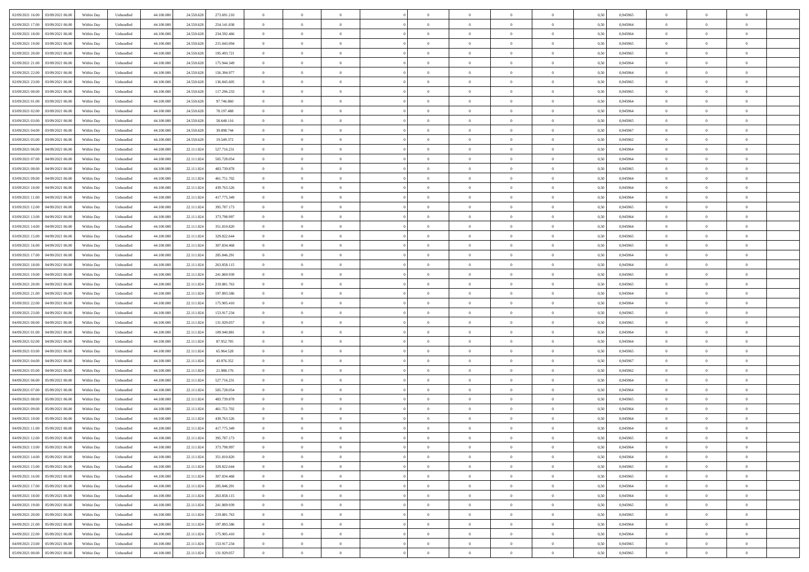| 02/09/2021 16:00<br>03/09/2021 06:00 | Within Day | Unbundled | 44.100.000 | 24.550.628 | 273.691.210 | $\overline{0}$ | $\overline{0}$   | $\overline{0}$ | $\theta$       | $\theta$       |                | $\overline{0}$ | 0,50 | 0,945965 | $\theta$       | $\theta$       | $\theta$       |  |
|--------------------------------------|------------|-----------|------------|------------|-------------|----------------|------------------|----------------|----------------|----------------|----------------|----------------|------|----------|----------------|----------------|----------------|--|
|                                      |            |           |            |            |             |                |                  |                |                |                |                |                |      |          |                |                |                |  |
| 02/09/2021 17:00<br>03/09/2021 06.0  | Within Day | Unbundled | 44.100.000 | 24.550.628 | 254.141.838 | $\overline{0}$ | $\overline{0}$   | $\overline{0}$ | $\,$ 0 $\,$    | $\bf{0}$       | $\overline{0}$ | $\bf{0}$       | 0,50 | 0,945964 | $\,$ 0 $\,$    | $\theta$       | $\overline{0}$ |  |
| 02/09/2021 18:00<br>03/09/2021 06:00 | Within Day | Unbundled | 44,100,000 | 24.550.628 | 234.592.466 | $\overline{0}$ | $\overline{0}$   | $\overline{0}$ | $\bf{0}$       | $\bf{0}$       | $\overline{0}$ | $\mathbf{0}$   | 0.50 | 0.945964 | $\bf{0}$       | $\overline{0}$ | $\overline{0}$ |  |
| 02/09/2021 19:00<br>03/09/2021 06.00 | Within Day | Unbundled | 44.100.000 | 24.550.628 | 215.043.094 | $\overline{0}$ | $\overline{0}$   | $\overline{0}$ | $\overline{0}$ | $\overline{0}$ | $\overline{0}$ | $\bf{0}$       | 0,50 | 0,945965 | $\theta$       | $\theta$       | $\overline{0}$ |  |
| 02/09/2021 20.00<br>03/09/2021 06.0  | Within Day | Unbundled | 44.100.000 | 24.550.628 | 195.493.721 | $\overline{0}$ | $\overline{0}$   | $\bf{0}$       | $\overline{0}$ | $\overline{0}$ | $\overline{0}$ | $\bf{0}$       | 0,50 | 0,945965 | $\,$ 0 $\,$    | $\theta$       | $\overline{0}$ |  |
|                                      |            |           |            |            |             |                |                  |                |                |                |                |                |      |          |                |                |                |  |
| 02/09/2021 21:00<br>03/09/2021 06:00 | Within Day | Unbundled | 44,100,000 | 24.550.628 | 175.944.349 | $\overline{0}$ | $\overline{0}$   | $\overline{0}$ | $\overline{0}$ | $\overline{0}$ | $\overline{0}$ | $\mathbf{0}$   | 0.50 | 0.945964 | $\theta$       | $\theta$       | $\overline{0}$ |  |
| 02/09/2021 22.00<br>03/09/2021 06.00 | Within Day | Unbundled | 44.100.000 | 24.550.628 | 156.394.977 | $\overline{0}$ | $\overline{0}$   | $\overline{0}$ | $\overline{0}$ | $\overline{0}$ | $\overline{0}$ | $\bf{0}$       | 0,50 | 0,945964 | $\theta$       | $\theta$       | $\overline{0}$ |  |
| 02/09/2021 23.00<br>03/09/2021 06.00 | Within Day | Unbundled | 44.100.000 | 24.550.628 | 136.845.605 | $\overline{0}$ | $\overline{0}$   | $\overline{0}$ | $\bf{0}$       | $\overline{0}$ | $\overline{0}$ | $\bf{0}$       | 0,50 | 0,945965 | $\,$ 0 $\,$    | $\bf{0}$       | $\overline{0}$ |  |
| 03/09/2021 00:00<br>03/09/2021 06:00 | Within Day | Unbundled | 44,100,000 | 24.550.628 | 117.296.233 | $\overline{0}$ | $\overline{0}$   | $\overline{0}$ | $\overline{0}$ | $\overline{0}$ | $\overline{0}$ | $\mathbf{0}$   | 0.50 | 0.945965 | $\theta$       | $\theta$       | $\overline{0}$ |  |
| 03/09/2021 01:00<br>03/09/2021 06:00 | Within Day | Unbundled | 44.100.000 | 24.550.628 | 97.746.860  | $\overline{0}$ | $\overline{0}$   | $\overline{0}$ | $\overline{0}$ | $\overline{0}$ | $\overline{0}$ | $\bf{0}$       | 0,50 | 0,945964 | $\theta$       | $\theta$       | $\overline{0}$ |  |
|                                      |            |           |            |            |             |                | $\overline{0}$   |                |                |                |                |                |      |          |                |                |                |  |
| 03/09/2021 02.00<br>03/09/2021 06.0  | Within Day | Unbundled | 44.100.000 | 24.550.628 | 78.197.488  | $\overline{0}$ |                  | $\overline{0}$ | $\bf{0}$       | $\overline{0}$ | $\overline{0}$ | $\bf{0}$       | 0,50 | 0,945964 | $\,$ 0 $\,$    | $\bf{0}$       | $\overline{0}$ |  |
| 03/09/2021 03:00<br>03/09/2021 06:00 | Within Day | Unbundled | 44,100,000 | 24.550.628 | 58.648.116  | $\overline{0}$ | $\overline{0}$   | $\overline{0}$ | $\bf{0}$       | $\bf{0}$       | $\overline{0}$ | $\mathbf{0}$   | 0.50 | 0.945965 | $\bf{0}$       | $\overline{0}$ | $\bf{0}$       |  |
| 03/09/2021 04.00<br>03/09/2021 06:00 | Within Day | Unbundled | 44.100.000 | 24.550.628 | 39.098.744  | $\overline{0}$ | $\overline{0}$   | $\overline{0}$ | $\overline{0}$ | $\overline{0}$ | $\overline{0}$ | $\bf{0}$       | 0,50 | 0,945967 | $\theta$       | $\theta$       | $\overline{0}$ |  |
| 03/09/2021 05.00<br>03/09/2021 06.0  | Within Day | Unbundled | 44.100.000 | 24.550.628 | 19.549.372  | $\overline{0}$ | $\overline{0}$   | $\bf{0}$       | $\bf{0}$       | $\overline{0}$ | $\overline{0}$ | $\bf{0}$       | 0,50 | 0,945962 | $\,$ 0 $\,$    | $\bf{0}$       | $\overline{0}$ |  |
| 03/09/2021 06.00<br>04/09/2021 06:00 | Within Day | Unbundled | 44,100,000 | 22.111.824 | 527.716.231 | $\overline{0}$ | $\overline{0}$   | $\overline{0}$ | $\overline{0}$ | $\overline{0}$ | $\Omega$       | $\mathbf{0}$   | 0.50 | 0.945964 | $\theta$       | $\theta$       | $\overline{0}$ |  |
| 03/09/2021 07.00<br>04/09/2021 06.00 | Within Day | Unbundled | 44.100.000 | 22.111.824 | 505.728.054 | $\overline{0}$ | $\overline{0}$   | $\overline{0}$ | $\overline{0}$ | $\overline{0}$ | $\overline{0}$ | $\bf{0}$       | 0,50 | 0,945964 | $\theta$       | $\theta$       | $\overline{0}$ |  |
|                                      |            |           |            |            |             |                |                  |                |                |                |                |                |      |          |                |                |                |  |
| 03/09/2021 08.00<br>04/09/2021 06.0  | Within Day | Unbundled | 44.100.000 | 22.111.824 | 483.739.878 | $\overline{0}$ | $\overline{0}$   | $\overline{0}$ | $\bf{0}$       | $\overline{0}$ | $\overline{0}$ | $\bf{0}$       | 0,50 | 0,945965 | $\,$ 0 $\,$    | $\theta$       | $\overline{0}$ |  |
| 03/09/2021 09:00<br>04/09/2021 06:00 | Within Day | Unbundled | 44,100,000 | 22.111.824 | 461.751.702 | $\overline{0}$ | $\overline{0}$   | $\overline{0}$ | $\overline{0}$ | $\overline{0}$ | $\overline{0}$ | $\mathbf{0}$   | 0.50 | 0.945964 | $\,$ 0 $\,$    | $\overline{0}$ | $\overline{0}$ |  |
| 03/09/2021 10:00<br>04/09/2021 06.00 | Within Day | Unbundled | 44.100.000 | 22.111.824 | 439.763.526 | $\overline{0}$ | $\overline{0}$   | $\overline{0}$ | $\overline{0}$ | $\overline{0}$ | $\overline{0}$ | $\bf{0}$       | 0,50 | 0,945964 | $\theta$       | $\theta$       | $\overline{0}$ |  |
| 03/09/2021 11:00<br>04/09/2021 06.0  | Within Day | Unbundled | 44.100.000 | 22.111.824 | 417.775.349 | $\overline{0}$ | $\overline{0}$   | $\overline{0}$ | $\bf{0}$       | $\bf{0}$       | $\overline{0}$ | $\bf{0}$       | 0,50 | 0,945964 | $\,$ 0 $\,$    | $\bf{0}$       | $\overline{0}$ |  |
| 03/09/2021 12:00<br>04/09/2021 06:00 | Within Day | Unbundled | 44,100,000 | 22.111.824 | 395.787.173 | $\overline{0}$ | $\overline{0}$   | $\overline{0}$ | $\bf{0}$       | $\bf{0}$       | $\overline{0}$ | $\mathbf{0}$   | 0.50 | 0.945965 | $\bf{0}$       | $\overline{0}$ | $\bf{0}$       |  |
| 03/09/2021 13:00<br>04/09/2021 06:00 | Within Day | Unbundled | 44.100.000 | 22.111.824 | 373.798.997 | $\overline{0}$ | $\overline{0}$   | $\overline{0}$ | $\overline{0}$ | $\overline{0}$ | $\overline{0}$ | $\,$ 0 $\,$    | 0,50 | 0,945964 | $\theta$       | $\theta$       | $\overline{0}$ |  |
|                                      |            |           |            |            |             |                |                  |                |                |                |                |                |      |          |                |                |                |  |
| 03/09/2021 14:00<br>04/09/2021 06.0  | Within Day | Unbundled | 44.100.000 | 22.111.824 | 351.810.820 | $\overline{0}$ | $\overline{0}$   | $\overline{0}$ | $\bf{0}$       | $\overline{0}$ | $\overline{0}$ | $\bf{0}$       | 0,50 | 0,945964 | $\,$ 0 $\,$    | $\bf{0}$       | $\overline{0}$ |  |
| 03/09/2021 15:00<br>04/09/2021 06:00 | Within Day | Unbundled | 44,100,000 | 22.111.824 | 329.822.644 | $\overline{0}$ | $\overline{0}$   | $\overline{0}$ | $\overline{0}$ | $\overline{0}$ | $\overline{0}$ | $\mathbf{0}$   | 0.50 | 0.945965 | $\bf{0}$       | $\theta$       | $\overline{0}$ |  |
| 03/09/2021 16:00<br>04/09/2021 06.00 | Within Day | Unbundled | 44.100.000 | 22.111.824 | 307.834.468 | $\overline{0}$ | $\overline{0}$   | $\overline{0}$ | $\overline{0}$ | $\overline{0}$ | $\overline{0}$ | $\bf{0}$       | 0,50 | 0,945965 | $\theta$       | $\theta$       | $\overline{0}$ |  |
| 03/09/2021 17.00<br>04/09/2021 06.0  | Within Day | Unbundled | 44.100.000 | 22.111.824 | 285.846.291 | $\overline{0}$ | $\overline{0}$   | $\overline{0}$ | $\overline{0}$ | $\overline{0}$ | $\overline{0}$ | $\bf{0}$       | 0,50 | 0,945964 | $\,$ 0 $\,$    | $\theta$       | $\overline{0}$ |  |
| 03/09/2021 18:00<br>04/09/2021 06:00 | Within Day | Unbundled | 44,100,000 | 22.111.824 | 263.858.115 | $\overline{0}$ | $\overline{0}$   | $\overline{0}$ | $\overline{0}$ | $\overline{0}$ | $\overline{0}$ | $\mathbf{0}$   | 0.50 | 0.945964 | $\theta$       | $\overline{0}$ | $\overline{0}$ |  |
| 03/09/2021 19:00<br>04/09/2021 06:00 | Within Day | Unbundled | 44.100.000 | 22.111.824 | 241.869.939 | $\overline{0}$ | $\overline{0}$   | $\overline{0}$ | $\overline{0}$ | $\overline{0}$ | $\overline{0}$ | $\bf{0}$       | 0,50 | 0,945965 | $\theta$       | $\theta$       | $\overline{0}$ |  |
|                                      |            |           |            |            |             |                |                  |                |                |                |                |                |      |          |                |                |                |  |
| 03/09/2021 20.00<br>04/09/2021 06.0  | Within Day | Unbundled | 44.100.00  | 22.111.824 | 219.881.763 | $\overline{0}$ | $\overline{0}$   | $\overline{0}$ | $\overline{0}$ | $\bf{0}$       | $\overline{0}$ | $\bf{0}$       | 0,50 | 0,945965 | $\,$ 0 $\,$    | $\bf{0}$       | $\overline{0}$ |  |
| 03/09/2021 21.00<br>04/09/2021 06:00 | Within Day | Unbundled | 44,100,000 | 22.111.824 | 197.893.586 | $\overline{0}$ | $\overline{0}$   | $\overline{0}$ | $\bf{0}$       | $\bf{0}$       | $\overline{0}$ | $\mathbf{0}$   | 0.50 | 0.945964 | $\bf{0}$       | $\overline{0}$ | $\bf{0}$       |  |
| 03/09/2021 22:00<br>04/09/2021 06:00 | Within Day | Unbundled | 44.100.000 | 22.111.824 | 175.905.410 | $\overline{0}$ | $\overline{0}$   | $\overline{0}$ | $\overline{0}$ | $\overline{0}$ | $\overline{0}$ | $\overline{0}$ | 0.50 | 0.945964 | $\theta$       | $\theta$       | $\overline{0}$ |  |
| 03/09/2021 23.00<br>04/09/2021 06.0  | Within Day | Unbundled | 44.100.000 | 22.111.824 | 153.917.234 | $\overline{0}$ | $\overline{0}$   | $\overline{0}$ | $\bf{0}$       | $\overline{0}$ | $\overline{0}$ | $\bf{0}$       | 0,50 | 0,945965 | $\,$ 0 $\,$    | $\bf{0}$       | $\overline{0}$ |  |
| 04/09/2021 00:00<br>04/09/2021 06:00 | Within Day | Unbundled | 44,100,000 | 22.111.824 | 131.929.057 | $\overline{0}$ | $\overline{0}$   | $\overline{0}$ | $\overline{0}$ | $\overline{0}$ | $\overline{0}$ | $\mathbf{0}$   | 0.50 | 0.945965 | $\theta$       | $\theta$       | $\overline{0}$ |  |
| 04/09/2021 01:00<br>04/09/2021 06:00 | Within Day | Unbundled | 44.100.000 | 22.111.824 | 109.940.881 | $\overline{0}$ | $\overline{0}$   | $\overline{0}$ | $\overline{0}$ | $\overline{0}$ | $\Omega$       | $\overline{0}$ | 0.50 | 0,945964 | $\theta$       | $\theta$       | $\overline{0}$ |  |
| 04/09/2021 02.00<br>04/09/2021 06.0  | Within Day | Unbundled | 44.100.000 | 22.111.824 | 87.952.705  | $\overline{0}$ | $\overline{0}$   | $\overline{0}$ | $\bf{0}$       | $\overline{0}$ | $\overline{0}$ | $\bf{0}$       | 0,50 | 0,945964 | $\,$ 0 $\,$    | $\bf{0}$       | $\overline{0}$ |  |
|                                      |            |           |            |            |             |                |                  |                |                |                |                |                |      |          |                |                |                |  |
| 04/09/2021 03:00<br>04/09/2021 06:00 | Within Day | Unbundled | 44,100,000 | 22.111.824 | 65.964.528  | $\overline{0}$ | $\overline{0}$   | $\overline{0}$ | $\overline{0}$ | $\bf{0}$       | $\overline{0}$ | $\mathbf{0}$   | 0.50 | 0.945965 | $\,$ 0 $\,$    | $\theta$       | $\overline{0}$ |  |
| 04/09/2021 04:00<br>04/09/2021 06:00 | Within Day | Unbundled | 44.100.000 | 22.111.824 | 43.976.352  | $\overline{0}$ | $\overline{0}$   | $\overline{0}$ | $\overline{0}$ | $\overline{0}$ | $\overline{0}$ | $\overline{0}$ | 0.50 | 0,945967 | $\theta$       | $\theta$       | $\overline{0}$ |  |
| 04/09/2021 05.00<br>04/09/2021 06.0  | Within Day | Unbundled | 44.100.000 | 22.111.824 | 21.988.176  | $\overline{0}$ | $\overline{0}$   | $\overline{0}$ | $\,$ 0 $\,$    | $\bf{0}$       | $\overline{0}$ | $\bf{0}$       | 0,50 | 0,945962 | $\,$ 0 $\,$    | $\bf{0}$       | $\overline{0}$ |  |
| 04/09/2021 06.00<br>05/09/2021 06:00 | Within Day | Unbundled | 44,100,000 | 22.111.824 | 527.716.231 | $\overline{0}$ | $\overline{0}$   | $\overline{0}$ | $\bf{0}$       | $\bf{0}$       | $\overline{0}$ | $\mathbf{0}$   | 0.50 | 0.945964 | $\bf{0}$       | $\overline{0}$ | $\overline{0}$ |  |
| 04/09/2021 07:00<br>05/09/2021 06:00 | Within Day | Unbundled | 44.100.000 | 22.111.824 | 505.728.054 | $\overline{0}$ | $\overline{0}$   | $\overline{0}$ | $\overline{0}$ | $\overline{0}$ | $\overline{0}$ | $\overline{0}$ | 0.50 | 0,945964 | $\theta$       | $\theta$       | $\overline{0}$ |  |
| 04/09/2021 08.00<br>05/09/2021 06.0  | Within Day | Unbundled | 44.100.000 | 22.111.824 | 483.739.878 | $\overline{0}$ | $\overline{0}$   | $\overline{0}$ | $\bf{0}$       | $\bf{0}$       | $\overline{0}$ | $\bf{0}$       | 0,50 | 0,945965 | $\,$ 0 $\,$    | $\bf{0}$       | $\overline{0}$ |  |
|                                      |            |           |            |            |             |                |                  |                |                |                |                |                |      |          |                |                |                |  |
| 04/09/2021 09:00<br>05/09/2021 06:00 | Within Day | Unbundled | 44,100,000 | 22.111.824 | 461.751.702 | $\overline{0}$ | $\overline{0}$   | $\overline{0}$ | $\overline{0}$ | $\overline{0}$ | $\Omega$       | $\overline{0}$ | 0.50 | 0.945964 | $\,$ 0 $\,$    | $\theta$       | $\overline{0}$ |  |
| 04/09/2021 10:00<br>05/09/2021 06:00 | Within Day | Unbundled | 44.100.000 | 22.111.824 | 439.763.526 | $\overline{0}$ | $\overline{0}$   | $\overline{0}$ | $\overline{0}$ | $\overline{0}$ | $\theta$       | $\overline{0}$ | 0.50 | 0,945964 | $\theta$       | $\theta$       | $\overline{0}$ |  |
| 04/09/2021 11:00<br>05/09/2021 06.00 | Within Day | Unbundled | 44.100.000 | 22.111.824 | 417.775.349 | $\overline{0}$ | $\overline{0}$   | $\bf{0}$       | $\overline{0}$ | $\bf{0}$       | $\overline{0}$ | $\bf{0}$       | 0,50 | 0,945964 | $\,$ 0 $\,$    | $\bf{0}$       | $\overline{0}$ |  |
| 04/09/2021 12:00 05/09/2021 06:00    | Within Day | Unbundled | 44.100.000 | 22.111.824 | 395.787.173 | $\bf{0}$       | $\boldsymbol{0}$ |                | $\bf{0}$       |                |                |                | 0,50 | 0.945965 | $\theta$       | $\overline{0}$ |                |  |
| 04/09/2021 13:00  05/09/2021 06:00   | Within Dav | Unbundled | 44.100.000 | 22.111.824 | 373.798.997 | $\overline{0}$ | $\overline{0}$   | $\overline{0}$ | $\overline{0}$ | $\overline{0}$ | $\overline{0}$ | $\overline{0}$ | 0,50 | 0,945964 | $\theta$       | $\theta$       | $\overline{0}$ |  |
| 04/09/2021 14:00<br>05/09/2021 06.0  | Within Day | Unbundled | 44.100.000 | 22.111.824 | 351.810.820 | $\overline{0}$ | $\overline{0}$   | $\overline{0}$ | $\bf{0}$       | $\overline{0}$ | $\overline{0}$ | $\mathbf{0}$   | 0,50 | 0,945964 | $\overline{0}$ | $\overline{0}$ | $\bf{0}$       |  |
|                                      |            |           | 44.100.000 |            |             |                |                  |                |                |                | $\overline{0}$ |                | 0.50 | 0.945965 |                |                |                |  |
| 04/09/2021 15:00<br>05/09/2021 06:00 | Within Day | Unbundled |            | 22.111.824 | 329.822.644 | $\overline{0}$ | $\overline{0}$   | $\overline{0}$ | $\overline{0}$ | $\bf{0}$       |                | $\mathbf{0}$   |      |          | $\overline{0}$ | $\bf{0}$       | $\bf{0}$       |  |
| 04/09/2021 16:00<br>05/09/2021 06:00 | Within Dav | Unbundled | 44.100.000 | 22.111.824 | 307.834.468 | $\overline{0}$ | $\overline{0}$   | $\overline{0}$ | $\overline{0}$ | $\overline{0}$ | $\overline{0}$ | $\mathbf{0}$   | 0,50 | 0,945965 | $\theta$       | $\theta$       | $\overline{0}$ |  |
| 04/09/2021 17.00<br>05/09/2021 06.00 | Within Day | Unbundled | 44.100.000 | 22.111.824 | 285.846.291 | $\overline{0}$ | $\overline{0}$   | $\overline{0}$ | $\bf{0}$       | $\bf{0}$       | $\overline{0}$ | $\mathbf{0}$   | 0,50 | 0,945964 | $\overline{0}$ | $\bf{0}$       | $\overline{0}$ |  |
| 04/09/2021 18:00<br>05/09/2021 06:00 | Within Day | Unbundled | 44.100.000 | 22.111.824 | 263,858,115 | $\overline{0}$ | $\overline{0}$   | $\overline{0}$ | $\bf{0}$       | $\overline{0}$ | $\overline{0}$ | $\mathbf{0}$   | 0.50 | 0.945964 | $\,$ 0 $\,$    | $\theta$       | $\overline{0}$ |  |
| 04/09/2021 19:00<br>05/09/2021 06:00 | Within Dav | Unbundled | 44.100.000 | 22.111.824 | 241.869.939 | $\overline{0}$ | $\overline{0}$   | $\overline{0}$ | $\overline{0}$ | $\overline{0}$ | $\overline{0}$ | $\mathbf{0}$   | 0,50 | 0,945965 | $\overline{0}$ | $\theta$       | $\overline{0}$ |  |
| 04/09/2021 20.00<br>05/09/2021 06.00 | Within Day | Unbundled | 44.100.000 | 22.111.824 | 219.881.763 | $\overline{0}$ | $\overline{0}$   | $\overline{0}$ | $\bf{0}$       | $\overline{0}$ | $\overline{0}$ | $\,$ 0 $\,$    | 0,50 | 0,945965 | $\bf{0}$       | $\bf{0}$       | $\overline{0}$ |  |
|                                      |            | Unbundled | 44,100,000 |            | 197.893.586 |                |                  |                |                |                | $\overline{0}$ |                | 0.50 | 0.945964 |                |                | $\,$ 0         |  |
| 04/09/2021 21.00<br>05/09/2021 06:00 | Within Day |           |            | 22.111.824 |             | $\overline{0}$ | $\overline{0}$   | $\overline{0}$ | $\bf{0}$       | $\bf{0}$       |                | $\,$ 0 $\,$    |      |          | $\overline{0}$ | $\bf{0}$       |                |  |
| 04/09/2021 22.00<br>05/09/2021 06:00 | Within Dav | Unbundled | 44.100.000 | 22.111.824 | 175.905.410 | $\overline{0}$ | $\overline{0}$   | $\overline{0}$ | $\overline{0}$ | $\overline{0}$ | $\overline{0}$ | $\mathbf{0}$   | 0,50 | 0,945964 | $\overline{0}$ | $\theta$       | $\overline{0}$ |  |
| 04/09/2021 23.00<br>05/09/2021 06.0  | Within Day | Unbundled | 44.100.000 | 22.111.824 | 153.917.234 | $\overline{0}$ | $\overline{0}$   | $\overline{0}$ | $\overline{0}$ | $\bf{0}$       | $\overline{0}$ | $\mathbf{0}$   | 0,50 | 0,945965 | $\bf{0}$       | $\bf{0}$       | $\overline{0}$ |  |
| 05/09/2021 00:00 05/09/2021 06:00    | Within Day | Unbundled | 44.100.000 | 22.111.824 | 131.929.057 | $\,$ 0 $\,$    | $\overline{0}$   | $\overline{0}$ | $\bf{0}$       | $\,$ 0         | $\overline{0}$ | $\,0\,$        | 0,50 | 0,945965 | $\overline{0}$ | $\,$ 0 $\,$    | $\,$ 0 $\,$    |  |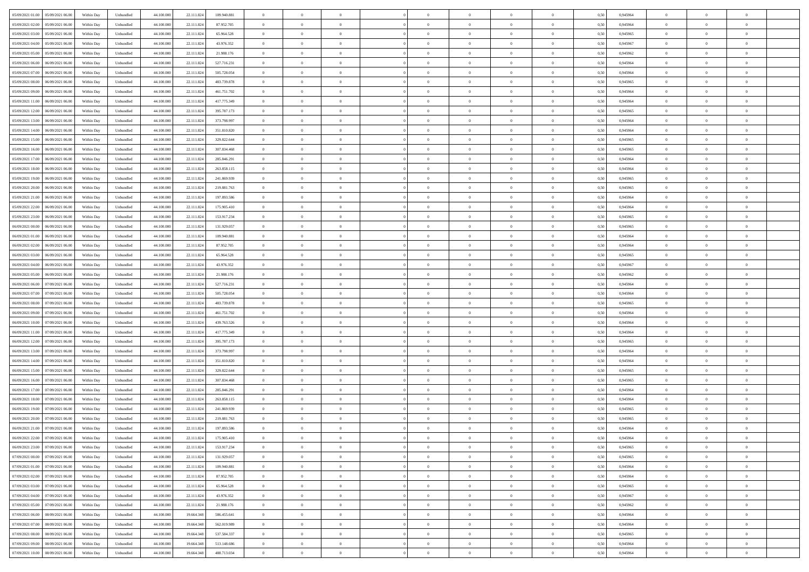| 05/09/2021 01:00<br>05/09/2021 06:00 | Within Day | Unbundled | 44.100.000 | 22.111.824 | 109.940.881 | $\overline{0}$ | $\overline{0}$ | $\overline{0}$ | $\theta$       | $\theta$       |                | $\overline{0}$ | 0,50 | 0,945964 | $\theta$       | $\theta$       | $\overline{0}$ |  |
|--------------------------------------|------------|-----------|------------|------------|-------------|----------------|----------------|----------------|----------------|----------------|----------------|----------------|------|----------|----------------|----------------|----------------|--|
|                                      |            |           |            |            |             |                |                |                |                |                |                |                |      |          |                |                |                |  |
| 05/09/2021 02:00<br>05/09/2021 06.0  | Within Day | Unbundled | 44.100.00  | 22.111.824 | 87.952.705  | $\overline{0}$ | $\overline{0}$ | $\overline{0}$ | $\,$ 0 $\,$    | $\bf{0}$       | $\overline{0}$ | $\bf{0}$       | 0,50 | 0,945964 | $\,$ 0 $\,$    | $\theta$       | $\overline{0}$ |  |
| 05/09/2021 03:00<br>05/09/2021 06:00 | Within Day | Unbundled | 44,100,000 | 22.111.824 | 65.964.528  | $\overline{0}$ | $\overline{0}$ | $\overline{0}$ | $\bf{0}$       | $\bf{0}$       | $\overline{0}$ | $\overline{0}$ | 0.50 | 0.945965 | $\bf{0}$       | $\overline{0}$ | $\overline{0}$ |  |
| 05/09/2021 04:00<br>05/09/2021 06.00 | Within Day | Unbundled | 44.100.000 | 22.111.824 | 43.976.352  | $\overline{0}$ | $\overline{0}$ | $\overline{0}$ | $\overline{0}$ | $\overline{0}$ | $\overline{0}$ | $\bf{0}$       | 0,50 | 0,945967 | $\theta$       | $\theta$       | $\overline{0}$ |  |
| 05/09/2021 05:00<br>05/09/2021 06.0  | Within Day | Unbundled | 44.100.000 | 22.111.824 | 21.988.176  | $\overline{0}$ | $\overline{0}$ | $\bf{0}$       | $\overline{0}$ | $\overline{0}$ | $\overline{0}$ | $\bf{0}$       | 0,50 | 0,945962 | $\,$ 0 $\,$    | $\theta$       | $\overline{0}$ |  |
|                                      |            |           |            |            |             |                |                |                |                |                |                |                |      |          |                |                |                |  |
| 05/09/2021 06:00<br>06/09/2021 06:00 | Within Day | Unbundled | 44,100,000 | 22.111.824 | 527.716.231 | $\overline{0}$ | $\overline{0}$ | $\overline{0}$ | $\overline{0}$ | $\overline{0}$ | $\Omega$       | $\overline{0}$ | 0.50 | 0.945964 | $\theta$       | $\theta$       | $\overline{0}$ |  |
| 05/09/2021 07:00<br>06/09/2021 06.00 | Within Day | Unbundled | 44.100.000 | 22.111.824 | 505.728.054 | $\overline{0}$ | $\overline{0}$ | $\overline{0}$ | $\overline{0}$ | $\overline{0}$ | $\overline{0}$ | $\bf{0}$       | 0,50 | 0,945964 | $\theta$       | $\theta$       | $\overline{0}$ |  |
| 05/09/2021 08:00<br>06/09/2021 06.0  | Within Day | Unbundled | 44.100.000 | 22.111.824 | 483.739.878 | $\overline{0}$ | $\overline{0}$ | $\overline{0}$ | $\overline{0}$ | $\overline{0}$ | $\overline{0}$ | $\bf{0}$       | 0,50 | 0,945965 | $\,$ 0 $\,$    | $\bf{0}$       | $\overline{0}$ |  |
| 05/09/2021 09:00<br>06/09/2021 06:00 | Within Day | Unbundled | 44,100,000 | 22.111.824 | 461.751.702 | $\overline{0}$ | $\overline{0}$ | $\overline{0}$ | $\overline{0}$ | $\overline{0}$ | $\overline{0}$ | $\mathbf{0}$   | 0.50 | 0.945964 | $\,$ 0 $\,$    | $\theta$       | $\overline{0}$ |  |
| 05/09/2021 11:00<br>06/09/2021 06.00 | Within Day | Unbundled | 44.100.000 | 22.111.824 | 417.775.349 | $\overline{0}$ | $\overline{0}$ | $\overline{0}$ | $\bf{0}$       | $\overline{0}$ | $\overline{0}$ | $\bf{0}$       | 0,50 | 0,945964 | $\theta$       | $\theta$       | $\overline{0}$ |  |
|                                      |            |           |            |            |             |                | $\overline{0}$ |                |                |                | $\overline{0}$ | $\bf{0}$       |      |          | $\,$ 0 $\,$    | $\theta$       | $\overline{0}$ |  |
| 05/09/2021 12:00<br>06/09/2021 06.0  | Within Day | Unbundled | 44.100.00  | 22.111.824 | 395.787.173 | $\overline{0}$ |                | $\overline{0}$ | $\bf{0}$       | $\bf{0}$       |                |                | 0,50 | 0,945965 |                |                |                |  |
| 05/09/2021 13:00<br>06/09/2021 06:00 | Within Day | Unbundled | 44,100,000 | 22.111.824 | 373,798,997 | $\overline{0}$ | $\overline{0}$ | $\overline{0}$ | $\bf{0}$       | $\bf{0}$       | $\overline{0}$ | $\mathbf{0}$   | 0.50 | 0.945964 | $\bf{0}$       | $\overline{0}$ | $\bf{0}$       |  |
| 05/09/2021 14:00<br>06/09/2021 06.00 | Within Day | Unbundled | 44.100.000 | 22.111.824 | 351.810.820 | $\overline{0}$ | $\overline{0}$ | $\overline{0}$ | $\overline{0}$ | $\overline{0}$ | $\overline{0}$ | $\bf{0}$       | 0,50 | 0,945964 | $\theta$       | $\theta$       | $\overline{0}$ |  |
| 05/09/2021 15:00<br>06/09/2021 06.0  | Within Day | Unbundled | 44.100.000 | 22.111.824 | 329.822.644 | $\overline{0}$ | $\overline{0}$ | $\bf{0}$       | $\bf{0}$       | $\overline{0}$ | $\overline{0}$ | $\bf{0}$       | 0,50 | 0,945965 | $\,$ 0 $\,$    | $\bf{0}$       | $\overline{0}$ |  |
| 05/09/2021 16:00<br>06/09/2021 06:00 | Within Day | Unbundled | 44,100,000 | 22.111.824 | 307.834.468 | $\overline{0}$ | $\overline{0}$ | $\overline{0}$ | $\overline{0}$ | $\overline{0}$ | $\Omega$       | $\overline{0}$ | 0.50 | 0.945965 | $\theta$       | $\theta$       | $\overline{0}$ |  |
| 05/09/2021 17:00<br>06/09/2021 06.00 | Within Day | Unbundled | 44.100.000 | 22.111.824 | 285.846.291 | $\overline{0}$ | $\overline{0}$ | $\overline{0}$ | $\overline{0}$ | $\overline{0}$ | $\overline{0}$ | $\bf{0}$       | 0,50 | 0,945964 | $\theta$       | $\theta$       | $\overline{0}$ |  |
|                                      |            |           |            |            |             |                |                |                |                |                |                |                |      |          |                |                |                |  |
| 05/09/2021 18:00<br>06/09/2021 06.0  | Within Day | Unbundled | 44.100.000 | 22.111.824 | 263.858.115 | $\overline{0}$ | $\overline{0}$ | $\overline{0}$ | $\overline{0}$ | $\overline{0}$ | $\overline{0}$ | $\bf{0}$       | 0,50 | 0,945964 | $\,$ 0 $\,$    | $\theta$       | $\overline{0}$ |  |
| 05/09/2021 19:00<br>06/09/2021 06:00 | Within Day | Unbundled | 44,100,000 | 22.111.824 | 241.869.939 | $\overline{0}$ | $\overline{0}$ | $\overline{0}$ | $\overline{0}$ | $\overline{0}$ | $\overline{0}$ | $\mathbf{0}$   | 0.50 | 0.945965 | $\,$ 0 $\,$    | $\overline{0}$ | $\overline{0}$ |  |
| 05/09/2021 20:00<br>06/09/2021 06.00 | Within Day | Unbundled | 44.100.000 | 22.111.824 | 219.881.763 | $\overline{0}$ | $\overline{0}$ | $\overline{0}$ | $\overline{0}$ | $\overline{0}$ | $\overline{0}$ | $\bf{0}$       | 0,50 | 0,945965 | $\theta$       | $\theta$       | $\overline{0}$ |  |
| 05/09/2021 21.00<br>06/09/2021 06.0  | Within Day | Unbundled | 44.100.00  | 22.111.824 | 197.893.586 | $\overline{0}$ | $\overline{0}$ | $\overline{0}$ | $\bf{0}$       | $\bf{0}$       | $\overline{0}$ | $\bf{0}$       | 0,50 | 0,945964 | $\,$ 0 $\,$    | $\bf{0}$       | $\overline{0}$ |  |
| 05/09/2021 22.00<br>06/09/2021 06:00 | Within Day | Unbundled | 44,100,000 | 22.111.824 | 175,905,410 | $\overline{0}$ | $\overline{0}$ | $\overline{0}$ | $\bf{0}$       | $\bf{0}$       | $\overline{0}$ | $\mathbf{0}$   | 0.50 | 0.945964 | $\bf{0}$       | $\overline{0}$ | $\bf{0}$       |  |
| 05/09/2021 23:00<br>06/09/2021 06:00 | Within Day | Unbundled | 44.100.000 | 22.111.824 | 153.917.234 | $\overline{0}$ | $\overline{0}$ | $\overline{0}$ | $\overline{0}$ | $\overline{0}$ | $\overline{0}$ | $\bf{0}$       | 0,50 | 0,945965 | $\theta$       | $\theta$       | $\overline{0}$ |  |
|                                      |            |           |            |            |             |                |                |                |                |                |                |                |      |          |                |                |                |  |
| 06/09/2021 00:00<br>06/09/2021 06.0  | Within Day | Unbundled | 44.100.000 | 22.111.824 | 131.929.057 | $\overline{0}$ | $\overline{0}$ | $\overline{0}$ | $\bf{0}$       | $\overline{0}$ | $\overline{0}$ | $\bf{0}$       | 0,50 | 0,945965 | $\,$ 0 $\,$    | $\bf{0}$       | $\overline{0}$ |  |
| 06/09/2021 01:00<br>06/09/2021 06:00 | Within Day | Unbundled | 44,100,000 | 22.111.824 | 109,940,881 | $\overline{0}$ | $\overline{0}$ | $\overline{0}$ | $\overline{0}$ | $\overline{0}$ | $\Omega$       | $\mathbf{0}$   | 0.50 | 0.945964 | $\theta$       | $\theta$       | $\overline{0}$ |  |
| 06/09/2021 02:00<br>06/09/2021 06.00 | Within Day | Unbundled | 44.100.000 | 22.111.824 | 87.952.705  | $\overline{0}$ | $\overline{0}$ | $\overline{0}$ | $\overline{0}$ | $\overline{0}$ | $\overline{0}$ | $\bf{0}$       | 0,50 | 0,945964 | $\theta$       | $\theta$       | $\overline{0}$ |  |
| 06/09/2021 03:00<br>06/09/2021 06.0  | Within Day | Unbundled | 44.100.000 | 22.111.824 | 65.964.528  | $\overline{0}$ | $\overline{0}$ | $\overline{0}$ | $\overline{0}$ | $\overline{0}$ | $\overline{0}$ | $\bf{0}$       | 0,50 | 0,945965 | $\,$ 0 $\,$    | $\theta$       | $\overline{0}$ |  |
| 06/09/2021 04:00<br>06/09/2021 06:00 | Within Day | Unbundled | 44,100,000 | 22.111.824 | 43.976.352  | $\overline{0}$ | $\overline{0}$ | $\overline{0}$ | $\overline{0}$ | $\overline{0}$ | $\overline{0}$ | $\mathbf{0}$   | 0.50 | 0.945967 | $\,$ 0 $\,$    | $\overline{0}$ | $\overline{0}$ |  |
| 06/09/2021 05:00<br>06/09/2021 06:00 | Within Day | Unbundled | 44.100.000 | 22.111.824 | 21.988.176  | $\overline{0}$ | $\overline{0}$ | $\overline{0}$ | $\overline{0}$ | $\overline{0}$ | $\overline{0}$ | $\bf{0}$       | 0,50 | 0,945962 | $\theta$       | $\theta$       | $\overline{0}$ |  |
|                                      |            |           |            |            |             |                |                |                |                |                |                |                |      |          |                |                |                |  |
| 06/09/2021 06:00<br>07/09/2021 06.00 | Within Day | Unbundled | 44.100.00  | 22.111.824 | 527.716.231 | $\overline{0}$ | $\overline{0}$ | $\overline{0}$ | $\overline{0}$ | $\bf{0}$       | $\overline{0}$ | $\bf{0}$       | 0,50 | 0,945964 | $\,$ 0 $\,$    | $\bf{0}$       | $\overline{0}$ |  |
| 06/09/2021 07:00<br>07/09/2021 06:00 | Within Day | Unbundled | 44,100,000 | 22.111.824 | 505.728.054 | $\overline{0}$ | $\overline{0}$ | $\overline{0}$ | $\bf{0}$       | $\bf{0}$       | $\overline{0}$ | $\mathbf{0}$   | 0.50 | 0.945964 | $\bf{0}$       | $\overline{0}$ | $\bf{0}$       |  |
| 06/09/2021 08:00<br>07/09/2021 06:00 | Within Day | Unbundled | 44.100.000 | 22.111.824 | 483.739.878 | $\overline{0}$ | $\overline{0}$ | $\overline{0}$ | $\overline{0}$ | $\overline{0}$ | $\overline{0}$ | $\overline{0}$ | 0.50 | 0.945965 | $\theta$       | $\theta$       | $\overline{0}$ |  |
| 06/09/2021 09:00<br>07/09/2021 06.00 | Within Day | Unbundled | 44.100.000 | 22.111.824 | 461.751.702 | $\overline{0}$ | $\overline{0}$ | $\overline{0}$ | $\bf{0}$       | $\overline{0}$ | $\overline{0}$ | $\bf{0}$       | 0,50 | 0,945964 | $\,$ 0 $\,$    | $\bf{0}$       | $\overline{0}$ |  |
| 06/09/2021 10:00<br>07/09/2021 06:00 | Within Day | Unbundled | 44,100,000 | 22.111.824 | 439.763.526 | $\overline{0}$ | $\overline{0}$ | $\overline{0}$ | $\overline{0}$ | $\overline{0}$ | $\overline{0}$ | $\overline{0}$ | 0.50 | 0.945964 | $\theta$       | $\theta$       | $\overline{0}$ |  |
| 06/09/2021 11:00<br>07/09/2021 06:00 | Within Day | Unbundled | 44.100.000 | 22.111.824 | 417.775.349 | $\overline{0}$ | $\overline{0}$ | $\overline{0}$ | $\overline{0}$ | $\overline{0}$ | $\Omega$       | $\overline{0}$ | 0.50 | 0,945964 | $\theta$       | $\theta$       | $\overline{0}$ |  |
|                                      |            |           |            |            |             |                |                |                |                |                |                |                |      |          |                |                |                |  |
| 06/09/2021 12:00<br>07/09/2021 06.00 | Within Day | Unbundled | 44.100.000 | 22.111.824 | 395.787.173 | $\overline{0}$ | $\overline{0}$ | $\overline{0}$ | $\bf{0}$       | $\overline{0}$ | $\overline{0}$ | $\bf{0}$       | 0,50 | 0,945965 | $\,$ 0 $\,$    | $\theta$       | $\overline{0}$ |  |
| 06/09/2021 13:00<br>07/09/2021 06:00 | Within Day | Unbundled | 44,100,000 | 22.111.824 | 373,798,997 | $\overline{0}$ | $\overline{0}$ | $\overline{0}$ | $\overline{0}$ | $\bf{0}$       | $\overline{0}$ | $\mathbf{0}$   | 0.50 | 0.945964 | $\,$ 0 $\,$    | $\theta$       | $\overline{0}$ |  |
| 06/09/2021 14:00<br>07/09/2021 06:00 | Within Day | Unbundled | 44.100.000 | 22.111.824 | 351.810.820 | $\overline{0}$ | $\overline{0}$ | $\overline{0}$ | $\overline{0}$ | $\overline{0}$ | $\overline{0}$ | $\overline{0}$ | 0.50 | 0,945964 | $\theta$       | $\theta$       | $\overline{0}$ |  |
| 06/09/2021 15:00<br>07/09/2021 06.0  | Within Day | Unbundled | 44.100.000 | 22.111.824 | 329.822.644 | $\overline{0}$ | $\overline{0}$ | $\overline{0}$ | $\overline{0}$ | $\bf{0}$       | $\overline{0}$ | $\bf{0}$       | 0,50 | 0,945965 | $\,$ 0 $\,$    | $\bf{0}$       | $\overline{0}$ |  |
| 06/09/2021 16:00<br>07/09/2021 06:00 | Within Day | Unbundled | 44,100,000 | 22.111.824 | 307.834.468 | $\overline{0}$ | $\overline{0}$ | $\overline{0}$ | $\bf{0}$       | $\bf{0}$       | $\overline{0}$ | $\mathbf{0}$   | 0.50 | 0.945965 | $\bf{0}$       | $\overline{0}$ | $\bf{0}$       |  |
| 06/09/2021 17:00<br>07/09/2021 06:00 | Within Day | Unbundled | 44.100.000 | 22.111.824 | 285.846.291 | $\overline{0}$ | $\overline{0}$ | $\overline{0}$ | $\overline{0}$ | $\overline{0}$ | $\Omega$       | $\overline{0}$ | 0.50 | 0,945964 | $\theta$       | $\theta$       | $\overline{0}$ |  |
|                                      |            |           |            |            |             |                |                |                |                |                |                |                |      |          |                |                |                |  |
| 06/09/2021 18:00<br>07/09/2021 06.00 | Within Day | Unbundled | 44.100.000 | 22.111.824 | 263.858.115 | $\overline{0}$ | $\overline{0}$ | $\overline{0}$ | $\bf{0}$       | $\overline{0}$ | $\overline{0}$ | $\bf{0}$       | 0,50 | 0,945964 | $\,$ 0 $\,$    | $\bf{0}$       | $\overline{0}$ |  |
| 06/09/2021 19:00<br>07/09/2021 06:00 | Within Day | Unbundled | 44,100,000 | 22.111.824 | 241.869.939 | $\overline{0}$ | $\overline{0}$ | $\overline{0}$ | $\overline{0}$ | $\overline{0}$ | $\Omega$       | $\overline{0}$ | 0.50 | 0.945965 | $\,$ 0 $\,$    | $\theta$       | $\overline{0}$ |  |
| 06/09/2021 20:00<br>07/09/2021 06:00 | Within Day | Unbundled | 44.100.000 | 22.111.824 | 219.881.763 | $\overline{0}$ | $\Omega$       | $\overline{0}$ | $\overline{0}$ | $\overline{0}$ | $\theta$       | $\overline{0}$ | 0.50 | 0,945965 | $\theta$       | $\theta$       | $\overline{0}$ |  |
| 06/09/2021 21:00<br>07/09/2021 06.00 | Within Day | Unbundled | 44.100.000 | 22.111.824 | 197.893.586 | $\overline{0}$ | $\overline{0}$ | $\bf{0}$       | $\overline{0}$ | $\bf{0}$       | $\overline{0}$ | $\bf{0}$       | 0,50 | 0,945964 | $\overline{0}$ | $\bf{0}$       | $\overline{0}$ |  |
| 06/09/2021 22:00 07/09/2021 06:00    | Within Day | Unbundled | 44.100.000 | 22.111.824 | 175.905.410 | $\bf{0}$       | $\,$ 0 $\,$    |                | $\bf{0}$       |                |                |                | 0,50 | 0.945964 | $\theta$       | $\overline{0}$ |                |  |
| 06/09/2021 23:00 07/09/2021 06:00    | Within Dav | Unbundled | 44.100.000 | 22.111.824 | 153.917.234 | $\overline{0}$ | $\overline{0}$ | $\overline{0}$ | $\overline{0}$ | $\overline{0}$ | $\overline{0}$ | $\overline{0}$ | 0,50 | 0,945965 | $\theta$       | $\theta$       | $\overline{0}$ |  |
| 07/09/2021 00:00<br>07/09/2021 06.0  | Within Day | Unbundled | 44.100.000 | 22.111.824 | 131.929.057 | $\overline{0}$ | $\overline{0}$ | $\overline{0}$ | $\bf{0}$       | $\overline{0}$ | $\overline{0}$ | $\mathbf{0}$   | 0,50 | 0,945965 | $\overline{0}$ | $\overline{0}$ | $\bf{0}$       |  |
|                                      |            |           |            |            |             |                |                |                |                |                |                |                |      |          |                |                |                |  |
| 07/09/2021 01:00<br>07/09/2021 06:00 | Within Day | Unbundled | 44.100.000 | 22.111.824 | 109.940.881 | $\overline{0}$ | $\overline{0}$ | $\overline{0}$ | $\,$ 0 $\,$    | $\bf{0}$       | $\overline{0}$ | $\mathbf{0}$   | 0.50 | 0.945964 | $\overline{0}$ | $\bf{0}$       | $\bf{0}$       |  |
| 07/09/2021 02:00<br>07/09/2021 06:00 | Within Dav | Unbundled | 44.100.000 | 22.111.824 | 87.952.705  | $\overline{0}$ | $\overline{0}$ | $\overline{0}$ | $\overline{0}$ | $\overline{0}$ | $\overline{0}$ | $\mathbf{0}$   | 0,50 | 0,945964 | $\overline{0}$ | $\theta$       | $\overline{0}$ |  |
| 07/09/2021 03:00<br>07/09/2021 06.00 | Within Day | Unbundled | 44.100.000 | 22.111.824 | 65.964.528  | $\overline{0}$ | $\overline{0}$ | $\overline{0}$ | $\bf{0}$       | $\bf{0}$       | $\overline{0}$ | $\mathbf{0}$   | 0,50 | 0,945965 | $\overline{0}$ | $\bf{0}$       | $\overline{0}$ |  |
| 07/09/2021 04:00<br>07/09/2021 06:00 | Within Day | Unbundled | 44.100.000 | 22.111.824 | 43.976.352  | $\overline{0}$ | $\overline{0}$ | $\overline{0}$ | $\bf{0}$       | $\overline{0}$ | $\overline{0}$ | $\mathbf{0}$   | 0.50 | 0.945967 | $\,$ 0 $\,$    | $\theta$       | $\bf{0}$       |  |
| 07/09/2021 05:00<br>07/09/2021 06:00 | Within Dav | Unbundled | 44.100.000 | 22.111.824 | 21.988.176  | $\overline{0}$ | $\overline{0}$ | $\overline{0}$ | $\overline{0}$ | $\overline{0}$ | $\overline{0}$ | $\mathbf{0}$   | 0,50 | 0,945962 | $\overline{0}$ | $\theta$       | $\overline{0}$ |  |
| 07/09/2021 06:00<br>08/09/2021 06.00 | Within Day | Unbundled | 44.100.000 | 19.664.348 | 586.455.641 | $\overline{0}$ | $\overline{0}$ | $\overline{0}$ | $\bf{0}$       | $\overline{0}$ | $\overline{0}$ | $\,$ 0 $\,$    | 0,50 | 0,945964 | $\bf{0}$       | $\bf{0}$       | $\overline{0}$ |  |
|                                      |            |           |            |            |             |                |                |                |                |                |                |                |      |          |                |                |                |  |
| 07/09/2021 07:00<br>08/09/2021 06:00 | Within Day | Unbundled | 44,100,000 | 19.664.348 | 562.019.989 | $\overline{0}$ | $\overline{0}$ | $\overline{0}$ | $\bf{0}$       | $\bf{0}$       | $\overline{0}$ | $\,$ 0 $\,$    | 0.50 | 0.945964 | $\overline{0}$ | $\bf{0}$       | $\,$ 0         |  |
| 07/09/2021 08:00<br>08/09/2021 06:00 | Within Dav | Unbundled | 44.100.000 | 19.664.348 | 537.584.337 | $\overline{0}$ | $\overline{0}$ | $\overline{0}$ | $\overline{0}$ | $\overline{0}$ | $\overline{0}$ | $\mathbf{0}$   | 0,50 | 0,945965 | $\overline{0}$ | $\theta$       | $\overline{0}$ |  |
| 07/09/2021 09:00<br>08/09/2021 06.00 | Within Day | Unbundled | 44.100.000 | 19.664.348 | 513.148.686 | $\overline{0}$ | $\overline{0}$ | $\overline{0}$ | $\overline{0}$ | $\bf{0}$       | $\overline{0}$ | $\mathbf{0}$   | 0,50 | 0,945964 | $\bf{0}$       | $\bf{0}$       | $\bf{0}$       |  |
| 07/09/2021 10:00 08/09/2021 06:00    | Within Day | Unbundled | 44.100.000 | 19.664.348 | 488.713.034 | $\overline{0}$ | $\overline{0}$ | $\overline{0}$ | $\bf{0}$       | $\,$ 0         | $\overline{0}$ | $\,$ 0 $\,$    | 0,50 | 0,945964 | $\overline{0}$ | $\,$ 0 $\,$    | $\,$ 0 $\,$    |  |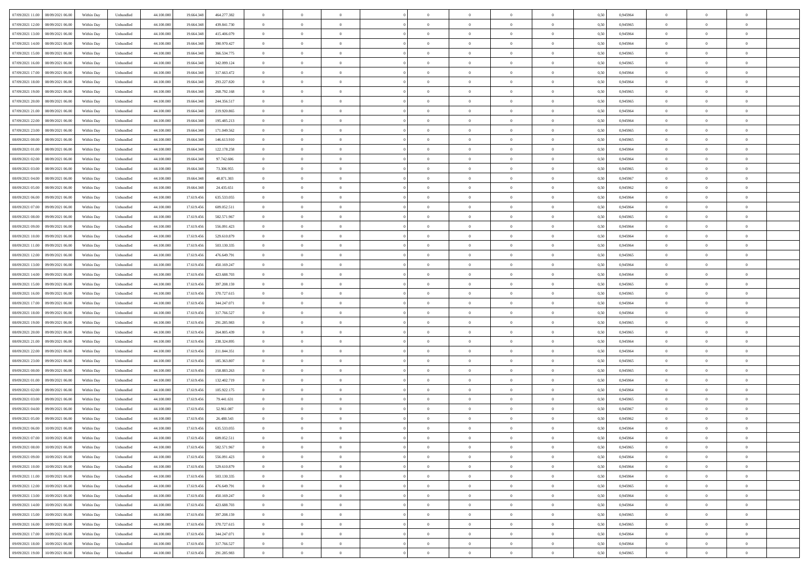| 07/09/2021 11:00<br>08/09/2021 06:00 | Within Day | Unbundled | 44.100.000 | 19.664.348 | 464.277.382 | $\overline{0}$ | $\overline{0}$   | $\overline{0}$ | $\theta$       | $\theta$       |                | $\overline{0}$ | 0,50 | 0,945964 | $\theta$       | $\theta$       | $\theta$       |  |
|--------------------------------------|------------|-----------|------------|------------|-------------|----------------|------------------|----------------|----------------|----------------|----------------|----------------|------|----------|----------------|----------------|----------------|--|
|                                      |            |           |            |            |             |                |                  |                |                |                |                |                |      |          |                |                |                |  |
| 07/09/2021 12:00<br>08/09/2021 06.00 | Within Day | Unbundled | 44.100.000 | 19.664.348 | 439.841.730 | $\overline{0}$ | $\overline{0}$   | $\overline{0}$ | $\,$ 0 $\,$    | $\bf{0}$       | $\overline{0}$ | $\bf{0}$       | 0,50 | 0,945965 | $\,$ 0 $\,$    | $\theta$       | $\overline{0}$ |  |
| 07/09/2021 13:00<br>08/09/2021 06:00 | Within Day | Unbundled | 44,100,000 | 19,664,348 | 415.406.079 | $\overline{0}$ | $\overline{0}$   | $\overline{0}$ | $\bf{0}$       | $\bf{0}$       | $\overline{0}$ | $\mathbf{0}$   | 0.50 | 0.945964 | $\bf{0}$       | $\overline{0}$ | $\overline{0}$ |  |
| 07/09/2021 14:00<br>08/09/2021 06:00 | Within Day | Unbundled | 44.100.000 | 19.664.348 | 390.970.427 | $\overline{0}$ | $\overline{0}$   | $\overline{0}$ | $\overline{0}$ | $\overline{0}$ | $\overline{0}$ | $\bf{0}$       | 0,50 | 0,945964 | $\theta$       | $\theta$       | $\overline{0}$ |  |
| 07/09/2021 15:00<br>08/09/2021 06.00 | Within Day | Unbundled | 44.100.000 | 19.664.348 | 366.534.775 | $\overline{0}$ | $\overline{0}$   | $\bf{0}$       | $\overline{0}$ | $\overline{0}$ | $\overline{0}$ | $\bf{0}$       | 0,50 | 0,945965 | $\,$ 0 $\,$    | $\theta$       | $\overline{0}$ |  |
| 07/09/2021 16:00<br>08/09/2021 06:00 | Within Day | Unbundled | 44,100,000 | 19,664,348 | 342.099.124 | $\overline{0}$ | $\overline{0}$   | $\overline{0}$ | $\overline{0}$ | $\overline{0}$ | $\Omega$       | $\mathbf{0}$   | 0.50 | 0.945965 | $\theta$       | $\theta$       | $\overline{0}$ |  |
| 07/09/2021 17:00<br>08/09/2021 06.00 | Within Day | Unbundled | 44.100.000 | 19.664.348 | 317.663.472 | $\overline{0}$ | $\overline{0}$   | $\overline{0}$ | $\overline{0}$ | $\overline{0}$ | $\overline{0}$ | $\bf{0}$       | 0,50 | 0,945964 | $\theta$       | $\theta$       | $\overline{0}$ |  |
| 07/09/2021 18:00<br>08/09/2021 06.00 | Within Day | Unbundled | 44.100.000 | 19.664.348 | 293.227.820 | $\overline{0}$ | $\overline{0}$   | $\overline{0}$ | $\bf{0}$       | $\bf{0}$       | $\overline{0}$ | $\bf{0}$       | 0,50 | 0,945964 | $\,$ 0 $\,$    | $\bf{0}$       | $\overline{0}$ |  |
|                                      |            |           |            |            |             |                |                  |                |                |                |                |                |      |          |                |                |                |  |
| 07/09/2021 19:00<br>08/09/2021 06:00 | Within Day | Unbundled | 44,100,000 | 19,664,348 | 268,792.168 | $\overline{0}$ | $\overline{0}$   | $\overline{0}$ | $\overline{0}$ | $\overline{0}$ | $\overline{0}$ | $\mathbf{0}$   | 0.50 | 0.945965 | $\,$ 0 $\,$    | $\theta$       | $\overline{0}$ |  |
| 07/09/2021 20.00<br>08/09/2021 06:00 | Within Day | Unbundled | 44.100.000 | 19.664.348 | 244.356.517 | $\overline{0}$ | $\overline{0}$   | $\overline{0}$ | $\bf{0}$       | $\overline{0}$ | $\overline{0}$ | $\bf{0}$       | 0,50 | 0,945965 | $\theta$       | $\theta$       | $\overline{0}$ |  |
| 07/09/2021 21:00<br>08/09/2021 06.00 | Within Day | Unbundled | 44.100.000 | 19.664.348 | 219.920.865 | $\overline{0}$ | $\overline{0}$   | $\overline{0}$ | $\bf{0}$       | $\bf{0}$       | $\overline{0}$ | $\bf{0}$       | 0,50 | 0,945964 | $\,$ 0 $\,$    | $\theta$       | $\overline{0}$ |  |
| 07/09/2021 22.00<br>08/09/2021 06:00 | Within Day | Unbundled | 44,100,000 | 19,664,348 | 195.485.213 | $\overline{0}$ | $\overline{0}$   | $\overline{0}$ | $\bf{0}$       | $\bf{0}$       | $\overline{0}$ | $\mathbf{0}$   | 0.50 | 0.945964 | $\bf{0}$       | $\overline{0}$ | $\bf{0}$       |  |
| 07/09/2021 23.00<br>08/09/2021 06:00 | Within Day | Unbundled | 44.100.000 | 19.664.348 | 171.049.562 | $\overline{0}$ | $\overline{0}$   | $\overline{0}$ | $\overline{0}$ | $\overline{0}$ | $\overline{0}$ | $\overline{0}$ | 0,50 | 0,945965 | $\theta$       | $\theta$       | $\overline{0}$ |  |
| 08/09/2021 00.00<br>08/09/2021 06.00 | Within Day | Unbundled | 44.100.000 | 19.664.348 | 146.613.910 | $\overline{0}$ | $\overline{0}$   | $\overline{0}$ | $\bf{0}$       | $\overline{0}$ | $\overline{0}$ | $\bf{0}$       | 0,50 | 0,945965 | $\,$ 0 $\,$    | $\bf{0}$       | $\overline{0}$ |  |
| 08/09/2021 01:00<br>08/09/2021 06:00 | Within Day | Unbundled | 44,100,000 | 19,664,348 | 122.178.258 | $\overline{0}$ | $\overline{0}$   | $\overline{0}$ | $\overline{0}$ | $\overline{0}$ | $\Omega$       | $\mathbf{0}$   | 0.50 | 0.945964 | $\theta$       | $\theta$       | $\overline{0}$ |  |
|                                      |            |           |            |            |             |                |                  |                |                |                |                |                |      |          |                |                |                |  |
| 08/09/2021 02:00<br>08/09/2021 06.00 | Within Day | Unbundled | 44.100.000 | 19.664.348 | 97.742.606  | $\overline{0}$ | $\overline{0}$   | $\overline{0}$ | $\overline{0}$ | $\overline{0}$ | $\overline{0}$ | $\bf{0}$       | 0,50 | 0,945964 | $\theta$       | $\theta$       | $\overline{0}$ |  |
| 08/09/2021 03:00<br>08/09/2021 06.00 | Within Day | Unbundled | 44.100.000 | 19.664.348 | 73.306.955  | $\overline{0}$ | $\overline{0}$   | $\overline{0}$ | $\bf{0}$       | $\overline{0}$ | $\overline{0}$ | $\bf{0}$       | 0,50 | 0,945965 | $\,$ 0 $\,$    | $\theta$       | $\overline{0}$ |  |
| 08/09/2021 04:00<br>08/09/2021 06:00 | Within Day | Unbundled | 44,100,000 | 19,664,348 | 48.871.303  | $\overline{0}$ | $\overline{0}$   | $\overline{0}$ | $\overline{0}$ | $\overline{0}$ | $\overline{0}$ | $\mathbf{0}$   | 0.50 | 0.945967 | $\,$ 0 $\,$    | $\overline{0}$ | $\overline{0}$ |  |
| 08/09/2021 05:00<br>08/09/2021 06.00 | Within Day | Unbundled | 44.100.000 | 19.664.348 | 24.435.651  | $\overline{0}$ | $\overline{0}$   | $\overline{0}$ | $\overline{0}$ | $\overline{0}$ | $\overline{0}$ | $\bf{0}$       | 0,50 | 0,945962 | $\theta$       | $\theta$       | $\overline{0}$ |  |
| 08/09/2021 06:00<br>09/09/2021 06.0  | Within Day | Unbundled | 44.100.000 | 17.619.456 | 635.533.055 | $\overline{0}$ | $\overline{0}$   | $\overline{0}$ | $\bf{0}$       | $\bf{0}$       | $\overline{0}$ | $\bf{0}$       | 0,50 | 0,945964 | $\,$ 0 $\,$    | $\bf{0}$       | $\overline{0}$ |  |
| 08/09/2021 07:00<br>09/09/2021 06:00 | Within Day | Unbundled | 44,100,000 | 17.619.456 | 609.052.511 | $\overline{0}$ | $\overline{0}$   | $\overline{0}$ | $\bf{0}$       | $\bf{0}$       | $\overline{0}$ | $\mathbf{0}$   | 0.50 | 0.945964 | $\bf{0}$       | $\overline{0}$ | $\bf{0}$       |  |
| 08/09/2021 08:00<br>09/09/2021 06:00 | Within Day | Unbundled | 44.100.000 | 17.619.456 | 582.571.967 | $\overline{0}$ | $\overline{0}$   | $\overline{0}$ | $\overline{0}$ | $\overline{0}$ | $\overline{0}$ | $\,$ 0 $\,$    | 0,50 | 0,945965 | $\theta$       | $\theta$       | $\overline{0}$ |  |
|                                      |            |           |            |            |             |                |                  |                |                |                |                |                |      |          |                |                |                |  |
| 08/09/2021 09:00<br>09/09/2021 06.0  | Within Day | Unbundled | 44.100.000 | 17.619.456 | 556.091.423 | $\overline{0}$ | $\overline{0}$   | $\overline{0}$ | $\bf{0}$       | $\overline{0}$ | $\overline{0}$ | $\bf{0}$       | 0,50 | 0,945964 | $\,$ 0 $\,$    | $\bf{0}$       | $\overline{0}$ |  |
| 08/09/2021 10:00<br>09/09/2021 06:00 | Within Day | Unbundled | 44,100,000 | 17.619.456 | 529.610.879 | $\overline{0}$ | $\overline{0}$   | $\overline{0}$ | $\overline{0}$ | $\overline{0}$ | $\Omega$       | $\mathbf{0}$   | 0.50 | 0.945964 | $\theta$       | $\theta$       | $\overline{0}$ |  |
| 08/09/2021 11:00<br>09/09/2021 06.00 | Within Day | Unbundled | 44.100.000 | 17.619.456 | 503.130.335 | $\overline{0}$ | $\overline{0}$   | $\overline{0}$ | $\overline{0}$ | $\overline{0}$ | $\overline{0}$ | $\bf{0}$       | 0,50 | 0,945964 | $\theta$       | $\theta$       | $\overline{0}$ |  |
| 08/09/2021 12:00<br>09/09/2021 06.0  | Within Day | Unbundled | 44.100.000 | 17.619.456 | 476.649.791 | $\overline{0}$ | $\overline{0}$   | $\overline{0}$ | $\overline{0}$ | $\overline{0}$ | $\overline{0}$ | $\bf{0}$       | 0,50 | 0,945965 | $\,$ 0 $\,$    | $\theta$       | $\overline{0}$ |  |
| 08/09/2021 13:00<br>09/09/2021 06:00 | Within Day | Unbundled | 44,100,000 | 17.619.456 | 450.169.247 | $\overline{0}$ | $\overline{0}$   | $\overline{0}$ | $\overline{0}$ | $\overline{0}$ | $\overline{0}$ | $\mathbf{0}$   | 0.50 | 0.945964 | $\,$ 0 $\,$    | $\overline{0}$ | $\overline{0}$ |  |
| 08/09/2021 14:00<br>09/09/2021 06:00 | Within Day | Unbundled | 44.100.000 | 17.619.456 | 423.688.703 | $\overline{0}$ | $\overline{0}$   | $\overline{0}$ | $\overline{0}$ | $\overline{0}$ | $\overline{0}$ | $\bf{0}$       | 0,50 | 0,945964 | $\theta$       | $\theta$       | $\overline{0}$ |  |
| 08/09/2021 15:00<br>09/09/2021 06.0  | Within Day | Unbundled | 44.100.000 | 17.619.456 | 397.208.159 | $\overline{0}$ | $\overline{0}$   | $\overline{0}$ | $\overline{0}$ | $\bf{0}$       | $\overline{0}$ | $\bf{0}$       | 0,50 | 0,945965 | $\,$ 0 $\,$    | $\bf{0}$       | $\overline{0}$ |  |
|                                      |            |           |            |            |             |                |                  |                |                |                |                |                |      |          |                |                |                |  |
| 08/09/2021 16:00<br>09/09/2021 06:00 | Within Day | Unbundled | 44,100,000 | 17.619.456 | 370.727.615 | $\overline{0}$ | $\overline{0}$   | $\overline{0}$ | $\bf{0}$       | $\bf{0}$       | $\overline{0}$ | $\mathbf{0}$   | 0.50 | 0.945965 | $\bf{0}$       | $\overline{0}$ | $\bf{0}$       |  |
| 08/09/2021 17:00<br>09/09/2021 06:00 | Within Day | Unbundled | 44.100.000 | 17.619.456 | 344.247.071 | $\overline{0}$ | $\overline{0}$   | $\overline{0}$ | $\overline{0}$ | $\overline{0}$ | $\overline{0}$ | $\overline{0}$ | 0.50 | 0.945964 | $\theta$       | $\theta$       | $\overline{0}$ |  |
| 08/09/2021 18:00<br>09/09/2021 06.0  | Within Day | Unbundled | 44.100.000 | 17.619.456 | 317.766.527 | $\overline{0}$ | $\overline{0}$   | $\overline{0}$ | $\bf{0}$       | $\overline{0}$ | $\overline{0}$ | $\bf{0}$       | 0,50 | 0,945964 | $\,$ 0 $\,$    | $\bf{0}$       | $\overline{0}$ |  |
| 08/09/2021 19:00<br>09/09/2021 06:00 | Within Day | Unbundled | 44,100,000 | 17.619.456 | 291.285.983 | $\overline{0}$ | $\overline{0}$   | $\overline{0}$ | $\overline{0}$ | $\overline{0}$ | $\overline{0}$ | $\overline{0}$ | 0.50 | 0.945965 | $\,$ 0 $\,$    | $\theta$       | $\overline{0}$ |  |
| 08/09/2021 20:00<br>09/09/2021 06:00 | Within Day | Unbundled | 44.100.000 | 17.619.456 | 264.805.439 | $\overline{0}$ | $\overline{0}$   | $\overline{0}$ | $\overline{0}$ | $\overline{0}$ | $\Omega$       | $\overline{0}$ | 0.50 | 0,945965 | $\theta$       | $\theta$       | $\overline{0}$ |  |
| 08/09/2021 21:00<br>09/09/2021 06.0  | Within Day | Unbundled | 44.100.000 | 17.619.456 | 238.324.895 | $\overline{0}$ | $\overline{0}$   | $\overline{0}$ | $\bf{0}$       | $\overline{0}$ | $\overline{0}$ | $\bf{0}$       | 0,50 | 0,945964 | $\,$ 0 $\,$    | $\theta$       | $\overline{0}$ |  |
| 08/09/2021 22:00<br>09/09/2021 06:00 | Within Day | Unbundled | 44,100,000 | 17.619.456 | 211.844.351 | $\overline{0}$ | $\overline{0}$   | $\overline{0}$ | $\overline{0}$ | $\bf{0}$       | $\overline{0}$ | $\mathbf{0}$   | 0.50 | 0.945964 | $\,$ 0 $\,$    | $\theta$       | $\overline{0}$ |  |
| 08/09/2021 23:00<br>09/09/2021 06:00 | Within Day | Unbundled | 44.100.000 | 17.619.456 | 185.363.807 | $\overline{0}$ | $\overline{0}$   | $\overline{0}$ | $\overline{0}$ | $\overline{0}$ | $\overline{0}$ | $\overline{0}$ | 0.50 | 0,945965 | $\theta$       | $\theta$       | $\overline{0}$ |  |
|                                      |            |           |            |            |             |                |                  |                |                |                |                |                |      |          |                |                |                |  |
| 09/09/2021 00:00<br>09/09/2021 06.0  | Within Day | Unbundled | 44.100.000 | 17.619.456 | 158.883.263 | $\overline{0}$ | $\overline{0}$   | $\overline{0}$ | $\overline{0}$ | $\bf{0}$       | $\overline{0}$ | $\bf{0}$       | 0,50 | 0,945965 | $\,$ 0 $\,$    | $\bf{0}$       | $\overline{0}$ |  |
| 09/09/2021 01:00<br>09/09/2021 06:00 | Within Day | Unbundled | 44,100,000 | 17.619.456 | 132.402.719 | $\overline{0}$ | $\overline{0}$   | $\overline{0}$ | $\bf{0}$       | $\bf{0}$       | $\overline{0}$ | $\mathbf{0}$   | 0.50 | 0.945964 | $\bf{0}$       | $\overline{0}$ | $\overline{0}$ |  |
| 09/09/2021 02:00<br>09/09/2021 06:00 | Within Day | Unbundled | 44.100.000 | 17.619.456 | 105.922.175 | $\overline{0}$ | $\overline{0}$   | $\overline{0}$ | $\overline{0}$ | $\overline{0}$ | $\overline{0}$ | $\overline{0}$ | 0.50 | 0,945964 | $\theta$       | $\theta$       | $\overline{0}$ |  |
| 09/09/2021 03:00<br>09/09/2021 06.0  | Within Day | Unbundled | 44.100.000 | 17.619.456 | 79.441.631  | $\overline{0}$ | $\overline{0}$   | $\overline{0}$ | $\bf{0}$       | $\overline{0}$ | $\overline{0}$ | $\bf{0}$       | 0,50 | 0,945965 | $\,$ 0 $\,$    | $\bf{0}$       | $\overline{0}$ |  |
| 09/09/2021 04:00<br>09/09/2021 06:00 | Within Day | Unbundled | 44,100,000 | 17.619.456 | 52.961.087  | $\overline{0}$ | $\overline{0}$   | $\overline{0}$ | $\overline{0}$ | $\overline{0}$ | $\theta$       | $\overline{0}$ | 0.50 | 0.945967 | $\,$ 0 $\,$    | $\theta$       | $\overline{0}$ |  |
| 09/09/2021 05:00<br>09/09/2021 06:00 | Within Day | Unbundled | 44.100.000 | 17.619.456 | 26.480.543  | $\overline{0}$ | $\overline{0}$   | $\overline{0}$ | $\overline{0}$ | $\overline{0}$ | $\theta$       | $\overline{0}$ | 0.50 | 0,945962 | $\theta$       | $\theta$       | $\overline{0}$ |  |
| 09/09/2021 06:00<br>10/09/2021 06:00 | Within Day | Unbundled | 44.100.000 | 17.619.456 | 635.533.055 | $\overline{0}$ | $\overline{0}$   | $\bf{0}$       | $\overline{0}$ | $\bf{0}$       | $\overline{0}$ | $\bf{0}$       | 0,50 | 0,945964 | $\,$ 0 $\,$    | $\bf{0}$       | $\overline{0}$ |  |
|                                      |            |           |            |            |             |                |                  |                |                |                |                |                |      | 0.945964 |                |                |                |  |
| 09/09/2021 07:00 10/09/2021 06:00    | Within Day | Unbundled | 44.100.000 | 17.619.456 | 609.052.511 | $\bf{0}$       | $\boldsymbol{0}$ |                | $\bf{0}$       |                |                |                | 0,50 |          | $\theta$       | $\overline{0}$ |                |  |
| 09/09/2021 08:00<br>10/09/2021 06:00 | Within Dav | Unbundled | 44.100.000 | 17.619.456 | 582.571.967 | $\overline{0}$ | $\overline{0}$   | $\overline{0}$ | $\overline{0}$ | $\overline{0}$ | $\overline{0}$ | $\overline{0}$ | 0,50 | 0,945965 | $\theta$       | $\theta$       | $\overline{0}$ |  |
| 09/09/2021 09:00<br>10/09/2021 06:00 | Within Day | Unbundled | 44.100.000 | 17.619.456 | 556.091.423 | $\overline{0}$ | $\overline{0}$   | $\overline{0}$ | $\bf{0}$       | $\overline{0}$ | $\overline{0}$ | $\mathbf{0}$   | 0,50 | 0,945964 | $\overline{0}$ | $\overline{0}$ | $\bf{0}$       |  |
| 09/09/2021 10:00<br>10/09/2021 06:00 | Within Day | Unbundled | 44.100.000 | 17.619.456 | 529.610.879 | $\overline{0}$ | $\overline{0}$   | $\overline{0}$ | $\overline{0}$ | $\bf{0}$       | $\overline{0}$ | $\mathbf{0}$   | 0.50 | 0.945964 | $\overline{0}$ | $\bf{0}$       | $\bf{0}$       |  |
| 09/09/2021 11:00<br>10/09/2021 06:00 | Within Dav | Unbundled | 44.100.000 | 17.619.456 | 503.130.335 | $\overline{0}$ | $\overline{0}$   | $\overline{0}$ | $\overline{0}$ | $\overline{0}$ | $\overline{0}$ | $\mathbf{0}$   | 0,50 | 0,945964 | $\overline{0}$ | $\theta$       | $\overline{0}$ |  |
| 09/09/2021 12:00<br>10/09/2021 06:00 | Within Day | Unbundled | 44.100.000 | 17.619.456 | 476.649.791 | $\overline{0}$ | $\overline{0}$   | $\overline{0}$ | $\bf{0}$       | $\bf{0}$       | $\overline{0}$ | $\mathbf{0}$   | 0,50 | 0,945965 | $\overline{0}$ | $\bf{0}$       | $\overline{0}$ |  |
| 09/09/2021 13.00<br>10/09/2021 06:00 | Within Day | Unbundled | 44.100.000 | 17.619.456 | 450.169.247 | $\overline{0}$ | $\overline{0}$   | $\overline{0}$ | $\bf{0}$       | $\overline{0}$ | $\overline{0}$ | $\mathbf{0}$   | 0.50 | 0.945964 | $\,$ 0 $\,$    | $\theta$       | $\overline{0}$ |  |
|                                      |            |           |            |            |             |                |                  |                |                |                |                |                |      |          |                |                |                |  |
| 09/09/2021 14:00<br>10/09/2021 06:00 | Within Dav | Unbundled | 44.100.000 | 17.619.456 | 423.688.703 | $\overline{0}$ | $\overline{0}$   | $\overline{0}$ | $\overline{0}$ | $\overline{0}$ | $\overline{0}$ | $\mathbf{0}$   | 0,50 | 0,945964 | $\overline{0}$ | $\theta$       | $\overline{0}$ |  |
| 09/09/2021 15:00<br>10/09/2021 06:00 | Within Day | Unbundled | 44.100.000 | 17.619.456 | 397.208.159 | $\overline{0}$ | $\overline{0}$   | $\overline{0}$ | $\bf{0}$       | $\bf{0}$       | $\overline{0}$ | $\,$ 0 $\,$    | 0,50 | 0,945965 | $\bf{0}$       | $\bf{0}$       | $\overline{0}$ |  |
| 09/09/2021 16:00<br>10/09/2021 06:00 | Within Day | Unbundled | 44,100,000 | 17.619.456 | 370.727.615 | $\overline{0}$ | $\overline{0}$   | $\overline{0}$ | $\bf{0}$       | $\bf{0}$       | $\overline{0}$ | $\,$ 0 $\,$    | 0.50 | 0.945965 | $\overline{0}$ | $\overline{0}$ | $\,$ 0         |  |
| 09/09/2021 17:00<br>10/09/2021 06:00 | Within Dav | Unbundled | 44.100.000 | 17.619.456 | 344.247.071 | $\overline{0}$ | $\overline{0}$   | $\overline{0}$ | $\overline{0}$ | $\overline{0}$ | $\overline{0}$ | $\mathbf{0}$   | 0,50 | 0,945964 | $\overline{0}$ | $\theta$       | $\overline{0}$ |  |
| 09/09/2021 18:00<br>10/09/2021 06:00 | Within Day | Unbundled | 44.100.000 | 17.619.456 | 317.766.527 | $\overline{0}$ | $\overline{0}$   | $\overline{0}$ | $\overline{0}$ | $\bf{0}$       | $\overline{0}$ | $\mathbf{0}$   | 0,50 | 0,945964 | $\bf{0}$       | $\bf{0}$       | $\overline{0}$ |  |
| 09/09/2021 19:00 10/09/2021 06:00    | Within Day | Unbundled | 44.100.000 | 17.619.456 | 291.285.983 | $\overline{0}$ | $\overline{0}$   | $\overline{0}$ | $\bf{0}$       | $\,$ 0         | $\overline{0}$ | $\,$ 0 $\,$    | 0,50 | 0,945965 | $\overline{0}$ | $\,$ 0 $\,$    | $\,$ 0 $\,$    |  |
|                                      |            |           |            |            |             |                |                  |                |                |                |                |                |      |          |                |                |                |  |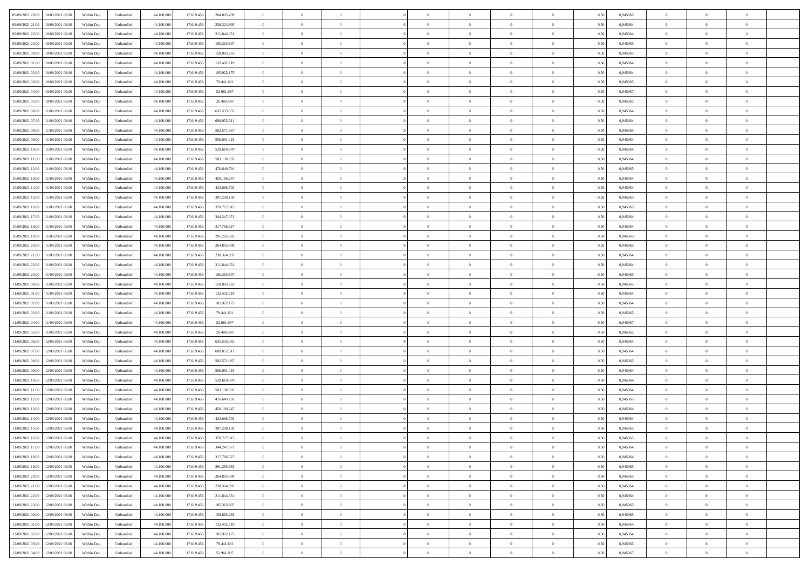| 09/09/2021 20:00<br>10/09/2021 06:00         | Within Day | Unbundled | 44.100.000 | 17.619.456 | 264.805.439 | $\overline{0}$ | $\overline{0}$ |                | $\overline{0}$ | $\theta$       |                | $\theta$       | 0,50 | 0,945965 | $\theta$       | $\theta$       | $\overline{0}$ |  |
|----------------------------------------------|------------|-----------|------------|------------|-------------|----------------|----------------|----------------|----------------|----------------|----------------|----------------|------|----------|----------------|----------------|----------------|--|
| 09/09/2021 21:00<br>10/09/2021 06:00         | Within Day | Unbundled | 44.100.00  | 17.619.45  | 238.324.895 | $\bf{0}$       | $\overline{0}$ | $\bf{0}$       | $\overline{0}$ | $\bf{0}$       | $\overline{0}$ | $\bf{0}$       | 0,50 | 0,945964 | $\,$ 0 $\,$    | $\bf{0}$       | $\overline{0}$ |  |
| 09/09/2021 22:00<br>10/09/2021 06:00         | Within Day | Unbundled | 44,100,000 | 17.619.456 | 211.844.351 | $\overline{0}$ | $\bf{0}$       | $\overline{0}$ | $\bf{0}$       | $\bf{0}$       | $\overline{0}$ | $\bf{0}$       | 0.50 | 0.945964 | $\bf{0}$       | $\overline{0}$ | $\overline{0}$ |  |
| 09/09/2021 23:00<br>10/09/2021 06:00         | Within Day | Unbundled | 44.100.000 | 17.619.456 | 185.363.807 | $\overline{0}$ | $\overline{0}$ | $\overline{0}$ | $\theta$       | $\theta$       | $\overline{0}$ | $\bf{0}$       | 0,50 | 0,945965 | $\theta$       | $\theta$       | $\overline{0}$ |  |
| 10/09/2021 00:00<br>10/09/2021 06:00         | Within Day | Unbundled | 44.100.00  | 17.619.456 | 158.883.263 | $\bf{0}$       | $\overline{0}$ | $\overline{0}$ | $\overline{0}$ | $\theta$       | $\overline{0}$ | $\bf{0}$       | 0,50 | 0,945965 | $\,$ 0 $\,$    | $\bf{0}$       | $\overline{0}$ |  |
|                                              |            |           |            |            |             |                |                |                |                |                |                |                |      |          |                |                |                |  |
| 10/09/2021 01:00<br>10/09/2021 06:00         | Within Day | Unbundled | 44,100,000 | 17.619.456 | 132.402.719 | $\overline{0}$ | $\overline{0}$ | $\overline{0}$ | $\bf{0}$       | $\overline{0}$ | $\theta$       | $\bf{0}$       | 0.50 | 0.945964 | $\bf{0}$       | $\theta$       | $\overline{0}$ |  |
| 10/09/2021 02:00<br>10/09/2021 06:00         | Within Day | Unbundled | 44.100.000 | 17.619.456 | 105.922.175 | $\overline{0}$ | $\overline{0}$ | $\overline{0}$ | $\overline{0}$ | $\overline{0}$ | $\overline{0}$ | $\bf{0}$       | 0,50 | 0,945964 | $\theta$       | $\theta$       | $\overline{0}$ |  |
| 10/09/2021 03:00<br>10/09/2021 06:00         | Within Day | Unbundled | 44.100.00  | 17.619.45  | 79.441.631  | $\bf{0}$       | $\overline{0}$ | $\overline{0}$ | $\overline{0}$ | $\theta$       | $\overline{0}$ | $\bf{0}$       | 0,50 | 0,945965 | $\,$ 0 $\,$    | $\bf{0}$       | $\overline{0}$ |  |
| 10/09/2021 04:00<br>10/09/2021 06:00         | Within Day | Unbundled | 44,100,000 | 17.619.456 | 52,961,087  | $\overline{0}$ | $\bf{0}$       | $\overline{0}$ | $\bf{0}$       | $\overline{0}$ | $\overline{0}$ | $\bf{0}$       | 0.50 | 0.945967 | $\bf{0}$       | $\overline{0}$ | $\overline{0}$ |  |
| 10/09/2021 05:00<br>10/09/2021 06:00         | Within Day | Unbundled | 44.100.000 | 17.619.456 | 26.480.543  | $\bf{0}$       | $\bf{0}$       | $\overline{0}$ | $\overline{0}$ | $\overline{0}$ | $\overline{0}$ | $\bf{0}$       | 0,50 | 0,945962 | $\,$ 0 $\,$    | $\bf{0}$       | $\overline{0}$ |  |
| 10/09/2021 06:00<br>11/09/2021 06:00         | Within Day | Unbundled | 44.100.00  | 17.619.456 | 635.533.055 | $\bf{0}$       | $\overline{0}$ | $\bf{0}$       | $\bf{0}$       | $\bf{0}$       | $\overline{0}$ | $\bf{0}$       | 0,50 | 0,945964 | $\,$ 0 $\,$    | $\bf{0}$       | $\overline{0}$ |  |
| 10/09/2021 07:00<br>11/09/2021 06:00         | Within Day | Unbundled | 44,100,000 | 17.619.456 | 609.052.511 | $\overline{0}$ | $\bf{0}$       | $\overline{0}$ | $\bf{0}$       | $\bf{0}$       | $\overline{0}$ | $\bf{0}$       | 0.50 | 0.945964 | $\bf{0}$       | $\overline{0}$ | $\bf{0}$       |  |
|                                              |            |           |            |            |             | $\overline{0}$ | $\overline{0}$ | $\overline{0}$ | $\overline{0}$ | $\theta$       | $\overline{0}$ | $\overline{0}$ |      |          | $\theta$       | $\theta$       | $\overline{0}$ |  |
| 10/09/2021 08:00<br>11/09/2021 06:00         | Within Day | Unbundled | 44.100.000 | 17.619.456 | 582.571.967 |                |                |                |                |                |                |                | 0,50 | 0,945965 |                |                |                |  |
| 10/09/2021 09:00<br>11/09/2021 06:00         | Within Day | Unbundled | 44.100.00  | 17.619.45  | 556.091.423 | $\bf{0}$       | $\overline{0}$ | $\bf{0}$       | $\overline{0}$ | $\theta$       | $\overline{0}$ | $\bf{0}$       | 0,50 | 0,945964 | $\,$ 0 $\,$    | $\bf{0}$       | $\overline{0}$ |  |
| 10/09/2021 10:00<br>11/09/2021 06:00         | Within Day | Unbundled | 44,100,000 | 17.619.456 | 529.610.879 | $\overline{0}$ | $\overline{0}$ | $\overline{0}$ | $\bf{0}$       | $\theta$       | $\Omega$       | $\bf{0}$       | 0.50 | 0.945964 | $\theta$       | $\theta$       | $\overline{0}$ |  |
| 10/09/2021 11:00<br>11/09/2021 06:00         | Within Day | Unbundled | 44.100.000 | 17.619.456 | 503.130.335 | $\overline{0}$ | $\overline{0}$ | $\overline{0}$ | $\overline{0}$ | $\overline{0}$ | $\overline{0}$ | $\bf{0}$       | 0,50 | 0,945964 | $\theta$       | $\theta$       | $\overline{0}$ |  |
| 10/09/2021 12:00<br>11/09/2021 06:00         | Within Day | Unbundled | 44.100.00  | 17.619.456 | 476.649.791 | $\bf{0}$       | $\overline{0}$ | $\overline{0}$ | $\overline{0}$ | $\theta$       | $\overline{0}$ | $\bf{0}$       | 0,50 | 0,945965 | $\,$ 0 $\,$    | $\bf{0}$       | $\overline{0}$ |  |
| 10/09/2021 13:00<br>11/09/2021 06:00         | Within Day | Unbundled | 44,100,00  | 17.619.45  | 450.169.247 | $\overline{0}$ | $\bf{0}$       | $\overline{0}$ | $\bf{0}$       | $\overline{0}$ | $\overline{0}$ | $\bf{0}$       | 0.50 | 0.945964 | $\bf{0}$       | $\overline{0}$ | $\overline{0}$ |  |
| 10/09/2021 14:00<br>11/09/2021 06:00         | Within Day | Unbundled | 44.100.000 | 17.619.456 | 423.688.703 | $\overline{0}$ | $\overline{0}$ | $\overline{0}$ | $\overline{0}$ | $\overline{0}$ | $\overline{0}$ | $\bf{0}$       | 0,50 | 0,945964 | $\,$ 0 $\,$    | $\theta$       | $\overline{0}$ |  |
| 10/09/2021 15:00<br>11/09/2021 06:00         | Within Day | Unbundled | 44.100.00  | 17.619.456 | 397.208.159 | $\bf{0}$       | $\bf{0}$       | $\bf{0}$       | $\bf{0}$       | $\overline{0}$ | $\overline{0}$ | $\bf{0}$       | 0,50 | 0,945965 | $\,$ 0 $\,$    | $\bf{0}$       | $\overline{0}$ |  |
|                                              |            |           |            |            |             |                |                |                |                |                |                |                |      |          |                |                |                |  |
| 10/09/2021 16:00<br>11/09/2021 06:00         | Within Day | Unbundled | 44,100,000 | 17.619.456 | 370.727.615 | $\overline{0}$ | $\bf{0}$       | $\overline{0}$ | $\bf{0}$       | $\bf{0}$       | $\overline{0}$ | $\bf{0}$       | 0.50 | 0.945965 | $\bf{0}$       | $\overline{0}$ | $\overline{0}$ |  |
| 10/09/2021 17:00<br>11/09/2021 06:00         | Within Day | Unbundled | 44.100.000 | 17.619.456 | 344.247.071 | $\overline{0}$ | $\overline{0}$ | $\overline{0}$ | $\theta$       | $\theta$       | $\overline{0}$ | $\bf{0}$       | 0,50 | 0,945964 | $\theta$       | $\theta$       | $\overline{0}$ |  |
| 10/09/2021 18:00<br>11/09/2021 06:00         | Within Day | Unbundled | 44.100.00  | 17.619.456 | 317.766.527 | $\bf{0}$       | $\overline{0}$ | $\bf{0}$       | $\bf{0}$       | $\bf{0}$       | $\overline{0}$ | $\bf{0}$       | 0,50 | 0,945964 | $\,$ 0 $\,$    | $\bf{0}$       | $\overline{0}$ |  |
| 10/09/2021 19:00<br>11/09/2021 06:00         | Within Day | Unbundled | 44,100,000 | 17.619.45  | 291.285.983 | $\overline{0}$ | $\overline{0}$ | $\overline{0}$ | $\overline{0}$ | $\overline{0}$ | $\Omega$       | $\bf{0}$       | 0.50 | 0.945965 | $\bf{0}$       | $\theta$       | $\overline{0}$ |  |
| 10/09/2021 20:00<br>11/09/2021 06:00         | Within Day | Unbundled | 44.100.000 | 17.619.456 | 264.805.439 | $\overline{0}$ | $\overline{0}$ | $\overline{0}$ | $\overline{0}$ | $\overline{0}$ | $\overline{0}$ | $\bf{0}$       | 0,50 | 0,945965 | $\theta$       | $\theta$       | $\overline{0}$ |  |
| 10/09/2021 21:00<br>11/09/2021 06:00         | Within Day | Unbundled | 44.100.00  | 17.619.45  | 238.324.895 | $\bf{0}$       | $\overline{0}$ | $\bf{0}$       | $\overline{0}$ | $\bf{0}$       | $\overline{0}$ | $\bf{0}$       | 0,50 | 0,945964 | $\,$ 0 $\,$    | $\bf{0}$       | $\overline{0}$ |  |
| 10/09/2021 22.00<br>11/09/2021 06:00         | Within Day | Unbundled | 44,100,000 | 17.619.456 | 211.844.351 | $\overline{0}$ | $\bf{0}$       | $\overline{0}$ | $\bf{0}$       | $\overline{0}$ | $\overline{0}$ | $\bf{0}$       | 0.50 | 0.945964 | $\bf{0}$       | $\overline{0}$ | $\overline{0}$ |  |
| 10/09/2021 23:00<br>11/09/2021 06:00         | Within Day | Unbundled | 44.100.000 | 17.619.456 | 185.363.807 | $\overline{0}$ | $\overline{0}$ | $\overline{0}$ | $\overline{0}$ | $\overline{0}$ | $\overline{0}$ | $\bf{0}$       | 0,50 | 0,945965 | $\theta$       | $\theta$       | $\overline{0}$ |  |
|                                              |            |           |            |            |             |                |                |                |                |                |                |                |      |          |                |                |                |  |
| 11/09/2021 00:00<br>11/09/2021 06:00         | Within Day | Unbundled | 44.100.00  | 17.619.456 | 158.883.263 | $\bf{0}$       | $\bf{0}$       | $\bf{0}$       | $\bf{0}$       | $\overline{0}$ | $\overline{0}$ | $\bf{0}$       | 0,50 | 0,945965 | $\,$ 0 $\,$    | $\bf{0}$       | $\overline{0}$ |  |
| 11/09/2021 01:00<br>11/09/2021 06:00         | Within Day | Unbundled | 44,100,000 | 17.619.456 | 132.402.719 | $\overline{0}$ | $\bf{0}$       | $\overline{0}$ | $\bf{0}$       | $\bf{0}$       | $\overline{0}$ | $\bf{0}$       | 0.50 | 0.945964 | $\bf{0}$       | $\overline{0}$ | $\bf{0}$       |  |
| 11/09/2021 02:00<br>11/09/2021 06:00         | Within Day | Unbundled | 44.100.000 | 17.619.456 | 105.922.175 | $\overline{0}$ | $\overline{0}$ | $\overline{0}$ | $\overline{0}$ | $\overline{0}$ | $\overline{0}$ | $\bf{0}$       | 0.5( | 0.945964 | $\theta$       | $\theta$       | $\overline{0}$ |  |
| 11/09/2021 03:00<br>11/09/2021 06:00         | Within Day | Unbundled | 44.100.00  | 17.619.45  | 79.441.631  | $\bf{0}$       | $\overline{0}$ | $\bf{0}$       | $\bf{0}$       | $\,$ 0 $\,$    | $\overline{0}$ | $\bf{0}$       | 0,50 | 0,945965 | $\,$ 0 $\,$    | $\bf{0}$       | $\overline{0}$ |  |
| 11/09/2021 04:00<br>11/09/2021 06:00         | Within Day | Unbundled | 44,100,000 | 17.619.456 | 52.961.087  | $\overline{0}$ | $\overline{0}$ | $\overline{0}$ | $\bf{0}$       | $\bf{0}$       | $\Omega$       | $\bf{0}$       | 0.50 | 0.945967 | $\,$ 0 $\,$    | $\theta$       | $\overline{0}$ |  |
| 11/09/2021 05:00<br>11/09/2021 06:00         | Within Dav | Unbundled | 44.100.000 | 17.619.456 | 26.480.543  | $\overline{0}$ | $\overline{0}$ | $\overline{0}$ | $\overline{0}$ | $\overline{0}$ | $\overline{0}$ | $\overline{0}$ | 0.5( | 0,945962 | $\theta$       | $\theta$       | $\overline{0}$ |  |
| 11/09/2021 06:00<br>12/09/2021 06:00         | Within Day | Unbundled | 44.100.00  | 17.619.456 | 635.533.055 | $\bf{0}$       | $\overline{0}$ | $\bf{0}$       | $\bf{0}$       | $\bf{0}$       | $\overline{0}$ | $\bf{0}$       | 0,50 | 0,945964 | $\,$ 0 $\,$    | $\bf{0}$       | $\overline{0}$ |  |
| 11/09/2021 07:00<br>12/09/2021 06:00         | Within Day | Unbundled | 44,100,00  | 17.619.456 | 609.052.511 | $\overline{0}$ | $\bf{0}$       | $\overline{0}$ | $\bf{0}$       | $\overline{0}$ | $\overline{0}$ | $\bf{0}$       | 0.50 | 0.945964 | $\bf{0}$       | $\overline{0}$ | $\overline{0}$ |  |
| 11/09/2021 08:00<br>12/09/2021 06:00         | Within Dav | Unbundled | 44.100.000 | 17.619.456 | 582.571.967 | $\overline{0}$ | $\overline{0}$ | $\overline{0}$ | $\overline{0}$ | $\overline{0}$ | $\overline{0}$ | $\overline{0}$ | 0.50 | 0,945965 | $\theta$       | $\theta$       | $\overline{0}$ |  |
|                                              |            |           |            |            |             |                |                |                |                |                |                |                |      |          |                |                |                |  |
| 11/09/2021 09:00<br>12/09/2021 06:00         | Within Day | Unbundled | 44.100.00  | 17.619.456 | 556.091.423 | $\bf{0}$       | $\bf{0}$       | $\bf{0}$       | $\bf{0}$       | $\overline{0}$ | $\overline{0}$ | $\bf{0}$       | 0,50 | 0,945964 | $\,$ 0 $\,$    | $\bf{0}$       | $\overline{0}$ |  |
| 11/09/2021 10:00<br>12/09/2021 06:00         | Within Day | Unbundled | 44,100,000 | 17.619.456 | 529.610.879 | $\overline{0}$ | $\bf{0}$       | $\overline{0}$ | $\bf{0}$       | $\bf{0}$       | $\overline{0}$ | $\bf{0}$       | 0.50 | 0.945964 | $\bf{0}$       | $\overline{0}$ | $\overline{0}$ |  |
| 11/09/2021 11:00<br>12/09/2021 06:00         | Within Dav | Unbundled | 44.100.000 | 17.619.456 | 503.130.335 | $\overline{0}$ | $\overline{0}$ | $\overline{0}$ | $\overline{0}$ | $\overline{0}$ | $\overline{0}$ | $\bf{0}$       | 0.50 | 0,945964 | $\theta$       | $\theta$       | $\overline{0}$ |  |
| 11/09/2021 12:00<br>12/09/2021 06:00         | Within Day | Unbundled | 44.100.00  | 17.619.456 | 476.649.791 | $\bf{0}$       | $\overline{0}$ | $\bf{0}$       | $\bf{0}$       | $\overline{0}$ | $\overline{0}$ | $\bf{0}$       | 0,50 | 0,945965 | $\,$ 0 $\,$    | $\bf{0}$       | $\overline{0}$ |  |
| 11/09/2021 13:00<br>12/09/2021 06:00         | Within Day | Unbundled | 44,100,00  | 17.619.45  | 450.169.247 | $\overline{0}$ | $\overline{0}$ | $\Omega$       | $\overline{0}$ | $\overline{0}$ | $\theta$       | $\bf{0}$       | 0.50 | 0.945964 | $\,$ 0 $\,$    | $\theta$       | $\overline{0}$ |  |
| 11/09/2021 14:00<br>12/09/2021 06:00         | Within Dav | Unbundled | 44.100.000 | 17.619.45  | 423.688.703 | $\overline{0}$ | $\overline{0}$ | $\Omega$       | $\overline{0}$ | $\theta$       | $\Omega$       | $\overline{0}$ | 0.5( | 0,945964 | $\theta$       | $\theta$       | $\overline{0}$ |  |
| 11/09/2021 15:00<br>12/09/2021 06:00         | Within Day | Unbundled | 44.100.000 | 17.619.456 | 397.208.159 | $\bf{0}$       | $\bf{0}$       | $\overline{0}$ | $\bf{0}$       | $\bf{0}$       | $\overline{0}$ | $\bf{0}$       | 0,50 | 0,945965 | $\,$ 0 $\,$    | $\bf{0}$       | $\overline{0}$ |  |
| $11/09/2021\ 16.00 \qquad 12/09/2021\ 06.00$ | Within Day | Unbundled | 44.100.000 | 17.619.456 | 370.727.615 | $\overline{0}$ | $\Omega$       |                | $\overline{0}$ |                |                |                | 0,50 | 0.945965 | $\theta$       | $\overline{0}$ |                |  |
|                                              |            |           |            |            |             | $\overline{0}$ | $\theta$       | $\Omega$       | $\overline{0}$ | $\theta$       |                |                |      |          | $\theta$       | $\theta$       | $\overline{0}$ |  |
| 11/09/2021 17:00 12/09/2021 06:00            | Within Day | Unbundled | 44.100.000 | 17.619.456 | 344.247.071 |                |                |                |                |                | $\overline{0}$ | $\bf{0}$       | 0,50 | 0,945964 |                |                |                |  |
| 11/09/2021 18:00<br>12/09/2021 06:00         | Within Day | Unbundled | 44.100.00  | 17.619.456 | 317.766.527 | $\overline{0}$ | $\bf{0}$       | $\overline{0}$ | $\overline{0}$ | $\bf{0}$       | $\overline{0}$ | $\bf{0}$       | 0,50 | 0,945964 | $\bf{0}$       | $\overline{0}$ | $\bf{0}$       |  |
| 11/09/2021 19:00 12/09/2021 06:00            | Within Day | Unbundled | 44,100,000 | 17.619.456 | 291.285.983 | $\overline{0}$ | $\bf{0}$       | $\overline{0}$ | $\overline{0}$ | $\overline{0}$ | $\overline{0}$ | $\bf{0}$       | 0.50 | 0.945965 | $\mathbf{0}$   | $\bf{0}$       | $\,$ 0 $\,$    |  |
| 11/09/2021 20:00 12/09/2021 06:00            | Within Dav | Unbundled | 44.100.000 | 17.619.456 | 264.805.439 | $\overline{0}$ | $\overline{0}$ | $\overline{0}$ | $\overline{0}$ | $\overline{0}$ | $\overline{0}$ | $\bf{0}$       | 0,50 | 0,945965 | $\theta$       | $\theta$       | $\overline{0}$ |  |
| 11/09/2021 21:00<br>12/09/2021 06:00         | Within Day | Unbundled | 44.100.000 | 17.619.456 | 238.324.895 | $\overline{0}$ | $\bf{0}$       | $\overline{0}$ | $\bf{0}$       | $\overline{0}$ | $\bf{0}$       | $\bf{0}$       | 0,50 | 0,945964 | $\overline{0}$ | $\bf{0}$       | $\overline{0}$ |  |
| 11/09/2021 22:00<br>12/09/2021 06:00         | Within Day | Unbundled | 44,100,000 | 17.619.456 | 211.844.351 | $\overline{0}$ | $\bf{0}$       | $\overline{0}$ | $\overline{0}$ | $\overline{0}$ | $\overline{0}$ | $\bf{0}$       | 0.50 | 0.945964 | $\,$ 0 $\,$    | $\theta$       | $\overline{0}$ |  |
| 11/09/2021 23:00<br>12/09/2021 06:00         | Within Dav | Unbundled | 44.100.000 | 17.619.456 | 185.363.807 | $\overline{0}$ | $\overline{0}$ | $\overline{0}$ | $\overline{0}$ | $\overline{0}$ | $\overline{0}$ | $\bf{0}$       | 0.50 | 0,945965 | $\overline{0}$ | $\theta$       | $\overline{0}$ |  |
| 12/09/2021 00:00<br>12/09/2021 06:00         | Within Day | Unbundled | 44.100.00  | 17.619.456 | 158.883.263 | $\overline{0}$ | $\overline{0}$ | $\overline{0}$ | $\overline{0}$ | $\bf{0}$       | $\overline{0}$ | $\bf{0}$       | 0,50 | 0,945965 | $\bf{0}$       | $\overline{0}$ | $\overline{0}$ |  |
|                                              |            |           |            |            |             |                |                |                |                |                |                |                |      |          |                |                |                |  |
| 12/09/2021 06:00<br>12/09/2021 01:00         | Within Day | Unbundled | 44,100,000 | 17.619.456 | 132.402.719 | $\overline{0}$ | $\overline{0}$ | $\overline{0}$ | $\overline{0}$ | $\bf{0}$       | $\overline{0}$ | $\bf{0}$       | 0.50 | 0.945964 | $\overline{0}$ | $\,$ 0 $\,$    | $\,$ 0         |  |
| 12/09/2021 02:00<br>12/09/2021 06:00         | Within Dav | Unbundled | 44.100.000 | 17.619.456 | 105.922.175 | $\overline{0}$ | $\overline{0}$ | $\overline{0}$ | $\overline{0}$ | $\overline{0}$ | $\overline{0}$ | $\bf{0}$       | 0,50 | 0,945964 | $\overline{0}$ | $\theta$       | $\overline{0}$ |  |
| 12/09/2021 03:00<br>12/09/2021 06:00         | Within Day | Unbundled | 44.100.00  | 17.619.456 | 79.441.631  | $\overline{0}$ | $\bf{0}$       | $\overline{0}$ | $\bf{0}$       | $\overline{0}$ | $\bf{0}$       | $\bf{0}$       | 0,50 | 0,945965 | $\bf{0}$       | $\bf{0}$       | $\overline{0}$ |  |
| 12/09/2021 04:00 12/09/2021 06:00            | Within Day | Unbundled | 44.100.000 | 17.619.456 | 52.961.087  | $\overline{0}$ | $\bf{0}$       | $\overline{0}$ | $\overline{0}$ | $\,$ 0 $\,$    | $\overline{0}$ | $\bf{0}$       | 0,50 | 0,945967 | $\overline{0}$ | $\,$ 0 $\,$    | $\,$ 0 $\,$    |  |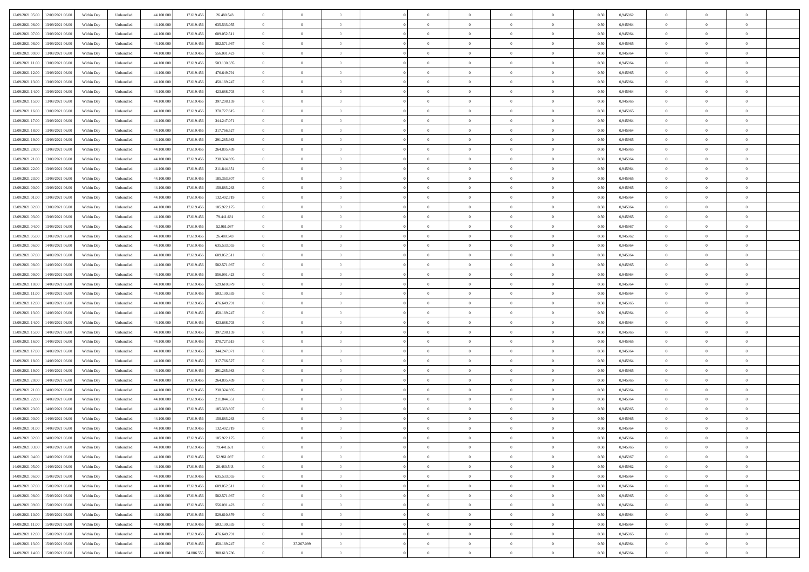| 12/09/2021 05:00 12/09/2021 06:00              | Within Day | Unbundled                   | 44.100.000 | 17.619.456 | 26.480.543    | $\overline{0}$ | $\overline{0}$ |                | $\overline{0}$ | $\theta$       |                | $\theta$       | 0,50 | 0,945962 | $\theta$       | $\theta$       | $\overline{0}$ |  |
|------------------------------------------------|------------|-----------------------------|------------|------------|---------------|----------------|----------------|----------------|----------------|----------------|----------------|----------------|------|----------|----------------|----------------|----------------|--|
| 12/09/2021 06:00<br>13/09/2021 06:00           | Within Day | Unbundled                   | 44.100.00  | 17.619.45  | 635.533.055   | $\bf{0}$       | $\overline{0}$ | $\bf{0}$       | $\overline{0}$ | $\bf{0}$       | $\overline{0}$ | $\bf{0}$       | 0,50 | 0,945964 | $\,$ 0 $\,$    | $\bf{0}$       | $\overline{0}$ |  |
| 12/09/2021 07:00<br>13/09/2021 06:00           | Within Day | Unbundled                   | 44,100,000 | 17.619.456 | 609.052.511   | $\overline{0}$ | $\bf{0}$       | $\overline{0}$ | $\bf{0}$       | $\bf{0}$       | $\overline{0}$ | $\bf{0}$       | 0.50 | 0.945964 | $\bf{0}$       | $\overline{0}$ | $\overline{0}$ |  |
| 12/09/2021 08:00<br>13/09/2021 06:00           |            |                             | 44.100.000 |            |               | $\overline{0}$ | $\overline{0}$ | $\overline{0}$ | $\theta$       | $\theta$       | $\overline{0}$ | $\bf{0}$       |      |          | $\theta$       | $\theta$       | $\overline{0}$ |  |
|                                                | Within Day | Unbundled                   |            | 17.619.456 | 582.571.967   |                |                |                |                |                |                |                | 0,50 | 0,945965 |                |                |                |  |
| 12/09/2021 09:00<br>13/09/2021 06:00           | Within Day | Unbundled                   | 44.100.00  | 17.619.456 | 556.091.423   | $\bf{0}$       | $\overline{0}$ | $\bf{0}$       | $\overline{0}$ | $\theta$       | $\overline{0}$ | $\bf{0}$       | 0,50 | 0,945964 | $\bf{0}$       | $\bf{0}$       | $\overline{0}$ |  |
| 12/09/2021 11:00<br>13/09/2021 06:00           | Within Day | Unbundled                   | 44,100,000 | 17.619.456 | 503.130.335   | $\overline{0}$ | $\overline{0}$ | $\overline{0}$ | $\bf{0}$       | $\overline{0}$ | $\theta$       | $\bf{0}$       | 0.50 | 0.945964 | $\bf{0}$       | $\theta$       | $\overline{0}$ |  |
| 12/09/2021 12:00<br>13/09/2021 06:00           | Within Day | Unbundled                   | 44.100.000 | 17.619.456 | 476.649.791   | $\overline{0}$ | $\overline{0}$ | $\overline{0}$ | $\overline{0}$ | $\overline{0}$ | $\overline{0}$ | $\bf{0}$       | 0,50 | 0,945965 | $\theta$       | $\theta$       | $\overline{0}$ |  |
|                                                |            |                             |            |            |               |                |                |                |                |                |                |                |      |          |                |                |                |  |
| 12/09/2021 13:00<br>13/09/2021 06:00           | Within Day | Unbundled                   | 44.100.00  | 17.619.45  | 450.169.247   | $\bf{0}$       | $\overline{0}$ | $\overline{0}$ | $\overline{0}$ | $\theta$       | $\overline{0}$ | $\bf{0}$       | 0,50 | 0,945964 | $\,$ 0 $\,$    | $\bf{0}$       | $\overline{0}$ |  |
| 12/09/2021 14:00<br>13/09/2021 06:00           | Within Day | Unbundled                   | 44,100,00  | 17.619.456 | 423.688.703   | $\overline{0}$ | $\bf{0}$       | $\overline{0}$ | $\bf{0}$       | $\overline{0}$ | $\overline{0}$ | $\bf{0}$       | 0.50 | 0.945964 | $\bf{0}$       | $\overline{0}$ | $\overline{0}$ |  |
| 12/09/2021 15:00<br>13/09/2021 06:00           | Within Day | Unbundled                   | 44.100.000 | 17.619.456 | 397.208.159   | $\bf{0}$       | $\bf{0}$       | $\overline{0}$ | $\overline{0}$ | $\theta$       | $\overline{0}$ | $\bf{0}$       | 0,50 | 0,945965 | $\,$ 0 $\,$    | $\bf{0}$       | $\overline{0}$ |  |
| 12/09/2021 16:00<br>13/09/2021 06:00           | Within Day | Unbundled                   | 44.100.00  | 17.619.456 | 370.727.615   | $\bf{0}$       | $\overline{0}$ | $\bf{0}$       | $\bf{0}$       | $\bf{0}$       | $\overline{0}$ | $\bf{0}$       | 0,50 | 0,945965 | $\,$ 0 $\,$    | $\bf{0}$       | $\overline{0}$ |  |
| 13/09/2021 06:00                               |            |                             | 44,100,000 | 17.619.456 |               |                |                |                |                |                | $\overline{0}$ |                |      | 0.945964 |                |                |                |  |
| 12/09/2021 17:00                               | Within Day | Unbundled                   |            |            | 344.247.071   | $\overline{0}$ | $\bf{0}$       | $\overline{0}$ | $\bf{0}$       | $\bf{0}$       |                | $\bf{0}$       | 0.50 |          | $\bf{0}$       | $\overline{0}$ | $\overline{0}$ |  |
| 12/09/2021 18:00<br>13/09/2021 06:00           | Within Day | Unbundled                   | 44.100.000 | 17.619.456 | 317.766.527   | $\overline{0}$ | $\overline{0}$ | $\overline{0}$ | $\overline{0}$ | $\theta$       | $\overline{0}$ | $\overline{0}$ | 0,50 | 0,945964 | $\,$ 0 $\,$    | $\theta$       | $\overline{0}$ |  |
| 12/09/2021 19:00<br>13/09/2021 06:00           | Within Day | Unbundled                   | 44.100.00  | 17.619.45  | 291.285.983   | $\bf{0}$       | $\theta$       | $\bf{0}$       | $\overline{0}$ | $\theta$       | $\overline{0}$ | $\bf{0}$       | 0,50 | 0,945965 | $\bf{0}$       | $\bf{0}$       | $\overline{0}$ |  |
| 12/09/2021 20:00<br>13/09/2021 06:00           | Within Day | Unbundled                   | 44,100,00  | 17.619.456 | 264.805.439   | $\overline{0}$ | $\overline{0}$ | $\overline{0}$ | $\bf{0}$       | $\theta$       | $\theta$       | $\bf{0}$       | 0.50 | 0.945965 | $\bf{0}$       | $\theta$       | $\overline{0}$ |  |
| 12/09/2021 21:00<br>13/09/2021 06:00           | Within Day | Unbundled                   | 44.100.000 | 17.619.456 | 238.324.895   | $\overline{0}$ | $\overline{0}$ | $\overline{0}$ | $\overline{0}$ | $\overline{0}$ | $\overline{0}$ | $\bf{0}$       | 0,50 | 0,945964 | $\theta$       | $\theta$       | $\overline{0}$ |  |
|                                                |            |                             |            |            |               |                |                |                |                |                |                |                |      |          |                |                |                |  |
| 12/09/2021 22:00<br>13/09/2021 06:00           | Within Day | Unbundled                   | 44.100.00  | 17.619.45  | 211.844.351   | $\bf{0}$       | $\overline{0}$ | $\overline{0}$ | $\overline{0}$ | $\bf{0}$       | $\overline{0}$ | $\bf{0}$       | 0,50 | 0,945964 | $\,$ 0 $\,$    | $\bf{0}$       | $\overline{0}$ |  |
| 12/09/2021 23:00<br>13/09/2021 06:00           | Within Day | Unbundled                   | 44,100,00  | 17.619.45  | 185.363.807   | $\overline{0}$ | $\bf{0}$       | $\overline{0}$ | $\bf{0}$       | $\overline{0}$ | $\overline{0}$ | $\bf{0}$       | 0.50 | 0.945965 | $\bf{0}$       | $\overline{0}$ | $\overline{0}$ |  |
| 13/09/2021 00:00<br>13/09/2021 06:00           | Within Day | Unbundled                   | 44.100.000 | 17.619.456 | 158.883.263   | $\overline{0}$ | $\overline{0}$ | $\overline{0}$ | $\overline{0}$ | $\overline{0}$ | $\overline{0}$ | $\bf{0}$       | 0,50 | 0,945965 | $\,$ 0 $\,$    | $\bf{0}$       | $\overline{0}$ |  |
| 13/09/2021 01:00<br>13/09/2021 06:00           | Within Day | Unbundled                   | 44.100.00  | 17.619.456 | 132.402.719   | $\bf{0}$       | $\bf{0}$       | $\bf{0}$       | $\bf{0}$       | $\overline{0}$ | $\overline{0}$ | $\bf{0}$       | 0,50 | 0,945964 | $\,$ 0 $\,$    | $\bf{0}$       | $\overline{0}$ |  |
| 13/09/2021 02:00<br>13/09/2021 06:00           | Within Day | Unbundled                   | 44,100,000 | 17.619.456 | 105.922.175   | $\overline{0}$ | $\bf{0}$       | $\overline{0}$ | $\bf{0}$       | $\bf{0}$       | $\overline{0}$ | $\bf{0}$       | 0.50 | 0.945964 | $\bf{0}$       | $\overline{0}$ | $\overline{0}$ |  |
|                                                |            |                             |            |            |               |                |                |                |                |                |                |                |      |          |                |                |                |  |
| 13/09/2021 03:00<br>13/09/2021 06:00           | Within Day | Unbundled                   | 44.100.000 | 17.619.456 | 79.441.631    | $\overline{0}$ | $\overline{0}$ | $\overline{0}$ | $\theta$       | $\theta$       | $\overline{0}$ | $\bf{0}$       | 0,50 | 0,945965 | $\theta$       | $\theta$       | $\overline{0}$ |  |
| 13/09/2021 04:00<br>13/09/2021 06:00           | Within Day | Unbundled                   | 44.100.00  | 17.619.456 | 52.961.087    | $\bf{0}$       | $\overline{0}$ | $\bf{0}$       | $\bf{0}$       | $\bf{0}$       | $\overline{0}$ | $\bf{0}$       | 0,50 | 0,945967 | $\,$ 0 $\,$    | $\bf{0}$       | $\overline{0}$ |  |
| 13/09/2021 05:00<br>13/09/2021 06:00           | Within Day | Unbundled                   | 44,100,00  | 17.619.45  | 26,480.543    | $\overline{0}$ | $\overline{0}$ | $\overline{0}$ | $\overline{0}$ | $\overline{0}$ | $\Omega$       | $\bf{0}$       | 0.50 | 0.945962 | $\bf{0}$       | $\theta$       | $\overline{0}$ |  |
| 13/09/2021 06:00<br>14/09/2021 06.00           | Within Day | Unbundled                   | 44.100.000 | 17.619.456 | 635.533.055   | $\overline{0}$ | $\overline{0}$ | $\overline{0}$ | $\overline{0}$ | $\overline{0}$ | $\overline{0}$ | $\bf{0}$       | 0,50 | 0,945964 | $\theta$       | $\theta$       | $\overline{0}$ |  |
| 13/09/2021 07:00<br>14/09/2021 06.00           | Within Day | Unbundled                   | 44.100.00  | 17.619.45  | 609.052.511   | $\bf{0}$       | $\theta$       | $\bf{0}$       | $\overline{0}$ | $\theta$       | $\overline{0}$ | $\bf{0}$       | 0,50 | 0,945964 | $\,$ 0 $\,$    | $\bf{0}$       | $\overline{0}$ |  |
|                                                |            |                             |            |            |               |                |                |                |                |                |                |                |      |          |                |                |                |  |
| 13/09/2021 08:00<br>14/09/2021 06:00           | Within Day | Unbundled                   | 44,100,000 | 17.619.456 | 582.571.967   | $\overline{0}$ | $\bf{0}$       | $\overline{0}$ | $\bf{0}$       | $\overline{0}$ | $\overline{0}$ | $\bf{0}$       | 0.50 | 0.945965 | $\bf{0}$       | $\overline{0}$ | $\overline{0}$ |  |
| 13/09/2021 09:00<br>14/09/2021 06:00           | Within Day | Unbundled                   | 44.100.000 | 17.619.456 | 556.091.423   | $\overline{0}$ | $\overline{0}$ | $\overline{0}$ | $\overline{0}$ | $\overline{0}$ | $\overline{0}$ | $\bf{0}$       | 0,50 | 0,945964 | $\theta$       | $\theta$       | $\overline{0}$ |  |
| 13/09/2021 10:00<br>14/09/2021 06:00           | Within Day | Unbundled                   | 44.100.00  | 17.619.456 | 529.610.879   | $\bf{0}$       | $\bf{0}$       | $\bf{0}$       | $\bf{0}$       | $\overline{0}$ | $\overline{0}$ | $\bf{0}$       | 0,50 | 0,945964 | $\,$ 0 $\,$    | $\bf{0}$       | $\overline{0}$ |  |
| 13/09/2021 11:00<br>14/09/2021 06:00           | Within Day | Unbundled                   | 44,100,000 | 17.619.456 | 503.130.335   | $\overline{0}$ | $\bf{0}$       | $\overline{0}$ | $\bf{0}$       | $\bf{0}$       | $\overline{0}$ | $\bf{0}$       | 0.50 | 0.945964 | $\bf{0}$       | $\overline{0}$ | $\overline{0}$ |  |
| 13/09/2021 12:00<br>14/09/2021 06:00           | Within Day | Unbundled                   | 44.100.000 | 17.619.456 | 476,649.791   | $\overline{0}$ | $\overline{0}$ | $\overline{0}$ | $\overline{0}$ | $\overline{0}$ | $\overline{0}$ | $\bf{0}$       | 0.5( | 0.945965 | $\theta$       | $\theta$       | $\overline{0}$ |  |
|                                                |            |                             |            |            |               |                |                |                |                |                |                |                |      |          |                |                |                |  |
| 13/09/2021 13:00<br>14/09/2021 06.00           | Within Day | Unbundled                   | 44.100.00  | 17.619.45  | 450.169.247   | $\bf{0}$       | $\overline{0}$ | $\bf{0}$       | $\overline{0}$ | $\overline{0}$ | $\overline{0}$ | $\bf{0}$       | 0,50 | 0,945964 | $\,$ 0 $\,$    | $\bf{0}$       | $\overline{0}$ |  |
| 13/09/2021 14:00<br>14/09/2021 06:00           | Within Day | Unbundled                   | 44,100,00  | 17.619.456 | 423.688.703   | $\overline{0}$ | $\overline{0}$ | $\overline{0}$ | $\bf{0}$       | $\bf{0}$       | $\Omega$       | $\bf{0}$       | 0.50 | 0.945964 | $\,$ 0 $\,$    | $\theta$       | $\overline{0}$ |  |
| 13/09/2021 15:00<br>14/09/2021 06:00           | Within Dav | Unbundled                   | 44.100.000 | 17.619.456 | 397.208.159   | $\overline{0}$ | $\overline{0}$ | $\overline{0}$ | $\overline{0}$ | $\overline{0}$ | $\overline{0}$ | $\overline{0}$ | 0.50 | 0,945965 | $\theta$       | $\theta$       | $\overline{0}$ |  |
| 13/09/2021 16:00<br>14/09/2021 06.00           | Within Day | Unbundled                   | 44.100.00  | 17.619.456 | 370.727.615   | $\bf{0}$       | $\overline{0}$ | $\bf{0}$       | $\bf{0}$       | $\bf{0}$       | $\overline{0}$ | $\bf{0}$       | 0,50 | 0,945965 | $\,$ 0 $\,$    | $\bf{0}$       | $\overline{0}$ |  |
| 13/09/2021 17:00<br>14/09/2021 06:00           | Within Day | Unbundled                   | 44,100,00  | 17.619.456 | 344.247.071   | $\overline{0}$ | $\bf{0}$       | $\overline{0}$ | $\bf{0}$       | $\overline{0}$ | $\overline{0}$ | $\bf{0}$       | 0.50 | 0.945964 | $\bf{0}$       | $\overline{0}$ | $\overline{0}$ |  |
|                                                |            |                             |            |            |               |                |                |                |                |                |                |                |      |          |                |                |                |  |
| 13/09/2021 18:00<br>14/09/2021 06:00           | Within Dav | Unbundled                   | 44.100.000 | 17.619.456 | 317.766.527   | $\overline{0}$ | $\overline{0}$ | $\overline{0}$ | $\overline{0}$ | $\overline{0}$ | $\overline{0}$ | $\overline{0}$ | 0.50 | 0,945964 | $\theta$       | $\theta$       | $\overline{0}$ |  |
| 13/09/2021 19:00<br>14/09/2021 06.00           | Within Day | Unbundled                   | 44.100.00  | 17.619.456 | 291.285.983   | $\bf{0}$       | $\bf{0}$       | $\bf{0}$       | $\bf{0}$       | $\overline{0}$ | $\overline{0}$ | $\bf{0}$       | 0,50 | 0,945965 | $\,$ 0 $\,$    | $\bf{0}$       | $\overline{0}$ |  |
| 13/09/2021 20:00<br>14/09/2021 06:00           | Within Day | Unbundled                   | 44,100,000 | 17.619.456 | 264.805.439   | $\overline{0}$ | $\bf{0}$       | $\overline{0}$ | $\bf{0}$       | $\bf{0}$       | $\overline{0}$ | $\bf{0}$       | 0.50 | 0.945965 | $\bf{0}$       | $\overline{0}$ | $\overline{0}$ |  |
| 13/09/2021 21:00<br>14/09/2021 06:00           | Within Dav | Unbundled                   | 44.100.000 | 17.619.456 | 238.324.895   | $\overline{0}$ | $\overline{0}$ | $\overline{0}$ | $\overline{0}$ | $\overline{0}$ | $\overline{0}$ | $\bf{0}$       | 0.50 | 0.945964 | $\theta$       | $\theta$       | $\overline{0}$ |  |
| 13/09/2021 22:00<br>14/09/2021 06.00           | Within Day | Unbundled                   | 44.100.00  | 17.619.456 | 211.844.351   | $\bf{0}$       | $\overline{0}$ | $\bf{0}$       | $\bf{0}$       | $\overline{0}$ | $\overline{0}$ | $\bf{0}$       | 0,50 | 0,945964 | $\,$ 0 $\,$    | $\bf{0}$       | $\overline{0}$ |  |
|                                                |            |                             |            |            |               |                |                |                |                |                |                |                |      |          |                |                |                |  |
| 13/09/2021 23:00<br>14/09/2021 06:00           | Within Day | Unbundled                   | 44,100,00  | 17.619.45  | 185, 363, 807 | $\overline{0}$ | $\overline{0}$ | $\Omega$       | $\overline{0}$ | $\overline{0}$ | $\theta$       | $\bf{0}$       | 0.50 | 0.945965 | $\,$ 0 $\,$    | $\theta$       | $\overline{0}$ |  |
| 14/09/2021 00:00<br>14/09/2021 06:00           | Within Dav | Unbundled                   | 44.100.000 | 17.619.456 | 158,883,263   | $\overline{0}$ | $\overline{0}$ | $\Omega$       | $\overline{0}$ | $\theta$       | $\Omega$       | $\overline{0}$ | 0.5( | 0,945965 | $\theta$       | $\theta$       | $\overline{0}$ |  |
| 14/09/2021 01:00<br>14/09/2021 06.00           | Within Day | Unbundled                   | 44.100.00  | 17.619.456 | 132.402.719   | $\bf{0}$       | $\bf{0}$       | $\bf{0}$       | $\bf{0}$       | $\bf{0}$       | $\overline{0}$ | $\bf{0}$       | 0,50 | 0,945964 | $\,$ 0 $\,$    | $\bf{0}$       | $\overline{0}$ |  |
| $14/09/2021\; 02.00 \qquad 14/09/2021\; 06.00$ | Within Day | $\ensuremath{\mathsf{Unb}}$ | 44.100.000 | 17.619.456 | 105.922.175   | $\overline{0}$ | $\Omega$       |                | $\overline{0}$ |                |                |                | 0,50 | 0.945964 | $\theta$       | $\overline{0}$ |                |  |
| 14/09/2021 03:00 14/09/2021 06:00              | Within Day | Unbundled                   | 44.100.000 | 17.619.456 | 79.441.631    | $\overline{0}$ | $\theta$       | $\Omega$       | $\theta$       | $\theta$       | $\overline{0}$ | $\bf{0}$       | 0,50 | 0,945965 | $\theta$       | $\theta$       | $\overline{0}$ |  |
|                                                |            |                             |            |            |               |                |                |                |                |                |                |                |      |          |                |                |                |  |
| 14/09/2021 04:00<br>14/09/2021 06.00           | Within Day | Unbundled                   | 44.100.00  | 17.619.456 | 52.961.087    | $\overline{0}$ | $\bf{0}$       | $\overline{0}$ | $\overline{0}$ | $\bf{0}$       | $\overline{0}$ | $\bf{0}$       | 0,50 | 0,945967 | $\bf{0}$       | $\overline{0}$ | $\bf{0}$       |  |
| 14/09/2021 05:00 14/09/2021 06:00              | Within Day | Unbundled                   | 44,100,000 | 17.619.456 | 26,480,543    | $\overline{0}$ | $\bf{0}$       | $\overline{0}$ | $\overline{0}$ | $\overline{0}$ | $\overline{0}$ | $\bf{0}$       | 0.50 | 0.945962 | $\mathbf{0}$   | $\bf{0}$       | $\,$ 0 $\,$    |  |
| 14/09/2021 06:00 15/09/2021 06:00              | Within Dav | Unbundled                   | 44.100.000 | 17.619.456 | 635.533.055   | $\overline{0}$ | $\overline{0}$ | $\overline{0}$ | $\overline{0}$ | $\overline{0}$ | $\overline{0}$ | $\bf{0}$       | 0.50 | 0,945964 | $\theta$       | $\theta$       | $\overline{0}$ |  |
| 14/09/2021 07:00<br>15/09/2021 06:00           | Within Day | Unbundled                   | 44.100.000 | 17.619.456 | 609.052.511   | $\overline{0}$ | $\bf{0}$       | $\overline{0}$ | $\bf{0}$       | $\overline{0}$ | $\bf{0}$       | $\bf{0}$       | 0,50 | 0,945964 | $\overline{0}$ | $\bf{0}$       | $\overline{0}$ |  |
| 15/09/2021 06:00<br>14/09/2021 08:00           | Within Day | Unbundled                   | 44,100,000 | 17.619.456 | 582.571.967   | $\overline{0}$ | $\bf{0}$       | $\overline{0}$ | $\overline{0}$ | $\overline{0}$ | $\overline{0}$ | $\bf{0}$       | 0.50 | 0.945965 | $\,$ 0 $\,$    | $\theta$       | $\overline{0}$ |  |
|                                                |            |                             |            |            |               |                |                |                |                |                |                |                |      |          |                |                |                |  |
| 14/09/2021 09:00<br>15/09/2021 06:00           | Within Dav | Unbundled                   | 44.100.000 | 17.619.456 | 556.091.423   | $\overline{0}$ | $\overline{0}$ | $\overline{0}$ | $\overline{0}$ | $\overline{0}$ | $\overline{0}$ | $\bf{0}$       | 0.50 | 0,945964 | $\overline{0}$ | $\theta$       | $\overline{0}$ |  |
| 14/09/2021 10:00<br>15/09/2021 06:00           | Within Day | Unbundled                   | 44.100.00  | 17.619.456 | 529.610.879   | $\overline{0}$ | $\bf{0}$       | $\overline{0}$ | $\overline{0}$ | $\bf{0}$       | $\overline{0}$ | $\bf{0}$       | 0,50 | 0,945964 | $\bf{0}$       | $\bf{0}$       | $\overline{0}$ |  |
| 15/09/2021 06:00<br>14/09/2021 11:00           | Within Day | Unbundled                   | 44,100,000 | 17.619.456 | 503.130.335   | $\overline{0}$ | $\overline{0}$ | $\overline{0}$ | $\overline{0}$ | $\bf{0}$       | $\overline{0}$ | $\bf{0}$       | 0.50 | 0.945964 | $\overline{0}$ | $\,$ 0 $\,$    | $\,$ 0         |  |
| 14/09/2021 12:00<br>15/09/2021 06:00           | Within Dav | Unbundled                   | 44.100.000 | 17.619.456 | 476.649.791   | $\overline{0}$ | $\overline{0}$ | $\overline{0}$ | $\overline{0}$ | $\overline{0}$ | $\overline{0}$ | $\bf{0}$       | 0,50 | 0,945965 | $\theta$       | $\theta$       | $\overline{0}$ |  |
| 14/09/2021 13:00<br>15/09/2021 06:00           | Within Day | Unbundled                   | 44.100.00  | 17.619.456 | 450.169.247   | $\overline{0}$ | 37.267.099     | $\overline{0}$ | $\bf{0}$       | $\overline{0}$ | $\bf{0}$       | $\bf{0}$       | 0,50 | 0,945964 | $\bf{0}$       | $\bf{0}$       | $\overline{0}$ |  |
|                                                |            |                             |            |            |               |                |                |                |                |                |                |                |      |          |                |                |                |  |
| 14/09/2021 14:00 15/09/2021 06:00              | Within Day | Unbundled                   | 44.100.000 | 54.886.555 | 388.613.786   | $\overline{0}$ | $\overline{0}$ | $\overline{0}$ | $\overline{0}$ | $\,$ 0 $\,$    | $\overline{0}$ | $\bf{0}$       | 0,50 | 0,945964 | $\overline{0}$ | $\,$ 0 $\,$    | $\,$ 0 $\,$    |  |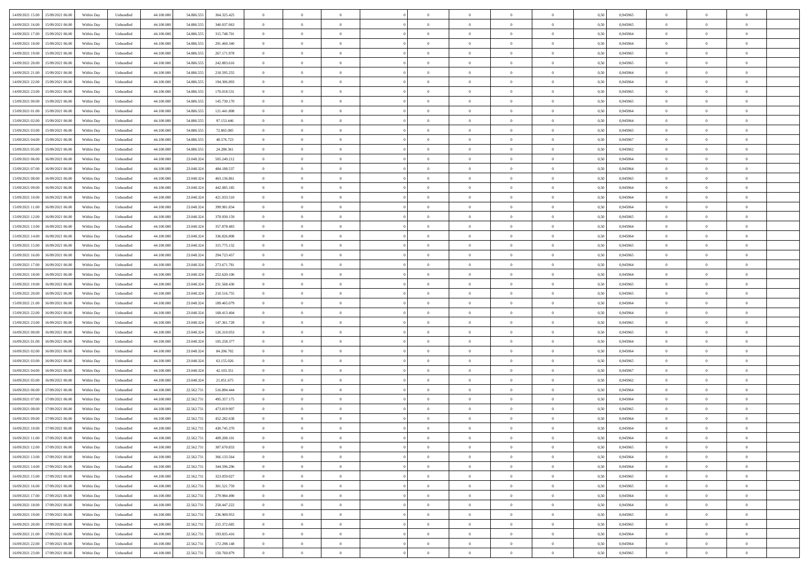|                                               |            |                             |            |            |             | $\overline{0}$ | $\theta$       |                | $\overline{0}$ | $\theta$       |                | $\theta$       |      |          | $\theta$       | $\theta$       | $\overline{0}$ |  |
|-----------------------------------------------|------------|-----------------------------|------------|------------|-------------|----------------|----------------|----------------|----------------|----------------|----------------|----------------|------|----------|----------------|----------------|----------------|--|
| 14/09/2021 15:00 15/09/2021 06:00             | Within Day | Unbundled                   | 44.100.000 | 54.886.555 | 364.325.425 |                |                |                |                |                |                |                | 0,50 | 0,945965 |                |                |                |  |
| 14/09/2021 16:00<br>15/09/2021 06:00          | Within Day | Unbundled                   | 44.100.00  | 54.886.55  | 340.037.063 | $\bf{0}$       | $\overline{0}$ | $\bf{0}$       | $\overline{0}$ | $\bf{0}$       | $\overline{0}$ | $\bf{0}$       | 0,50 | 0,945965 | $\,$ 0 $\,$    | $\bf{0}$       | $\overline{0}$ |  |
| 14/09/2021 17:00<br>15/09/2021 06:00          | Within Day | Unbundled                   | 44,100,000 | 54,886,555 | 315,748,701 | $\overline{0}$ | $\bf{0}$       | $\overline{0}$ | $\bf{0}$       | $\bf{0}$       | $\overline{0}$ | $\bf{0}$       | 0.50 | 0.945964 | $\bf{0}$       | $\overline{0}$ | $\overline{0}$ |  |
| 14/09/2021 18:00<br>15/09/2021 06:00          | Within Day | Unbundled                   | 44.100.000 | 54.886.555 | 291.460.340 | $\overline{0}$ | $\overline{0}$ | $\overline{0}$ | $\theta$       | $\theta$       | $\overline{0}$ | $\bf{0}$       | 0,50 | 0,945964 | $\theta$       | $\theta$       | $\overline{0}$ |  |
|                                               |            |                             |            |            |             |                |                |                |                |                |                |                |      |          |                |                |                |  |
| 14/09/2021 19:00<br>15/09/2021 06:00          | Within Day | Unbundled                   | 44.100.00  | 54.886.55  | 267.171.978 | $\bf{0}$       | $\overline{0}$ | $\overline{0}$ | $\overline{0}$ | $\theta$       | $\overline{0}$ | $\bf{0}$       | 0,50 | 0,945965 | $\,$ 0 $\,$    | $\bf{0}$       | $\overline{0}$ |  |
| 14/09/2021 20:00<br>15/09/2021 06:00          | Within Day | Unbundled                   | 44,100,000 | 54,886,555 | 242.883.616 | $\overline{0}$ | $\overline{0}$ | $\overline{0}$ | $\overline{0}$ | $\overline{0}$ | $\Omega$       | $\bf{0}$       | 0.50 | 0.945965 | $\bf{0}$       | $\theta$       | $\overline{0}$ |  |
| 14/09/2021 21:00<br>15/09/2021 06:00          | Within Day | Unbundled                   | 44.100.000 | 54.886.555 | 218.595.255 | $\overline{0}$ | $\overline{0}$ | $\overline{0}$ | $\overline{0}$ | $\theta$       | $\overline{0}$ | $\bf{0}$       | 0,50 | 0,945964 | $\theta$       | $\theta$       | $\overline{0}$ |  |
|                                               |            |                             |            |            |             |                |                |                |                |                |                |                |      |          |                |                |                |  |
| 14/09/2021 22:00<br>15/09/2021 06:00          | Within Day | Unbundled                   | 44.100.00  | 54.886.55  | 194.306.893 | $\bf{0}$       | $\overline{0}$ | $\overline{0}$ | $\overline{0}$ | $\theta$       | $\overline{0}$ | $\bf{0}$       | 0,50 | 0,945964 | $\,$ 0 $\,$    | $\bf{0}$       | $\overline{0}$ |  |
| 14/09/2021 23:00<br>15/09/2021 06:00          | Within Day | Unbundled                   | 44,100,00  | 54,886,55  | 170.018.531 | $\overline{0}$ | $\bf{0}$       | $\overline{0}$ | $\bf{0}$       | $\overline{0}$ | $\overline{0}$ | $\bf{0}$       | 0.50 | 0.945965 | $\bf{0}$       | $\theta$       | $\overline{0}$ |  |
| 15/09/2021 00:00<br>15/09/2021 06:00          | Within Day | Unbundled                   | 44.100.000 | 54.886.555 | 145.730.170 | $\overline{0}$ | $\bf{0}$       | $\overline{0}$ | $\overline{0}$ | $\theta$       | $\overline{0}$ | $\bf{0}$       | 0,50 | 0,945965 | $\,$ 0 $\,$    | $\theta$       | $\overline{0}$ |  |
| 15/09/2021 01:00<br>15/09/2021 06:00          | Within Day | Unbundled                   | 44.100.00  | 54.886.555 | 121.441.808 | $\bf{0}$       | $\overline{0}$ | $\bf{0}$       | $\overline{0}$ | $\bf{0}$       | $\overline{0}$ | $\bf{0}$       | 0,50 | 0,945964 | $\,$ 0 $\,$    | $\bf{0}$       | $\overline{0}$ |  |
|                                               |            |                             | 44,100,000 | 54,886,555 |             |                |                |                |                |                | $\overline{0}$ |                |      | 0.945964 |                |                |                |  |
| 15/09/2021 02:00<br>15/09/2021 06:00          | Within Day | Unbundled                   |            |            | 97.153.446  | $\overline{0}$ | $\bf{0}$       | $\overline{0}$ | $\bf{0}$       | $\bf{0}$       |                | $\bf{0}$       | 0.50 |          | $\bf{0}$       | $\overline{0}$ | $\overline{0}$ |  |
| 15/09/2021 03:00<br>15/09/2021 06:00          | Within Day | Unbundled                   | 44.100.000 | 54.886.555 | 72.865.085  | $\overline{0}$ | $\overline{0}$ | $\overline{0}$ | $\overline{0}$ | $\theta$       | $\overline{0}$ | $\overline{0}$ | 0,50 | 0,945965 | $\theta$       | $\theta$       | $\overline{0}$ |  |
| 15/09/2021 04:00<br>15/09/2021 06:00          | Within Day | Unbundled                   | 44.100.00  | 54.886.55  | 48.576.723  | $\bf{0}$       | $\theta$       | $\bf{0}$       | $\overline{0}$ | $\theta$       | $\overline{0}$ | $\bf{0}$       | 0,50 | 0,945967 | $\bf{0}$       | $\bf{0}$       | $\overline{0}$ |  |
| 15/09/2021 05:00<br>15/09/2021 06:00          | Within Day | Unbundled                   | 44,100,000 | 54,886,555 | 24.288.361  | $\overline{0}$ | $\overline{0}$ | $\overline{0}$ | $\bf{0}$       | $\theta$       | $\theta$       | $\bf{0}$       | 0.50 | 0.945962 | $\theta$       | $\theta$       | $\overline{0}$ |  |
| 15/09/2021 06:00<br>16/09/2021 06:00          | Within Day | Unbundled                   | 44.100.000 | 23.048.324 | 505.240.212 | $\overline{0}$ | $\overline{0}$ | $\overline{0}$ | $\overline{0}$ | $\overline{0}$ | $\overline{0}$ | $\bf{0}$       | 0,50 | 0,945964 | $\theta$       | $\theta$       | $\overline{0}$ |  |
|                                               |            |                             |            |            |             |                |                |                |                |                |                |                |      |          |                |                |                |  |
| 15/09/2021 07:00<br>16/09/2021 06:00          | Within Day | Unbundled                   | 44.100.00  | 23.048.32  | 484.188.537 | $\bf{0}$       | $\overline{0}$ | $\overline{0}$ | $\overline{0}$ | $\theta$       | $\overline{0}$ | $\bf{0}$       | 0,50 | 0,945964 | $\,$ 0 $\,$    | $\bf{0}$       | $\overline{0}$ |  |
| 15/09/2021 08:00<br>16/09/2021 06:00          | Within Day | Unbundled                   | 44,100,00  | 23,048,324 | 463.136.861 | $\overline{0}$ | $\overline{0}$ | $\overline{0}$ | $\bf{0}$       | $\overline{0}$ | $\overline{0}$ | $\bf{0}$       | 0.50 | 0.945965 | $\bf{0}$       | $\overline{0}$ | $\overline{0}$ |  |
| 15/09/2021 09:00<br>16/09/2021 06:00          | Within Day | Unbundled                   | 44.100.000 | 23.048.324 | 442.085.185 | $\overline{0}$ | $\overline{0}$ | $\overline{0}$ | $\overline{0}$ | $\theta$       | $\overline{0}$ | $\bf{0}$       | 0,50 | 0,945964 | $\,$ 0 $\,$    | $\theta$       | $\overline{0}$ |  |
| 15/09/2021 10:00<br>16/09/2021 06:00          | Within Day | Unbundled                   | 44.100.00  | 23.048.32  | 421.033.510 | $\bf{0}$       | $\overline{0}$ | $\bf{0}$       | $\bf{0}$       | $\overline{0}$ | $\overline{0}$ | $\bf{0}$       | 0,50 | 0,945964 | $\,$ 0 $\,$    | $\bf{0}$       | $\overline{0}$ |  |
| 15/09/2021 11:00<br>16/09/2021 06:00          |            | Unbundled                   | 44,100,000 |            | 399.981.834 |                | $\bf{0}$       | $\overline{0}$ |                | $\bf{0}$       | $\overline{0}$ |                | 0.50 | 0.945964 | $\bf{0}$       | $\overline{0}$ | $\overline{0}$ |  |
|                                               | Within Day |                             |            | 23.048.324 |             | $\overline{0}$ |                |                | $\bf{0}$       |                |                | $\bf{0}$       |      |          |                |                |                |  |
| 15/09/2021 12:00<br>16/09/2021 06:00          | Within Day | Unbundled                   | 44.100.000 | 23.048.324 | 378.930.159 | $\overline{0}$ | $\overline{0}$ | $\overline{0}$ | $\theta$       | $\theta$       | $\overline{0}$ | $\bf{0}$       | 0,50 | 0,945965 | $\theta$       | $\theta$       | $\overline{0}$ |  |
| 15/09/2021 13:00<br>16/09/2021 06:00          | Within Day | Unbundled                   | 44.100.00  | 23.048.32  | 357.878.483 | $\bf{0}$       | $\overline{0}$ | $\bf{0}$       | $\bf{0}$       | $\bf{0}$       | $\overline{0}$ | $\bf{0}$       | 0,50 | 0,945964 | $\,$ 0 $\,$    | $\bf{0}$       | $\overline{0}$ |  |
| 15/09/2021 14:00<br>16/09/2021 06:00          | Within Day | Unbundled                   | 44,100,00  | 23,048,324 | 336.826.808 | $\overline{0}$ | $\overline{0}$ | $\overline{0}$ | $\overline{0}$ | $\overline{0}$ | $\Omega$       | $\bf{0}$       | 0.50 | 0.945964 | $\bf{0}$       | $\theta$       | $\overline{0}$ |  |
| 15/09/2021 15:00<br>16/09/2021 06:00          | Within Day | Unbundled                   | 44.100.000 | 23.048.324 | 315.775.132 | $\overline{0}$ | $\overline{0}$ | $\overline{0}$ | $\overline{0}$ | $\overline{0}$ | $\overline{0}$ | $\bf{0}$       | 0,50 | 0,945965 | $\theta$       | $\theta$       | $\overline{0}$ |  |
|                                               |            |                             |            |            |             |                |                |                |                |                |                |                |      |          |                |                |                |  |
| 15/09/2021 16:00<br>16/09/2021 06:00          | Within Day | Unbundled                   | 44.100.00  | 23.048.32  | 294.723.457 | $\bf{0}$       | $\theta$       | $\bf{0}$       | $\overline{0}$ | $\theta$       | $\overline{0}$ | $\bf{0}$       | 0,50 | 0,945965 | $\,$ 0 $\,$    | $\bf{0}$       | $\overline{0}$ |  |
| 15/09/2021 17:00<br>16/09/2021 06:00          | Within Day | Unbundled                   | 44,100,00  | 23,048,324 | 273.671.781 | $\overline{0}$ | $\bf{0}$       | $\overline{0}$ | $\bf{0}$       | $\overline{0}$ | $\overline{0}$ | $\bf{0}$       | 0.50 | 0.945964 | $\bf{0}$       | $\overline{0}$ | $\overline{0}$ |  |
| 15/09/2021 18:00<br>16/09/2021 06:00          | Within Day | Unbundled                   | 44.100.000 | 23.048.324 | 252.620.106 | $\overline{0}$ | $\overline{0}$ | $\overline{0}$ | $\overline{0}$ | $\theta$       | $\overline{0}$ | $\bf{0}$       | 0,50 | 0,945964 | $\theta$       | $\theta$       | $\overline{0}$ |  |
| 15/09/2021 19:00<br>16/09/2021 06:00          | Within Day | Unbundled                   | 44.100.00  | 23.048.32  | 231.568.430 | $\bf{0}$       | $\bf{0}$       | $\bf{0}$       | $\bf{0}$       | $\overline{0}$ | $\overline{0}$ | $\bf{0}$       | 0,50 | 0,945965 | $\,$ 0 $\,$    | $\bf{0}$       | $\overline{0}$ |  |
| 15/09/2021 20:00<br>16/09/2021 06:00          | Within Day | Unbundled                   | 44,100,000 | 23,048,324 | 210.516.755 | $\overline{0}$ | $\bf{0}$       | $\overline{0}$ | $\bf{0}$       | $\bf{0}$       | $\overline{0}$ | $\bf{0}$       | 0.50 | 0.945965 | $\bf{0}$       | $\overline{0}$ | $\overline{0}$ |  |
|                                               |            |                             |            |            |             |                |                |                |                |                |                |                |      |          |                |                |                |  |
| 15/09/2021 21:00<br>16/09/2021 06:00          | Within Day | Unbundled                   | 44.100.000 | 23.048.32  | 189.465.079 | $\overline{0}$ | $\overline{0}$ | $\overline{0}$ | $\overline{0}$ | $\theta$       | $\overline{0}$ | $\bf{0}$       | 0.5( | 0.945964 | $\theta$       | $\theta$       | $\overline{0}$ |  |
| 15/09/2021 22:00<br>16/09/2021 06:00          | Within Day | Unbundled                   | 44.100.00  | 23.048.32  | 168.413.404 | $\bf{0}$       | $\overline{0}$ | $\bf{0}$       | $\overline{0}$ | $\overline{0}$ | $\overline{0}$ | $\bf{0}$       | 0,50 | 0,945964 | $\,$ 0 $\,$    | $\bf{0}$       | $\overline{0}$ |  |
| 15/09/2021 23:00<br>16/09/2021 06:00          | Within Day | Unbundled                   | 44,100,00  | 23,048,324 | 147.361.728 | $\overline{0}$ | $\overline{0}$ | $\overline{0}$ | $\bf{0}$       | $\bf{0}$       | $\Omega$       | $\bf{0}$       | 0.50 | 0.945965 | $\bf{0}$       | $\theta$       | $\overline{0}$ |  |
| 16/09/2021 00:00<br>16/09/2021 06:00          | Within Dav | Unbundled                   | 44.100.000 | 23.048.324 | 126.310.053 | $\overline{0}$ | $\overline{0}$ | $\overline{0}$ | $\overline{0}$ | $\overline{0}$ | $\overline{0}$ | $\overline{0}$ | 0.50 | 0,945965 | $\theta$       | $\theta$       | $\overline{0}$ |  |
| 16/09/2021 01:00<br>16/09/2021 06:00          | Within Day | Unbundled                   | 44.100.00  | 23.048.32  | 105.258.377 | $\bf{0}$       | $\overline{0}$ | $\bf{0}$       | $\overline{0}$ | $\bf{0}$       | $\overline{0}$ | $\bf{0}$       | 0,50 | 0,945964 | $\,$ 0 $\,$    | $\bf{0}$       | $\overline{0}$ |  |
|                                               |            |                             |            |            |             |                |                |                |                |                |                |                |      |          |                |                |                |  |
| 16/09/2021 02:00<br>16/09/2021 06:00          | Within Day | Unbundled                   | 44,100,00  | 23.048.32  | 84.206.702  | $\overline{0}$ | $\bf{0}$       | $\overline{0}$ | $\bf{0}$       | $\overline{0}$ | $\overline{0}$ | $\bf{0}$       | 0.50 | 0.945964 | $\bf{0}$       | $\overline{0}$ | $\overline{0}$ |  |
| 16/09/2021 03:00<br>16/09/2021 06:00          | Within Dav | Unbundled                   | 44.100.000 | 23.048.324 | 63.155.026  | $\overline{0}$ | $\overline{0}$ | $\overline{0}$ | $\overline{0}$ | $\overline{0}$ | $\overline{0}$ | $\overline{0}$ | 0.50 | 0,945965 | $\theta$       | $\theta$       | $\overline{0}$ |  |
| 16/09/2021 04:00<br>16/09/2021 06:00          | Within Day | Unbundled                   | 44.100.00  | 23.048.32  | 42.103.351  | $\bf{0}$       | $\bf{0}$       | $\bf{0}$       | $\bf{0}$       | $\overline{0}$ | $\overline{0}$ | $\bf{0}$       | 0,50 | 0,945967 | $\,$ 0 $\,$    | $\bf{0}$       | $\overline{0}$ |  |
| 16/09/2021 05:00<br>16/09/2021 06:00          | Within Day | Unbundled                   | 44,100,000 | 23.048.324 | 21.051.675  | $\overline{0}$ | $\bf{0}$       | $\overline{0}$ | $\bf{0}$       | $\bf{0}$       | $\overline{0}$ | $\bf{0}$       | 0.50 | 0.945962 | $\bf{0}$       | $\overline{0}$ | $\overline{0}$ |  |
| 16/09/2021 06:00<br>17/09/2021 06:00          | Within Dav | Unbundled                   | 44.100.000 | 22.562.73  | 516,894.444 | $\overline{0}$ | $\overline{0}$ | $\overline{0}$ | $\overline{0}$ | $\overline{0}$ | $\overline{0}$ | $\bf{0}$       | 0.50 | 0.945964 | $\theta$       | $\theta$       | $\overline{0}$ |  |
|                                               |            |                             |            |            |             | $\bf{0}$       | $\overline{0}$ | $\bf{0}$       | $\overline{0}$ | $\,$ 0 $\,$    | $\overline{0}$ |                |      |          | $\,$ 0 $\,$    | $\bf{0}$       | $\overline{0}$ |  |
| 16/09/2021 07:00<br>17/09/2021 06:00          | Within Day | Unbundled                   | 44.100.00  | 22.562.73  | 495.357.175 |                |                |                |                |                |                | $\bf{0}$       | 0,50 | 0,945964 |                |                |                |  |
| 16/09/2021 08:00<br>17/09/2021 06.00          | Within Day | Unbundled                   | 44,100,00  | 22.562.73  | 473.819.907 | $\overline{0}$ | $\overline{0}$ | $\Omega$       | $\overline{0}$ | $\overline{0}$ | $\theta$       | $\bf{0}$       | 0.50 | 0.945965 | $\,$ 0 $\,$    | $\theta$       | $\overline{0}$ |  |
| 16/09/2021 09:00<br>17/09/2021 06:00          | Within Dav | Unbundled                   | 44.100.000 | 22.562.73  | 452.282.638 | $\overline{0}$ | $\overline{0}$ | $\Omega$       | $\overline{0}$ | $\theta$       | $\Omega$       | $\overline{0}$ | 0.5( | 0,945964 | $\theta$       | $\theta$       | $\overline{0}$ |  |
| 16/09/2021 10:00<br>17/09/2021 06:00          | Within Day | Unbundled                   | 44.100.000 | 22.562.73  | 430.745.370 | $\bf{0}$       | $\bf{0}$       | $\bf{0}$       | $\bf{0}$       | $\bf{0}$       | $\overline{0}$ | $\bf{0}$       | 0,50 | 0,945964 | $\,$ 0 $\,$    | $\bf{0}$       | $\overline{0}$ |  |
| $1609/2021\;11.00\; \equiv 17/09/2021\;06.00$ | Within Day | $\ensuremath{\mathsf{Unb}}$ | 44.100.000 | 22.562.731 | 409.208.101 | $\overline{0}$ | $\Omega$       |                | $\overline{0}$ |                |                |                | 0,50 | 0.945964 | $\theta$       | $\overline{0}$ |                |  |
|                                               |            |                             |            |            |             |                |                |                |                |                |                |                |      |          |                |                |                |  |
| 16/09/2021 12:00 17/09/2021 06:00             | Within Day | Unbundled                   | 44.100.000 | 22.562.731 | 387.670.833 | $\overline{0}$ | $\theta$       | $\Omega$       | $\theta$       | $\overline{0}$ | $\overline{0}$ | $\bf{0}$       | 0,50 | 0,945965 | $\theta$       | $\theta$       | $\overline{0}$ |  |
| 16/09/2021 13:00<br>17/09/2021 06:00          | Within Day | Unbundled                   | 44.100.00  | 22.562.73  | 366.133.564 | $\overline{0}$ | $\bf{0}$       | $\overline{0}$ | $\overline{0}$ | $\bf{0}$       | $\overline{0}$ | $\bf{0}$       | 0,50 | 0,945964 | $\bf{0}$       | $\overline{0}$ | $\bf{0}$       |  |
| 16/09/2021 14:00 17/09/2021 06:00             | Within Day | Unbundled                   | 44,100,000 | 22.562.731 | 344.596.296 | $\overline{0}$ | $\bf{0}$       | $\overline{0}$ | $\overline{0}$ | $\overline{0}$ | $\overline{0}$ | $\bf{0}$       | 0.50 | 0.945964 | $\overline{0}$ | $\bf{0}$       | $\,$ 0 $\,$    |  |
| 16/09/2021 15:00 17/09/2021 06:00             | Within Day | Unbundled                   | 44.100.000 | 22.562.731 | 323.059.027 | $\overline{0}$ | $\overline{0}$ | $\overline{0}$ | $\overline{0}$ | $\overline{0}$ | $\overline{0}$ | $\bf{0}$       | 0,50 | 0,945965 | $\theta$       | $\theta$       | $\overline{0}$ |  |
| 16/09/2021 16:00<br>17/09/2021 06:00          | Within Day | Unbundled                   | 44.100.000 | 22.562.73  | 301.521.759 | $\overline{0}$ | $\bf{0}$       | $\overline{0}$ | $\overline{0}$ | $\overline{0}$ | $\bf{0}$       | $\bf{0}$       | 0,50 | 0,945965 | $\overline{0}$ | $\bf{0}$       | $\overline{0}$ |  |
|                                               |            |                             |            |            |             |                |                |                |                |                |                |                |      |          |                |                |                |  |
| 16/09/2021 17:00<br>17/09/2021 06:00          | Within Day | Unbundled                   | 44,100,000 | 22.562.731 | 279.984.490 | $\overline{0}$ | $\bf{0}$       | $\overline{0}$ | $\overline{0}$ | $\overline{0}$ | $\overline{0}$ | $\bf{0}$       | 0.50 | 0.945964 | $\,$ 0 $\,$    | $\theta$       | $\overline{0}$ |  |
| 16/09/2021 18:00<br>17/09/2021 06:00          | Within Dav | Unbundled                   | 44.100.000 | 22.562.731 | 258.447.222 | $\overline{0}$ | $\overline{0}$ | $\overline{0}$ | $\overline{0}$ | $\overline{0}$ | $\overline{0}$ | $\bf{0}$       | 0.50 | 0,945964 | $\overline{0}$ | $\theta$       | $\overline{0}$ |  |
| 16/09/2021 19:00<br>17/09/2021 06:00          | Within Day | Unbundled                   | 44.100.00  | 22.562.73  | 236.909.953 | $\overline{0}$ | $\overline{0}$ | $\overline{0}$ | $\overline{0}$ | $\bf{0}$       | $\overline{0}$ | $\bf{0}$       | 0,50 | 0,945965 | $\bf{0}$       | $\overline{0}$ | $\overline{0}$ |  |
| 17/09/2021 06:00<br>16/09/2021 20:00          | Within Day | Unbundled                   | 44,100,000 | 22.562.731 | 215.372.685 | $\overline{0}$ | $\overline{0}$ | $\overline{0}$ | $\overline{0}$ | $\bf{0}$       | $\overline{0}$ | $\bf{0}$       | 0.50 | 0.945965 | $\overline{0}$ | $\,$ 0 $\,$    | $\,$ 0         |  |
| 17/09/2021 06:00                              | Within Dav | Unbundled                   | 44.100.000 | 22.562.731 | 193.835.416 | $\overline{0}$ | $\overline{0}$ | $\overline{0}$ | $\overline{0}$ | $\overline{0}$ | $\overline{0}$ | $\bf{0}$       | 0,50 | 0,945964 | $\overline{0}$ | $\theta$       | $\overline{0}$ |  |
| 16/09/2021 21:00                              |            |                             |            |            |             |                |                |                |                |                |                |                |      |          |                |                |                |  |
| 16/09/2021 22:00<br>17/09/2021 06:00          | Within Day | Unbundled                   | 44.100.00  | 22.562.73  | 172.298.148 | $\overline{0}$ | $\bf{0}$       | $\overline{0}$ | $\bf{0}$       | $\overline{0}$ | $\bf{0}$       | $\bf{0}$       | 0,50 | 0,945964 | $\bf{0}$       | $\bf{0}$       | $\overline{0}$ |  |
| 16/09/2021 23:00 17/09/2021 06:00             | Within Day | Unbundled                   | 44.100.000 | 22.562.731 | 150.760.879 | $\overline{0}$ | $\bf{0}$       | $\overline{0}$ | $\overline{0}$ | $\,$ 0 $\,$    | $\overline{0}$ | $\bf{0}$       | 0,50 | 0,945965 | $\overline{0}$ | $\,$ 0 $\,$    | $\,$ 0 $\,$    |  |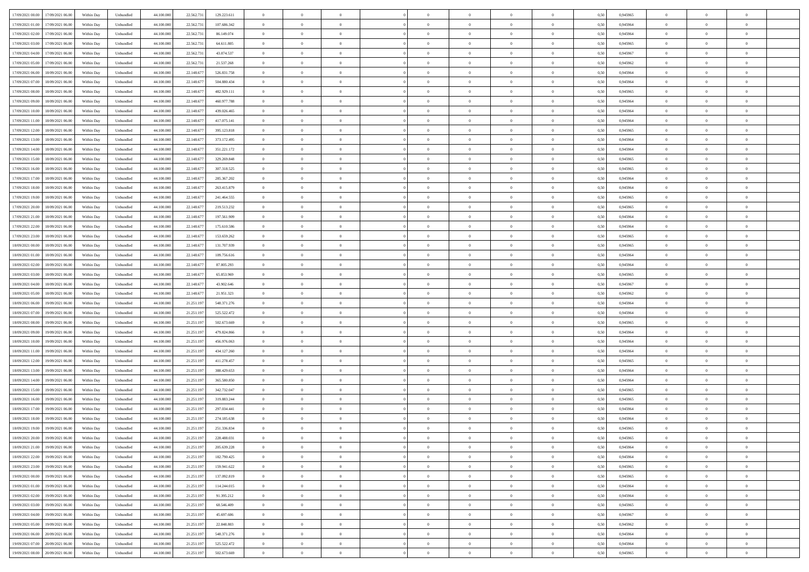| 17/09/2021 00:00 17/09/2021 06:00            | Within Day | Unbundled                   | 44.100.000 | 22.562.731 | 129.223.611 | $\overline{0}$ | $\overline{0}$ |                | $\overline{0}$ | $\theta$       |                | $\theta$       | 0,50 | 0,945965 | $\theta$       | $\theta$       | $\overline{0}$ |  |
|----------------------------------------------|------------|-----------------------------|------------|------------|-------------|----------------|----------------|----------------|----------------|----------------|----------------|----------------|------|----------|----------------|----------------|----------------|--|
| 17/09/2021 01:00<br>17/09/2021 06:00         | Within Day | Unbundled                   | 44.100.00  | 22.562.73  | 107.686.342 | $\bf{0}$       | $\overline{0}$ | $\bf{0}$       | $\overline{0}$ | $\bf{0}$       | $\overline{0}$ | $\bf{0}$       | 0,50 | 0,945964 | $\,$ 0 $\,$    | $\bf{0}$       | $\overline{0}$ |  |
| 17/09/2021 02:00<br>17/09/2021 06:00         | Within Day | Unbundled                   | 44,100,000 | 22.562.731 | 86,149,074  | $\overline{0}$ | $\bf{0}$       | $\overline{0}$ | $\bf{0}$       | $\bf{0}$       | $\overline{0}$ | $\bf{0}$       | 0.50 | 0.945964 | $\bf{0}$       | $\overline{0}$ | $\overline{0}$ |  |
| 17/09/2021 03:00<br>17/09/2021 06:00         | Within Day | Unbundled                   | 44.100.000 | 22.562.73  | 64.611.805  | $\overline{0}$ | $\overline{0}$ | $\overline{0}$ | $\theta$       | $\theta$       | $\overline{0}$ | $\bf{0}$       | 0,50 | 0,945965 | $\theta$       | $\theta$       | $\overline{0}$ |  |
| 17/09/2021 04:00<br>17/09/2021 06:00         | Within Day | Unbundled                   | 44.100.00  | 22.562.73  | 43.074.537  | $\bf{0}$       | $\theta$       | $\bf{0}$       | $\overline{0}$ | $\theta$       | $\overline{0}$ | $\bf{0}$       | 0,50 | 0,945967 | $\,$ 0 $\,$    | $\bf{0}$       | $\overline{0}$ |  |
|                                              |            |                             |            |            |             |                |                |                |                |                |                |                |      |          |                |                |                |  |
| 17/09/2021 05:00<br>17/09/2021 06:00         | Within Day | Unbundled                   | 44,100,000 | 22.562.731 | 21.537.268  | $\overline{0}$ | $\overline{0}$ | $\overline{0}$ | $\bf{0}$       | $\overline{0}$ | $\theta$       | $\bf{0}$       | 0.50 | 0.945962 | $\bf{0}$       | $\theta$       | $\overline{0}$ |  |
| 17/09/2021 06:00<br>18/09/2021 06:00         | Within Day | Unbundled                   | 44.100.000 | 22.148.677 | 526.831.758 | $\overline{0}$ | $\overline{0}$ | $\overline{0}$ | $\overline{0}$ | $\theta$       | $\overline{0}$ | $\bf{0}$       | 0,50 | 0,945964 | $\theta$       | $\theta$       | $\overline{0}$ |  |
| 17/09/2021 07:00<br>18/09/2021 06:00         | Within Day | Unbundled                   | 44.100.00  | 22.148.67  | 504.880.434 | $\bf{0}$       | $\overline{0}$ | $\overline{0}$ | $\overline{0}$ | $\theta$       | $\overline{0}$ | $\bf{0}$       | 0,50 | 0,945964 | $\,$ 0 $\,$    | $\bf{0}$       | $\overline{0}$ |  |
| 17/09/2021 08:00<br>18/09/2021 06:00         | Within Day | Unbundled                   | 44,100,00  | 22.148.67  | 482.929.111 | $\overline{0}$ | $\bf{0}$       | $\overline{0}$ | $\bf{0}$       | $\overline{0}$ | $\overline{0}$ | $\bf{0}$       | 0.50 | 0.945965 | $\bf{0}$       | $\theta$       | $\overline{0}$ |  |
| 17/09/2021 09:00<br>18/09/2021 06:00         | Within Day | Unbundled                   | 44.100.000 | 22.148.677 | 460.977.788 | $\overline{0}$ | $\bf{0}$       | $\overline{0}$ | $\overline{0}$ | $\theta$       | $\overline{0}$ | $\bf{0}$       | 0,50 | 0,945964 | $\,$ 0 $\,$    | $\theta$       | $\overline{0}$ |  |
| 17/09/2021 10:00<br>18/09/2021 06:00         | Within Day | Unbundled                   | 44.100.00  | 22.148.67  | 439.026.465 | $\bf{0}$       | $\overline{0}$ | $\bf{0}$       | $\bf{0}$       | $\bf{0}$       | $\overline{0}$ | $\bf{0}$       | 0,50 | 0,945964 | $\,$ 0 $\,$    | $\bf{0}$       | $\overline{0}$ |  |
| 17/09/2021 11:00<br>18/09/2021 06:00         | Within Day | Unbundled                   | 44,100,000 | 22.148.677 | 417.075.141 | $\overline{0}$ | $\bf{0}$       | $\overline{0}$ | $\bf{0}$       | $\bf{0}$       | $\overline{0}$ | $\bf{0}$       | 0.50 | 0.945964 | $\bf{0}$       | $\overline{0}$ | $\overline{0}$ |  |
|                                              |            |                             |            |            |             |                |                |                |                |                |                |                |      |          |                |                |                |  |
| 17/09/2021 12:00<br>18/09/2021 06:00         | Within Day | Unbundled                   | 44.100.000 | 22.148.677 | 395.123.818 | $\overline{0}$ | $\overline{0}$ | $\overline{0}$ | $\overline{0}$ | $\theta$       | $\overline{0}$ | $\overline{0}$ | 0,50 | 0,945965 | $\,$ 0 $\,$    | $\theta$       | $\overline{0}$ |  |
| 17/09/2021 13:00<br>18/09/2021 06:00         | Within Day | Unbundled                   | 44.100.00  | 22.148.67  | 373.172.495 | $\bf{0}$       | $\theta$       | $\bf{0}$       | $\overline{0}$ | $\theta$       | $\overline{0}$ | $\bf{0}$       | 0,50 | 0,945964 | $\bf{0}$       | $\bf{0}$       | $\overline{0}$ |  |
| 17/09/2021 14:00<br>18/09/2021 06:00         | Within Day | Unbundled                   | 44,100,00  | 22.148.67  | 351.221.172 | $\overline{0}$ | $\overline{0}$ | $\overline{0}$ | $\bf{0}$       | $\theta$       | $\theta$       | $\bf{0}$       | 0.50 | 0.945964 | $\theta$       | $\theta$       | $\overline{0}$ |  |
| 17/09/2021 15:00<br>18/09/2021 06:00         | Within Day | Unbundled                   | 44.100.000 | 22.148.677 | 329.269.848 | $\overline{0}$ | $\overline{0}$ | $\overline{0}$ | $\overline{0}$ | $\overline{0}$ | $\overline{0}$ | $\bf{0}$       | 0,50 | 0,945965 | $\theta$       | $\theta$       | $\overline{0}$ |  |
| 17/09/2021 16:00<br>18/09/2021 06:00         | Within Day | Unbundled                   | 44.100.00  | 22.148.67  | 307.318.525 | $\bf{0}$       | $\overline{0}$ | $\overline{0}$ | $\overline{0}$ | $\bf{0}$       | $\overline{0}$ | $\bf{0}$       | 0,50 | 0,945965 | $\,$ 0 $\,$    | $\bf{0}$       | $\overline{0}$ |  |
| 17/09/2021 17:00<br>18/09/2021 06:00         | Within Day | Unbundled                   | 44,100,00  | 22.148.67  | 285.367.202 | $\overline{0}$ | $\bf{0}$       | $\overline{0}$ | $\bf{0}$       | $\overline{0}$ | $\overline{0}$ | $\bf{0}$       | 0.50 | 0.945964 | $\bf{0}$       | $\overline{0}$ | $\overline{0}$ |  |
| 17/09/2021 18:00<br>18/09/2021 06:00         | Within Day | Unbundled                   | 44.100.000 | 22.148.677 | 263.415.879 | $\bf{0}$       | $\overline{0}$ | $\overline{0}$ | $\overline{0}$ | $\overline{0}$ | $\overline{0}$ | $\bf{0}$       | 0,50 | 0,945964 | $\,$ 0 $\,$    | $\bf{0}$       | $\overline{0}$ |  |
|                                              |            |                             |            |            |             |                |                |                |                |                |                |                |      |          |                |                |                |  |
| 17/09/2021 19:00<br>18/09/2021 06:00         | Within Day | Unbundled                   | 44.100.00  | 22.148.67  | 241.464.555 | $\bf{0}$       | $\overline{0}$ | $\bf{0}$       | $\bf{0}$       | $\overline{0}$ | $\overline{0}$ | $\bf{0}$       | 0,50 | 0,945965 | $\,$ 0 $\,$    | $\bf{0}$       | $\overline{0}$ |  |
| 17/09/2021 20:00<br>18/09/2021 06:00         | Within Day | Unbundled                   | 44,100,000 | 22.148.677 | 219.513.232 | $\overline{0}$ | $\bf{0}$       | $\overline{0}$ | $\bf{0}$       | $\bf{0}$       | $\overline{0}$ | $\bf{0}$       | 0.50 | 0.945965 | $\bf{0}$       | $\overline{0}$ | $\overline{0}$ |  |
| 17/09/2021 21:00<br>18/09/2021 06:00         | Within Day | Unbundled                   | 44.100.000 | 22.148.677 | 197.561.909 | $\overline{0}$ | $\overline{0}$ | $\overline{0}$ | $\theta$       | $\theta$       | $\overline{0}$ | $\bf{0}$       | 0,50 | 0,945964 | $\theta$       | $\theta$       | $\overline{0}$ |  |
| 17/09/2021 22:00<br>18/09/2021 06:00         | Within Day | Unbundled                   | 44.100.00  | 22.148.67  | 175.610.586 | $\bf{0}$       | $\overline{0}$ | $\bf{0}$       | $\bf{0}$       | $\bf{0}$       | $\overline{0}$ | $\bf{0}$       | 0,50 | 0,945964 | $\,$ 0 $\,$    | $\bf{0}$       | $\overline{0}$ |  |
| 17/09/2021 23:00<br>18/09/2021 06:00         | Within Day | Unbundled                   | 44,100,00  | 22.148.67  | 153.659.262 | $\overline{0}$ | $\overline{0}$ | $\overline{0}$ | $\overline{0}$ | $\overline{0}$ | $\Omega$       | $\bf{0}$       | 0.50 | 0.945965 | $\bf{0}$       | $\theta$       | $\overline{0}$ |  |
| 18/09/2021 00:00<br>18/09/2021 06:00         | Within Day | Unbundled                   | 44.100.000 | 22.148.677 | 131.707.939 | $\overline{0}$ | $\overline{0}$ | $\overline{0}$ | $\overline{0}$ | $\theta$       | $\overline{0}$ | $\bf{0}$       | 0,50 | 0,945965 | $\theta$       | $\theta$       | $\overline{0}$ |  |
| 18/09/2021 01:00<br>18/09/2021 06:00         | Within Day | Unbundled                   | 44.100.00  | 22.148.67  | 109.756.616 | $\bf{0}$       | $\theta$       | $\bf{0}$       | $\overline{0}$ | $\theta$       | $\overline{0}$ | $\bf{0}$       | 0,50 | 0,945964 | $\,$ 0 $\,$    | $\bf{0}$       | $\overline{0}$ |  |
| 18/09/2021 02:00<br>18/09/2021 06:00         | Within Day | Unbundled                   | 44,100,00  | 22.148.67  | 87.805.293  | $\overline{0}$ | $\bf{0}$       | $\overline{0}$ | $\bf{0}$       | $\overline{0}$ | $\overline{0}$ | $\bf{0}$       | 0.50 | 0.945964 | $\bf{0}$       | $\overline{0}$ | $\overline{0}$ |  |
| 18/09/2021 03:00<br>18/09/2021 06:00         | Within Day | Unbundled                   | 44.100.000 | 22.148.677 | 65.853.969  | $\overline{0}$ | $\overline{0}$ | $\overline{0}$ | $\overline{0}$ | $\overline{0}$ | $\overline{0}$ | $\bf{0}$       | 0,50 | 0,945965 | $\theta$       | $\theta$       | $\overline{0}$ |  |
|                                              |            |                             |            |            |             |                |                |                |                |                |                |                |      |          |                |                |                |  |
| 18/09/2021 04:00<br>18/09/2021 06:00         | Within Day | Unbundled                   | 44.100.00  | 22.148.67  | 43.902.646  | $\bf{0}$       | $\bf{0}$       | $\bf{0}$       | $\bf{0}$       | $\overline{0}$ | $\overline{0}$ | $\bf{0}$       | 0,50 | 0,945967 | $\,$ 0 $\,$    | $\bf{0}$       | $\overline{0}$ |  |
| 18/09/2021 05:00<br>18/09/2021 06:00         | Within Day | Unbundled                   | 44,100,000 | 22.148.677 | 21.951.323  | $\overline{0}$ | $\bf{0}$       | $\overline{0}$ | $\bf{0}$       | $\bf{0}$       | $\overline{0}$ | $\bf{0}$       | 0.50 | 0.945962 | $\bf{0}$       | $\overline{0}$ | $\overline{0}$ |  |
| 18/09/2021 06:00<br>19/09/2021 06:00         | Within Day | Unbundled                   | 44.100.000 | 21.251.197 | 548.371.276 | $\overline{0}$ | $\overline{0}$ | $\overline{0}$ | $\overline{0}$ | $\overline{0}$ | $\overline{0}$ | $\bf{0}$       | 0.5( | 0.945964 | $\theta$       | $\theta$       | $\overline{0}$ |  |
| 18/09/2021 07:00<br>19/09/2021 06:00         | Within Day | Unbundled                   | 44.100.00  | 21.251.197 | 525.522.472 | $\bf{0}$       | $\overline{0}$ | $\bf{0}$       | $\overline{0}$ | $\overline{0}$ | $\overline{0}$ | $\bf{0}$       | 0,50 | 0,945964 | $\,$ 0 $\,$    | $\bf{0}$       | $\overline{0}$ |  |
| 18/09/2021 08:00<br>19/09/2021 06:00         | Within Day | Unbundled                   | 44,100,00  | 21.251.197 | 502.673.669 | $\overline{0}$ | $\overline{0}$ | $\overline{0}$ | $\bf{0}$       | $\bf{0}$       | $\Omega$       | $\bf{0}$       | 0.50 | 0.945965 | $\,$ 0 $\,$    | $\theta$       | $\overline{0}$ |  |
| 18/09/2021 09:00<br>19/09/2021 06:00         | Within Dav | Unbundled                   | 44.100.000 | 21.251.197 | 479.824.866 | $\overline{0}$ | $\overline{0}$ | $\overline{0}$ | $\overline{0}$ | $\overline{0}$ | $\overline{0}$ | $\overline{0}$ | 0.50 | 0,945964 | $\theta$       | $\theta$       | $\overline{0}$ |  |
| 18/09/2021 10:00<br>19/09/2021 06:00         | Within Day | Unbundled                   | 44.100.00  | 21.251.197 | 456.976.063 | $\bf{0}$       | $\overline{0}$ | $\bf{0}$       | $\overline{0}$ | $\bf{0}$       | $\overline{0}$ | $\bf{0}$       | 0,50 | 0,945964 | $\,$ 0 $\,$    | $\bf{0}$       | $\overline{0}$ |  |
| 18/09/2021 11:00<br>19/09/2021 06:00         | Within Day | Unbundled                   | 44,100,00  | 21.251.19  | 434.127.260 | $\overline{0}$ | $\bf{0}$       | $\overline{0}$ | $\bf{0}$       | $\overline{0}$ | $\overline{0}$ | $\bf{0}$       | 0.50 | 0.945964 | $\bf{0}$       | $\overline{0}$ | $\overline{0}$ |  |
|                                              |            |                             |            |            |             |                |                |                |                |                |                |                |      |          |                |                |                |  |
| 18/09/2021 12:00<br>19/09/2021 06:00         | Within Dav | Unbundled                   | 44.100.000 | 21.251.197 | 411.278.457 | $\overline{0}$ | $\overline{0}$ | $\overline{0}$ | $\overline{0}$ | $\overline{0}$ | $\overline{0}$ | $\overline{0}$ | 0.50 | 0,945965 | $\theta$       | $\theta$       | $\overline{0}$ |  |
| 18/09/2021 13:00<br>19/09/2021 06:00         | Within Day | Unbundled                   | 44.100.00  | 21.251.197 | 388.429.653 | $\bf{0}$       | $\bf{0}$       | $\bf{0}$       | $\bf{0}$       | $\overline{0}$ | $\overline{0}$ | $\bf{0}$       | 0,50 | 0,945964 | $\,$ 0 $\,$    | $\bf{0}$       | $\overline{0}$ |  |
| 18/09/2021 14:00<br>19/09/2021 06:00         | Within Day | Unbundled                   | 44,100,000 | 21.251.197 | 365,580,850 | $\overline{0}$ | $\bf{0}$       | $\overline{0}$ | $\bf{0}$       | $\bf{0}$       | $\overline{0}$ | $\bf{0}$       | 0.50 | 0.945964 | $\bf{0}$       | $\overline{0}$ | $\overline{0}$ |  |
| 18/09/2021 15:00<br>19/09/2021 06:00         | Within Dav | Unbundled                   | 44.100.000 | 21.251.197 | 342.732.047 | $\overline{0}$ | $\overline{0}$ | $\overline{0}$ | $\overline{0}$ | $\theta$       | $\overline{0}$ | $\bf{0}$       | 0.50 | 0.945965 | $\theta$       | $\theta$       | $\overline{0}$ |  |
| 18/09/2021 16:00<br>19/09/2021 06:00         | Within Day | Unbundled                   | 44.100.00  | 21.251.197 | 319.883.244 | $\bf{0}$       | $\overline{0}$ | $\bf{0}$       | $\bf{0}$       | $\overline{0}$ | $\overline{0}$ | $\bf{0}$       | 0,50 | 0,945965 | $\,$ 0 $\,$    | $\bf{0}$       | $\overline{0}$ |  |
| 18/09/2021 17:00<br>19/09/2021 06:00         | Within Day | Unbundled                   | 44,100,00  | 21.251.19  | 297.034.441 | $\overline{0}$ | $\overline{0}$ | $\Omega$       | $\overline{0}$ | $\bf{0}$       | $\theta$       | $\bf{0}$       | 0.50 | 0.945964 | $\,$ 0 $\,$    | $\theta$       | $\overline{0}$ |  |
| 18/09/2021 18:00<br>19/09/2021 06:00         | Within Dav | Unbundled                   | 44.100.000 | 21.251.19  | 274.185.638 | $\overline{0}$ | $\overline{0}$ | $\Omega$       | $\overline{0}$ | $\theta$       | $\Omega$       | $\overline{0}$ | 0.5( | 0,945964 | $\theta$       | $\theta$       | $\overline{0}$ |  |
| 18/09/2021 19:00<br>19/09/2021 06:00         | Within Day | Unbundled                   | 44.100.00  | 21.251.197 | 251.336.834 | $\bf{0}$       | $\bf{0}$       | $\bf{0}$       | $\bf{0}$       | $\bf{0}$       | $\overline{0}$ | $\bf{0}$       | 0,50 | 0,945965 | $\,$ 0 $\,$    | $\bf{0}$       | $\overline{0}$ |  |
| $18/09/2021\ 20.00 \qquad 19/09/2021\ 06.00$ | Within Day | $\ensuremath{\mathsf{Unb}}$ | 44.100.000 | 21.251.197 | 228.488.031 | $\overline{0}$ | $\Omega$       |                | $\overline{0}$ |                |                |                | 0,50 | 0.945965 | $\theta$       | $\overline{0}$ |                |  |
|                                              |            |                             |            |            |             |                |                |                |                |                |                |                |      |          |                |                |                |  |
| 18/09/2021 21:00 19/09/2021 06:00            | Within Day | Unbundled                   | 44.100.000 | 21.251.197 | 205.639.228 | $\overline{0}$ | $\theta$       | $\Omega$       | $\theta$       | $\overline{0}$ | $\overline{0}$ | $\bf{0}$       | 0,50 | 0,945964 | $\theta$       | $\theta$       | $\overline{0}$ |  |
| 18/09/2021 22:00<br>19/09/2021 06:00         | Within Day | Unbundled                   | 44.100.00  | 21.251.197 | 182.790.425 | $\overline{0}$ | $\bf{0}$       | $\overline{0}$ | $\overline{0}$ | $\bf{0}$       | $\overline{0}$ | $\bf{0}$       | 0,50 | 0,945964 | $\bf{0}$       | $\overline{0}$ | $\bf{0}$       |  |
| 18/09/2021 23:00 19/09/2021 06:00            | Within Day | Unbundled                   | 44,100,000 | 21.251.197 | 159.941.622 | $\overline{0}$ | $\bf{0}$       | $\overline{0}$ | $\overline{0}$ | $\overline{0}$ | $\overline{0}$ | $\bf{0}$       | 0.50 | 0.945965 | $\mathbf{0}$   | $\bf{0}$       | $\,$ 0 $\,$    |  |
| 19/09/2021 00:00 19/09/2021 06:00            | Within Day | Unbundled                   | 44.100.000 | 21.251.197 | 137.092.819 | $\overline{0}$ | $\overline{0}$ | $\overline{0}$ | $\overline{0}$ | $\overline{0}$ | $\overline{0}$ | $\bf{0}$       | 0,50 | 0,945965 | $\theta$       | $\theta$       | $\overline{0}$ |  |
| 19/09/2021 01:00<br>19/09/2021 06:00         | Within Day | Unbundled                   | 44.100.000 | 21.251.197 | 114.244.015 | $\overline{0}$ | $\bf{0}$       | $\overline{0}$ | $\bf{0}$       | $\overline{0}$ | $\bf{0}$       | $\bf{0}$       | 0,50 | 0,945964 | $\overline{0}$ | $\bf{0}$       | $\overline{0}$ |  |
| 19/09/2021 02:00<br>19/09/2021 06:00         | Within Day | Unbundled                   | 44,100,000 | 21.251.197 | 91.395.212  | $\overline{0}$ | $\bf{0}$       | $\overline{0}$ | $\overline{0}$ | $\overline{0}$ | $\overline{0}$ | $\bf{0}$       | 0.50 | 0.945964 | $\,$ 0 $\,$    | $\theta$       | $\overline{0}$ |  |
| 19/09/2021 03:00<br>19/09/2021 06:00         | Within Dav | Unbundled                   | 44.100.000 | 21.251.197 | 68.546.409  | $\overline{0}$ | $\overline{0}$ | $\overline{0}$ | $\overline{0}$ | $\overline{0}$ | $\overline{0}$ | $\bf{0}$       | 0.50 | 0,945965 | $\overline{0}$ | $\theta$       | $\overline{0}$ |  |
|                                              |            |                             |            |            |             |                |                |                |                |                |                |                |      |          |                |                |                |  |
| 19/09/2021 04:00<br>19/09/2021 06:00         | Within Day | Unbundled                   | 44.100.00  | 21.251.197 | 45.697.606  | $\overline{0}$ | $\overline{0}$ | $\overline{0}$ | $\overline{0}$ | $\bf{0}$       | $\overline{0}$ | $\bf{0}$       | 0,50 | 0,945967 | $\bf{0}$       | $\overline{0}$ | $\overline{0}$ |  |
| 19/09/2021 05:00<br>19/09/2021 06:00         | Within Day | Unbundled                   | 44,100,000 | 21.251.197 | 22.848.803  | $\overline{0}$ | $\overline{0}$ | $\overline{0}$ | $\overline{0}$ | $\bf{0}$       | $\overline{0}$ | $\bf{0}$       | 0.50 | 0.945962 | $\overline{0}$ | $\,$ 0 $\,$    | $\,$ 0         |  |
| 19/09/2021 06:00 20/09/2021 06:00            | Within Dav | Unbundled                   | 44.100.000 | 21.251.197 | 548.371.276 | $\overline{0}$ | $\overline{0}$ | $\overline{0}$ | $\overline{0}$ | $\overline{0}$ | $\overline{0}$ | $\bf{0}$       | 0,50 | 0,945964 | $\theta$       | $\theta$       | $\overline{0}$ |  |
| 19/09/2021 07:00<br>20/09/2021 06:00         | Within Day | Unbundled                   | 44.100.00  | 21.251.197 | 525.522.472 | $\overline{0}$ | $\bf{0}$       | $\overline{0}$ | $\bf{0}$       | $\overline{0}$ | $\bf{0}$       | $\bf{0}$       | 0,50 | 0,945964 | $\bf{0}$       | $\bf{0}$       | $\overline{0}$ |  |
| 19/09/2021 08:00 20/09/2021 06:00            | Within Day | Unbundled                   | 44.100.000 | 21.251.197 | 502.673.669 | $\overline{0}$ | $\bf{0}$       | $\overline{0}$ | $\overline{0}$ | $\,$ 0 $\,$    | $\overline{0}$ | $\bf{0}$       | 0,50 | 0,945965 | $\overline{0}$ | $\,$ 0 $\,$    | $\,$ 0 $\,$    |  |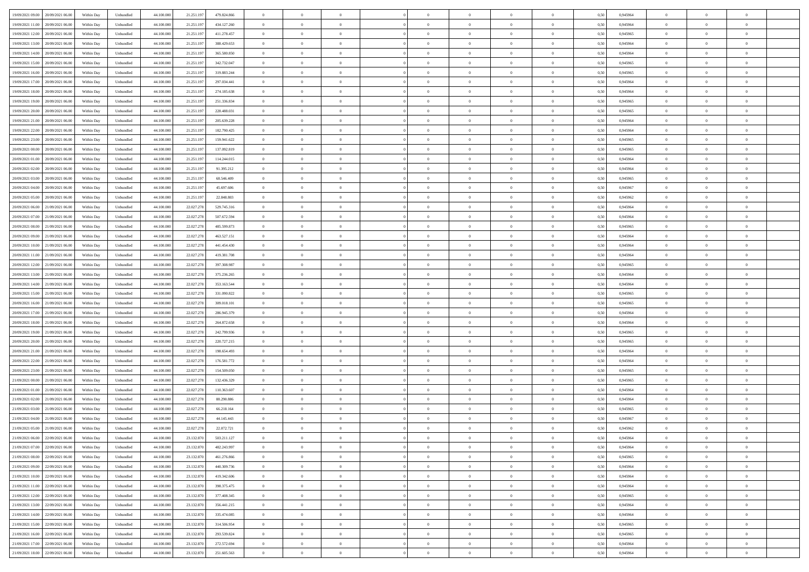| 19/09/2021 09:00 20/09/2021 06:00            | Within Day | Unbundled                   | 44.100.000 | 21.251.197 | 479.824.866 | $\overline{0}$ | $\theta$       |                | $\overline{0}$ | $\theta$       |                | $\theta$       | 0,50 | 0,945964 | $\theta$       | $\theta$       | $\overline{0}$ |  |
|----------------------------------------------|------------|-----------------------------|------------|------------|-------------|----------------|----------------|----------------|----------------|----------------|----------------|----------------|------|----------|----------------|----------------|----------------|--|
| 19/09/2021 11:00<br>20/09/2021 06:00         | Within Day | Unbundled                   | 44.100.00  | 21.251.19  | 434.127.260 | $\bf{0}$       | $\overline{0}$ | $\bf{0}$       | $\overline{0}$ | $\bf{0}$       | $\overline{0}$ | $\bf{0}$       | 0,50 | 0,945964 | $\,$ 0 $\,$    | $\bf{0}$       | $\overline{0}$ |  |
| 19/09/2021 12:00<br>20/09/2021 06:00         | Within Day | Unbundled                   | 44,100,000 | 21.251.197 | 411.278.457 | $\overline{0}$ | $\bf{0}$       | $\overline{0}$ | $\bf{0}$       | $\bf{0}$       | $\overline{0}$ | $\bf{0}$       | 0.50 | 0.945965 | $\bf{0}$       | $\overline{0}$ | $\overline{0}$ |  |
| 19/09/2021 13:00<br>20/09/2021 06:00         |            |                             |            |            |             | $\overline{0}$ | $\overline{0}$ | $\overline{0}$ | $\theta$       | $\theta$       | $\overline{0}$ | $\bf{0}$       |      |          | $\theta$       | $\theta$       | $\overline{0}$ |  |
|                                              | Within Day | Unbundled                   | 44.100.000 | 21.251.197 | 388.429.653 |                |                |                |                |                |                |                | 0,50 | 0,945964 |                |                |                |  |
| 19/09/2021 14:00<br>20/09/2021 06:00         | Within Day | Unbundled                   | 44.100.00  | 21.251.19  | 365.580.850 | $\overline{0}$ | $\overline{0}$ | $\overline{0}$ | $\overline{0}$ | $\theta$       | $\overline{0}$ | $\bf{0}$       | 0,50 | 0,945964 | $\,$ 0 $\,$    | $\bf{0}$       | $\overline{0}$ |  |
| 19/09/2021 15:00<br>20/09/2021 06:00         | Within Day | Unbundled                   | 44,100,000 | 21.251.19  | 342.732.047 | $\overline{0}$ | $\overline{0}$ | $\overline{0}$ | $\overline{0}$ | $\overline{0}$ | $\Omega$       | $\bf{0}$       | 0.50 | 0.945965 | $\bf{0}$       | $\theta$       | $\overline{0}$ |  |
| 19/09/2021 16:00<br>20/09/2021 06:00         | Within Day | Unbundled                   | 44.100.000 | 21.251.197 | 319.883.244 | $\overline{0}$ | $\overline{0}$ | $\overline{0}$ | $\overline{0}$ | $\overline{0}$ | $\overline{0}$ | $\bf{0}$       | 0,50 | 0,945965 | $\theta$       | $\theta$       | $\overline{0}$ |  |
|                                              |            |                             |            |            |             |                |                |                |                |                |                |                |      |          |                |                |                |  |
| 19/09/2021 17:00<br>20/09/2021 06:00         | Within Day | Unbundled                   | 44.100.00  | 21.251.19  | 297.034.441 | $\bf{0}$       | $\overline{0}$ | $\overline{0}$ | $\overline{0}$ | $\theta$       | $\overline{0}$ | $\bf{0}$       | 0,50 | 0,945964 | $\,$ 0 $\,$    | $\bf{0}$       | $\overline{0}$ |  |
| 19/09/2021 18:00<br>20/09/2021 06:00         | Within Day | Unbundled                   | 44,100,00  | 21.251.19  | 274.185.638 | $\overline{0}$ | $\bf{0}$       | $\overline{0}$ | $\bf{0}$       | $\overline{0}$ | $\overline{0}$ | $\bf{0}$       | 0.50 | 0.945964 | $\bf{0}$       | $\overline{0}$ | $\overline{0}$ |  |
| 19/09/2021 19:00<br>20/09/2021 06:00         | Within Day | Unbundled                   | 44.100.000 | 21.251.197 | 251.336.834 | $\overline{0}$ | $\bf{0}$       | $\overline{0}$ | $\overline{0}$ | $\overline{0}$ | $\overline{0}$ | $\bf{0}$       | 0,50 | 0,945965 | $\,$ 0 $\,$    | $\theta$       | $\overline{0}$ |  |
| 19/09/2021 20:00<br>20/09/2021 06:00         | Within Day | Unbundled                   | 44.100.00  | 21.251.197 | 228.488.031 | $\bf{0}$       | $\overline{0}$ | $\bf{0}$       | $\overline{0}$ | $\bf{0}$       | $\overline{0}$ | $\bf{0}$       | 0,50 | 0,945965 | $\,$ 0 $\,$    | $\bf{0}$       | $\overline{0}$ |  |
|                                              |            |                             |            |            |             |                |                |                |                |                |                |                |      |          |                |                |                |  |
| 19/09/2021 21:00<br>20/09/2021 06:00         | Within Day | Unbundled                   | 44,100,000 | 21.251.197 | 205.639.228 | $\overline{0}$ | $\overline{0}$ | $\overline{0}$ | $\bf{0}$       | $\bf{0}$       | $\overline{0}$ | $\bf{0}$       | 0.50 | 0.945964 | $\bf{0}$       | $\overline{0}$ | $\bf{0}$       |  |
| 19/09/2021 22:00<br>20/09/2021 06:00         | Within Day | Unbundled                   | 44.100.000 | 21.251.197 | 182.790.425 | $\overline{0}$ | $\overline{0}$ | $\overline{0}$ | $\overline{0}$ | $\theta$       | $\overline{0}$ | $\overline{0}$ | 0,50 | 0,945964 | $\theta$       | $\theta$       | $\overline{0}$ |  |
| 19/09/2021 23:00<br>20/09/2021 06:00         | Within Day | Unbundled                   | 44.100.00  | 21.251.19  | 159.941.622 | $\bf{0}$       | $\overline{0}$ | $\bf{0}$       | $\overline{0}$ | $\theta$       | $\overline{0}$ | $\bf{0}$       | 0,50 | 0,945965 | $\bf{0}$       | $\bf{0}$       | $\overline{0}$ |  |
|                                              |            |                             |            |            |             |                |                |                |                |                |                |                |      |          |                |                |                |  |
| 20/09/2021 00:00<br>20/09/2021 06:00         | Within Day | Unbundled                   | 44,100,00  | 21.251.19  | 137.092.819 | $\overline{0}$ | $\overline{0}$ | $\overline{0}$ | $\bf{0}$       | $\theta$       | $\Omega$       | $\bf{0}$       | 0.50 | 0.945965 | $\theta$       | $\theta$       | $\overline{0}$ |  |
| 20/09/2021 01:00<br>20/09/2021 06:00         | Within Day | Unbundled                   | 44.100.000 | 21.251.197 | 114.244.015 | $\overline{0}$ | $\overline{0}$ | $\overline{0}$ | $\overline{0}$ | $\overline{0}$ | $\overline{0}$ | $\bf{0}$       | 0,50 | 0,945964 | $\theta$       | $\theta$       | $\overline{0}$ |  |
| 20/09/2021 02:00<br>20/09/2021 06:00         | Within Day | Unbundled                   | 44.100.00  | 21.251.197 | 91.395.212  | $\bf{0}$       | $\overline{0}$ | $\overline{0}$ | $\overline{0}$ | $\theta$       | $\overline{0}$ | $\bf{0}$       | 0,50 | 0,945964 | $\,$ 0 $\,$    | $\bf{0}$       | $\overline{0}$ |  |
| 20/09/2021 03:00<br>20/09/2021 06:00         | Within Day | Unbundled                   | 44,100,00  | 21.251.19  | 68,546,409  | $\overline{0}$ | $\bf{0}$       | $\overline{0}$ | $\bf{0}$       | $\overline{0}$ | $\overline{0}$ | $\bf{0}$       | 0.50 | 0.945965 | $\bf{0}$       | $\overline{0}$ | $\overline{0}$ |  |
|                                              |            |                             |            |            |             |                |                |                |                |                |                |                |      |          |                |                |                |  |
| 20/09/2021 04:00<br>20/09/2021 06:00         | Within Day | Unbundled                   | 44.100.000 | 21.251.197 | 45.697.606  | $\overline{0}$ | $\overline{0}$ | $\overline{0}$ | $\overline{0}$ | $\overline{0}$ | $\overline{0}$ | $\bf{0}$       | 0,50 | 0,945967 | $\,$ 0 $\,$    | $\theta$       | $\overline{0}$ |  |
| 20/09/2021 05:00<br>20/09/2021 06:00         | Within Day | Unbundled                   | 44.100.00  | 21.251.197 | 22.848.803  | $\bf{0}$       | $\bf{0}$       | $\bf{0}$       | $\bf{0}$       | $\overline{0}$ | $\overline{0}$ | $\bf{0}$       | 0,50 | 0,945962 | $\,$ 0 $\,$    | $\bf{0}$       | $\overline{0}$ |  |
| 20/09/2021 06:00<br>21/09/2021 06:00         | Within Day | Unbundled                   | 44,100,000 | 22.027.278 | 529.745.316 | $\overline{0}$ | $\bf{0}$       | $\overline{0}$ | $\bf{0}$       | $\bf{0}$       | $\overline{0}$ | $\bf{0}$       | 0.50 | 0.945964 | $\bf{0}$       | $\overline{0}$ | $\overline{0}$ |  |
| 20/09/2021 07:00<br>21/09/2021 06:00         | Within Day | Unbundled                   | 44.100.000 | 22.027.278 | 507.672.594 | $\overline{0}$ | $\overline{0}$ | $\overline{0}$ | $\theta$       | $\theta$       | $\overline{0}$ | $\bf{0}$       | 0,50 | 0,945964 | $\theta$       | $\theta$       | $\overline{0}$ |  |
|                                              |            |                             |            |            |             |                | $\overline{0}$ |                |                |                |                |                |      |          |                |                | $\overline{0}$ |  |
| 20/09/2021 08:00<br>21/09/2021 06.00         | Within Day | Unbundled                   | 44.100.00  | 22.027.278 | 485.599.873 | $\bf{0}$       |                | $\bf{0}$       | $\bf{0}$       | $\bf{0}$       | $\overline{0}$ | $\bf{0}$       | 0,50 | 0,945965 | $\,$ 0 $\,$    | $\bf{0}$       |                |  |
| 20/09/2021 09:00<br>21/09/2021 06:00         | Within Day | Unbundled                   | 44,100,00  | 22.027.278 | 463.527.151 | $\overline{0}$ | $\overline{0}$ | $\overline{0}$ | $\overline{0}$ | $\overline{0}$ | $\Omega$       | $\bf{0}$       | 0.50 | 0.945964 | $\bf{0}$       | $\theta$       | $\overline{0}$ |  |
| 20/09/2021 10:00<br>21/09/2021 06:00         | Within Day | Unbundled                   | 44.100.000 | 22.027.278 | 441.454.430 | $\overline{0}$ | $\overline{0}$ | $\overline{0}$ | $\overline{0}$ | $\overline{0}$ | $\overline{0}$ | $\bf{0}$       | 0,50 | 0,945964 | $\theta$       | $\theta$       | $\overline{0}$ |  |
| 20/09/2021 11:00<br>21/09/2021 06.00         | Within Day | Unbundled                   | 44.100.00  | 22.027.278 | 419.381.708 | $\bf{0}$       | $\overline{0}$ | $\bf{0}$       | $\overline{0}$ | $\theta$       | $\overline{0}$ | $\bf{0}$       | 0,50 | 0,945964 | $\,$ 0 $\,$    | $\bf{0}$       | $\overline{0}$ |  |
| 21/09/2021 06:00                             |            | Unbundled                   | 44,100,00  | 22.027.278 | 397.308.987 | $\overline{0}$ | $\bf{0}$       | $\overline{0}$ |                | $\overline{0}$ | $\overline{0}$ |                | 0.50 | 0.945965 | $\bf{0}$       | $\overline{0}$ | $\overline{0}$ |  |
| 20/09/2021 12:00                             | Within Day |                             |            |            |             |                |                |                | $\bf{0}$       |                |                | $\bf{0}$       |      |          |                |                |                |  |
| 20/09/2021 13:00<br>21/09/2021 06:00         | Within Day | Unbundled                   | 44.100.000 | 22.027.278 | 375.236.265 | $\overline{0}$ | $\overline{0}$ | $\overline{0}$ | $\overline{0}$ | $\overline{0}$ | $\overline{0}$ | $\bf{0}$       | 0,50 | 0,945964 | $\theta$       | $\theta$       | $\overline{0}$ |  |
| 20/09/2021 14:00<br>21/09/2021 06.00         | Within Day | Unbundled                   | 44.100.00  | 22.027.278 | 353.163.544 | $\bf{0}$       | $\bf{0}$       | $\bf{0}$       | $\bf{0}$       | $\overline{0}$ | $\overline{0}$ | $\bf{0}$       | 0,50 | 0,945964 | $\,$ 0 $\,$    | $\bf{0}$       | $\overline{0}$ |  |
| 20/09/2021 15:00<br>21/09/2021 06:00         | Within Day | Unbundled                   | 44,100,000 | 22.027.278 | 331.090.822 | $\overline{0}$ | $\bf{0}$       | $\overline{0}$ | $\bf{0}$       | $\bf{0}$       | $\overline{0}$ | $\bf{0}$       | 0.50 | 0.945965 | $\bf{0}$       | $\overline{0}$ | $\overline{0}$ |  |
| 20/09/2021 16:00<br>21/09/2021 06:00         | Within Day | Unbundled                   | 44.100.000 | 22.027.278 | 309.018.101 | $\overline{0}$ | $\overline{0}$ | $\overline{0}$ | $\overline{0}$ | $\overline{0}$ | $\overline{0}$ | $\bf{0}$       | 0.5( | 0.945965 | $\theta$       | $\theta$       | $\overline{0}$ |  |
|                                              |            |                             |            |            |             |                |                |                |                |                |                |                |      |          |                |                |                |  |
| 20/09/2021 17:00<br>21/09/2021 06.00         | Within Day | Unbundled                   | 44.100.00  | 22.027.278 | 286.945.379 | $\bf{0}$       | $\overline{0}$ | $\bf{0}$       | $\overline{0}$ | $\overline{0}$ | $\overline{0}$ | $\bf{0}$       | 0,50 | 0,945964 | $\,$ 0 $\,$    | $\bf{0}$       | $\overline{0}$ |  |
| 20/09/2021 18:00<br>21/09/2021 06:00         | Within Day | Unbundled                   | 44,100,000 | 22.027.278 | 264.872.658 | $\overline{0}$ | $\overline{0}$ | $\overline{0}$ | $\bf{0}$       | $\bf{0}$       | $\Omega$       | $\bf{0}$       | 0.50 | 0.945964 | $\,$ 0 $\,$    | $\theta$       | $\overline{0}$ |  |
| 20/09/2021 19:00<br>21/09/2021 06:00         | Within Dav | Unbundled                   | 44.100.000 | 22.027.278 | 242.799.936 | $\overline{0}$ | $\overline{0}$ | $\overline{0}$ | $\overline{0}$ | $\overline{0}$ | $\overline{0}$ | $\overline{0}$ | 0.50 | 0,945965 | $\theta$       | $\theta$       | $\overline{0}$ |  |
| 20/09/2021 20:00<br>21/09/2021 06.00         | Within Day | Unbundled                   | 44.100.00  | 22.027.278 | 220.727.215 | $\bf{0}$       | $\overline{0}$ | $\bf{0}$       | $\bf{0}$       | $\bf{0}$       | $\overline{0}$ | $\bf{0}$       | 0,50 | 0,945965 | $\,$ 0 $\,$    | $\bf{0}$       | $\overline{0}$ |  |
|                                              |            |                             |            |            |             |                |                |                |                |                |                |                |      |          |                |                |                |  |
| 20/09/2021 21:00<br>21/09/2021 06:00         | Within Day | Unbundled                   | 44,100,00  | 22.027.278 | 198.654.493 | $\overline{0}$ | $\bf{0}$       | $\overline{0}$ | $\bf{0}$       | $\overline{0}$ | $\overline{0}$ | $\bf{0}$       | 0.50 | 0.945964 | $\bf{0}$       | $\overline{0}$ | $\overline{0}$ |  |
| 20/09/2021 22:00<br>21/09/2021 06:00         | Within Dav | Unbundled                   | 44.100.000 | 22.027.278 | 176.581.772 | $\overline{0}$ | $\overline{0}$ | $\overline{0}$ | $\overline{0}$ | $\overline{0}$ | $\overline{0}$ | $\overline{0}$ | 0.50 | 0,945964 | $\theta$       | $\theta$       | $\overline{0}$ |  |
| 20/09/2021 23:00<br>21/09/2021 06.00         | Within Day | Unbundled                   | 44.100.00  | 22.027.278 | 154.509.050 | $\bf{0}$       | $\bf{0}$       | $\bf{0}$       | $\bf{0}$       | $\overline{0}$ | $\overline{0}$ | $\bf{0}$       | 0,50 | 0,945965 | $\,$ 0 $\,$    | $\bf{0}$       | $\overline{0}$ |  |
| 21/09/2021 00:00<br>21/09/2021 06:00         | Within Day | Unbundled                   | 44,100,000 | 22.027.278 | 132.436.329 | $\overline{0}$ | $\bf{0}$       | $\overline{0}$ | $\bf{0}$       | $\bf{0}$       | $\overline{0}$ | $\bf{0}$       | 0.50 | 0.945965 | $\bf{0}$       | $\overline{0}$ | $\overline{0}$ |  |
| 21/09/2021 01:00                             |            |                             |            |            |             |                | $\overline{0}$ | $\Omega$       |                | $\overline{0}$ |                |                |      |          | $\theta$       | $\theta$       | $\overline{0}$ |  |
| 21/09/2021 06:00                             | Within Dav | Unbundled                   | 44.100.000 | 22.027.278 | 110.363.607 | $\overline{0}$ |                |                | $\overline{0}$ |                | $\overline{0}$ | $\overline{0}$ | 0.50 | 0.945964 |                |                |                |  |
| 21/09/2021 02:00<br>21/09/2021 06.00         | Within Day | Unbundled                   | 44.100.00  | 22.027.278 | 88.290.886  | $\bf{0}$       | $\overline{0}$ | $\bf{0}$       | $\bf{0}$       | $\,$ 0 $\,$    | $\overline{0}$ | $\bf{0}$       | 0,50 | 0,945964 | $\,$ 0 $\,$    | $\bf{0}$       | $\overline{0}$ |  |
| 21/09/2021 03:00<br>21/09/2021 06:00         | Within Day | Unbundled                   | 44,100,00  | 22.027.278 | 66.218.164  | $\overline{0}$ | $\overline{0}$ | $\Omega$       | $\overline{0}$ | $\overline{0}$ | $\theta$       | $\bf{0}$       | 0.50 | 0.945965 | $\bf{0}$       | $\theta$       | $\overline{0}$ |  |
| 21/09/2021 04:00<br>21/09/2021 06:00         | Within Dav | Unbundled                   | 44.100.000 | 22.027.278 | 44.145.443  | $\overline{0}$ | $\overline{0}$ | $\Omega$       | $\overline{0}$ | $\theta$       | $\Omega$       | $\overline{0}$ | 0.5( | 0,945967 | $\theta$       | $\theta$       | $\overline{0}$ |  |
| 21/09/2021 05:00<br>21/09/2021 06:00         | Within Day | Unbundled                   | 44.100.000 | 22.027.278 | 22.072.721  | $\bf{0}$       | $\bf{0}$       | $\overline{0}$ | $\bf{0}$       | $\bf{0}$       | $\overline{0}$ | $\bf{0}$       | 0,50 | 0,945962 | $\,$ 0 $\,$    | $\bf{0}$       | $\overline{0}$ |  |
|                                              |            |                             |            |            |             |                |                |                |                |                |                |                |      |          |                |                |                |  |
| $21/09/2021\ 06.00 \qquad 22/09/2021\ 06.00$ | Within Day | $\ensuremath{\mathsf{Unb}}$ | 44.100.000 | 23.132.870 | 503.211.127 | $\overline{0}$ | $\Omega$       |                | $\overline{0}$ |                |                |                | 0,50 | 0.945964 | $\theta$       | $\overline{0}$ |                |  |
| 21/09/2021 07:00 22/09/2021 06:00            | Within Day | Unbundled                   | 44.100.000 | 23.132.870 | 482.243.997 | $\overline{0}$ | $\theta$       | $\Omega$       | $\theta$       | $\theta$       | $\overline{0}$ | $\bf{0}$       | 0,50 | 0,945964 | $\theta$       | $\theta$       | $\overline{0}$ |  |
| 21/09/2021 08:00<br>22/09/2021 06:00         | Within Day | Unbundled                   | 44.100.00  | 23.132.870 | 461.276.866 | $\overline{0}$ | $\bf{0}$       | $\overline{0}$ | $\overline{0}$ | $\bf{0}$       | $\overline{0}$ | $\bf{0}$       | 0,50 | 0,945965 | $\bf{0}$       | $\overline{0}$ | $\bf{0}$       |  |
| 21/09/2021 09:00 22/09/2021 06:00            | Within Day | Unbundled                   | 44,100,000 | 23.132.870 | 440.309.736 | $\overline{0}$ | $\bf{0}$       | $\overline{0}$ | $\overline{0}$ | $\overline{0}$ | $\overline{0}$ | $\bf{0}$       | 0.50 | 0.945964 | $\overline{0}$ | $\bf{0}$       | $\,$ 0 $\,$    |  |
|                                              |            |                             |            |            |             |                |                |                |                |                |                |                |      |          |                |                |                |  |
| 21/09/2021 10:00 22/09/2021 06:00            | Within Dav | Unbundled                   | 44.100.000 | 23.132.870 | 419.342.606 | $\overline{0}$ | $\overline{0}$ | $\overline{0}$ | $\overline{0}$ | $\overline{0}$ | $\overline{0}$ | $\bf{0}$       | 0,50 | 0,945964 | $\theta$       | $\theta$       | $\overline{0}$ |  |
| 21/09/2021 11:00<br>22/09/2021 06:00         | Within Day | Unbundled                   | 44.100.000 | 23.132.870 | 398.375.475 | $\overline{0}$ | $\bf{0}$       | $\overline{0}$ | $\bf{0}$       | $\overline{0}$ | $\bf{0}$       | $\bf{0}$       | 0,50 | 0,945964 | $\overline{0}$ | $\bf{0}$       | $\overline{0}$ |  |
| 21/09/2021 12:00<br>22/09/2021 06:00         | Within Day | Unbundled                   | 44,100,000 | 23.132.870 | 377.408.345 | $\overline{0}$ | $\bf{0}$       | $\overline{0}$ | $\overline{0}$ | $\overline{0}$ | $\overline{0}$ | $\bf{0}$       | 0.50 | 0.945965 | $\,$ 0 $\,$    | $\theta$       | $\overline{0}$ |  |
| 21/09/2021 13:00<br>22/09/2021 06:00         | Within Dav | Unbundled                   | 44.100.000 | 23.132.870 | 356.441.215 | $\overline{0}$ | $\overline{0}$ | $\overline{0}$ | $\overline{0}$ | $\overline{0}$ | $\overline{0}$ | $\bf{0}$       | 0.50 | 0,945964 | $\overline{0}$ | $\theta$       | $\overline{0}$ |  |
|                                              |            |                             |            |            |             |                |                |                |                |                |                |                |      |          |                |                |                |  |
| 21/09/2021 14:00<br>22/09/2021 06:00         | Within Day | Unbundled                   | 44.100.00  | 23.132.870 | 335.474.085 | $\overline{0}$ | $\overline{0}$ | $\overline{0}$ | $\overline{0}$ | $\bf{0}$       | $\overline{0}$ | $\bf{0}$       | 0,50 | 0,945964 | $\bf{0}$       | $\bf{0}$       | $\overline{0}$ |  |
| 21/09/2021 15:00 22/09/2021 06:00            | Within Day | Unbundled                   | 44,100,000 | 23.132.870 | 314.506.954 | $\overline{0}$ | $\overline{0}$ | $\overline{0}$ | $\overline{0}$ | $\bf{0}$       | $\overline{0}$ | $\bf{0}$       | 0.50 | 0.945965 | $\overline{0}$ | $\,$ 0 $\,$    | $\,$ 0         |  |
| 21/09/2021 16:00 22/09/2021 06:00            | Within Dav | Unbundled                   | 44.100.000 | 23.132.870 | 293.539.824 | $\overline{0}$ | $\overline{0}$ | $\overline{0}$ | $\overline{0}$ | $\overline{0}$ | $\overline{0}$ | $\bf{0}$       | 0,50 | 0,945965 | $\theta$       | $\theta$       | $\overline{0}$ |  |
| 21/09/2021 17:00<br>22/09/2021 06:00         | Within Day | Unbundled                   | 44.100.00  | 23.132.870 | 272.572.694 | $\overline{0}$ | $\bf{0}$       | $\overline{0}$ | $\bf{0}$       | $\overline{0}$ | $\bf{0}$       | $\bf{0}$       | 0,50 | 0,945964 | $\bf{0}$       | $\bf{0}$       | $\overline{0}$ |  |
|                                              |            |                             |            |            |             |                |                |                |                |                |                |                |      |          |                |                |                |  |
| 21/09/2021 18:00 22/09/2021 06:00            | Within Day | Unbundled                   | 44.100.000 | 23.132.870 | 251.605.563 | $\overline{0}$ | $\bf{0}$       | $\overline{0}$ | $\overline{0}$ | $\,$ 0 $\,$    | $\overline{0}$ | $\bf{0}$       | 0,50 | 0,945964 | $\overline{0}$ | $\,$ 0 $\,$    | $\,$ 0 $\,$    |  |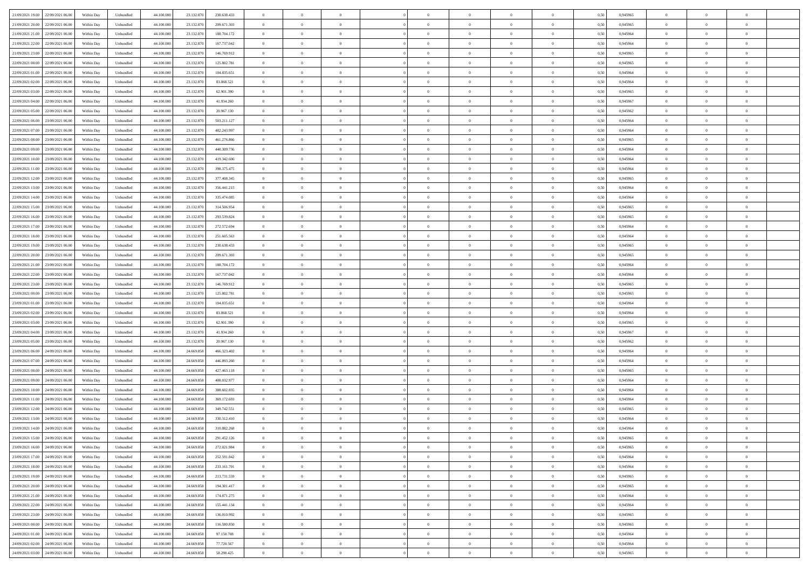|                                              |            |                   |            |            |             | $\overline{0}$ | $\theta$       |                | $\overline{0}$ | $\theta$       |                | $\theta$       |      |          | $\theta$       | $\theta$       | $\overline{0}$ |  |
|----------------------------------------------|------------|-------------------|------------|------------|-------------|----------------|----------------|----------------|----------------|----------------|----------------|----------------|------|----------|----------------|----------------|----------------|--|
| 21/09/2021 19:00 22/09/2021 06:00            | Within Day | Unbundled         | 44.100.000 | 23.132.870 | 230.638.433 |                |                |                |                |                |                |                | 0,50 | 0,945965 |                |                |                |  |
| 21/09/2021 20:00<br>22/09/2021 06.00         | Within Day | Unbundled         | 44.100.00  | 23.132.87  | 209.671.303 | $\bf{0}$       | $\overline{0}$ | $\bf{0}$       | $\overline{0}$ | $\bf{0}$       | $\overline{0}$ | $\bf{0}$       | 0,50 | 0,945965 | $\,$ 0 $\,$    | $\bf{0}$       | $\overline{0}$ |  |
| 21/09/2021 21:00<br>22/09/2021 06:00         | Within Day | Unbundled         | 44,100,000 | 23.132.870 | 188.704.172 | $\overline{0}$ | $\bf{0}$       | $\overline{0}$ | $\bf{0}$       | $\bf{0}$       | $\overline{0}$ | $\bf{0}$       | 0.50 | 0.945964 | $\bf{0}$       | $\overline{0}$ | $\overline{0}$ |  |
| 21/09/2021 22:00<br>22/09/2021 06:00         | Within Day | Unbundled         | 44.100.000 | 23.132.870 | 167.737.042 | $\overline{0}$ | $\overline{0}$ | $\overline{0}$ | $\theta$       | $\theta$       | $\overline{0}$ | $\bf{0}$       | 0,50 | 0,945964 | $\theta$       | $\theta$       | $\overline{0}$ |  |
| 21/09/2021 23:00<br>22/09/2021 06.00         | Within Day | Unbundled         | 44.100.00  | 23.132.87  | 146.769.912 | $\bf{0}$       | $\overline{0}$ | $\bf{0}$       | $\overline{0}$ | $\theta$       | $\overline{0}$ | $\bf{0}$       | 0,50 | 0,945965 | $\,$ 0 $\,$    | $\bf{0}$       | $\overline{0}$ |  |
|                                              |            |                   |            |            |             |                |                |                |                |                |                |                |      |          |                |                |                |  |
| 22/09/2021 00:00<br>22/09/2021 06:00         | Within Day | Unbundled         | 44,100,00  | 23.132.87  | 125.802.781 | $\overline{0}$ | $\overline{0}$ | $\overline{0}$ | $\bf{0}$       | $\overline{0}$ | $\theta$       | $\bf{0}$       | 0.50 | 0.945965 | $\bf{0}$       | $\theta$       | $\overline{0}$ |  |
| 22/09/2021 01:00<br>22/09/2021 06:00         | Within Day | Unbundled         | 44.100.000 | 23.132.870 | 104.835.651 | $\overline{0}$ | $\overline{0}$ | $\overline{0}$ | $\overline{0}$ | $\overline{0}$ | $\overline{0}$ | $\bf{0}$       | 0,50 | 0,945964 | $\theta$       | $\theta$       | $\overline{0}$ |  |
| 22/09/2021 02:00<br>22/09/2021 06.00         | Within Day | Unbundled         | 44.100.00  | 23.132.87  | 83.868.521  | $\bf{0}$       | $\overline{0}$ | $\overline{0}$ | $\overline{0}$ | $\theta$       | $\overline{0}$ | $\bf{0}$       | 0,50 | 0,945964 | $\,$ 0 $\,$    | $\bf{0}$       | $\overline{0}$ |  |
| 22/09/2021 03:00<br>22/09/2021 06:00         | Within Day | Unbundled         | 44,100,00  | 23.132.87  | 62.901.390  | $\overline{0}$ | $\bf{0}$       | $\overline{0}$ | $\bf{0}$       | $\overline{0}$ | $\overline{0}$ | $\bf{0}$       | 0.50 | 0.945965 | $\bf{0}$       | $\overline{0}$ | $\overline{0}$ |  |
| 22/09/2021 04:00<br>22/09/2021 06:00         | Within Day | Unbundled         | 44.100.000 | 23.132.870 | 41.934.260  | $\bf{0}$       | $\bf{0}$       | $\overline{0}$ | $\overline{0}$ | $\overline{0}$ | $\overline{0}$ | $\bf{0}$       | 0,50 | 0,945967 | $\,$ 0 $\,$    | $\bf{0}$       | $\overline{0}$ |  |
| 22/09/2021 05:00<br>22/09/2021 06.00         | Within Day | Unbundled         | 44.100.00  | 23.132.870 | 20.967.130  | $\bf{0}$       | $\overline{0}$ | $\bf{0}$       | $\bf{0}$       | $\bf{0}$       | $\overline{0}$ | $\bf{0}$       | 0,50 | 0,945962 | $\,$ 0 $\,$    | $\bf{0}$       | $\overline{0}$ |  |
| 22/09/2021 06:00<br>23/09/2021 06:00         | Within Day | Unbundled         | 44,100,000 | 23.132.870 | 503.211.127 | $\overline{0}$ | $\bf{0}$       | $\overline{0}$ | $\bf{0}$       | $\bf{0}$       | $\overline{0}$ | $\bf{0}$       | 0.50 | 0.945964 | $\bf{0}$       | $\overline{0}$ | $\bf{0}$       |  |
|                                              |            |                   |            |            |             | $\overline{0}$ | $\overline{0}$ | $\overline{0}$ | $\overline{0}$ | $\theta$       | $\overline{0}$ | $\overline{0}$ |      |          | $\,$ 0 $\,$    | $\theta$       | $\overline{0}$ |  |
| 22/09/2021 07:00<br>23/09/2021 06:00         | Within Day | Unbundled         | 44.100.000 | 23.132.870 | 482.243.997 |                |                |                |                |                |                |                | 0,50 | 0,945964 |                |                |                |  |
| 22/09/2021 08:00<br>23/09/2021 06.00         | Within Day | Unbundled         | 44.100.00  | 23.132.87  | 461.276.866 | $\bf{0}$       | $\overline{0}$ | $\bf{0}$       | $\overline{0}$ | $\theta$       | $\overline{0}$ | $\bf{0}$       | 0,50 | 0,945965 | $\bf{0}$       | $\bf{0}$       | $\overline{0}$ |  |
| 22/09/2021 09:00<br>23/09/2021 06:00         | Within Day | Unbundled         | 44,100,00  | 23.132.87  | 440.309.736 | $\overline{0}$ | $\overline{0}$ | $\overline{0}$ | $\bf{0}$       | $\overline{0}$ | $\Omega$       | $\bf{0}$       | 0.50 | 0.945964 | $\,$ 0 $\,$    | $\theta$       | $\overline{0}$ |  |
| 22/09/2021 10:00<br>23/09/2021 06:00         | Within Day | Unbundled         | 44.100.000 | 23.132.870 | 419.342.606 | $\overline{0}$ | $\overline{0}$ | $\overline{0}$ | $\overline{0}$ | $\overline{0}$ | $\overline{0}$ | $\bf{0}$       | 0,50 | 0,945964 | $\theta$       | $\theta$       | $\overline{0}$ |  |
| 22/09/2021 11:00<br>23/09/2021 06.00         | Within Day | Unbundled         | 44.100.00  | 23.132.87  | 398.375.475 | $\bf{0}$       | $\overline{0}$ | $\overline{0}$ | $\overline{0}$ | $\bf{0}$       | $\overline{0}$ | $\bf{0}$       | 0,50 | 0,945964 | $\,$ 0 $\,$    | $\bf{0}$       | $\overline{0}$ |  |
| 22/09/2021 12:00<br>23/09/2021 06:00         | Within Day | Unbundled         | 44,100,00  | 23.132.87  | 377,408,345 | $\overline{0}$ | $\bf{0}$       | $\overline{0}$ | $\bf{0}$       | $\overline{0}$ | $\overline{0}$ | $\bf{0}$       | 0.50 | 0.945965 | $\bf{0}$       | $\overline{0}$ | $\overline{0}$ |  |
| 22/09/2021 13:00<br>23/09/2021 06:00         | Within Day | Unbundled         | 44.100.000 | 23.132.870 | 356.441.215 | $\overline{0}$ | $\overline{0}$ | $\overline{0}$ | $\overline{0}$ | $\overline{0}$ | $\overline{0}$ | $\bf{0}$       | 0,50 | 0,945964 | $\,$ 0 $\,$    | $\theta$       | $\overline{0}$ |  |
| 22/09/2021 14:00<br>23/09/2021 06.00         | Within Day | Unbundled         | 44.100.00  | 23.132.870 | 335.474.085 | $\bf{0}$       | $\bf{0}$       | $\bf{0}$       | $\bf{0}$       | $\overline{0}$ | $\overline{0}$ | $\bf{0}$       | 0,50 | 0,945964 | $\,$ 0 $\,$    | $\bf{0}$       | $\overline{0}$ |  |
|                                              |            |                   |            |            |             |                |                |                |                |                |                |                |      |          |                |                |                |  |
| 22/09/2021 15:00<br>23/09/2021 06:00         | Within Day | Unbundled         | 44,100,000 | 23.132.870 | 314.506.954 | $\overline{0}$ | $\bf{0}$       | $\overline{0}$ | $\bf{0}$       | $\bf{0}$       | $\overline{0}$ | $\bf{0}$       | 0.50 | 0.945965 | $\bf{0}$       | $\overline{0}$ | $\overline{0}$ |  |
| 22/09/2021 16:00<br>23/09/2021 06:00         | Within Day | Unbundled         | 44.100.000 | 23.132.870 | 293.539.824 | $\overline{0}$ | $\overline{0}$ | $\overline{0}$ | $\theta$       | $\theta$       | $\overline{0}$ | $\bf{0}$       | 0,50 | 0,945965 | $\theta$       | $\theta$       | $\overline{0}$ |  |
| 22/09/2021 17:00<br>23/09/2021 06.00         | Within Day | Unbundled         | 44.100.00  | 23.132.87  | 272.572.694 | $\bf{0}$       | $\overline{0}$ | $\bf{0}$       | $\bf{0}$       | $\bf{0}$       | $\overline{0}$ | $\bf{0}$       | 0,50 | 0,945964 | $\,$ 0 $\,$    | $\bf{0}$       | $\overline{0}$ |  |
| 22/09/2021 18:00<br>23/09/2021 06:00         | Within Day | Unbundled         | 44,100,00  | 23.132.87  | 251.605.563 | $\overline{0}$ | $\overline{0}$ | $\overline{0}$ | $\overline{0}$ | $\overline{0}$ | $\Omega$       | $\bf{0}$       | 0.50 | 0.945964 | $\,$ 0 $\,$    | $\theta$       | $\overline{0}$ |  |
| 22/09/2021 19:00<br>23/09/2021 06:00         | Within Day | Unbundled         | 44.100.000 | 23.132.870 | 230.638.433 | $\overline{0}$ | $\overline{0}$ | $\overline{0}$ | $\overline{0}$ | $\overline{0}$ | $\overline{0}$ | $\bf{0}$       | 0,50 | 0,945965 | $\theta$       | $\theta$       | $\overline{0}$ |  |
| 22/09/2021 20:00<br>23/09/2021 06.00         | Within Day | Unbundled         | 44.100.00  | 23.132.87  | 209.671.303 | $\bf{0}$       | $\overline{0}$ | $\bf{0}$       | $\overline{0}$ | $\bf{0}$       | $\overline{0}$ | $\bf{0}$       | 0,50 | 0,945965 | $\,$ 0 $\,$    | $\bf{0}$       | $\overline{0}$ |  |
| 22/09/2021 21:00<br>23/09/2021 06:00         | Within Day | Unbundled         | 44,100,00  | 23.132.87  | 188.704.172 | $\overline{0}$ | $\bf{0}$       | $\overline{0}$ | $\bf{0}$       | $\overline{0}$ | $\overline{0}$ | $\bf{0}$       | 0.50 | 0.945964 | $\bf{0}$       | $\overline{0}$ | $\overline{0}$ |  |
| 22/09/2021 22:00<br>23/09/2021 06:00         | Within Day | Unbundled         | 44.100.000 | 23.132.870 | 167.737.042 | $\overline{0}$ | $\overline{0}$ | $\overline{0}$ | $\overline{0}$ | $\overline{0}$ | $\overline{0}$ | $\bf{0}$       | 0,50 | 0,945964 | $\theta$       | $\theta$       | $\overline{0}$ |  |
|                                              |            |                   |            |            |             |                |                |                |                |                |                |                |      |          |                |                |                |  |
| 22/09/2021 23:00<br>23/09/2021 06.00         | Within Day | Unbundled         | 44.100.00  | 23.132.870 | 146.769.912 | $\bf{0}$       | $\bf{0}$       | $\bf{0}$       | $\bf{0}$       | $\overline{0}$ | $\overline{0}$ | $\bf{0}$       | 0,50 | 0,945965 | $\,$ 0 $\,$    | $\bf{0}$       | $\overline{0}$ |  |
| 23/09/2021 00:00<br>23/09/2021 06:00         | Within Day | Unbundled         | 44,100,000 | 23.132.870 | 125.802.781 | $\overline{0}$ | $\bf{0}$       | $\overline{0}$ | $\bf{0}$       | $\bf{0}$       | $\overline{0}$ | $\bf{0}$       | 0.50 | 0.945965 | $\bf{0}$       | $\overline{0}$ | $\overline{0}$ |  |
| 23/09/2021 01:00<br>23/09/2021 06:00         | Within Day | Unbundled         | 44.100.000 | 23.132.870 | 104.835.651 | $\overline{0}$ | $\overline{0}$ | $\overline{0}$ | $\overline{0}$ | $\overline{0}$ | $\overline{0}$ | $\bf{0}$       | 0.5( | 0.945964 | $\theta$       | $\theta$       | $\overline{0}$ |  |
| 23/09/2021 02:00<br>23/09/2021 06.00         | Within Day | Unbundled         | 44.100.00  | 23.132.87  | 83.868.521  | $\bf{0}$       | $\overline{0}$ | $\bf{0}$       | $\bf{0}$       | $\,$ 0 $\,$    | $\overline{0}$ | $\bf{0}$       | 0,50 | 0,945964 | $\,$ 0 $\,$    | $\bf{0}$       | $\overline{0}$ |  |
| 23/09/2021 03:00<br>23/09/2021 06:00         | Within Day | Unbundled         | 44,100,00  | 23.132.870 | 62.901.390  | $\overline{0}$ | $\overline{0}$ | $\overline{0}$ | $\bf{0}$       | $\overline{0}$ | $\Omega$       | $\bf{0}$       | 0.50 | 0.945965 | $\,$ 0 $\,$    | $\theta$       | $\overline{0}$ |  |
| 23/09/2021 04:00<br>23/09/2021 06:00         | Within Dav | Unbundled         | 44.100.000 | 23.132.870 | 41.934.260  | $\overline{0}$ | $\overline{0}$ | $\overline{0}$ | $\overline{0}$ | $\overline{0}$ | $\overline{0}$ | $\overline{0}$ | 0.50 | 0,945967 | $\theta$       | $\theta$       | $\overline{0}$ |  |
| 23/09/2021 05:00<br>23/09/2021 06.00         | Within Day | Unbundled         | 44.100.00  | 23.132.87  | 20.967.130  | $\bf{0}$       | $\bf{0}$       | $\bf{0}$       | $\bf{0}$       | $\bf{0}$       | $\overline{0}$ | $\bf{0}$       | 0,50 | 0,945962 | $\,$ 0 $\,$    | $\bf{0}$       | $\overline{0}$ |  |
| 23/09/2021 06:00<br>24/09/2021 06:00         | Within Day | Unbundled         | 44,100,00  | 24,669,858 | 466.323.402 | $\overline{0}$ | $\bf{0}$       | $\overline{0}$ | $\bf{0}$       | $\overline{0}$ | $\overline{0}$ | $\bf{0}$       | 0.50 | 0.945964 | $\bf{0}$       | $\overline{0}$ | $\overline{0}$ |  |
| 23/09/2021 07:00<br>24/09/2021 06:00         | Within Dav | Unbundled         | 44.100.000 | 24,669,858 | 446.893.260 | $\overline{0}$ | $\overline{0}$ | $\overline{0}$ | $\overline{0}$ | $\overline{0}$ | $\overline{0}$ | $\overline{0}$ | 0.50 | 0,945964 | $\theta$       | $\theta$       | $\overline{0}$ |  |
|                                              |            |                   |            |            |             |                |                |                |                |                |                |                |      |          |                |                |                |  |
| 23/09/2021 08:00<br>24/09/2021 06.00         | Within Day | Unbundled         | 44.100.00  | 24.669.858 | 427.463.118 | $\bf{0}$       | $\bf{0}$       | $\bf{0}$       | $\bf{0}$       | $\overline{0}$ | $\overline{0}$ | $\bf{0}$       | 0,50 | 0,945965 | $\,$ 0 $\,$    | $\bf{0}$       | $\overline{0}$ |  |
| 23/09/2021 09:00<br>24/09/2021 06:00         | Within Day | Unbundled         | 44,100,000 | 24.669.858 | 408.032.977 | $\overline{0}$ | $\bf{0}$       | $\overline{0}$ | $\bf{0}$       | $\bf{0}$       | $\overline{0}$ | $\bf{0}$       | 0.50 | 0.945964 | $\bf{0}$       | $\overline{0}$ | $\overline{0}$ |  |
| 23/09/2021 10:00<br>24/09/2021 06:00         | Within Day | Unbundled         | 44.100.000 | 24.669.858 | 388.602.835 | $\overline{0}$ | $\overline{0}$ | $\overline{0}$ | $\overline{0}$ | $\overline{0}$ | $\overline{0}$ | $\bf{0}$       | 0.50 | 0.945964 | $\theta$       | $\theta$       | $\overline{0}$ |  |
| 23/09/2021 11:00<br>24/09/2021 06.00         | Within Day | Unbundled         | 44.100.00  | 24.669.858 | 369.172.693 | $\bf{0}$       | $\bf{0}$       | $\bf{0}$       | $\bf{0}$       | $\overline{0}$ | $\overline{0}$ | $\bf{0}$       | 0,50 | 0,945964 | $\,$ 0 $\,$    | $\bf{0}$       | $\overline{0}$ |  |
| 23/09/2021 12:00<br>24/09/2021 06:00         | Within Day | Unbundled         | 44,100,00  | 24.669.858 | 349.742.551 | $\overline{0}$ | $\overline{0}$ | $\overline{0}$ | $\overline{0}$ | $\overline{0}$ | $\Omega$       | $\bf{0}$       | 0.50 | 0.945965 | $\bf{0}$       | $\theta$       | $\overline{0}$ |  |
| 23/09/2021 13:00<br>24/09/2021 06:00         | Within Dav | Unbundled         | 44.100.000 | 24,669,858 | 330.312.410 | $\overline{0}$ | $\overline{0}$ | $\Omega$       | $\overline{0}$ | $\theta$       | $\Omega$       | $\overline{0}$ | 0.5( | 0,945964 | $\theta$       | $\theta$       | $\overline{0}$ |  |
| 23/09/2021 14:00<br>24/09/2021 06:00         | Within Day | Unbundled         | 44.100.000 | 24.669.858 | 310.882.268 | $\bf{0}$       | $\bf{0}$       | $\bf{0}$       | $\bf{0}$       | $\bf{0}$       | $\overline{0}$ | $\bf{0}$       | 0,50 | 0,945964 | $\,$ 0 $\,$    | $\bf{0}$       | $\overline{0}$ |  |
| $23/09/2021\ 15.00 \qquad 24/09/2021\ 06.00$ | Within Day | ${\sf Unbundred}$ | 44.100.000 | 24.669.858 | 291.452.126 | $\overline{0}$ | $\theta$       |                | $\overline{0}$ |                |                |                | 0,50 | 0.945965 | $\bf{0}$       | $\overline{0}$ |                |  |
|                                              |            |                   |            |            |             | $\overline{0}$ | $\theta$       | $\Omega$       |                | $\overline{0}$ |                |                |      |          | $\theta$       | $\theta$       | $\overline{0}$ |  |
| 23/09/2021 16:00 24/09/2021 06:00            | Within Day | Unbundled         | 44.100.000 | 24.669.858 | 272.021.984 |                |                |                | $\theta$       |                | $\overline{0}$ | $\bf{0}$       | 0,50 | 0,945965 |                |                |                |  |
| 23/09/2021 17:00<br>24/09/2021 06:00         | Within Day | Unbundled         | 44.100.00  | 24.669.858 | 252.591.842 | $\overline{0}$ | $\bf{0}$       | $\overline{0}$ | $\overline{0}$ | $\bf{0}$       | $\overline{0}$ | $\bf{0}$       | 0,50 | 0,945964 | $\bf{0}$       | $\overline{0}$ | $\bf{0}$       |  |
| 23/09/2021 18:00 24/09/2021 06:00            | Within Day | Unbundled         | 44,100,000 | 24.669.858 | 233.161.701 | $\overline{0}$ | $\bf{0}$       | $\overline{0}$ | $\overline{0}$ | $\overline{0}$ | $\overline{0}$ | $\,$ 0 $\,$    | 0.50 | 0.945964 | $\overline{0}$ | $\bf{0}$       | $\,$ 0 $\,$    |  |
| 23/09/2021 19:00 24/09/2021 06:00            | Within Day | Unbundled         | 44.100.000 | 24.669.858 | 213.731.559 | $\overline{0}$ | $\overline{0}$ | $\overline{0}$ | $\overline{0}$ | $\overline{0}$ | $\overline{0}$ | $\bf{0}$       | 0,50 | 0,945965 | $\theta$       | $\theta$       | $\overline{0}$ |  |
| 23/09/2021 20:00<br>24/09/2021 06:00         | Within Day | Unbundled         | 44.100.000 | 24.669.858 | 194.301.417 | $\overline{0}$ | $\bf{0}$       | $\overline{0}$ | $\bf{0}$       | $\overline{0}$ | $\bf{0}$       | $\bf{0}$       | 0,50 | 0,945965 | $\overline{0}$ | $\bf{0}$       | $\overline{0}$ |  |
| 24/09/2021 06:00<br>23/09/2021 21.00         | Within Day | Unbundled         | 44,100,000 | 24.669.858 | 174.871.275 | $\overline{0}$ | $\bf{0}$       | $\overline{0}$ | $\overline{0}$ | $\overline{0}$ | $\overline{0}$ | $\bf{0}$       | 0.50 | 0.945964 | $\,$ 0 $\,$    | $\theta$       | $\,$ 0         |  |
| 23/09/2021 22:00<br>24/09/2021 06:00         | Within Dav | Unbundled         | 44.100.000 | 24.669.858 | 155.441.134 | $\overline{0}$ | $\overline{0}$ | $\overline{0}$ | $\overline{0}$ | $\overline{0}$ | $\overline{0}$ | $\bf{0}$       | 0.50 | 0,945964 | $\overline{0}$ | $\theta$       | $\overline{0}$ |  |
| 23/09/2021 23:00<br>24/09/2021 06:00         | Within Day | Unbundled         | 44.100.00  | 24.669.858 | 136.010.992 | $\overline{0}$ | $\overline{0}$ | $\overline{0}$ | $\overline{0}$ | $\overline{0}$ | $\overline{0}$ | $\bf{0}$       | 0,50 | 0,945965 | $\bf{0}$       | $\overline{0}$ | $\overline{0}$ |  |
|                                              |            |                   |            |            |             |                |                |                |                |                |                |                |      |          |                |                |                |  |
| 24/09/2021 00:00 24/09/2021 06:00            | Within Day | Unbundled         | 44,100,000 | 24,669,858 | 116,580,850 | $\overline{0}$ | $\overline{0}$ | $\overline{0}$ | $\overline{0}$ | $\bf{0}$       | $\overline{0}$ | $\bf{0}$       | 0.50 | 0.945965 | $\overline{0}$ | $\,$ 0 $\,$    | $\,$ 0         |  |
| 24/09/2021 01:00 24/09/2021 06:00            | Within Dav | Unbundled         | 44.100.000 | 24.669.858 | 97.150.708  | $\overline{0}$ | $\overline{0}$ | $\overline{0}$ | $\overline{0}$ | $\overline{0}$ | $\overline{0}$ | $\bf{0}$       | 0,50 | 0,945964 | $\overline{0}$ | $\theta$       | $\overline{0}$ |  |
| 24/09/2021 02:00<br>24/09/2021 06.00         | Within Day | Unbundled         | 44.100.00  | 24.669.858 | 77.720.567  | $\overline{0}$ | $\bf{0}$       | $\overline{0}$ | $\bf{0}$       | $\overline{0}$ | $\bf{0}$       | $\bf{0}$       | 0,50 | 0,945964 | $\bf{0}$       | $\bf{0}$       | $\overline{0}$ |  |
| 24/09/2021 03:00 24/09/2021 06:00            | Within Day | Unbundled         | 44.100.000 | 24.669.858 | 58.290.425  | $\overline{0}$ | $\bf{0}$       | $\overline{0}$ | $\overline{0}$ | $\,$ 0 $\,$    | $\overline{0}$ | $\bf{0}$       | 0,50 | 0,945965 | $\overline{0}$ | $\,$ 0 $\,$    | $\,$ 0 $\,$    |  |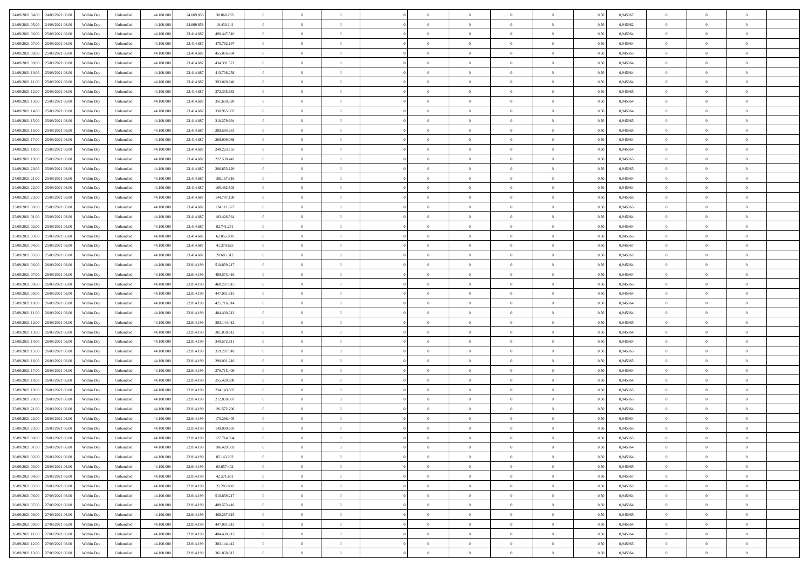| 24/09/2021 04:00<br>24/09/2021 06:00 | Within Day | Unbundled | 44.100.000 | 24.669.858 | 38.860.283    | $\overline{0}$ | $\overline{0}$   | $\overline{0}$ | $\theta$       | $\theta$       |                | $\overline{0}$ | 0,50 | 0,945967 | $\theta$       | $\theta$       | $\theta$       |  |
|--------------------------------------|------------|-----------|------------|------------|---------------|----------------|------------------|----------------|----------------|----------------|----------------|----------------|------|----------|----------------|----------------|----------------|--|
|                                      |            |           |            |            |               |                |                  |                |                |                |                |                |      |          |                |                |                |  |
| 24/09/2021 05:00<br>24/09/2021 06.0  | Within Day | Unbundled | 44.100.00  | 24.669.858 | 19.430.141    | $\overline{0}$ | $\overline{0}$   | $\overline{0}$ | $\,0\,$        | $\bf{0}$       | $\overline{0}$ | $\bf{0}$       | 0,50 | 0,945962 | $\,$ 0 $\,$    | $\theta$       | $\overline{0}$ |  |
| 24/09/2021 06.00<br>25/09/2021 06:00 | Within Day | Unbundled | 44,100,000 | 23.414.687 | 496,447.510   | $\overline{0}$ | $\overline{0}$   | $\overline{0}$ | $\bf{0}$       | $\bf{0}$       | $\overline{0}$ | $\mathbf{0}$   | 0.50 | 0.945964 | $\bf{0}$       | $\overline{0}$ | $\overline{0}$ |  |
| 24/09/2021 07:00<br>25/09/2021 06:00 | Within Day | Unbundled | 44.100.000 | 23.414.687 | 475.762.197   | $\overline{0}$ | $\overline{0}$   | $\overline{0}$ | $\overline{0}$ | $\overline{0}$ | $\overline{0}$ | $\bf{0}$       | 0,50 | 0,945964 | $\theta$       | $\theta$       | $\overline{0}$ |  |
| 24/09/2021 08:00<br>25/09/2021 06.0  | Within Day | Unbundled | 44.100.000 | 23.414.687 | 455.076.884   | $\overline{0}$ | $\overline{0}$   | $\bf{0}$       | $\overline{0}$ | $\overline{0}$ | $\overline{0}$ | $\bf{0}$       | 0,50 | 0,945965 | $\,$ 0 $\,$    | $\theta$       | $\overline{0}$ |  |
| 25/09/2021 06:00                     |            |           | 44,100,000 | 23.414.687 | 434.391.571   |                |                  |                |                | $\overline{0}$ |                |                |      |          |                | $\theta$       | $\overline{0}$ |  |
| 24/09/2021 09:00                     | Within Day | Unbundled |            |            |               | $\overline{0}$ | $\overline{0}$   | $\overline{0}$ | $\overline{0}$ |                | $\overline{0}$ | $\mathbf{0}$   | 0.50 | 0.945964 | $\bf{0}$       |                |                |  |
| 24/09/2021 10:00<br>25/09/2021 06.00 | Within Day | Unbundled | 44.100.000 | 23.414.687 | 413.706.258   | $\overline{0}$ | $\overline{0}$   | $\overline{0}$ | $\overline{0}$ | $\overline{0}$ | $\overline{0}$ | $\bf{0}$       | 0,50 | 0,945964 | $\theta$       | $\theta$       | $\overline{0}$ |  |
| 24/09/2021 11:00<br>25/09/2021 06.0  | Within Day | Unbundled | 44.100.000 | 23.414.687 | 393.020.946   | $\overline{0}$ | $\overline{0}$   | $\overline{0}$ | $\bf{0}$       | $\overline{0}$ | $\overline{0}$ | $\bf{0}$       | 0,50 | 0,945964 | $\,$ 0 $\,$    | $\bf{0}$       | $\overline{0}$ |  |
| 24/09/2021 12:00<br>25/09/2021 06:00 | Within Day | Unbundled | 44,100,000 | 23.414.687 | 372.335.633   | $\overline{0}$ | $\overline{0}$   | $\overline{0}$ | $\overline{0}$ | $\overline{0}$ | $\overline{0}$ | $\mathbf{0}$   | 0.50 | 0.945965 | $\,$ 0 $\,$    | $\theta$       | $\overline{0}$ |  |
| 24/09/2021 13:00<br>25/09/2021 06:00 | Within Day | Unbundled | 44.100.000 | 23.414.687 | 351.650.320   | $\overline{0}$ | $\overline{0}$   | $\overline{0}$ | $\bf{0}$       | $\overline{0}$ | $\overline{0}$ | $\bf{0}$       | 0,50 | 0,945964 | $\,$ 0 $\,$    | $\theta$       | $\overline{0}$ |  |
| 24/09/2021 14:00<br>25/09/2021 06.0  | Within Day | Unbundled | 44.100.000 | 23.414.687 | 330.965.007   | $\overline{0}$ | $\overline{0}$   | $\overline{0}$ | $\bf{0}$       | $\bf{0}$       | $\overline{0}$ | $\bf{0}$       | 0,50 | 0,945964 | $\,$ 0 $\,$    | $\theta$       | $\overline{0}$ |  |
|                                      |            |           |            |            |               |                |                  |                |                |                |                |                |      |          |                |                |                |  |
| 24/09/2021 15:00<br>25/09/2021 06:00 | Within Day | Unbundled | 44,100,000 | 23.414.687 | 310.279.694   | $\overline{0}$ | $\overline{0}$   | $\overline{0}$ | $\bf{0}$       | $\bf{0}$       | $\overline{0}$ | $\mathbf{0}$   | 0.50 | 0.945965 | $\bf{0}$       | $\overline{0}$ | $\bf{0}$       |  |
| 24/09/2021 16.00<br>25/09/2021 06:00 | Within Day | Unbundled | 44.100.000 | 23.414.687 | 289.594.381   | $\overline{0}$ | $\overline{0}$   | $\overline{0}$ | $\overline{0}$ | $\overline{0}$ | $\overline{0}$ | $\bf{0}$       | 0,50 | 0,945965 | $\theta$       | $\theta$       | $\overline{0}$ |  |
| 24/09/2021 17.00<br>25/09/2021 06.0  | Within Day | Unbundled | 44.100.000 | 23.414.687 | 268.909.068   | $\overline{0}$ | $\overline{0}$   | $\bf{0}$       | $\bf{0}$       | $\overline{0}$ | $\overline{0}$ | $\bf{0}$       | 0,50 | 0,945964 | $\,$ 0 $\,$    | $\bf{0}$       | $\overline{0}$ |  |
| 24/09/2021 18:00<br>25/09/2021 06:00 | Within Day | Unbundled | 44,100,000 | 23.414.687 | 248.223.755   | $\overline{0}$ | $\overline{0}$   | $\overline{0}$ | $\overline{0}$ | $\overline{0}$ | $\overline{0}$ | $\mathbf{0}$   | 0.50 | 0.945964 | $\theta$       | $\theta$       | $\overline{0}$ |  |
| 24/09/2021 19:00<br>25/09/2021 06:00 | Within Day | Unbundled | 44.100.000 | 23.414.687 | 227.538.442   | $\overline{0}$ | $\overline{0}$   | $\overline{0}$ | $\overline{0}$ | $\overline{0}$ | $\overline{0}$ | $\bf{0}$       | 0,50 | 0,945965 | $\theta$       | $\theta$       | $\overline{0}$ |  |
| 24/09/2021 20.00<br>25/09/2021 06.0  | Within Day | Unbundled | 44.100.000 | 23.414.687 | 206.853.129   | $\overline{0}$ | $\overline{0}$   | $\overline{0}$ | $\bf{0}$       | $\overline{0}$ | $\overline{0}$ | $\bf{0}$       | 0,50 | 0,945965 | $\,$ 0 $\,$    | $\theta$       | $\overline{0}$ |  |
|                                      |            |           |            |            |               |                |                  |                |                |                |                |                |      |          |                |                |                |  |
| 24/09/2021 21.00<br>25/09/2021 06:00 | Within Day | Unbundled | 44,100,000 | 23.414.687 | 186, 167, 816 | $\overline{0}$ | $\overline{0}$   | $\overline{0}$ | $\overline{0}$ | $\bf{0}$       | $\overline{0}$ | $\mathbf{0}$   | 0.50 | 0.945964 | $\,$ 0 $\,$    | $\overline{0}$ | $\overline{0}$ |  |
| 24/09/2021 22.00<br>25/09/2021 06:00 | Within Day | Unbundled | 44.100.000 | 23.414.687 | 165.482.503   | $\overline{0}$ | $\overline{0}$   | $\overline{0}$ | $\overline{0}$ | $\overline{0}$ | $\overline{0}$ | $\bf{0}$       | 0,50 | 0,945964 | $\,$ 0 $\,$    | $\theta$       | $\overline{0}$ |  |
| 24/09/2021 23:00<br>25/09/2021 06.0  | Within Day | Unbundled | 44.100.000 | 23.414.687 | 144.797.190   | $\overline{0}$ | $\overline{0}$   | $\overline{0}$ | $\bf{0}$       | $\bf{0}$       | $\overline{0}$ | $\bf{0}$       | 0,50 | 0,945965 | $\,$ 0 $\,$    | $\bf{0}$       | $\overline{0}$ |  |
| 25/09/2021 00:00<br>25/09/2021 06:00 | Within Day | Unbundled | 44,100,000 | 23.414.687 | 124.111.877   | $\overline{0}$ | $\overline{0}$   | $\overline{0}$ | $\bf{0}$       | $\bf{0}$       | $\overline{0}$ | $\mathbf{0}$   | 0.50 | 0.945965 | $\bf{0}$       | $\overline{0}$ | $\overline{0}$ |  |
| 25/09/2021 01:00<br>25/09/2021 06:00 | Within Day | Unbundled | 44.100.000 | 23.414.687 | 103.426.564   | $\overline{0}$ | $\overline{0}$   | $\overline{0}$ | $\overline{0}$ | $\overline{0}$ | $\overline{0}$ | $\,$ 0 $\,$    | 0,50 | 0,945964 | $\theta$       | $\theta$       | $\overline{0}$ |  |
| 25/09/2021 02.00<br>25/09/2021 06.0  | Within Day | Unbundled | 44.100.000 | 23.414.687 | 82.741.251    | $\overline{0}$ | $\overline{0}$   | $\bf{0}$       | $\bf{0}$       | $\overline{0}$ | $\overline{0}$ | $\bf{0}$       | 0,50 | 0,945964 | $\,$ 0 $\,$    | $\bf{0}$       | $\overline{0}$ |  |
|                                      |            |           |            |            |               |                |                  |                |                |                |                |                |      |          |                |                |                |  |
| 25/09/2021 03.00<br>25/09/2021 06:00 | Within Day | Unbundled | 44,100,000 | 23.414.687 | 62.055.938    | $\overline{0}$ | $\overline{0}$   | $\overline{0}$ | $\overline{0}$ | $\overline{0}$ | $\overline{0}$ | $\mathbf{0}$   | 0.50 | 0.945965 | $\bf{0}$       | $\theta$       | $\overline{0}$ |  |
| 25/09/2021 04:00<br>25/09/2021 06.00 | Within Day | Unbundled | 44.100.000 | 23.414.687 | 41.370.625    | $\overline{0}$ | $\overline{0}$   | $\overline{0}$ | $\overline{0}$ | $\overline{0}$ | $\overline{0}$ | $\bf{0}$       | 0,50 | 0,945967 | $\theta$       | $\theta$       | $\overline{0}$ |  |
| 25/09/2021 05:00<br>25/09/2021 06.0  | Within Day | Unbundled | 44.100.000 | 23.414.687 | 20.685.312    | $\overline{0}$ | $\overline{0}$   | $\overline{0}$ | $\overline{0}$ | $\overline{0}$ | $\overline{0}$ | $\bf{0}$       | 0,50 | 0,945962 | $\,$ 0 $\,$    | $\theta$       | $\overline{0}$ |  |
| 25/09/2021 06.00<br>26/09/2021 06:00 | Within Day | Unbundled | 44,100,000 | 22.814.199 | 510.859.217   | $\overline{0}$ | $\overline{0}$   | $\overline{0}$ | $\overline{0}$ | $\overline{0}$ | $\overline{0}$ | $\mathbf{0}$   | 0.50 | 0.945964 | $\,$ 0 $\,$    | $\theta$       | $\overline{0}$ |  |
| 25/09/2021 07:00<br>26/09/2021 06:00 | Within Day | Unbundled | 44.100.000 | 22.814.199 | 489.573.416   | $\overline{0}$ | $\overline{0}$   | $\overline{0}$ | $\overline{0}$ | $\overline{0}$ | $\overline{0}$ | $\bf{0}$       | 0,50 | 0,945964 | $\theta$       | $\theta$       | $\overline{0}$ |  |
| 25/09/2021 08:00<br>26/09/2021 06.0  | Within Day | Unbundled | 44.100.000 | 22.814.199 | 468.287.615   | $\overline{0}$ | $\overline{0}$   | $\overline{0}$ | $\overline{0}$ | $\bf{0}$       | $\overline{0}$ | $\bf{0}$       | 0,50 | 0,945965 | $\,$ 0 $\,$    | $\bf{0}$       | $\overline{0}$ |  |
| 26/09/2021 06:00                     |            | Unbundled | 44,100,000 | 22.814.199 | 447.001.815   |                |                  | $\overline{0}$ |                | $\bf{0}$       | $\overline{0}$ |                | 0.50 | 0.945964 | $\bf{0}$       | $\overline{0}$ | $\bf{0}$       |  |
| 25/09/2021 09:00                     | Within Day |           |            |            |               | $\overline{0}$ | $\overline{0}$   |                | $\bf{0}$       |                |                | $\mathbf{0}$   |      |          |                |                |                |  |
| 25/09/2021 10:00<br>26/09/2021 06:00 | Within Day | Unbundled | 44.100.000 | 22.814.199 | 425.716.014   | $\overline{0}$ | $\overline{0}$   | $\overline{0}$ | $\overline{0}$ | $\overline{0}$ | $\overline{0}$ | $\overline{0}$ | 0.50 | 0.945964 | $\theta$       | $\theta$       | $\overline{0}$ |  |
| 25/09/2021 11:00<br>26/09/2021 06.0  | Within Day | Unbundled | 44.100.000 | 22.814.199 | 404.430.213   | $\overline{0}$ | $\overline{0}$   | $\overline{0}$ | $\bf{0}$       | $\overline{0}$ | $\overline{0}$ | $\bf{0}$       | 0,50 | 0,945964 | $\,$ 0 $\,$    | $\bf{0}$       | $\overline{0}$ |  |
| 25/09/2021 12:00<br>26/09/2021 06:00 | Within Day | Unbundled | 44,100,000 | 22.814.199 | 383.144.412   | $\overline{0}$ | $\overline{0}$   | $\overline{0}$ | $\overline{0}$ | $\overline{0}$ | $\overline{0}$ | $\mathbf{0}$   | 0.50 | 0.945965 | $\,$ 0 $\,$    | $\theta$       | $\overline{0}$ |  |
| 25/09/2021 13:00<br>26/09/2021 06:00 | Within Day | Unbundled | 44.100.000 | 22.814.199 | 361.858.612   | $\overline{0}$ | $\overline{0}$   | $\overline{0}$ | $\overline{0}$ | $\overline{0}$ | $\Omega$       | $\overline{0}$ | 0.50 | 0,945964 | $\theta$       | $\theta$       | $\overline{0}$ |  |
| 25/09/2021 14:00<br>26/09/2021 06.0  | Within Day | Unbundled | 44.100.000 | 22.814.199 | 340.572.811   | $\overline{0}$ | $\overline{0}$   | $\overline{0}$ | $\bf{0}$       | $\overline{0}$ | $\overline{0}$ | $\bf{0}$       | 0,50 | 0,945964 | $\,$ 0 $\,$    | $\bf{0}$       | $\overline{0}$ |  |
| 25/09/2021 15:00<br>26/09/2021 06:00 | Within Day | Unbundled | 44,100,000 | 22.814.199 | 319.287.010   | $\overline{0}$ | $\overline{0}$   | $\overline{0}$ | $\overline{0}$ | $\bf{0}$       | $\overline{0}$ | $\mathbf{0}$   | 0.50 | 0.945965 | $\,$ 0 $\,$    | $\theta$       | $\overline{0}$ |  |
|                                      |            |           |            |            |               |                | $\overline{0}$   |                |                |                |                | $\overline{0}$ |      |          | $\theta$       | $\theta$       |                |  |
| 25/09/2021 16:00<br>26/09/2021 06:00 | Within Day | Unbundled | 44.100.000 | 22.814.199 | 298.001.210   | $\overline{0}$ |                  | $\overline{0}$ | $\overline{0}$ | $\overline{0}$ | $\overline{0}$ |                | 0.50 | 0,945965 |                |                | $\overline{0}$ |  |
| 25/09/2021 17:00<br>26/09/2021 06.0  | Within Day | Unbundled | 44.100.000 | 22.814.199 | 276.715.409   | $\overline{0}$ | $\overline{0}$   | $\overline{0}$ | $\,0\,$        | $\bf{0}$       | $\overline{0}$ | $\bf{0}$       | 0,50 | 0,945964 | $\,$ 0 $\,$    | $\bf{0}$       | $\overline{0}$ |  |
| 25/09/2021 18:00<br>26/09/2021 06:00 | Within Day | Unbundled | 44,100,000 | 22.814.199 | 255.429.608   | $\overline{0}$ | $\overline{0}$   | $\overline{0}$ | $\bf{0}$       | $\bf{0}$       | $\overline{0}$ | $\mathbf{0}$   | 0.50 | 0.945964 | $\bf{0}$       | $\overline{0}$ | $\overline{0}$ |  |
| 25/09/2021 19:00<br>26/09/2021 06:00 | Within Day | Unbundled | 44.100.000 | 22.814.199 | 234.143.807   | $\overline{0}$ | $\overline{0}$   | $\overline{0}$ | $\overline{0}$ | $\overline{0}$ | $\overline{0}$ | $\overline{0}$ | 0.50 | 0,945965 | $\theta$       | $\theta$       | $\overline{0}$ |  |
| 25/09/2021 20.00<br>26/09/2021 06.0  | Within Day | Unbundled | 44.100.000 | 22.814.199 | 212.858.007   | $\overline{0}$ | $\overline{0}$   | $\overline{0}$ | $\bf{0}$       | $\bf{0}$       | $\overline{0}$ | $\bf{0}$       | 0,50 | 0,945965 | $\,$ 0 $\,$    | $\bf{0}$       | $\overline{0}$ |  |
| 25/09/2021 21.00<br>26/09/2021 06:00 | Within Day | Unbundled | 44,100,000 | 22.814.199 | 191.572.206   | $\overline{0}$ | $\overline{0}$   | $\overline{0}$ | $\overline{0}$ | $\overline{0}$ | $\Omega$       | $\overline{0}$ | 0.50 | 0.945964 | $\bf{0}$       | $\theta$       | $\overline{0}$ |  |
| 25/09/2021 22:00<br>26/09/2021 06:00 | Within Day | Unbundled | 44.100.000 | 22.814.199 | 170.286.405   | $\overline{0}$ | $\overline{0}$   | $\overline{0}$ | $\overline{0}$ | $\overline{0}$ | $\theta$       | $\overline{0}$ | 0.5( | 0,945964 | $\theta$       | $\theta$       | $\overline{0}$ |  |
|                                      |            |           |            |            |               |                | $\overline{0}$   | $\bf{0}$       | $\overline{0}$ | $\bf{0}$       | $\overline{0}$ | $\bf{0}$       |      |          | $\,$ 0 $\,$    | $\bf{0}$       | $\overline{0}$ |  |
| 25/09/2021 23:00<br>26/09/2021 06.00 | Within Day | Unbundled | 44.100.000 | 22.814.199 | 149.000.605   | $\overline{0}$ |                  |                |                |                |                |                | 0,50 | 0,945965 |                |                |                |  |
| 26/09/2021 00:00 26/09/2021 06:00    | Within Day | Unbundled | 44.100.000 | 22.814.199 | 127.714.804   | $\bf{0}$       | $\boldsymbol{0}$ |                | $\bf{0}$       |                |                |                | 0,50 | 0.945965 | $\theta$       | $\overline{0}$ |                |  |
| 26/09/2021 01:00<br>26/09/2021 06:00 | Within Dav | Unbundled | 44.100.000 | 22.814.199 | 106.429.003   | $\overline{0}$ | $\overline{0}$   | $\overline{0}$ | $\overline{0}$ | $\overline{0}$ | $\overline{0}$ | $\overline{0}$ | 0,50 | 0,945964 | $\theta$       | $\theta$       | $\overline{0}$ |  |
| 26/09/2021 02:00<br>26/09/2021 06.0  | Within Day | Unbundled | 44.100.000 | 22.814.199 | 85.143.202    | $\overline{0}$ | $\overline{0}$   | $\overline{0}$ | $\bf{0}$       | $\overline{0}$ | $\overline{0}$ | $\mathbf{0}$   | 0,50 | 0,945964 | $\bf{0}$       | $\overline{0}$ | $\bf{0}$       |  |
| 26/09/2021 03:00<br>26/09/2021 06:00 | Within Day | Unbundled | 44.100.000 | 22.814.199 | 63.857.402    | $\overline{0}$ | $\overline{0}$   | $\overline{0}$ | $\overline{0}$ | $\bf{0}$       | $\overline{0}$ | $\mathbf{0}$   | 0.50 | 0.945965 | $\overline{0}$ | $\bf{0}$       | $\,$ 0 $\,$    |  |
| 26/09/2021 04:00<br>26/09/2021 06:00 | Within Dav | Unbundled | 44.100.000 | 22.814.199 | 42.571.601    | $\overline{0}$ | $\overline{0}$   | $\overline{0}$ | $\overline{0}$ | $\overline{0}$ | $\overline{0}$ | $\mathbf{0}$   | 0,50 | 0,945967 | $\overline{0}$ | $\theta$       | $\overline{0}$ |  |
| 26/09/2021 05:00<br>26/09/2021 06.00 | Within Day | Unbundled | 44.100.000 | 22.814.199 | 21.285.800    | $\overline{0}$ | $\overline{0}$   | $\overline{0}$ | $\bf{0}$       | $\bf{0}$       | $\overline{0}$ | $\mathbf{0}$   | 0,50 | 0,945962 | $\overline{0}$ | $\bf{0}$       | $\overline{0}$ |  |
|                                      |            |           |            |            |               |                |                  |                |                |                |                |                |      |          |                |                |                |  |
| 26/09/2021 06:00<br>27/09/2021 06:00 | Within Day | Unbundled | 44.100.000 | 22.814.199 | 510.859.217   | $\overline{0}$ | $\overline{0}$   | $\overline{0}$ | $\bf{0}$       | $\overline{0}$ | $\overline{0}$ | $\mathbf{0}$   | 0.50 | 0.945964 | $\,$ 0 $\,$    | $\theta$       | $\overline{0}$ |  |
| 26/09/2021 07:00<br>27/09/2021 06:00 | Within Dav | Unbundled | 44.100.000 | 22.814.199 | 489.573.416   | $\overline{0}$ | $\overline{0}$   | $\overline{0}$ | $\overline{0}$ | $\overline{0}$ | $\overline{0}$ | $\mathbf{0}$   | 0,50 | 0,945964 | $\overline{0}$ | $\theta$       | $\overline{0}$ |  |
| 26/09/2021 08:00<br>27/09/2021 06:00 | Within Day | Unbundled | 44.100.000 | 22.814.199 | 468.287.615   | $\overline{0}$ | $\overline{0}$   | $\overline{0}$ | $\bf{0}$       | $\bf{0}$       | $\overline{0}$ | $\,$ 0 $\,$    | 0,50 | 0,945965 | $\bf{0}$       | $\bf{0}$       | $\overline{0}$ |  |
| 27/09/2021 06:00<br>26/09/2021 09:00 | Within Day | Unbundled | 44,100,000 | 22.814.199 | 447.001.815   | $\overline{0}$ | $\overline{0}$   | $\overline{0}$ | $\bf{0}$       | $\bf{0}$       | $\overline{0}$ | $\,$ 0 $\,$    | 0.50 | 0.945964 | $\overline{0}$ | $\bf{0}$       | $\,$ 0         |  |
| 26/09/2021 11:00<br>27/09/2021 06:00 | Within Dav | Unbundled | 44.100.000 | 22.814.199 | 404.430.213   | $\overline{0}$ | $\overline{0}$   | $\overline{0}$ | $\overline{0}$ | $\overline{0}$ | $\overline{0}$ | $\mathbf{0}$   | 0,50 | 0,945964 | $\overline{0}$ | $\theta$       | $\overline{0}$ |  |
| 26/09/2021 12:00<br>27/09/2021 06.0  | Within Day | Unbundled | 44.100.000 | 22.814.199 | 383.144.412   | $\overline{0}$ | $\overline{0}$   | $\overline{0}$ | $\overline{0}$ | $\bf{0}$       | $\overline{0}$ | $\mathbf{0}$   | 0,50 | 0,945965 | $\bf{0}$       | $\bf{0}$       | $\overline{0}$ |  |
|                                      |            |           |            |            |               |                |                  |                |                |                |                |                |      |          |                |                |                |  |
| 26/09/2021 13:00 27/09/2021 06:00    | Within Day | Unbundled | 44.100.000 | 22.814.199 | 361.858.612   | $\,$ 0 $\,$    | $\overline{0}$   | $\overline{0}$ | $\bf{0}$       | $\,$ 0         | $\overline{0}$ | $\,0\,$        | 0,50 | 0,945964 | $\overline{0}$ | $\,$ 0 $\,$    | $\,$ 0 $\,$    |  |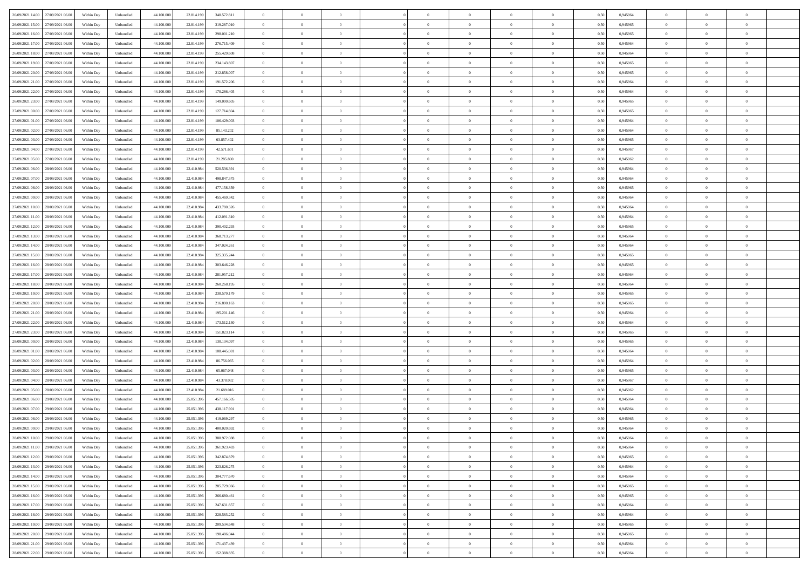| 26/09/2021 14:00<br>27/09/2021 06:00 | Within Day | Unbundled | 44.100.000 | 22.814.199 | 340.572.811 | $\overline{0}$ | $\overline{0}$ | $\overline{0}$ | $\theta$       | $\theta$       |                | $\overline{0}$ | 0,50 | 0,945964 | $\theta$       | $\theta$       | $\theta$       |  |
|--------------------------------------|------------|-----------|------------|------------|-------------|----------------|----------------|----------------|----------------|----------------|----------------|----------------|------|----------|----------------|----------------|----------------|--|
|                                      |            |           |            |            |             |                | $\overline{0}$ |                | $\,0\,$        | $\bf{0}$       | $\overline{0}$ |                |      |          | $\,$ 0 $\,$    | $\bf{0}$       | $\overline{0}$ |  |
| 26/09/2021 15:00<br>27/09/2021 06.00 | Within Day | Unbundled | 44.100.000 | 22.814.199 | 319.287.010 | $\overline{0}$ |                | $\overline{0}$ |                |                |                | $\mathbf{0}$   | 0,50 | 0,945965 |                |                |                |  |
| 26/09/2021 16.00<br>27/09/2021 06:00 | Within Day | Unbundled | 44,100,000 | 22.814.199 | 298.001.210 | $\overline{0}$ | $\overline{0}$ | $\overline{0}$ | $\bf{0}$       | $\bf{0}$       | $\overline{0}$ | $\,$ 0 $\,$    | 0.50 | 0.945965 | $\bf{0}$       | $\overline{0}$ | $\bf{0}$       |  |
| 26/09/2021 17:00<br>27/09/2021 06:00 | Within Day | Unbundled | 44.100.000 | 22.814.199 | 276.715.409 | $\overline{0}$ | $\overline{0}$ | $\overline{0}$ | $\overline{0}$ | $\overline{0}$ | $\overline{0}$ | $\,$ 0 $\,$    | 0,50 | 0,945964 | $\theta$       | $\overline{0}$ | $\overline{0}$ |  |
| 26/09/2021 18:00<br>27/09/2021 06.00 | Within Day | Unbundled | 44.100.000 | 22.814.199 | 255.429.608 | $\overline{0}$ | $\overline{0}$ | $\overline{0}$ | $\bf{0}$       | $\overline{0}$ | $\overline{0}$ | $\bf{0}$       | 0,50 | 0,945964 | $\,$ 0 $\,$    | $\bf{0}$       | $\overline{0}$ |  |
| 26/09/2021 19:00<br>27/09/2021 06:00 | Within Day | Unbundled | 44,100,000 | 22.814.199 | 234.143.807 | $\overline{0}$ | $\overline{0}$ | $\overline{0}$ | $\bf{0}$       | $\bf{0}$       | $\overline{0}$ | $\mathbf{0}$   | 0.50 | 0.945965 | $\,$ 0 $\,$    | $\theta$       | $\overline{0}$ |  |
| 26/09/2021 20:00<br>27/09/2021 06.00 | Within Day | Unbundled | 44.100.000 | 22.814.199 | 212.858.007 | $\overline{0}$ | $\overline{0}$ | $\overline{0}$ | $\overline{0}$ | $\overline{0}$ | $\overline{0}$ | $\bf{0}$       | 0,50 | 0,945965 | $\theta$       | $\theta$       | $\overline{0}$ |  |
| 26/09/2021 21:00<br>27/09/2021 06.00 | Within Day | Unbundled | 44.100.000 | 22.814.199 | 191.572.206 | $\overline{0}$ | $\overline{0}$ | $\overline{0}$ | $\,0\,$        | $\bf{0}$       | $\overline{0}$ | $\bf{0}$       | 0,50 | 0,945964 | $\,$ 0 $\,$    | $\bf{0}$       | $\overline{0}$ |  |
| 26/09/2021 22:00<br>27/09/2021 06:00 | Within Day | Unbundled | 44,100,000 | 22.814.199 | 170.286.405 | $\overline{0}$ | $\overline{0}$ | $\overline{0}$ | $\bf{0}$       | $\bf{0}$       | $\overline{0}$ | $\mathbf{0}$   | 0.50 | 0.945964 | $\bf{0}$       | $\overline{0}$ | $\bf{0}$       |  |
| 26/09/2021 23:00<br>27/09/2021 06:00 | Within Day | Unbundled | 44.100.000 | 22.814.199 | 149.000.605 | $\overline{0}$ | $\overline{0}$ | $\overline{0}$ | $\bf{0}$       | $\bf{0}$       | $\overline{0}$ | $\bf{0}$       | 0,50 | 0,945965 | $\,$ 0         | $\,$ 0 $\,$    | $\overline{0}$ |  |
|                                      |            |           |            |            |             |                |                |                |                |                |                |                |      |          |                |                |                |  |
| 27/09/2021 00.00<br>27/09/2021 06.00 | Within Day | Unbundled | 44.100.000 | 22.814.199 | 127.714.804 | $\overline{0}$ | $\overline{0}$ | $\overline{0}$ | $\,0\,$        | $\bf{0}$       | $\overline{0}$ | $\bf{0}$       | 0,50 | 0,945965 | $\,$ 0 $\,$    | $\bf{0}$       | $\overline{0}$ |  |
| 27/09/2021 01:00<br>27/09/2021 06:00 | Within Day | Unbundled | 44,100,000 | 22.814.199 | 106.429.003 | $\overline{0}$ | $\overline{0}$ | $\overline{0}$ | $\bf{0}$       | $\bf{0}$       | $\overline{0}$ | $\,$ 0 $\,$    | 0.50 | 0.945964 | $\bf{0}$       | $\overline{0}$ | $\,$ 0         |  |
| 27/09/2021 02.00<br>27/09/2021 06:00 | Within Day | Unbundled | 44.100.000 | 22.814.199 | 85.143.202  | $\overline{0}$ | $\overline{0}$ | $\overline{0}$ | $\overline{0}$ | $\overline{0}$ | $\overline{0}$ | $\,$ 0 $\,$    | 0,50 | 0,945964 | $\theta$       | $\theta$       | $\overline{0}$ |  |
| 27/09/2021 03.00<br>27/09/2021 06.00 | Within Day | Unbundled | 44.100.000 | 22.814.199 | 63.857.402  | $\overline{0}$ | $\overline{0}$ | $\overline{0}$ | $\bf{0}$       | $\bf{0}$       | $\overline{0}$ | $\bf{0}$       | 0,50 | 0,945965 | $\,$ 0 $\,$    | $\bf{0}$       | $\overline{0}$ |  |
| 27/09/2021 04.00<br>27/09/2021 06:00 | Within Day | Unbundled | 44,100,000 | 22.814.199 | 42.571.601  | $\overline{0}$ | $\overline{0}$ | $\overline{0}$ | $\bf{0}$       | $\overline{0}$ | $\overline{0}$ | $\mathbf{0}$   | 0.50 | 0.945967 | $\,$ 0 $\,$    | $\theta$       | $\overline{0}$ |  |
| 27/09/2021 05:00<br>27/09/2021 06:00 | Within Day | Unbundled | 44.100.000 | 22.814.199 | 21.285.800  | $\overline{0}$ | $\overline{0}$ | $\overline{0}$ | $\bf{0}$       | $\overline{0}$ | $\overline{0}$ | $\bf{0}$       | 0,50 | 0,945962 | $\theta$       | $\theta$       | $\overline{0}$ |  |
| 27/09/2021 06.00<br>28/09/2021 06.00 | Within Day | Unbundled | 44.100.000 | 22.410.984 | 520.536.391 | $\overline{0}$ | $\overline{0}$ | $\overline{0}$ | $\,0\,$        | $\bf{0}$       | $\overline{0}$ | $\bf{0}$       | 0,50 | 0,945964 | $\,$ 0 $\,$    | $\bf{0}$       | $\overline{0}$ |  |
| 27/09/2021 07:00<br>28/09/2021 06:00 | Within Day | Unbundled | 44,100,000 | 22.410.984 | 498.847.375 | $\overline{0}$ | $\overline{0}$ | $\overline{0}$ | $\bf{0}$       | $\bf{0}$       | $\overline{0}$ | $\mathbf{0}$   | 0.50 | 0.945964 | $\bf{0}$       | $\overline{0}$ | $\bf{0}$       |  |
| 27/09/2021 08:00<br>28/09/2021 06:00 | Within Day | Unbundled | 44.100.000 | 22.410.984 | 477.158.359 | $\overline{0}$ | $\overline{0}$ | $\overline{0}$ | $\bf{0}$       | $\overline{0}$ | $\overline{0}$ | $\bf{0}$       | 0,50 | 0,945965 | $\,$ 0 $\,$    | $\bf{0}$       | $\overline{0}$ |  |
|                                      |            |           |            |            |             |                |                |                |                |                |                |                |      |          |                |                |                |  |
| 27/09/2021 09.00<br>28/09/2021 06.00 | Within Day | Unbundled | 44.100.000 | 22.410.984 | 455.469.342 | $\overline{0}$ | $\overline{0}$ | $\overline{0}$ | $\,0\,$        | $\bf{0}$       | $\overline{0}$ | $\bf{0}$       | 0,50 | 0,945964 | $\,$ 0 $\,$    | $\bf{0}$       | $\overline{0}$ |  |
| 27/09/2021 10:00<br>28/09/2021 06:00 | Within Day | Unbundled | 44,100,000 | 22.410.984 | 433.780.326 | $\overline{0}$ | $\overline{0}$ | $\overline{0}$ | $\bf{0}$       | $\bf{0}$       | $\overline{0}$ | $\,$ 0 $\,$    | 0.50 | 0.945964 | $\bf{0}$       | $\overline{0}$ | $\,$ 0         |  |
| 27/09/2021 11:00<br>28/09/2021 06:00 | Within Day | Unbundled | 44.100.000 | 22.410.984 | 412.091.310 | $\overline{0}$ | $\overline{0}$ | $\overline{0}$ | $\overline{0}$ | $\overline{0}$ | $\overline{0}$ | $\,$ 0 $\,$    | 0,50 | 0,945964 | $\theta$       | $\theta$       | $\overline{0}$ |  |
| 27/09/2021 12.00<br>28/09/2021 06.00 | Within Day | Unbundled | 44.100.000 | 22.410.984 | 390.402.293 | $\overline{0}$ | $\overline{0}$ | $\overline{0}$ | $\overline{0}$ | $\bf{0}$       | $\overline{0}$ | $\bf{0}$       | 0,50 | 0,945965 | $\,$ 0 $\,$    | $\bf{0}$       | $\overline{0}$ |  |
| 27/09/2021 13:00<br>28/09/2021 06:00 | Within Day | Unbundled | 44,100,000 | 22.410.984 | 368,713,277 | $\overline{0}$ | $\overline{0}$ | $\overline{0}$ | $\bf{0}$       | $\bf{0}$       | $\overline{0}$ | $\mathbf{0}$   | 0.50 | 0.945964 | $\,$ 0 $\,$    | $\theta$       | $\overline{0}$ |  |
| 27/09/2021 14:00<br>28/09/2021 06:00 | Within Day | Unbundled | 44.100.000 | 22.410.984 | 347.024.261 | $\overline{0}$ | $\overline{0}$ | $\overline{0}$ | $\overline{0}$ | $\overline{0}$ | $\overline{0}$ | $\bf{0}$       | 0,50 | 0,945964 | $\theta$       | $\theta$       | $\overline{0}$ |  |
| 27/09/2021 15.00<br>28/09/2021 06.00 | Within Day | Unbundled | 44.100.000 | 22.410.984 | 325.335.244 | $\overline{0}$ | $\overline{0}$ | $\overline{0}$ | $\,0\,$        | $\bf{0}$       | $\overline{0}$ | $\bf{0}$       | 0,50 | 0,945965 | $\,$ 0 $\,$    | $\bf{0}$       | $\overline{0}$ |  |
| 27/09/2021 16:00<br>28/09/2021 06:00 | Within Day | Unbundled | 44,100,000 | 22.410.984 | 303.646.228 | $\overline{0}$ | $\overline{0}$ | $\overline{0}$ | $\bf{0}$       | $\bf{0}$       | $\overline{0}$ | $\mathbf{0}$   | 0.50 | 0.945965 | $\bf{0}$       | $\overline{0}$ | $\bf{0}$       |  |
| 27/09/2021 17.00<br>28/09/2021 06:00 | Within Day | Unbundled | 44.100.000 | 22.410.984 | 281.957.212 | $\overline{0}$ | $\overline{0}$ | $\overline{0}$ | $\bf{0}$       | $\overline{0}$ | $\overline{0}$ | $\bf{0}$       | 0,50 | 0,945964 | $\overline{0}$ | $\theta$       | $\overline{0}$ |  |
|                                      |            |           |            |            |             |                | $\overline{0}$ |                | $\overline{0}$ | $\bf{0}$       | $\overline{0}$ |                |      |          | $\,$ 0 $\,$    | $\bf{0}$       | $\overline{0}$ |  |
| 27/09/2021 18:00<br>28/09/2021 06.00 | Within Day | Unbundled | 44.100.000 | 22.410.984 | 260.268.195 | $\overline{0}$ |                | $\overline{0}$ |                |                |                | $\mathbf{0}$   | 0,50 | 0,945964 |                |                |                |  |
| 27/09/2021 19:00<br>28/09/2021 06:00 | Within Day | Unbundled | 44,100,000 | 22.410.984 | 238.579.179 | $\overline{0}$ | $\overline{0}$ | $\overline{0}$ | $\bf{0}$       | $\bf{0}$       | $\overline{0}$ | $\,$ 0 $\,$    | 0.50 | 0.945965 | $\bf{0}$       | $\overline{0}$ | $\,$ 0         |  |
| 27/09/2021 20:00<br>28/09/2021 06:00 | Within Day | Unbundled | 44.100.000 | 22.410.984 | 216.890.163 | $\overline{0}$ | $\overline{0}$ | $\overline{0}$ | $\overline{0}$ | $\overline{0}$ | $\overline{0}$ | $\overline{0}$ | 0.50 | 0,945965 | $\theta$       | $\theta$       | $\overline{0}$ |  |
| 27/09/2021 21.00<br>28/09/2021 06.00 | Within Day | Unbundled | 44.100.000 | 22.410.984 | 195.201.146 | $\overline{0}$ | $\overline{0}$ | $\overline{0}$ | $\,0\,$        | $\bf{0}$       | $\overline{0}$ | $\bf{0}$       | 0,50 | 0,945964 | $\,$ 0 $\,$    | $\bf{0}$       | $\overline{0}$ |  |
| 27/09/2021 22.00<br>28/09/2021 06:00 | Within Day | Unbundled | 44,100,000 | 22.410.984 | 173.512.130 | $\overline{0}$ | $\overline{0}$ | $\overline{0}$ | $\bf{0}$       | $\bf{0}$       | $\overline{0}$ | $\mathbf{0}$   | 0.50 | 0.945964 | $\,$ 0 $\,$    | $\theta$       | $\overline{0}$ |  |
| 27/09/2021 23:00<br>28/09/2021 06:00 | Within Day | Unbundled | 44.100.000 | 22.410.984 | 151.823.114 | $\overline{0}$ | $\overline{0}$ | $\overline{0}$ | $\overline{0}$ | $\overline{0}$ | $\overline{0}$ | $\overline{0}$ | 0,50 | 0,945965 | $\theta$       | $\theta$       | $\overline{0}$ |  |
| 28/09/2021 00:00<br>28/09/2021 06.00 | Within Day | Unbundled | 44.100.000 | 22.410.984 | 130.134.097 | $\overline{0}$ | $\overline{0}$ | $\overline{0}$ | $\overline{0}$ | $\bf{0}$       | $\overline{0}$ | $\bf{0}$       | 0,50 | 0,945965 | $\,$ 0 $\,$    | $\bf{0}$       | $\overline{0}$ |  |
| 28/09/2021 01:00<br>28/09/2021 06:00 | Within Day | Unbundled | 44,100,000 | 22.410.984 | 108,445,081 | $\overline{0}$ | $\overline{0}$ | $\overline{0}$ | $\bf{0}$       | $\bf{0}$       | $\overline{0}$ | $\mathbf{0}$   | 0.50 | 0.945964 | $\bf{0}$       | $\overline{0}$ | $\bf{0}$       |  |
| 28/09/2021 02:00<br>28/09/2021 06:00 | Within Day | Unbundled | 44.100.000 | 22.410.984 | 86.756.065  | $\overline{0}$ | $\overline{0}$ | $\overline{0}$ | $\overline{0}$ | $\overline{0}$ | $\overline{0}$ | $\overline{0}$ | 0.50 | 0,945964 | $\theta$       | $\overline{0}$ | $\overline{0}$ |  |
| 28/09/2021 03:00<br>28/09/2021 06.00 | Within Day | Unbundled | 44.100.000 | 22.410.984 | 65.067.048  | $\overline{0}$ | $\overline{0}$ | $\overline{0}$ | $\overline{0}$ | $\bf{0}$       | $\overline{0}$ | $\mathbf{0}$   | 0,50 | 0,945965 | $\overline{0}$ | $\bf{0}$       | $\overline{0}$ |  |
| 28/09/2021 04:00<br>28/09/2021 06:00 | Within Day | Unbundled | 44,100,000 | 22.410.984 | 43.378.032  | $\overline{0}$ | $\overline{0}$ | $\overline{0}$ | $\bf{0}$       | $\bf{0}$       | $\overline{0}$ | $\,$ 0 $\,$    | 0.50 | 0.945967 | $\bf{0}$       | $\overline{0}$ | $\,$ 0         |  |
|                                      |            |           |            |            |             |                | $\overline{0}$ |                |                | $\overline{0}$ | $\overline{0}$ | $\overline{0}$ |      |          | $\theta$       | $\theta$       | $\overline{0}$ |  |
| 28/09/2021 05:00<br>28/09/2021 06:00 | Within Day | Unbundled | 44.100.000 | 22.410.984 | 21.689.016  | $\overline{0}$ |                | $\overline{0}$ | $\overline{0}$ |                |                |                | 0,50 | 0,945962 |                |                |                |  |
| 28/09/2021 06:00<br>29/09/2021 06.0  | Within Day | Unbundled | 44.100.000 | 25.051.396 | 457.166.505 | $\overline{0}$ | $\overline{0}$ | $\overline{0}$ | $\overline{0}$ | $\bf{0}$       | $\overline{0}$ | $\bf{0}$       | 0,50 | 0,945964 | $\,$ 0 $\,$    | $\bf{0}$       | $\overline{0}$ |  |
| 28/09/2021 07:00<br>29/09/2021 06:00 | Within Day | Unbundled | 44,100,000 | 25.051.396 | 438.117.901 | $\overline{0}$ | $\overline{0}$ | $\overline{0}$ | $\overline{0}$ | $\overline{0}$ | $\overline{0}$ | $\mathbf{0}$   | 0.50 | 0.945964 | $\,$ 0 $\,$    | $\theta$       | $\overline{0}$ |  |
| 28/09/2021 08:00<br>29/09/2021 06.00 | Within Day | Unbundled | 44.100.000 | 25.051.396 | 419.069.297 | $\overline{0}$ | $\overline{0}$ | $\overline{0}$ | $\overline{0}$ | $\overline{0}$ | $\Omega$       | $\overline{0}$ | 0.50 | 0,945965 | $\theta$       | $\theta$       | $\overline{0}$ |  |
| 28/09/2021 09:00<br>29/09/2021 06.00 | Within Day | Unbundled | 44.100.000 | 25.051.396 | 400.020.692 | $\overline{0}$ | $\overline{0}$ | $\overline{0}$ | $\overline{0}$ | $\bf{0}$       | $\overline{0}$ | $\bf{0}$       | 0,50 | 0,945964 | $\overline{0}$ | $\bf{0}$       | $\overline{0}$ |  |
| 28/09/2021 10:00 29/09/2021 06:00    | Within Day | Unbundled | 44.100.000 | 25.051.396 | 380.972.088 | $\bf{0}$       | $\,$ 0 $\,$    |                | $\bf{0}$       |                |                | $\Omega$       | 0,50 | 0,945964 | $\theta$       | $\bf{0}$       |                |  |
| 28/09/2021 11:00<br>29/09/2021 06:00 | Within Dav | Unbundled | 44.100.000 | 25.051.396 | 361.923.483 | $\overline{0}$ | $\overline{0}$ | $\overline{0}$ | $\overline{0}$ | $\overline{0}$ | $\overline{0}$ | $\overline{0}$ | 0,50 | 0,945964 | $\theta$       | $\theta$       | $\overline{0}$ |  |
| 28/09/2021 12:00<br>29/09/2021 06.0  | Within Day | Unbundled | 44.100.000 | 25.051.396 | 342.874.879 | $\overline{0}$ | $\overline{0}$ | $\overline{0}$ | $\bf{0}$       | $\overline{0}$ | $\overline{0}$ | $\mathbf{0}$   | 0,50 | 0,945965 | $\bf{0}$       | $\overline{0}$ | $\bf{0}$       |  |
| 28/09/2021 13:00<br>29/09/2021 06:00 | Within Day | Unbundled | 44.100.000 | 25.051.396 | 323.826.275 | $\overline{0}$ | $\overline{0}$ | $\overline{0}$ | $\bf{0}$       | $\bf{0}$       | $\overline{0}$ | $\mathbf{0}$   | 0.50 | 0.945964 | $\overline{0}$ | $\bf{0}$       | $\,$ 0 $\,$    |  |
| 28/09/2021 14:00<br>29/09/2021 06:00 | Within Dav | Unbundled | 44.100.000 | 25.051.396 | 304.777.670 | $\overline{0}$ | $\overline{0}$ | $\overline{0}$ | $\overline{0}$ | $\overline{0}$ | $\overline{0}$ | $\mathbf{0}$   | 0,50 | 0,945964 | $\theta$       | $\theta$       | $\overline{0}$ |  |
|                                      |            |           |            |            |             |                |                |                |                |                |                |                |      |          |                |                |                |  |
| 28/09/2021 15:00<br>29/09/2021 06.00 | Within Day | Unbundled | 44.100.000 | 25.051.396 | 285.729.066 | $\overline{0}$ | $\overline{0}$ | $\overline{0}$ | $\overline{0}$ | $\bf{0}$       | $\overline{0}$ | $\mathbf{0}$   | 0,50 | 0,945965 | $\overline{0}$ | $\bf{0}$       | $\overline{0}$ |  |
| 28/09/2021 16:00<br>29/09/2021 06:00 | Within Day | Unbundled | 44.100.000 | 25.051.396 | 266,680,461 | $\overline{0}$ | $\overline{0}$ | $\overline{0}$ | $\bf{0}$       | $\overline{0}$ | $\overline{0}$ | $\mathbf{0}$   | 0.50 | 0.945965 | $\,$ 0 $\,$    | $\theta$       | $\overline{0}$ |  |
| 28/09/2021 17:00<br>29/09/2021 06:00 | Within Dav | Unbundled | 44.100.000 | 25.051.396 | 247.631.857 | $\overline{0}$ | $\overline{0}$ | $\overline{0}$ | $\overline{0}$ | $\overline{0}$ | $\overline{0}$ | $\mathbf{0}$   | 0,50 | 0,945964 | $\overline{0}$ | $\theta$       | $\overline{0}$ |  |
| 28/09/2021 18:00<br>29/09/2021 06.00 | Within Day | Unbundled | 44.100.000 | 25.051.396 | 228.583.252 | $\overline{0}$ | $\overline{0}$ | $\overline{0}$ | $\bf{0}$       | $\bf{0}$       | $\overline{0}$ | $\,$ 0 $\,$    | 0,50 | 0,945964 | $\bf{0}$       | $\bf{0}$       | $\overline{0}$ |  |
| 28/09/2021 19:00<br>29/09/2021 06:00 | Within Day | Unbundled | 44,100,000 | 25.051.396 | 209.534.648 | $\overline{0}$ | $\overline{0}$ | $\overline{0}$ | $\bf{0}$       | $\bf{0}$       | $\overline{0}$ | $\,$ 0 $\,$    | 0.50 | 0.945965 | $\overline{0}$ | $\bf{0}$       | $\,$ 0         |  |
| 28/09/2021 20:00<br>29/09/2021 06:00 | Within Dav | Unbundled | 44.100.000 | 25.051.396 | 190.486.044 | $\overline{0}$ | $\overline{0}$ | $\overline{0}$ | $\overline{0}$ | $\overline{0}$ | $\overline{0}$ | $\mathbf{0}$   | 0,50 | 0,945965 | $\overline{0}$ | $\theta$       | $\overline{0}$ |  |
| 28/09/2021 21:00<br>29/09/2021 06.0  | Within Day | Unbundled | 44.100.000 | 25.051.396 | 171.437.439 | $\overline{0}$ | $\overline{0}$ | $\overline{0}$ | $\overline{0}$ | $\bf{0}$       | $\overline{0}$ | $\mathbf{0}$   | 0,50 | 0,945964 | $\bf{0}$       | $\bf{0}$       | $\overline{0}$ |  |
| 28/09/2021 22.00 29/09/2021 06:00    | Within Day | Unbundled | 44.100.000 | 25.051.396 | 152.388.835 | $\overline{0}$ | $\overline{0}$ | $\overline{0}$ | $\bf{0}$       | $\,$ 0         | $\overline{0}$ | $\,0\,$        | 0,50 | 0,945964 | $\overline{0}$ | $\bf{0}$       | $\,$ 0 $\,$    |  |
|                                      |            |           |            |            |             |                |                |                |                |                |                |                |      |          |                |                |                |  |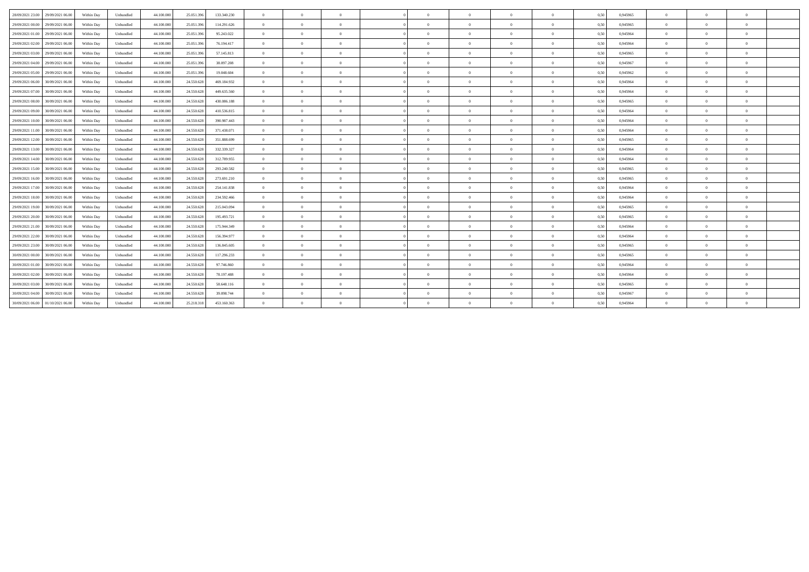| 28/09/2021 23:00 | 29/09/2021 06.00 | Within Day | Unbundled | 44.100.000 | 25.051.396 | 133.340.230 | $\Omega$       | $\Omega$       | $\Omega$       |                | $\Omega$       | $\Omega$       | $\overline{0}$ | 0,50 | 0.945965 | $\Omega$ | $\theta$       | $\theta$       |  |
|------------------|------------------|------------|-----------|------------|------------|-------------|----------------|----------------|----------------|----------------|----------------|----------------|----------------|------|----------|----------|----------------|----------------|--|
| 29/09/2021 00:00 | 29/09/2021 06:00 | Within Day | Unbundled | 44.100.000 | 25.051.396 | 114.291.626 | $\overline{0}$ | $\theta$       | $^{\circ}$     | $\Omega$       | $\bf{0}$       | $\overline{0}$ | $\bf{0}$       | 0,50 | 0.945965 | $\theta$ | $\theta$       | $\overline{0}$ |  |
| 29/09/2021 01:00 | 29/09/2021 06.00 | Within Day | Unbundled | 44.100.000 | 25.051.396 | 95.243.022  | $\Omega$       | $\Omega$       |                |                | $\Omega$       | $\Omega$       | $\overline{0}$ | 0,50 | 0,945964 | $\Omega$ | $\Omega$       | $\theta$       |  |
| 29/09/2021 02:00 | 29/09/2021 06.00 | Within Day | Unbundled | 44.100.000 | 25.051.396 | 76.194.417  | $\overline{0}$ | $\Omega$       | $\Omega$       |                | $\Omega$       | $\Omega$       | $\theta$       | 0,50 | 0,945964 | $\Omega$ | $\Omega$       | $\theta$       |  |
| 29/09/2021 03:00 | 29/09/2021 06:00 | Within Day | Unbundled | 44,100,000 | 25.051.396 | 57.145.813  | $\overline{0}$ | $\Omega$       | $\Omega$       |                | $\bf{0}$       | $\Omega$       | $\overline{0}$ | 0,50 | 0.945965 | $\theta$ | $\theta$       | $\theta$       |  |
| 29/09/2021 04:00 | 29/09/2021 06.00 | Within Day | Unbundled | 44.100.000 | 25.051.396 | 38.097.208  | $\overline{0}$ | $\theta$       | $\Omega$       | $\Omega$       | $\bf{0}$       | $\overline{0}$ | $\overline{0}$ | 0,50 | 0,945967 | $\theta$ | $\overline{0}$ | $\overline{0}$ |  |
| 29/09/2021 05:00 | 29/09/2021 06:00 | Within Day | Unbundled | 44.100.000 | 25.051.396 | 19,048,604  | $\Omega$       | $\Omega$       | $\Omega$       | $\Omega$       | $\Omega$       | $\Omega$       | $\Omega$       | 0,50 | 0.945962 | $\Omega$ | $\theta$       | $\theta$       |  |
| 29/09/2021 06:00 | 30/09/2021 06:00 | Within Day | Unbundled | 44.100.000 | 24.550.628 | 469.184.932 | $\overline{0}$ | $\Omega$       | $\Omega$       |                | $\Omega$       | $\overline{0}$ | $\overline{0}$ | 0,50 | 0,945964 | $\Omega$ | $\theta$       | $\theta$       |  |
| 29/09/2021 07:00 | 30/09/2021 06:00 | Within Day | Unbundled | 44.100.000 | 24.550.628 | 449.635.560 | $\overline{0}$ | $\Omega$       | $\Omega$       | $\Omega$       | $\bf{0}$       | $\overline{0}$ | $\overline{0}$ | 0,50 | 0.945964 | $\theta$ | $\theta$       | $\theta$       |  |
| 29/09/2021 08:00 | 30/09/2021 06:00 | Within Day | Unbundled | 44.100.000 | 24.550.628 | 430.086.188 | $\overline{0}$ | $\theta$       | $\overline{0}$ | $\overline{0}$ | $\bf{0}$       | $\overline{0}$ | $\overline{0}$ | 0,50 | 0,945965 | $\theta$ | $\theta$       | $\overline{0}$ |  |
| 29/09/2021 09:00 | 30/09/2021 06:00 | Within Day | Unbundled | 44.100.000 | 24.550.628 | 410.536.815 | $\overline{0}$ | $\Omega$       | $\Omega$       | $\Omega$       | $\bf{0}$       | $\overline{0}$ | $\overline{0}$ | 0,50 | 0,945964 | $\theta$ | $\theta$       | $\theta$       |  |
| 29/09/2021 10:00 | 30/09/2021 06:00 | Within Day | Unbundled | 44.100.000 | 24.550.628 | 390.987.443 | $\Omega$       | $\Omega$       | $\Omega$       |                | $\Omega$       | $\Omega$       | $\Omega$       | 0,50 | 0.945964 | $\Omega$ | $\Omega$       | $\theta$       |  |
| 29/09/2021 11:00 | 30/09/2021 06:00 | Within Day | Unbundled | 44.100.000 | 24.550.628 | 371.438.071 | $\overline{0}$ | $\Omega$       | $\Omega$       |                | $\Omega$       | $\Omega$       | $\Omega$       | 0,50 | 0,945964 | $\Omega$ | $\Omega$       | $\theta$       |  |
| 29/09/2021 12:00 | 30/09/2021 06:00 | Within Dav | Unbundled | 44,100,000 | 24.550.628 | 351.888.699 | $\overline{0}$ | $\theta$       | $\Omega$       | $\Omega$       | $\bf{0}$       | $\overline{0}$ | $\overline{0}$ | 0.50 | 0.945965 | $\theta$ | $\theta$       | $\overline{0}$ |  |
| 29/09/2021 13:00 | 30/09/2021 06:00 | Within Day | Unbundled | 44.100.000 | 24.550.628 | 332.339.327 | $\overline{0}$ | $\theta$       | $\Omega$       | $\Omega$       | $\overline{0}$ | $\overline{0}$ | $\overline{0}$ | 0,50 | 0,945964 | $\theta$ | $\theta$       | $\overline{0}$ |  |
| 29/09/2021 14:00 | 30/09/2021 06:00 | Within Day | Unbundled | 44.100.000 | 24.550.628 | 312.789.955 | $\overline{0}$ | $\Omega$       | $\overline{0}$ | $\Omega$       | $\Omega$       | $\overline{0}$ | $\overline{0}$ | 0,50 | 0,945964 | $\Omega$ | $\theta$       | $\theta$       |  |
| 29/09/2021 15:00 | 30/09/2021 06:00 | Within Day | Unbundled | 44.100.000 | 24.550.628 | 293.240.582 | $\overline{0}$ | $\Omega$       | $\Omega$       |                | $\Omega$       | $\Omega$       | $\theta$       | 0,50 | 0,945965 | $\Omega$ | $\Omega$       | $\theta$       |  |
| 29/09/2021 16:00 | 30/09/2021 06:00 | Within Day | Unbundled | 44.100.000 | 24.550.628 | 273.691.210 | $\overline{0}$ | $\Omega$       | $\Omega$       | $\Omega$       | $\Omega$       | $\overline{0}$ | $\overline{0}$ | 0.50 | 0.945965 | $\Omega$ | $\theta$       | $\theta$       |  |
| 29/09/2021 17:00 | 30/09/2021 06:00 | Within Day | Unbundled | 44.100.000 | 24.550.628 | 254.141.838 | $\overline{0}$ | $\overline{0}$ | $\overline{0}$ | $\overline{0}$ | $\overline{0}$ | $\overline{0}$ | $\overline{0}$ | 0,50 | 0,945964 | $\theta$ | $\overline{0}$ | $\overline{0}$ |  |
| 29/09/2021 18:00 | 30/09/2021 06:00 | Within Day | Unbundled | 44.100.000 | 24.550.628 | 234.592.466 | $\Omega$       | $\Omega$       | $\Omega$       |                | $\Omega$       | $\Omega$       | $\Omega$       | 0,50 | 0.945964 | $\Omega$ | $\Omega$       | $\theta$       |  |
| 29/09/2021 19:00 | 30/09/2021 06:00 | Within Day | Unbundled | 44.100.000 | 24.550.628 | 215.043.094 | $\overline{0}$ | $\Omega$       | $\Omega$       |                | $\bf{0}$       | $\overline{0}$ | $\overline{0}$ | 0,50 | 0,945965 | $\theta$ | $\theta$       | $\theta$       |  |
| 29/09/2021 20:00 | 30/09/2021 06:00 | Within Day | Unbundled | 44.100.000 | 24.550.628 | 195.493.721 | $\Omega$       | $\Omega$       | $\Omega$       | $\Omega$       | $\Omega$       | $\Omega$       | $\overline{0}$ | 0,50 | 0.945965 | $\Omega$ | $\theta$       | $\theta$       |  |
| 29/09/2021 21:00 | 30/09/2021 06:00 | Within Day | Unbundled | 44,100,000 | 24.550.628 | 175.944.349 | $\overline{0}$ | $\theta$       | $\overline{0}$ | $\Omega$       | $\bf{0}$       | $\overline{0}$ | $\overline{0}$ | 0,50 | 0.945964 | $\theta$ | $\overline{0}$ | $\overline{0}$ |  |
| 29/09/2021 22:00 | 30/09/2021 06:00 | Within Day | Unbundled | 44.100.000 | 24.550.628 | 156.394.977 | $\theta$       | $\Omega$       | $\Omega$       | $\Omega$       | $\Omega$       | $\Omega$       | $\overline{0}$ | 0,50 | 0,945964 | $\Omega$ | $\theta$       | $\theta$       |  |
| 29/09/2021 23:00 | 30/09/2021 06:00 | Within Day | Unbundled | 44.100.000 | 24.550.628 | 136.845.605 | $\Omega$       | $\Omega$       | $\Omega$       | $\Omega$       | $\Omega$       | $\Omega$       | $\overline{0}$ | 0,50 | 0,945965 | $\Omega$ | $\Omega$       | $\theta$       |  |
| 30/09/2021 00:00 | 30/09/2021 06:00 | Within Day | Unbundled | 44,100,000 | 24.550.628 | 117.296.233 | $\overline{0}$ | $\Omega$       | $\Omega$       |                | $\bf{0}$       | $\Omega$       | $\overline{0}$ | 0,50 | 0,945965 | $\theta$ | $\theta$       | $\theta$       |  |
| 30/09/2021 01:00 | 30/09/2021 06:00 | Within Day | Unbundled | 44.100.000 | 24.550.628 | 97.746.860  | $\overline{0}$ | $\Omega$       | $\Omega$       | $\Omega$       | $\bf{0}$       | $\overline{0}$ | $\overline{0}$ | 0,50 | 0,945964 | $\theta$ | $\theta$       | $\overline{0}$ |  |
| 30/09/2021 02.00 | 30/09/2021 06:00 | Within Day | Unbundled | 44.100.000 | 24.550.628 | 78.197.488  | $\theta$       | $\Omega$       | $\Omega$       | $\Omega$       | $\Omega$       | $\Omega$       | $\Omega$       | 0,50 | 0.945964 | $\Omega$ | $\theta$       | $\theta$       |  |
| 30/09/2021 03:00 | 30/09/2021 06:00 | Within Day | Unbundled | 44.100.000 | 24.550.628 | 58.648.116  | $\overline{0}$ | $\Omega$       | $\Omega$       | $\Omega$       | $\Omega$       | $\overline{0}$ | $\overline{0}$ | 0,50 | 0,945965 | $\Omega$ | $\theta$       | $\theta$       |  |
| 30/09/2021 04:00 | 30/09/2021 06:00 | Within Day | Unbundled | 44.100.000 | 24.550.628 | 39.098.744  | $\Omega$       | $\Omega$       | $\Omega$       |                | $\Omega$       | $\Omega$       | $\Omega$       | 0,50 | 0.945967 | $\theta$ | $\theta$       | $\theta$       |  |
| 30/09/2021 06:00 | 01/10/2021 06.00 | Within Day | Unbundled | 44.100.000 | 25.218.318 | 453.160.363 | $\Omega$       | $\Omega$       |                |                | $\Omega$       | $\Omega$       | $\Omega$       | 0,50 | 0.945964 | $\Omega$ | $\Omega$       | $\theta$       |  |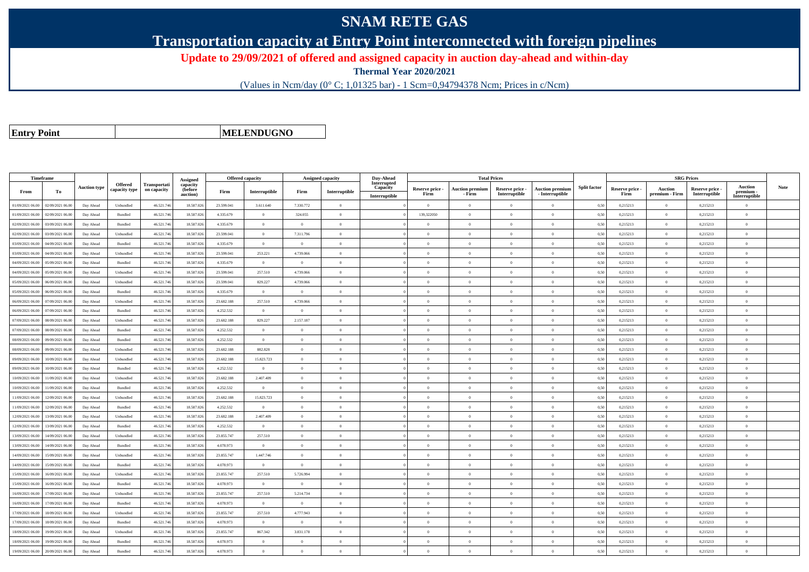## **SNAM RETE GAS**

**Transportation capacity at Entry Point interconnected with foreign pipelines**

**Update to 29/09/2021 of offered and assigned capacity in auction day-ahead and within-day**

**Thermal Year 2020/2021**

(Values in Ncm/day (0° C; 1,01325 bar) - 1 Scm=0,94794378 Ncm; Prices in c/Ncm)

**Entry Point**

**MELENDUGNO**

|                  | Timeframe        |                     |                                 |                                    | Assigned                        | <b>Offered capacity</b> |                |                | <b>Assigned capacity</b> | Day-Ahead                                |                         | <b>Total Prices</b>              |                                  |                                           |                     |                         | <b>SRG Prices</b>         |                                  |                                              |             |
|------------------|------------------|---------------------|---------------------------------|------------------------------------|---------------------------------|-------------------------|----------------|----------------|--------------------------|------------------------------------------|-------------------------|----------------------------------|----------------------------------|-------------------------------------------|---------------------|-------------------------|---------------------------|----------------------------------|----------------------------------------------|-------------|
| From             | To               | <b>Auction type</b> | <b>Offered</b><br>capacity type | <b>Transportati</b><br>on capacity | capacity<br>(before<br>auction) | Firm                    | Interruptible  | Firm           | Interruptible            | Interrupted<br>Capacity<br>Interruptible | Reserve price -<br>Firm | <b>Auction premium</b><br>- Firm | Reserve price -<br>Interruptible | <b>Auction premium</b><br>- Interruptible | <b>Split factor</b> | Reserve price -<br>Firm | Auction<br>premium - Firm | Reserve price -<br>Interruptible | <b>Auction</b><br>premium -<br>Interruptible | <b>Note</b> |
| 01/09/2021 06:00 | 02/09/2021 06:00 | Day Ahead           | Unbundled                       | 46.521.74                          | 18.587.026                      | 23,599.041              | 3.611.640      | 7.330.772      | $\Omega$                 |                                          | $\overline{0}$          | $\theta$                         | $\Omega$                         | $\Omega$                                  | 0,50                | 0,215213                | $\Omega$                  | 0,215213                         | $\Omega$                                     |             |
| 01/09/2021 06:00 | 02/09/2021 06.00 | Day Ahead           | Bundled                         | 46.521.74                          | 18,587,026                      | 4.335.679               | $\Omega$       | 324.055        | $\Omega$                 |                                          | 139,322050              |                                  | $\Omega$                         | $\theta$                                  | 0.50                | 0,215213                | $\overline{0}$            | 0,215213                         | $\theta$                                     |             |
| 02/09/2021 06:00 | 03/09/2021 06:00 | Day Ahead           | Bundled                         | 46.521.746                         | 18,587,026                      | 4.335.679               | $\overline{0}$ | $\overline{0}$ | $\overline{0}$           |                                          | $\overline{0}$          | $\theta$                         | $\overline{0}$                   | $\overline{0}$                            | 0,50                | 0,215213                | $\overline{0}$            | 0,215213                         | $\overline{0}$                               |             |
| 02/09/2021 06:00 | 03/09/2021 06.0  | Day Ahead           | Unbundled                       | 46.521.746                         | 18.587.026                      | 23.599.041              | $\,$ 0 $\,$    | 7.311.796      | $\overline{0}$           |                                          | $\overline{0}$          | $\theta$                         | $\overline{0}$                   | $\overline{0}$                            | 0,50                | 0,215213                | $\overline{0}$            | 0,215213                         | $\mathbf{0}$                                 |             |
| 03/09/2021 06:00 | 04/09/2021 06:00 | Day Ahead           | Bundled                         | 46.521.74                          | 18.587.026                      | 4.335.679               | $\overline{0}$ | $\theta$       | $\Omega$                 |                                          | $\Omega$                |                                  | $\theta$                         | $\Omega$                                  | 0,50                | 0,215213                | $\theta$                  | 0,215213                         | $\theta$                                     |             |
| 03/09/2021 06:00 | 04/09/2021 06.00 | Day Ahead           | Unbundled                       | 46.521.74                          | 18.587.026                      | 23.599.041              | 253.221        | 4.739.066      | $\Omega$                 |                                          | $\Omega$                | $\theta$                         | $\Omega$                         | $\overline{0}$                            | 0.50                | 0,215213                | $\overline{0}$            | 0,215213                         | $\Omega$                                     |             |
| 04/09/2021 06:00 | 05/09/2021 06.00 | Day Ahead           | Bundled                         | 46.521.746                         | 18.587.026                      | 4.335.679               | $\overline{0}$ | $\Omega$       | $\Omega$                 |                                          | $\Omega$                | $\theta$                         | $\theta$                         | $\Omega$                                  | 0,50                | 0,215213                | $\overline{0}$            | 0,215213                         | $\Omega$                                     |             |
| 04/09/2021 06.00 | 05/09/2021 06.00 | Day Ahead           | Unbundled                       | 46.521.746                         | 18.587.026                      | 23.599.041              | 257.510        | 4.739.066      | $\Omega$                 |                                          | $\Omega$                |                                  | $\theta$                         | $\theta$                                  | 0,50                | 0,215213                | $\Omega$                  | 0,215213                         | $\theta$                                     |             |
| 05/09/2021 06:00 | 06/09/2021 06.0  | Day Ahead           | Unbundled                       | 46.521.746                         | 18.587.026                      | 23.599.041              | 829.227        | 4.739.066      | $\Omega$                 |                                          | $\Omega$                | $\theta$                         | $\overline{0}$                   | $\overline{0}$                            | 0,50                | 0,215213                | $\overline{0}$            | 0,215213                         | $\Omega$                                     |             |
| 05/09/2021 06:00 | 06/09/2021 06:00 | Day Ahead           | Bundled                         | 46.521.746                         | 18.587.026                      | 4.335.679               | $\overline{0}$ | $\theta$       | $\Omega$                 |                                          | $\Omega$                | $\theta$                         | $\overline{0}$                   | $\overline{0}$                            | 0,50                | 0,215213                | $\overline{0}$            | 0,215213                         | $\Omega$                                     |             |
| 06/09/2021 06:00 | 07/09/2021 06:00 | Day Ahead           | Unbundled                       | 46.521.746                         | 18,587,026                      | 23.682.188              | 257.510        | 4.739.066      | $\Omega$                 |                                          | $\Omega$                | $\Omega$                         | $\Omega$                         | $\theta$                                  | 0.50                | 0,215213                | $\overline{0}$            | 0.215213                         | $\theta$                                     |             |
| 06/09/2021 06.0  | 07/09/2021 06.0  | Day Ahead           | Bundled                         | 46.521.74                          | 18.587.026                      | 4.252.532               | $\overline{0}$ | $\overline{0}$ | $\Omega$                 |                                          | $\Omega$                | $\theta$                         | $\overline{0}$                   | $\theta$                                  | 0,50                | 0,215213                | $\theta$                  | 0,215213                         | $\Omega$                                     |             |
| 07/09/2021 06:00 | 08/09/2021 06:00 | Day Ahead           | Unbundled                       | 46.521.746                         | 18,587,026                      | 23.682.188              | 829.227        | 2.157.187      | $\overline{0}$           |                                          | $\Omega$                |                                  | $\overline{0}$                   | $\theta$                                  | 0.50                | 0.215213                | $\overline{0}$            | 0.215213                         | $\theta$                                     |             |
| 07/09/2021 06:00 | 08/09/2021 06:00 | Day Ahead           | <b>Bundled</b>                  | 46.521.746                         | 18.587.026                      | 4.252.532               | $\overline{0}$ | $\theta$       | $\Omega$                 |                                          | $\Omega$                | $\theta$                         | $\Omega$                         | $\theta$                                  | 0,50                | 0,215213                | $\overline{0}$            | 0,215213                         | $\Omega$                                     |             |
| 08/09/2021 06:00 | 09/09/2021 06.0  | Day Ahead           | Bundled                         | 46.521.74                          | 18.587.026                      | 4.252.532               | $\overline{0}$ | $\overline{0}$ | $\theta$                 |                                          | $\Omega$                |                                  | $\overline{0}$                   | $\theta$                                  | 0,50                | 0,215213                | $\overline{0}$            | 0,215213                         | $\theta$                                     |             |
| 08/09/2021 06:00 | 09/09/2021 06:00 | Day Ahead           | Unbundled                       | 46.521.746                         | 18,587,026                      | 23.682.188              | 882.828        | $\overline{0}$ | $\Omega$                 |                                          | $\Omega$                | $\theta$                         | $\Omega$                         | $\theta$                                  | 0,50                | 0,215213                | $\overline{0}$            | 0.215213                         | $\theta$                                     |             |
| 09/09/2021 06:00 | 10/09/2021 06:00 | Day Ahead           | Unbundled                       | 46.521.746                         | 18,587,026                      | 23.682.188              | 15.823.723     | $\Omega$       | $\Omega$                 |                                          | $\Omega$                | $\theta$                         | $\overline{0}$                   | $\overline{0}$                            | 0.50                | 0,215213                | $\overline{0}$            | 0.215213                         | $\theta$                                     |             |
| 09/09/2021 06.00 | 10/09/2021 06.0  | Day Ahead           | Bundled                         | 46.521.74                          | 18.587.026                      | 4.252.532               | $\overline{0}$ | $\overline{0}$ | $\overline{0}$           |                                          | $\theta$                |                                  | $\overline{0}$                   | $\theta$                                  | 0,50                | 0,215213                | $\overline{0}$            | 0,215213                         | $\theta$                                     |             |
| 10/09/2021 06:00 | 1/09/2021 06.00  | Day Ahead           | Unbundled                       | 46.521.746                         | 18.587.026                      | 23.682.188              | 2.407.409      | $\overline{0}$ | $\overline{0}$           |                                          | $\Omega$                | $\sqrt{2}$                       | $\overline{0}$                   | $\theta$                                  | 0,50                | 0,215213                | $\overline{0}$            | 0,215213                         | $\Omega$                                     |             |
| 10/09/2021 06:00 | 11/09/2021 06.00 | Day Ahead           | Bundled                         | 46.521.746                         | 18.587.026                      | 4.252.532               | $\overline{0}$ | $\Omega$       | $\Omega$                 |                                          | $\Omega$                | $\theta$                         | $\Omega$                         | $\Omega$                                  | 0,50                | 0,215213                | $\theta$                  | 0,215213                         | $\Omega$                                     |             |
| 11/09/2021 06:00 | 12/09/2021 06:00 | Day Ahead           | Unbundled                       | 46.521.74                          | 18.587.026                      | 23.682.188              | 15.823.723     | $\Omega$       | $\Omega$                 |                                          | $\Omega$                |                                  | $\Omega$                         | $\theta$                                  | 0,50                | 0,215213                | $\Omega$                  | 0,215213                         | $\theta$                                     |             |
| 11/09/2021 06:00 | 12/09/2021 06:00 | Day Ahead           | Bundled                         | 46.521.746                         | 18,587.026                      | 4.252.532               | $\overline{0}$ | $\overline{0}$ | $\overline{0}$           |                                          | $\overline{0}$          | $\sqrt{2}$                       | $\overline{0}$                   | $\overline{0}$                            | 0,50                | 0,215213                | $\overline{0}$            | 0,215213                         | $\mathbf{0}$                                 |             |
| 12/09/2021 06:00 | 13/09/2021 06:00 | Day Ahead           | Unbundled                       | 46.521.746                         | 18.587.026                      | 23.682.188              | 2.407.409      | $\overline{0}$ | $\overline{0}$           |                                          | $\overline{0}$          | $\overline{0}$                   | $\overline{0}$                   | $\,$ 0                                    | 0,50                | 0,215213                | $\overline{0}$            | 0,215213                         | $\mathbf{0}$                                 |             |
| 12/09/2021 06:00 | 13/09/2021 06.00 | Day Ahead           | Bundled                         | 46.521.74                          | 18.587.026                      | 4.252.532               | $\overline{0}$ | $\overline{0}$ | $\Omega$                 |                                          | $\Omega$                |                                  | $\overline{0}$                   | $\theta$                                  | 0,50                | 0,215213                | $\overline{0}$            | 0,215213                         | $\theta$                                     |             |
| 13/09/2021 06:00 | 14/09/2021 06.00 | Day Ahead           | Unbundled                       | 46.521.74                          | 18.587.026                      | 23.855.747              | 257.510        | $\overline{0}$ | $\overline{0}$           |                                          | $\Omega$                | $\theta$                         | $\overline{0}$                   | $\overline{0}$                            | 0,50                | 0,215213                | $\overline{0}$            | 0,215213                         | $\theta$                                     |             |
| 13/09/2021 06:00 | 14/09/2021 06.00 | Day Ahead           | Bundled                         | 46.521.746                         | 18.587.026                      | 4.078.973               | $\overline{0}$ | $\overline{0}$ | $\Omega$                 |                                          | $\Omega$                | $\theta$                         | $\overline{0}$                   | $\Omega$                                  | 0,50                | 0,215213                | $\overline{0}$            | 0,215213                         | $\mathbf{0}$                                 |             |
| 14/09/2021 06:00 | 15/09/2021 06:00 | Day Ahead           | Unbundled                       | 46.521.746                         | 18,587,026                      | 23.855.747              | 1.447.746      | $\Omega$       | $\Omega$                 |                                          | $\Omega$                |                                  | $\theta$                         | $\theta$                                  | 0.50                | 0,215213                | $\overline{0}$            | 0,215213                         | $\theta$                                     |             |
| 14/09/2021 06:00 | 15/09/2021 06.00 | Day Ahead           | Bundled                         | 46.521.74                          | 18,587,026                      | 4.078.973               | $\overline{0}$ | $\overline{0}$ | $\overline{0}$           |                                          | $\overline{0}$          | $\theta$                         | $\overline{0}$                   | $\overline{0}$                            | 0,50                | 0,215213                | $\overline{0}$            | 0,215213                         | $\mathbf{0}$                                 |             |
| 15/09/2021 06:00 | 16/09/2021 06.00 | Day Ahead           | Unbundled                       | 46.521.746                         | 18.587.026                      | 23.855.747              | 257.510        | 5.726.994      | $\overline{0}$           |                                          | $\overline{0}$          | $\bf{0}$                         | $\overline{0}$                   | $\overline{0}$                            | 0,50                | 0,215213                | $\overline{0}$            | 0,215213                         | $\mathbf{0}$                                 |             |
| 15/09/2021 06:00 | 16/09/2021 06:00 | Day Ahead           | <b>Bundled</b>                  | 46.521.746                         | 18,587,026                      | 4.078.973               | $\overline{0}$ | $\theta$       | $\Omega$                 |                                          | $\Omega$                | $\theta$                         | $\theta$                         | $\theta$                                  | 0.50                | 0,215213                | $\overline{0}$            | 0,215213                         | $\Omega$                                     |             |
| 16/09/2021 06.0  | 17/09/2021 06.0  | Day Ahead           | Unbundled                       | 46.521.74                          | 18.587.02                       | 23.855.747              | 257.510        | 5.214.734      | $\overline{0}$           |                                          | $\Omega$                |                                  | $\overline{0}$                   | $\theta$                                  | 0,50                | 0,215213                | $\overline{0}$            | 0,215213                         | $\theta$                                     |             |
| 16/09/2021 06:00 | 17/09/2021 06.00 | Day Ahead           | Bundled                         | 46.521.746                         | 18.587.026                      | 4.078.973               | $\overline{0}$ | $\theta$       | $\Omega$                 |                                          | $\Omega$                | $\theta$                         | $\Omega$                         | $\theta$                                  | 0,50                | 0,215213                | $\overline{0}$            | 0,215213                         | $\Omega$                                     |             |
| 17/09/2021 06:00 | 18/09/2021 06:00 | Day Ahead           | Unbundled                       | 46.521.746                         | 18.587.026                      | 23.855.747              | 257.510        | 4.777.943      | $\Omega$                 |                                          | $\Omega$                | $\theta$                         | $\Omega$                         | $\Omega$                                  | 0.50                | 0,215213                | $\overline{0}$            | 0,215213                         | $\Omega$                                     |             |
| 17/09/2021 06.00 | 18/09/2021 06.0  | Day Ahead           | Bundled                         | 46.521.74                          | 18.587.026                      | 4.078.973               | $\overline{0}$ | $\overline{0}$ | $\overline{0}$           |                                          | $\overline{0}$          | $\theta$                         | $\overline{0}$                   | $\theta$                                  | 0,50                | 0,215213                | $\overline{0}$            | 0,215213                         | $\mathbf{0}$                                 |             |
| 18/09/2021 06:00 | 19/09/2021 06.00 | Day Ahead           | Unbundled                       | 46.521.746                         | 18.587.026                      | 23.855.747              | 867.342        | 3.831.178      | $\overline{0}$           |                                          | $\Omega$                | $\theta$                         | $\overline{0}$                   | $\overline{0}$                            | 0,50                | 0,215213                | $\overline{0}$            | 0,215213                         | $\Omega$                                     |             |
| 18/09/2021 06:00 | 19/09/2021 06.0  | Day Ahead           | Bundled                         | 46.521.74                          | 18.587.026                      | 4.078.973               | $\overline{0}$ | $\theta$       | $\Omega$                 |                                          | $\Omega$                | $\theta$                         | $\theta$                         | $\overline{0}$                            | 0.50                | 0,215213                | $\overline{0}$            | 0,215213                         | $\Omega$                                     |             |
| 19/09/2021 06:00 | 20/09/2021 06:00 | Day Ahead           | Bundled                         | 46.521.746                         | 18,587,026                      | 4.078.973               | $\Omega$       | $\Omega$       | $\Omega$                 |                                          | $\Omega$                |                                  | $\Omega$                         | $\theta$                                  | 0,50                | 0,215213                | $\theta$                  | 0,215213                         | $\Omega$                                     |             |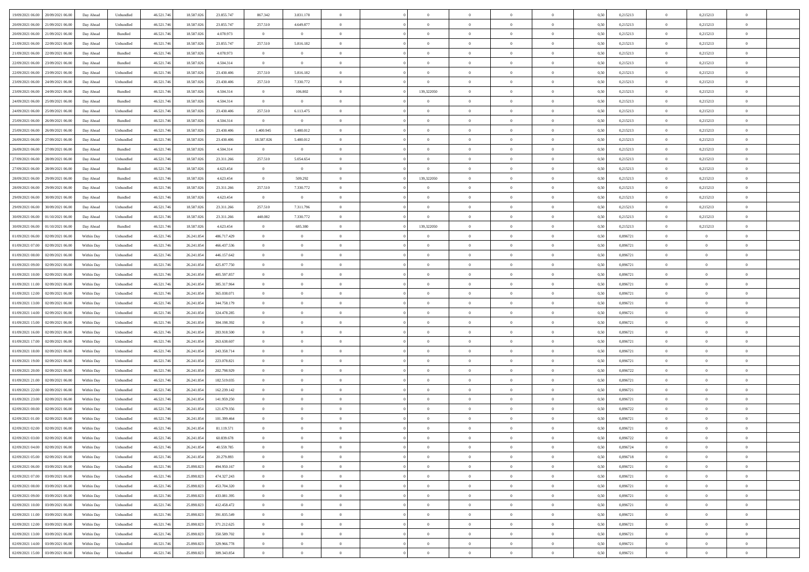| 19/09/2021 06:00 20/09/2021 06:00            | Day Ahead  | Unbundled | 46.521.74  | 18.587.026 | 23.855.747  | 867.342        | 3.831.178      |                | $\overline{0}$ | $\theta$       |                | $\theta$       | 0,50 | 0,215213 | $\theta$       | 0,215213       | $\overline{0}$ |  |
|----------------------------------------------|------------|-----------|------------|------------|-------------|----------------|----------------|----------------|----------------|----------------|----------------|----------------|------|----------|----------------|----------------|----------------|--|
| 20/09/2021 06:00<br>21/09/2021 06:00         | Day Ahead  | Unbundled | 46.521.74  | 18.587.02  | 23.855.747  | 257.510        | 4.649.877      | $\overline{0}$ | $\overline{0}$ | $\theta$       | $\overline{0}$ | $\bf{0}$       | 0,50 | 0,215213 | $\,$ 0 $\,$    | 0,215213       | $\overline{0}$ |  |
| 20/09/2021 06:00<br>21/09/2021 06:00         | Day Ahead  | Bundled   | 46.521.746 | 18.587.026 | 4.078.973   | $\overline{0}$ | $\overline{0}$ | $\overline{0}$ | $\bf{0}$       | $\bf{0}$       | $\overline{0}$ | $\bf{0}$       | 0.50 | 0,215213 | $\overline{0}$ | 0,215213       | $\overline{0}$ |  |
| 21/09/2021 06:00<br>22/09/2021 06:00         | Day Ahead  | Unbundled | 46.521.74  | 18.587.026 | 23.855.747  | 257.510        | 5.816.182      | $\overline{0}$ | $\theta$       | $\theta$       | $\overline{0}$ | $\overline{0}$ | 0,50 | 0,215213 | $\,$ 0 $\,$    | 0,215213       | $\overline{0}$ |  |
| 21/09/2021 06:00<br>22/09/2021 06.00         | Day Ahead  | Bundled   | 46.521.74  | 18.587.026 | 4.078.973   | $\bf{0}$       | $\overline{0}$ | $\overline{0}$ | $\overline{0}$ | $\theta$       | $\overline{0}$ | $\bf{0}$       | 0,50 | 0,215213 | $\,$ 0 $\,$    | 0,215213       | $\overline{0}$ |  |
| 22/09/2021 06:00<br>23/09/2021 06:00         | Day Ahead  | Bundled   | 46.521.74  | 18,587,026 | 4.504.314   | $\overline{0}$ | $\overline{0}$ | $\Omega$       | $\overline{0}$ | $\overline{0}$ | $\Omega$       | $\bf{0}$       | 0.50 | 0.215213 | $\bf{0}$       | 0.215213       | $\overline{0}$ |  |
| 23/09/2021 06:00<br>22/09/2021 06:00         | Day Ahead  | Unbundled | 46.521.74  | 18.587.026 | 23.430.406  | 257.510        | 5.816.182      | $\overline{0}$ | $\overline{0}$ | $\theta$       | $\overline{0}$ | $\overline{0}$ | 0,50 | 0,215213 | $\,$ 0 $\,$    | 0,215213       | $\overline{0}$ |  |
|                                              |            |           |            |            |             |                |                |                |                |                |                |                |      |          |                |                |                |  |
| 23/09/2021 06:00<br>24/09/2021 06.00         | Day Ahead  | Unbundled | 46.521.74  | 18.587.02  | 23.430.406  | 257.510        | 7.330.772      | $\bf{0}$       | $\overline{0}$ | $\theta$       | $\overline{0}$ | $\bf{0}$       | 0,50 | 0,215213 | $\,$ 0 $\,$    | 0,215213       | $\overline{0}$ |  |
| 23/09/2021 06:00<br>24/09/2021 06:00         | Day Ahead  | Bundled   | 46.521.74  | 18.587.026 | 4.504.314   | $\overline{0}$ | 106.802        | $\overline{0}$ | 139,322050     | $\overline{0}$ | $\overline{0}$ | $\bf{0}$       | 0.50 | 0.215213 | $\bf{0}$       | 0,215213       | $\overline{0}$ |  |
| 24/09/2021 06:00<br>25/09/2021 06:00         | Day Ahead  | Bundled   | 46.521.74  | 18.587.026 | 4.504.314   | $\overline{0}$ | $\overline{0}$ | $\overline{0}$ | $\overline{0}$ | $\overline{0}$ | $\overline{0}$ | $\bf{0}$       | 0,50 | 0,215213 | $\bf{0}$       | 0,215213       | $\overline{0}$ |  |
| 24/09/2021 06:00<br>25/09/2021 06.00         | Day Ahead  | Unbundled | 46.521.74  | 18.587.026 | 23.430.406  | 257.510        | 6.113.475      | $\overline{0}$ | $\overline{0}$ | $\theta$       | $\overline{0}$ | $\bf{0}$       | 0,50 | 0,215213 | $\,$ 0 $\,$    | 0,215213       | $\overline{0}$ |  |
| 25/09/2021 06:00<br>26/09/2021 06:00         | Day Ahead  | Bundled   | 46.521.746 | 18,587,026 | 4.504.314   | $\overline{0}$ | $\overline{0}$ | $\overline{0}$ | $\bf{0}$       | $\overline{0}$ | $\overline{0}$ | $\bf{0}$       | 0.50 | 0,215213 | $\overline{0}$ | 0,215213       | $\overline{0}$ |  |
| 25/09/2021 06:00<br>26/09/2021 06:00         | Day Ahead  | Unbundled | 46.521.74  | 18.587.026 | 23.430.406  | 1.400.945      | 5.480.012      | $\overline{0}$ | $\overline{0}$ | $\theta$       | $\overline{0}$ | $\overline{0}$ | 0,50 | 0,215213 | $\,$ 0 $\,$    | 0,215213       | $\overline{0}$ |  |
| 26/09/2021 06:00<br>27/09/2021 06.00         | Day Ahead  | Unbundled | 46.521.74  | 18.587.02  | 23.430.406  | 18.587.026     | 5.480.012      | $\bf{0}$       | $\overline{0}$ | $\theta$       | $\overline{0}$ | $\bf{0}$       | 0,50 | 0,215213 | $\,$ 0 $\,$    | 0,215213       | $\overline{0}$ |  |
| 26/09/2021 06:00<br>27/09/2021 06:00         | Day Ahead  | Bundled   | 46.521.746 | 18.587.026 | 4.504.314   | $\overline{0}$ | $\overline{0}$ | $\overline{0}$ | $\overline{0}$ | $\theta$       | $\Omega$       | $\bf{0}$       | 0.50 | 0.215213 | $\bf{0}$       | 0,215213       | $\overline{0}$ |  |
| 27/09/2021 06:00<br>28/09/2021 06:00         | Day Ahead  | Unbundled | 46.521.74  | 18.587.026 | 23.311.266  | 257.510        | 5.054.654      | $\overline{0}$ | $\overline{0}$ | $\theta$       | $\overline{0}$ | $\bf{0}$       | 0,50 | 0,215213 | $\bf{0}$       | 0,215213       | $\overline{0}$ |  |
|                                              |            |           |            |            |             |                |                |                |                |                |                |                |      |          |                |                |                |  |
| 27/09/2021 06:00<br>28/09/2021 06.00         | Day Ahead  | Bundled   | 46.521.74  | 18.587.02  | 4.623.454   | $\bf{0}$       | $\bf{0}$       | $\overline{0}$ | $\overline{0}$ | $\theta$       | $\overline{0}$ | $\bf{0}$       | 0,50 | 0,215213 | $\,$ 0 $\,$    | 0,215213       | $\overline{0}$ |  |
| 28/09/2021 06:00<br>29/09/2021 06:00         | Day Ahead  | Bundled   | 46.521.74  | 18.587.02  | 4.623.454   | $\overline{0}$ | 509.292        | $\Omega$       | 139,322050     | $\overline{0}$ | $\overline{0}$ | $\bf{0}$       | 0.50 | 0.215213 | $\bf{0}$       | 0.215213       | $\overline{0}$ |  |
| 28/09/2021 06:00<br>29/09/2021 06:00         | Day Ahead  | Unbundled | 46.521.74  | 18.587.026 | 23.311.266  | 257.510        | 7.330.772      | $\overline{0}$ | $\overline{0}$ | $\overline{0}$ | $\overline{0}$ | $\bf{0}$       | 0,50 | 0,215213 | $\,$ 0 $\,$    | 0,215213       | $\overline{0}$ |  |
| 29/09/2021 06:00<br>30/09/2021 06.00         | Day Ahead  | Bundled   | 46.521.74  | 18.587.026 | 4.623.454   | $\bf{0}$       | $\overline{0}$ | $\bf{0}$       | $\overline{0}$ | $\overline{0}$ | $\overline{0}$ | $\bf{0}$       | 0,50 | 0,215213 | $\,$ 0 $\,$    | 0,215213       | $\overline{0}$ |  |
| 29/09/2021 06:00<br>30/09/2021 06:00         | Day Ahead  | Unbundled | 46.521.74  | 18,587,026 | 23.311.266  | 257.510        | 7.311.796      | $\overline{0}$ | $\bf{0}$       | $\overline{0}$ | $\overline{0}$ | $\bf{0}$       | 0.50 | 0,215213 | $\overline{0}$ | 0,215213       | $\overline{0}$ |  |
| 30/09/2021 06:00<br>01/10/2021 06:00         | Day Ahead  | Unbundled | 46.521.74  | 18.587.026 | 23.311.266  | 448.082        | 7.330.772      | $\overline{0}$ | $\theta$       | $\theta$       | $\overline{0}$ | $\bf{0}$       | 0.5( | 0,215213 | $\,$ 0 $\,$    | 0,215213       | $\overline{0}$ |  |
| 30/09/2021 06:00<br>01/10/2021 06.00         | Day Ahead  | Bundled   | 46.521.74  | 18.587.026 | 4.623.454   | $\bf{0}$       | 685.380        | $\overline{0}$ | 139,322050     | $\theta$       | $\overline{0}$ | $\bf{0}$       | 0,50 | 0,215213 | $\,$ 0 $\,$    | 0,215213       | $\overline{0}$ |  |
| 01/09/2021 06:00<br>02/09/2021 06:00         | Within Day | Unbundled | 46.521.74  | 26.241.85  | 486.717.429 | $\overline{0}$ | $\overline{0}$ | $\overline{0}$ | $\overline{0}$ | $\overline{0}$ | $\Omega$       | $\bf{0}$       | 0.50 | 0.896721 | $\,$ 0 $\,$    | $\overline{0}$ | $\overline{0}$ |  |
| 01/09/2021 07:00<br>02/09/2021 06:00         | Within Day | Unbundled | 46.521.74  | 26.241.854 | 466.437.536 | $\overline{0}$ | $\overline{0}$ | $\overline{0}$ | $\overline{0}$ | $\theta$       | $\overline{0}$ | $\overline{0}$ | 0,50 | 0,896721 | $\theta$       | $\theta$       | $\overline{0}$ |  |
|                                              |            |           |            |            |             |                |                |                |                |                |                |                |      |          |                |                |                |  |
| 01/09/2021 08:00<br>02/09/2021 06.00         | Within Day | Unbundled | 46.521.74  | 26.241.854 | 446.157.642 | $\bf{0}$       | $\overline{0}$ | $\bf{0}$       | $\overline{0}$ | $\theta$       | $\overline{0}$ | $\bf{0}$       | 0,50 | 0,896721 | $\,$ 0 $\,$    | $\bf{0}$       | $\overline{0}$ |  |
| 01/09/2021 09:00<br>02/09/2021 06:00         | Within Day | Unbundled | 46.521.74  | 26.241.854 | 425.877.750 | $\overline{0}$ | $\bf{0}$       | $\overline{0}$ | $\bf{0}$       | $\overline{0}$ | $\overline{0}$ | $\bf{0}$       | 0.50 | 0.896721 | $\bf{0}$       | $\theta$       | $\overline{0}$ |  |
| 02/09/2021 06:00<br>01/09/2021 10:00         | Within Day | Unbundled | 46.521.74  | 26.241.854 | 405.597.857 | $\overline{0}$ | $\overline{0}$ | $\overline{0}$ | $\overline{0}$ | $\overline{0}$ | $\overline{0}$ | $\bf{0}$       | 0,50 | 0,896721 | $\theta$       | $\theta$       | $\overline{0}$ |  |
| 01/09/2021 11:00<br>02/09/2021 06.00         | Within Day | Unbundled | 46.521.74  | 26.241.854 | 385.317.964 | $\bf{0}$       | $\bf{0}$       | $\bf{0}$       | $\bf{0}$       | $\overline{0}$ | $\overline{0}$ | $\bf{0}$       | 0,50 | 0,896721 | $\,$ 0 $\,$    | $\bf{0}$       | $\overline{0}$ |  |
| 01/09/2021 12:00<br>02/09/2021 06:00         | Within Day | Unbundled | 46.521.74  | 26.241.854 | 365,038,071 | $\overline{0}$ | $\bf{0}$       | $\overline{0}$ | $\bf{0}$       | $\bf{0}$       | $\overline{0}$ | $\bf{0}$       | 0.50 | 0.896721 | $\bf{0}$       | $\overline{0}$ | $\bf{0}$       |  |
| 01/09/2021 13:00<br>02/09/2021 06:00         | Within Day | Unbundled | 46.521.74  | 26.241.85  | 344,758,179 | $\overline{0}$ | $\overline{0}$ | $\overline{0}$ | $\overline{0}$ | $\overline{0}$ | $\overline{0}$ | $\bf{0}$       | 0.5( | 0,896721 | $\theta$       | $\theta$       | $\overline{0}$ |  |
| 01/09/2021 14:00<br>02/09/2021 06.00         | Within Day | Unbundled | 46.521.74  | 26.241.85  | 324.478.285 | $\bf{0}$       | $\overline{0}$ | $\bf{0}$       | $\overline{0}$ | $\theta$       | $\overline{0}$ | $\bf{0}$       | 0,50 | 0,896721 | $\,$ 0 $\,$    | $\bf{0}$       | $\overline{0}$ |  |
| 01/09/2021 15:00<br>02/09/2021 06:00         | Within Day | Unbundled | 46.521.74  | 26.241.85  | 304.198.392 | $\overline{0}$ | $\overline{0}$ | $\overline{0}$ | $\bf{0}$       | $\theta$       | $\Omega$       | $\bf{0}$       | 0.50 | 0,896721 | $\,$ 0 $\,$    | $\overline{0}$ | $\overline{0}$ |  |
| 01/09/2021 16:00<br>02/09/2021 06:00         | Within Dav | Unbundled | 46.521.74  | 26.241.854 | 283.918.500 | $\overline{0}$ | $\overline{0}$ | $\Omega$       | $\overline{0}$ | $\theta$       | $\overline{0}$ | $\overline{0}$ | 0.5( | 0,896721 | $\theta$       | $\theta$       | $\overline{0}$ |  |
| 02/09/2021 06.00                             | Within Day | Unbundled | 46.521.74  | 26.241.85  | 263.638.607 | $\bf{0}$       | $\overline{0}$ | $\bf{0}$       | $\overline{0}$ | $\bf{0}$       | $\overline{0}$ | $\bf{0}$       | 0,50 | 0,896721 | $\,$ 0 $\,$    | $\bf{0}$       | $\overline{0}$ |  |
| 01/09/2021 17:00                             |            |           |            |            |             |                |                |                |                |                |                |                |      |          |                |                |                |  |
| 01/09/2021 18:00<br>02/09/2021 06:00         | Within Day | Unbundled | 46.521.74  | 26.241.85  | 243.358.714 | $\overline{0}$ | $\bf{0}$       | $\overline{0}$ | $\bf{0}$       | $\overline{0}$ | $\overline{0}$ | $\bf{0}$       | 0.50 | 0.896721 | $\bf{0}$       | $\overline{0}$ | $\overline{0}$ |  |
| 01/09/2021 19:00<br>02/09/2021 06:00         | Within Dav | Unbundled | 46.521.74  | 26.241.85  | 223.078.821 | $\overline{0}$ | $\overline{0}$ | $\overline{0}$ | $\overline{0}$ | $\overline{0}$ | $\overline{0}$ | $\overline{0}$ | 0.5( | 0,896721 | $\theta$       | $\theta$       | $\overline{0}$ |  |
| 01/09/2021 20:00<br>02/09/2021 06.00         | Within Day | Unbundled | 46.521.74  | 26.241.85  | 202.798.929 | $\bf{0}$       | $\bf{0}$       | $\bf{0}$       | $\bf{0}$       | $\overline{0}$ | $\overline{0}$ | $\bf{0}$       | 0,50 | 0,896722 | $\,$ 0 $\,$    | $\bf{0}$       | $\overline{0}$ |  |
| 01/09/2021 21:00<br>02/09/2021 06:00         | Within Day | Unbundled | 46.521.74  | 26.241.854 | 182.519.035 | $\overline{0}$ | $\bf{0}$       | $\overline{0}$ | $\bf{0}$       | $\bf{0}$       | $\overline{0}$ | $\bf{0}$       | 0.50 | 0.896721 | $\bf{0}$       | $\overline{0}$ | $\overline{0}$ |  |
| 01/09/2021 22:00<br>02/09/2021 06:00         | Within Dav | Unbundled | 46.521.74  | 26.241.854 | 162.239.142 | $\overline{0}$ | $\overline{0}$ | $\Omega$       | $\overline{0}$ | $\overline{0}$ | $\overline{0}$ | $\bf{0}$       | 0.5( | 0,896721 | $\theta$       | $\theta$       | $\overline{0}$ |  |
| 01/09/2021 23:00<br>02/09/2021 06.00         | Within Day | Unbundled | 46.521.74  | 26.241.854 | 141.959.250 | $\bf{0}$       | $\overline{0}$ | $\bf{0}$       | $\overline{0}$ | $\overline{0}$ | $\overline{0}$ | $\bf{0}$       | 0,50 | 0,896721 | $\,$ 0 $\,$    | $\bf{0}$       | $\overline{0}$ |  |
| 02/09/2021 00:00<br>02/09/2021 06:00         | Within Day | Unbundled | 46.521.74  | 26.241.85  | 121.679.356 | $\overline{0}$ | $\overline{0}$ | $\Omega$       | $\overline{0}$ | $\overline{0}$ | $\theta$       | $\bf{0}$       | 0.50 | 0,896722 | $\bf{0}$       | $\theta$       | $\overline{0}$ |  |
| 02/09/2021 01:00<br>02/09/2021 06:00         | Within Dav | Unbundled | 46.521.74  | 26.241.85  | 101.399.464 | $\overline{0}$ | $\Omega$       | $\Omega$       | $\Omega$       | $\theta$       | $\Omega$       | $\overline{0}$ | 0.5( | 0,896721 | $\theta$       | $\theta$       | $\overline{0}$ |  |
| 02/09/2021 02:00<br>02/09/2021 06:00         | Within Day | Unbundled | 46.521.74  | 26.241.854 | 81.119.571  | $\bf{0}$       | $\theta$       | $\overline{0}$ | $\bf{0}$       | $\bf{0}$       | $\overline{0}$ | $\bf{0}$       | 0,50 | 0,896721 | $\,$ 0 $\,$    | $\bf{0}$       | $\overline{0}$ |  |
| $02/09/2021\ 03.00 \qquad 02/09/2021\ 06.00$ | Within Day | Unbundled | 46.521.746 | 26.241.854 | 60.839.678  | $\overline{0}$ |                |                | $\Omega$       |                |                |                | 0,50 | 0,896722 | $\theta$       | $\overline{0}$ |                |  |
| 02/09/2021 04:00 02/09/2021 06:00            |            |           |            |            |             | $\theta$       | $\theta$       | $\Omega$       |                | $\overline{0}$ |                |                |      |          | $\theta$       | $\theta$       | $\overline{0}$ |  |
|                                              | Within Day | Unbundled | 46.521.746 | 26.241.854 | 40.559.785  |                |                |                | $\theta$       |                | $\overline{0}$ | $\bf{0}$       | 0,50 | 0,896724 |                |                |                |  |
| 02/09/2021 05:00<br>02/09/2021 06:00         | Within Day | Unbundled | 46.521.74  | 26.241.854 | 20.279.893  | $\overline{0}$ | $\bf{0}$       | $\overline{0}$ | $\overline{0}$ | $\bf{0}$       | $\overline{0}$ | $\bf{0}$       | 0,50 | 0,896718 | $\bf{0}$       | $\overline{0}$ | $\bf{0}$       |  |
| 02/09/2021 06:00 03/09/2021 06:00            | Within Day | Unbundled | 46.521.746 | 25.898.823 | 494.950.167 | $\overline{0}$ | $\bf{0}$       | $\overline{0}$ | $\overline{0}$ | $\overline{0}$ | $\overline{0}$ | $\bf{0}$       | 0.50 | 0.896721 | $\mathbf{0}$   | $\bf{0}$       | $\,$ 0 $\,$    |  |
| 02/09/2021 07:00 03/09/2021 06:00            | Within Dav | Unbundled | 46.521.746 | 25.898.823 | 474.327.243 | $\overline{0}$ | $\overline{0}$ | $\overline{0}$ | $\overline{0}$ | $\overline{0}$ | $\overline{0}$ | $\bf{0}$       | 0,50 | 0,896721 | $\theta$       | $\theta$       | $\overline{0}$ |  |
| 02/09/2021 08:00<br>03/09/2021 06:00         | Within Day | Unbundled | 46.521.74  | 25.898.823 | 453.704.320 | $\overline{0}$ | $\bf{0}$       | $\overline{0}$ | $\bf{0}$       | $\overline{0}$ | $\bf{0}$       | $\bf{0}$       | 0,50 | 0,896721 | $\overline{0}$ | $\bf{0}$       | $\overline{0}$ |  |
| 03/09/2021 06:00<br>02/09/2021 09:00         | Within Day | Unbundled | 46.521.746 | 25,898,823 | 433.081.395 | $\overline{0}$ | $\bf{0}$       | $\overline{0}$ | $\overline{0}$ | $\overline{0}$ | $\overline{0}$ | $\bf{0}$       | 0.50 | 0.896721 | $\,$ 0 $\,$    | $\theta$       | $\overline{0}$ |  |
| 02/09/2021 10:00<br>03/09/2021 06:00         | Within Dav | Unbundled | 46.521.746 | 25.898.823 | 412.458.472 | $\overline{0}$ | $\overline{0}$ | $\overline{0}$ | $\overline{0}$ | $\overline{0}$ | $\overline{0}$ | $\overline{0}$ | 0.50 | 0,896721 | $\overline{0}$ | $\theta$       | $\overline{0}$ |  |
| 02/09/2021 11:00<br>03/09/2021 06:00         | Within Day | Unbundled | 46.521.74  | 25.898.823 | 391.835.549 | $\overline{0}$ | $\bf{0}$       | $\overline{0}$ | $\overline{0}$ | $\bf{0}$       | $\overline{0}$ | $\bf{0}$       | 0,50 | 0,896721 | $\bf{0}$       | $\bf{0}$       | $\overline{0}$ |  |
| 02/09/2021 12:00 03/09/2021 06:00            | Within Day | Unbundled | 46.521.74  | 25,898,823 | 371.212.625 | $\overline{0}$ | $\overline{0}$ | $\overline{0}$ | $\overline{0}$ | $\bf{0}$       | $\overline{0}$ | $\bf{0}$       | 0.50 | 0.896721 | $\overline{0}$ | $\,$ 0 $\,$    | $\,$ 0         |  |
|                                              |            |           |            |            |             |                |                |                |                |                |                |                |      |          |                |                |                |  |
| 02/09/2021 13:00 03/09/2021 06:00            | Within Dav | Unbundled | 46.521.746 | 25.898.823 | 350.589.702 | $\overline{0}$ | $\overline{0}$ | $\overline{0}$ | $\overline{0}$ | $\overline{0}$ | $\overline{0}$ | $\bf{0}$       | 0,50 | 0,896721 | $\overline{0}$ | $\theta$       | $\overline{0}$ |  |
| 02/09/2021 14:00<br>03/09/2021 06:00         | Within Day | Unbundled | 46.521.74  | 25.898.823 | 329.966.778 | $\overline{0}$ | $\bf{0}$       | $\overline{0}$ | $\bf{0}$       | $\overline{0}$ | $\bf{0}$       | $\bf{0}$       | 0,50 | 0,896721 | $\bf{0}$       | $\bf{0}$       | $\overline{0}$ |  |
| 02/09/2021 15:00 03/09/2021 06:00            | Within Day | Unbundled | 46.521.746 | 25.898.823 | 309.343.854 | $\overline{0}$ | $\bf{0}$       | $\overline{0}$ | $\overline{0}$ | $\,$ 0 $\,$    | $\overline{0}$ | $\bf{0}$       | 0,50 | 0,896721 | $\overline{0}$ | $\bf{0}$       | $\,$ 0 $\,$    |  |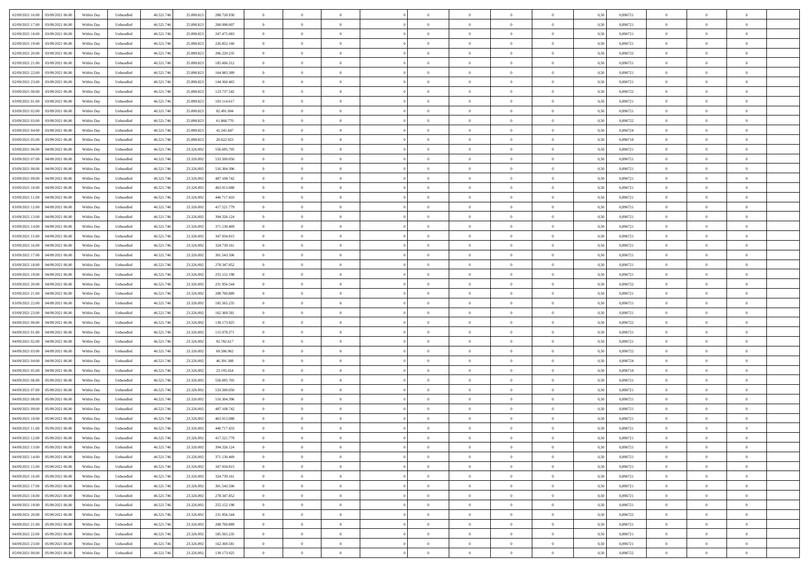| 02/09/2021 16:00 03/09/2021 06:00            | Within Day | Unbundled         | 46.521.74  | 25.898.823 | 288.720.930 | $\overline{0}$ | $\overline{0}$ |                | $\overline{0}$ | $\theta$       |                | $\bf{0}$       | 0,50 | 0,896721 | $\theta$       | $\theta$       | $\overline{0}$ |  |
|----------------------------------------------|------------|-------------------|------------|------------|-------------|----------------|----------------|----------------|----------------|----------------|----------------|----------------|------|----------|----------------|----------------|----------------|--|
| 02/09/2021 17:00<br>03/09/2021 06.00         | Within Day | Unbundled         | 46.521.74  | 25.898.82  | 268.098.007 | $\bf{0}$       | $\overline{0}$ | $\bf{0}$       | $\overline{0}$ | $\bf{0}$       | $\overline{0}$ | $\bf{0}$       | 0,50 | 0,896721 | $\,$ 0 $\,$    | $\bf{0}$       | $\overline{0}$ |  |
| 02/09/2021 18:00<br>03/09/2021 06:00         | Within Day | Unbundled         | 46.521.746 | 25.898.823 | 247.475.083 | $\overline{0}$ | $\bf{0}$       | $\overline{0}$ | $\bf{0}$       | $\bf{0}$       | $\overline{0}$ | $\bf{0}$       | 0.50 | 0.896721 | $\bf{0}$       | $\overline{0}$ | $\overline{0}$ |  |
|                                              |            |                   |            |            |             | $\overline{0}$ | $\overline{0}$ | $\overline{0}$ | $\theta$       | $\theta$       | $\overline{0}$ | $\overline{0}$ |      |          | $\theta$       | $\theta$       | $\overline{0}$ |  |
| 02/09/2021 19:00<br>03/09/2021 06:00         | Within Day | Unbundled         | 46.521.74  | 25.898.823 | 226.852.160 |                |                |                |                |                |                |                | 0,50 | 0,896721 |                |                |                |  |
| 02/09/2021 20:00<br>03/09/2021 06.00         | Within Day | Unbundled         | 46.521.74  | 25.898.823 | 206.229.235 | $\overline{0}$ | $\overline{0}$ | $\bf{0}$       | $\overline{0}$ | $\theta$       | $\overline{0}$ | $\bf{0}$       | 0,50 | 0,896722 | $\,$ 0 $\,$    | $\bf{0}$       | $\overline{0}$ |  |
| 02/09/2021 21:00<br>03/09/2021 06:00         | Within Day | Unbundled         | 46.521.74  | 25.898.82  | 185.606.312 | $\overline{0}$ | $\overline{0}$ | $\overline{0}$ | $\overline{0}$ | $\overline{0}$ | $\theta$       | $\bf{0}$       | 0.50 | 0.896721 | $\,$ 0 $\,$    | $\theta$       | $\overline{0}$ |  |
| 02/09/2021 22:00<br>03/09/2021 06:00         | Within Day | Unbundled         | 46.521.74  | 25.898.823 | 164.983.389 | $\overline{0}$ | $\overline{0}$ | $\overline{0}$ | $\overline{0}$ | $\overline{0}$ | $\overline{0}$ | $\bf{0}$       | 0,50 | 0,896721 | $\theta$       | $\theta$       | $\overline{0}$ |  |
|                                              |            |                   |            |            |             |                | $\overline{0}$ | $\overline{0}$ | $\overline{0}$ | $\theta$       | $\overline{0}$ |                |      |          | $\,$ 0 $\,$    | $\bf{0}$       | $\overline{0}$ |  |
| 02/09/2021 23:00<br>03/09/2021 06.00         | Within Day | Unbundled         | 46.521.74  | 25.898.82  | 144.360.465 | $\bf{0}$       |                |                |                |                |                | $\bf{0}$       | 0,50 | 0,896721 |                |                |                |  |
| 03/09/2021 00:00<br>03/09/2021 06:00         | Within Day | Unbundled         | 46.521.74  | 25.898.82  | 123.737.542 | $\overline{0}$ | $\bf{0}$       | $\overline{0}$ | $\bf{0}$       | $\overline{0}$ | $\overline{0}$ | $\bf{0}$       | 0.50 | 0.896722 | $\bf{0}$       | $\overline{0}$ | $\overline{0}$ |  |
| 03/09/2021 01:00<br>03/09/2021 06:00         | Within Day | Unbundled         | 46.521.74  | 25.898.823 | 103.114.617 | $\overline{0}$ | $\bf{0}$       | $\overline{0}$ | $\overline{0}$ | $\theta$       | $\overline{0}$ | $\bf{0}$       | 0,50 | 0,896721 | $\,$ 0 $\,$    | $\theta$       | $\overline{0}$ |  |
| 03/09/2021 02:00<br>03/09/2021 06.00         | Within Day | Unbundled         | 46.521.74  | 25.898.823 | 82.491.694  | $\bf{0}$       | $\overline{0}$ | $\bf{0}$       | $\overline{0}$ | $\bf{0}$       | $\overline{0}$ | $\bf{0}$       | 0,50 | 0,896721 | $\,$ 0 $\,$    | $\bf{0}$       | $\overline{0}$ |  |
| 03/09/2021 03:00<br>03/09/2021 06:00         | Within Day | Unbundled         | 46.521.746 | 25.898.823 | 61.868.770  | $\overline{0}$ | $\bf{0}$       | $\overline{0}$ | $\bf{0}$       | $\bf{0}$       | $\overline{0}$ | $\bf{0}$       | 0.50 | 0.896722 | $\bf{0}$       | $\overline{0}$ | $\bf{0}$       |  |
|                                              |            |                   |            |            |             |                |                |                |                |                |                |                |      |          |                |                |                |  |
| 03/09/2021 04:00<br>03/09/2021 06:00         | Within Day | Unbundled         | 46.521.74  | 25.898.823 | 41.245.847  | $\overline{0}$ | $\overline{0}$ | $\overline{0}$ | $\overline{0}$ | $\theta$       | $\overline{0}$ | $\overline{0}$ | 0,50 | 0,896724 | $\theta$       | $\theta$       | $\overline{0}$ |  |
| 03/09/2021 05:00<br>03/09/2021 06.00         | Within Day | Unbundled         | 46.521.74  | 25.898.82  | 20.622.923  | $\bf{0}$       | $\theta$       | $\bf{0}$       | $\overline{0}$ | $\theta$       | $\overline{0}$ | $\bf{0}$       | 0,50 | 0,896718 | $\bf{0}$       | $\bf{0}$       | $\overline{0}$ |  |
| 03/09/2021 06:00<br>04/09/2021 06:00         | Within Day | Unbundled         | 46.521.74  | 23.326.092 | 556,695.705 | $\overline{0}$ | $\overline{0}$ | $\overline{0}$ | $\bf{0}$       | $\theta$       | $\Omega$       | $\bf{0}$       | 0.50 | 0,896721 | $\bf{0}$       | $\theta$       | $\overline{0}$ |  |
| 03/09/2021 07:00<br>04/09/2021 06:00         | Within Day | Unbundled         | 46.521.74  | 23.326.092 | 533.500.050 | $\overline{0}$ | $\overline{0}$ | $\overline{0}$ | $\overline{0}$ | $\overline{0}$ | $\overline{0}$ | $\bf{0}$       | 0,50 | 0,896721 | $\theta$       | $\theta$       | $\overline{0}$ |  |
| 03/09/2021 08:00<br>04/09/2021 06.00         | Within Day | Unbundled         | 46.521.74  | 23.326.09  | 510.304.396 | $\bf{0}$       | $\overline{0}$ | $\overline{0}$ | $\overline{0}$ | $\theta$       | $\overline{0}$ | $\bf{0}$       | 0,50 | 0,896721 | $\,$ 0 $\,$    | $\bf{0}$       | $\overline{0}$ |  |
|                                              |            |                   |            |            |             |                |                |                |                |                |                |                |      |          |                |                |                |  |
| 03/09/2021 09:00<br>04/09/2021 06:00         | Within Day | Unbundled         | 46.521.74  | 23.326.092 | 487.108.742 | $\overline{0}$ | $\bf{0}$       | $\overline{0}$ | $\bf{0}$       | $\overline{0}$ | $\overline{0}$ | $\bf{0}$       | 0.50 | 0.896721 | $\bf{0}$       | $\overline{0}$ | $\overline{0}$ |  |
| 03/09/2021 10:00<br>04/09/2021 06:00         | Within Day | Unbundled         | 46.521.74  | 23.326.092 | 463.913.088 | $\overline{0}$ | $\overline{0}$ | $\overline{0}$ | $\overline{0}$ | $\overline{0}$ | $\overline{0}$ | $\bf{0}$       | 0,50 | 0,896721 | $\,$ 0 $\,$    | $\theta$       | $\overline{0}$ |  |
| 03/09/2021 11:00<br>04/09/2021 06.00         | Within Day | Unbundled         | 46.521.74  | 23.326.09  | 440.717.433 | $\bf{0}$       | $\overline{0}$ | $\bf{0}$       | $\bf{0}$       | $\overline{0}$ | $\overline{0}$ | $\bf{0}$       | 0,50 | 0,896721 | $\,$ 0 $\,$    | $\bf{0}$       | $\overline{0}$ |  |
| 03/09/2021 12:00<br>04/09/2021 06:00         | Within Day | Unbundled         | 46.521.746 | 23.326.092 | 417.521.779 | $\overline{0}$ | $\bf{0}$       | $\overline{0}$ | $\bf{0}$       | $\bf{0}$       | $\overline{0}$ | $\bf{0}$       | 0.50 | 0.896721 | $\bf{0}$       | $\overline{0}$ | $\overline{0}$ |  |
| 03/09/2021 13:00<br>04/09/2021 06:00         | Within Day | Unbundled         | 46.521.74  | 23.326.092 | 394.326.124 | $\overline{0}$ | $\overline{0}$ | $\overline{0}$ | $\theta$       | $\theta$       | $\overline{0}$ | $\bf{0}$       | 0,50 | 0,896721 | $\theta$       | $\theta$       | $\overline{0}$ |  |
|                                              |            |                   |            |            |             |                |                |                |                |                |                |                |      |          |                |                |                |  |
| 03/09/2021 14:00<br>04/09/2021 06.00         | Within Day | Unbundled         | 46.521.74  | 23.326.09  | 371.130.469 | $\bf{0}$       | $\overline{0}$ | $\bf{0}$       | $\bf{0}$       | $\bf{0}$       | $\overline{0}$ | $\bf{0}$       | 0,50 | 0,896721 | $\,$ 0 $\,$    | $\bf{0}$       | $\overline{0}$ |  |
| 03/09/2021 15:00<br>04/09/2021 06:00         | Within Day | Unbundled         | 46.521.74  | 23,326.09  | 347.934.815 | $\overline{0}$ | $\overline{0}$ | $\overline{0}$ | $\overline{0}$ | $\overline{0}$ | $\Omega$       | $\bf{0}$       | 0.50 | 0.896721 | $\,$ 0 $\,$    | $\theta$       | $\overline{0}$ |  |
| 03/09/2021 16:00<br>04/09/2021 06.00         | Within Day | Unbundled         | 46.521.74  | 23.326.092 | 324.739.161 | $\overline{0}$ | $\overline{0}$ | $\overline{0}$ | $\overline{0}$ | $\overline{0}$ | $\overline{0}$ | $\bf{0}$       | 0,50 | 0,896721 | $\theta$       | $\theta$       | $\overline{0}$ |  |
| 03/09/2021 17:00<br>04/09/2021 06.00         | Within Day | Unbundled         | 46.521.74  | 23.326.09  | 301.543.506 | $\bf{0}$       | $\overline{0}$ | $\bf{0}$       | $\overline{0}$ | $\theta$       | $\overline{0}$ | $\bf{0}$       | 0,50 | 0,896721 | $\,$ 0 $\,$    | $\bf{0}$       | $\overline{0}$ |  |
| 03/09/2021 18:00<br>04/09/2021 06:00         |            | Unbundled         | 46.521.74  | 23.326.092 | 278.347.852 | $\overline{0}$ |                |                |                |                | $\overline{0}$ |                |      |          |                | $\overline{0}$ |                |  |
|                                              | Within Day |                   |            |            |             |                | $\bf{0}$       | $\overline{0}$ | $\bf{0}$       | $\overline{0}$ |                | $\bf{0}$       | 0.50 | 0.896721 | $\bf{0}$       |                | $\overline{0}$ |  |
| 03/09/2021 19:00<br>04/09/2021 06:00         | Within Day | Unbundled         | 46.521.74  | 23.326.092 | 255.152.198 | $\overline{0}$ | $\overline{0}$ | $\overline{0}$ | $\overline{0}$ | $\overline{0}$ | $\overline{0}$ | $\bf{0}$       | 0,50 | 0,896721 | $\theta$       | $\theta$       | $\overline{0}$ |  |
| 03/09/2021 20:00<br>04/09/2021 06.00         | Within Day | Unbundled         | 46.521.74  | 23.326.092 | 231.956.544 | $\bf{0}$       | $\bf{0}$       | $\bf{0}$       | $\bf{0}$       | $\overline{0}$ | $\overline{0}$ | $\bf{0}$       | 0,50 | 0,896722 | $\,$ 0 $\,$    | $\bf{0}$       | $\overline{0}$ |  |
| 03/09/2021 21:00<br>04/09/2021 06:00         | Within Day | Unbundled         | 46.521.746 | 23.326.092 | 208,760,889 | $\overline{0}$ | $\bf{0}$       | $\overline{0}$ | $\bf{0}$       | $\bf{0}$       | $\overline{0}$ | $\bf{0}$       | 0.50 | 0.896721 | $\bf{0}$       | $\overline{0}$ | $\overline{0}$ |  |
| 03/09/2021 22:00<br>04/09/2021 06:00         | Within Day | Unbundled         | 46.521.74  | 23.326.092 | 185.565.235 | $\overline{0}$ | $\overline{0}$ | $\overline{0}$ | $\overline{0}$ | $\overline{0}$ | $\overline{0}$ | $\bf{0}$       | 0.5( | 0,896721 | $\theta$       | $\theta$       | $\overline{0}$ |  |
|                                              |            |                   |            |            |             |                | $\overline{0}$ |                |                | $\overline{0}$ | $\overline{0}$ |                |      |          |                |                | $\overline{0}$ |  |
| 03/09/2021 23:00<br>04/09/2021 06.00         | Within Day | Unbundled         | 46.521.74  | 23.326.09  | 162.369.581 | $\bf{0}$       |                | $\bf{0}$       | $\overline{0}$ |                |                | $\bf{0}$       | 0,50 | 0,896721 | $\,$ 0 $\,$    | $\bf{0}$       |                |  |
| 04/09/2021 00:00<br>04/09/2021 06:00         | Within Day | Unbundled         | 46.521.74  | 23.326.092 | 139.173.925 | $\overline{0}$ | $\overline{0}$ | $\overline{0}$ | $\bf{0}$       | $\bf{0}$       | $\Omega$       | $\bf{0}$       | 0.50 | 0,896722 | $\,$ 0 $\,$    | $\theta$       | $\overline{0}$ |  |
| 04/09/2021 01:00<br>04/09/2021 06:00         | Within Dav | Unbundled         | 46.521.74  | 23.326.092 | 115.978.271 | $\overline{0}$ | $\overline{0}$ | $\overline{0}$ | $\overline{0}$ | $\overline{0}$ | $\overline{0}$ | $\overline{0}$ | 0.5( | 0,896721 | $\theta$       | $\theta$       | $\overline{0}$ |  |
| 04/09/2021 02:00<br>04/09/2021 06.00         | Within Day | Unbundled         | 46.521.74  | 23.326.09  | 92.782.617  | $\bf{0}$       | $\overline{0}$ | $\bf{0}$       | $\overline{0}$ | $\bf{0}$       | $\overline{0}$ | $\bf{0}$       | 0,50 | 0,896721 | $\,$ 0 $\,$    | $\bf{0}$       | $\overline{0}$ |  |
| 04/09/2021 03:00<br>04/09/2021 06:00         | Within Day | Unbundled         | 46.521.74  | 23.326.092 | 69.586.962  | $\overline{0}$ | $\bf{0}$       | $\overline{0}$ | $\bf{0}$       | $\overline{0}$ | $\overline{0}$ | $\bf{0}$       | 0.50 | 0.896722 | $\bf{0}$       | $\overline{0}$ | $\overline{0}$ |  |
| 04/09/2021 04:00<br>04/09/2021 06:00         | Within Dav | Unbundled         | 46.521.74  | 23.326.092 | 46.391.308  | $\overline{0}$ | $\overline{0}$ | $\overline{0}$ | $\overline{0}$ | $\overline{0}$ | $\overline{0}$ | $\overline{0}$ | 0.50 | 0,896724 | $\theta$       | $\theta$       | $\overline{0}$ |  |
|                                              |            |                   |            |            |             |                |                |                |                |                |                |                |      |          |                |                |                |  |
| 04/09/2021 05:00<br>04/09/2021 06.00         | Within Day | Unbundled         | 46.521.74  | 23.326.09  | 23.195.654  | $\bf{0}$       | $\bf{0}$       | $\bf{0}$       | $\bf{0}$       | $\overline{0}$ | $\overline{0}$ | $\bf{0}$       | 0,50 | 0,896718 | $\,$ 0 $\,$    | $\bf{0}$       | $\overline{0}$ |  |
| 04/09/2021 06:00<br>05/09/2021 06:00         | Within Day | Unbundled         | 46.521.746 | 23.326.092 | 556.695.705 | $\overline{0}$ | $\bf{0}$       | $\overline{0}$ | $\bf{0}$       | $\bf{0}$       | $\overline{0}$ | $\bf{0}$       | 0.50 | 0.896721 | $\bf{0}$       | $\overline{0}$ | $\overline{0}$ |  |
| 04/09/2021 07:00<br>05/09/2021 06:00         | Within Day | Unbundled         | 46.521.74  | 23.326.092 | 533.500.050 | $\overline{0}$ | $\overline{0}$ | $\overline{0}$ | $\overline{0}$ | $\overline{0}$ | $\overline{0}$ | $\bf{0}$       | 0.50 | 0,896721 | $\theta$       | $\theta$       | $\overline{0}$ |  |
| 04/09/2021 08:00<br>05/09/2021 06.00         | Within Day | Unbundled         | 46.521.74  | 23.326.092 | 510.304.396 | $\bf{0}$       | $\overline{0}$ | $\bf{0}$       | $\overline{0}$ | $\overline{0}$ | $\overline{0}$ | $\bf{0}$       | 0,50 | 0,896721 | $\,$ 0 $\,$    | $\bf{0}$       | $\overline{0}$ |  |
| 04/09/2021 09:00<br>05/09/2021 06:00         | Within Day | Unbundled         | 46.521.74  | 23.326.092 | 487.108.742 | $\overline{0}$ | $\overline{0}$ | $\Omega$       | $\overline{0}$ | $\overline{0}$ | $\theta$       | $\bf{0}$       | 0.50 | 0,896721 | $\bf{0}$       | $\theta$       | $\overline{0}$ |  |
|                                              |            |                   |            |            |             |                |                |                |                |                |                |                |      |          |                |                |                |  |
| 04/09/2021 10:00<br>05/09/2021 06:00         | Within Dav | Unbundled         | 46.521.74  | 23,326.09  | 463.913.088 | $\overline{0}$ | $\overline{0}$ | $\Omega$       | $\overline{0}$ | $\theta$       | $\Omega$       | $\overline{0}$ | 0.5( | 0,896721 | $\theta$       | $\theta$       | $\overline{0}$ |  |
| 04/09/2021 11:00<br>05/09/2021 06:00         | Within Day | Unbundled         | 46.521.74  | 23.326.092 | 440.717.433 | $\bf{0}$       | $\bf{0}$       | $\bf{0}$       | $\bf{0}$       | $\bf{0}$       | $\overline{0}$ | $\bf{0}$       | 0,50 | 0,896721 | $\,$ 0 $\,$    | $\bf{0}$       | $\overline{0}$ |  |
| $04/09/2021\ 12.00 \qquad 05/09/2021\ 06.00$ | Within Day | ${\sf Unbundred}$ | 46.521.746 | 23.326.092 | 417.521.779 | $\overline{0}$ | $\Omega$       |                | $\overline{0}$ |                |                |                | 0,50 | 0,896721 | $\theta$       | $\overline{0}$ |                |  |
| 04/09/2021 13:00 05/09/2021 06:00            | Within Day | Unbundled         | 46.521.746 | 23.326.092 | 394.326.124 | $\overline{0}$ | $\theta$       | $\Omega$       | $\theta$       | $\overline{0}$ | $\overline{0}$ | $\bf{0}$       | 0,50 | 0,896721 | $\theta$       | $\theta$       | $\overline{0}$ |  |
| 04/09/2021 14:00<br>05/09/2021 06:00         | Within Day | Unbundled         | 46.521.74  | 23.326.092 | 371.130.469 | $\overline{0}$ | $\bf{0}$       | $\overline{0}$ | $\overline{0}$ | $\bf{0}$       | $\overline{0}$ | $\bf{0}$       | 0,50 | 0,896721 | $\bf{0}$       | $\overline{0}$ | $\bf{0}$       |  |
|                                              |            |                   |            |            |             |                |                |                |                |                |                |                |      |          |                |                |                |  |
| 04/09/2021 15:00  05/09/2021 06:00           | Within Day | Unbundled         | 46.521.746 | 23.326.092 | 347.934.815 | $\overline{0}$ | $\bf{0}$       | $\overline{0}$ | $\overline{0}$ | $\overline{0}$ | $\overline{0}$ | $\bf{0}$       | 0.50 | 0.896721 | $\overline{0}$ | $\bf{0}$       | $\,$ 0 $\,$    |  |
| 04/09/2021 16:00 05/09/2021 06:00            | Within Day | Unbundled         | 46.521.746 | 23.326.092 | 324.739.161 | $\overline{0}$ | $\overline{0}$ | $\overline{0}$ | $\overline{0}$ | $\overline{0}$ | $\overline{0}$ | $\bf{0}$       | 0,50 | 0,896721 | $\theta$       | $\theta$       | $\overline{0}$ |  |
| 04/09/2021 17:00<br>05/09/2021 06:00         | Within Day | Unbundled         | 46.521.74  | 23.326.092 | 301.543.506 | $\overline{0}$ | $\bf{0}$       | $\overline{0}$ | $\bf{0}$       | $\overline{0}$ | $\bf{0}$       | $\bf{0}$       | 0,50 | 0,896721 | $\overline{0}$ | $\bf{0}$       | $\overline{0}$ |  |
| 05/09/2021 06:00<br>04/09/2021 18:00         | Within Day | Unbundled         | 46.521.746 | 23.326.092 | 278.347.852 | $\overline{0}$ | $\bf{0}$       | $\overline{0}$ | $\overline{0}$ | $\overline{0}$ | $\overline{0}$ | $\bf{0}$       | 0.50 | 0,896721 | $\,$ 0 $\,$    | $\theta$       | $\overline{0}$ |  |
| 04/09/2021 19:00<br>05/09/2021 06:00         | Within Dav | Unbundled         | 46.521.746 | 23.326.092 | 255.152.198 | $\overline{0}$ | $\overline{0}$ | $\overline{0}$ | $\overline{0}$ | $\overline{0}$ | $\overline{0}$ | $\bf{0}$       | 0.50 | 0,896721 | $\overline{0}$ | $\theta$       | $\overline{0}$ |  |
|                                              |            |                   |            |            |             |                |                |                |                |                |                |                |      |          |                |                |                |  |
| 04/09/2021 20:00<br>05/09/2021 06:00         | Within Day | Unbundled         | 46.521.74  | 23.326.092 | 231.956.544 | $\overline{0}$ | $\overline{0}$ | $\overline{0}$ | $\overline{0}$ | $\bf{0}$       | $\overline{0}$ | $\bf{0}$       | 0,50 | 0,896722 | $\bf{0}$       | $\overline{0}$ | $\overline{0}$ |  |
| 04/09/2021 21:00  05/09/2021 06:00           | Within Day | Unbundled         | 46.521.746 | 23.326.092 | 208,760,889 | $\overline{0}$ | $\overline{0}$ | $\overline{0}$ | $\overline{0}$ | $\bf{0}$       | $\overline{0}$ | $\bf{0}$       | 0.50 | 0.896721 | $\overline{0}$ | $\,$ 0 $\,$    | $\,$ 0         |  |
| 04/09/2021 22:00 05/09/2021 06:00            | Within Dav | Unbundled         | 46.521.746 | 23.326.092 | 185.565.235 | $\overline{0}$ | $\overline{0}$ | $\overline{0}$ | $\overline{0}$ | $\overline{0}$ | $\overline{0}$ | $\bf{0}$       | 0,50 | 0,896721 | $\overline{0}$ | $\theta$       | $\overline{0}$ |  |
| 04/09/2021 23:00<br>05/09/2021 06:00         | Within Day | Unbundled         | 46.521.74  | 23.326.092 | 162.369.581 | $\overline{0}$ | $\bf{0}$       | $\overline{0}$ | $\bf{0}$       | $\overline{0}$ | $\bf{0}$       | $\bf{0}$       | 0,50 | 0,896721 | $\bf{0}$       | $\bf{0}$       | $\overline{0}$ |  |
|                                              |            |                   |            |            |             |                |                |                |                |                |                |                |      |          |                |                |                |  |
| 05/09/2021 00:00 05/09/2021 06:00            | Within Day | Unbundled         | 46.521.746 | 23.326.092 | 139.173.925 | $\overline{0}$ | $\bf{0}$       | $\overline{0}$ | $\overline{0}$ | $\,$ 0 $\,$    | $\overline{0}$ | $\bf{0}$       | 0,50 | 0,896722 | $\overline{0}$ | $\,$ 0 $\,$    | $\,$ 0 $\,$    |  |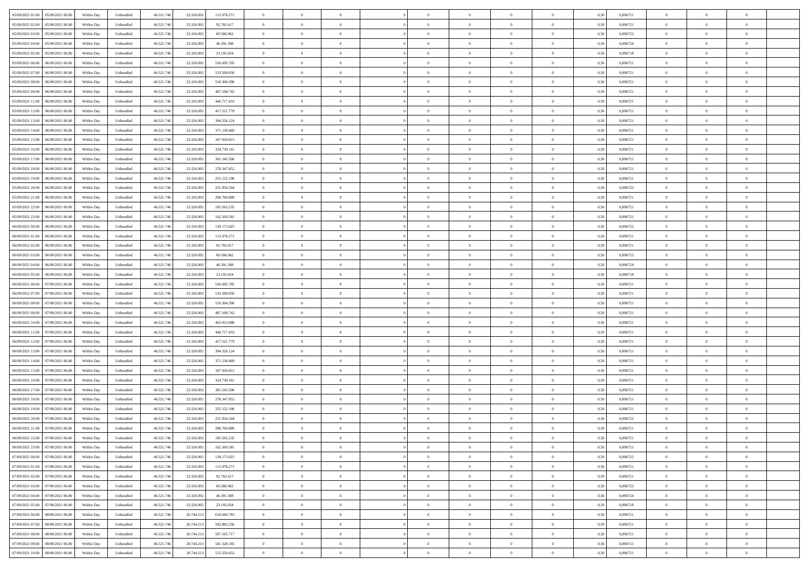| 05/09/2021 01:00<br>05/09/2021 06:00 | Within Day | Unbundled | 46.521.746 | 23.326.092 | 115.978.271 | $\overline{0}$ | $\overline{0}$ | $\overline{0}$ | $\theta$       | $\theta$       |                | $\overline{0}$ | 0,50 | 0,896721 | $\theta$       | $\theta$       | $\theta$       |  |
|--------------------------------------|------------|-----------|------------|------------|-------------|----------------|----------------|----------------|----------------|----------------|----------------|----------------|------|----------|----------------|----------------|----------------|--|
|                                      |            |           |            |            |             |                |                |                |                |                |                |                |      |          |                |                |                |  |
| 05/09/2021 02:00<br>05/09/2021 06.0  | Within Day | Unbundled | 46.521.74  | 23.326.092 | 92.782.617  | $\overline{0}$ | $\overline{0}$ | $\overline{0}$ | $\,$ 0 $\,$    | $\bf{0}$       | $\overline{0}$ | $\bf{0}$       | 0,50 | 0,896721 | $\,$ 0 $\,$    | $\theta$       | $\overline{0}$ |  |
| 05/09/2021 03:00<br>05/09/2021 06:00 | Within Day | Unbundled | 46.521.746 | 23.326.092 | 69.586.962  | $\overline{0}$ | $\overline{0}$ | $\overline{0}$ | $\bf{0}$       | $\bf{0}$       | $\overline{0}$ | $\mathbf{0}$   | 0.50 | 0.896722 | $\bf{0}$       | $\overline{0}$ | $\overline{0}$ |  |
| 05/09/2021 04:00<br>05/09/2021 06:00 | Within Day | Unbundled | 46.521.746 | 23.326.092 | 46.391.308  | $\overline{0}$ | $\overline{0}$ | $\overline{0}$ | $\overline{0}$ | $\overline{0}$ | $\overline{0}$ | $\bf{0}$       | 0,50 | 0,896724 | $\theta$       | $\theta$       | $\overline{0}$ |  |
| 05/09/2021 05:00<br>05/09/2021 06.0  | Within Day | Unbundled | 46.521.74  | 23.326.092 | 23.195.654  | $\bf{0}$       | $\overline{0}$ | $\bf{0}$       | $\overline{0}$ | $\overline{0}$ | $\overline{0}$ | $\bf{0}$       | 0,50 | 0,896718 | $\,$ 0 $\,$    | $\theta$       | $\overline{0}$ |  |
|                                      |            |           |            |            |             |                |                |                |                |                |                |                |      |          |                |                |                |  |
| 05/09/2021 06:00<br>06/09/2021 06:00 | Within Day | Unbundled | 46.521.74  | 23.326.092 | 556,695,705 | $\overline{0}$ | $\overline{0}$ | $\overline{0}$ | $\overline{0}$ | $\overline{0}$ | $\Omega$       | $\overline{0}$ | 0.50 | 0.896721 | $\theta$       | $\theta$       | $\overline{0}$ |  |
| 05/09/2021 07:00<br>06/09/2021 06.00 | Within Day | Unbundled | 46.521.74  | 23.326.092 | 533.500.050 | $\overline{0}$ | $\overline{0}$ | $\overline{0}$ | $\overline{0}$ | $\overline{0}$ | $\overline{0}$ | $\bf{0}$       | 0,50 | 0,896721 | $\theta$       | $\theta$       | $\overline{0}$ |  |
| 05/09/2021 08:00<br>06/09/2021 06.0  | Within Day | Unbundled | 46.521.74  | 23.326.092 | 510.304.396 | $\overline{0}$ | $\overline{0}$ | $\overline{0}$ | $\overline{0}$ | $\overline{0}$ | $\overline{0}$ | $\bf{0}$       | 0,50 | 0,896721 | $\,$ 0 $\,$    | $\bf{0}$       | $\overline{0}$ |  |
| 05/09/2021 09:00<br>06/09/2021 06:00 | Within Day | Unbundled | 46.521.74  | 23.326.092 | 487.108.742 | $\overline{0}$ | $\overline{0}$ | $\overline{0}$ | $\overline{0}$ | $\overline{0}$ | $\overline{0}$ | $\mathbf{0}$   | 0.50 | 0.896721 | $\theta$       | $\theta$       | $\overline{0}$ |  |
| 05/09/2021 11:00<br>06/09/2021 06:00 | Within Day | Unbundled | 46.521.746 | 23.326.092 | 440.717.433 | $\overline{0}$ | $\overline{0}$ | $\overline{0}$ | $\bf{0}$       | $\overline{0}$ | $\overline{0}$ | $\bf{0}$       | 0,50 | 0,896721 | $\theta$       | $\theta$       | $\overline{0}$ |  |
|                                      |            |           |            |            |             |                | $\overline{0}$ |                |                |                |                |                |      |          |                | $\theta$       | $\overline{0}$ |  |
| 05/09/2021 12:00<br>06/09/2021 06.0  | Within Day | Unbundled | 46.521.74  | 23.326.092 | 417.521.779 | $\overline{0}$ |                | $\bf{0}$       | $\bf{0}$       | $\bf{0}$       | $\overline{0}$ | $\bf{0}$       | 0,50 | 0,896721 | $\,$ 0 $\,$    |                |                |  |
| 05/09/2021 13:00<br>06/09/2021 06:00 | Within Day | Unbundled | 46.521.746 | 23.326.092 | 394.326.124 | $\overline{0}$ | $\overline{0}$ | $\overline{0}$ | $\bf{0}$       | $\bf{0}$       | $\overline{0}$ | $\mathbf{0}$   | 0.50 | 0.896721 | $\bf{0}$       | $\overline{0}$ | $\bf{0}$       |  |
| 05/09/2021 14:00<br>06/09/2021 06.00 | Within Day | Unbundled | 46.521.74  | 23.326.092 | 371.130.469 | $\overline{0}$ | $\overline{0}$ | $\overline{0}$ | $\overline{0}$ | $\overline{0}$ | $\overline{0}$ | $\overline{0}$ | 0,50 | 0,896721 | $\theta$       | $\theta$       | $\overline{0}$ |  |
| 05/09/2021 15:00<br>06/09/2021 06.0  | Within Day | Unbundled | 46.521.74  | 23.326.092 | 347.934.815 | $\overline{0}$ | $\overline{0}$ | $\bf{0}$       | $\bf{0}$       | $\overline{0}$ | $\overline{0}$ | $\bf{0}$       | 0,50 | 0,896721 | $\,$ 0 $\,$    | $\bf{0}$       | $\overline{0}$ |  |
| 05/09/2021 16:00<br>06/09/2021 06:00 | Within Day | Unbundled | 46.521.74  | 23.326.092 | 324,739,161 | $\overline{0}$ | $\overline{0}$ | $\overline{0}$ | $\overline{0}$ | $\overline{0}$ | $\Omega$       | $\overline{0}$ | 0.50 | 0.896721 | $\theta$       | $\theta$       | $\overline{0}$ |  |
| 05/09/2021 17:00<br>06/09/2021 06.00 | Within Day | Unbundled | 46.521.746 | 23.326.092 | 301.543.506 | $\overline{0}$ | $\overline{0}$ | $\overline{0}$ | $\overline{0}$ | $\overline{0}$ | $\overline{0}$ | $\bf{0}$       | 0,50 | 0,896721 | $\theta$       | $\theta$       | $\overline{0}$ |  |
|                                      |            |           |            |            |             |                |                |                |                |                |                |                |      |          |                |                |                |  |
| 05/09/2021 18:00<br>06/09/2021 06.0  | Within Day | Unbundled | 46.521.74  | 23.326.09  | 278.347.852 | $\overline{0}$ | $\overline{0}$ | $\overline{0}$ | $\overline{0}$ | $\overline{0}$ | $\overline{0}$ | $\bf{0}$       | 0,50 | 0,896721 | $\,$ 0 $\,$    | $\theta$       | $\overline{0}$ |  |
| 05/09/2021 19:00<br>06/09/2021 06:00 | Within Day | Unbundled | 46.521.74  | 23,326,092 | 255.152.198 | $\overline{0}$ | $\overline{0}$ | $\overline{0}$ | $\overline{0}$ | $\overline{0}$ | $\overline{0}$ | $\mathbf{0}$   | 0.50 | 0.896721 | $\,$ 0 $\,$    | $\overline{0}$ | $\overline{0}$ |  |
| 05/09/2021 20:00<br>06/09/2021 06.00 | Within Day | Unbundled | 46.521.74  | 23.326.092 | 231.956.544 | $\overline{0}$ | $\overline{0}$ | $\overline{0}$ | $\overline{0}$ | $\overline{0}$ | $\overline{0}$ | $\bf{0}$       | 0,50 | 0,896722 | $\theta$       | $\theta$       | $\overline{0}$ |  |
| 05/09/2021 21.00<br>06/09/2021 06.0  | Within Day | Unbundled | 46.521.74  | 23.326.092 | 208.760.889 | $\overline{0}$ | $\overline{0}$ | $\overline{0}$ | $\bf{0}$       | $\bf{0}$       | $\overline{0}$ | $\bf{0}$       | 0,50 | 0,896721 | $\,$ 0 $\,$    | $\bf{0}$       | $\overline{0}$ |  |
| 05/09/2021 22.00<br>06/09/2021 06:00 | Within Day | Unbundled | 46.521.746 | 23.326.092 | 185.565.235 | $\overline{0}$ | $\overline{0}$ | $\overline{0}$ | $\bf{0}$       | $\bf{0}$       | $\overline{0}$ | $\mathbf{0}$   | 0.50 | 0.896721 | $\bf{0}$       | $\overline{0}$ | $\overline{0}$ |  |
| 05/09/2021 23:00<br>06/09/2021 06:00 | Within Day | Unbundled | 46.521.74  | 23.326.092 | 162.369.581 | $\overline{0}$ | $\overline{0}$ | $\overline{0}$ | $\overline{0}$ | $\overline{0}$ | $\overline{0}$ | $\bf{0}$       | 0,50 | 0,896721 | $\theta$       | $\theta$       | $\overline{0}$ |  |
|                                      |            |           |            |            |             |                |                |                |                |                |                |                |      |          |                |                |                |  |
| 06/09/2021 00:00<br>06/09/2021 06.0  | Within Day | Unbundled | 46.521.74  | 23.326.092 | 139.173.925 | $\overline{0}$ | $\overline{0}$ | $\bf{0}$       | $\bf{0}$       | $\overline{0}$ | $\overline{0}$ | $\bf{0}$       | 0,50 | 0,896722 | $\,$ 0 $\,$    | $\bf{0}$       | $\overline{0}$ |  |
| 06/09/2021 01:00<br>06/09/2021 06:00 | Within Day | Unbundled | 46.521.74  | 23.326.092 | 115.978.271 | $\overline{0}$ | $\overline{0}$ | $\overline{0}$ | $\overline{0}$ | $\overline{0}$ | $\Omega$       | $\overline{0}$ | 0.50 | 0.896721 | $\theta$       | $\theta$       | $\overline{0}$ |  |
| 06/09/2021 02:00<br>06/09/2021 06.00 | Within Day | Unbundled | 46.521.74  | 23.326.092 | 92.782.617  | $\overline{0}$ | $\overline{0}$ | $\overline{0}$ | $\overline{0}$ | $\overline{0}$ | $\overline{0}$ | $\bf{0}$       | 0,50 | 0,896721 | $\theta$       | $\theta$       | $\overline{0}$ |  |
| 06/09/2021 03:00<br>06/09/2021 06.0  | Within Day | Unbundled | 46.521.74  | 23.326.092 | 69.586.962  | $\overline{0}$ | $\overline{0}$ | $\overline{0}$ | $\overline{0}$ | $\overline{0}$ | $\overline{0}$ | $\bf{0}$       | 0,50 | 0,896722 | $\,$ 0 $\,$    | $\theta$       | $\overline{0}$ |  |
| 06/09/2021 04:00<br>06/09/2021 06:00 | Within Day | Unbundled | 46.521.74  | 23.326.092 | 46.391.308  | $\overline{0}$ | $\overline{0}$ | $\overline{0}$ | $\overline{0}$ | $\overline{0}$ | $\overline{0}$ | $\mathbf{0}$   | 0.50 | 0.896724 | $\theta$       | $\theta$       | $\overline{0}$ |  |
| 06/09/2021 05:00<br>06/09/2021 06:00 | Within Day | Unbundled | 46.521.746 | 23.326.092 | 23.195.654  | $\overline{0}$ | $\overline{0}$ | $\overline{0}$ | $\overline{0}$ | $\overline{0}$ | $\overline{0}$ | $\bf{0}$       | 0,50 | 0,896718 | $\theta$       | $\theta$       | $\overline{0}$ |  |
|                                      |            |           |            |            |             |                |                |                |                |                |                |                |      |          |                |                |                |  |
| 06/09/2021 06:00<br>07/09/2021 06.00 | Within Day | Unbundled | 46.521.74  | 23.326.092 | 556.695.705 | $\overline{0}$ | $\overline{0}$ | $\overline{0}$ | $\overline{0}$ | $\bf{0}$       | $\overline{0}$ | $\bf{0}$       | 0,50 | 0,896721 | $\,$ 0 $\,$    | $\bf{0}$       | $\overline{0}$ |  |
| 06/09/2021 07:00<br>07/09/2021 06:00 | Within Day | Unbundled | 46.521.746 | 23.326.092 | 533,500,050 | $\overline{0}$ | $\overline{0}$ | $\overline{0}$ | $\bf{0}$       | $\bf{0}$       | $\overline{0}$ | $\mathbf{0}$   | 0.50 | 0.896721 | $\bf{0}$       | $\overline{0}$ | $\bf{0}$       |  |
| 06/09/2021 08:00<br>07/09/2021 06:00 | Within Day | Unbundled | 46.521.74  | 23.326.092 | 510.304.396 | $\overline{0}$ | $\overline{0}$ | $\overline{0}$ | $\overline{0}$ | $\overline{0}$ | $\overline{0}$ | $\overline{0}$ | 0.50 | 0,896721 | $\theta$       | $\theta$       | $\overline{0}$ |  |
| 06/09/2021 09:00<br>07/09/2021 06.00 | Within Day | Unbundled | 46.521.74  | 23.326.092 | 487.108.742 | $\overline{0}$ | $\overline{0}$ | $\overline{0}$ | $\bf{0}$       | $\overline{0}$ | $\overline{0}$ | $\bf{0}$       | 0,50 | 0,896721 | $\,$ 0 $\,$    | $\bf{0}$       | $\overline{0}$ |  |
| 06/09/2021 10:00<br>07/09/2021 06:00 | Within Day | Unbundled | 46.521.74  | 23.326.092 | 463.913.088 | $\overline{0}$ | $\overline{0}$ | $\overline{0}$ | $\overline{0}$ | $\overline{0}$ | $\overline{0}$ | $\overline{0}$ | 0.50 | 0,896721 | $\theta$       | $\theta$       | $\overline{0}$ |  |
| 06/09/2021 11:00<br>07/09/2021 06:00 | Within Day | Unbundled | 46.521.74  | 23.326.092 | 440.717.433 | $\overline{0}$ | $\overline{0}$ | $\overline{0}$ | $\overline{0}$ | $\overline{0}$ | $\Omega$       | $\overline{0}$ | 0.50 | 0,896721 | $\theta$       | $\theta$       | $\overline{0}$ |  |
|                                      |            |           |            |            |             |                |                |                |                |                |                |                |      |          |                |                |                |  |
| 06/09/2021 12:00<br>07/09/2021 06.00 | Within Day | Unbundled | 46.521.74  | 23.326.09  | 417.521.779 | $\overline{0}$ | $\overline{0}$ | $\overline{0}$ | $\bf{0}$       | $\overline{0}$ | $\overline{0}$ | $\bf{0}$       | 0,50 | 0,896721 | $\,$ 0 $\,$    | $\theta$       | $\overline{0}$ |  |
| 06/09/2021 13:00<br>07/09/2021 06:00 | Within Day | Unbundled | 46.521.74  | 23.326.092 | 394.326.124 | $\overline{0}$ | $\overline{0}$ | $\overline{0}$ | $\overline{0}$ | $\overline{0}$ | $\overline{0}$ | $\mathbf{0}$   | 0.50 | 0.896721 | $\,$ 0 $\,$    | $\theta$       | $\overline{0}$ |  |
| 06/09/2021 14:00<br>07/09/2021 06:00 | Within Day | Unbundled | 46.521.74  | 23.326.092 | 371.130.469 | $\overline{0}$ | $\overline{0}$ | $\overline{0}$ | $\overline{0}$ | $\overline{0}$ | $\overline{0}$ | $\overline{0}$ | 0.50 | 0,896721 | $\theta$       | $\theta$       | $\overline{0}$ |  |
| 06/09/2021 15:00<br>07/09/2021 06.0  | Within Day | Unbundled | 46.521.74  | 23.326.092 | 347.934.815 | $\overline{0}$ | $\overline{0}$ | $\overline{0}$ | $\,$ 0 $\,$    | $\bf{0}$       | $\overline{0}$ | $\bf{0}$       | 0,50 | 0,896721 | $\,$ 0 $\,$    | $\bf{0}$       | $\overline{0}$ |  |
| 06/09/2021 16:00<br>07/09/2021 06:00 | Within Day | Unbundled | 46.521.746 | 23.326.092 | 324,739,161 | $\overline{0}$ | $\overline{0}$ | $\overline{0}$ | $\bf{0}$       | $\bf{0}$       | $\overline{0}$ | $\mathbf{0}$   | 0.50 | 0.896721 | $\bf{0}$       | $\overline{0}$ | $\overline{0}$ |  |
| 06/09/2021 17:00<br>07/09/2021 06:00 | Within Day | Unbundled | 46.521.74  | 23.326.092 | 301.543.506 | $\overline{0}$ | $\overline{0}$ | $\overline{0}$ | $\overline{0}$ | $\overline{0}$ | $\Omega$       | $\overline{0}$ | 0.50 | 0,896721 | $\theta$       | $\theta$       | $\overline{0}$ |  |
|                                      |            |           |            |            |             |                |                |                |                |                |                |                |      |          |                |                |                |  |
| 06/09/2021 18:00<br>07/09/2021 06.00 | Within Day | Unbundled | 46.521.74  | 23.326.092 | 278.347.852 | $\overline{0}$ | $\overline{0}$ | $\overline{0}$ | $\bf{0}$       | $\overline{0}$ | $\overline{0}$ | $\bf{0}$       | 0,50 | 0,896721 | $\,$ 0 $\,$    | $\bf{0}$       | $\overline{0}$ |  |
| 06/09/2021 19:00<br>07/09/2021 06:00 | Within Day | Unbundled | 46.521.74  | 23.326.092 | 255.152.198 | $\overline{0}$ | $\overline{0}$ | $\overline{0}$ | $\overline{0}$ | $\overline{0}$ | $\theta$       | $\overline{0}$ | 0.50 | 0,896721 | $\,$ 0 $\,$    | $\overline{0}$ | $\overline{0}$ |  |
| 06/09/2021 20:00<br>07/09/2021 06:00 | Within Day | Unbundled | 46.521.74  | 23.326.092 | 231.956.544 | $\overline{0}$ | $\Omega$       | $\overline{0}$ | $\overline{0}$ | $\overline{0}$ | $\theta$       | $\overline{0}$ | 0.50 | 0,896722 | $\theta$       | $\theta$       | $\overline{0}$ |  |
| 06/09/2021 21:00<br>07/09/2021 06.00 | Within Day | Unbundled | 46.521.74  | 23.326.092 | 208.760.889 | $\overline{0}$ | $\overline{0}$ | $\bf{0}$       | $\overline{0}$ | $\bf{0}$       | $\overline{0}$ | $\bf{0}$       | 0,50 | 0,896721 | $\,$ 0 $\,$    | $\bf{0}$       | $\overline{0}$ |  |
| 06/09/2021 22:00 07/09/2021 06:00    | Within Day | Unbundled | 46.521.746 | 23.326.092 | 185.565.235 | $\bf{0}$       | $\,$ 0 $\,$    |                | $\bf{0}$       |                |                |                | 0,50 | 0,896721 | $\theta$       | $\overline{0}$ |                |  |
| 06/09/2021 23:00 07/09/2021 06:00    | Within Dav | Unbundled | 46.521.746 | 23.326.092 | 162.369.581 | $\overline{0}$ | $\overline{0}$ | $\overline{0}$ | $\overline{0}$ | $\overline{0}$ | $\overline{0}$ | $\overline{0}$ | 0,50 | 0,896721 | $\theta$       | $\theta$       | $\overline{0}$ |  |
|                                      |            |           |            |            |             |                |                |                |                |                |                |                |      |          |                |                |                |  |
| 07/09/2021 00:00<br>07/09/2021 06.00 | Within Day | Unbundled | 46.521.746 | 23.326.092 | 139.173.925 | $\overline{0}$ | $\overline{0}$ | $\overline{0}$ | $\bf{0}$       | $\overline{0}$ | $\overline{0}$ | $\mathbf{0}$   | 0,50 | 0,896722 | $\overline{0}$ | $\overline{0}$ | $\bf{0}$       |  |
| 07/09/2021 01:00<br>07/09/2021 06:00 | Within Day | Unbundled | 46.521.746 | 23.326.092 | 115.978.271 | $\overline{0}$ | $\overline{0}$ | $\overline{0}$ | $\,$ 0 $\,$    | $\bf{0}$       | $\overline{0}$ | $\mathbf{0}$   | 0.50 | 0.896721 | $\overline{0}$ | $\bf{0}$       | $\overline{0}$ |  |
| 07/09/2021 02:00<br>07/09/2021 06:00 | Within Dav | Unbundled | 46.521.746 | 23.326.092 | 92.782.617  | $\overline{0}$ | $\overline{0}$ | $\overline{0}$ | $\overline{0}$ | $\overline{0}$ | $\overline{0}$ | $\mathbf{0}$   | 0,50 | 0,896721 | $\overline{0}$ | $\theta$       | $\overline{0}$ |  |
| 07/09/2021 03:00<br>07/09/2021 06.00 | Within Day | Unbundled | 46.521.746 | 23.326.092 | 69.586.962  | $\overline{0}$ | $\overline{0}$ | $\overline{0}$ | $\bf{0}$       | $\bf{0}$       | $\overline{0}$ | $\mathbf{0}$   | 0,50 | 0,896722 | $\overline{0}$ | $\bf{0}$       | $\overline{0}$ |  |
| 07/09/2021 06:00<br>07/09/2021 04:00 | Within Day | Unbundled | 46.521.746 | 23.326.092 | 46.391.308  | $\overline{0}$ | $\overline{0}$ | $\overline{0}$ | $\bf{0}$       | $\overline{0}$ | $\overline{0}$ | $\mathbf{0}$   | 0.50 | 0.896724 | $\,$ 0 $\,$    | $\theta$       | $\overline{0}$ |  |
| 07/09/2021 05:00<br>07/09/2021 06:00 | Within Dav | Unbundled | 46.521.746 | 23.326.092 | 23.195.654  | $\overline{0}$ | $\overline{0}$ | $\overline{0}$ | $\overline{0}$ | $\overline{0}$ | $\overline{0}$ | $\mathbf{0}$   | 0,50 | 0,896718 | $\overline{0}$ | $\theta$       | $\overline{0}$ |  |
| 07/09/2021 06:00<br>08/09/2021 06.00 | Within Day | Unbundled | 46.521.74  | 20.744.213 | 618.660.783 | $\overline{0}$ | $\overline{0}$ | $\overline{0}$ | $\bf{0}$       | $\overline{0}$ | $\overline{0}$ | $\,$ 0 $\,$    | 0,50 | 0,896721 | $\bf{0}$       | $\bf{0}$       | $\overline{0}$ |  |
|                                      |            |           |            |            |             |                |                |                |                |                |                |                |      |          |                |                |                |  |
| 07/09/2021 07:00<br>08/09/2021 06:00 | Within Day | Unbundled | 46.521.746 | 20.744.213 | 592.883.250 | $\overline{0}$ | $\overline{0}$ | $\overline{0}$ | $\bf{0}$       | $\bf{0}$       | $\overline{0}$ | $\,$ 0 $\,$    | 0.50 | 0.896721 | $\overline{0}$ | $\bf{0}$       | $\,$ 0         |  |
| 07/09/2021 08:00<br>08/09/2021 06:00 | Within Dav | Unbundled | 46.521.746 | 20.744.213 | 567.105.717 | $\overline{0}$ | $\overline{0}$ | $\overline{0}$ | $\overline{0}$ | $\overline{0}$ | $\overline{0}$ | $\mathbf{0}$   | 0,50 | 0,896721 | $\overline{0}$ | $\theta$       | $\overline{0}$ |  |
| 07/09/2021 09:00<br>08/09/2021 06.00 | Within Day | Unbundled | 46.521.74  | 20.744.213 | 541.328.185 | $\overline{0}$ | $\overline{0}$ | $\overline{0}$ | $\overline{0}$ | $\bf{0}$       | $\overline{0}$ | $\mathbf{0}$   | 0,50 | 0,896721 | $\bf{0}$       | $\bf{0}$       | $\bf{0}$       |  |
| 07/09/2021 10:00 08/09/2021 06:00    | Within Day | Unbundled | 46.521.746 | 20.744.213 | 515.550.652 | $\overline{0}$ | $\overline{0}$ | $\overline{0}$ | $\bf{0}$       | $\,$ 0         | $\overline{0}$ | $\,$ 0 $\,$    | 0,50 | 0,896721 | $\overline{0}$ | $\,$ 0 $\,$    | $\,$ 0 $\,$    |  |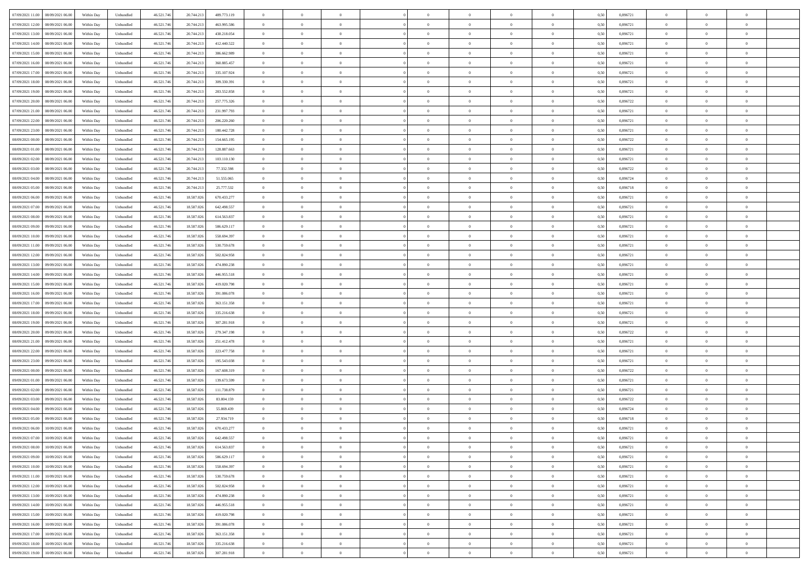| 07/09/2021 11:00<br>08/09/2021 06:00 | Within Day | Unbundled | 46.521.746 | 20.744.213 | 489.773.119 | $\overline{0}$ | $\overline{0}$   | $\overline{0}$ | $\theta$       | $\theta$       |                | $\overline{0}$ | 0,50 | 0,896721 | $\theta$       | $\theta$       | $\overline{0}$ |  |
|--------------------------------------|------------|-----------|------------|------------|-------------|----------------|------------------|----------------|----------------|----------------|----------------|----------------|------|----------|----------------|----------------|----------------|--|
|                                      |            |           |            |            |             |                |                  |                |                |                |                |                |      |          |                |                |                |  |
| 07/09/2021 12:00<br>08/09/2021 06.00 | Within Day | Unbundled | 46.521.74  | 20.744.213 | 463.995.586 | $\overline{0}$ | $\overline{0}$   | $\overline{0}$ | $\,$ 0 $\,$    | $\bf{0}$       | $\overline{0}$ | $\bf{0}$       | 0,50 | 0,896721 | $\,$ 0 $\,$    | $\theta$       | $\overline{0}$ |  |
| 07/09/2021 13:00<br>08/09/2021 06:00 | Within Day | Unbundled | 46.521.746 | 20.744.213 | 438.218.054 | $\overline{0}$ | $\overline{0}$   | $\overline{0}$ | $\bf{0}$       | $\bf{0}$       | $\overline{0}$ | $\overline{0}$ | 0.50 | 0.896721 | $\bf{0}$       | $\overline{0}$ | $\overline{0}$ |  |
| 07/09/2021 14:00<br>08/09/2021 06:00 | Within Day | Unbundled | 46.521.746 | 20.744.213 | 412.440.522 | $\overline{0}$ | $\overline{0}$   | $\overline{0}$ | $\overline{0}$ | $\overline{0}$ | $\overline{0}$ | $\bf{0}$       | 0,50 | 0,896721 | $\theta$       | $\theta$       | $\overline{0}$ |  |
| 07/09/2021 15:00<br>08/09/2021 06.00 | Within Day | Unbundled | 46.521.74  | 20.744.213 | 386.662.989 | $\bf{0}$       | $\overline{0}$   | $\bf{0}$       | $\overline{0}$ | $\overline{0}$ | $\overline{0}$ | $\bf{0}$       | 0,50 | 0,896721 | $\,$ 0 $\,$    | $\theta$       | $\overline{0}$ |  |
| 07/09/2021 16:00<br>08/09/2021 06:00 | Within Day | Unbundled | 46.521.74  | 20.744.213 | 360,885.457 | $\overline{0}$ | $\overline{0}$   | $\overline{0}$ | $\overline{0}$ | $\overline{0}$ | $\Omega$       | $\overline{0}$ | 0.50 | 0.896721 | $\theta$       | $\theta$       | $\overline{0}$ |  |
| 07/09/2021 17:00<br>08/09/2021 06.00 | Within Day | Unbundled | 46.521.74  | 20.744.213 | 335.107.924 | $\overline{0}$ | $\overline{0}$   | $\overline{0}$ | $\overline{0}$ | $\overline{0}$ | $\overline{0}$ | $\bf{0}$       | 0,50 | 0,896721 | $\theta$       | $\theta$       | $\overline{0}$ |  |
|                                      |            |           |            |            |             |                | $\overline{0}$   |                |                | $\overline{0}$ |                |                |      |          |                |                | $\overline{0}$ |  |
| 07/09/2021 18:00<br>08/09/2021 06.00 | Within Day | Unbundled | 46.521.74  | 20.744.213 | 309.330.391 | $\overline{0}$ |                  | $\overline{0}$ | $\overline{0}$ |                | $\overline{0}$ | $\bf{0}$       | 0,50 | 0,896721 | $\,$ 0 $\,$    | $\bf{0}$       |                |  |
| 07/09/2021 19:00<br>08/09/2021 06:00 | Within Day | Unbundled | 46.521.74  | 20.744.213 | 283,552,858 | $\overline{0}$ | $\overline{0}$   | $\overline{0}$ | $\overline{0}$ | $\overline{0}$ | $\overline{0}$ | $\mathbf{0}$   | 0.50 | 0.896721 | $\,$ 0 $\,$    | $\theta$       | $\overline{0}$ |  |
| 07/09/2021 20:00<br>08/09/2021 06:00 | Within Day | Unbundled | 46.521.746 | 20.744.213 | 257.775.326 | $\overline{0}$ | $\overline{0}$   | $\overline{0}$ | $\bf{0}$       | $\overline{0}$ | $\overline{0}$ | $\bf{0}$       | 0,50 | 0,896722 | $\,$ 0 $\,$    | $\theta$       | $\overline{0}$ |  |
| 07/09/2021 21:00<br>08/09/2021 06.00 | Within Day | Unbundled | 46.521.74  | 20.744.213 | 231.997.793 | $\overline{0}$ | $\overline{0}$   | $\overline{0}$ | $\bf{0}$       | $\bf{0}$       | $\overline{0}$ | $\bf{0}$       | 0,50 | 0,896721 | $\,$ 0 $\,$    | $\theta$       | $\overline{0}$ |  |
| 07/09/2021 22.00<br>08/09/2021 06:00 | Within Day | Unbundled | 46.521.746 | 20.744.213 | 206.220.260 | $\overline{0}$ | $\overline{0}$   | $\overline{0}$ | $\bf{0}$       | $\bf{0}$       | $\overline{0}$ | $\mathbf{0}$   | 0.50 | 0.896721 | $\bf{0}$       | $\overline{0}$ | $\bf{0}$       |  |
| 07/09/2021 23.00<br>08/09/2021 06:00 | Within Day | Unbundled | 46.521.74  | 20.744.213 | 180.442.728 | $\overline{0}$ | $\overline{0}$   | $\overline{0}$ | $\overline{0}$ | $\overline{0}$ | $\overline{0}$ | $\overline{0}$ | 0,50 | 0,896721 | $\theta$       | $\theta$       | $\overline{0}$ |  |
|                                      |            |           |            |            |             |                | $\overline{0}$   |                |                | $\overline{0}$ | $\overline{0}$ | $\bf{0}$       |      |          | $\,$ 0 $\,$    | $\bf{0}$       | $\overline{0}$ |  |
| 08/09/2021 00:00<br>08/09/2021 06.00 | Within Day | Unbundled | 46.521.74  | 20.744.213 | 154.665.195 | $\overline{0}$ |                  | $\bf{0}$       | $\bf{0}$       |                |                |                | 0,50 | 0,896722 |                |                |                |  |
| 08/09/2021 01:00<br>08/09/2021 06:00 | Within Day | Unbundled | 46.521.74  | 20.744.213 | 128,887,663 | $\overline{0}$ | $\overline{0}$   | $\overline{0}$ | $\overline{0}$ | $\overline{0}$ | $\Omega$       | $\overline{0}$ | 0.50 | 0.896721 | $\theta$       | $\theta$       | $\overline{0}$ |  |
| 08/09/2021 02:00<br>08/09/2021 06.00 | Within Day | Unbundled | 46.521.74  | 20.744.213 | 103.110.130 | $\overline{0}$ | $\overline{0}$   | $\overline{0}$ | $\overline{0}$ | $\overline{0}$ | $\overline{0}$ | $\bf{0}$       | 0,50 | 0,896721 | $\theta$       | $\theta$       | $\overline{0}$ |  |
| 08/09/2021 03:00<br>08/09/2021 06.00 | Within Day | Unbundled | 46.521.74  | 20.744.213 | 77.332.598  | $\overline{0}$ | $\overline{0}$   | $\overline{0}$ | $\overline{0}$ | $\overline{0}$ | $\overline{0}$ | $\bf{0}$       | 0,50 | 0,896722 | $\,$ 0 $\,$    | $\theta$       | $\overline{0}$ |  |
| 08/09/2021 04:00<br>08/09/2021 06:00 | Within Day | Unbundled | 46.521.74  | 20.744.213 | 51.555.065  | $\overline{0}$ | $\overline{0}$   | $\overline{0}$ | $\overline{0}$ | $\overline{0}$ | $\overline{0}$ | $\mathbf{0}$   | 0.50 | 0.896724 | $\,$ 0 $\,$    | $\overline{0}$ | $\overline{0}$ |  |
| 08/09/2021 05:00<br>08/09/2021 06.00 | Within Day | Unbundled | 46.521.746 | 20.744.213 | 25.777.532  | $\overline{0}$ | $\overline{0}$   | $\overline{0}$ | $\overline{0}$ | $\overline{0}$ | $\overline{0}$ | $\bf{0}$       | 0,50 | 0,896718 | $\theta$       | $\theta$       | $\overline{0}$ |  |
| 08/09/2021 06:00<br>09/09/2021 06.0  | Within Day | Unbundled | 46.521.74  | 18.587.026 | 670.433.277 | $\overline{0}$ | $\overline{0}$   | $\overline{0}$ | $\bf{0}$       | $\bf{0}$       | $\overline{0}$ | $\bf{0}$       | 0,50 | 0,896721 | $\,$ 0 $\,$    | $\bf{0}$       | $\overline{0}$ |  |
|                                      |            |           |            |            |             |                |                  |                |                |                |                |                |      |          |                |                |                |  |
| 08/09/2021 07:00<br>09/09/2021 06:00 | Within Day | Unbundled | 46.521.746 | 18,587,026 | 642.498.557 | $\overline{0}$ | $\overline{0}$   | $\overline{0}$ | $\bf{0}$       | $\bf{0}$       | $\overline{0}$ | $\mathbf{0}$   | 0.50 | 0.896721 | $\bf{0}$       | $\overline{0}$ | $\bf{0}$       |  |
| 08/09/2021 08:00<br>09/09/2021 06:00 | Within Day | Unbundled | 46.521.746 | 18.587.026 | 614.563.837 | $\overline{0}$ | $\overline{0}$   | $\overline{0}$ | $\overline{0}$ | $\overline{0}$ | $\overline{0}$ | $\bf{0}$       | 0,50 | 0,896721 | $\theta$       | $\theta$       | $\overline{0}$ |  |
| 08/09/2021 09:00<br>09/09/2021 06.0  | Within Day | Unbundled | 46.521.74  | 18.587.026 | 586.629.117 | $\overline{0}$ | $\overline{0}$   | $\overline{0}$ | $\bf{0}$       | $\overline{0}$ | $\overline{0}$ | $\bf{0}$       | 0,50 | 0,896721 | $\,$ 0 $\,$    | $\bf{0}$       | $\overline{0}$ |  |
| 08/09/2021 10:00<br>09/09/2021 06:00 | Within Day | Unbundled | 46.521.74  | 18,587,026 | 558,694.397 | $\overline{0}$ | $\overline{0}$   | $\overline{0}$ | $\overline{0}$ | $\overline{0}$ | $\Omega$       | $\overline{0}$ | 0.50 | 0.896721 | $\theta$       | $\theta$       | $\overline{0}$ |  |
| 08/09/2021 11:00<br>09/09/2021 06.00 | Within Day | Unbundled | 46.521.746 | 18.587.026 | 530.759.678 | $\overline{0}$ | $\overline{0}$   | $\overline{0}$ | $\overline{0}$ | $\overline{0}$ | $\overline{0}$ | $\bf{0}$       | 0,50 | 0,896721 | $\theta$       | $\theta$       | $\overline{0}$ |  |
| 08/09/2021 12:00<br>09/09/2021 06.0  | Within Day | Unbundled | 46.521.74  | 18.587.026 | 502.824.958 | $\overline{0}$ | $\overline{0}$   | $\overline{0}$ | $\overline{0}$ | $\overline{0}$ | $\overline{0}$ | $\bf{0}$       | 0,50 | 0,896721 | $\,$ 0 $\,$    | $\theta$       | $\overline{0}$ |  |
|                                      |            |           |            |            |             |                |                  |                |                |                |                |                |      |          |                |                |                |  |
| 08/09/2021 13:00<br>09/09/2021 06:00 | Within Day | Unbundled | 46.521.74  | 18,587,026 | 474.890.238 | $\overline{0}$ | $\overline{0}$   | $\overline{0}$ | $\overline{0}$ | $\overline{0}$ | $\overline{0}$ | $\mathbf{0}$   | 0.50 | 0.896721 | $\,$ 0 $\,$    | $\theta$       | $\overline{0}$ |  |
| 08/09/2021 14:00<br>09/09/2021 06:00 | Within Day | Unbundled | 46.521.746 | 18.587.026 | 446.955.518 | $\overline{0}$ | $\overline{0}$   | $\overline{0}$ | $\overline{0}$ | $\overline{0}$ | $\overline{0}$ | $\bf{0}$       | 0,50 | 0,896721 | $\theta$       | $\theta$       | $\overline{0}$ |  |
| 08/09/2021 15:00<br>09/09/2021 06.0  | Within Day | Unbundled | 46.521.74  | 18.587.026 | 419.020.798 | $\overline{0}$ | $\overline{0}$   | $\overline{0}$ | $\overline{0}$ | $\bf{0}$       | $\overline{0}$ | $\bf{0}$       | 0,50 | 0,896721 | $\,$ 0 $\,$    | $\bf{0}$       | $\overline{0}$ |  |
| 08/09/2021 16:00<br>09/09/2021 06:00 | Within Day | Unbundled | 46.521.746 | 18,587,026 | 391.086.078 | $\overline{0}$ | $\overline{0}$   | $\overline{0}$ | $\bf{0}$       | $\bf{0}$       | $\overline{0}$ | $\mathbf{0}$   | 0.50 | 0.896721 | $\bf{0}$       | $\overline{0}$ | $\bf{0}$       |  |
| 08/09/2021 17:00<br>09/09/2021 06:00 | Within Day | Unbundled | 46.521.746 | 18.587.026 | 363.151.358 | $\overline{0}$ | $\overline{0}$   | $\overline{0}$ | $\overline{0}$ | $\overline{0}$ | $\overline{0}$ | $\overline{0}$ | 0.50 | 0,896721 | $\theta$       | $\theta$       | $\overline{0}$ |  |
| 08/09/2021 18:00<br>09/09/2021 06.0  | Within Day | Unbundled | 46.521.74  | 18.587.026 | 335.216.638 | $\overline{0}$ | $\overline{0}$   | $\overline{0}$ | $\bf{0}$       | $\overline{0}$ | $\overline{0}$ | $\bf{0}$       | 0,50 | 0,896721 | $\,$ 0 $\,$    | $\bf{0}$       | $\overline{0}$ |  |
| 08/09/2021 19:00<br>09/09/2021 06:00 | Within Day | Unbundled | 46.521.746 | 18,587,026 | 307.281.918 | $\overline{0}$ | $\overline{0}$   | $\overline{0}$ | $\overline{0}$ | $\overline{0}$ | $\overline{0}$ | $\overline{0}$ | 0.50 | 0,896721 | $\,$ 0 $\,$    | $\theta$       | $\overline{0}$ |  |
|                                      |            |           |            |            |             |                |                  |                |                |                |                |                |      |          |                |                |                |  |
| 08/09/2021 20:00<br>09/09/2021 06:00 | Within Day | Unbundled | 46.521.746 | 18.587.026 | 279.347.198 | $\overline{0}$ | $\overline{0}$   | $\overline{0}$ | $\overline{0}$ | $\overline{0}$ | $\Omega$       | $\overline{0}$ | 0.50 | 0,896722 | $\theta$       | $\theta$       | $\overline{0}$ |  |
| 08/09/2021 21:00<br>09/09/2021 06.0  | Within Day | Unbundled | 46.521.74  | 18.587.026 | 251.412.478 | $\overline{0}$ | $\overline{0}$   | $\overline{0}$ | $\bf{0}$       | $\overline{0}$ | $\overline{0}$ | $\bf{0}$       | 0,50 | 0,896721 | $\,$ 0 $\,$    | $\theta$       | $\overline{0}$ |  |
| 08/09/2021 22:00<br>09/09/2021 06:00 | Within Day | Unbundled | 46.521.74  | 18,587,026 | 223,477,758 | $\overline{0}$ | $\overline{0}$   | $\overline{0}$ | $\overline{0}$ | $\overline{0}$ | $\overline{0}$ | $\mathbf{0}$   | 0.50 | 0.896721 | $\,$ 0 $\,$    | $\theta$       | $\overline{0}$ |  |
| 08/09/2021 23:00<br>09/09/2021 06:00 | Within Day | Unbundled | 46.521.74  | 18.587.026 | 195.543.038 | $\overline{0}$ | $\overline{0}$   | $\overline{0}$ | $\overline{0}$ | $\overline{0}$ | $\overline{0}$ | $\overline{0}$ | 0.50 | 0,896721 | $\theta$       | $\theta$       | $\overline{0}$ |  |
| 09/09/2021 00:00<br>09/09/2021 06.0  | Within Day | Unbundled | 46.521.74  | 18.587.026 | 167.608.319 | $\overline{0}$ | $\overline{0}$   | $\overline{0}$ | $\,$ 0 $\,$    | $\bf{0}$       | $\overline{0}$ | $\bf{0}$       | 0,50 | 0,896722 | $\,$ 0 $\,$    | $\bf{0}$       | $\overline{0}$ |  |
| 09/09/2021 01:00<br>09/09/2021 06:00 | Within Day | Unbundled | 46.521.746 | 18,587,026 | 139.673.599 | $\overline{0}$ | $\overline{0}$   | $\overline{0}$ | $\bf{0}$       | $\bf{0}$       | $\overline{0}$ | $\mathbf{0}$   | 0.50 | 0.896721 | $\bf{0}$       | $\overline{0}$ | $\bf{0}$       |  |
|                                      |            |           |            |            |             |                | $\overline{0}$   |                |                | $\overline{0}$ |                | $\overline{0}$ |      |          | $\theta$       | $\theta$       | $\overline{0}$ |  |
| 09/09/2021 02:00<br>09/09/2021 06:00 | Within Day | Unbundled | 46.521.746 | 18.587.026 | 111.738.879 | $\overline{0}$ |                  | $\overline{0}$ | $\overline{0}$ |                | $\overline{0}$ |                | 0.50 | 0,896721 |                |                |                |  |
| 09/09/2021 03:00<br>09/09/2021 06.0  | Within Day | Unbundled | 46.521.74  | 18.587.026 | 83.804.159  | $\overline{0}$ | $\overline{0}$   | $\overline{0}$ | $\bf{0}$       | $\overline{0}$ | $\overline{0}$ | $\bf{0}$       | 0,50 | 0,896722 | $\,$ 0 $\,$    | $\bf{0}$       | $\overline{0}$ |  |
| 09/09/2021 04:00<br>09/09/2021 06:00 | Within Day | Unbundled | 46.521.74  | 18.587.026 | 55,869,439  | $\overline{0}$ | $\overline{0}$   | $\overline{0}$ | $\overline{0}$ | $\overline{0}$ | $\theta$       | $\overline{0}$ | 0.50 | 0.896724 | $\,$ 0 $\,$    | $\theta$       | $\overline{0}$ |  |
| 09/09/2021 05:00<br>09/09/2021 06:00 | Within Day | Unbundled | 46.521.746 | 18.587.026 | 27.934.719  | $\overline{0}$ | $\Omega$         | $\overline{0}$ | $\overline{0}$ | $\overline{0}$ | $\theta$       | $\overline{0}$ | 0.50 | 0,896718 | $\theta$       | $\theta$       | $\overline{0}$ |  |
| 09/09/2021 06:00<br>10/09/2021 06:00 | Within Day | Unbundled | 46.521.746 | 18.587.026 | 670.433.277 | $\overline{0}$ | $\overline{0}$   | $\bf{0}$       | $\overline{0}$ | $\bf{0}$       | $\overline{0}$ | $\bf{0}$       | 0,50 | 0,896721 | $\,$ 0 $\,$    | $\bf{0}$       | $\overline{0}$ |  |
| 09/09/2021 07:00 10/09/2021 06:00    | Within Day | Unbundled | 46.521.746 | 18.587.026 | 642.498.557 | $\bf{0}$       | $\boldsymbol{0}$ |                | $\bf{0}$       |                |                |                | 0,50 | 0,896721 | $\theta$       | $\overline{0}$ |                |  |
| 09/09/2021 08:00<br>10/09/2021 06:00 | Within Dav | Unbundled | 46.521.746 | 18.587.026 | 614.563.837 | $\overline{0}$ | $\overline{0}$   | $\overline{0}$ | $\overline{0}$ | $\overline{0}$ | $\overline{0}$ | $\overline{0}$ | 0,50 | 0,896721 | $\theta$       | $\theta$       | $\overline{0}$ |  |
|                                      |            |           |            |            |             |                |                  |                |                |                |                |                |      |          |                |                |                |  |
| 09/09/2021 09:00<br>10/09/2021 06:00 | Within Day | Unbundled | 46.521.746 | 18.587.026 | 586.629.117 | $\overline{0}$ | $\overline{0}$   | $\overline{0}$ | $\bf{0}$       | $\overline{0}$ | $\overline{0}$ | $\mathbf{0}$   | 0,50 | 0,896721 | $\overline{0}$ | $\overline{0}$ | $\bf{0}$       |  |
| 09/09/2021 10:00<br>10/09/2021 06:00 | Within Day | Unbundled | 46.521.746 | 18.587.026 | 558.694.397 | $\overline{0}$ | $\overline{0}$   | $\overline{0}$ | $\overline{0}$ | $\bf{0}$       | $\overline{0}$ | $\mathbf{0}$   | 0.50 | 0,896721 | $\,$ 0 $\,$    | $\bf{0}$       | $\,$ 0 $\,$    |  |
| 09/09/2021 11:00<br>10/09/2021 06:00 | Within Dav | Unbundled | 46.521.746 | 18.587.026 | 530.759.678 | $\overline{0}$ | $\overline{0}$   | $\overline{0}$ | $\overline{0}$ | $\overline{0}$ | $\overline{0}$ | $\mathbf{0}$   | 0,50 | 0,896721 | $\overline{0}$ | $\theta$       | $\overline{0}$ |  |
| 09/09/2021 12:00<br>10/09/2021 06:00 | Within Day | Unbundled | 46.521.746 | 18.587.026 | 502.824.958 | $\overline{0}$ | $\overline{0}$   | $\overline{0}$ | $\bf{0}$       | $\bf{0}$       | $\overline{0}$ | $\mathbf{0}$   | 0,50 | 0,896721 | $\overline{0}$ | $\bf{0}$       | $\overline{0}$ |  |
| 09/09/2021 13:00<br>10/09/2021 06:00 | Within Day | Unbundled | 46.521.746 | 18.587.026 | 474.890.238 | $\overline{0}$ | $\overline{0}$   | $\overline{0}$ | $\bf{0}$       | $\overline{0}$ | $\overline{0}$ | $\mathbf{0}$   | 0.50 | 0,896721 | $\,$ 0 $\,$    | $\theta$       | $\overline{0}$ |  |
| 09/09/2021 14:00<br>10/09/2021 06:00 | Within Dav | Unbundled | 46.521.746 | 18.587.026 | 446.955.518 | $\overline{0}$ | $\overline{0}$   | $\overline{0}$ | $\overline{0}$ | $\overline{0}$ | $\overline{0}$ | $\mathbf{0}$   | 0,50 | 0,896721 | $\overline{0}$ | $\theta$       | $\overline{0}$ |  |
| 09/09/2021 15:00<br>10/09/2021 06:00 | Within Day | Unbundled | 46.521.74  | 18.587.026 | 419.020.798 | $\overline{0}$ | $\overline{0}$   | $\overline{0}$ | $\bf{0}$       | $\overline{0}$ | $\overline{0}$ | $\,$ 0 $\,$    | 0,50 | 0,896721 | $\bf{0}$       | $\bf{0}$       | $\overline{0}$ |  |
|                                      |            |           |            |            |             |                |                  |                |                |                |                |                |      |          |                |                |                |  |
| 09/09/2021 16:00<br>10/09/2021 06:00 | Within Day | Unbundled | 46.521.746 | 18,587,026 | 391.086.078 | $\overline{0}$ | $\overline{0}$   | $\overline{0}$ | $\bf{0}$       | $\bf{0}$       | $\overline{0}$ | $\,$ 0 $\,$    | 0.50 | 0.896721 | $\overline{0}$ | $\bf{0}$       | $\,$ 0         |  |
| 09/09/2021 17:00<br>10/09/2021 06:00 | Within Dav | Unbundled | 46.521.746 | 18.587.026 | 363.151.358 | $\overline{0}$ | $\overline{0}$   | $\overline{0}$ | $\overline{0}$ | $\overline{0}$ | $\overline{0}$ | $\mathbf{0}$   | 0,50 | 0,896721 | $\overline{0}$ | $\theta$       | $\overline{0}$ |  |
| 09/09/2021 18:00<br>10/09/2021 06:00 | Within Day | Unbundled | 46.521.746 | 18.587.026 | 335.216.638 | $\overline{0}$ | $\overline{0}$   | $\overline{0}$ | $\overline{0}$ | $\bf{0}$       | $\overline{0}$ | $\mathbf{0}$   | 0,50 | 0,896721 | $\bf{0}$       | $\bf{0}$       | $\overline{0}$ |  |
| 09/09/2021 19:00 10/09/2021 06:00    | Within Day | Unbundled | 46.521.746 | 18.587.026 | 307.281.918 | $\overline{0}$ | $\overline{0}$   | $\overline{0}$ | $\bf{0}$       | $\,$ 0         | $\overline{0}$ | $\,0\,$        | 0,50 | 0,896721 | $\overline{0}$ | $\,$ 0 $\,$    | $\,$ 0 $\,$    |  |
|                                      |            |           |            |            |             |                |                  |                |                |                |                |                |      |          |                |                |                |  |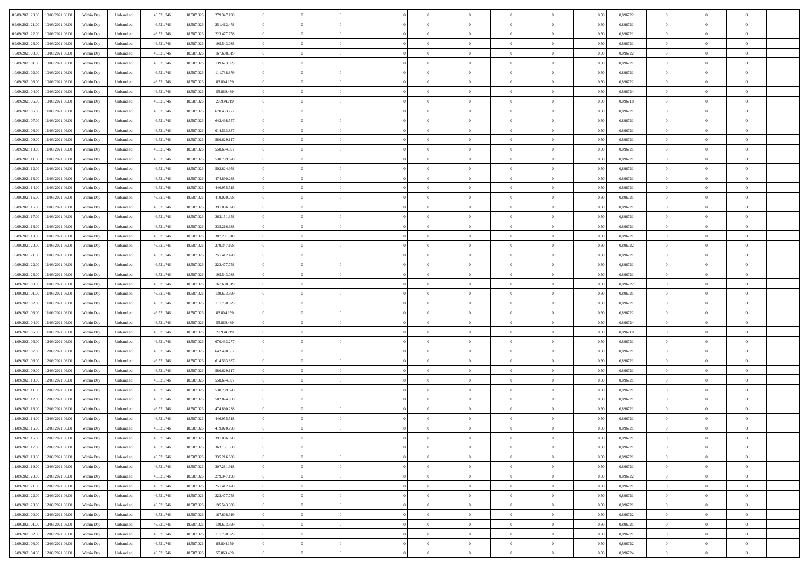| 09/09/2021 20:00<br>10/09/2021 06:00         | Within Day | Unbundled                   | 46.521.74  | 18.587.026 | 279.347.198 | $\overline{0}$ | $\overline{0}$ |                | $\overline{0}$ | $\theta$       |                | $\theta$       | 0,50 | 0,896722 | $\theta$       | $\theta$       | $\overline{0}$ |  |
|----------------------------------------------|------------|-----------------------------|------------|------------|-------------|----------------|----------------|----------------|----------------|----------------|----------------|----------------|------|----------|----------------|----------------|----------------|--|
| 09/09/2021 21:00<br>10/09/2021 06:00         | Within Day | Unbundled                   | 46.521.74  | 18.587.02  | 251.412.478 | $\bf{0}$       | $\overline{0}$ | $\bf{0}$       | $\overline{0}$ | $\bf{0}$       | $\overline{0}$ | $\bf{0}$       | 0,50 | 0,896721 | $\,$ 0 $\,$    | $\bf{0}$       | $\overline{0}$ |  |
| 09/09/2021 22:00<br>10/09/2021 06:00         | Within Day | Unbundled                   | 46.521.746 | 18.587.026 | 223.477.758 | $\overline{0}$ | $\bf{0}$       | $\overline{0}$ | $\bf{0}$       | $\bf{0}$       | $\overline{0}$ | $\bf{0}$       | 0.50 | 0.896721 | $\bf{0}$       | $\overline{0}$ | $\overline{0}$ |  |
| 09/09/2021 23:00                             |            |                             |            |            |             | $\overline{0}$ | $\overline{0}$ | $\overline{0}$ | $\theta$       | $\theta$       | $\overline{0}$ | $\overline{0}$ |      | 0,896721 | $\theta$       | $\theta$       | $\overline{0}$ |  |
| 10/09/2021 06:00                             | Within Day | Unbundled                   | 46.521.74  | 18.587.026 | 195.543.038 |                |                |                |                |                |                |                | 0,50 |          |                |                |                |  |
| 10/09/2021 00:00<br>10/09/2021 06:00         | Within Day | Unbundled                   | 46.521.74  | 18.587.02  | 167.608.319 | $\overline{0}$ | $\overline{0}$ | $\overline{0}$ | $\overline{0}$ | $\theta$       | $\overline{0}$ | $\bf{0}$       | 0,50 | 0,896722 | $\,$ 0 $\,$    | $\bf{0}$       | $\overline{0}$ |  |
| 10/09/2021 01:00<br>10/09/2021 06:00         | Within Day | Unbundled                   | 46.521.746 | 18.587.02  | 139.673.599 | $\overline{0}$ | $\overline{0}$ | $\overline{0}$ | $\overline{0}$ | $\overline{0}$ | $\Omega$       | $\bf{0}$       | 0.50 | 0.896721 | $\bf{0}$       | $\theta$       | $\overline{0}$ |  |
| 10/09/2021 02:00<br>10/09/2021 06:00         | Within Day | Unbundled                   | 46.521.74  | 18.587.026 | 111.738.879 | $\overline{0}$ | $\overline{0}$ | $\overline{0}$ | $\overline{0}$ | $\overline{0}$ | $\overline{0}$ | $\bf{0}$       | 0,50 | 0,896721 | $\theta$       | $\theta$       | $\overline{0}$ |  |
|                                              |            |                             |            |            |             |                |                |                |                |                |                |                |      |          |                |                |                |  |
| 10/09/2021 03:00<br>10/09/2021 06:00         | Within Day | Unbundled                   | 46.521.74  | 18.587.02  | 83.804.159  | $\overline{0}$ | $\overline{0}$ | $\overline{0}$ | $\overline{0}$ | $\theta$       | $\overline{0}$ | $\bf{0}$       | 0,50 | 0,896722 | $\,$ 0 $\,$    | $\bf{0}$       | $\overline{0}$ |  |
| 10/09/2021 04:00<br>10/09/2021 06:00         | Within Day | Unbundled                   | 46.521.74  | 18.587.026 | 55.869.439  | $\overline{0}$ | $\bf{0}$       | $\overline{0}$ | $\bf{0}$       | $\overline{0}$ | $\overline{0}$ | $\bf{0}$       | 0.50 | 0.896724 | $\bf{0}$       | $\overline{0}$ | $\overline{0}$ |  |
| 10/09/2021 05:00<br>10/09/2021 06:00         | Within Day | Unbundled                   | 46.521.746 | 18.587.026 | 27.934.719  | $\overline{0}$ | $\bf{0}$       | $\overline{0}$ | $\overline{0}$ | $\theta$       | $\overline{0}$ | $\bf{0}$       | 0,50 | 0,896718 | $\,$ 0 $\,$    | $\theta$       | $\overline{0}$ |  |
| 10/09/2021 06:00<br>11/09/2021 06:00         | Within Day | Unbundled                   | 46.521.74  | 18.587.026 | 670.433.277 | $\bf{0}$       | $\overline{0}$ | $\bf{0}$       | $\overline{0}$ | $\bf{0}$       | $\overline{0}$ | $\bf{0}$       | 0,50 | 0,896721 | $\,$ 0 $\,$    | $\bf{0}$       | $\overline{0}$ |  |
|                                              |            |                             |            |            |             |                |                |                |                |                |                |                |      |          |                |                |                |  |
| 10/09/2021 07:00<br>11/09/2021 06:00         | Within Day | Unbundled                   | 46.521.746 | 18.587.026 | 642.498.557 | $\overline{0}$ | $\overline{0}$ | $\overline{0}$ | $\bf{0}$       | $\bf{0}$       | $\overline{0}$ | $\bf{0}$       | 0.50 | 0.896721 | $\bf{0}$       | $\overline{0}$ | $\bf{0}$       |  |
| 10/09/2021 08:00<br>11/09/2021 06:00         | Within Day | Unbundled                   | 46.521.74  | 18.587.026 | 614.563.837 | $\overline{0}$ | $\overline{0}$ | $\overline{0}$ | $\overline{0}$ | $\theta$       | $\overline{0}$ | $\overline{0}$ | 0,50 | 0,896721 | $\theta$       | $\theta$       | $\overline{0}$ |  |
| 10/09/2021 09:00<br>11/09/2021 06:00         | Within Day | Unbundled                   | 46.521.74  | 18.587.02  | 586.629.117 | $\bf{0}$       | $\theta$       | $\bf{0}$       | $\overline{0}$ | $\theta$       | $\overline{0}$ | $\bf{0}$       | 0,50 | 0,896721 | $\bf{0}$       | $\bf{0}$       | $\overline{0}$ |  |
| 10/09/2021 10:00<br>11/09/2021 06:00         | Within Day | Unbundled                   | 46.521.746 | 18.587.02  | 558.694.397 | $\overline{0}$ | $\overline{0}$ | $\overline{0}$ | $\bf{0}$       | $\theta$       | $\Omega$       | $\bf{0}$       | 0.50 | 0,896721 | $\theta$       | $\theta$       | $\overline{0}$ |  |
| 10/09/2021 11:00<br>11/09/2021 06:00         | Within Day | Unbundled                   | 46.521.74  | 18.587.026 | 530.759.678 | $\overline{0}$ | $\overline{0}$ | $\overline{0}$ | $\overline{0}$ | $\overline{0}$ | $\overline{0}$ | $\bf{0}$       | 0,50 | 0,896721 | $\theta$       | $\theta$       | $\overline{0}$ |  |
|                                              |            |                             |            |            |             |                |                |                |                |                |                |                |      |          |                |                |                |  |
| 10/09/2021 12:00<br>11/09/2021 06:00         | Within Day | Unbundled                   | 46.521.74  | 18.587.02  | 502.824.958 | $\bf{0}$       | $\overline{0}$ | $\overline{0}$ | $\overline{0}$ | $\theta$       | $\overline{0}$ | $\bf{0}$       | 0,50 | 0,896721 | $\,$ 0 $\,$    | $\bf{0}$       | $\overline{0}$ |  |
| 10/09/2021 13:00<br>11/09/2021 06:00         | Within Day | Unbundled                   | 46.521.74  | 18.587.02  | 474.890.238 | $\overline{0}$ | $\bf{0}$       | $\overline{0}$ | $\bf{0}$       | $\overline{0}$ | $\overline{0}$ | $\bf{0}$       | 0.50 | 0.896721 | $\bf{0}$       | $\overline{0}$ | $\overline{0}$ |  |
| 10/09/2021 14:00<br>11/09/2021 06:00         | Within Day | Unbundled                   | 46.521.74  | 18.587.026 | 446.955.518 | $\overline{0}$ | $\overline{0}$ | $\overline{0}$ | $\overline{0}$ | $\overline{0}$ | $\overline{0}$ | $\bf{0}$       | 0,50 | 0,896721 | $\,$ 0 $\,$    | $\theta$       | $\overline{0}$ |  |
| 10/09/2021 15:00<br>11/09/2021 06:00         | Within Day | Unbundled                   | 46.521.74  | 18.587.02  | 419.020.798 | $\bf{0}$       | $\overline{0}$ | $\bf{0}$       | $\bf{0}$       | $\overline{0}$ | $\overline{0}$ | $\bf{0}$       | 0,50 | 0,896721 | $\,$ 0 $\,$    | $\bf{0}$       | $\overline{0}$ |  |
|                                              |            |                             |            |            |             |                |                |                |                |                |                |                |      |          |                |                |                |  |
| 10/09/2021 16:00<br>11/09/2021 06:00         | Within Day | Unbundled                   | 46.521.746 | 18,587,026 | 391.086.078 | $\overline{0}$ | $\bf{0}$       | $\overline{0}$ | $\bf{0}$       | $\bf{0}$       | $\overline{0}$ | $\bf{0}$       | 0.50 | 0.896721 | $\bf{0}$       | $\overline{0}$ | $\bf{0}$       |  |
| 10/09/2021 17:00<br>11/09/2021 06:00         | Within Day | Unbundled                   | 46.521.74  | 18.587.026 | 363.151.358 | $\overline{0}$ | $\overline{0}$ | $\overline{0}$ | $\theta$       | $\theta$       | $\overline{0}$ | $\bf{0}$       | 0,50 | 0,896721 | $\theta$       | $\theta$       | $\overline{0}$ |  |
| 10/09/2021 18:00<br>11/09/2021 06:00         | Within Day | Unbundled                   | 46.521.74  | 18.587.02  | 335.216.638 | $\bf{0}$       | $\overline{0}$ | $\bf{0}$       | $\bf{0}$       | $\theta$       | $\overline{0}$ | $\bf{0}$       | 0,50 | 0,896721 | $\,$ 0 $\,$    | $\bf{0}$       | $\overline{0}$ |  |
| 10/09/2021 19:00<br>11/09/2021 06:00         | Within Day | Unbundled                   | 46.521.74  | 18.587.02  | 307.281.918 | $\overline{0}$ | $\overline{0}$ | $\overline{0}$ | $\overline{0}$ | $\overline{0}$ | $\Omega$       | $\bf{0}$       | 0.50 | 0.896721 | $\bf{0}$       | $\theta$       | $\overline{0}$ |  |
| 10/09/2021 20:00<br>11/09/2021 06:00         | Within Day | Unbundled                   | 46.521.74  | 18.587.026 | 279.347.198 | $\overline{0}$ | $\overline{0}$ | $\overline{0}$ | $\overline{0}$ | $\overline{0}$ | $\overline{0}$ | $\bf{0}$       | 0,50 | 0,896722 | $\theta$       | $\theta$       | $\overline{0}$ |  |
|                                              |            |                             |            |            |             |                |                |                |                |                |                |                |      |          |                |                |                |  |
| 10/09/2021 21:00<br>11/09/2021 06:00         | Within Day | Unbundled                   | 46.521.74  | 18.587.02  | 251.412.478 | $\bf{0}$       | $\overline{0}$ | $\overline{0}$ | $\overline{0}$ | $\theta$       | $\overline{0}$ | $\bf{0}$       | 0,50 | 0,896721 | $\,$ 0 $\,$    | $\bf{0}$       | $\overline{0}$ |  |
| 10/09/2021 22.00<br>11/09/2021 06:00         | Within Day | Unbundled                   | 46.521.74  | 18.587.026 | 223,477,758 | $\overline{0}$ | $\bf{0}$       | $\overline{0}$ | $\bf{0}$       | $\overline{0}$ | $\overline{0}$ | $\bf{0}$       | 0.50 | 0.896721 | $\bf{0}$       | $\overline{0}$ | $\overline{0}$ |  |
| 10/09/2021 23:00<br>11/09/2021 06:00         | Within Day | Unbundled                   | 46.521.746 | 18.587.026 | 195.543.038 | $\overline{0}$ | $\overline{0}$ | $\overline{0}$ | $\overline{0}$ | $\overline{0}$ | $\overline{0}$ | $\bf{0}$       | 0,50 | 0,896721 | $\theta$       | $\theta$       | $\overline{0}$ |  |
| 11/09/2021 00:00<br>11/09/2021 06:00         | Within Day | Unbundled                   | 46.521.74  | 18.587.026 | 167.608.319 | $\bf{0}$       | $\bf{0}$       | $\bf{0}$       | $\bf{0}$       | $\overline{0}$ | $\overline{0}$ | $\bf{0}$       | 0,50 | 0,896722 | $\,$ 0 $\,$    | $\bf{0}$       | $\overline{0}$ |  |
|                                              |            |                             |            |            |             |                |                |                |                |                |                |                |      |          |                |                |                |  |
| 11/09/2021 01:00<br>11/09/2021 06:00         | Within Day | Unbundled                   | 46.521.746 | 18,587,026 | 139.673.599 | $\overline{0}$ | $\bf{0}$       | $\overline{0}$ | $\bf{0}$       | $\bf{0}$       | $\overline{0}$ | $\bf{0}$       | 0.50 | 0.896721 | $\bf{0}$       | $\overline{0}$ | $\bf{0}$       |  |
| 11/09/2021 02:00<br>11/09/2021 06:00         | Within Day | Unbundled                   | 46.521.74  | 18.587.026 | 111.738.879 | $\overline{0}$ | $\overline{0}$ | $\overline{0}$ | $\overline{0}$ | $\overline{0}$ | $\overline{0}$ | $\bf{0}$       | 0.5( | 0,896721 | $\theta$       | $\theta$       | $\overline{0}$ |  |
| 11/09/2021 03:00<br>11/09/2021 06:00         | Within Day | Unbundled                   | 46.521.74  | 18.587.02  | 83.804.159  | $\bf{0}$       | $\overline{0}$ | $\bf{0}$       | $\overline{0}$ | $\overline{0}$ | $\overline{0}$ | $\bf{0}$       | 0,50 | 0,896722 | $\,$ 0 $\,$    | $\bf{0}$       | $\overline{0}$ |  |
| 11/09/2021 04:00<br>11/09/2021 06:00         | Within Day | Unbundled                   | 46.521.746 | 18.587.026 | 55.869.439  | $\overline{0}$ | $\overline{0}$ | $\overline{0}$ | $\bf{0}$       | $\bf{0}$       | $\Omega$       | $\bf{0}$       | 0.50 | 0.896724 | $\,$ 0 $\,$    | $\theta$       | $\overline{0}$ |  |
| 11/09/2021 05:00<br>11/09/2021 06:00         | Within Dav | Unbundled                   | 46.521.74  | 18.587.026 | 27.934.719  | $\overline{0}$ | $\overline{0}$ | $\overline{0}$ | $\overline{0}$ | $\overline{0}$ | $\overline{0}$ | $\overline{0}$ | 0.5( | 0,896718 | $\theta$       | $\theta$       | $\overline{0}$ |  |
|                                              |            |                             |            |            |             |                |                |                |                |                |                |                |      |          |                |                |                |  |
| 11/09/2021 06:00<br>12/09/2021 06:00         | Within Day | Unbundled                   | 46.521.74  | 18.587.02  | 670.433.277 | $\bf{0}$       | $\overline{0}$ | $\bf{0}$       | $\overline{0}$ | $\bf{0}$       | $\overline{0}$ | $\bf{0}$       | 0,50 | 0,896721 | $\,$ 0 $\,$    | $\bf{0}$       | $\overline{0}$ |  |
| 11/09/2021 07:00<br>12/09/2021 06:00         | Within Day | Unbundled                   | 46.521.74  | 18.587.02  | 642.498.557 | $\overline{0}$ | $\bf{0}$       | $\overline{0}$ | $\bf{0}$       | $\overline{0}$ | $\overline{0}$ | $\bf{0}$       | 0.50 | 0.896721 | $\bf{0}$       | $\overline{0}$ | $\overline{0}$ |  |
| 11/09/2021 08:00<br>12/09/2021 06:00         | Within Dav | Unbundled                   | 46.521.74  | 18.587.026 | 614.563.837 | $\overline{0}$ | $\overline{0}$ | $\overline{0}$ | $\overline{0}$ | $\overline{0}$ | $\overline{0}$ | $\overline{0}$ | 0.5( | 0,896721 | $\theta$       | $\theta$       | $\overline{0}$ |  |
| 11/09/2021 09:00<br>12/09/2021 06:00         | Within Day | Unbundled                   | 46.521.74  | 18.587.02  | 586.629.117 | $\bf{0}$       | $\bf{0}$       | $\bf{0}$       | $\bf{0}$       | $\overline{0}$ | $\overline{0}$ | $\bf{0}$       | 0,50 | 0,896721 | $\,$ 0 $\,$    | $\bf{0}$       | $\overline{0}$ |  |
|                                              |            |                             |            |            |             |                |                |                |                |                |                |                |      |          |                |                |                |  |
| 11/09/2021 10:00<br>12/09/2021 06:00         | Within Day | Unbundled                   | 46.521.746 | 18,587,026 | 558.694.397 | $\overline{0}$ | $\bf{0}$       | $\overline{0}$ | $\bf{0}$       | $\bf{0}$       | $\overline{0}$ | $\bf{0}$       | 0.50 | 0.896721 | $\bf{0}$       | $\overline{0}$ | $\overline{0}$ |  |
| 11/09/2021 11:00<br>12/09/2021 06:00         | Within Dav | Unbundled                   | 46.521.74  | 18.587.026 | 530.759.678 | $\overline{0}$ | $\overline{0}$ | $\Omega$       | $\overline{0}$ | $\overline{0}$ | $\overline{0}$ | $\overline{0}$ | 0.5( | 0,896721 | $\theta$       | $\theta$       | $\overline{0}$ |  |
| 11/09/2021 12:00<br>12/09/2021 06:00         | Within Day | Unbundled                   | 46.521.74  | 18.587.02  | 502.824.958 | $\bf{0}$       | $\overline{0}$ | $\bf{0}$       | $\overline{0}$ | $\,$ 0 $\,$    | $\overline{0}$ | $\bf{0}$       | 0,50 | 0,896721 | $\,$ 0 $\,$    | $\bf{0}$       | $\overline{0}$ |  |
| 11/09/2021 13:00<br>12/09/2021 06:00         | Within Day | Unbundled                   | 46.521.74  | 18.587.02  | 474.890.238 | $\overline{0}$ | $\overline{0}$ | $\Omega$       | $\overline{0}$ | $\overline{0}$ | $\theta$       | $\bf{0}$       | 0.50 | 0,896721 | $\bf{0}$       | $\theta$       | $\overline{0}$ |  |
| 11/09/2021 14:00<br>12/09/2021 06:00         | Within Dav | Unbundled                   | 46.521.74  | 18.587.026 | 446.955.518 | $\overline{0}$ | $\overline{0}$ | $\Omega$       | $\overline{0}$ | $\theta$       | $\Omega$       | $\overline{0}$ | 0.5( | 0,896721 | $\theta$       | $\theta$       | $\overline{0}$ |  |
| 12/09/2021 06:00                             | Within Day | Unbundled                   | 46.521.74  | 18.587.02  | 419.020.798 | $\bf{0}$       | $\bf{0}$       | $\overline{0}$ | $\bf{0}$       | $\bf{0}$       | $\overline{0}$ | $\bf{0}$       | 0,50 | 0,896721 | $\,$ 0 $\,$    | $\bf{0}$       | $\overline{0}$ |  |
| 11/09/2021 15:00                             |            |                             |            |            |             |                |                |                |                |                |                |                |      |          |                |                |                |  |
| $11/09/2021\ 16.00 \qquad 12/09/2021\ 06.00$ | Within Day | $\ensuremath{\mathsf{Unb}}$ | 46.521.746 | 18.587.026 | 391.086.078 | $\overline{0}$ | $\Omega$       |                | $\Omega$       |                |                |                | 0,50 | 0.896721 | $\theta$       | $\overline{0}$ |                |  |
| 11/09/2021 17:00 12/09/2021 06:00            | Within Day | Unbundled                   | 46.521.746 | 18.587.026 | 363.151.358 | $\overline{0}$ | $\theta$       | $\Omega$       | $\theta$       | $\overline{0}$ | $\overline{0}$ | $\bf{0}$       | 0,50 | 0,896721 | $\theta$       | $\theta$       | $\overline{0}$ |  |
| 11/09/2021 18:00<br>12/09/2021 06:00         | Within Day | Unbundled                   | 46.521.74  | 18.587.026 | 335.216.638 | $\overline{0}$ | $\bf{0}$       | $\overline{0}$ | $\overline{0}$ | $\bf{0}$       | $\overline{0}$ | $\bf{0}$       | 0,50 | 0,896721 | $\bf{0}$       | $\overline{0}$ | $\bf{0}$       |  |
| 11/09/2021 19:00 12/09/2021 06:00            | Within Day | Unbundled                   | 46.521.746 | 18,587,026 | 307.281.918 | $\overline{0}$ | $\bf{0}$       | $\overline{0}$ | $\overline{0}$ | $\overline{0}$ | $\overline{0}$ | $\bf{0}$       | 0.50 | 0.896721 | $\overline{0}$ | $\bf{0}$       | $\,$ 0 $\,$    |  |
|                                              |            |                             |            |            |             |                |                |                |                |                |                |                |      |          |                |                |                |  |
| 11/09/2021 20:00 12/09/2021 06:00            | Within Day | Unbundled                   | 46.521.746 | 18.587.026 | 279.347.198 | $\overline{0}$ | $\overline{0}$ | $\overline{0}$ | $\overline{0}$ | $\overline{0}$ | $\overline{0}$ | $\bf{0}$       | 0,50 | 0,896722 | $\theta$       | $\theta$       | $\overline{0}$ |  |
| 11/09/2021 21:00<br>12/09/2021 06:00         | Within Day | Unbundled                   | 46.521.74  | 18.587.026 | 251.412.478 | $\overline{0}$ | $\bf{0}$       | $\overline{0}$ | $\bf{0}$       | $\overline{0}$ | $\bf{0}$       | $\bf{0}$       | 0,50 | 0,896721 | $\bf{0}$       | $\bf{0}$       | $\overline{0}$ |  |
| 11/09/2021 22:00<br>12/09/2021 06:00         | Within Day | Unbundled                   | 46.521.746 | 18,587,026 | 223.477.758 | $\overline{0}$ | $\bf{0}$       | $\overline{0}$ | $\overline{0}$ | $\overline{0}$ | $\overline{0}$ | $\bf{0}$       | 0.50 | 0,896721 | $\,$ 0 $\,$    | $\theta$       | $\overline{0}$ |  |
| 11/09/2021 23:00<br>12/09/2021 06:00         | Within Dav | Unbundled                   | 46.521.746 | 18.587.026 | 195.543.038 | $\overline{0}$ | $\overline{0}$ | $\overline{0}$ | $\overline{0}$ | $\overline{0}$ | $\overline{0}$ | $\bf{0}$       | 0.50 | 0,896721 | $\overline{0}$ | $\theta$       | $\overline{0}$ |  |
|                                              |            |                             |            |            |             |                | $\overline{0}$ |                |                |                |                |                |      |          | $\bf{0}$       |                | $\overline{0}$ |  |
| 12/09/2021 00:00<br>12/09/2021 06:00         | Within Day | Unbundled                   | 46.521.74  | 18.587.026 | 167.608.319 | $\overline{0}$ |                | $\overline{0}$ | $\overline{0}$ | $\bf{0}$       | $\overline{0}$ | $\bf{0}$       | 0,50 | 0,896722 |                | $\overline{0}$ |                |  |
| 12/09/2021 06:00<br>12/09/2021 01:00         | Within Day | Unbundled                   | 46.521.746 | 18,587,026 | 139.673.599 | $\overline{0}$ | $\overline{0}$ | $\overline{0}$ | $\overline{0}$ | $\bf{0}$       | $\overline{0}$ | $\bf{0}$       | 0.50 | 0.896721 | $\overline{0}$ | $\bf{0}$       | $\,$ 0         |  |
| 12/09/2021 02:00 12/09/2021 06:00            | Within Dav | Unbundled                   | 46.521.746 | 18.587.026 | 111.738.879 | $\overline{0}$ | $\overline{0}$ | $\overline{0}$ | $\overline{0}$ | $\overline{0}$ | $\overline{0}$ | $\bf{0}$       | 0,50 | 0,896721 | $\overline{0}$ | $\theta$       | $\overline{0}$ |  |
| 12/09/2021 03:00<br>12/09/2021 06:00         | Within Day | Unbundled                   | 46.521.74  | 18.587.026 | 83.804.159  | $\overline{0}$ | $\bf{0}$       | $\overline{0}$ | $\bf{0}$       | $\overline{0}$ | $\bf{0}$       | $\bf{0}$       | 0,50 | 0,896722 | $\bf{0}$       | $\bf{0}$       | $\overline{0}$ |  |
| 12/09/2021 04:00 12/09/2021 06:00            |            | Unbundled                   | 46.521.746 |            | 55.869.439  | $\overline{0}$ | $\bf{0}$       | $\overline{0}$ |                | $\,$ 0 $\,$    | $\overline{0}$ | $\bf{0}$       |      | 0,896724 | $\overline{0}$ | $\,$ 0 $\,$    | $\,$ 0 $\,$    |  |
|                                              | Within Day |                             |            | 18.587.026 |             |                |                |                | $\overline{0}$ |                |                |                | 0,50 |          |                |                |                |  |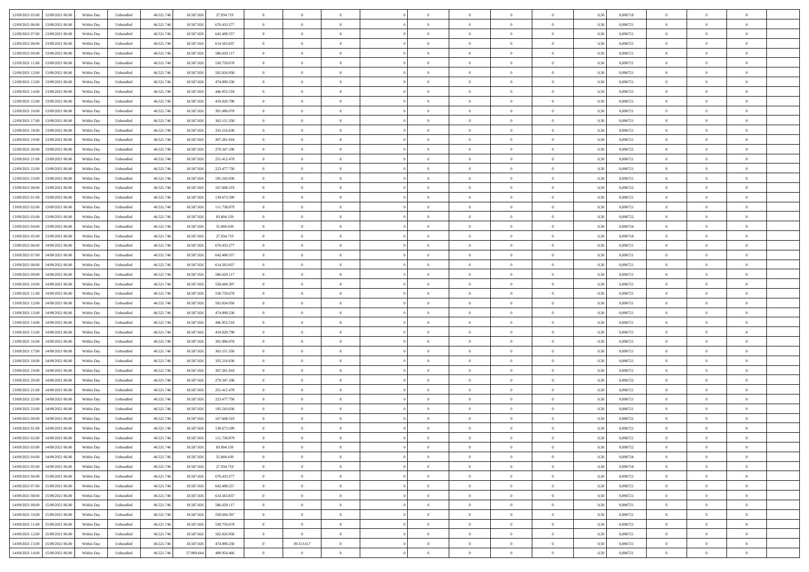| 12/09/2021 05:00 12/09/2021 06:00              | Within Day | Unbundled         | 46.521.74  | 18.587.026 | 27.934.719  | $\overline{0}$ | $\overline{0}$ |                | $\overline{0}$ | $\theta$       |                | $\theta$       | 0,50 | 0,896718 | $\theta$       | $\theta$       | $\overline{0}$ |  |
|------------------------------------------------|------------|-------------------|------------|------------|-------------|----------------|----------------|----------------|----------------|----------------|----------------|----------------|------|----------|----------------|----------------|----------------|--|
| 12/09/2021 06:00<br>13/09/2021 06:00           | Within Day | Unbundled         | 46.521.74  | 18.587.02  | 670.433.277 | $\bf{0}$       | $\overline{0}$ | $\bf{0}$       | $\overline{0}$ | $\bf{0}$       | $\overline{0}$ | $\bf{0}$       | 0,50 | 0,896721 | $\,$ 0 $\,$    | $\bf{0}$       | $\overline{0}$ |  |
| 12/09/2021 07:00<br>13/09/2021 06:00           | Within Day | Unbundled         | 46.521.746 | 18.587.026 | 642.498.557 | $\overline{0}$ | $\bf{0}$       | $\overline{0}$ | $\bf{0}$       | $\bf{0}$       | $\overline{0}$ | $\bf{0}$       | 0.50 | 0.896721 | $\bf{0}$       | $\overline{0}$ | $\overline{0}$ |  |
| 12/09/2021 08:00<br>13/09/2021 06:00           |            |                   |            |            |             | $\overline{0}$ | $\overline{0}$ | $\overline{0}$ | $\theta$       | $\theta$       | $\overline{0}$ | $\overline{0}$ |      | 0,896721 | $\theta$       | $\theta$       | $\overline{0}$ |  |
|                                                | Within Day | Unbundled         | 46.521.74  | 18.587.026 | 614.563.837 |                |                |                |                |                |                |                | 0,50 |          |                |                |                |  |
| 12/09/2021 09:00<br>13/09/2021 06:00           | Within Day | Unbundled         | 46.521.74  | 18.587.02  | 586.629.117 | $\bf{0}$       | $\overline{0}$ | $\overline{0}$ | $\overline{0}$ | $\theta$       | $\overline{0}$ | $\bf{0}$       | 0,50 | 0,896721 | $\,$ 0 $\,$    | $\bf{0}$       | $\overline{0}$ |  |
| 12/09/2021 11:00<br>13/09/2021 06:00           | Within Day | Unbundled         | 46.521.746 | 18.587.026 | 530.759.678 | $\overline{0}$ | $\overline{0}$ | $\overline{0}$ | $\overline{0}$ | $\overline{0}$ | $\Omega$       | $\bf{0}$       | 0.50 | 0,896721 | $\,$ 0 $\,$    | $\theta$       | $\overline{0}$ |  |
| 12/09/2021 12:00<br>13/09/2021 06:00           | Within Day | Unbundled         | 46.521.74  | 18.587.026 | 502.824.958 | $\overline{0}$ | $\overline{0}$ | $\overline{0}$ | $\overline{0}$ | $\theta$       | $\overline{0}$ | $\bf{0}$       | 0,50 | 0,896721 | $\theta$       | $\theta$       | $\overline{0}$ |  |
|                                                |            |                   |            |            |             |                |                |                |                |                |                |                |      |          |                |                |                |  |
| 12/09/2021 13:00<br>13/09/2021 06:00           | Within Day | Unbundled         | 46.521.74  | 18.587.02  | 474.890.238 | $\bf{0}$       | $\overline{0}$ | $\overline{0}$ | $\overline{0}$ | $\theta$       | $\overline{0}$ | $\bf{0}$       | 0,50 | 0,896721 | $\,$ 0 $\,$    | $\bf{0}$       | $\overline{0}$ |  |
| 12/09/2021 14:00<br>13/09/2021 06:00           | Within Day | Unbundled         | 46.521.74  | 18.587.026 | 446.955.518 | $\overline{0}$ | $\bf{0}$       | $\overline{0}$ | $\bf{0}$       | $\overline{0}$ | $\overline{0}$ | $\bf{0}$       | 0.50 | 0.896721 | $\bf{0}$       | $\overline{0}$ | $\overline{0}$ |  |
| 12/09/2021 15:00<br>13/09/2021 06:00           | Within Day | Unbundled         | 46.521.746 | 18.587.026 | 419.020.798 | $\overline{0}$ | $\bf{0}$       | $\overline{0}$ | $\overline{0}$ | $\theta$       | $\overline{0}$ | $\bf{0}$       | 0,50 | 0,896721 | $\,$ 0 $\,$    | $\theta$       | $\overline{0}$ |  |
| 12/09/2021 16:00<br>13/09/2021 06:00           | Within Day | Unbundled         | 46.521.74  | 18.587.026 | 391.086.078 | $\bf{0}$       | $\overline{0}$ | $\bf{0}$       | $\overline{0}$ | $\bf{0}$       | $\overline{0}$ | $\bf{0}$       | 0,50 | 0,896721 | $\,$ 0 $\,$    | $\bf{0}$       | $\overline{0}$ |  |
|                                                |            |                   |            |            |             |                |                |                |                |                |                |                |      |          |                |                |                |  |
| 12/09/2021 17:00<br>13/09/2021 06:00           | Within Day | Unbundled         | 46.521.746 | 18.587.026 | 363.151.358 | $\overline{0}$ | $\bf{0}$       | $\overline{0}$ | $\bf{0}$       | $\bf{0}$       | $\overline{0}$ | $\bf{0}$       | 0.50 | 0.896721 | $\bf{0}$       | $\overline{0}$ | $\bf{0}$       |  |
| 12/09/2021 18:00<br>13/09/2021 06:00           | Within Day | Unbundled         | 46.521.74  | 18.587.026 | 335.216.638 | $\overline{0}$ | $\overline{0}$ | $\overline{0}$ | $\overline{0}$ | $\theta$       | $\overline{0}$ | $\overline{0}$ | 0,50 | 0,896721 | $\theta$       | $\theta$       | $\overline{0}$ |  |
| 12/09/2021 19:00<br>13/09/2021 06:00           | Within Day | Unbundled         | 46.521.74  | 18.587.02  | 307.281.918 | $\bf{0}$       | $\theta$       | $\bf{0}$       | $\overline{0}$ | $\theta$       | $\overline{0}$ | $\bf{0}$       | 0,50 | 0,896721 | $\bf{0}$       | $\bf{0}$       | $\overline{0}$ |  |
|                                                |            |                   |            |            |             |                |                |                |                |                |                |                |      |          |                |                |                |  |
| 12/09/2021 20:00<br>13/09/2021 06:00           | Within Day | Unbundled         | 46.521.746 | 18.587.026 | 279.347.198 | $\overline{0}$ | $\overline{0}$ | $\overline{0}$ | $\bf{0}$       | $\theta$       | $\theta$       | $\bf{0}$       | 0.50 | 0,896722 | $\bf{0}$       | $\theta$       | $\overline{0}$ |  |
| 12/09/2021 21:00<br>13/09/2021 06:00           | Within Day | Unbundled         | 46.521.74  | 18.587.026 | 251.412.478 | $\overline{0}$ | $\overline{0}$ | $\overline{0}$ | $\overline{0}$ | $\overline{0}$ | $\overline{0}$ | $\bf{0}$       | 0,50 | 0,896721 | $\theta$       | $\theta$       | $\overline{0}$ |  |
| 12/09/2021 22:00<br>13/09/2021 06:00           | Within Day | Unbundled         | 46.521.74  | 18.587.02  | 223.477.758 | $\bf{0}$       | $\overline{0}$ | $\overline{0}$ | $\overline{0}$ | $\theta$       | $\overline{0}$ | $\bf{0}$       | 0,50 | 0,896721 | $\,$ 0 $\,$    | $\bf{0}$       | $\overline{0}$ |  |
| 12/09/2021 23:00<br>13/09/2021 06:00           | Within Day | Unbundled         | 46.521.74  | 18.587.02  | 195.543.038 | $\overline{0}$ | $\bf{0}$       | $\overline{0}$ | $\bf{0}$       | $\overline{0}$ | $\overline{0}$ | $\bf{0}$       | 0.50 | 0.896721 | $\bf{0}$       | $\overline{0}$ | $\overline{0}$ |  |
|                                                |            |                   |            |            |             |                | $\overline{0}$ | $\overline{0}$ | $\overline{0}$ | $\overline{0}$ | $\overline{0}$ |                |      |          |                | $\theta$       | $\overline{0}$ |  |
| 13/09/2021 00:00<br>13/09/2021 06:00           | Within Day | Unbundled         | 46.521.74  | 18.587.026 | 167.608.319 | $\bf{0}$       |                |                |                |                |                | $\bf{0}$       | 0,50 | 0,896722 | $\,$ 0 $\,$    |                |                |  |
| 13/09/2021 01:00<br>13/09/2021 06:00           | Within Day | Unbundled         | 46.521.74  | 18.587.02  | 139.673.599 | $\bf{0}$       | $\overline{0}$ | $\bf{0}$       | $\bf{0}$       | $\overline{0}$ | $\overline{0}$ | $\bf{0}$       | 0,50 | 0,896721 | $\,$ 0 $\,$    | $\bf{0}$       | $\overline{0}$ |  |
| 13/09/2021 02:00<br>13/09/2021 06:00           | Within Day | Unbundled         | 46.521.746 | 18,587,026 | 111.738.879 | $\overline{0}$ | $\bf{0}$       | $\overline{0}$ | $\bf{0}$       | $\bf{0}$       | $\overline{0}$ | $\bf{0}$       | 0.50 | 0.896721 | $\bf{0}$       | $\overline{0}$ | $\overline{0}$ |  |
| 13/09/2021 03:00<br>13/09/2021 06:00           | Within Day | Unbundled         | 46.521.74  | 18.587.026 | 83.804.159  | $\overline{0}$ | $\overline{0}$ | $\overline{0}$ | $\theta$       | $\theta$       | $\overline{0}$ | $\bf{0}$       | 0,50 | 0,896722 | $\theta$       | $\theta$       | $\overline{0}$ |  |
|                                                |            |                   |            |            |             |                |                |                |                |                |                |                |      |          |                |                |                |  |
| 13/09/2021 04:00<br>13/09/2021 06:00           | Within Day | Unbundled         | 46.521.74  | 18.587.02  | 55.869.439  | $\bf{0}$       | $\overline{0}$ | $\bf{0}$       | $\overline{0}$ | $\theta$       | $\overline{0}$ | $\bf{0}$       | 0,50 | 0,896724 | $\,$ 0 $\,$    | $\bf{0}$       | $\overline{0}$ |  |
| 13/09/2021 05:00<br>13/09/2021 06:00           | Within Day | Unbundled         | 46.521.746 | 18.587.02  | 27.934.719  | $\overline{0}$ | $\overline{0}$ | $\overline{0}$ | $\overline{0}$ | $\overline{0}$ | $\Omega$       | $\bf{0}$       | 0.50 | 0.896718 | $\bf{0}$       | $\theta$       | $\overline{0}$ |  |
| 13/09/2021 06:00<br>14/09/2021 06.00           | Within Day | Unbundled         | 46.521.74  | 18.587.026 | 670.433.277 | $\overline{0}$ | $\overline{0}$ | $\overline{0}$ | $\overline{0}$ | $\theta$       | $\overline{0}$ | $\bf{0}$       | 0,50 | 0,896721 | $\theta$       | $\theta$       | $\overline{0}$ |  |
| 13/09/2021 07:00<br>14/09/2021 06.00           | Within Day | Unbundled         | 46.521.74  | 18.587.02  | 642.498.557 | $\bf{0}$       | $\overline{0}$ | $\bf{0}$       | $\overline{0}$ | $\theta$       | $\overline{0}$ | $\bf{0}$       | 0,50 | 0,896721 | $\,$ 0 $\,$    | $\bf{0}$       | $\overline{0}$ |  |
|                                                |            |                   |            |            |             |                |                |                |                |                |                |                |      |          |                |                |                |  |
| 13/09/2021 08:00<br>14/09/2021 06:00           | Within Day | Unbundled         | 46.521.74  | 18.587.026 | 614.563.837 | $\overline{0}$ | $\bf{0}$       | $\overline{0}$ | $\bf{0}$       | $\overline{0}$ | $\overline{0}$ | $\bf{0}$       | 0.50 | 0.896721 | $\bf{0}$       | $\overline{0}$ | $\overline{0}$ |  |
| 13/09/2021 09:00<br>14/09/2021 06:00           | Within Day | Unbundled         | 46.521.746 | 18.587.026 | 586.629.117 | $\overline{0}$ | $\overline{0}$ | $\overline{0}$ | $\overline{0}$ | $\theta$       | $\overline{0}$ | $\bf{0}$       | 0,50 | 0,896721 | $\theta$       | $\theta$       | $\overline{0}$ |  |
| 13/09/2021 10:00<br>14/09/2021 06:00           | Within Day | Unbundled         | 46.521.74  | 18.587.02  | 558.694.397 | $\bf{0}$       | $\bf{0}$       | $\bf{0}$       | $\bf{0}$       | $\overline{0}$ | $\overline{0}$ | $\bf{0}$       | 0,50 | 0,896721 | $\,$ 0 $\,$    | $\bf{0}$       | $\overline{0}$ |  |
| 13/09/2021 11:00<br>14/09/2021 06:00           | Within Day | Unbundled         | 46.521.746 | 18,587,026 | 530.759.678 | $\overline{0}$ | $\bf{0}$       | $\overline{0}$ | $\bf{0}$       | $\bf{0}$       | $\overline{0}$ | $\bf{0}$       | 0.50 | 0.896721 | $\bf{0}$       | $\overline{0}$ | $\overline{0}$ |  |
|                                                |            |                   |            |            |             |                |                |                |                |                |                |                |      |          |                |                |                |  |
| 13/09/2021 12:00<br>14/09/2021 06:00           | Within Day | Unbundled         | 46.521.74  | 18.587.026 | 502.824.958 | $\overline{0}$ | $\overline{0}$ | $\overline{0}$ | $\overline{0}$ | $\theta$       | $\overline{0}$ | $\bf{0}$       | 0.5( | 0,896721 | $\theta$       | $\theta$       | $\overline{0}$ |  |
| 13/09/2021 13:00<br>14/09/2021 06.00           | Within Day | Unbundled         | 46.521.74  | 18.587.02  | 474.890.238 | $\bf{0}$       | $\overline{0}$ | $\bf{0}$       | $\overline{0}$ | $\overline{0}$ | $\overline{0}$ | $\bf{0}$       | 0,50 | 0,896721 | $\,$ 0 $\,$    | $\bf{0}$       | $\overline{0}$ |  |
| 13/09/2021 14:00<br>14/09/2021 06:00           | Within Day | Unbundled         | 46.521.746 | 18,587,026 | 446.955.518 | $\overline{0}$ | $\overline{0}$ | $\overline{0}$ | $\bf{0}$       | $\bf{0}$       | $\Omega$       | $\bf{0}$       | 0.50 | 0,896721 | $\,$ 0 $\,$    | $\theta$       | $\overline{0}$ |  |
| 13/09/2021 15:00<br>14/09/2021 06:00           | Within Dav | Unbundled         | 46.521.74  | 18.587.026 | 419.020.798 | $\overline{0}$ | $\overline{0}$ | $\overline{0}$ | $\overline{0}$ | $\overline{0}$ | $\overline{0}$ | $\overline{0}$ | 0.5( | 0,896721 | $\theta$       | $\theta$       | $\overline{0}$ |  |
|                                                |            |                   |            |            |             |                |                |                |                |                |                |                |      |          |                |                |                |  |
| 13/09/2021 16:00<br>14/09/2021 06.00           | Within Day | Unbundled         | 46.521.74  | 18.587.02  | 391.086.078 | $\bf{0}$       | $\overline{0}$ | $\bf{0}$       | $\overline{0}$ | $\bf{0}$       | $\overline{0}$ | $\bf{0}$       | 0,50 | 0,896721 | $\,$ 0 $\,$    | $\bf{0}$       | $\overline{0}$ |  |
| 13/09/2021 17:00<br>14/09/2021 06:00           | Within Day | Unbundled         | 46.521.74  | 18.587.02  | 363.151.358 | $\overline{0}$ | $\bf{0}$       | $\overline{0}$ | $\bf{0}$       | $\overline{0}$ | $\overline{0}$ | $\bf{0}$       | 0.50 | 0.896721 | $\bf{0}$       | $\overline{0}$ | $\overline{0}$ |  |
| 13/09/2021 18:00<br>14/09/2021 06:00           | Within Dav | Unbundled         | 46.521.74  | 18.587.026 | 335.216.638 | $\overline{0}$ | $\overline{0}$ | $\overline{0}$ | $\overline{0}$ | $\overline{0}$ | $\overline{0}$ | $\overline{0}$ | 0.50 | 0,896721 | $\theta$       | $\theta$       | $\overline{0}$ |  |
| 13/09/2021 19:00<br>14/09/2021 06.00           | Within Day | Unbundled         | 46.521.74  | 18.587.02  | 307.281.918 | $\bf{0}$       | $\bf{0}$       | $\bf{0}$       | $\bf{0}$       | $\overline{0}$ | $\overline{0}$ | $\bf{0}$       | 0,50 | 0,896721 | $\,$ 0 $\,$    | $\bf{0}$       | $\overline{0}$ |  |
|                                                |            |                   |            |            |             |                |                |                |                |                |                |                |      |          |                |                |                |  |
| 13/09/2021 20:00<br>14/09/2021 06:00           | Within Day | Unbundled         | 46.521.746 | 18,587,026 | 279.347.198 | $\overline{0}$ | $\bf{0}$       | $\overline{0}$ | $\bf{0}$       | $\bf{0}$       | $\overline{0}$ | $\bf{0}$       | 0.50 | 0.896722 | $\bf{0}$       | $\overline{0}$ | $\overline{0}$ |  |
| 13/09/2021 21:00<br>14/09/2021 06:00           | Within Dav | Unbundled         | 46.521.74  | 18.587.026 | 251.412.478 | $\overline{0}$ | $\overline{0}$ | $\Omega$       | $\overline{0}$ | $\theta$       | $\overline{0}$ | $\overline{0}$ | 0.50 | 0,896721 | $\theta$       | $\theta$       | $\overline{0}$ |  |
| 13/09/2021 22:00<br>14/09/2021 06.00           | Within Day | Unbundled         | 46.521.74  | 18.587.02  | 223.477.758 | $\bf{0}$       | $\overline{0}$ | $\bf{0}$       | $\bf{0}$       | $\,$ 0 $\,$    | $\overline{0}$ | $\bf{0}$       | 0,50 | 0,896721 | $\,$ 0 $\,$    | $\bf{0}$       | $\overline{0}$ |  |
| 13/09/2021 23:00<br>14/09/2021 06:00           | Within Day | Unbundled         | 46.521.74  | 18.587.02  | 195.543.038 | $\overline{0}$ | $\overline{0}$ | $\Omega$       | $\overline{0}$ | $\overline{0}$ | $\theta$       | $\bf{0}$       | 0.50 | 0,896721 | $\bf{0}$       | $\theta$       | $\overline{0}$ |  |
| 14/09/2021 00:00<br>14/09/2021 06:00           | Within Dav | Unbundled         | 46.521.74  | 18.587.026 | 167.608.319 | $\overline{0}$ | $\overline{0}$ | $\Omega$       |                | $\theta$       | $\Omega$       | $\overline{0}$ | 0.5( | 0,896722 | $\theta$       | $\theta$       | $\overline{0}$ |  |
|                                                |            |                   |            |            |             |                |                |                | $\overline{0}$ |                |                |                |      |          |                |                |                |  |
| 14/09/2021 01:00<br>14/09/2021 06.00           | Within Day | Unbundled         | 46.521.74  | 18.587.02  | 139.673.599 | $\bf{0}$       | $\bf{0}$       | $\overline{0}$ | $\bf{0}$       | $\bf{0}$       | $\overline{0}$ | $\bf{0}$       | 0,50 | 0,896721 | $\,$ 0 $\,$    | $\bf{0}$       | $\overline{0}$ |  |
| $14/09/2021\; 02.00 \qquad 14/09/2021\; 06.00$ | Within Day | ${\sf Unbundred}$ | 46.521.746 | 18.587.026 | 111.738.879 | $\overline{0}$ | $\Omega$       |                | $\overline{0}$ |                |                |                | 0,50 | 0,896721 | $\theta$       | $\overline{0}$ |                |  |
| 14/09/2021 03:00 14/09/2021 06:00              | Within Day | Unbundled         | 46.521.746 | 18.587.026 | 83.804.159  | $\overline{0}$ | $\theta$       | $\Omega$       | $\theta$       | $\theta$       | $\overline{0}$ | $\bf{0}$       | 0,50 | 0,896722 | $\theta$       | $\theta$       | $\overline{0}$ |  |
|                                                |            |                   |            |            |             |                |                |                |                |                |                |                |      |          |                |                |                |  |
| 14/09/2021 04:00<br>14/09/2021 06.00           | Within Day | Unbundled         | 46.521.74  | 18.587.02  | 55.869.439  | $\overline{0}$ | $\bf{0}$       | $\overline{0}$ | $\overline{0}$ | $\bf{0}$       | $\overline{0}$ | $\bf{0}$       | 0,50 | 0,896724 | $\bf{0}$       | $\overline{0}$ | $\bf{0}$       |  |
| 14/09/2021 05:00 14/09/2021 06:00              | Within Day | Unbundled         | 46.521.746 | 18,587,026 | 27.934.719  | $\overline{0}$ | $\bf{0}$       | $\overline{0}$ | $\overline{0}$ | $\overline{0}$ | $\overline{0}$ | $\bf{0}$       | 0.50 | 0.896718 | $\overline{0}$ | $\bf{0}$       | $\,$ 0 $\,$    |  |
| 14/09/2021 06:00 15/09/2021 06:00              | Within Day | Unbundled         | 46.521.746 | 18.587.026 | 670.433.277 | $\overline{0}$ | $\overline{0}$ | $\overline{0}$ | $\overline{0}$ | $\overline{0}$ | $\overline{0}$ | $\bf{0}$       | 0,50 | 0,896721 | $\theta$       | $\theta$       | $\overline{0}$ |  |
| 14/09/2021 07:00<br>15/09/2021 06:00           | Within Day | Unbundled         | 46.521.74  | 18.587.026 | 642.498.557 | $\overline{0}$ | $\bf{0}$       | $\overline{0}$ | $\bf{0}$       | $\overline{0}$ | $\bf{0}$       | $\bf{0}$       | 0,50 | 0,896721 | $\overline{0}$ | $\bf{0}$       | $\overline{0}$ |  |
|                                                |            |                   |            |            |             |                |                |                |                |                |                |                |      |          |                |                |                |  |
| 15/09/2021 06:00<br>14/09/2021 08:00           | Within Day | Unbundled         | 46.521.746 | 18,587,026 | 614.563.837 | $\overline{0}$ | $\bf{0}$       | $\overline{0}$ | $\overline{0}$ | $\overline{0}$ | $\overline{0}$ | $\bf{0}$       | 0.50 | 0,896721 | $\,$ 0 $\,$    | $\theta$       | $\overline{0}$ |  |
| 14/09/2021 09:00<br>15/09/2021 06:00           | Within Dav | Unbundled         | 46.521.746 | 18.587.026 | 586.629.117 | $\overline{0}$ | $\overline{0}$ | $\overline{0}$ | $\overline{0}$ | $\overline{0}$ | $\overline{0}$ | $\overline{0}$ | 0.50 | 0,896721 | $\overline{0}$ | $\theta$       | $\overline{0}$ |  |
| 14/09/2021 10:00<br>15/09/2021 06:00           | Within Day | Unbundled         | 46.521.74  | 18.587.02  | 558.694.397 | $\overline{0}$ | $\bf{0}$       | $\overline{0}$ | $\overline{0}$ | $\bf{0}$       | $\overline{0}$ | $\bf{0}$       | 0,50 | 0,896721 | $\bf{0}$       | $\bf{0}$       | $\overline{0}$ |  |
| 14/09/2021 11:00 15/09/2021 06:00              | Within Day | Unbundled         | 46.521.746 | 18,587,026 | 530,759,678 | $\overline{0}$ | $\overline{0}$ | $\overline{0}$ | $\overline{0}$ | $\bf{0}$       | $\overline{0}$ | $\bf{0}$       | 0.50 | 0.896721 | $\overline{0}$ | $\,$ 0 $\,$    | $\,$ 0         |  |
|                                                |            |                   |            |            |             |                |                |                |                |                |                |                |      |          |                |                |                |  |
| 14/09/2021 12:00<br>15/09/2021 06:00           | Within Dav | Unbundled         | 46.521.746 | 18.587.026 | 502.824.958 | $\overline{0}$ | $\overline{0}$ | $\overline{0}$ | $\overline{0}$ | $\overline{0}$ | $\overline{0}$ | $\bf{0}$       | 0,50 | 0,896721 | $\theta$       | $\theta$       | $\overline{0}$ |  |
| 14/09/2021 13:00<br>15/09/2021 06:00           | Within Day | Unbundled         | 46.521.74  | 18.587.02  | 474.890.238 | $\overline{0}$ | 39.313.617     | $\overline{0}$ | $\bf{0}$       | $\overline{0}$ | $\bf{0}$       | $\bf{0}$       | 0,50 | 0,896721 | $\bf{0}$       | $\bf{0}$       | $\overline{0}$ |  |
| 14/09/2021 14:00 15/09/2021 06:00              | Within Day | Unbundled         | 46.521.746 | 57.900.644 | 409.954.466 | $\overline{0}$ | $\overline{0}$ | $\overline{0}$ | $\overline{0}$ | $\,$ 0 $\,$    | $\overline{0}$ | $\bf{0}$       | 0,50 | 0,896721 | $\overline{0}$ | $\,$ 0 $\,$    | $\,$ 0 $\,$    |  |
|                                                |            |                   |            |            |             |                |                |                |                |                |                |                |      |          |                |                |                |  |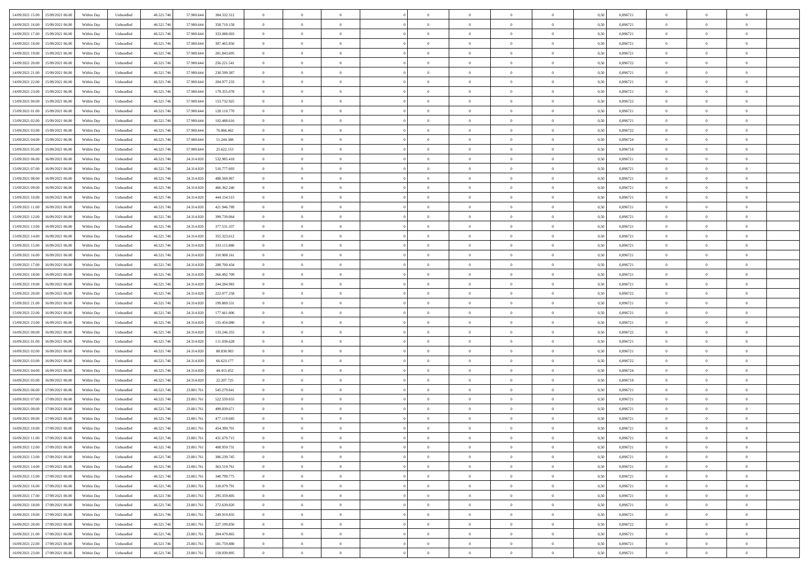|                                               |            |                   |            |            |             | $\overline{0}$ | $\overline{0}$ |                | $\overline{0}$ | $\theta$       |                | $\theta$       |      |          | $\theta$       | $\theta$       | $\overline{0}$ |  |
|-----------------------------------------------|------------|-------------------|------------|------------|-------------|----------------|----------------|----------------|----------------|----------------|----------------|----------------|------|----------|----------------|----------------|----------------|--|
| 14/09/2021 15:00 15/09/2021 06:00             | Within Day | Unbundled         | 46.521.74  | 57.900.644 | 384.332.312 |                |                |                |                |                |                |                | 0,50 | 0,896721 |                |                |                |  |
| 14/09/2021 16:00<br>15/09/2021 06:00          | Within Day | Unbundled         | 46.521.74  | 57.900.64  | 358.710.158 | $\bf{0}$       | $\overline{0}$ | $\overline{0}$ | $\overline{0}$ | $\bf{0}$       | $\overline{0}$ | $\bf{0}$       | 0,50 | 0,896721 | $\,$ 0 $\,$    | $\bf{0}$       | $\overline{0}$ |  |
| 14/09/2021 17:00<br>15/09/2021 06:00          | Within Day | Unbundled         | 46.521.746 | 57,900,644 | 333,088,003 | $\overline{0}$ | $\bf{0}$       | $\overline{0}$ | $\bf{0}$       | $\bf{0}$       | $\overline{0}$ | $\bf{0}$       | 0.50 | 0.896721 | $\bf{0}$       | $\overline{0}$ | $\overline{0}$ |  |
| 14/09/2021 18:00<br>15/09/2021 06:00          | Within Day | Unbundled         | 46.521.74  | 57.900.644 | 307.465.850 | $\overline{0}$ | $\overline{0}$ | $\overline{0}$ | $\theta$       | $\theta$       | $\overline{0}$ | $\overline{0}$ | 0,50 | 0,896721 | $\theta$       | $\theta$       | $\overline{0}$ |  |
|                                               |            |                   |            |            |             |                |                |                |                |                |                |                |      |          |                |                |                |  |
| 14/09/2021 19:00<br>15/09/2021 06:00          | Within Day | Unbundled         | 46.521.74  | 57.900.64  | 281.843.695 | $\overline{0}$ | $\theta$       | $\overline{0}$ | $\overline{0}$ | $\theta$       | $\overline{0}$ | $\bf{0}$       | 0,50 | 0,896721 | $\,$ 0 $\,$    | $\bf{0}$       | $\overline{0}$ |  |
| 14/09/2021 20:00<br>15/09/2021 06:00          | Within Day | Unbundled         | 46.521.74  | 57.900.64  | 256.221.541 | $\overline{0}$ | $\overline{0}$ | $\overline{0}$ | $\overline{0}$ | $\overline{0}$ | $\Omega$       | $\bf{0}$       | 0.50 | 0.896722 | $\,$ 0 $\,$    | $\theta$       | $\overline{0}$ |  |
| 14/09/2021 21:00<br>15/09/2021 06:00          | Within Day | Unbundled         | 46.521.74  | 57.900.644 | 230.599.387 | $\overline{0}$ | $\overline{0}$ | $\overline{0}$ | $\overline{0}$ | $\theta$       | $\overline{0}$ | $\bf{0}$       | 0,50 | 0,896721 | $\theta$       | $\theta$       | $\overline{0}$ |  |
|                                               |            |                   |            |            |             |                |                |                |                |                |                |                |      |          |                |                |                |  |
| 14/09/2021 22:00<br>15/09/2021 06:00          | Within Day | Unbundled         | 46.521.74  | 57.900.64  | 204.977.233 | $\bf{0}$       | $\overline{0}$ | $\overline{0}$ | $\overline{0}$ | $\theta$       | $\overline{0}$ | $\bf{0}$       | 0,50 | 0,896721 | $\,$ 0 $\,$    | $\bf{0}$       | $\overline{0}$ |  |
| 14/09/2021 23:00<br>15/09/2021 06:00          | Within Day | Unbundled         | 46.521.74  | 57.900.64  | 179,355,078 | $\overline{0}$ | $\bf{0}$       | $\overline{0}$ | $\bf{0}$       | $\overline{0}$ | $\overline{0}$ | $\bf{0}$       | 0.50 | 0.896721 | $\bf{0}$       | $\theta$       | $\overline{0}$ |  |
| 15/09/2021 00:00<br>15/09/2021 06:00          | Within Day | Unbundled         | 46.521.74  | 57.900.644 | 153.732.925 | $\overline{0}$ | $\bf{0}$       | $\overline{0}$ | $\overline{0}$ | $\theta$       | $\overline{0}$ | $\bf{0}$       | 0,50 | 0,896722 | $\,$ 0 $\,$    | $\theta$       | $\overline{0}$ |  |
| 15/09/2021 01:00<br>15/09/2021 06:00          | Within Day | Unbundled         | 46.521.74  | 57.900.644 | 128.110.770 | $\bf{0}$       | $\overline{0}$ | $\bf{0}$       | $\overline{0}$ | $\bf{0}$       | $\overline{0}$ | $\bf{0}$       | 0,50 | 0,896721 | $\,$ 0 $\,$    | $\bf{0}$       | $\overline{0}$ |  |
|                                               |            |                   |            | 57,900,644 | 102.488.616 |                | $\overline{0}$ |                |                |                | $\overline{0}$ |                |      | 0.896721 |                |                |                |  |
| 15/09/2021 02:00<br>15/09/2021 06:00          | Within Day | Unbundled         | 46.521.746 |            |             | $\overline{0}$ |                | $\overline{0}$ | $\bf{0}$       | $\bf{0}$       |                | $\bf{0}$       | 0.50 |          | $\bf{0}$       | $\overline{0}$ | $\overline{0}$ |  |
| 15/09/2021 03:00<br>15/09/2021 06:00          | Within Day | Unbundled         | 46.521.74  | 57.900.644 | 76.866.462  | $\overline{0}$ | $\overline{0}$ | $\overline{0}$ | $\overline{0}$ | $\theta$       | $\overline{0}$ | $\overline{0}$ | 0,50 | 0,896722 | $\,$ 0 $\,$    | $\theta$       | $\overline{0}$ |  |
| 15/09/2021 04:00<br>15/09/2021 06:00          | Within Day | Unbundled         | 46.521.74  | 57.900.64  | 51.244.308  | $\bf{0}$       | $\theta$       | $\bf{0}$       | $\overline{0}$ | $\theta$       | $\overline{0}$ | $\bf{0}$       | 0,50 | 0,896724 | $\bf{0}$       | $\bf{0}$       | $\overline{0}$ |  |
| 15/09/2021 05:00<br>15/09/2021 06:00          | Within Day | Unbundled         | 46.521.74  | 57,900,644 | 25.622.153  | $\overline{0}$ | $\overline{0}$ | $\overline{0}$ | $\bf{0}$       | $\theta$       | $\theta$       | $\bf{0}$       | 0.50 | 0.896718 | $\bf{0}$       | $\theta$       | $\overline{0}$ |  |
| 15/09/2021 06:00<br>16/09/2021 06:00          | Within Day | Unbundled         | 46.521.74  | 24.314.020 | 532.985.418 | $\overline{0}$ | $\overline{0}$ | $\overline{0}$ | $\overline{0}$ | $\overline{0}$ | $\overline{0}$ | $\bf{0}$       | 0,50 | 0,896721 | $\theta$       | $\theta$       | $\overline{0}$ |  |
|                                               |            |                   |            |            |             |                |                |                |                |                |                |                |      |          |                |                |                |  |
| 15/09/2021 07:00<br>16/09/2021 06:00          | Within Day | Unbundled         | 46.521.74  | 24.314.020 | 510.777.693 | $\bf{0}$       | $\overline{0}$ | $\overline{0}$ | $\overline{0}$ | $\theta$       | $\overline{0}$ | $\bf{0}$       | 0,50 | 0,896721 | $\,$ 0 $\,$    | $\bf{0}$       | $\overline{0}$ |  |
| 15/09/2021 08:00<br>16/09/2021 06:00          | Within Day | Unbundled         | 46.521.74  | 24.314.020 | 488.569.967 | $\overline{0}$ | $\overline{0}$ | $\overline{0}$ | $\bf{0}$       | $\overline{0}$ | $\overline{0}$ | $\bf{0}$       | 0.50 | 0.896721 | $\bf{0}$       | $\overline{0}$ | $\overline{0}$ |  |
| 15/09/2021 09:00<br>16/09/2021 06:00          | Within Day | Unbundled         | 46.521.74  | 24.314.020 | 466.362.240 | $\overline{0}$ | $\overline{0}$ | $\overline{0}$ | $\overline{0}$ | $\theta$       | $\overline{0}$ | $\bf{0}$       | 0,50 | 0,896721 | $\,$ 0 $\,$    | $\theta$       | $\overline{0}$ |  |
| 15/09/2021 10:00<br>16/09/2021 06:00          | Within Day | Unbundled         | 46.521.74  | 24.314.020 | 444.154.515 | $\bf{0}$       | $\overline{0}$ | $\bf{0}$       | $\bf{0}$       | $\overline{0}$ | $\overline{0}$ | $\bf{0}$       | 0,50 | 0,896721 | $\,$ 0 $\,$    | $\bf{0}$       | $\overline{0}$ |  |
|                                               |            |                   |            |            |             |                |                |                |                |                |                |                |      |          |                |                |                |  |
| 15/09/2021 11:00<br>16/09/2021 06:00          | Within Day | Unbundled         | 46.521.746 | 24.314.020 | 421.946.789 | $\overline{0}$ | $\bf{0}$       | $\overline{0}$ | $\bf{0}$       | $\bf{0}$       | $\overline{0}$ | $\bf{0}$       | 0.50 | 0.896721 | $\bf{0}$       | $\overline{0}$ | $\overline{0}$ |  |
| 15/09/2021 12:00<br>16/09/2021 06:00          | Within Day | Unbundled         | 46.521.74  | 24.314.020 | 399.739.064 | $\overline{0}$ | $\overline{0}$ | $\overline{0}$ | $\theta$       | $\theta$       | $\overline{0}$ | $\bf{0}$       | 0,50 | 0,896721 | $\theta$       | $\theta$       | $\overline{0}$ |  |
| 15/09/2021 13:00<br>16/09/2021 06:00          | Within Day | Unbundled         | 46.521.74  | 24.314.020 | 377.531.337 | $\bf{0}$       | $\overline{0}$ | $\bf{0}$       | $\overline{0}$ | $\theta$       | $\overline{0}$ | $\bf{0}$       | 0,50 | 0,896721 | $\,$ 0 $\,$    | $\bf{0}$       | $\overline{0}$ |  |
| 15/09/2021 14:00<br>16/09/2021 06:00          | Within Day | Unbundled         | 46.521.74  | 24.314.020 | 355.323.612 | $\overline{0}$ | $\overline{0}$ | $\overline{0}$ | $\overline{0}$ | $\overline{0}$ | $\Omega$       | $\bf{0}$       | 0.50 | 0.896721 | $\,$ 0 $\,$    | $\theta$       | $\overline{0}$ |  |
| 15/09/2021 15:00<br>16/09/2021 06:00          | Within Day | Unbundled         | 46.521.74  | 24.314.020 | 333.115.886 | $\overline{0}$ | $\overline{0}$ | $\overline{0}$ | $\overline{0}$ | $\theta$       | $\overline{0}$ | $\bf{0}$       | 0,50 | 0,896721 | $\theta$       | $\theta$       | $\overline{0}$ |  |
|                                               |            |                   |            |            |             |                |                |                |                |                |                |                |      |          |                |                |                |  |
| 15/09/2021 16:00<br>16/09/2021 06:00          | Within Day | Unbundled         | 46.521.74  | 24.314.020 | 310.908.161 | $\overline{0}$ | $\overline{0}$ | $\overline{0}$ | $\overline{0}$ | $\theta$       | $\overline{0}$ | $\bf{0}$       | 0,50 | 0,896721 | $\,$ 0 $\,$    | $\bf{0}$       | $\overline{0}$ |  |
| 15/09/2021 17:00<br>16/09/2021 06:00          | Within Day | Unbundled         | 46.521.74  | 24.314.020 | 288,700,434 | $\overline{0}$ | $\bf{0}$       | $\overline{0}$ | $\bf{0}$       | $\overline{0}$ | $\overline{0}$ | $\bf{0}$       | 0.50 | 0.896721 | $\bf{0}$       | $\theta$       | $\overline{0}$ |  |
| 15/09/2021 18:00<br>16/09/2021 06:00          | Within Day | Unbundled         | 46.521.74  | 24.314.020 | 266.492.709 | $\overline{0}$ | $\overline{0}$ | $\overline{0}$ | $\overline{0}$ | $\theta$       | $\overline{0}$ | $\bf{0}$       | 0,50 | 0,896721 | $\theta$       | $\theta$       | $\overline{0}$ |  |
| 15/09/2021 19:00<br>16/09/2021 06:00          | Within Day | Unbundled         | 46.521.74  | 24.314.020 | 244.284.983 | $\bf{0}$       | $\bf{0}$       | $\bf{0}$       | $\bf{0}$       | $\overline{0}$ | $\overline{0}$ | $\bf{0}$       | 0,50 | 0,896721 | $\,$ 0 $\,$    | $\bf{0}$       | $\overline{0}$ |  |
|                                               |            |                   |            |            |             |                |                |                |                |                |                |                |      |          |                |                |                |  |
| 15/09/2021 20:00<br>16/09/2021 06:00          | Within Day | Unbundled         | 46.521.74  | 24.314.020 | 222.077.258 | $\overline{0}$ | $\bf{0}$       | $\overline{0}$ | $\bf{0}$       | $\bf{0}$       | $\overline{0}$ | $\bf{0}$       | 0.50 | 0.896722 | $\bf{0}$       | $\overline{0}$ | $\overline{0}$ |  |
| 15/09/2021 21:00<br>16/09/2021 06:00          | Within Day | Unbundled         | 46.521.74  | 24.314.020 | 199.869.531 | $\overline{0}$ | $\overline{0}$ | $\overline{0}$ | $\overline{0}$ | $\theta$       | $\overline{0}$ | $\bf{0}$       | 0.5( | 0,896721 | $\theta$       | $\theta$       | $\overline{0}$ |  |
| 15/09/2021 22:00<br>16/09/2021 06:00          | Within Day | Unbundled         | 46.521.74  | 24.314.020 | 177.661.806 | $\bf{0}$       | $\overline{0}$ | $\bf{0}$       | $\overline{0}$ | $\overline{0}$ | $\overline{0}$ | $\bf{0}$       | 0,50 | 0,896721 | $\,$ 0 $\,$    | $\bf{0}$       | $\overline{0}$ |  |
| 15/09/2021 23:00<br>16/09/2021 06:00          | Within Day | Unbundled         | 46.521.74  | 24.314.020 | 155.454.080 | $\overline{0}$ | $\overline{0}$ | $\overline{0}$ | $\bf{0}$       | $\theta$       | $\Omega$       | $\bf{0}$       | 0.50 | 0,896721 | $\,$ 0 $\,$    | $\theta$       | $\overline{0}$ |  |
| 16/09/2021 00:00<br>16/09/2021 06:00          | Within Dav | Unbundled         | 46.521.74  | 24.314.020 | 133.246.355 | $\overline{0}$ | $\overline{0}$ | $\Omega$       | $\overline{0}$ | $\theta$       | $\overline{0}$ | $\overline{0}$ | 0.5( | 0,896722 | $\theta$       | $\theta$       | $\overline{0}$ |  |
|                                               |            |                   |            |            |             |                |                |                |                |                |                |                |      |          |                |                |                |  |
| 16/09/2021 01:00<br>16/09/2021 06:00          | Within Day | Unbundled         | 46.521.74  | 24.314.020 | 111.038.628 | $\bf{0}$       | $\overline{0}$ | $\bf{0}$       | $\overline{0}$ | $\bf{0}$       | $\overline{0}$ | $\bf{0}$       | 0,50 | 0,896721 | $\,$ 0 $\,$    | $\bf{0}$       | $\overline{0}$ |  |
| 16/09/2021 02:00<br>16/09/2021 06:00          | Within Day | Unbundled         | 46.521.74  | 24.314.020 | 88.830.903  | $\overline{0}$ | $\bf{0}$       | $\overline{0}$ | $\bf{0}$       | $\overline{0}$ | $\overline{0}$ | $\bf{0}$       | 0.50 | 0.896721 | $\bf{0}$       | $\overline{0}$ | $\overline{0}$ |  |
| 16/09/2021 03:00<br>16/09/2021 06:00          | Within Dav | Unbundled         | 46.521.74  | 24.314.020 | 66.623.177  | $\overline{0}$ | $\overline{0}$ | $\overline{0}$ | $\overline{0}$ | $\overline{0}$ | $\overline{0}$ | $\overline{0}$ | 0.50 | 0,896722 | $\theta$       | $\theta$       | $\overline{0}$ |  |
| 16/09/2021 04:00<br>16/09/2021 06:00          | Within Day | Unbundled         | 46.521.74  | 24.314.020 | 44.415.452  | $\bf{0}$       | $\bf{0}$       | $\bf{0}$       | $\bf{0}$       | $\overline{0}$ | $\overline{0}$ | $\bf{0}$       | 0,50 | 0,896724 | $\,$ 0 $\,$    | $\bf{0}$       | $\overline{0}$ |  |
| 16/09/2021 06:00                              |            |                   |            |            |             |                |                |                |                |                | $\overline{0}$ |                |      | 0.896718 |                | $\overline{0}$ |                |  |
| 16/09/2021 05:00                              | Within Day | Unbundled         | 46.521.746 | 24.314.020 | 22.207.725  | $\overline{0}$ | $\bf{0}$       | $\overline{0}$ | $\bf{0}$       | $\bf{0}$       |                | $\bf{0}$       | 0.50 |          | $\bf{0}$       |                | $\overline{0}$ |  |
| 16/09/2021 06:00<br>17/09/2021 06:00          | Within Dav | Unbundled         | 46.521.74  | 23.801.76  | 545.279.641 | $\overline{0}$ | $\overline{0}$ | $\overline{0}$ | $\overline{0}$ | $\theta$       | $\overline{0}$ | $\bf{0}$       | 0.50 | 0,896721 | $\theta$       | $\theta$       | $\overline{0}$ |  |
| 16/09/2021 07:00<br>17/09/2021 06:00          | Within Day | Unbundled         | 46.521.74  | 23.801.76  | 522.559.655 | $\bf{0}$       | $\overline{0}$ | $\bf{0}$       | $\bf{0}$       | $\theta$       | $\overline{0}$ | $\bf{0}$       | 0,50 | 0,896721 | $\,$ 0 $\,$    | $\bf{0}$       | $\overline{0}$ |  |
| 16/09/2021 08:00<br>17/09/2021 06:00          | Within Day | Unbundled         | 46.521.74  | 23,801.76  | 499.839.671 | $\overline{0}$ | $\overline{0}$ | $\Omega$       | $\overline{0}$ | $\theta$       | $\theta$       | $\bf{0}$       | 0.50 | 0,896721 | $\bf{0}$       | $\theta$       | $\overline{0}$ |  |
| 16/09/2021 09:00<br>17/09/2021 06:00          | Within Dav | Unbundled         | 46.521.74  | 23,801.76  | 477.119.685 | $\overline{0}$ | $\overline{0}$ | $\Omega$       | $\overline{0}$ | $\theta$       | $\Omega$       | $\overline{0}$ | 0.5( | 0,896721 | $\theta$       | $\theta$       | $\overline{0}$ |  |
|                                               |            |                   |            |            |             |                |                |                |                |                |                |                |      |          |                |                |                |  |
| 16/09/2021 10:00<br>17/09/2021 06:00          | Within Day | Unbundled         | 46.521.74  | 23.801.76  | 454.399.701 | $\bf{0}$       | $\bf{0}$       | $\bf{0}$       | $\overline{0}$ | $\bf{0}$       | $\overline{0}$ | $\bf{0}$       | 0,50 | 0,896721 | $\,$ 0 $\,$    | $\bf{0}$       | $\overline{0}$ |  |
| $1609/2021\;11.00\; \equiv 17/09/2021\;06.00$ | Within Day | ${\sf Unbundred}$ | 46.521.746 | 23.801.761 | 431.679.715 | $\overline{0}$ | $\Omega$       |                | $\Omega$       |                |                |                | 0,50 | 0,896721 | $\theta$       | $\overline{0}$ |                |  |
| 16/09/2021 12:00 17/09/2021 06:00             | Within Day | Unbundled         | 46.521.746 | 23.801.761 | 408.959.731 | $\overline{0}$ | $\overline{0}$ | $\overline{0}$ | $\theta$       | $\overline{0}$ | $\overline{0}$ | $\bf{0}$       | 0,50 | 0,896721 | $\theta$       | $\theta$       | $\overline{0}$ |  |
| 16/09/2021 13:00<br>17/09/2021 06:00          | Within Day | Unbundled         | 46.521.74  | 23.801.76  | 386.239.745 | $\overline{0}$ | $\bf{0}$       | $\overline{0}$ | $\overline{0}$ | $\bf{0}$       | $\overline{0}$ | $\bf{0}$       | 0,50 | 0,896721 | $\bf{0}$       | $\overline{0}$ | $\bf{0}$       |  |
| 16/09/2021 14:00 17/09/2021 06:00             | Within Day | Unbundled         | 46.521.746 | 23.801.761 | 363.519.761 | $\overline{0}$ | $\bf{0}$       | $\overline{0}$ | $\overline{0}$ | $\overline{0}$ | $\overline{0}$ | $\bf{0}$       | 0.50 | 0.896721 | $\overline{0}$ | $\bf{0}$       | $\,$ 0 $\,$    |  |
|                                               |            |                   |            |            |             |                |                |                |                |                |                |                |      |          |                |                |                |  |
| 16/09/2021 15:00 17/09/2021 06:00             | Within Day | Unbundled         | 46.521.746 | 23.801.761 | 340.799.775 | $\overline{0}$ | $\overline{0}$ | $\overline{0}$ | $\overline{0}$ | $\overline{0}$ | $\overline{0}$ | $\bf{0}$       | 0,50 | 0,896721 | $\theta$       | $\theta$       | $\overline{0}$ |  |
| 16/09/2021 16:00<br>17/09/2021 06:00          | Within Day | Unbundled         | 46.521.74  | 23.801.76  | 318.079.791 | $\overline{0}$ | $\bf{0}$       | $\overline{0}$ | $\overline{0}$ | $\overline{0}$ | $\bf{0}$       | $\bf{0}$       | 0,50 | 0,896721 | $\bf{0}$       | $\bf{0}$       | $\overline{0}$ |  |
| 16/09/2021 17:00<br>17/09/2021 06:00          | Within Day | Unbundled         | 46.521.746 | 23,801.76  | 295.359.805 | $\overline{0}$ | $\bf{0}$       | $\overline{0}$ | $\overline{0}$ | $\overline{0}$ | $\overline{0}$ | $\bf{0}$       | 0.50 | 0,896721 | $\,$ 0 $\,$    | $\theta$       | $\overline{0}$ |  |
| 16/09/2021 18:00<br>17/09/2021 06:00          | Within Dav | Unbundled         | 46.521.746 | 23.801.761 | 272.639.820 | $\overline{0}$ | $\overline{0}$ | $\overline{0}$ | $\overline{0}$ | $\overline{0}$ | $\overline{0}$ | $\bf{0}$       | 0.50 | 0,896721 | $\overline{0}$ | $\theta$       | $\overline{0}$ |  |
|                                               |            |                   |            |            |             |                |                |                |                |                |                |                |      |          |                |                |                |  |
| 16/09/2021 19:00<br>17/09/2021 06:00          | Within Day | Unbundled         | 46.521.74  | 23.801.76  | 249.919.835 | $\overline{0}$ | $\overline{0}$ | $\overline{0}$ | $\overline{0}$ | $\bf{0}$       | $\overline{0}$ | $\bf{0}$       | 0,50 | 0,896721 | $\bf{0}$       | $\overline{0}$ | $\overline{0}$ |  |
| 17/09/2021 06:00<br>16/09/2021 20:00          | Within Day | Unbundled         | 46.521.746 | 23,801.76  | 227.199.850 | $\overline{0}$ | $\overline{0}$ | $\overline{0}$ | $\overline{0}$ | $\bf{0}$       | $\overline{0}$ | $\bf{0}$       | 0.50 | 0.896722 | $\overline{0}$ | $\bf{0}$       | $\,$ 0         |  |
| 16/09/2021 21:00<br>17/09/2021 06:00          | Within Dav | Unbundled         | 46.521.746 | 23.801.761 | 204.479.865 | $\overline{0}$ | $\overline{0}$ | $\overline{0}$ | $\overline{0}$ | $\overline{0}$ | $\overline{0}$ | $\bf{0}$       | 0,50 | 0,896721 | $\overline{0}$ | $\theta$       | $\overline{0}$ |  |
| 16/09/2021 22:00<br>17/09/2021 06:00          | Within Day | Unbundled         | 46.521.74  | 23.801.76  | 181.759.880 | $\overline{0}$ | $\bf{0}$       | $\overline{0}$ | $\bf{0}$       | $\overline{0}$ | $\bf{0}$       | $\bf{0}$       | 0,50 | 0,896721 | $\bf{0}$       | $\bf{0}$       | $\overline{0}$ |  |
|                                               |            |                   |            |            |             |                |                |                |                |                |                |                |      |          |                |                |                |  |
| 16/09/2021 23:00 17/09/2021 06:00             | Within Day | Unbundled         | 46.521.746 | 23.801.761 | 159.039.895 | $\overline{0}$ | $\bf{0}$       | $\overline{0}$ | $\overline{0}$ | $\,$ 0 $\,$    | $\overline{0}$ | $\bf{0}$       | 0,50 | 0,896721 | $\overline{0}$ | $\,$ 0 $\,$    | $\,$ 0 $\,$    |  |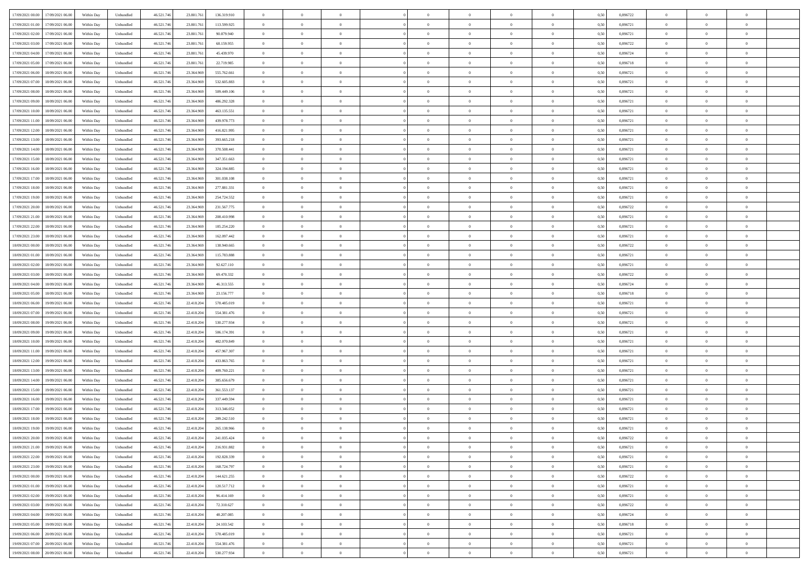| 17/09/2021 00:00 17/09/2021 06:00            | Within Day | Unbundled         | 46.521.74  | 23.801.761 | 136.319.910 | $\overline{0}$ | $\overline{0}$ |                | $\overline{0}$ | $\theta$       |                | $\theta$       | 0,50 | 0,896722 | $\theta$       | $\theta$       | $\overline{0}$ |  |
|----------------------------------------------|------------|-------------------|------------|------------|-------------|----------------|----------------|----------------|----------------|----------------|----------------|----------------|------|----------|----------------|----------------|----------------|--|
| 17/09/2021 01:00<br>17/09/2021 06:00         | Within Day | Unbundled         | 46.521.74  | 23.801.76  | 113.599.925 | $\bf{0}$       | $\overline{0}$ | $\bf{0}$       | $\overline{0}$ | $\bf{0}$       | $\overline{0}$ | $\bf{0}$       | 0,50 | 0,896721 | $\,$ 0 $\,$    | $\bf{0}$       | $\overline{0}$ |  |
| 17/09/2021 02:00<br>17/09/2021 06:00         | Within Day | Unbundled         | 46.521.746 | 23.801.761 | 90.879.940  | $\overline{0}$ | $\bf{0}$       | $\overline{0}$ | $\bf{0}$       | $\bf{0}$       | $\overline{0}$ | $\bf{0}$       | 0.50 | 0.896721 | $\bf{0}$       | $\overline{0}$ | $\overline{0}$ |  |
| 17/09/2021 03:00<br>17/09/2021 06:00         | Within Day | Unbundled         | 46.521.74  | 23.801.76  | 68.159.955  | $\overline{0}$ | $\overline{0}$ | $\overline{0}$ | $\theta$       | $\theta$       | $\overline{0}$ | $\overline{0}$ | 0,50 | 0,896722 | $\theta$       | $\theta$       | $\overline{0}$ |  |
|                                              |            |                   |            |            |             |                |                |                |                |                |                |                |      |          |                |                |                |  |
| 17/09/2021 04:00<br>17/09/2021 06:00         | Within Day | Unbundled         | 46.521.74  | 23.801.76  | 45.439.970  | $\bf{0}$       | $\overline{0}$ | $\bf{0}$       | $\overline{0}$ | $\theta$       | $\overline{0}$ | $\bf{0}$       | 0,50 | 0,896724 | $\,$ 0 $\,$    | $\bf{0}$       | $\overline{0}$ |  |
| 17/09/2021 05:00<br>17/09/2021 06:00         | Within Day | Unbundled         | 46.521.74  | 23,801.76  | 22.719.985  | $\overline{0}$ | $\overline{0}$ | $\overline{0}$ | $\bf{0}$       | $\overline{0}$ | $\Omega$       | $\bf{0}$       | 0.50 | 0.896718 | $\,$ 0 $\,$    | $\theta$       | $\overline{0}$ |  |
| 17/09/2021 06:00<br>18/09/2021 06:00         | Within Day | Unbundled         | 46.521.74  | 23.364.969 | 555.762.661 | $\overline{0}$ | $\overline{0}$ | $\overline{0}$ | $\overline{0}$ | $\theta$       | $\overline{0}$ | $\bf{0}$       | 0,50 | 0,896721 | $\theta$       | $\theta$       | $\overline{0}$ |  |
| 17/09/2021 07:00<br>18/09/2021 06:00         | Within Day | Unbundled         | 46.521.74  | 23.364.96  | 532.605.883 | $\bf{0}$       | $\overline{0}$ | $\overline{0}$ | $\overline{0}$ | $\theta$       | $\overline{0}$ | $\bf{0}$       | 0,50 | 0,896721 | $\,$ 0 $\,$    | $\bf{0}$       | $\overline{0}$ |  |
| 17/09/2021 08:00<br>18/09/2021 06:00         | Within Day | Unbundled         | 46.521.74  | 23,364,969 | 509.449.106 | $\overline{0}$ | $\bf{0}$       | $\overline{0}$ | $\bf{0}$       | $\overline{0}$ | $\overline{0}$ | $\bf{0}$       | 0.50 | 0.896721 | $\bf{0}$       | $\theta$       | $\overline{0}$ |  |
|                                              |            |                   |            |            |             |                |                |                |                |                |                |                |      |          |                |                |                |  |
| 17/09/2021 09:00<br>18/09/2021 06:00         | Within Day | Unbundled         | 46.521.74  | 23.364.969 | 486.292.328 | $\overline{0}$ | $\bf{0}$       | $\overline{0}$ | $\overline{0}$ | $\theta$       | $\overline{0}$ | $\bf{0}$       | 0,50 | 0,896721 | $\,$ 0 $\,$    | $\bf{0}$       | $\overline{0}$ |  |
| 17/09/2021 10:00<br>18/09/2021 06:00         | Within Day | Unbundled         | 46.521.74  | 23.364.96  | 463.135.551 | $\bf{0}$       | $\overline{0}$ | $\bf{0}$       | $\overline{0}$ | $\bf{0}$       | $\overline{0}$ | $\bf{0}$       | 0,50 | 0,896721 | $\,$ 0 $\,$    | $\bf{0}$       | $\overline{0}$ |  |
| 17/09/2021 11:00<br>18/09/2021 06:00         | Within Day | Unbundled         | 46.521.746 | 23.364.969 | 439.978.773 | $\overline{0}$ | $\bf{0}$       | $\overline{0}$ | $\bf{0}$       | $\bf{0}$       | $\overline{0}$ | $\bf{0}$       | 0.50 | 0.896721 | $\bf{0}$       | $\overline{0}$ | $\overline{0}$ |  |
| 17/09/2021 12:00<br>18/09/2021 06:00         | Within Day | Unbundled         | 46.521.74  | 23.364.969 | 416.821.995 | $\overline{0}$ | $\overline{0}$ | $\overline{0}$ | $\overline{0}$ | $\theta$       | $\overline{0}$ | $\overline{0}$ | 0,50 | 0,896721 | $\,$ 0 $\,$    | $\theta$       | $\overline{0}$ |  |
| 17/09/2021 13:00<br>18/09/2021 06:00         | Within Day | Unbundled         | 46.521.74  | 23.364.96  | 393.665.218 | $\bf{0}$       | $\theta$       | $\bf{0}$       | $\overline{0}$ | $\theta$       | $\overline{0}$ | $\bf{0}$       | 0,50 | 0,896721 | $\bf{0}$       | $\bf{0}$       | $\overline{0}$ |  |
|                                              |            |                   |            |            |             |                |                |                |                |                |                |                |      |          |                |                |                |  |
| 17/09/2021 14:00<br>18/09/2021 06:00         | Within Day | Unbundled         | 46.521.74  | 23,364,969 | 370.508.441 | $\overline{0}$ | $\overline{0}$ | $\overline{0}$ | $\bf{0}$       | $\theta$       | $\theta$       | $\bf{0}$       | 0.50 | 0,896721 | $\bf{0}$       | $\theta$       | $\overline{0}$ |  |
| 17/09/2021 15:00<br>18/09/2021 06:00         | Within Day | Unbundled         | 46.521.74  | 23.364.969 | 347.351.663 | $\overline{0}$ | $\overline{0}$ | $\overline{0}$ | $\overline{0}$ | $\overline{0}$ | $\overline{0}$ | $\bf{0}$       | 0,50 | 0,896721 | $\theta$       | $\theta$       | $\overline{0}$ |  |
| 17/09/2021 16:00<br>18/09/2021 06:00         | Within Day | Unbundled         | 46.521.74  | 23.364.96  | 324.194.885 | $\bf{0}$       | $\overline{0}$ | $\overline{0}$ | $\overline{0}$ | $\bf{0}$       | $\overline{0}$ | $\bf{0}$       | 0,50 | 0,896721 | $\,$ 0 $\,$    | $\bf{0}$       | $\overline{0}$ |  |
| 17/09/2021 17:00<br>18/09/2021 06:00         | Within Day | Unbundled         | 46.521.74  | 23,364,969 | 301.038.108 | $\overline{0}$ | $\bf{0}$       | $\overline{0}$ | $\bf{0}$       | $\overline{0}$ | $\overline{0}$ | $\bf{0}$       | 0.50 | 0.896721 | $\bf{0}$       | $\overline{0}$ | $\overline{0}$ |  |
| 17/09/2021 18:00<br>18/09/2021 06:00         | Within Day | Unbundled         | 46.521.74  | 23.364.969 | 277.881.331 | $\overline{0}$ | $\overline{0}$ | $\overline{0}$ | $\overline{0}$ | $\overline{0}$ | $\overline{0}$ | $\bf{0}$       | 0,50 | 0,896721 | $\,$ 0 $\,$    | $\bf{0}$       | $\overline{0}$ |  |
| 17/09/2021 19:00<br>18/09/2021 06:00         | Within Day | Unbundled         | 46.521.74  | 23.364.96  | 254.724.552 | $\bf{0}$       | $\overline{0}$ | $\bf{0}$       | $\bf{0}$       | $\overline{0}$ | $\overline{0}$ | $\bf{0}$       | 0,50 | 0,896721 | $\,$ 0 $\,$    | $\bf{0}$       | $\overline{0}$ |  |
|                                              |            |                   |            |            |             |                |                |                |                |                |                |                |      |          |                |                |                |  |
| 17/09/2021 20:00<br>18/09/2021 06:00         | Within Day | Unbundled         | 46.521.746 | 23.364.969 | 231.567.775 | $\overline{0}$ | $\bf{0}$       | $\overline{0}$ | $\bf{0}$       | $\bf{0}$       | $\overline{0}$ | $\bf{0}$       | 0.50 | 0.896722 | $\bf{0}$       | $\overline{0}$ | $\overline{0}$ |  |
| 17/09/2021 21:00<br>18/09/2021 06:00         | Within Day | Unbundled         | 46.521.74  | 23.364.969 | 208.410.998 | $\overline{0}$ | $\overline{0}$ | $\overline{0}$ | $\theta$       | $\theta$       | $\overline{0}$ | $\bf{0}$       | 0,50 | 0,896721 | $\theta$       | $\theta$       | $\overline{0}$ |  |
| 17/09/2021 22:00<br>18/09/2021 06:00         | Within Day | Unbundled         | 46.521.74  | 23.364.96  | 185.254.220 | $\bf{0}$       | $\overline{0}$ | $\bf{0}$       | $\bf{0}$       | $\bf{0}$       | $\overline{0}$ | $\bf{0}$       | 0,50 | 0,896721 | $\,$ 0 $\,$    | $\bf{0}$       | $\overline{0}$ |  |
| 17/09/2021 23:00<br>18/09/2021 06:00         | Within Day | Unbundled         | 46.521.74  | 23,364.96  | 162.097.442 | $\overline{0}$ | $\overline{0}$ | $\overline{0}$ | $\overline{0}$ | $\overline{0}$ | $\Omega$       | $\bf{0}$       | 0.50 | 0,896721 | $\,$ 0 $\,$    | $\theta$       | $\overline{0}$ |  |
| 18/09/2021 00:00<br>18/09/2021 06:00         | Within Day | Unbundled         | 46.521.74  | 23.364.969 | 138.940.665 | $\overline{0}$ | $\overline{0}$ | $\overline{0}$ | $\overline{0}$ | $\theta$       | $\overline{0}$ | $\bf{0}$       | 0,50 | 0,896722 | $\,$ 0 $\,$    | $\theta$       | $\overline{0}$ |  |
| 18/09/2021 01:00<br>18/09/2021 06:00         | Within Day | Unbundled         | 46.521.74  | 23.364.96  | 115.783.888 | $\bf{0}$       | $\overline{0}$ | $\bf{0}$       | $\overline{0}$ | $\theta$       | $\overline{0}$ | $\bf{0}$       | 0,50 | 0,896721 | $\,$ 0 $\,$    | $\bf{0}$       | $\overline{0}$ |  |
| 18/09/2021 06:00                             |            | Unbundled         | 46.521.74  |            |             |                |                |                |                |                | $\overline{0}$ |                |      |          |                | $\overline{0}$ |                |  |
| 18/09/2021 02:00                             | Within Day |                   |            | 23,364,969 | 92.627.110  | $\overline{0}$ | $\bf{0}$       | $\overline{0}$ | $\bf{0}$       | $\overline{0}$ |                | $\bf{0}$       | 0.50 | 0.896721 | $\bf{0}$       |                | $\overline{0}$ |  |
| 18/09/2021 03:00<br>18/09/2021 06:00         | Within Day | Unbundled         | 46.521.74  | 23.364.969 | 69.470.332  | $\overline{0}$ | $\overline{0}$ | $\overline{0}$ | $\overline{0}$ | $\overline{0}$ | $\overline{0}$ | $\bf{0}$       | 0,50 | 0,896722 | $\theta$       | $\theta$       | $\overline{0}$ |  |
| 18/09/2021 04:00<br>18/09/2021 06:00         | Within Day | Unbundled         | 46.521.74  | 23.364.96  | 46.313.555  | $\bf{0}$       | $\bf{0}$       | $\bf{0}$       | $\bf{0}$       | $\overline{0}$ | $\overline{0}$ | $\bf{0}$       | 0,50 | 0,896724 | $\,$ 0 $\,$    | $\bf{0}$       | $\overline{0}$ |  |
| 18/09/2021 05:00<br>18/09/2021 06:00         | Within Day | Unbundled         | 46.521.74  | 23.364.969 | 23.156.777  | $\overline{0}$ | $\bf{0}$       | $\overline{0}$ | $\bf{0}$       | $\bf{0}$       | $\overline{0}$ | $\bf{0}$       | 0.50 | 0.896718 | $\bf{0}$       | $\overline{0}$ | $\overline{0}$ |  |
| 18/09/2021 06:00<br>19/09/2021 06:00         | Within Day | Unbundled         | 46.521.74  | 22.418.20  | 578,485,019 | $\overline{0}$ | $\overline{0}$ | $\overline{0}$ | $\overline{0}$ | $\overline{0}$ | $\overline{0}$ | $\bf{0}$       | 0.5( | 0,896721 | $\theta$       | $\theta$       | $\overline{0}$ |  |
| 18/09/2021 07:00<br>19/09/2021 06:00         | Within Day | Unbundled         | 46.521.74  | 22.418.20  | 554.381.476 | $\bf{0}$       | $\overline{0}$ | $\bf{0}$       | $\overline{0}$ | $\overline{0}$ | $\overline{0}$ | $\bf{0}$       | 0,50 | 0,896721 | $\,$ 0 $\,$    | $\bf{0}$       | $\overline{0}$ |  |
| 18/09/2021 08:00<br>19/09/2021 06:00         | Within Day | Unbundled         | 46.521.74  | 22.418.204 | 530.277.934 | $\overline{0}$ | $\overline{0}$ | $\overline{0}$ | $\bf{0}$       | $\theta$       | $\Omega$       | $\bf{0}$       | 0.50 | 0,896721 | $\,$ 0 $\,$    | $\theta$       | $\overline{0}$ |  |
|                                              |            |                   |            |            |             |                |                |                |                |                |                |                |      |          |                |                |                |  |
| 18/09/2021 09:00<br>19/09/2021 06:00         | Within Dav | Unbundled         | 46.521.74  | 22.418.204 | 506.174.391 | $\overline{0}$ | $\overline{0}$ | $\overline{0}$ | $\overline{0}$ | $\theta$       | $\overline{0}$ | $\overline{0}$ | 0.5( | 0,896721 | $\theta$       | $\theta$       | $\overline{0}$ |  |
| 18/09/2021 10:00<br>19/09/2021 06:00         | Within Day | Unbundled         | 46.521.74  | 22.418.20  | 482.070.849 | $\bf{0}$       | $\overline{0}$ | $\bf{0}$       | $\overline{0}$ | $\bf{0}$       | $\overline{0}$ | $\bf{0}$       | 0,50 | 0,896721 | $\,$ 0 $\,$    | $\bf{0}$       | $\overline{0}$ |  |
| 18/09/2021 11:00<br>19/09/2021 06:00         | Within Day | Unbundled         | 46.521.74  | 22.418.20  | 457.967.307 | $\overline{0}$ | $\bf{0}$       | $\overline{0}$ | $\bf{0}$       | $\overline{0}$ | $\overline{0}$ | $\bf{0}$       | 0.50 | 0.896721 | $\bf{0}$       | $\overline{0}$ | $\overline{0}$ |  |
| 18/09/2021 12:00<br>19/09/2021 06:00         | Within Dav | Unbundled         | 46.521.74  | 22.418.20  | 433.863.765 | $\overline{0}$ | $\overline{0}$ | $\overline{0}$ | $\overline{0}$ | $\overline{0}$ | $\overline{0}$ | $\overline{0}$ | 0.50 | 0,896721 | $\theta$       | $\theta$       | $\overline{0}$ |  |
| 18/09/2021 13:00<br>19/09/2021 06:00         | Within Day | Unbundled         | 46.521.74  | 22.418.20  | 409.760.221 | $\bf{0}$       | $\bf{0}$       | $\bf{0}$       | $\bf{0}$       | $\overline{0}$ | $\overline{0}$ | $\bf{0}$       | 0,50 | 0,896721 | $\,$ 0 $\,$    | $\bf{0}$       | $\overline{0}$ |  |
| 18/09/2021 14:00<br>19/09/2021 06:00         | Within Day | Unbundled         | 46.521.746 | 22.418.204 | 385.656.679 | $\overline{0}$ | $\bf{0}$       | $\overline{0}$ | $\bf{0}$       | $\bf{0}$       | $\overline{0}$ | $\bf{0}$       | 0.50 | 0.896721 | $\bf{0}$       | $\overline{0}$ | $\overline{0}$ |  |
|                                              |            |                   |            |            |             |                |                |                |                |                |                |                |      |          |                |                |                |  |
| 18/09/2021 15:00<br>19/09/2021 06:00         | Within Dav | Unbundled         | 46.521.74  | 22.418.204 | 361.553.137 | $\overline{0}$ | $\overline{0}$ | $\overline{0}$ | $\overline{0}$ | $\theta$       | $\overline{0}$ | $\bf{0}$       | 0.50 | 0,896721 | $\theta$       | $\theta$       | $\overline{0}$ |  |
| 18/09/2021 16:00<br>19/09/2021 06:00         | Within Day | Unbundled         | 46.521.74  | 22.418.20  | 337.449.594 | $\bf{0}$       | $\overline{0}$ | $\bf{0}$       | $\bf{0}$       | $\overline{0}$ | $\overline{0}$ | $\bf{0}$       | 0,50 | 0,896721 | $\,$ 0 $\,$    | $\bf{0}$       | $\overline{0}$ |  |
| 18/09/2021 17:00<br>19/09/2021 06:00         | Within Day | Unbundled         | 46.521.74  | 22.418.20  | 313.346.052 | $\overline{0}$ | $\overline{0}$ | $\Omega$       | $\overline{0}$ | $\theta$       | $\theta$       | $\bf{0}$       | 0.50 | 0,896721 | $\bf{0}$       | $\theta$       | $\overline{0}$ |  |
| 18/09/2021 18:00<br>19/09/2021 06:00         | Within Dav | Unbundled         | 46.521.74  | 22.418.20  | 289.242.510 | $\overline{0}$ | $\overline{0}$ | $\Omega$       | $\overline{0}$ | $\theta$       | $\Omega$       | $\overline{0}$ | 0.5( | 0,896721 | $\theta$       | $\theta$       | $\overline{0}$ |  |
| 18/09/2021 19:00<br>19/09/2021 06:00         | Within Day | Unbundled         | 46.521.74  | 22.418.204 | 265.138.966 | $\bf{0}$       | $\bf{0}$       | $\bf{0}$       | $\bf{0}$       | $\bf{0}$       | $\overline{0}$ | $\bf{0}$       | 0,50 | 0,896721 | $\,$ 0 $\,$    | $\bf{0}$       | $\overline{0}$ |  |
| $18/09/2021\ 20.00 \qquad 19/09/2021\ 06.00$ | Within Day | ${\sf Unbundred}$ | 46.521.746 | 22.418.204 | 241.035.424 | $\overline{0}$ | $\Omega$       |                | $\overline{0}$ |                |                |                | 0,50 | 0,896722 | $\theta$       | $\overline{0}$ |                |  |
|                                              |            |                   |            |            |             | $\overline{0}$ | $\theta$       | $\Omega$       |                | $\overline{0}$ |                |                |      |          | $\theta$       | $\theta$       | $\overline{0}$ |  |
| 18/09/2021 21:00 19/09/2021 06:00            | Within Day | Unbundled         | 46.521.746 | 22.418.204 | 216.931.882 |                |                |                | $\theta$       |                | $\overline{0}$ | $\bf{0}$       | 0,50 | 0,896721 |                |                |                |  |
| 18/09/2021 22:00<br>19/09/2021 06:00         | Within Day | Unbundled         | 46.521.74  | 22.418.204 | 192.828.339 | $\overline{0}$ | $\bf{0}$       | $\overline{0}$ | $\overline{0}$ | $\bf{0}$       | $\overline{0}$ | $\bf{0}$       | 0,50 | 0,896721 | $\bf{0}$       | $\overline{0}$ | $\bf{0}$       |  |
| 18/09/2021 23:00 19/09/2021 06:00            | Within Day | Unbundled         | 46.521.746 | 22.418.204 | 168.724.797 | $\overline{0}$ | $\bf{0}$       | $\overline{0}$ | $\overline{0}$ | $\overline{0}$ | $\overline{0}$ | $\,$ 0 $\,$    | 0.50 | 0.896721 | $\overline{0}$ | $\bf{0}$       | $\,$ 0 $\,$    |  |
| 19/09/2021 00:00 19/09/2021 06:00            | Within Day | Unbundled         | 46.521.746 | 22.418.204 | 144.621.255 | $\overline{0}$ | $\overline{0}$ | $\overline{0}$ | $\overline{0}$ | $\overline{0}$ | $\overline{0}$ | $\bf{0}$       | 0,50 | 0,896722 | $\theta$       | $\theta$       | $\overline{0}$ |  |
| 19/09/2021 01:00<br>19/09/2021 06:00         | Within Day | Unbundled         | 46.521.74  | 22.418.204 | 120.517.712 | $\overline{0}$ | $\bf{0}$       | $\overline{0}$ | $\overline{0}$ | $\overline{0}$ | $\bf{0}$       | $\bf{0}$       | 0,50 | 0,896721 | $\bf{0}$       | $\bf{0}$       | $\overline{0}$ |  |
| 19/09/2021 02:00<br>19/09/2021 06:00         | Within Day | Unbundled         | 46.521.746 | 22.418.204 | 96.414.169  | $\overline{0}$ | $\bf{0}$       | $\overline{0}$ | $\overline{0}$ | $\overline{0}$ | $\overline{0}$ | $\bf{0}$       | 0.50 | 0,896721 | $\,$ 0 $\,$    | $\theta$       | $\overline{0}$ |  |
|                                              |            |                   |            |            |             |                |                |                |                |                |                |                |      |          |                |                |                |  |
| 19/09/2021 03:00<br>19/09/2021 06:00         | Within Dav | Unbundled         | 46.521.746 | 22.418.204 | 72.310.627  | $\overline{0}$ | $\overline{0}$ | $\overline{0}$ | $\overline{0}$ | $\overline{0}$ | $\overline{0}$ | $\bf{0}$       | 0.50 | 0,896722 | $\overline{0}$ | $\theta$       | $\overline{0}$ |  |
| 19/09/2021 04:00<br>19/09/2021 06:00         | Within Day | Unbundled         | 46.521.74  | 22.418.204 | 48.207.085  | $\overline{0}$ | $\overline{0}$ | $\overline{0}$ | $\overline{0}$ | $\bf{0}$       | $\overline{0}$ | $\bf{0}$       | 0,50 | 0,896724 | $\bf{0}$       | $\overline{0}$ | $\overline{0}$ |  |
| 19/09/2021 05:00<br>19/09/2021 06:00         | Within Day | Unbundled         | 46.521.746 | 22.418.204 | 24.103.542  | $\overline{0}$ | $\overline{0}$ | $\overline{0}$ | $\overline{0}$ | $\bf{0}$       | $\overline{0}$ | $\bf{0}$       | 0.50 | 0.896718 | $\overline{0}$ | $\bf{0}$       | $\,$ 0         |  |
| 19/09/2021 06:00 20/09/2021 06:00            | Within Dav | Unbundled         | 46.521.746 | 22.418.204 | 578.485.019 | $\overline{0}$ | $\overline{0}$ | $\overline{0}$ | $\overline{0}$ | $\overline{0}$ | $\overline{0}$ | $\bf{0}$       | 0,50 | 0,896721 | $\overline{0}$ | $\theta$       | $\overline{0}$ |  |
| 19/09/2021 07:00<br>20/09/2021 06:00         | Within Day | Unbundled         | 46.521.74  | 22.418.204 | 554.381.476 | $\overline{0}$ | $\bf{0}$       | $\overline{0}$ | $\bf{0}$       | $\overline{0}$ | $\bf{0}$       | $\bf{0}$       | 0,50 | 0,896721 | $\bf{0}$       | $\bf{0}$       | $\overline{0}$ |  |
| 19/09/2021 08:00 20/09/2021 06:00            | Within Day | Unbundled         | 46.521.746 | 22.418.204 | 530.277.934 | $\overline{0}$ | $\bf{0}$       | $\overline{0}$ | $\overline{0}$ | $\,$ 0 $\,$    | $\overline{0}$ | $\bf{0}$       | 0,50 | 0,896721 | $\overline{0}$ | $\,$ 0 $\,$    | $\,$ 0 $\,$    |  |
|                                              |            |                   |            |            |             |                |                |                |                |                |                |                |      |          |                |                |                |  |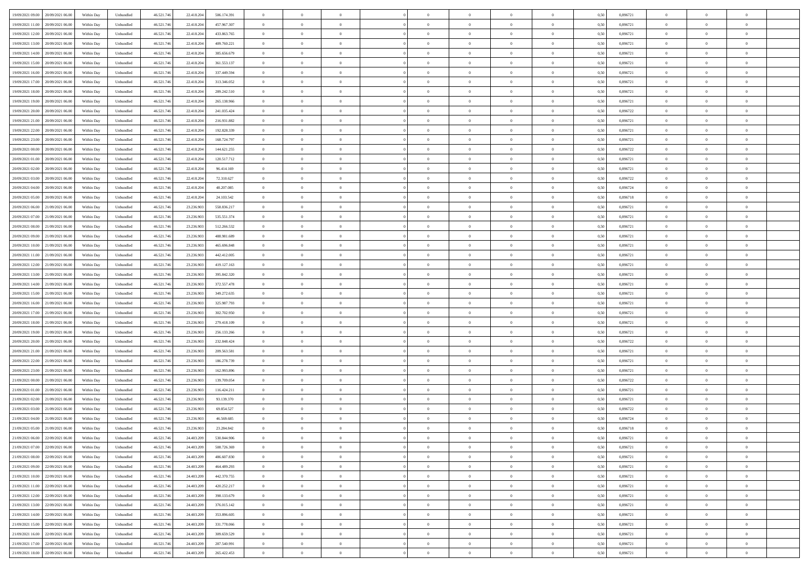| 19/09/2021 09:00 20/09/2021 06:00            | Within Day | Unbundled         | 46.521.74  | 22.418.204 | 506.174.391 | $\overline{0}$ | $\overline{0}$ |                | $\overline{0}$ | $\theta$       |                | $\theta$       | 0,50 | 0,896721 | $\theta$       | $\theta$       | $\overline{0}$ |  |
|----------------------------------------------|------------|-------------------|------------|------------|-------------|----------------|----------------|----------------|----------------|----------------|----------------|----------------|------|----------|----------------|----------------|----------------|--|
| 19/09/2021 11:00<br>20/09/2021 06:00         | Within Day | Unbundled         | 46.521.74  | 22.418.20  | 457.967.307 | $\bf{0}$       | $\bf{0}$       | $\bf{0}$       | $\overline{0}$ | $\bf{0}$       | $\overline{0}$ | $\bf{0}$       | 0,50 | 0,896721 | $\,$ 0 $\,$    | $\bf{0}$       | $\overline{0}$ |  |
| 19/09/2021 12:00<br>20/09/2021 06:00         | Within Day | Unbundled         | 46.521.746 | 22.418.204 | 433.863.765 | $\overline{0}$ | $\bf{0}$       | $\overline{0}$ | $\bf{0}$       | $\bf{0}$       | $\overline{0}$ | $\bf{0}$       | 0.50 | 0.896721 | $\bf{0}$       | $\overline{0}$ | $\overline{0}$ |  |
| 19/09/2021 13:00<br>20/09/2021 06:00         |            |                   |            |            |             | $\overline{0}$ | $\overline{0}$ | $\overline{0}$ | $\theta$       | $\theta$       | $\overline{0}$ | $\overline{0}$ |      | 0,896721 | $\theta$       | $\theta$       | $\overline{0}$ |  |
|                                              | Within Day | Unbundled         | 46.521.74  | 22.418.204 | 409.760.221 |                |                |                |                |                |                |                | 0,50 |          |                |                |                |  |
| 19/09/2021 14:00<br>20/09/2021 06:00         | Within Day | Unbundled         | 46.521.74  | 22.418.20  | 385.656.679 | $\overline{0}$ | $\overline{0}$ | $\bf{0}$       | $\overline{0}$ | $\theta$       | $\overline{0}$ | $\bf{0}$       | 0,50 | 0,896721 | $\,$ 0 $\,$    | $\bf{0}$       | $\overline{0}$ |  |
| 19/09/2021 15:00<br>20/09/2021 06:00         | Within Day | Unbundled         | 46.521.74  | 22.418.20  | 361.553.137 | $\overline{0}$ | $\overline{0}$ | $\overline{0}$ | $\overline{0}$ | $\overline{0}$ | $\theta$       | $\bf{0}$       | 0.50 | 0.896721 | $\,$ 0 $\,$    | $\theta$       | $\overline{0}$ |  |
| 19/09/2021 16:00<br>20/09/2021 06:00         | Within Day | Unbundled         | 46.521.74  | 22.418.204 | 337.449.594 | $\overline{0}$ | $\overline{0}$ | $\overline{0}$ | $\overline{0}$ | $\theta$       | $\overline{0}$ | $\bf{0}$       | 0,50 | 0,896721 | $\theta$       | $\theta$       | $\overline{0}$ |  |
|                                              |            |                   |            |            |             |                |                |                |                |                |                |                |      |          |                |                |                |  |
| 19/09/2021 17:00<br>20/09/2021 06:00         | Within Day | Unbundled         | 46.521.74  | 22.418.20  | 313.346.052 | $\bf{0}$       | $\overline{0}$ | $\overline{0}$ | $\overline{0}$ | $\overline{0}$ | $\overline{0}$ | $\bf{0}$       | 0,50 | 0,896721 | $\,$ 0 $\,$    | $\bf{0}$       | $\overline{0}$ |  |
| 19/09/2021 18:00<br>20/09/2021 06:00         | Within Day | Unbundled         | 46.521.74  | 22.418.20  | 289.242.510 | $\overline{0}$ | $\bf{0}$       | $\overline{0}$ | $\bf{0}$       | $\overline{0}$ | $\overline{0}$ | $\bf{0}$       | 0.50 | 0.896721 | $\bf{0}$       | $\overline{0}$ | $\overline{0}$ |  |
| 19/09/2021 19:00<br>20/09/2021 06:00         | Within Day | Unbundled         | 46.521.74  | 22.418.204 | 265.138.966 | $\overline{0}$ | $\bf{0}$       | $\overline{0}$ | $\overline{0}$ | $\overline{0}$ | $\overline{0}$ | $\bf{0}$       | 0,50 | 0,896721 | $\,$ 0 $\,$    | $\theta$       | $\overline{0}$ |  |
| 19/09/2021 20:00<br>20/09/2021 06:00         | Within Day | Unbundled         | 46.521.74  | 22.418.20  | 241.035.424 | $\bf{0}$       | $\overline{0}$ | $\bf{0}$       | $\bf{0}$       | $\bf{0}$       | $\overline{0}$ | $\bf{0}$       | 0,50 | 0,896722 | $\,$ 0 $\,$    | $\bf{0}$       | $\overline{0}$ |  |
|                                              |            |                   |            |            |             |                |                |                |                |                |                |                |      |          |                |                |                |  |
| 19/09/2021 21:00<br>20/09/2021 06:00         | Within Day | Unbundled         | 46.521.746 | 22.418.204 | 216.931.882 | $\overline{0}$ | $\bf{0}$       | $\overline{0}$ | $\bf{0}$       | $\bf{0}$       | $\overline{0}$ | $\bf{0}$       | 0.50 | 0.896721 | $\bf{0}$       | $\overline{0}$ | $\bf{0}$       |  |
| 19/09/2021 22:00<br>20/09/2021 06:00         | Within Day | Unbundled         | 46.521.74  | 22.418.204 | 192.828.339 | $\overline{0}$ | $\overline{0}$ | $\overline{0}$ | $\overline{0}$ | $\theta$       | $\overline{0}$ | $\overline{0}$ | 0,50 | 0,896721 | $\theta$       | $\theta$       | $\overline{0}$ |  |
| 19/09/2021 23:00<br>20/09/2021 06:00         | Within Day | Unbundled         | 46.521.74  | 22.418.20  | 168.724.797 | $\bf{0}$       | $\overline{0}$ | $\bf{0}$       | $\overline{0}$ | $\theta$       | $\overline{0}$ | $\bf{0}$       | 0,50 | 0,896721 | $\bf{0}$       | $\bf{0}$       | $\overline{0}$ |  |
|                                              |            |                   |            |            |             |                |                |                |                |                |                |                |      |          |                |                |                |  |
| 20/09/2021 00:00<br>20/09/2021 06:00         | Within Day | Unbundled         | 46.521.74  | 22.418.20  | 144.621.255 | $\overline{0}$ | $\overline{0}$ | $\overline{0}$ | $\bf{0}$       | $\theta$       | $\Omega$       | $\bf{0}$       | 0.50 | 0,896722 | $\,$ 0 $\,$    | $\theta$       | $\overline{0}$ |  |
| 20/09/2021 01:00<br>20/09/2021 06:00         | Within Day | Unbundled         | 46.521.74  | 22.418.204 | 120.517.712 | $\overline{0}$ | $\overline{0}$ | $\overline{0}$ | $\overline{0}$ | $\overline{0}$ | $\overline{0}$ | $\bf{0}$       | 0,50 | 0,896721 | $\theta$       | $\theta$       | $\overline{0}$ |  |
| 20/09/2021 02:00<br>20/09/2021 06:00         | Within Day | Unbundled         | 46.521.74  | 22.418.20  | 96.414.169  | $\bf{0}$       | $\overline{0}$ | $\overline{0}$ | $\overline{0}$ | $\bf{0}$       | $\overline{0}$ | $\bf{0}$       | 0,50 | 0,896721 | $\,$ 0 $\,$    | $\bf{0}$       | $\overline{0}$ |  |
| 20/09/2021 03:00<br>20/09/2021 06:00         | Within Day | Unbundled         | 46.521.74  | 22.418.20  | 72.310.627  | $\overline{0}$ | $\bf{0}$       | $\overline{0}$ | $\bf{0}$       | $\overline{0}$ | $\overline{0}$ | $\bf{0}$       | 0.50 | 0.896722 | $\bf{0}$       | $\overline{0}$ | $\overline{0}$ |  |
|                                              |            |                   |            |            |             | $\overline{0}$ | $\overline{0}$ | $\overline{0}$ | $\overline{0}$ | $\overline{0}$ | $\overline{0}$ |                |      |          | $\,$ 0 $\,$    | $\theta$       | $\overline{0}$ |  |
| 20/09/2021 04:00<br>20/09/2021 06:00         | Within Day | Unbundled         | 46.521.74  | 22.418.204 | 48.207.085  |                |                |                |                |                |                | $\bf{0}$       | 0,50 | 0,896724 |                |                |                |  |
| 20/09/2021 05:00<br>20/09/2021 06:00         | Within Day | Unbundled         | 46.521.74  | 22.418.20  | 24.103.542  | $\bf{0}$       | $\bf{0}$       | $\bf{0}$       | $\bf{0}$       | $\overline{0}$ | $\overline{0}$ | $\bf{0}$       | 0,50 | 0,896718 | $\,$ 0 $\,$    | $\bf{0}$       | $\overline{0}$ |  |
| 20/09/2021 06:00<br>21/09/2021 06:00         | Within Day | Unbundled         | 46.521.746 | 23.236.903 | 558.836.217 | $\overline{0}$ | $\bf{0}$       | $\overline{0}$ | $\bf{0}$       | $\bf{0}$       | $\overline{0}$ | $\bf{0}$       | 0.50 | 0.896721 | $\bf{0}$       | $\overline{0}$ | $\bf{0}$       |  |
| 20/09/2021 07:00<br>21/09/2021 06:00         | Within Day | Unbundled         | 46.521.74  | 23.236.903 | 535.551.374 | $\overline{0}$ | $\overline{0}$ | $\overline{0}$ | $\theta$       | $\theta$       | $\overline{0}$ | $\bf{0}$       | 0,50 | 0,896721 | $\theta$       | $\theta$       | $\overline{0}$ |  |
|                                              |            |                   |            |            |             |                | $\overline{0}$ |                |                | $\,$ 0 $\,$    | $\overline{0}$ |                |      |          | $\,$ 0 $\,$    | $\bf{0}$       | $\overline{0}$ |  |
| 20/09/2021 08:00<br>21/09/2021 06.00         | Within Day | Unbundled         | 46.521.74  | 23.236.90  | 512.266.532 | $\bf{0}$       |                | $\bf{0}$       | $\bf{0}$       |                |                | $\bf{0}$       | 0,50 | 0,896721 |                |                |                |  |
| 20/09/2021 09:00<br>21/09/2021 06:00         | Within Day | Unbundled         | 46.521.74  | 23.236.903 | 488.981.689 | $\overline{0}$ | $\overline{0}$ | $\overline{0}$ | $\overline{0}$ | $\overline{0}$ | $\Omega$       | $\bf{0}$       | 0.50 | 0.896721 | $\,$ 0 $\,$    | $\theta$       | $\overline{0}$ |  |
| 20/09/2021 10:00<br>21/09/2021 06:00         | Within Day | Unbundled         | 46.521.74  | 23.236.903 | 465.696.848 | $\overline{0}$ | $\overline{0}$ | $\overline{0}$ | $\overline{0}$ | $\overline{0}$ | $\overline{0}$ | $\bf{0}$       | 0,50 | 0,896721 | $\theta$       | $\theta$       | $\overline{0}$ |  |
| 20/09/2021 11:00<br>21/09/2021 06.00         | Within Day | Unbundled         | 46.521.74  | 23.236.90  | 442.412.005 | $\bf{0}$       | $\overline{0}$ | $\bf{0}$       | $\overline{0}$ | $\theta$       | $\overline{0}$ | $\bf{0}$       | 0,50 | 0,896721 | $\,$ 0 $\,$    | $\bf{0}$       | $\overline{0}$ |  |
| 21/09/2021 06:00                             |            | Unbundled         | 46.521.74  | 23.236.903 | 419.127.163 |                | $\bf{0}$       | $\overline{0}$ |                | $\overline{0}$ | $\overline{0}$ |                | 0.50 | 0.896721 | $\bf{0}$       | $\overline{0}$ | $\overline{0}$ |  |
| 20/09/2021 12:00                             | Within Day |                   |            |            |             | $\overline{0}$ |                |                | $\bf{0}$       |                |                | $\bf{0}$       |      |          |                |                |                |  |
| 20/09/2021 13:00<br>21/09/2021 06:00         | Within Day | Unbundled         | 46.521.74  | 23.236.903 | 395.842.320 | $\overline{0}$ | $\overline{0}$ | $\overline{0}$ | $\overline{0}$ | $\overline{0}$ | $\overline{0}$ | $\bf{0}$       | 0,50 | 0,896721 | $\theta$       | $\theta$       | $\overline{0}$ |  |
| 20/09/2021 14:00<br>21/09/2021 06.00         | Within Day | Unbundled         | 46.521.74  | 23.236.90  | 372.557.478 | $\bf{0}$       | $\bf{0}$       | $\bf{0}$       | $\bf{0}$       | $\overline{0}$ | $\overline{0}$ | $\bf{0}$       | 0,50 | 0,896721 | $\,$ 0 $\,$    | $\bf{0}$       | $\overline{0}$ |  |
| 20/09/2021 15:00<br>21/09/2021 06:00         | Within Day | Unbundled         | 46.521.746 | 23.236.903 | 349.272.635 | $\overline{0}$ | $\bf{0}$       | $\overline{0}$ | $\bf{0}$       | $\bf{0}$       | $\overline{0}$ | $\bf{0}$       | 0.50 | 0.896721 | $\bf{0}$       | $\overline{0}$ | $\bf{0}$       |  |
| 20/09/2021 16:00<br>21/09/2021 06:00         | Within Day | Unbundled         | 46.521.74  | 23.236.903 | 325.987.793 | $\overline{0}$ | $\overline{0}$ | $\overline{0}$ | $\overline{0}$ | $\overline{0}$ | $\overline{0}$ | $\bf{0}$       | 0.5( | 0,896721 | $\theta$       | $\theta$       | $\overline{0}$ |  |
|                                              |            |                   |            |            |             |                |                |                |                |                |                |                |      |          |                |                |                |  |
| 20/09/2021 17:00<br>21/09/2021 06.00         | Within Day | Unbundled         | 46.521.74  | 23.236.90  | 302.702.950 | $\bf{0}$       | $\overline{0}$ | $\bf{0}$       | $\overline{0}$ | $\overline{0}$ | $\overline{0}$ | $\bf{0}$       | 0,50 | 0,896721 | $\,$ 0 $\,$    | $\bf{0}$       | $\overline{0}$ |  |
| 20/09/2021 18:00<br>21/09/2021 06:00         | Within Day | Unbundled         | 46.521.74  | 23.236.903 | 279.418.109 | $\overline{0}$ | $\overline{0}$ | $\overline{0}$ | $\bf{0}$       | $\overline{0}$ | $\Omega$       | $\bf{0}$       | 0.50 | 0,896721 | $\,$ 0 $\,$    | $\theta$       | $\overline{0}$ |  |
| 20/09/2021 19:00<br>21/09/2021 06:00         | Within Dav | Unbundled         | 46.521.74  | 23.236.903 | 256.133.266 | $\overline{0}$ | $\overline{0}$ | $\overline{0}$ | $\overline{0}$ | $\overline{0}$ | $\overline{0}$ | $\overline{0}$ | 0.5( | 0,896721 | $\theta$       | $\theta$       | $\overline{0}$ |  |
| 20/09/2021 20:00<br>21/09/2021 06.00         | Within Day | Unbundled         | 46.521.74  | 23.236.90  | 232.848.424 | $\bf{0}$       | $\overline{0}$ | $\bf{0}$       | $\overline{0}$ | $\bf{0}$       | $\overline{0}$ | $\bf{0}$       | 0,50 | 0,896722 | $\,$ 0 $\,$    | $\bf{0}$       | $\overline{0}$ |  |
|                                              |            |                   |            |            |             |                |                |                |                |                |                |                |      |          |                |                |                |  |
| 20/09/2021 21:00<br>21/09/2021 06:00         | Within Day | Unbundled         | 46.521.74  | 23.236.903 | 209.563.581 | $\overline{0}$ | $\bf{0}$       | $\overline{0}$ | $\bf{0}$       | $\overline{0}$ | $\overline{0}$ | $\bf{0}$       | 0.50 | 0.896721 | $\bf{0}$       | $\overline{0}$ | $\overline{0}$ |  |
| 20/09/2021 22:00<br>21/09/2021 06:00         | Within Dav | Unbundled         | 46.521.74  | 23.236.903 | 186.278.739 | $\overline{0}$ | $\overline{0}$ | $\overline{0}$ | $\overline{0}$ | $\overline{0}$ | $\overline{0}$ | $\overline{0}$ | 0.50 | 0,896721 | $\theta$       | $\theta$       | $\overline{0}$ |  |
| 20/09/2021 23:00<br>21/09/2021 06.00         | Within Day | Unbundled         | 46.521.74  | 23.236.90  | 162.993.896 | $\bf{0}$       | $\bf{0}$       | $\bf{0}$       | $\bf{0}$       | $\overline{0}$ | $\overline{0}$ | $\bf{0}$       | 0,50 | 0,896721 | $\,$ 0 $\,$    | $\bf{0}$       | $\overline{0}$ |  |
| 21/09/2021 00:00<br>21/09/2021 06:00         | Within Day | Unbundled         | 46.521.746 | 23.236.903 | 139.709.054 | $\overline{0}$ | $\bf{0}$       | $\overline{0}$ | $\bf{0}$       | $\bf{0}$       | $\overline{0}$ | $\bf{0}$       | 0.50 | 0.896722 | $\bf{0}$       | $\overline{0}$ | $\overline{0}$ |  |
|                                              |            |                   |            |            |             |                |                |                |                |                |                |                |      |          |                |                |                |  |
| 21/09/2021 01:00<br>21/09/2021 06:00         | Within Dav | Unbundled         | 46.521.74  | 23.236.903 | 116.424.211 | $\overline{0}$ | $\overline{0}$ | $\Omega$       | $\overline{0}$ | $\overline{0}$ | $\overline{0}$ | $\bf{0}$       | 0.50 | 0,896721 | $\theta$       | $\theta$       | $\overline{0}$ |  |
| 21/09/2021 02:00<br>21/09/2021 06.00         | Within Day | Unbundled         | 46.521.74  | 23.236.90  | 93.139.370  | $\bf{0}$       | $\overline{0}$ | $\bf{0}$       | $\bf{0}$       | $\overline{0}$ | $\overline{0}$ | $\bf{0}$       | 0,50 | 0,896721 | $\,$ 0 $\,$    | $\bf{0}$       | $\overline{0}$ |  |
| 21/09/2021 03:00<br>21/09/2021 06:00         | Within Day | Unbundled         | 46.521.74  | 23.236.903 | 69.854.527  | $\overline{0}$ | $\overline{0}$ | $\Omega$       | $\overline{0}$ | $\overline{0}$ | $\Omega$       | $\bf{0}$       | 0.50 | 0,896722 | $\bf{0}$       | $\theta$       | $\overline{0}$ |  |
| 21/09/2021 04:00<br>21/09/2021 06:00         | Within Dav | Unbundled         | 46.521.74  | 23.236.903 | 46.569.685  | $\overline{0}$ | $\overline{0}$ | $\Omega$       | $\overline{0}$ | $\theta$       | $\Omega$       | $\overline{0}$ | 0.5( | 0,896724 | $\theta$       | $\theta$       | $\overline{0}$ |  |
|                                              |            |                   | 46.521.74  |            |             | $\bf{0}$       | $\bf{0}$       | $\overline{0}$ | $\bf{0}$       | $\bf{0}$       | $\overline{0}$ |                |      |          | $\,$ 0 $\,$    | $\bf{0}$       | $\overline{0}$ |  |
| 21/09/2021 05:00<br>21/09/2021 06:00         | Within Day | Unbundled         |            | 23.236.90  | 23.284.842  |                |                |                |                |                |                | $\bf{0}$       | 0,50 | 0,896718 |                |                |                |  |
| $21/09/2021\ 06.00 \qquad 22/09/2021\ 06.00$ | Within Day | ${\sf Unbundred}$ | 46.521.746 | 24.403.209 | 530.844.906 | $\bf{0}$       | $\Omega$       |                | $\overline{0}$ |                |                |                | 0,50 | 0,896721 | $\bf{0}$       | $\bf{0}$       |                |  |
| 21/09/2021 07:00 22/09/2021 06:00            | Within Day | Unbundled         | 46.521.746 | 24.403.209 | 508.726.369 | $\overline{0}$ | $\theta$       | $\Omega$       | $\theta$       | $\overline{0}$ | $\overline{0}$ | $\bf{0}$       | 0,50 | 0,896721 | $\theta$       | $\theta$       | $\overline{0}$ |  |
| 21/09/2021 08:00<br>22/09/2021 06:00         | Within Day | Unbundled         | 46.521.74  | 24.403.209 | 486.607.830 | $\overline{0}$ | $\bf{0}$       | $\overline{0}$ | $\overline{0}$ | $\bf{0}$       | $\overline{0}$ | $\bf{0}$       | 0,50 | 0,896721 | $\bf{0}$       | $\overline{0}$ | $\bf{0}$       |  |
| 21/09/2021 09:00 22/09/2021 06:00            | Within Day | Unbundled         | 46.521.746 | 24.403.209 | 464.489.293 | $\overline{0}$ | $\bf{0}$       | $\overline{0}$ | $\overline{0}$ | $\overline{0}$ | $\overline{0}$ | $\bf{0}$       | 0.50 | 0.896721 | $\overline{0}$ | $\bf{0}$       | $\,$ 0 $\,$    |  |
|                                              |            |                   |            |            |             |                |                |                |                |                |                |                |      |          |                |                |                |  |
| 21/09/2021 10:00 22/09/2021 06:00            | Within Dav | Unbundled         | 46.521.746 | 24.403.209 | 442.370.755 | $\overline{0}$ | $\overline{0}$ | $\overline{0}$ | $\overline{0}$ | $\overline{0}$ | $\overline{0}$ | $\bf{0}$       | 0,50 | 0,896721 | $\theta$       | $\theta$       | $\overline{0}$ |  |
| 21/09/2021 11:00<br>22/09/2021 06:00         | Within Day | Unbundled         | 46.521.74  | 24.403.209 | 420.252.217 | $\overline{0}$ | $\bf{0}$       | $\overline{0}$ | $\bf{0}$       | $\overline{0}$ | $\bf{0}$       | $\bf{0}$       | 0,50 | 0,896721 | $\bf{0}$       | $\bf{0}$       | $\overline{0}$ |  |
| 21/09/2021 12:00<br>22/09/2021 06:00         | Within Day | Unbundled         | 46.521.746 | 24.403.209 | 398.133.679 | $\overline{0}$ | $\bf{0}$       | $\overline{0}$ | $\overline{0}$ | $\overline{0}$ | $\overline{0}$ | $\bf{0}$       | 0.50 | 0,896721 | $\,$ 0 $\,$    | $\theta$       | $\,$ 0         |  |
| 21/09/2021 13:00<br>22/09/2021 06:00         | Within Dav | Unbundled         | 46.521.746 | 24.403.209 | 376.015.142 | $\overline{0}$ | $\overline{0}$ | $\overline{0}$ | $\overline{0}$ | $\overline{0}$ | $\overline{0}$ | $\bf{0}$       | 0.50 | 0,896721 | $\overline{0}$ | $\theta$       | $\overline{0}$ |  |
|                                              |            |                   |            |            |             |                |                |                |                |                |                |                |      |          |                |                |                |  |
| 21/09/2021 14:00<br>22/09/2021 06:00         | Within Day | Unbundled         | 46.521.74  | 24.403.209 | 353.896.605 | $\overline{0}$ | $\overline{0}$ | $\overline{0}$ | $\overline{0}$ | $\bf{0}$       | $\overline{0}$ | $\bf{0}$       | 0,50 | 0,896721 | $\bf{0}$       | $\overline{0}$ | $\overline{0}$ |  |
| 21/09/2021 15:00 22/09/2021 06:00            | Within Day | Unbundled         | 46.521.746 | 24,403,209 | 331.778.066 | $\overline{0}$ | $\overline{0}$ | $\overline{0}$ | $\overline{0}$ | $\bf{0}$       | $\overline{0}$ | $\bf{0}$       | 0.50 | 0.896721 | $\overline{0}$ | $\bf{0}$       | $\,$ 0         |  |
| 21/09/2021 16:00 22/09/2021 06:00            | Within Dav | Unbundled         | 46.521.746 | 24.403.209 | 309.659.529 | $\overline{0}$ | $\overline{0}$ | $\overline{0}$ | $\overline{0}$ | $\overline{0}$ | $\overline{0}$ | $\bf{0}$       | 0,50 | 0,896721 | $\overline{0}$ | $\theta$       | $\overline{0}$ |  |
| 21/09/2021 17:00<br>22/09/2021 06:00         | Within Day | Unbundled         | 46.521.74  | 24.403.209 | 287.540.991 | $\overline{0}$ | $\bf{0}$       | $\overline{0}$ | $\bf{0}$       | $\overline{0}$ | $\bf{0}$       | $\bf{0}$       | 0,50 | 0,896721 | $\bf{0}$       | $\bf{0}$       | $\overline{0}$ |  |
|                                              |            |                   |            |            |             |                |                |                |                |                |                |                |      |          |                |                |                |  |
| 21/09/2021 18:00 22/09/2021 06:00            | Within Day | Unbundled         | 46.521.746 | 24.403.209 | 265.422.453 | $\overline{0}$ | $\bf{0}$       | $\overline{0}$ | $\overline{0}$ | $\,$ 0 $\,$    | $\overline{0}$ | $\bf{0}$       | 0,50 | 0,896721 | $\overline{0}$ | $\,$ 0 $\,$    | $\,$ 0 $\,$    |  |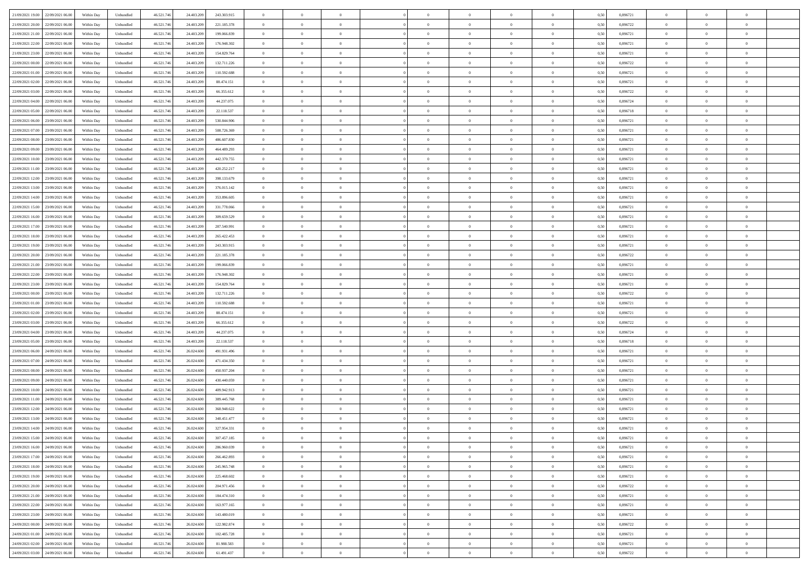|                                              |            |                   |            |            |               | $\overline{0}$ | $\overline{0}$ |                | $\overline{0}$ | $\theta$       |                | $\theta$       |      |          | $\theta$       | $\theta$       | $\overline{0}$ |  |
|----------------------------------------------|------------|-------------------|------------|------------|---------------|----------------|----------------|----------------|----------------|----------------|----------------|----------------|------|----------|----------------|----------------|----------------|--|
| 21/09/2021 19:00 22/09/2021 06:00            | Within Day | Unbundled         | 46.521.74  | 24.403.209 | 243.303.915   |                |                |                |                |                |                |                | 0,50 | 0,896721 |                |                |                |  |
| 21/09/2021 20:00<br>22/09/2021 06.00         | Within Day | Unbundled         | 46.521.74  | 24.403.20  | 221.185.378   | $\bf{0}$       | $\overline{0}$ | $\bf{0}$       | $\overline{0}$ | $\overline{0}$ | $\overline{0}$ | $\bf{0}$       | 0,50 | 0,896722 | $\,$ 0 $\,$    | $\bf{0}$       | $\overline{0}$ |  |
| 21/09/2021 21:00<br>22/09/2021 06:00         | Within Day | Unbundled         | 46.521.746 | 24.403.209 | 199,066,839   | $\overline{0}$ | $\bf{0}$       | $\overline{0}$ | $\bf{0}$       | $\bf{0}$       | $\overline{0}$ | $\bf{0}$       | 0.50 | 0.896721 | $\bf{0}$       | $\overline{0}$ | $\overline{0}$ |  |
| 21/09/2021 22:00<br>22/09/2021 06:00         |            |                   |            |            |               | $\overline{0}$ | $\overline{0}$ | $\overline{0}$ | $\theta$       | $\theta$       | $\overline{0}$ | $\bf{0}$       |      | 0,896721 | $\theta$       | $\theta$       | $\overline{0}$ |  |
|                                              | Within Day | Unbundled         | 46.521.74  | 24.403.209 | 176.948.302   |                |                |                |                |                |                |                | 0,50 |          |                |                |                |  |
| 21/09/2021 23:00<br>22/09/2021 06.00         | Within Day | Unbundled         | 46.521.74  | 24.403.209 | 154.829.764   | $\bf{0}$       | $\overline{0}$ | $\bf{0}$       | $\overline{0}$ | $\theta$       | $\overline{0}$ | $\bf{0}$       | 0,50 | 0,896721 | $\,$ 0 $\,$    | $\bf{0}$       | $\overline{0}$ |  |
| 22/09/2021 00:00<br>22/09/2021 06:00         | Within Day | Unbundled         | 46.521.74  | 24,403,209 | 132.711.226   | $\overline{0}$ | $\overline{0}$ | $\overline{0}$ | $\bf{0}$       | $\overline{0}$ | $\theta$       | $\bf{0}$       | 0.50 | 0.896722 | $\,$ 0 $\,$    | $\theta$       | $\overline{0}$ |  |
| 22/09/2021 01:00<br>22/09/2021 06:00         | Within Day | Unbundled         | 46.521.74  | 24.403.209 | 110.592.688   | $\overline{0}$ | $\overline{0}$ | $\overline{0}$ | $\overline{0}$ | $\overline{0}$ | $\overline{0}$ | $\bf{0}$       | 0,50 | 0,896721 | $\theta$       | $\theta$       | $\overline{0}$ |  |
|                                              |            |                   |            |            |               |                |                |                |                |                |                |                |      |          |                |                |                |  |
| 22/09/2021 02:00<br>22/09/2021 06.00         | Within Day | Unbundled         | 46.521.74  | 24.403.20  | 88.474.151    | $\bf{0}$       | $\overline{0}$ | $\bf{0}$       | $\overline{0}$ | $\overline{0}$ | $\overline{0}$ | $\bf{0}$       | 0,50 | 0,896721 | $\,$ 0 $\,$    | $\bf{0}$       | $\overline{0}$ |  |
| 22/09/2021 03:00<br>22/09/2021 06:00         | Within Day | Unbundled         | 46.521.74  | 24,403,209 | 66.355.612    | $\overline{0}$ | $\bf{0}$       | $\overline{0}$ | $\bf{0}$       | $\overline{0}$ | $\overline{0}$ | $\bf{0}$       | 0.50 | 0.896722 | $\bf{0}$       | $\overline{0}$ | $\overline{0}$ |  |
| 22/09/2021 04:00<br>22/09/2021 06:00         | Within Day | Unbundled         | 46.521.74  | 24.403.209 | 44.237.075    | $\overline{0}$ | $\bf{0}$       | $\overline{0}$ | $\overline{0}$ | $\overline{0}$ | $\overline{0}$ | $\bf{0}$       | 0,50 | 0,896724 | $\,$ 0 $\,$    | $\bf{0}$       | $\overline{0}$ |  |
|                                              |            |                   |            |            |               |                |                |                |                |                |                |                |      |          |                |                |                |  |
| 22/09/2021 05:00<br>22/09/2021 06.00         | Within Day | Unbundled         | 46.521.74  | 24.403.209 | 22.118.537    | $\bf{0}$       | $\overline{0}$ | $\bf{0}$       | $\overline{0}$ | $\bf{0}$       | $\overline{0}$ | $\bf{0}$       | 0,50 | 0,896718 | $\,$ 0 $\,$    | $\bf{0}$       | $\overline{0}$ |  |
| 22/09/2021 06:00<br>23/09/2021 06:00         | Within Day | Unbundled         | 46.521.746 | 24,403,209 | 530.844.906   | $\overline{0}$ | $\bf{0}$       | $\overline{0}$ | $\bf{0}$       | $\bf{0}$       | $\overline{0}$ | $\bf{0}$       | 0.50 | 0.896721 | $\bf{0}$       | $\overline{0}$ | $\bf{0}$       |  |
| 22/09/2021 07:00<br>23/09/2021 06:00         | Within Day | Unbundled         | 46.521.74  | 24.403.209 | 508.726.369   | $\overline{0}$ | $\overline{0}$ | $\overline{0}$ | $\overline{0}$ | $\theta$       | $\overline{0}$ | $\overline{0}$ | 0,50 | 0,896721 | $\,$ 0 $\,$    | $\theta$       | $\overline{0}$ |  |
| 22/09/2021 08:00<br>23/09/2021 06.00         | Within Day | Unbundled         | 46.521.74  | 24.403.209 | 486.607.830   | $\bf{0}$       | $\overline{0}$ | $\bf{0}$       | $\overline{0}$ | $\theta$       | $\overline{0}$ | $\bf{0}$       | 0,50 | 0,896721 | $\bf{0}$       | $\bf{0}$       | $\overline{0}$ |  |
|                                              |            |                   |            |            |               |                |                |                |                |                |                |                |      |          |                |                |                |  |
| 22/09/2021 09:00<br>23/09/2021 06:00         | Within Day | Unbundled         | 46.521.74  | 24,403,209 | 464.489.293   | $\overline{0}$ | $\overline{0}$ | $\overline{0}$ | $\bf{0}$       | $\overline{0}$ | $\Omega$       | $\bf{0}$       | 0.50 | 0,896721 | $\,$ 0 $\,$    | $\theta$       | $\overline{0}$ |  |
| 22/09/2021 10:00<br>23/09/2021 06:00         | Within Day | Unbundled         | 46.521.74  | 24.403.209 | 442.370.755   | $\overline{0}$ | $\overline{0}$ | $\overline{0}$ | $\overline{0}$ | $\overline{0}$ | $\overline{0}$ | $\bf{0}$       | 0,50 | 0,896721 | $\theta$       | $\theta$       | $\overline{0}$ |  |
| 22/09/2021 11:00<br>23/09/2021 06.00         | Within Day | Unbundled         | 46.521.74  | 24.403.209 | 420.252.217   | $\bf{0}$       | $\overline{0}$ | $\overline{0}$ | $\overline{0}$ | $\bf{0}$       | $\overline{0}$ | $\bf{0}$       | 0,50 | 0,896721 | $\,$ 0 $\,$    | $\bf{0}$       | $\overline{0}$ |  |
| 22/09/2021 12:00<br>23/09/2021 06:00         | Within Day | Unbundled         | 46.521.74  | 24,403,209 | 398.133.679   | $\overline{0}$ | $\bf{0}$       | $\overline{0}$ | $\bf{0}$       | $\overline{0}$ | $\overline{0}$ | $\bf{0}$       | 0.50 | 0.896721 | $\bf{0}$       | $\overline{0}$ | $\overline{0}$ |  |
|                                              |            |                   |            |            |               |                |                |                |                |                |                |                |      |          |                |                |                |  |
| 22/09/2021 13:00<br>23/09/2021 06:00         | Within Day | Unbundled         | 46.521.74  | 24.403.209 | 376.015.142   | $\bf{0}$       | $\overline{0}$ | $\overline{0}$ | $\overline{0}$ | $\overline{0}$ | $\overline{0}$ | $\bf{0}$       | 0,50 | 0,896721 | $\,$ 0 $\,$    | $\bf{0}$       | $\overline{0}$ |  |
| 22/09/2021 14:00<br>23/09/2021 06.00         | Within Day | Unbundled         | 46.521.74  | 24.403.209 | 353.896.605   | $\bf{0}$       | $\bf{0}$       | $\bf{0}$       | $\bf{0}$       | $\overline{0}$ | $\overline{0}$ | $\bf{0}$       | 0,50 | 0,896721 | $\,$ 0 $\,$    | $\bf{0}$       | $\overline{0}$ |  |
| 22/09/2021 15:00<br>23/09/2021 06:00         | Within Day | Unbundled         | 46.521.746 | 24.403.209 | 331.778.066   | $\overline{0}$ | $\bf{0}$       | $\overline{0}$ | $\bf{0}$       | $\bf{0}$       | $\overline{0}$ | $\bf{0}$       | 0.50 | 0.896721 | $\bf{0}$       | $\overline{0}$ | $\bf{0}$       |  |
| 22/09/2021 16:00<br>23/09/2021 06:00         | Within Day | Unbundled         | 46.521.74  | 24.403.209 | 309.659.529   | $\overline{0}$ | $\overline{0}$ | $\overline{0}$ | $\theta$       | $\theta$       | $\overline{0}$ | $\bf{0}$       | 0,50 | 0,896721 | $\theta$       | $\theta$       | $\overline{0}$ |  |
|                                              |            |                   |            |            |               |                |                |                |                |                |                |                |      |          |                |                |                |  |
| 22/09/2021 17:00<br>23/09/2021 06.00         | Within Day | Unbundled         | 46.521.74  | 24.403.209 | 287.540.991   | $\bf{0}$       | $\overline{0}$ | $\bf{0}$       | $\bf{0}$       | $\overline{0}$ | $\overline{0}$ | $\bf{0}$       | 0,50 | 0,896721 | $\,$ 0 $\,$    | $\bf{0}$       | $\overline{0}$ |  |
| 22/09/2021 18:00<br>23/09/2021 06:00         | Within Day | Unbundled         | 46.521.74  | 24,403,209 | 265.422.453   | $\overline{0}$ | $\overline{0}$ | $\overline{0}$ | $\overline{0}$ | $\overline{0}$ | $\Omega$       | $\bf{0}$       | 0.50 | 0.896721 | $\,$ 0 $\,$    | $\theta$       | $\overline{0}$ |  |
| 22/09/2021 19:00<br>23/09/2021 06:00         | Within Day | Unbundled         | 46.521.74  | 24.403.209 | 243.303.915   | $\overline{0}$ | $\overline{0}$ | $\overline{0}$ | $\overline{0}$ | $\overline{0}$ | $\overline{0}$ | $\bf{0}$       | 0,50 | 0,896721 | $\theta$       | $\theta$       | $\overline{0}$ |  |
| 22/09/2021 20:00<br>23/09/2021 06.00         | Within Day | Unbundled         | 46.521.74  | 24.403.20  | 221.185.378   | $\bf{0}$       | $\overline{0}$ | $\bf{0}$       | $\overline{0}$ | $\bf{0}$       | $\overline{0}$ | $\bf{0}$       | 0,50 | 0,896722 | $\,$ 0 $\,$    | $\bf{0}$       | $\overline{0}$ |  |
|                                              |            |                   |            |            |               |                |                |                |                |                |                |                |      |          |                |                |                |  |
| 22/09/2021 21:00<br>23/09/2021 06:00         | Within Day | Unbundled         | 46.521.74  | 24,403,209 | 199,066,839   | $\overline{0}$ | $\bf{0}$       | $\overline{0}$ | $\bf{0}$       | $\overline{0}$ | $\overline{0}$ | $\bf{0}$       | 0.50 | 0.896721 | $\bf{0}$       | $\overline{0}$ | $\overline{0}$ |  |
| 22/09/2021 22:00<br>23/09/2021 06:00         | Within Day | Unbundled         | 46.521.74  | 24.403.209 | 176.948.302   | $\overline{0}$ | $\overline{0}$ | $\overline{0}$ | $\overline{0}$ | $\overline{0}$ | $\overline{0}$ | $\bf{0}$       | 0,50 | 0,896721 | $\theta$       | $\theta$       | $\overline{0}$ |  |
| 22/09/2021 23:00<br>23/09/2021 06.00         | Within Day | Unbundled         | 46.521.74  | 24.403.209 | 154.829.764   | $\bf{0}$       | $\bf{0}$       | $\bf{0}$       | $\bf{0}$       | $\overline{0}$ | $\overline{0}$ | $\bf{0}$       | 0,50 | 0,896721 | $\,$ 0 $\,$    | $\bf{0}$       | $\overline{0}$ |  |
| 23/09/2021 00:00<br>23/09/2021 06:00         | Within Day | Unbundled         | 46.521.746 | 24,403,209 | 132.711.226   | $\overline{0}$ | $\bf{0}$       | $\overline{0}$ | $\bf{0}$       | $\bf{0}$       | $\overline{0}$ | $\bf{0}$       | 0.50 | 0.896722 | $\bf{0}$       | $\overline{0}$ | $\bf{0}$       |  |
|                                              |            |                   |            |            |               |                |                |                |                |                |                |                |      |          |                |                |                |  |
| 23/09/2021 01:00<br>23/09/2021 06:00         | Within Day | Unbundled         | 46.521.74  | 24,403,209 | 110.592.688   | $\overline{0}$ | $\overline{0}$ | $\overline{0}$ | $\overline{0}$ | $\overline{0}$ | $\overline{0}$ | $\bf{0}$       | 0.5( | 0,896721 | $\theta$       | $\theta$       | $\overline{0}$ |  |
| 23/09/2021 02:00<br>23/09/2021 06.00         | Within Day | Unbundled         | 46.521.74  | 24.403.209 | 88.474.151    | $\bf{0}$       | $\overline{0}$ | $\bf{0}$       | $\bf{0}$       | $\,$ 0 $\,$    | $\overline{0}$ | $\bf{0}$       | 0,50 | 0,896721 | $\,$ 0 $\,$    | $\bf{0}$       | $\overline{0}$ |  |
| 23/09/2021 03:00<br>23/09/2021 06:00         | Within Day | Unbundled         | 46.521.74  | 24.403.209 | 66.355.612    | $\overline{0}$ | $\overline{0}$ | $\overline{0}$ | $\bf{0}$       | $\overline{0}$ | $\Omega$       | $\bf{0}$       | 0.50 | 0,896722 | $\,$ 0 $\,$    | $\theta$       | $\overline{0}$ |  |
| 23/09/2021 04:00<br>23/09/2021 06:00         | Within Dav | Unbundled         | 46.521.74  | 24.403.209 | 44.237.075    | $\overline{0}$ | $\overline{0}$ | $\overline{0}$ | $\overline{0}$ | $\overline{0}$ | $\overline{0}$ | $\overline{0}$ | 0.5( | 0,896724 | $\theta$       | $\theta$       | $\overline{0}$ |  |
|                                              |            |                   |            |            |               |                |                |                |                |                |                |                |      |          |                |                |                |  |
| 23/09/2021 05:00<br>23/09/2021 06.00         | Within Day | Unbundled         | 46.521.74  | 24.403.209 | 22.118.537    | $\bf{0}$       | $\bf{0}$       | $\bf{0}$       | $\bf{0}$       | $\bf{0}$       | $\overline{0}$ | $\bf{0}$       | 0,50 | 0,896718 | $\,$ 0 $\,$    | $\bf{0}$       | $\overline{0}$ |  |
| 23/09/2021 06:00<br>24/09/2021 06:00         | Within Day | Unbundled         | 46.521.74  | 26.024.60  | 491.931.496   | $\overline{0}$ | $\bf{0}$       | $\overline{0}$ | $\bf{0}$       | $\overline{0}$ | $\overline{0}$ | $\bf{0}$       | 0.50 | 0.896721 | $\bf{0}$       | $\overline{0}$ | $\overline{0}$ |  |
| 23/09/2021 07:00<br>24/09/2021 06:00         | Within Dav | Unbundled         | 46.521.74  | 26.024.600 | 471.434.350   | $\overline{0}$ | $\overline{0}$ | $\overline{0}$ | $\overline{0}$ | $\overline{0}$ | $\overline{0}$ | $\overline{0}$ | 0.50 | 0,896721 | $\theta$       | $\theta$       | $\overline{0}$ |  |
| 23/09/2021 08:00<br>24/09/2021 06.00         | Within Day | Unbundled         | 46.521.74  | 26.024.60  | 450.937.204   | $\bf{0}$       | $\bf{0}$       | $\bf{0}$       | $\bf{0}$       | $\overline{0}$ | $\overline{0}$ | $\bf{0}$       | 0,50 | 0,896721 | $\,$ 0 $\,$    | $\bf{0}$       | $\overline{0}$ |  |
|                                              |            |                   |            |            |               |                |                |                |                |                |                |                |      |          |                |                |                |  |
| 23/09/2021 09:00<br>24/09/2021 06:00         | Within Day | Unbundled         | 46.521.746 | 26.024.600 | 430.440.059   | $\overline{0}$ | $\bf{0}$       | $\overline{0}$ | $\bf{0}$       | $\bf{0}$       | $\overline{0}$ | $\bf{0}$       | 0.50 | 0.896721 | $\bf{0}$       | $\overline{0}$ | $\overline{0}$ |  |
| 23/09/2021 10:00<br>24/09/2021 06:00         | Within Day | Unbundled         | 46.521.74  | 26.024.600 | 409.942.913   | $\overline{0}$ | $\overline{0}$ | $\overline{0}$ | $\overline{0}$ | $\overline{0}$ | $\overline{0}$ | $\bf{0}$       | 0.50 | 0,896721 | $\theta$       | $\theta$       | $\overline{0}$ |  |
| 23/09/2021 11:00<br>24/09/2021 06.00         | Within Day | Unbundled         | 46.521.74  | 26.024.60  | 389.445.768   | $\bf{0}$       | $\bf{0}$       | $\bf{0}$       | $\bf{0}$       | $\overline{0}$ | $\overline{0}$ | $\bf{0}$       | 0,50 | 0,896721 | $\,$ 0 $\,$    | $\bf{0}$       | $\overline{0}$ |  |
| 23/09/2021 12:00<br>24/09/2021 06:00         | Within Day | Unbundled         | 46.521.74  | 26.024.60  | 368.948.622   | $\overline{0}$ | $\overline{0}$ | $\Omega$       | $\overline{0}$ | $\overline{0}$ | $\Omega$       | $\bf{0}$       | 0.50 | 0,896721 | $\bf{0}$       | $\theta$       | $\overline{0}$ |  |
|                                              |            |                   |            |            |               |                |                |                |                |                |                |                |      |          |                |                |                |  |
| 23/09/2021 13:00<br>24/09/2021 06:00         | Within Dav | Unbundled         | 46.521.74  | 26.024.600 | 348, 451, 477 | $\overline{0}$ | $\overline{0}$ | $\Omega$       | $\overline{0}$ | $\theta$       | $\Omega$       | $\overline{0}$ | 0.5( | 0,896721 | $\theta$       | $\theta$       | $\overline{0}$ |  |
| 23/09/2021 14:00<br>24/09/2021 06:00         | Within Day | Unbundled         | 46.521.74  | 26.024.600 | 327.954.331   | $\bf{0}$       | $\bf{0}$       | $\overline{0}$ | $\bf{0}$       | $\bf{0}$       | $\overline{0}$ | $\bf{0}$       | 0,50 | 0,896721 | $\,$ 0 $\,$    | $\bf{0}$       | $\overline{0}$ |  |
| $23/09/2021\ 15.00 \qquad 24/09/2021\ 06.00$ | Within Day | ${\sf Unbundred}$ | 46.521.746 | 26.024.600 | 307.457.185   | $\overline{0}$ | $\theta$       |                | $\overline{0}$ |                |                |                | 0,50 | 0.896721 | $\bf{0}$       | $\bf{0}$       |                |  |
| 23/09/2021 16:00 24/09/2021 06:00            | Within Day | Unbundled         | 46.521.746 | 26.024.600 | 286.960.039   | $\overline{0}$ | $\theta$       | $\Omega$       | $\theta$       | $\overline{0}$ | $\overline{0}$ | $\bf{0}$       | 0,50 | 0,896721 | $\theta$       | $\theta$       | $\overline{0}$ |  |
|                                              |            |                   |            |            |               |                |                |                |                |                |                |                |      |          |                |                |                |  |
| 23/09/2021 17:00<br>24/09/2021 06:00         | Within Day | Unbundled         | 46.521.74  | 26.024.600 | 266.462.893   | $\overline{0}$ | $\bf{0}$       | $\overline{0}$ | $\overline{0}$ | $\bf{0}$       | $\overline{0}$ | $\bf{0}$       | 0,50 | 0,896721 | $\bf{0}$       | $\overline{0}$ | $\bf{0}$       |  |
| 23/09/2021 18:00 24/09/2021 06:00            | Within Day | Unbundled         | 46.521.746 | 26.024.600 | 245.965.748   | $\overline{0}$ | $\bf{0}$       | $\overline{0}$ | $\overline{0}$ | $\overline{0}$ | $\overline{0}$ | $\bf{0}$       | 0.50 | 0.896721 | $\overline{0}$ | $\bf{0}$       | $\,$ 0 $\,$    |  |
| 23/09/2021 19:00 24/09/2021 06:00            | Within Day | Unbundled         | 46.521.746 | 26.024.600 | 225.468.602   | $\overline{0}$ | $\overline{0}$ | $\overline{0}$ | $\overline{0}$ | $\overline{0}$ | $\overline{0}$ | $\bf{0}$       | 0,50 | 0,896721 | $\theta$       | $\theta$       | $\overline{0}$ |  |
| 23/09/2021 20:00<br>24/09/2021 06:00         | Within Day | Unbundled         | 46.521.74  | 26.024.600 | 204.971.456   | $\overline{0}$ | $\bf{0}$       | $\overline{0}$ | $\bf{0}$       | $\overline{0}$ | $\bf{0}$       | $\bf{0}$       | 0,50 | 0,896722 | $\bf{0}$       | $\bf{0}$       | $\overline{0}$ |  |
|                                              |            |                   |            |            |               |                |                |                |                |                |                |                |      |          |                |                |                |  |
| 24/09/2021 06:00<br>23/09/2021 21.00         | Within Day | Unbundled         | 46.521.746 | 26.024.600 | 184.474.310   | $\overline{0}$ | $\bf{0}$       | $\overline{0}$ | $\overline{0}$ | $\overline{0}$ | $\overline{0}$ | $\bf{0}$       | 0.50 | 0,896721 | $\,$ 0 $\,$    | $\theta$       | $\overline{0}$ |  |
| 23/09/2021 22:00<br>24/09/2021 06:00         | Within Dav | Unbundled         | 46.521.746 | 26.024.600 | 163.977.165   | $\overline{0}$ | $\overline{0}$ | $\overline{0}$ | $\overline{0}$ | $\overline{0}$ | $\overline{0}$ | $\bf{0}$       | 0.50 | 0,896721 | $\overline{0}$ | $\theta$       | $\overline{0}$ |  |
| 23/09/2021 23:00<br>24/09/2021 06:00         | Within Day | Unbundled         | 46.521.74  | 26.024.600 | 143.480.019   | $\overline{0}$ | $\overline{0}$ | $\overline{0}$ | $\overline{0}$ | $\bf{0}$       | $\overline{0}$ | $\bf{0}$       | 0,50 | 0,896721 | $\bf{0}$       | $\bf{0}$       | $\overline{0}$ |  |
| 24/09/2021 00:00 24/09/2021 06:00            | Within Day | Unbundled         | 46.521.746 | 26.024.600 | 122.982.874   | $\overline{0}$ | $\overline{0}$ | $\overline{0}$ | $\overline{0}$ | $\bf{0}$       | $\overline{0}$ | $\bf{0}$       | 0.50 | 0.896722 | $\overline{0}$ | $\,$ 0 $\,$    | $\,$ 0         |  |
|                                              |            |                   |            |            |               |                |                |                |                |                |                |                |      |          |                |                |                |  |
| 24/09/2021 01:00 24/09/2021 06:00            | Within Dav | Unbundled         | 46.521.746 | 26.024.600 | 102.485.728   | $\overline{0}$ | $\overline{0}$ | $\overline{0}$ | $\overline{0}$ | $\overline{0}$ | $\overline{0}$ | $\bf{0}$       | 0,50 | 0,896721 | $\overline{0}$ | $\theta$       | $\overline{0}$ |  |
| 24/09/2021 02:00<br>24/09/2021 06.00         | Within Day | Unbundled         | 46.521.74  | 26.024.600 | 81.988.583    | $\overline{0}$ | $\bf{0}$       | $\overline{0}$ | $\bf{0}$       | $\overline{0}$ | $\bf{0}$       | $\bf{0}$       | 0,50 | 0,896721 | $\bf{0}$       | $\bf{0}$       | $\overline{0}$ |  |
| 24/09/2021 03:00 24/09/2021 06:00            | Within Day | Unbundled         | 46.521.746 | 26.024.600 | 61.491.437    | $\overline{0}$ | $\bf{0}$       | $\overline{0}$ | $\overline{0}$ | $\,$ 0 $\,$    | $\overline{0}$ | $\bf{0}$       | 0,50 | 0,896722 | $\overline{0}$ | $\,$ 0 $\,$    | $\,$ 0 $\,$    |  |
|                                              |            |                   |            |            |               |                |                |                |                |                |                |                |      |          |                |                |                |  |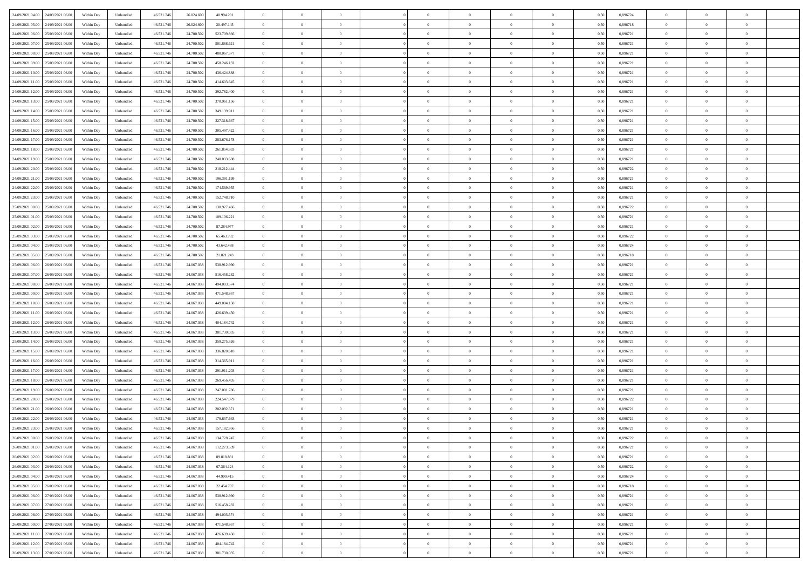| 24/09/2021 04:00 24/09/2021 06:00            | Within Day | Unbundled         | 46.521.74  | 26.024.600 | 40.994.291  | $\overline{0}$ | $\overline{0}$ |                | $\overline{0}$ | $\theta$       |                | $\bf{0}$       | 0,50 | 0,896724 | $\theta$       | $\theta$       | $\overline{0}$ |  |
|----------------------------------------------|------------|-------------------|------------|------------|-------------|----------------|----------------|----------------|----------------|----------------|----------------|----------------|------|----------|----------------|----------------|----------------|--|
| 24/09/2021 05:00<br>24/09/2021 06.00         | Within Day | Unbundled         | 46.521.74  | 26.024.60  | 20.497.145  | $\bf{0}$       | $\overline{0}$ | $\bf{0}$       | $\overline{0}$ | $\bf{0}$       | $\overline{0}$ | $\bf{0}$       | 0,50 | 0,896718 | $\,$ 0 $\,$    | $\bf{0}$       | $\overline{0}$ |  |
| 24/09/2021 06:00<br>25/09/2021 06:00         | Within Day | Unbundled         | 46.521.746 | 24.700.502 | 523.709.866 | $\overline{0}$ | $\bf{0}$       | $\overline{0}$ | $\bf{0}$       | $\bf{0}$       | $\overline{0}$ | $\bf{0}$       | 0.50 | 0.896721 | $\bf{0}$       | $\overline{0}$ | $\overline{0}$ |  |
| 24/09/2021 07:00<br>25/09/2021 06:00         |            |                   | 46.521.74  |            |             | $\overline{0}$ | $\overline{0}$ | $\overline{0}$ | $\theta$       | $\theta$       | $\overline{0}$ | $\bf{0}$       |      | 0,896721 | $\theta$       | $\theta$       | $\overline{0}$ |  |
|                                              | Within Day | Unbundled         |            | 24.700.502 | 501.888.621 |                |                |                |                |                |                |                | 0,50 |          |                |                |                |  |
| 24/09/2021 08:00<br>25/09/2021 06.00         | Within Day | Unbundled         | 46.521.74  | 24.700.50  | 480.067.377 | $\overline{0}$ | $\theta$       | $\overline{0}$ | $\overline{0}$ | $\theta$       | $\overline{0}$ | $\bf{0}$       | 0,50 | 0,896721 | $\,$ 0 $\,$    | $\bf{0}$       | $\overline{0}$ |  |
| 24/09/2021 09:00<br>25/09/2021 06:00         | Within Day | Unbundled         | 46.521.74  | 24,700.50  | 458.246.132 | $\overline{0}$ | $\overline{0}$ | $\overline{0}$ | $\bf{0}$       | $\overline{0}$ | $\Omega$       | $\bf{0}$       | 0.50 | 0.896721 | $\,$ 0 $\,$    | $\theta$       | $\overline{0}$ |  |
| 24/09/2021 10:00<br>25/09/2021 06:00         | Within Day | Unbundled         | 46.521.74  | 24.700.502 | 436.424.888 | $\overline{0}$ | $\overline{0}$ | $\overline{0}$ | $\overline{0}$ | $\overline{0}$ | $\overline{0}$ | $\bf{0}$       | 0,50 | 0,896721 | $\theta$       | $\theta$       | $\overline{0}$ |  |
|                                              |            |                   |            |            |             |                |                |                |                |                |                |                |      |          |                |                |                |  |
| 24/09/2021 11:00<br>25/09/2021 06.00         | Within Day | Unbundled         | 46.521.74  | 24.700.50  | 414.603.645 | $\bf{0}$       | $\overline{0}$ | $\overline{0}$ | $\overline{0}$ | $\theta$       | $\overline{0}$ | $\bf{0}$       | 0,50 | 0,896721 | $\,$ 0 $\,$    | $\bf{0}$       | $\overline{0}$ |  |
| 24/09/2021 12:00<br>25/09/2021 06:00         | Within Day | Unbundled         | 46.521.74  | 24,700.50  | 392.782.400 | $\overline{0}$ | $\bf{0}$       | $\overline{0}$ | $\bf{0}$       | $\overline{0}$ | $\overline{0}$ | $\bf{0}$       | 0.50 | 0.896721 | $\bf{0}$       | $\theta$       | $\overline{0}$ |  |
| 24/09/2021 13:00<br>25/09/2021 06:00         | Within Day | Unbundled         | 46.521.74  | 24.700.502 | 370.961.156 | $\bf{0}$       | $\bf{0}$       | $\overline{0}$ | $\overline{0}$ | $\theta$       | $\overline{0}$ | $\bf{0}$       | 0,50 | 0,896721 | $\,$ 0 $\,$    | $\theta$       | $\overline{0}$ |  |
| 24/09/2021 14:00<br>25/09/2021 06.00         | Within Day | Unbundled         | 46.521.74  | 24.700.50  | 349.139.911 | $\bf{0}$       | $\overline{0}$ | $\bf{0}$       | $\overline{0}$ | $\bf{0}$       | $\overline{0}$ | $\bf{0}$       | 0,50 | 0,896721 | $\,$ 0 $\,$    | $\bf{0}$       | $\overline{0}$ |  |
|                                              |            |                   |            |            |             |                |                |                |                |                |                |                |      |          |                |                |                |  |
| 24/09/2021 15:00<br>25/09/2021 06:00         | Within Day | Unbundled         | 46.521.746 | 24,700.50  | 327.318.667 | $\overline{0}$ | $\bf{0}$       | $\overline{0}$ | $\bf{0}$       | $\bf{0}$       | $\overline{0}$ | $\bf{0}$       | 0.50 | 0.896721 | $\bf{0}$       | $\overline{0}$ | $\overline{0}$ |  |
| 24/09/2021 16:00<br>25/09/2021 06:00         | Within Day | Unbundled         | 46.521.74  | 24.700.502 | 305.497.422 | $\overline{0}$ | $\overline{0}$ | $\overline{0}$ | $\overline{0}$ | $\theta$       | $\overline{0}$ | $\overline{0}$ | 0,50 | 0,896721 | $\,$ 0 $\,$    | $\theta$       | $\overline{0}$ |  |
| 24/09/2021 17:00<br>25/09/2021 06.00         | Within Day | Unbundled         | 46.521.74  | 24.700.50  | 283.676.178 | $\bf{0}$       | $\theta$       | $\bf{0}$       | $\overline{0}$ | $\theta$       | $\overline{0}$ | $\bf{0}$       | 0,50 | 0,896721 | $\bf{0}$       | $\bf{0}$       | $\overline{0}$ |  |
|                                              |            |                   |            |            |             |                |                |                |                |                |                |                |      |          |                |                |                |  |
| 24/09/2021 18:00<br>25/09/2021 06:00         | Within Day | Unbundled         | 46.521.74  | 24.700.50  | 261.854.933 | $\overline{0}$ | $\overline{0}$ | $\overline{0}$ | $\bf{0}$       | $\bf{0}$       | $\Omega$       | $\bf{0}$       | 0.50 | 0,896721 | $\bf{0}$       | $\theta$       | $\overline{0}$ |  |
| 24/09/2021 19:00<br>25/09/2021 06:00         | Within Day | Unbundled         | 46.521.74  | 24.700.502 | 240.033.688 | $\overline{0}$ | $\overline{0}$ | $\overline{0}$ | $\overline{0}$ | $\overline{0}$ | $\overline{0}$ | $\bf{0}$       | 0,50 | 0,896721 | $\theta$       | $\theta$       | $\overline{0}$ |  |
| 24/09/2021 20:00<br>25/09/2021 06.00         | Within Day | Unbundled         | 46.521.74  | 24.700.50  | 218.212.444 | $\bf{0}$       | $\overline{0}$ | $\overline{0}$ | $\overline{0}$ | $\theta$       | $\overline{0}$ | $\bf{0}$       | 0,50 | 0,896722 | $\,$ 0 $\,$    | $\bf{0}$       | $\overline{0}$ |  |
| 24/09/2021 21:00<br>25/09/2021 06:00         | Within Day | Unbundled         | 46.521.74  | 24,700.50  | 196.391.199 | $\overline{0}$ | $\overline{0}$ | $\overline{0}$ | $\bf{0}$       | $\overline{0}$ | $\overline{0}$ | $\bf{0}$       | 0.50 | 0.896721 | $\bf{0}$       | $\overline{0}$ | $\overline{0}$ |  |
| 24/09/2021 22:00<br>25/09/2021 06:00         | Within Day | Unbundled         | 46.521.74  | 24.700.502 | 174.569.955 | $\overline{0}$ | $\overline{0}$ | $\overline{0}$ | $\overline{0}$ | $\overline{0}$ | $\overline{0}$ | $\bf{0}$       | 0,50 | 0,896721 | $\,$ 0 $\,$    | $\theta$       | $\overline{0}$ |  |
|                                              |            |                   |            |            |             |                |                |                |                |                |                |                |      |          |                |                |                |  |
| 24/09/2021 23:00<br>25/09/2021 06.00         | Within Day | Unbundled         | 46.521.74  | 24.700.50  | 152.748.710 | $\bf{0}$       | $\overline{0}$ | $\bf{0}$       | $\bf{0}$       | $\overline{0}$ | $\overline{0}$ | $\bf{0}$       | 0,50 | 0,896721 | $\,$ 0 $\,$    | $\bf{0}$       | $\overline{0}$ |  |
| 25/09/2021 00:00<br>25/09/2021 06:00         | Within Day | Unbundled         | 46.521.746 | 24.700.502 | 130.927.466 | $\overline{0}$ | $\bf{0}$       | $\overline{0}$ | $\bf{0}$       | $\bf{0}$       | $\overline{0}$ | $\bf{0}$       | 0.50 | 0.896722 | $\bf{0}$       | $\overline{0}$ | $\overline{0}$ |  |
| 25/09/2021 01:00<br>25/09/2021 06:00         | Within Day | Unbundled         | 46.521.74  | 24.700.502 | 109.106.221 | $\overline{0}$ | $\overline{0}$ | $\overline{0}$ | $\theta$       | $\theta$       | $\overline{0}$ | $\bf{0}$       | 0,50 | 0,896721 | $\theta$       | $\theta$       | $\overline{0}$ |  |
|                                              |            |                   |            |            |             |                | $\overline{0}$ |                |                | $\bf{0}$       | $\overline{0}$ |                |      |          | $\,$ 0 $\,$    | $\bf{0}$       | $\overline{0}$ |  |
| 25/09/2021 02:00<br>25/09/2021 06.00         | Within Day | Unbundled         | 46.521.74  | 24.700.50  | 87.284.977  | $\bf{0}$       |                | $\bf{0}$       | $\bf{0}$       |                |                | $\bf{0}$       | 0,50 | 0,896721 |                |                |                |  |
| 25/09/2021 03:00<br>25/09/2021 06:00         | Within Day | Unbundled         | 46.521.74  | 24,700.50  | 65.463.732  | $\overline{0}$ | $\overline{0}$ | $\overline{0}$ | $\overline{0}$ | $\overline{0}$ | $\Omega$       | $\bf{0}$       | 0.50 | 0.896722 | $\,$ 0 $\,$    | $\theta$       | $\overline{0}$ |  |
| 25/09/2021 04:00<br>25/09/2021 06:00         | Within Day | Unbundled         | 46.521.74  | 24.700.502 | 43.642.488  | $\overline{0}$ | $\overline{0}$ | $\overline{0}$ | $\overline{0}$ | $\overline{0}$ | $\overline{0}$ | $\bf{0}$       | 0,50 | 0,896724 | $\theta$       | $\theta$       | $\overline{0}$ |  |
| 25/09/2021 05:00<br>25/09/2021 06.00         | Within Day | Unbundled         | 46.521.74  | 24.700.50  | 21.821.243  | $\bf{0}$       | $\overline{0}$ | $\bf{0}$       | $\overline{0}$ | $\theta$       | $\overline{0}$ | $\bf{0}$       | 0,50 | 0,896718 | $\,$ 0 $\,$    | $\bf{0}$       | $\overline{0}$ |  |
| 25/09/2021 06:00<br>26/09/2021 06:00         | Within Day | Unbundled         | 46.521.74  | 24,067,038 | 538.912.990 | $\overline{0}$ | $\bf{0}$       | $\overline{0}$ | $\bf{0}$       | $\overline{0}$ | $\overline{0}$ | $\bf{0}$       | 0.50 | 0.896721 | $\bf{0}$       | $\theta$       | $\overline{0}$ |  |
|                                              |            |                   |            |            |             |                |                |                |                |                |                |                |      |          |                |                |                |  |
| 25/09/2021 07:00<br>26/09/2021 06:00         | Within Day | Unbundled         | 46.521.74  | 24.067.038 | 516.458.282 | $\overline{0}$ | $\overline{0}$ | $\overline{0}$ | $\overline{0}$ | $\overline{0}$ | $\overline{0}$ | $\bf{0}$       | 0,50 | 0,896721 | $\theta$       | $\theta$       | $\overline{0}$ |  |
| 25/09/2021 08:00<br>26/09/2021 06.00         | Within Day | Unbundled         | 46.521.74  | 24.067.03  | 494.003.574 | $\bf{0}$       | $\bf{0}$       | $\bf{0}$       | $\bf{0}$       | $\overline{0}$ | $\overline{0}$ | $\bf{0}$       | 0,50 | 0,896721 | $\,$ 0 $\,$    | $\bf{0}$       | $\overline{0}$ |  |
| 25/09/2021 09:00<br>26/09/2021 06:00         | Within Day | Unbundled         | 46.521.746 | 24,067,038 | 471.548.867 | $\overline{0}$ | $\bf{0}$       | $\overline{0}$ | $\bf{0}$       | $\bf{0}$       | $\overline{0}$ | $\bf{0}$       | 0.50 | 0.896721 | $\bf{0}$       | $\overline{0}$ | $\overline{0}$ |  |
| 25/09/2021 10:00<br>26/09/2021 06:00         | Within Day | Unbundled         | 46.521.74  | 24,067,038 | 449.094.158 | $\overline{0}$ | $\overline{0}$ | $\overline{0}$ | $\overline{0}$ | $\overline{0}$ | $\overline{0}$ | $\bf{0}$       | 0.5( | 0,896721 | $\theta$       | $\theta$       | $\overline{0}$ |  |
|                                              |            |                   |            |            |             |                |                |                |                |                |                |                |      |          |                |                |                |  |
| 25/09/2021 11:00<br>26/09/2021 06.00         | Within Day | Unbundled         | 46.521.74  | 24.067.03  | 426.639.450 | $\bf{0}$       | $\overline{0}$ | $\bf{0}$       | $\overline{0}$ | $\overline{0}$ | $\overline{0}$ | $\bf{0}$       | 0,50 | 0,896721 | $\,$ 0 $\,$    | $\bf{0}$       | $\overline{0}$ |  |
| 25/09/2021 12:00<br>26/09/2021 06:00         | Within Day | Unbundled         | 46.521.74  | 24,067,038 | 404.184.742 | $\overline{0}$ | $\overline{0}$ | $\overline{0}$ | $\bf{0}$       | $\bf{0}$       | $\Omega$       | $\bf{0}$       | 0.50 | 0,896721 | $\,$ 0 $\,$    | $\overline{0}$ | $\overline{0}$ |  |
| 25/09/2021 13:00<br>26/09/2021 06:00         | Within Dav | Unbundled         | 46.521.74  | 24.067.038 | 381.730.035 | $\overline{0}$ | $\theta$       | $\Omega$       | $\overline{0}$ | $\overline{0}$ | $\overline{0}$ | $\overline{0}$ | 0.5( | 0,896721 | $\theta$       | $\theta$       | $\overline{0}$ |  |
| 25/09/2021 14:00<br>26/09/2021 06.00         | Within Day | Unbundled         | 46.521.74  | 24.067.03  | 359.275.326 | $\bf{0}$       | $\overline{0}$ | $\bf{0}$       | $\bf{0}$       | $\bf{0}$       | $\overline{0}$ | $\bf{0}$       | 0,50 | 0,896721 | $\,$ 0 $\,$    | $\bf{0}$       | $\overline{0}$ |  |
| 25/09/2021 15:00<br>26/09/2021 06:00         |            | Unbundled         | 46.521.74  | 24,067,038 | 336.820.618 |                | $\bf{0}$       | $\overline{0}$ |                | $\overline{0}$ | $\overline{0}$ |                | 0.50 | 0.896721 | $\bf{0}$       | $\overline{0}$ | $\overline{0}$ |  |
|                                              | Within Day |                   |            |            |             | $\overline{0}$ |                |                | $\bf{0}$       |                |                | $\bf{0}$       |      |          |                |                |                |  |
| 25/09/2021 16:00<br>26/09/2021 06:00         | Within Dav | Unbundled         | 46.521.74  | 24.067.038 | 314.365.911 | $\overline{0}$ | $\overline{0}$ | $\overline{0}$ | $\overline{0}$ | $\overline{0}$ | $\overline{0}$ | $\overline{0}$ | 0.50 | 0,896721 | $\theta$       | $\theta$       | $\overline{0}$ |  |
| 25/09/2021 17:00<br>26/09/2021 06.00         | Within Day | Unbundled         | 46.521.74  | 24.067.03  | 291.911.203 | $\bf{0}$       | $\bf{0}$       | $\bf{0}$       | $\bf{0}$       | $\overline{0}$ | $\overline{0}$ | $\bf{0}$       | 0,50 | 0,896721 | $\,$ 0 $\,$    | $\bf{0}$       | $\overline{0}$ |  |
| 25/09/2021 18:00<br>26/09/2021 06:00         | Within Day | Unbundled         | 46.521.746 | 24,067,038 | 269,456,495 | $\overline{0}$ | $\bf{0}$       | $\overline{0}$ | $\bf{0}$       | $\bf{0}$       | $\overline{0}$ | $\bf{0}$       | 0.50 | 0.896721 | $\bf{0}$       | $\overline{0}$ | $\overline{0}$ |  |
| 25/09/2021 19:00<br>26/09/2021 06:00         | Within Dav | Unbundled         | 46.521.74  | 24.067.038 | 247.001.786 | $\overline{0}$ | $\overline{0}$ | $\Omega$       | $\overline{0}$ | $\overline{0}$ | $\overline{0}$ | $\bf{0}$       | 0.50 | 0,896721 | $\theta$       | $\theta$       | $\overline{0}$ |  |
|                                              |            |                   |            |            |             |                |                |                |                |                |                |                |      |          |                |                |                |  |
| 25/09/2021 20:00<br>26/09/2021 06.00         | Within Day | Unbundled         | 46.521.74  | 24.067.03  | 224.547.079 | $\bf{0}$       | $\overline{0}$ | $\bf{0}$       | $\overline{0}$ | $\,$ 0 $\,$    | $\overline{0}$ | $\bf{0}$       | 0,50 | 0,896722 | $\,$ 0 $\,$    | $\bf{0}$       | $\overline{0}$ |  |
| 25/09/2021 21:00<br>26/09/2021 06:00         | Within Day | Unbundled         | 46.521.74  | 24,067,038 | 202.092.371 | $\overline{0}$ | $\overline{0}$ | $\Omega$       | $\overline{0}$ | $\overline{0}$ | $\theta$       | $\bf{0}$       | 0.50 | 0,896721 | $\bf{0}$       | $\theta$       | $\overline{0}$ |  |
| 25/09/2021 22:00<br>26/09/2021 06:00         | Within Dav | Unbundled         | 46.521.74  | 24,067,038 | 179.637.663 | $\overline{0}$ | $\overline{0}$ | $\Omega$       | $\overline{0}$ | $\theta$       | $\Omega$       | $\overline{0}$ | 0.5( | 0,896721 | $\theta$       | $\theta$       | $\overline{0}$ |  |
| 25/09/2021 23:00<br>26/09/2021 06.00         | Within Day | Unbundled         | 46.521.74  | 24.067.03  | 157.182.956 | $\bf{0}$       | $\bf{0}$       | $\bf{0}$       | $\bf{0}$       | $\bf{0}$       | $\overline{0}$ | $\bf{0}$       | 0,50 | 0,896721 | $\,$ 0 $\,$    | $\bf{0}$       | $\overline{0}$ |  |
|                                              |            |                   |            |            |             |                |                |                |                |                |                |                |      |          |                |                |                |  |
| $26/09/2021\ 00.00 \qquad 26/09/2021\ 06.00$ | Within Day | ${\sf Unbundred}$ | 46.521.746 | 24.067.038 | 134.728.247 | $\overline{0}$ | $\Omega$       |                | $\overline{0}$ |                |                |                | 0,50 | 0,896722 | $\theta$       | $\overline{0}$ |                |  |
| 26/09/2021 01:00 26/09/2021 06:00            | Within Day | Unbundled         | 46.521.746 | 24.067.038 | 112.273.539 | $\overline{0}$ | $\theta$       | $\Omega$       | $\theta$       | $\overline{0}$ | $\overline{0}$ | $\bf{0}$       | 0,50 | 0,896721 | $\theta$       | $\theta$       | $\overline{0}$ |  |
| 26/09/2021 02:00<br>26/09/2021 06.00         | Within Day | Unbundled         | 46.521.74  | 24.067.03  | 89.818.831  | $\overline{0}$ | $\bf{0}$       | $\overline{0}$ | $\overline{0}$ | $\bf{0}$       | $\overline{0}$ | $\bf{0}$       | 0,50 | 0,896721 | $\bf{0}$       | $\overline{0}$ | $\bf{0}$       |  |
| 26/09/2021 03:00 26/09/2021 06:00            | Within Day | Unbundled         | 46.521.746 | 24.067.038 | 67.364.124  | $\overline{0}$ | $\bf{0}$       | $\overline{0}$ | $\overline{0}$ | $\overline{0}$ | $\overline{0}$ | $\bf{0}$       | 0.50 | 0,896722 | $\overline{0}$ | $\bf{0}$       | $\,$ 0 $\,$    |  |
|                                              |            |                   |            |            |             |                |                |                |                |                |                |                |      |          |                |                |                |  |
| 26/09/2021 04:00 26/09/2021 06:00            | Within Dav | Unbundled         | 46.521.746 | 24.067.038 | 44.909.415  | $\overline{0}$ | $\overline{0}$ | $\overline{0}$ | $\overline{0}$ | $\overline{0}$ | $\overline{0}$ | $\bf{0}$       | 0.50 | 0,896724 | $\theta$       | $\theta$       | $\overline{0}$ |  |
| 26/09/2021 05:00<br>26/09/2021 06.00         | Within Day | Unbundled         | 46.521.74  | 24.067.038 | 22.454.707  | $\overline{0}$ | $\bf{0}$       | $\overline{0}$ | $\bf{0}$       | $\overline{0}$ | $\bf{0}$       | $\bf{0}$       | 0,50 | 0,896718 | $\bf{0}$       | $\bf{0}$       | $\overline{0}$ |  |
| 27/09/2021 06:00<br>26/09/2021 06:00         | Within Day | Unbundled         | 46.521.746 | 24,067,038 | 538.912.990 | $\overline{0}$ | $\bf{0}$       | $\overline{0}$ | $\overline{0}$ | $\overline{0}$ | $\overline{0}$ | $\bf{0}$       | 0.50 | 0,896721 | $\,$ 0 $\,$    | $\theta$       | $\overline{0}$ |  |
| 26/09/2021 07:00<br>27/09/2021 06:00         | Within Dav | Unbundled         | 46.521.746 | 24.067.038 | 516.458.282 | $\overline{0}$ | $\overline{0}$ | $\overline{0}$ | $\overline{0}$ | $\overline{0}$ | $\overline{0}$ | $\bf{0}$       | 0.50 | 0,896721 | $\overline{0}$ | $\theta$       | $\overline{0}$ |  |
|                                              |            |                   |            |            |             |                |                |                |                |                |                |                |      |          |                |                |                |  |
| 26/09/2021 08:00<br>27/09/2021 06:00         | Within Day | Unbundled         | 46.521.74  | 24.067.038 | 494.003.574 | $\overline{0}$ | $\overline{0}$ | $\overline{0}$ | $\overline{0}$ | $\bf{0}$       | $\overline{0}$ | $\bf{0}$       | 0,50 | 0,896721 | $\bf{0}$       | $\overline{0}$ | $\overline{0}$ |  |
| 26/09/2021 09:00 27/09/2021 06:00            | Within Day | Unbundled         | 46.521.746 | 24,067,038 | 471.548.867 | $\overline{0}$ | $\overline{0}$ | $\overline{0}$ | $\overline{0}$ | $\bf{0}$       | $\overline{0}$ | $\bf{0}$       | 0.50 | 0.896721 | $\overline{0}$ | $\,$ 0 $\,$    | $\,$ 0         |  |
| 26/09/2021 11:00 27/09/2021 06:00            | Within Dav | Unbundled         | 46.521.746 | 24.067.038 | 426.639.450 | $\overline{0}$ | $\overline{0}$ | $\overline{0}$ | $\overline{0}$ | $\overline{0}$ | $\overline{0}$ | $\bf{0}$       | 0,50 | 0,896721 | $\overline{0}$ | $\theta$       | $\overline{0}$ |  |
| 26/09/2021 12:00<br>27/09/2021 06:00         | Within Day | Unbundled         | 46.521.74  | 24.067.03  | 404.184.742 | $\overline{0}$ | $\bf{0}$       | $\overline{0}$ | $\bf{0}$       | $\overline{0}$ | $\bf{0}$       | $\bf{0}$       | 0,50 | 0,896721 | $\bf{0}$       | $\bf{0}$       | $\overline{0}$ |  |
|                                              |            |                   |            |            |             |                |                |                |                |                |                |                |      |          |                |                |                |  |
| 26/09/2021 13:00 27/09/2021 06:00            | Within Day | Unbundled         | 46.521.746 | 24.067.038 | 381.730.035 | $\overline{0}$ | $\bf{0}$       | $\overline{0}$ | $\overline{0}$ | $\,$ 0 $\,$    | $\overline{0}$ | $\bf{0}$       | 0,50 | 0,896721 | $\overline{0}$ | $\,$ 0 $\,$    | $\,$ 0 $\,$    |  |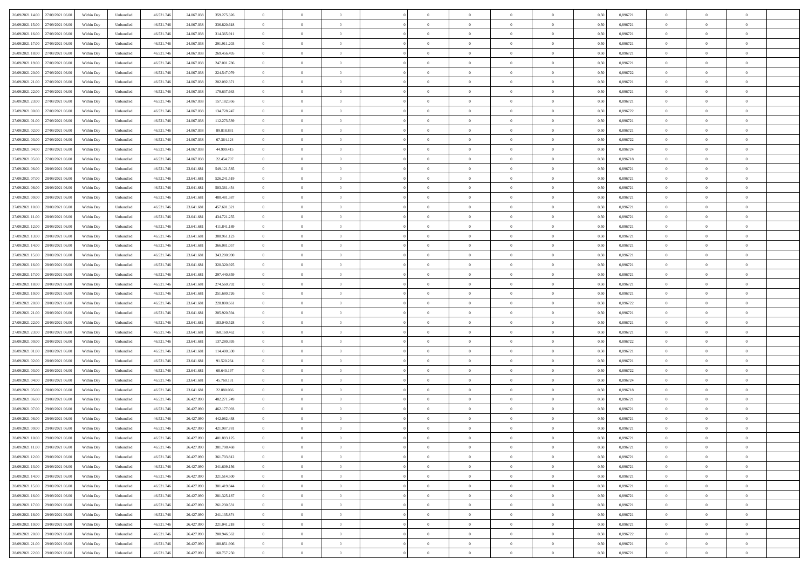| 26/09/2021 14:00 27/09/2021 06:00    | Within Day | Unbundled         | 46.521.74  | 24.067.038 | 359.275.326 | $\overline{0}$ | $\overline{0}$ |                | $\overline{0}$ | $\theta$       |                | $\bf{0}$       | 0,50 | 0,896721 | $\theta$       | $\theta$       | $\overline{0}$ |  |
|--------------------------------------|------------|-------------------|------------|------------|-------------|----------------|----------------|----------------|----------------|----------------|----------------|----------------|------|----------|----------------|----------------|----------------|--|
| 26/09/2021 15:00<br>27/09/2021 06.00 | Within Day | Unbundled         | 46.521.74  | 24.067.03  | 336.820.618 | $\bf{0}$       | $\overline{0}$ | $\bf{0}$       | $\overline{0}$ | $\bf{0}$       | $\overline{0}$ | $\bf{0}$       | 0,50 | 0,896721 | $\,$ 0 $\,$    | $\bf{0}$       | $\overline{0}$ |  |
| 26/09/2021 16:00<br>27/09/2021 06:00 | Within Day | Unbundled         | 46.521.746 | 24.067.038 | 314.365.911 | $\overline{0}$ | $\bf{0}$       | $\overline{0}$ | $\bf{0}$       | $\bf{0}$       | $\overline{0}$ | $\bf{0}$       | 0.50 | 0.896721 | $\bf{0}$       | $\overline{0}$ | $\overline{0}$ |  |
|                                      |            |                   |            |            |             | $\overline{0}$ | $\overline{0}$ | $\overline{0}$ | $\theta$       | $\theta$       | $\overline{0}$ | $\overline{0}$ |      |          | $\theta$       | $\theta$       | $\overline{0}$ |  |
| 26/09/2021 17:00<br>27/09/2021 06:00 | Within Day | Unbundled         | 46.521.74  | 24.067.038 | 291.911.203 |                |                |                |                |                |                |                | 0,50 | 0,896721 |                |                |                |  |
| 26/09/2021 18:00<br>27/09/2021 06.00 | Within Day | Unbundled         | 46.521.74  | 24.067.03  | 269.456.495 | $\overline{0}$ | $\theta$       | $\overline{0}$ | $\overline{0}$ | $\theta$       | $\overline{0}$ | $\bf{0}$       | 0,50 | 0,896721 | $\,$ 0 $\,$    | $\bf{0}$       | $\overline{0}$ |  |
| 26/09/2021 19:00<br>27/09/2021 06:00 | Within Day | Unbundled         | 46.521.74  | 24,067,038 | 247.001.786 | $\overline{0}$ | $\overline{0}$ | $\overline{0}$ | $\overline{0}$ | $\overline{0}$ | $\Omega$       | $\bf{0}$       | 0.50 | 0,896721 | $\bf{0}$       | $\theta$       | $\overline{0}$ |  |
| 26/09/2021 20:00<br>27/09/2021 06:00 | Within Day | Unbundled         | 46.521.74  | 24.067.038 | 224.547.079 | $\overline{0}$ | $\overline{0}$ | $\overline{0}$ | $\overline{0}$ | $\theta$       | $\overline{0}$ | $\bf{0}$       | 0,50 | 0,896722 | $\theta$       | $\theta$       | $\overline{0}$ |  |
|                                      |            |                   |            |            |             |                | $\overline{0}$ | $\overline{0}$ | $\overline{0}$ | $\theta$       | $\overline{0}$ |                |      |          | $\,$ 0 $\,$    | $\bf{0}$       | $\overline{0}$ |  |
| 26/09/2021 21:00<br>27/09/2021 06.00 | Within Day | Unbundled         | 46.521.74  | 24.067.03  | 202.092.371 | $\bf{0}$       |                |                |                |                |                | $\bf{0}$       | 0,50 | 0,896721 |                |                |                |  |
| 26/09/2021 22.00<br>27/09/2021 06:00 | Within Day | Unbundled         | 46.521.74  | 24,067,038 | 179.637.663 | $\overline{0}$ | $\bf{0}$       | $\overline{0}$ | $\bf{0}$       | $\overline{0}$ | $\overline{0}$ | $\bf{0}$       | 0.50 | 0.896721 | $\bf{0}$       | $\theta$       | $\overline{0}$ |  |
| 26/09/2021 23:00<br>27/09/2021 06:00 | Within Day | Unbundled         | 46.521.74  | 24.067.038 | 157.182.956 | $\overline{0}$ | $\bf{0}$       | $\overline{0}$ | $\overline{0}$ | $\theta$       | $\overline{0}$ | $\bf{0}$       | 0,50 | 0,896721 | $\,$ 0 $\,$    | $\theta$       | $\overline{0}$ |  |
| 27/09/2021 00:00<br>27/09/2021 06.00 | Within Day | Unbundled         | 46.521.74  | 24.067.03  | 134.728.247 | $\bf{0}$       | $\overline{0}$ | $\bf{0}$       | $\overline{0}$ | $\bf{0}$       | $\overline{0}$ | $\bf{0}$       | 0,50 | 0,896722 | $\,$ 0 $\,$    | $\bf{0}$       | $\overline{0}$ |  |
| 27/09/2021 01:00<br>27/09/2021 06:00 | Within Day | Unbundled         | 46.521.746 | 24,067,038 | 112.273.539 | $\overline{0}$ | $\bf{0}$       | $\overline{0}$ | $\bf{0}$       | $\bf{0}$       | $\overline{0}$ | $\bf{0}$       | 0.50 | 0.896721 | $\bf{0}$       | $\overline{0}$ | $\overline{0}$ |  |
|                                      |            |                   |            |            |             |                |                |                |                |                |                |                |      |          |                |                |                |  |
| 27/09/2021 02:00<br>27/09/2021 06:00 | Within Day | Unbundled         | 46.521.74  | 24.067.038 | 89.818.831  | $\overline{0}$ | $\overline{0}$ | $\overline{0}$ | $\overline{0}$ | $\theta$       | $\overline{0}$ | $\overline{0}$ | 0,50 | 0,896721 | $\theta$       | $\theta$       | $\overline{0}$ |  |
| 27/09/2021 03:00<br>27/09/2021 06.00 | Within Day | Unbundled         | 46.521.74  | 24.067.03  | 67.364.124  | $\bf{0}$       | $\theta$       | $\bf{0}$       | $\overline{0}$ | $\theta$       | $\overline{0}$ | $\bf{0}$       | 0,50 | 0,896722 | $\bf{0}$       | $\bf{0}$       | $\overline{0}$ |  |
| 27/09/2021 04:00<br>27/09/2021 06:00 | Within Day | Unbundled         | 46.521.74  | 24,067,038 | 44,909.415  | $\overline{0}$ | $\overline{0}$ | $\overline{0}$ | $\bf{0}$       | $\theta$       | $\Omega$       | $\bf{0}$       | 0.50 | 0.896724 | $\bf{0}$       | $\overline{0}$ | $\overline{0}$ |  |
| 27/09/2021 05:00<br>27/09/2021 06:00 | Within Day | Unbundled         | 46.521.74  | 24.067.038 | 22.454.707  | $\overline{0}$ | $\overline{0}$ | $\overline{0}$ | $\overline{0}$ | $\overline{0}$ | $\overline{0}$ | $\bf{0}$       | 0,50 | 0,896718 | $\theta$       | $\theta$       | $\overline{0}$ |  |
| 27/09/2021 06:00<br>28/09/2021 06.00 | Within Day | Unbundled         | 46.521.74  | 23.641.68  | 549.121.585 | $\bf{0}$       | $\overline{0}$ | $\overline{0}$ | $\overline{0}$ | $\theta$       | $\overline{0}$ | $\bf{0}$       | 0,50 | 0,896721 | $\,$ 0 $\,$    | $\bf{0}$       | $\overline{0}$ |  |
|                                      |            |                   |            |            |             |                |                |                |                |                |                |                |      |          |                |                |                |  |
| 27/09/2021 07:00<br>28/09/2021 06:00 | Within Day | Unbundled         | 46.521.74  | 23.641.68  | 526.241.519 | $\overline{0}$ | $\overline{0}$ | $\overline{0}$ | $\bf{0}$       | $\overline{0}$ | $\overline{0}$ | $\bf{0}$       | 0.50 | 0.896721 | $\bf{0}$       | $\overline{0}$ | $\overline{0}$ |  |
| 27/09/2021 08:00<br>28/09/2021 06:00 | Within Day | Unbundled         | 46.521.74  | 23.641.681 | 503.361.454 | $\overline{0}$ | $\overline{0}$ | $\overline{0}$ | $\overline{0}$ | $\theta$       | $\overline{0}$ | $\bf{0}$       | 0,50 | 0,896721 | $\,$ 0 $\,$    | $\theta$       | $\overline{0}$ |  |
| 27/09/2021 09:00<br>28/09/2021 06.00 | Within Day | Unbundled         | 46.521.74  | 23.641.68  | 480.481.387 | $\bf{0}$       | $\overline{0}$ | $\bf{0}$       | $\bf{0}$       | $\overline{0}$ | $\overline{0}$ | $\bf{0}$       | 0,50 | 0,896721 | $\,$ 0 $\,$    | $\bf{0}$       | $\overline{0}$ |  |
| 27/09/2021 10:00<br>28/09/2021 06:00 | Within Day | Unbundled         | 46.521.746 | 23.641.681 | 457.601.321 | $\overline{0}$ | $\bf{0}$       | $\overline{0}$ | $\bf{0}$       | $\bf{0}$       | $\overline{0}$ | $\bf{0}$       | 0.50 | 0.896721 | $\bf{0}$       | $\overline{0}$ | $\overline{0}$ |  |
| 27/09/2021 11:00<br>28/09/2021 06:00 | Within Day | Unbundled         | 46.521.74  | 23.641.681 | 434.721.255 | $\overline{0}$ | $\overline{0}$ | $\overline{0}$ | $\theta$       | $\theta$       | $\overline{0}$ | $\bf{0}$       | 0,50 | 0,896721 | $\theta$       | $\theta$       | $\overline{0}$ |  |
|                                      |            |                   |            |            |             |                |                |                |                |                |                |                |      |          |                |                |                |  |
| 27/09/2021 12:00<br>28/09/2021 06.00 | Within Day | Unbundled         | 46.521.74  | 23.641.68  | 411.841.189 | $\bf{0}$       | $\overline{0}$ | $\bf{0}$       | $\bf{0}$       | $\theta$       | $\overline{0}$ | $\bf{0}$       | 0,50 | 0,896721 | $\,$ 0 $\,$    | $\bf{0}$       | $\overline{0}$ |  |
| 27/09/2021 13:00<br>28/09/2021 06:00 | Within Day | Unbundled         | 46.521.74  | 23.641.68  | 388.961.123 | $\overline{0}$ | $\overline{0}$ | $\overline{0}$ | $\overline{0}$ | $\overline{0}$ | $\Omega$       | $\bf{0}$       | 0.50 | 0.896721 | $\,$ 0 $\,$    | $\theta$       | $\overline{0}$ |  |
| 27/09/2021 14:00<br>28/09/2021 06:00 | Within Day | Unbundled         | 46.521.74  | 23.641.681 | 366.081.057 | $\overline{0}$ | $\overline{0}$ | $\overline{0}$ | $\overline{0}$ | $\overline{0}$ | $\overline{0}$ | $\bf{0}$       | 0,50 | 0,896721 | $\theta$       | $\theta$       | $\overline{0}$ |  |
| 27/09/2021 15:00<br>28/09/2021 06.00 | Within Day | Unbundled         | 46.521.74  | 23.641.68  | 343.200.990 | $\bf{0}$       | $\theta$       | $\bf{0}$       | $\overline{0}$ | $\theta$       | $\overline{0}$ | $\bf{0}$       | 0,50 | 0,896721 | $\,$ 0 $\,$    | $\bf{0}$       | $\overline{0}$ |  |
| 28/09/2021 06:00                     |            | Unbundled         | 46.521.74  | 23.641.68  | 320.320.925 | $\overline{0}$ |                | $\overline{0}$ |                | $\overline{0}$ | $\overline{0}$ |                | 0.50 | 0.896721 | $\bf{0}$       | $\theta$       | $\overline{0}$ |  |
| 27/09/2021 16:00                     | Within Day |                   |            |            |             |                | $\overline{0}$ |                | $\bf{0}$       |                |                | $\bf{0}$       |      |          |                |                |                |  |
| 27/09/2021 17:00<br>28/09/2021 06:00 | Within Day | Unbundled         | 46.521.74  | 23.641.681 | 297.440.859 | $\overline{0}$ | $\overline{0}$ | $\overline{0}$ | $\overline{0}$ | $\overline{0}$ | $\overline{0}$ | $\bf{0}$       | 0,50 | 0,896721 | $\theta$       | $\theta$       | $\overline{0}$ |  |
| 27/09/2021 18:00<br>28/09/2021 06.00 | Within Day | Unbundled         | 46.521.74  | 23.641.68  | 274.560.792 | $\bf{0}$       | $\bf{0}$       | $\bf{0}$       | $\bf{0}$       | $\overline{0}$ | $\overline{0}$ | $\bf{0}$       | 0,50 | 0,896721 | $\,$ 0 $\,$    | $\bf{0}$       | $\overline{0}$ |  |
| 27/09/2021 19:00<br>28/09/2021 06:00 | Within Day | Unbundled         | 46.521.746 | 23.641.68  | 251.680.726 | $\overline{0}$ | $\bf{0}$       | $\overline{0}$ | $\bf{0}$       | $\bf{0}$       | $\overline{0}$ | $\bf{0}$       | 0.50 | 0.896721 | $\bf{0}$       | $\overline{0}$ | $\overline{0}$ |  |
| 27/09/2021 20:00<br>28/09/2021 06:00 | Within Day | Unbundled         | 46.521.74  | 23.641.68  | 228,800.661 | $\overline{0}$ | $\overline{0}$ | $\overline{0}$ | $\overline{0}$ | $\overline{0}$ | $\overline{0}$ | $\bf{0}$       | 0.5( | 0,896722 | $\theta$       | $\theta$       | $\overline{0}$ |  |
|                                      |            |                   |            |            |             |                | $\overline{0}$ |                | $\overline{0}$ | $\overline{0}$ | $\overline{0}$ | $\bf{0}$       |      |          | $\,$ 0 $\,$    | $\bf{0}$       | $\overline{0}$ |  |
| 27/09/2021 21:00<br>28/09/2021 06.00 | Within Day | Unbundled         | 46.521.74  | 23.641.68  | 205.920.594 | $\bf{0}$       |                | $\bf{0}$       |                |                |                |                | 0,50 | 0,896721 |                |                |                |  |
| 27/09/2021 22.00<br>28/09/2021 06:00 | Within Day | Unbundled         | 46.521.74  | 23.641.68  | 183.040.528 | $\overline{0}$ | $\overline{0}$ | $\overline{0}$ | $\bf{0}$       | $\bf{0}$       | $\Omega$       | $\bf{0}$       | 0.50 | 0,896721 | $\,$ 0 $\,$    | $\overline{0}$ | $\overline{0}$ |  |
| 27/09/2021 23:00<br>28/09/2021 06:00 | Within Dav | Unbundled         | 46.521.74  | 23.641.681 | 160.160.462 | $\overline{0}$ | $\theta$       | $\Omega$       | $\overline{0}$ | $\theta$       | $\overline{0}$ | $\overline{0}$ | 0.5( | 0,896721 | $\theta$       | $\theta$       | $\overline{0}$ |  |
| 28/09/2021 00:00<br>28/09/2021 06.00 | Within Day | Unbundled         | 46.521.74  | 23.641.68  | 137.280.395 | $\bf{0}$       | $\overline{0}$ | $\bf{0}$       | $\overline{0}$ | $\bf{0}$       | $\overline{0}$ | $\bf{0}$       | 0,50 | 0,896722 | $\,$ 0 $\,$    | $\bf{0}$       | $\overline{0}$ |  |
| 28/09/2021 01:00<br>28/09/2021 06:00 | Within Day | Unbundled         | 46.521.74  | 23.641.68  | 114,400,330 | $\overline{0}$ | $\bf{0}$       | $\overline{0}$ | $\bf{0}$       | $\overline{0}$ | $\overline{0}$ | $\bf{0}$       | 0.50 | 0.896721 | $\bf{0}$       | $\overline{0}$ | $\overline{0}$ |  |
| 28/09/2021 02:00<br>28/09/2021 06:00 | Within Dav | Unbundled         | 46.521.74  | 23.641.68  | 91.520.264  | $\overline{0}$ | $\overline{0}$ | $\overline{0}$ | $\overline{0}$ | $\overline{0}$ | $\overline{0}$ | $\overline{0}$ | 0.50 | 0,896721 | $\theta$       | $\theta$       | $\overline{0}$ |  |
|                                      |            |                   |            |            |             |                |                |                |                |                |                |                |      |          |                |                |                |  |
| 28/09/2021 03:00<br>28/09/2021 06.00 | Within Day | Unbundled         | 46.521.74  | 23.641.68  | 68.640.197  | $\bf{0}$       | $\bf{0}$       | $\bf{0}$       | $\bf{0}$       | $\overline{0}$ | $\overline{0}$ | $\bf{0}$       | 0,50 | 0,896722 | $\,$ 0 $\,$    | $\bf{0}$       | $\overline{0}$ |  |
| 28/09/2021 04:00<br>28/09/2021 06:00 | Within Day | Unbundled         | 46.521.746 | 23.641.681 | 45.760.131  | $\overline{0}$ | $\bf{0}$       | $\overline{0}$ | $\bf{0}$       | $\bf{0}$       | $\overline{0}$ | $\bf{0}$       | 0.50 | 0.896724 | $\bf{0}$       | $\overline{0}$ | $\overline{0}$ |  |
| 28/09/2021 05:00<br>28/09/2021 06:00 | Within Dav | Unbundled         | 46.521.74  | 23.641.68  | 22.880.066  | $\overline{0}$ | $\overline{0}$ | $\Omega$       | $\overline{0}$ | $\overline{0}$ | $\overline{0}$ | $\bf{0}$       | 0.50 | 0,896718 | $\theta$       | $\theta$       | $\overline{0}$ |  |
| 28/09/2021 06:00<br>29/09/2021 06.00 | Within Day | Unbundled         | 46.521.74  | 26.427.090 | 482.271.749 | $\bf{0}$       | $\overline{0}$ | $\bf{0}$       | $\overline{0}$ | $\,$ 0 $\,$    | $\overline{0}$ | $\bf{0}$       | 0,50 | 0,896721 | $\,$ 0 $\,$    | $\bf{0}$       | $\overline{0}$ |  |
| 28/09/2021 07:00<br>29/09/2021 06:00 | Within Day | Unbundled         | 46.521.74  | 26.427.090 | 462.177.093 | $\overline{0}$ | $\overline{0}$ | $\Omega$       | $\overline{0}$ | $\overline{0}$ | $\theta$       | $\bf{0}$       | 0.50 | 0,896721 | $\,$ 0 $\,$    | $\overline{0}$ | $\overline{0}$ |  |
|                                      |            |                   |            |            |             |                |                |                |                |                |                |                |      |          |                |                |                |  |
| 28/09/2021 08:00<br>29/09/2021 06:00 | Within Dav | Unbundled         | 46.521.74  | 26.427.090 | 442.082.438 | $\overline{0}$ | $\overline{0}$ | $\Omega$       | $\overline{0}$ | $\theta$       | $\Omega$       | $\overline{0}$ | 0.5( | 0,896721 | $\theta$       | $\theta$       | $\overline{0}$ |  |
| 28/09/2021 09:00<br>29/09/2021 06.00 | Within Day | Unbundled         | 46.521.74  | 26.427.090 | 421.987.781 | $\bf{0}$       | $\bf{0}$       | $\overline{0}$ | $\bf{0}$       | $\bf{0}$       | $\overline{0}$ | $\bf{0}$       | 0,50 | 0,896721 | $\,$ 0 $\,$    | $\bf{0}$       | $\overline{0}$ |  |
| 28/09/2021 10:00 29/09/2021 06:00    | Within Day | ${\sf Unbundred}$ | 46.521.746 | 26.427.090 | 401.893.125 | $\overline{0}$ | $\Omega$       |                | $\Omega$       |                |                |                | 0,50 | 0.896721 | $\theta$       | $\overline{0}$ |                |  |
| 28/09/2021 11:00 29/09/2021 06:00    | Within Day | Unbundled         | 46.521.746 | 26.427.090 | 381.798.468 | $\overline{0}$ | $\theta$       | $\Omega$       | $\theta$       | $\overline{0}$ | $\overline{0}$ | $\bf{0}$       | 0,50 | 0,896721 | $\theta$       | $\theta$       | $\overline{0}$ |  |
| 28/09/2021 12:00<br>29/09/2021 06.00 | Within Day | Unbundled         | 46.521.74  | 26.427.090 | 361.703.812 | $\overline{0}$ | $\bf{0}$       | $\overline{0}$ | $\overline{0}$ | $\bf{0}$       | $\overline{0}$ | $\bf{0}$       | 0,50 | 0,896721 | $\bf{0}$       | $\overline{0}$ | $\bf{0}$       |  |
|                                      |            |                   |            |            |             |                |                |                |                |                |                |                |      |          |                |                |                |  |
| 28/09/2021 13:00 29/09/2021 06:00    | Within Day | Unbundled         | 46.521.746 | 26.427.090 | 341.609.156 | $\overline{0}$ | $\bf{0}$       | $\overline{0}$ | $\overline{0}$ | $\overline{0}$ | $\overline{0}$ | $\bf{0}$       | 0.50 | 0.896721 | $\overline{0}$ | $\bf{0}$       | $\,$ 0 $\,$    |  |
| 28/09/2021 14:00 29/09/2021 06:00    | Within Day | Unbundled         | 46.521.746 | 26.427.090 | 321.514.500 | $\overline{0}$ | $\overline{0}$ | $\overline{0}$ | $\overline{0}$ | $\overline{0}$ | $\overline{0}$ | $\bf{0}$       | 0,50 | 0,896721 | $\theta$       | $\theta$       | $\overline{0}$ |  |
| 28/09/2021 15:00<br>29/09/2021 06.00 | Within Day | Unbundled         | 46.521.74  | 26.427.090 | 301.419.844 | $\overline{0}$ | $\bf{0}$       | $\overline{0}$ | $\bf{0}$       | $\overline{0}$ | $\bf{0}$       | $\bf{0}$       | 0,50 | 0,896721 | $\bf{0}$       | $\bf{0}$       | $\overline{0}$ |  |
| 28/09/2021 16:00<br>29/09/2021 06:00 | Within Day | Unbundled         | 46.521.746 | 26.427.090 | 281.325.187 | $\overline{0}$ | $\bf{0}$       | $\overline{0}$ | $\overline{0}$ | $\overline{0}$ | $\overline{0}$ | $\bf{0}$       | 0.50 | 0,896721 | $\,$ 0 $\,$    | $\theta$       | $\overline{0}$ |  |
| 28/09/2021 17:00<br>29/09/2021 06:00 | Within Dav | Unbundled         | 46.521.746 | 26.427.090 | 261.230.531 | $\overline{0}$ | $\overline{0}$ | $\overline{0}$ | $\overline{0}$ | $\overline{0}$ | $\overline{0}$ | $\bf{0}$       | 0.50 | 0,896721 | $\overline{0}$ | $\theta$       | $\overline{0}$ |  |
|                                      |            |                   |            |            |             |                |                |                |                |                |                |                |      |          |                |                |                |  |
| 28/09/2021 18:00<br>29/09/2021 06.00 | Within Day | Unbundled         | 46.521.74  | 26.427.090 | 241.135.874 | $\overline{0}$ | $\overline{0}$ | $\overline{0}$ | $\overline{0}$ | $\bf{0}$       | $\overline{0}$ | $\bf{0}$       | 0,50 | 0,896721 | $\bf{0}$       | $\bf{0}$       | $\overline{0}$ |  |
| 28/09/2021 19:00 29/09/2021 06:00    | Within Day | Unbundled         | 46.521.746 | 26,427,090 | 221.041.218 | $\overline{0}$ | $\overline{0}$ | $\overline{0}$ | $\overline{0}$ | $\bf{0}$       | $\overline{0}$ | $\bf{0}$       | 0.50 | 0.896721 | $\overline{0}$ | $\,$ 0 $\,$    | $\,$ 0         |  |
| 28/09/2021 20:00 29/09/2021 06:00    | Within Dav | Unbundled         | 46.521.746 | 26.427.090 | 200.946.562 | $\overline{0}$ | $\overline{0}$ | $\overline{0}$ | $\overline{0}$ | $\overline{0}$ | $\overline{0}$ | $\bf{0}$       | 0,50 | 0,896722 | $\overline{0}$ | $\theta$       | $\overline{0}$ |  |
| 28/09/2021 21:00<br>29/09/2021 06.00 | Within Day | Unbundled         | 46.521.74  | 26.427.090 | 180.851.906 | $\overline{0}$ | $\bf{0}$       | $\overline{0}$ | $\bf{0}$       | $\overline{0}$ | $\bf{0}$       | $\bf{0}$       | 0,50 | 0,896721 | $\bf{0}$       | $\bf{0}$       | $\overline{0}$ |  |
|                                      |            |                   |            |            |             |                |                |                |                |                |                |                |      |          |                |                |                |  |
| 28/09/2021 22:00 29/09/2021 06:00    | Within Day | Unbundled         | 46.521.746 | 26.427.090 | 160.757.250 | $\overline{0}$ | $\bf{0}$       | $\overline{0}$ | $\overline{0}$ | $\,$ 0 $\,$    | $\overline{0}$ | $\bf{0}$       | 0,50 | 0,896721 | $\overline{0}$ | $\,$ 0 $\,$    | $\,$ 0 $\,$    |  |